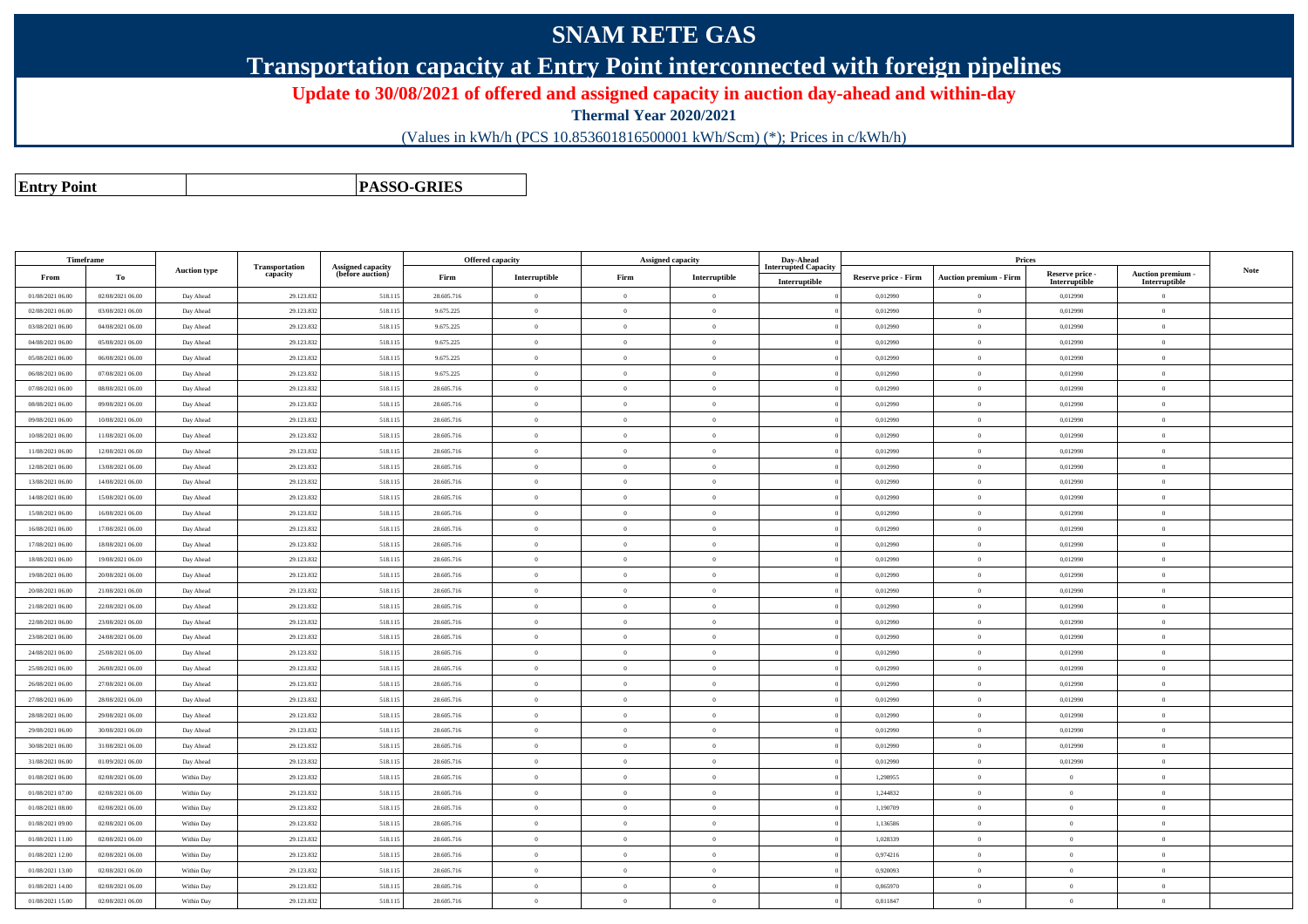## **SNAM RETE GAS**

**Transportation capacity at Entry Point interconnected with foreign pipelines**

**Update to 30/08/2021 of offered and assigned capacity in auction day-ahead and within-day**

**Thermal Year 2020/2021**

(Values in kWh/h (PCS 10.853601816500001 kWh/Scm) (\*); Prices in c/kWh/h)

**Entry Point**

**PASSO-GRIES**

| <b>Timeframe</b> |                  |                     |                            |                                              |            | <b>Offered capacity</b> |                | Assigned capacity | Day-Ahead                   |                      | Prices                        |                           |                                 |             |
|------------------|------------------|---------------------|----------------------------|----------------------------------------------|------------|-------------------------|----------------|-------------------|-----------------------------|----------------------|-------------------------------|---------------------------|---------------------------------|-------------|
| From             | To               | <b>Auction type</b> | Transportation<br>capacity | <b>Assigned capacity</b><br>(before auction) | Firm       | Interruptible           | Firm           | Interruptible     | <b>Interrupted Capacity</b> | Reserve price - Firm | <b>Auction premium - Firm</b> | Reserve price -           | Auction premium -               | <b>Note</b> |
| 01/08/2021 06:00 | 02/08/2021 06:00 | Day Ahead           | 29.123.832                 | 518.11                                       | 28.605.716 | $\overline{0}$          | $\Omega$       | $\overline{0}$    | Interruptible               | 0,012990             | $\overline{0}$                | Interruptible<br>0,012990 | Interruptible<br>$\overline{0}$ |             |
| 02/08/2021 06:00 | 03/08/2021 06:00 | Day Ahead           | 29.123.832                 | 518.115                                      | 9.675.225  | $\overline{0}$          | $\overline{0}$ | $\mathbf{0}$      |                             | 0,012990             | $\,$ 0                        | 0,012990                  | $\,0\,$                         |             |
| 03/08/2021 06:00 | 04/08/2021 06:00 | Day Ahead           | 29.123.832                 | 518.115                                      | 9.675.225  | $\overline{0}$          | $\Omega$       | $\bf{0}$          |                             | 0,012990             | $\overline{0}$                | 0,012990                  | $\bf{0}$                        |             |
| 04/08/2021 06:00 | 05/08/2021 06:00 | Day Ahead           | 29.123.832                 | 518.115                                      | 9.675.225  | $\overline{0}$          | $\Omega$       | $\overline{0}$    |                             | 0,012990             | $\bf{0}$                      | 0,012990                  | $\bf{0}$                        |             |
| 05/08/2021 06:00 | 06/08/2021 06:00 | Day Ahead           | 29.123.832                 | 518.115                                      | 9.675.225  | $\overline{0}$          | $\Omega$       | $\overline{0}$    |                             | 0,012990             | $\overline{0}$                | 0,012990                  | $\overline{0}$                  |             |
| 06/08/2021 06:00 | 07/08/2021 06:00 | Day Ahead           | 29.123.832                 | 518.115                                      | 9.675.225  | $\overline{0}$          | $\mathbf{0}$   | $\overline{0}$    |                             | 0,012990             | $\overline{0}$                | 0,012990                  | $\theta$                        |             |
| 07/08/2021 06:00 | 08/08/2021 06:00 | Day Ahead           | 29.123.832                 | 518.115                                      | 28.605.716 | $\overline{0}$          | $\Omega$       | $\overline{0}$    |                             | 0,012990             | $\overline{0}$                | 0,012990                  | $\,$ 0                          |             |
| 08/08/2021 06:00 | 09/08/2021 06:00 | Day Ahead           | 29.123.832                 | 518.115                                      | 28.605.716 | $\overline{0}$          | $\Omega$       | $\overline{0}$    |                             | 0,012990             | $\theta$                      | 0,012990                  | $\theta$                        |             |
| 09/08/2021 06:00 | 10/08/2021 06:00 | Day Ahead           | 29.123.832                 | 518.115                                      | 28.605.716 | $\overline{0}$          | $\theta$       | $\overline{0}$    |                             | 0,012990             | $\theta$                      | 0,012990                  | $\theta$                        |             |
| 10/08/2021 06:00 | 11/08/2021 06:00 | Day Ahead           | 29.123.832                 | 518.115                                      | 28.605.716 | $\overline{0}$          | $\Omega$       | $\overline{0}$    |                             | 0,012990             | $\overline{0}$                | 0.012990                  | $\Omega$                        |             |
| 11/08/2021 06:00 | 12/08/2021 06:00 | Day Ahead           | 29.123.832                 | 518.115                                      | 28.605.716 | $\overline{0}$          | $\Omega$       | $\overline{0}$    |                             | 0,012990             | $\overline{0}$                | 0,012990                  | $\overline{0}$                  |             |
| 12/08/2021 06:00 | 13/08/2021 06:00 | Day Ahead           | 29.123.832                 | 518.115                                      | 28.605.716 | $\overline{0}$          | $\Omega$       | $\overline{0}$    |                             | 0,012990             | $\theta$                      | 0,012990                  | $\theta$                        |             |
| 13/08/2021 06:00 | 14/08/2021 06:00 | Day Ahead           | 29.123.832                 | 518.115                                      | 28.605.716 | $\overline{0}$          | $\overline{0}$ | $\overline{0}$    |                             | 0,012990             | $\theta$                      | 0,012990                  | $\mathbf{0}$                    |             |
| 14/08/2021 06:00 | 15/08/2021 06:00 | Day Ahead           | 29.123.832                 | 518.115                                      | 28.605.716 | $\overline{0}$          | $\Omega$       | $\overline{0}$    |                             | 0,012990             | $\overline{0}$                | 0.012990                  | $\Omega$                        |             |
| 15/08/2021 06:00 | 16/08/2021 06:00 | Day Ahead           | 29.123.832                 | 518.115                                      | 28.605.716 | $\overline{0}$          | $\Omega$       | $\overline{0}$    |                             | 0,012990             | $\theta$                      | 0,012990                  | $\overline{0}$                  |             |
| 16/08/2021 06:00 | 17/08/2021 06:00 | Day Ahead           | 29.123.832                 | 518.115                                      | 28.605.716 | $\overline{0}$          | $\Omega$       | $\overline{0}$    |                             | 0.012990             | $\theta$                      | 0.012990                  | $\Omega$                        |             |
| 17/08/2021 06:00 | 18/08/2021 06:00 | Day Ahead           | 29.123.832                 | 518.115                                      | 28.605.716 | $\overline{0}$          | $\theta$       | $\overline{0}$    |                             | 0,012990             | $\theta$                      | 0,012990                  | $\mathbf{0}$                    |             |
| 18/08/2021 06:00 | 19/08/2021 06:00 | Day Ahead           | 29.123.832                 | 518.115                                      | 28.605.716 | $\overline{0}$          | $\Omega$       | $\overline{0}$    |                             | 0,012990             | $\overline{0}$                | 0,012990                  | $\overline{0}$                  |             |
| 19/08/2021 06:00 | 20/08/2021 06:00 | Day Ahead           | 29.123.832                 | 518.115                                      | 28,605.716 | $\overline{0}$          | $\theta$       | $\overline{0}$    |                             | 0.012990             | $\theta$                      | 0.012990                  | $\theta$                        |             |
| 20/08/2021 06:00 | 21/08/2021 06:00 | Day Ahead           | 29.123.832                 | 518.115                                      | 28,605,716 | $\overline{0}$          | $\Omega$       | $\overline{0}$    |                             | 0.012990             | $\theta$                      | 0.012990                  | $\theta$                        |             |
| 21/08/2021 06:00 | 22/08/2021 06:00 | Day Ahead           | 29.123.832                 | 518.115                                      | 28.605.716 | $\overline{0}$          | $\theta$       | $\overline{0}$    |                             | 0.012990             | $\theta$                      | 0.012990                  | $\theta$                        |             |
| 22/08/2021 06:00 | 23/08/2021 06:00 | Day Ahead           | 29.123.832                 | 518.115                                      | 28.605.716 | $\bf{0}$                | $\Omega$       | $\overline{0}$    |                             | 0,012990             | $\overline{0}$                | 0,012990                  | $\theta$                        |             |
| 23/08/2021 06:00 | 24/08/2021 06:00 | Day Ahead           | 29.123.832                 | 518.115                                      | 28.605.716 | $\bf{0}$                | $\Omega$       | $\overline{0}$    |                             | 0,012990             | $\overline{0}$                | 0,012990                  | $\overline{0}$                  |             |
| 24/08/2021 06:00 | 25/08/2021 06:00 | Day Ahead           | 29.123.832                 | 518.115                                      | 28,605,716 | $\theta$                | $\Omega$       | $\Omega$          |                             | 0.012990             | $\theta$                      | 0.012990                  | $\theta$                        |             |
| 25/08/2021 06:00 | 26/08/2021 06:00 | Day Ahead           | 29.123.832                 | 518.115                                      | 28.605.716 | $\bf{0}$                | $\Omega$       | $\overline{0}$    |                             | 0,012990             | $\overline{0}$                | 0,012990                  | $\theta$                        |             |
| 26/08/2021 06:00 | 27/08/2021 06:00 | Day Ahead           | 29.123.832                 | 518.115                                      | 28.605.716 | $\overline{0}$          | $\Omega$       | $\overline{0}$    |                             | 0,012990             | $\overline{0}$                | 0,012990                  | $\theta$                        |             |
| 27/08/2021 06:00 | 28/08/2021 06:00 | Day Ahead           | 29.123.832                 | 518.115                                      | 28.605.716 | $\overline{0}$          | $\theta$       | $\overline{0}$    |                             | 0,012990             | $\overline{0}$                | 0,012990                  | $\overline{0}$                  |             |
| 28/08/2021 06:00 | 29/08/2021 06:00 | Day Ahead           | 29.123.832                 | 518.115                                      | 28.605.716 | $\bf{0}$                | $\overline{0}$ | $\,$ 0 $\,$       |                             | 0,012990             | $\overline{0}$                | 0,012990                  | $\bf{0}$                        |             |
| 29/08/2021 06:00 | 30/08/2021 06:00 | Day Ahead           | 29.123.832                 | 518.115                                      | 28.605.716 | $\bf{0}$                | $\Omega$       | $\overline{0}$    |                             | 0,012990             | $\overline{0}$                | 0,012990                  | $\theta$                        |             |
| 30/08/2021 06:00 | 31/08/2021 06:00 | Day Ahead           | 29.123.832                 | 518.115                                      | 28.605.716 | $\overline{0}$          | $\Omega$       | $\overline{0}$    |                             | 0,012990             | $\overline{0}$                | 0,012990                  | $\overline{0}$                  |             |
| 31/08/2021 06:00 | 01/09/2021 06:00 | Day Ahead           | 29.123.832                 | 518.115                                      | 28.605.716 | $\bf{0}$                | $\Omega$       | $\overline{0}$    |                             | 0,012990             | $\overline{0}$                | 0,012990                  | $\theta$                        |             |
| 01/08/2021 06:00 | 02/08/2021 06:00 | Within Day          | 29.123.832                 | 518.11:                                      | 28.605.716 | $\bf{0}$                | $\overline{0}$ | $\overline{0}$    |                             | 1,298955             | $\overline{0}$                | $\theta$                  | $\theta$                        |             |
| 01/08/2021 07:00 | 02/08/2021 06:00 | Within Day          | 29.123.832                 | 518.115                                      | 28.605.716 | $\bf{0}$                | $\overline{0}$ | $\overline{0}$    |                             | 1,244832             | $\overline{0}$                | $\overline{0}$            | $\overline{0}$                  |             |
| 01/08/2021 08:00 | 02/08/2021 06:00 | Within Day          | 29.123.832                 | 518.115                                      | 28.605.716 | $\overline{0}$          | $\Omega$       | $\overline{0}$    |                             | 1,190709             | $\overline{0}$                | $\mathbf{a}$              | $\overline{0}$                  |             |
| 01/08/2021 09:00 | 02/08/2021 06:00 | Within Day          | 29.123.832                 | 518.115                                      | 28.605.716 | $\overline{0}$          | $\Omega$       | $\overline{0}$    |                             | 1,136586             | $\overline{0}$                | $\theta$                  | $\overline{0}$                  |             |
| 01/08/2021 11:00 | 02/08/2021 06:00 | Within Day          | 29.123.832                 | 518.115                                      | 28.605.716 | $\overline{0}$          | $\overline{0}$ | $\overline{0}$    |                             | 1,028339             | $\overline{0}$                | $\theta$                  | $\theta$                        |             |
| 01/08/2021 12:00 | 02/08/2021 06:00 | Within Day          | 29.123.832                 | 518.115                                      | 28.605.716 | $\overline{0}$          | $\overline{0}$ | $\overline{0}$    |                             | 0,974216             | $\bf{0}$                      | $\theta$                  | $\bf{0}$                        |             |
| 01/08/2021 13:00 | 02/08/2021 06:00 | Within Day          | 29.123.832                 | 518.115                                      | 28.605.716 | $\overline{0}$          | $\Omega$       | $\overline{0}$    |                             | 0,920093             | $\overline{0}$                | $\theta$                  | $\overline{0}$                  |             |
| 01/08/2021 14:00 | 02/08/2021 06:00 | Within Day          | 29.123.832                 | 518.115                                      | 28.605.716 | $\overline{0}$          | $\Omega$       | $\overline{0}$    |                             | 0,865970             | $\overline{0}$                | $\mathbf{a}$              | $\overline{0}$                  |             |
| 01/08/2021 15:00 | 02/08/2021 06:00 | Within Day          | 29.123.832                 | 518.115                                      | 28.605.716 | $\overline{0}$          | $\Omega$       | $\overline{0}$    |                             | 0,811847             | $\overline{0}$                | $\theta$                  | $\theta$                        |             |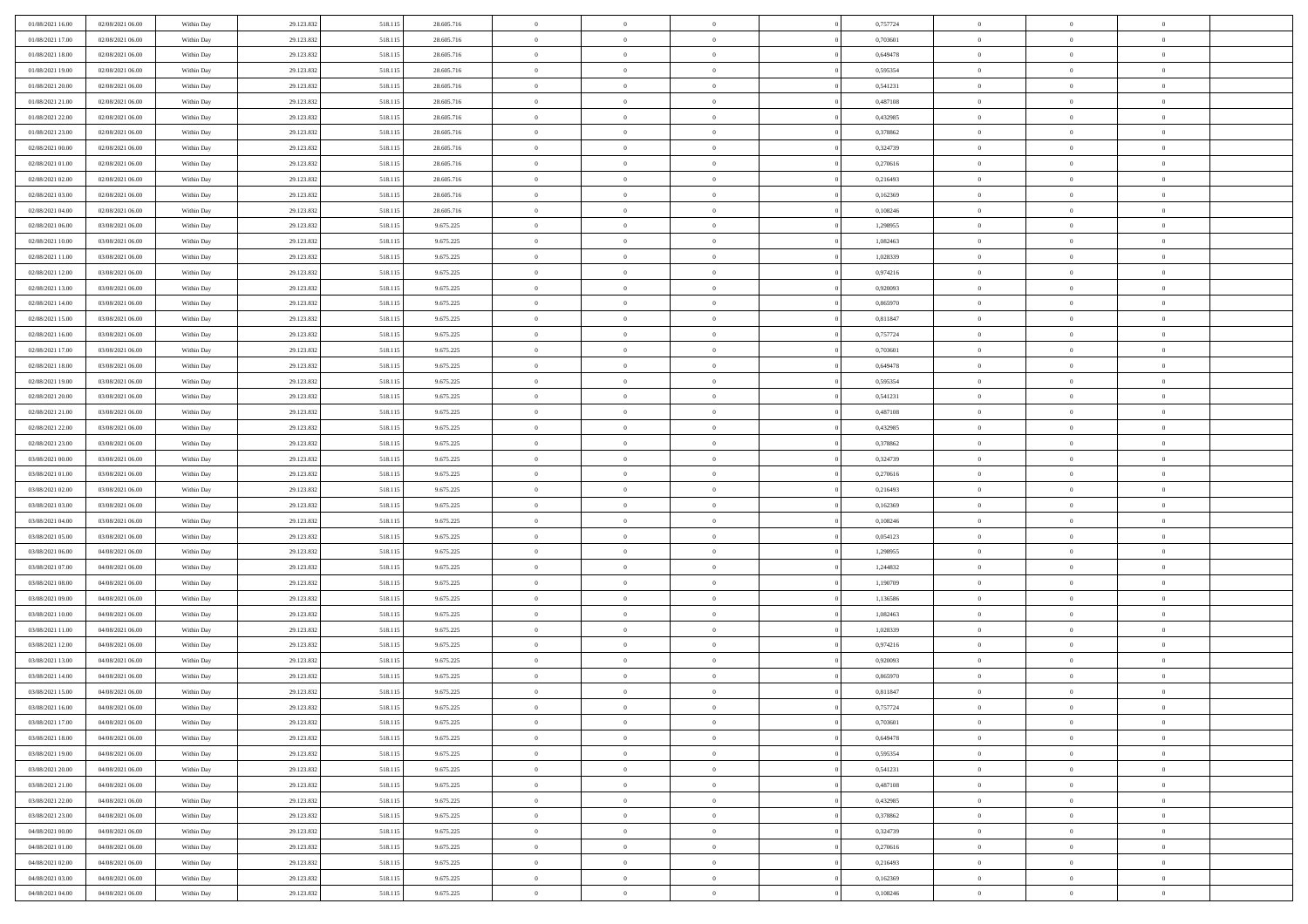| 01/08/2021 16:00 | 02/08/2021 06:00 | Within Day | 29.123.832 | 518.115 | 28.605.716 | $\,$ 0         | $\bf{0}$       | $\theta$       |          | 0,757724 | $\bf{0}$       | $\overline{0}$ | $\,0\,$        |  |
|------------------|------------------|------------|------------|---------|------------|----------------|----------------|----------------|----------|----------|----------------|----------------|----------------|--|
| 01/08/2021 17:00 | 02/08/2021 06:00 | Within Day | 29.123.832 | 518.115 | 28.605.716 | $\overline{0}$ | $\overline{0}$ | $\overline{0}$ |          | 0.703601 | $\overline{0}$ | $\overline{0}$ | $\theta$       |  |
| 01/08/2021 18:00 | 02/08/2021 06:00 | Within Dav | 29.123.832 | 518.115 | 28.605.716 | $\mathbf{0}$   | $\overline{0}$ | $\overline{0}$ |          | 0,649478 | $\mathbf{0}$   | $\overline{0}$ | $\overline{0}$ |  |
| 01/08/2021 19:00 | 02/08/2021 06:00 | Within Day | 29.123.832 | 518.115 | 28.605.716 | $\bf{0}$       | $\overline{0}$ | $\bf{0}$       |          | 0,595354 | $\bf{0}$       | $\overline{0}$ | $\bf{0}$       |  |
| 01/08/2021 20:00 | 02/08/2021 06:00 | Within Day | 29.123.832 | 518.115 | 28.605.716 | $\bf{0}$       | $\bf{0}$       | $\overline{0}$ |          | 0,541231 | $\bf{0}$       | $\bf{0}$       | $\,0\,$        |  |
| 01/08/2021 21:00 | 02/08/2021 06:00 | Within Dav | 29.123.832 | 518.115 | 28.605.716 | $\mathbf{0}$   | $\overline{0}$ | $\overline{0}$ |          | 0,487108 | $\mathbf{0}$   | $\overline{0}$ | $\overline{0}$ |  |
| 01/08/2021 22:00 | 02/08/2021 06:00 | Within Day | 29.123.832 | 518.115 | 28.605.716 | $\bf{0}$       | $\bf{0}$       | $\overline{0}$ |          | 0,432985 | $\bf{0}$       | $\overline{0}$ | $\,0\,$        |  |
| 01/08/2021 23:00 | 02/08/2021 06:00 | Within Day | 29.123.832 | 518.115 | 28.605.716 | $\overline{0}$ | $\overline{0}$ | $\overline{0}$ |          | 0,378862 | $\,$ 0 $\,$    | $\overline{0}$ | $\theta$       |  |
| 02/08/2021 00:00 | 02/08/2021 06:00 | Within Day | 29.123.832 | 518.115 | 28.605.716 | $\mathbf{0}$   | $\overline{0}$ | $\overline{0}$ |          | 0,324739 | $\mathbf{0}$   | $\overline{0}$ | $\overline{0}$ |  |
| 02/08/2021 01:00 | 02/08/2021 06:00 | Within Day | 29.123.832 | 518.115 | 28.605.716 | $\bf{0}$       | $\bf{0}$       | $\overline{0}$ |          | 0,270616 | $\bf{0}$       | $\overline{0}$ | $\,0\,$        |  |
| 02/08/2021 02:00 | 02/08/2021 06:00 | Within Day | 29.123.832 | 518.115 | 28.605.716 | $\bf{0}$       | $\overline{0}$ | $\overline{0}$ |          | 0,216493 | $\bf{0}$       | $\overline{0}$ | $\theta$       |  |
| 02/08/2021 03:00 | 02/08/2021 06:00 | Within Dav | 29.123.832 | 518.115 | 28.605.716 | $\mathbf{0}$   | $\overline{0}$ | $\overline{0}$ |          | 0,162369 | $\mathbf{0}$   | $\overline{0}$ | $\overline{0}$ |  |
| 02/08/2021 04:00 | 02/08/2021 06:00 | Within Day | 29.123.832 | 518.115 | 28.605.716 | $\bf{0}$       | $\overline{0}$ | $\bf{0}$       |          | 0,108246 | $\bf{0}$       | $\overline{0}$ | $\bf{0}$       |  |
| 02/08/2021 06:00 | 03/08/2021 06:00 | Within Day | 29.123.832 | 518.115 | 9.675.225  | $\bf{0}$       | $\overline{0}$ | $\overline{0}$ |          | 1,298955 | $\bf{0}$       | $\mathbf{0}$   | $\,0\,$        |  |
| 02/08/2021 10:00 | 03/08/2021 06:00 | Within Dav | 29.123.832 | 518.115 | 9.675.225  | $\overline{0}$ | $\overline{0}$ | $\overline{0}$ |          | 1,082463 | $\mathbf{0}$   | $\overline{0}$ | $\overline{0}$ |  |
| 02/08/2021 11:00 | 03/08/2021 06:00 | Within Day | 29.123.832 | 518.115 | 9.675.225  | $\bf{0}$       | $\bf{0}$       | $\overline{0}$ |          | 1,028339 | $\bf{0}$       | $\overline{0}$ | $\bf{0}$       |  |
| 02/08/2021 12:00 | 03/08/2021 06:00 | Within Day | 29.123.832 | 518.115 | 9.675.225  | $\overline{0}$ | $\overline{0}$ | $\overline{0}$ |          | 0,974216 | $\,$ 0 $\,$    | $\overline{0}$ | $\theta$       |  |
| 02/08/2021 13:00 | 03/08/2021 06:00 | Within Day | 29.123.832 | 518.115 | 9.675.225  | $\mathbf{0}$   | $\overline{0}$ | $\overline{0}$ |          | 0,920093 | $\mathbf{0}$   | $\overline{0}$ | $\overline{0}$ |  |
| 02/08/2021 14:00 | 03/08/2021 06:00 | Within Day | 29.123.832 | 518.115 | 9.675.225  | $\bf{0}$       | $\bf{0}$       | $\overline{0}$ |          | 0,865970 | $\bf{0}$       | $\overline{0}$ | $\,0\,$        |  |
| 02/08/2021 15:00 | 03/08/2021 06:00 | Within Day | 29.123.832 | 518.115 | 9.675.225  | $\bf{0}$       | $\overline{0}$ | $\overline{0}$ |          | 0,811847 | $\bf{0}$       | $\overline{0}$ | $\overline{0}$ |  |
| 02/08/2021 16:00 | 03/08/2021 06:00 | Within Dav | 29.123.832 | 518.115 | 9.675.225  | $\mathbf{0}$   | $\overline{0}$ | $\overline{0}$ |          | 0,757724 | $\mathbf{0}$   | $\overline{0}$ | $\overline{0}$ |  |
| 02/08/2021 17:00 | 03/08/2021 06:00 | Within Day | 29.123.832 | 518.115 | 9.675.225  | $\bf{0}$       | $\overline{0}$ | $\bf{0}$       |          | 0,703601 | $\bf{0}$       | $\overline{0}$ | $\bf{0}$       |  |
| 02/08/2021 18:00 | 03/08/2021 06:00 | Within Day | 29.123.832 | 518.115 | 9.675.225  | $\bf{0}$       | $\bf{0}$       | $\overline{0}$ |          | 0,649478 | $\bf{0}$       | $\overline{0}$ | $\,0\,$        |  |
| 02/08/2021 19:00 | 03/08/2021 06:00 | Within Dav | 29.123.832 | 518.115 | 9.675.225  | $\mathbf{0}$   | $\overline{0}$ | $\overline{0}$ |          | 0,595354 | $\mathbf{0}$   | $\overline{0}$ | $\overline{0}$ |  |
| 02/08/2021 20:00 | 03/08/2021 06:00 | Within Day | 29.123.832 | 518.115 | 9.675.225  | $\bf{0}$       | $\bf{0}$       | $\overline{0}$ |          | 0,541231 | $\bf{0}$       | $\overline{0}$ | $\,0\,$        |  |
| 02/08/2021 21:00 | 03/08/2021 06:00 | Within Day | 29.123.832 | 518.115 | 9.675.225  | $\overline{0}$ | $\overline{0}$ | $\overline{0}$ |          | 0,487108 | $\bf{0}$       | $\overline{0}$ | $\overline{0}$ |  |
| 02/08/2021 22:00 | 03/08/2021 06:00 | Within Day | 29.123.832 | 518.115 | 9.675.225  | $\mathbf{0}$   | $\overline{0}$ | $\overline{0}$ |          | 0,432985 | $\mathbf{0}$   | $\overline{0}$ | $\overline{0}$ |  |
| 02/08/2021 23:00 | 03/08/2021 06:00 | Within Day | 29.123.832 | 518.115 | 9.675.225  | $\bf{0}$       | $\bf{0}$       | $\overline{0}$ |          | 0,378862 | $\bf{0}$       | $\overline{0}$ | $\,0\,$        |  |
| 03/08/2021 00:00 | 03/08/2021 06:00 | Within Day | 29.123.832 | 518.115 | 9.675.225  | $\bf{0}$       | $\overline{0}$ | $\overline{0}$ |          | 0,324739 | $\bf{0}$       | $\overline{0}$ | $\overline{0}$ |  |
| 03/08/2021 01:00 | 03/08/2021 06:00 | Within Dav | 29.123.832 | 518.115 | 9.675.225  | $\mathbf{0}$   | $\overline{0}$ | $\overline{0}$ |          | 0,270616 | $\mathbf{0}$   | $\overline{0}$ | $\overline{0}$ |  |
| 03/08/2021 02:00 | 03/08/2021 06:00 | Within Day | 29.123.832 | 518.115 | 9.675.225  | $\bf{0}$       | $\overline{0}$ | $\theta$       |          | 0,216493 | $\,$ 0         | $\overline{0}$ | $\theta$       |  |
| 03/08/2021 03:00 | 03/08/2021 06:00 | Within Day | 29.123.832 | 518.115 | 9.675.225  | $\bf{0}$       | $\bf{0}$       | $\overline{0}$ |          | 0,162369 | $\bf{0}$       | $\overline{0}$ | $\overline{0}$ |  |
| 03/08/2021 04:00 | 03/08/2021 06:00 | Within Dav | 29.123.832 | 518.115 | 9.675.225  | $\mathbf{0}$   | $\overline{0}$ | $\overline{0}$ |          | 0,108246 | $\mathbf{0}$   | $\overline{0}$ | $\overline{0}$ |  |
| 03/08/2021 05:00 | 03/08/2021 06:00 | Within Day | 29.123.832 | 518.115 | 9.675.225  | $\bf{0}$       | $\overline{0}$ | $\theta$       |          | 0,054123 | $\,$ 0         | $\overline{0}$ | $\theta$       |  |
| 03/08/2021 06:00 | 04/08/2021 06:00 | Within Day | 29.123.832 | 518.115 | 9.675.225  | $\bf{0}$       | $\overline{0}$ | $\overline{0}$ |          | 1,298955 | $\bf{0}$       | $\overline{0}$ | $\overline{0}$ |  |
| 03/08/2021 07:00 | 04/08/2021 06:00 | Within Day | 29.123.832 | 518.115 | 9.675.225  | $\mathbf{0}$   | $\overline{0}$ | $\overline{0}$ |          | 1,244832 | $\mathbf{0}$   | $\overline{0}$ | $\overline{0}$ |  |
| 03/08/2021 08:00 | 04/08/2021 06:00 | Within Day | 29.123.832 | 518.115 | 9.675.225  | $\bf{0}$       | $\overline{0}$ | $\theta$       |          | 1,190709 | $\,$ 0         | $\overline{0}$ | $\theta$       |  |
| 03/08/2021 09:00 | 04/08/2021 06:00 | Within Day | 29.123.832 | 518.115 | 9.675.225  | $\bf{0}$       | $\overline{0}$ | $\overline{0}$ |          | 1,136586 | $\bf{0}$       | $\overline{0}$ | $\bf{0}$       |  |
| 03/08/2021 10:00 | 04/08/2021 06:00 | Within Dav | 29.123.832 | 518.115 | 9.675.225  | $\mathbf{0}$   | $\overline{0}$ | $\overline{0}$ |          | 1,082463 | $\mathbf{0}$   | $\overline{0}$ | $\overline{0}$ |  |
| 03/08/2021 11:00 | 04/08/2021 06:00 | Within Day | 29.123.832 | 518.115 | 9.675.225  | $\,0\,$        | $\overline{0}$ | $\theta$       |          | 1,028339 | $\,$ 0         | $\overline{0}$ | $\theta$       |  |
| 03/08/2021 12:00 | 04/08/2021 06:00 | Within Day | 29.123.832 | 518.115 | 9.675.225  | $\bf{0}$       | $\overline{0}$ | $\overline{0}$ |          | 0,974216 | $\bf{0}$       | $\overline{0}$ | $\bf{0}$       |  |
| 03/08/2021 13:00 | 04/08/2021 06:00 | Within Dav | 29.123.832 | 518.115 | 9.675.225  | $\mathbf{0}$   | $\overline{0}$ | $\overline{0}$ |          | 0,920093 | $\mathbf{0}$   | $\overline{0}$ | $\overline{0}$ |  |
| 03/08/2021 14:00 | 04/08/2021 06:00 | Within Day | 29.123.832 | 518.115 | 9.675.225  | $\bf{0}$       | $\overline{0}$ | $\theta$       |          | 0,865970 | $\,$ 0         | $\overline{0}$ | $\theta$       |  |
| 03/08/2021 15:00 | 04/08/2021 06:00 | Within Day | 29.123.832 | 518.115 | 9.675.225  | $\bf{0}$       | $\overline{0}$ | $\overline{0}$ |          | 0,811847 | $\,$ 0 $\,$    | $\overline{0}$ | $\bf{0}$       |  |
| 03/08/2021 16:00 | 04/08/2021 06:00 | Within Day | 29.123.832 | 518.115 | 9.675.225  | $\bf{0}$       | $\overline{0}$ |                |          | 0,757724 | $\overline{0}$ | $\theta$       | $\theta$       |  |
| 03/08/2021 17:00 | 04/08/2021 06:00 | Within Day | 29.123.832 | 518.115 | 9.675.225  | $\,0\,$        | $\overline{0}$ | $\theta$       |          | 0,703601 | $\,$ 0 $\,$    | $\bf{0}$       | $\theta$       |  |
| 03/08/2021 18:00 | 04/08/2021 06:00 | Within Day | 29.123.832 | 518.115 | 9.675.225  | $\overline{0}$ | $\overline{0}$ | $\overline{0}$ |          | 0.649478 | $\overline{0}$ | $\overline{0}$ | $\overline{0}$ |  |
| 03/08/2021 19:00 | 04/08/2021 06:00 | Within Day | 29.123.832 | 518.115 | 9.675.225  | $\bf{0}$       | $\overline{0}$ | $\overline{0}$ |          | 0,595354 | $\overline{0}$ | $\bf{0}$       | $\mathbf{0}$   |  |
| 03/08/2021 20:00 | 04/08/2021 06:00 | Within Day | 29.123.832 | 518.115 | 9.675.225  | $\bf{0}$       | $\overline{0}$ | $\overline{0}$ | $\theta$ | 0,541231 | $\,$ 0 $\,$    | $\bf{0}$       | $\,$ 0 $\,$    |  |
| 03/08/2021 21:00 | 04/08/2021 06:00 | Within Day | 29.123.832 | 518.115 | 9.675.225  | $\bf{0}$       | $\overline{0}$ | $\overline{0}$ |          | 0,487108 | $\,$ 0 $\,$    | $\overline{0}$ | $\overline{0}$ |  |
| 03/08/2021 22:00 | 04/08/2021 06:00 | Within Day | 29.123.832 | 518.115 | 9.675.225  | $\bf{0}$       | $\overline{0}$ | $\overline{0}$ |          | 0,432985 | $\mathbf{0}$   | $\overline{0}$ | $\overline{0}$ |  |
| 03/08/2021 23:00 | 04/08/2021 06:00 | Within Day | 29.123.832 | 518.115 | 9.675.225  | $\,0\,$        | $\overline{0}$ | $\overline{0}$ | $\theta$ | 0,378862 | $\,$ 0 $\,$    | $\overline{0}$ | $\overline{0}$ |  |
| 04/08/2021 00:00 | 04/08/2021 06:00 | Within Day | 29.123.832 | 518.115 | 9.675.225  | $\bf{0}$       | $\overline{0}$ | $\overline{0}$ |          | 0,324739 | $\overline{0}$ | $\overline{0}$ | $\overline{0}$ |  |
| 04/08/2021 01:00 | 04/08/2021 06:00 | Within Day | 29.123.832 | 518.115 | 9.675.225  | $\bf{0}$       | $\overline{0}$ | $\overline{0}$ |          | 0,270616 | $\mathbf{0}$   | $\overline{0}$ | $\mathbf{0}$   |  |
| 04/08/2021 02:00 | 04/08/2021 06:00 | Within Day | 29.123.832 | 518.115 | 9.675.225  | $\,0\,$        | $\overline{0}$ | $\overline{0}$ |          | 0,216493 | $\,$ 0 $\,$    | $\mathbf{0}$   | $\theta$       |  |
| 04/08/2021 03:00 | 04/08/2021 06:00 | Within Day | 29.123.832 | 518.115 | 9.675.225  | $\bf{0}$       | $\overline{0}$ | $\overline{0}$ |          | 0,162369 | $\bf{0}$       | $\mathbf{0}$   | $\overline{0}$ |  |
| 04/08/2021 04:00 | 04/08/2021 06:00 | Within Day | 29.123.832 | 518.115 | 9.675.225  | $\bf{0}$       | $\overline{0}$ | $\overline{0}$ |          | 0,108246 | $\mathbf{0}$   | $\overline{0}$ | $\overline{0}$ |  |
|                  |                  |            |            |         |            |                |                |                |          |          |                |                |                |  |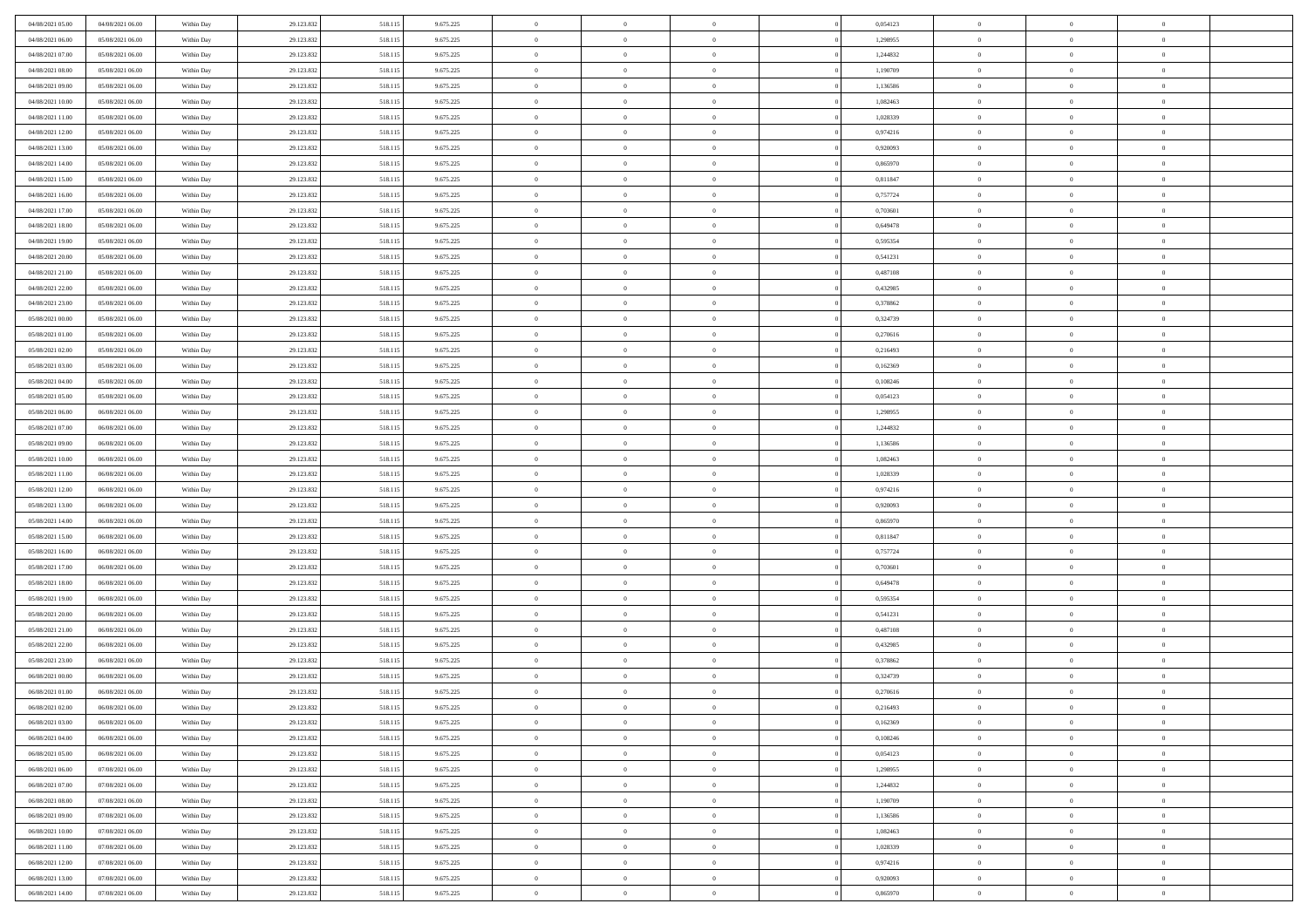| 04/08/2021 05:00                     | 04/08/2021 06:00 | Within Day | 29.123.832 | 518.115            | 9.675.225 | $\bf{0}$       | $\overline{0}$                   | $\Omega$       | 0,054123 | $\bf{0}$       | $\overline{0}$ | $\bf{0}$       |  |
|--------------------------------------|------------------|------------|------------|--------------------|-----------|----------------|----------------------------------|----------------|----------|----------------|----------------|----------------|--|
| 04/08/2021 06:00                     | 05/08/2021 06:00 | Within Day | 29.123.832 | 518.115            | 9.675.225 | $\overline{0}$ | $\overline{0}$                   | $\overline{0}$ | 1,298955 | $\mathbf{0}$   | $\bf{0}$       | $\overline{0}$ |  |
| 04/08/2021 07:00                     | 05/08/2021 06:00 | Within Day | 29.123.832 | 518.115            | 9.675.225 | $\theta$       | $\overline{0}$                   | $\overline{0}$ | 1,244832 | $\,$ 0         | $\overline{0}$ | $\,$ 0 $\,$    |  |
| 04/08/2021 08:00                     | 05/08/2021 06:00 | Within Day | 29.123.832 | 518.115            | 9.675.225 | $\overline{0}$ | $\overline{0}$                   | $\mathbf{0}$   | 1,190709 | $\bf{0}$       | $\mathbf{0}$   | $\theta$       |  |
| 04/08/2021 09:00                     | 05/08/2021 06:00 | Within Day | 29.123.832 | 518.115            | 9.675.225 | $\mathbf{0}$   | $\overline{0}$                   | $\overline{0}$ | 1,136586 | $\mathbf{0}$   | $\bf{0}$       | $\overline{0}$ |  |
| 04/08/2021 10:00                     | 05/08/2021 06:00 | Within Day | 29.123.832 | 518.115            | 9.675.225 | $\theta$       | $\overline{0}$                   | $\bf{0}$       | 1,082463 | $\,$ 0         | $\overline{0}$ | $\,$ 0 $\,$    |  |
| 04/08/2021 11:00                     | 05/08/2021 06:00 | Within Day | 29.123.832 | 518.115            | 9.675.225 | $\,$ 0 $\,$    | $\overline{0}$                   | $\Omega$       | 1,028339 | $\bf{0}$       | $\overline{0}$ | $\theta$       |  |
| 04/08/2021 12:00                     | 05/08/2021 06:00 | Within Day | 29.123.832 | 518.115            | 9.675.225 | $\overline{0}$ | $\overline{0}$                   | $\overline{0}$ | 0,974216 | $\mathbf{0}$   | $\bf{0}$       | $\overline{0}$ |  |
| 04/08/2021 13:00                     | 05/08/2021 06:00 |            | 29.123.832 | 518.115            | 9.675.225 | $\theta$       | $\overline{0}$                   | $\bf{0}$       | 0,920093 | $\,$ 0         | $\overline{0}$ | $\,$ 0 $\,$    |  |
|                                      | 05/08/2021 06:00 | Within Day |            |                    |           | $\overline{0}$ |                                  | $\mathbf{0}$   | 0.865970 | $\bf{0}$       | $\mathbf{0}$   | $\theta$       |  |
| 04/08/2021 14:00<br>04/08/2021 15:00 |                  | Within Day | 29.123.832 | 518.115            | 9.675.225 |                | $\overline{0}$<br>$\overline{0}$ |                |          | $\mathbf{0}$   |                | $\overline{0}$ |  |
|                                      | 05/08/2021 06:00 | Within Day | 29.123.832 | 518.115            | 9.675.225 | $\mathbf{0}$   |                                  | $\overline{0}$ | 0,811847 |                | $\bf{0}$       |                |  |
| 04/08/2021 16:00                     | 05/08/2021 06:00 | Within Day | 29.123.832 | 518.115            | 9.675.225 | $\theta$       | $\overline{0}$                   | $\overline{0}$ | 0,757724 | $\,$ 0         | $\overline{0}$ | $\,$ 0 $\,$    |  |
| 04/08/2021 17:00                     | 05/08/2021 06:00 | Within Day | 29.123.832 | 518.115            | 9.675.225 | $\theta$       | $\overline{0}$                   | $\mathbf{0}$   | 0.703601 | $\bf{0}$       | $\mathbf{0}$   | $\theta$       |  |
| 04/08/2021 18:00                     | 05/08/2021 06:00 | Within Day | 29.123.832 | 518.115            | 9.675.225 | $\mathbf{0}$   | $\overline{0}$                   | $\overline{0}$ | 0,649478 | $\mathbf{0}$   | $\bf{0}$       | $\overline{0}$ |  |
| 04/08/2021 19:00                     | 05/08/2021 06:00 | Within Day | 29.123.832 | 518.115            | 9.675.225 | $\theta$       | $\overline{0}$                   | $\overline{0}$ | 0,595354 | $\,$ 0         | $\overline{0}$ | $\,$ 0 $\,$    |  |
| 04/08/2021 20:00                     | 05/08/2021 06:00 | Within Day | 29.123.832 | 518.115            | 9.675.225 | $\bf{0}$       | $\overline{0}$                   | $\mathbf{0}$   | 0,541231 | $\bf{0}$       | $\overline{0}$ | $\bf{0}$       |  |
| 04/08/2021 21:00                     | 05/08/2021 06:00 | Within Day | 29.123.832 | 518.115            | 9.675.225 | $\overline{0}$ | $\overline{0}$                   | $\overline{0}$ | 0,487108 | $\mathbf{0}$   | $\bf{0}$       | $\overline{0}$ |  |
| 04/08/2021 22:00                     | 05/08/2021 06:00 | Within Day | 29.123.832 | 518.115            | 9.675.225 | $\theta$       | $\overline{0}$                   | $\bf{0}$       | 0,432985 | $\,$ 0         | $\overline{0}$ | $\,$ 0 $\,$    |  |
| 04/08/2021 23:00                     | 05/08/2021 06:00 | Within Day | 29.123.832 | 518.115            | 9.675.225 | $\theta$       | $\overline{0}$                   | $\mathbf{0}$   | 0.378862 | $\theta$       | $\mathbf{0}$   | $\theta$       |  |
| 05/08/2021 00:00                     | 05/08/2021 06:00 | Within Day | 29.123.832 | 518.115            | 9.675.225 | $\overline{0}$ | $\overline{0}$                   | $\overline{0}$ | 0,324739 | $\mathbf{0}$   | $\bf{0}$       | $\overline{0}$ |  |
| 05/08/2021 01:00                     | 05/08/2021 06:00 | Within Day | 29.123.832 | 518.115            | 9.675.225 | $\theta$       | $\overline{0}$                   | $\bf{0}$       | 0,270616 | $\,$ 0         | $\overline{0}$ | $\,$ 0 $\,$    |  |
| 05/08/2021 02:00                     | 05/08/2021 06:00 | Within Day | 29.123.832 | 518.115            | 9.675.225 | $\theta$       | $\overline{0}$                   | $\mathbf{0}$   | 0.216493 | $\bf{0}$       | $\mathbf{0}$   | $\theta$       |  |
| 05/08/2021 03:00                     | 05/08/2021 06:00 | Within Day | 29.123.832 | 518.115            | 9.675.225 | $\mathbf{0}$   | $\overline{0}$                   | $\overline{0}$ | 0,162369 | $\mathbf{0}$   | $\bf{0}$       | $\overline{0}$ |  |
| 05/08/2021 04:00                     | 05/08/2021 06:00 | Within Day | 29.123.832 | 518.115            | 9.675.225 | $\theta$       | $\overline{0}$                   | $\bf{0}$       | 0,108246 | $\,$ 0         | $\overline{0}$ | $\,$ 0 $\,$    |  |
| 05/08/2021 05:00                     | 05/08/2021 06:00 | Within Day | 29.123.832 | 518.115            | 9.675.225 | $\bf{0}$       | $\overline{0}$                   | $\mathbf{0}$   | 0,054123 | $\bf{0}$       | $\overline{0}$ | $\bf{0}$       |  |
| 05/08/2021 06:00                     | 06/08/2021 06:00 | Within Day | 29.123.832 | 518.115            | 9.675.225 | $\overline{0}$ | $\overline{0}$                   | $\overline{0}$ | 1,298955 | $\mathbf{0}$   | $\bf{0}$       | $\overline{0}$ |  |
| 05/08/2021 07:00                     | 06/08/2021 06:00 | Within Day | 29.123.832 | 518.115            | 9.675.225 | $\theta$       | $\overline{0}$                   | $\bf{0}$       | 1,244832 | $\,$ 0         | $\overline{0}$ | $\,$ 0 $\,$    |  |
| 05/08/2021 09:00                     | 06/08/2021 06:00 | Within Day | 29.123.832 | 518.115            | 9.675.225 | $\mathbf{0}$   | $\overline{0}$                   | $\mathbf{0}$   | 1.136586 | $\bf{0}$       | $\mathbf{0}$   | $\theta$       |  |
| 05/08/2021 10:00                     | 06/08/2021 06:00 | Within Day | 29.123.832 | 518.115            | 9.675.225 | $\mathbf{0}$   | $\overline{0}$                   | $\overline{0}$ | 1,082463 | $\mathbf{0}$   | $\bf{0}$       | $\overline{0}$ |  |
| 05/08/2021 11:00                     | 06/08/2021 06:00 | Within Day | 29.123.832 | 518.115            | 9.675.225 | $\theta$       | $\overline{0}$                   | $\overline{0}$ | 1,028339 | $\,$ 0         | $\overline{0}$ | $\,$ 0 $\,$    |  |
| 05/08/2021 12:00                     | 06/08/2021 06:00 | Within Day | 29.123.832 | 518.115            | 9.675.225 | $\,$ 0 $\,$    | $\overline{0}$                   | $\overline{0}$ | 0,974216 | $\bf{0}$       | $\overline{0}$ | $\,0\,$        |  |
| 05/08/2021 13:00                     | 06/08/2021 06:00 | Within Day | 29.123.832 | 518.115            | 9.675.225 | $\overline{0}$ | $\overline{0}$                   | $\overline{0}$ | 0,920093 | $\mathbf{0}$   | $\bf{0}$       | $\overline{0}$ |  |
| 05/08/2021 14:00                     | 06/08/2021 06:00 | Within Day | 29.123.832 | 518.115            | 9.675.225 | $\theta$       | $\overline{0}$                   | $\overline{0}$ | 0,865970 | $\,$ 0         | $\overline{0}$ | $\,$ 0 $\,$    |  |
| 05/08/2021 15:00                     | 06/08/2021 06:00 | Within Day | 29.123.832 | 518.115            | 9.675.225 | $\,$ 0 $\,$    | $\overline{0}$                   | $\overline{0}$ | 0,811847 | $\bf{0}$       | $\overline{0}$ | $\,0\,$        |  |
| 05/08/2021 16:00                     | 06/08/2021 06:00 | Within Day | 29.123.832 | 518.115            | 9.675.225 | $\theta$       | $\overline{0}$                   | $\overline{0}$ | 0,757724 | $\mathbf{0}$   | $\bf{0}$       | $\overline{0}$ |  |
| 05/08/2021 17:00                     | 06/08/2021 06:00 | Within Day | 29.123.832 | 518.115            | 9.675.225 | $\theta$       | $\overline{0}$                   | $\bf{0}$       | 0,703601 | $\,$ 0         | $\overline{0}$ | $\,$ 0 $\,$    |  |
| 05/08/2021 18:00                     | 06/08/2021 06:00 | Within Day | 29.123.832 | 518.115            | 9.675.225 | $\,$ 0 $\,$    | $\overline{0}$                   | $\overline{0}$ | 0,649478 | $\bf{0}$       | $\overline{0}$ | $\,0\,$        |  |
| 05/08/2021 19:00                     | 06/08/2021 06:00 | Within Day | 29.123.832 | 518.115            | 9.675.225 | $\mathbf{0}$   | $\overline{0}$                   | $\overline{0}$ | 0,595354 | $\mathbf{0}$   | $\bf{0}$       | $\overline{0}$ |  |
| 05/08/2021 20:00                     | 06/08/2021 06:00 | Within Day | 29.123.832 | 518.115            | 9.675.225 | $\theta$       | $\overline{0}$                   | $\bf{0}$       | 0,541231 | $\,$ 0         | $\overline{0}$ | $\,$ 0 $\,$    |  |
| 05/08/2021 21:00                     | 06/08/2021 06:00 | Within Day | 29.123.832 | 518.115            | 9.675.225 | $\,$ 0 $\,$    | $\overline{0}$                   | $\overline{0}$ | 0,487108 | $\bf{0}$       | $\overline{0}$ | $\,0\,$        |  |
| 05/08/2021 22:00                     | 06/08/2021 06:00 | Within Day | 29.123.832 | 518.115            | 9.675.225 | $\theta$       | $\overline{0}$                   | $\overline{0}$ | 0,432985 | $\mathbf{0}$   | $\bf{0}$       | $\overline{0}$ |  |
| 05/08/2021 23:00                     | 06/08/2021 06:00 | Within Day | 29.123.832 | 518.115            | 9.675.225 | $\theta$       | $\overline{0}$                   | $\bf{0}$       | 0,378862 | $\,$ 0         | $\overline{0}$ | $\,$ 0 $\,$    |  |
| 06/08/2021 00:00                     | 06/08/2021 06:00 | Within Day | 29.123.832 | 518.115            | 9.675.225 | $\,$ 0 $\,$    | $\overline{0}$                   | $\overline{0}$ | 0,324739 | $\bf{0}$       | $\overline{0}$ | $\,0\,$        |  |
| 06/08/2021 01:00                     | 06/08/2021 06:00 | Within Dav | 29.123.832 | 518.115            | 9.675.225 | $\theta$       | $\overline{0}$                   | $\overline{0}$ | 0,270616 | $\mathbf{0}$   | $\bf{0}$       | $\overline{0}$ |  |
| 06/08/2021 02:00                     | 06/08/2021 06:00 | Within Day | 29.123.832 | 518.115            | 9.675.225 | $\overline{0}$ | $\overline{0}$                   | $\overline{0}$ | 0,216493 | $\overline{0}$ | $\overline{0}$ | $\theta$       |  |
| 06/08/2021 03:00                     | 06/08/2021 06:00 | Within Day | 29.123.832 | 518.115            | 9.675.225 | $\bf{0}$       | $\overline{0}$                   | $\overline{0}$ | 0,162369 | $\mathbf{0}$   | $\overline{0}$ | $\bf{0}$       |  |
| 06/08/2021 04:00                     | 06/08/2021 06:00 | Within Day | 29.123.832 | 518.115            | 9.675.225 | $\overline{0}$ | $\overline{0}$                   | $\overline{0}$ | 0,108246 | $\overline{0}$ | $\overline{0}$ | $\overline{0}$ |  |
| 06/08/2021 05:00                     | 06/08/2021 06:00 | Within Day | 29.123.832 | 518.115            | 9.675.225 | $\,$ 0 $\,$    | $\overline{0}$                   | $\overline{0}$ | 0,054123 | $\,$ 0 $\,$    | $\,$ 0 $\,$    | $\,$ 0 $\,$    |  |
| 06/08/2021 06:00                     | 07/08/2021 06:00 | Within Day | 29.123.832 | 518.115            | 9.675.225 | $\bf{0}$       | $\overline{0}$                   | $\overline{0}$ | 1,298955 | $\mathbf{0}$   | $\overline{0}$ | $\bf{0}$       |  |
| 06/08/2021 07:00                     | 07/08/2021 06:00 | Within Day | 29.123.832 | 518.115            | 9.675.225 | $\,$ 0 $\,$    | $\overline{0}$                   | $\overline{0}$ | 1,244832 | $\,$ 0 $\,$    | $\bf{0}$       | $\overline{0}$ |  |
| 06/08/2021 08:00                     | 07/08/2021 06:00 | Within Day | 29.123.832 | 518.115            | 9.675.225 | $\,$ 0         | $\overline{0}$                   | $\overline{0}$ | 1,190709 | $\,$ 0 $\,$    | $\overline{0}$ | $\,$ 0 $\,$    |  |
| 06/08/2021 09:00                     | 07/08/2021 06:00 | Within Day | 29.123.832 | 518.115            | 9.675.225 | $\bf{0}$       | $\overline{0}$                   | $\overline{0}$ | 1,136586 | $\overline{0}$ | $\overline{0}$ | $\overline{0}$ |  |
| 06/08/2021 10:00                     | 07/08/2021 06:00 | Within Day | 29.123.832 | 518.115            | 9.675.225 | $\,$ 0 $\,$    | $\overline{0}$                   | $\overline{0}$ | 1,082463 | $\,$ 0 $\,$    | $\bf{0}$       | $\mathbf{0}$   |  |
| 06/08/2021 11:00                     | 07/08/2021 06:00 | Within Day | 29.123.832 | 518.115            | 9.675.225 | $\,$ 0         | $\overline{0}$                   | $\overline{0}$ | 1,028339 | $\,$ 0 $\,$    | $\,$ 0 $\,$    | $\,$ 0 $\,$    |  |
| 06/08/2021 12:00                     | 07/08/2021 06:00 | Within Day | 29.123.832 |                    | 9.675.225 | $\bf{0}$       | $\overline{0}$                   | $\overline{0}$ | 0,974216 | $\mathbf{0}$   | $\overline{0}$ | $\bf{0}$       |  |
| 06/08/2021 13:00                     | 07/08/2021 06:00 | Within Day | 29.123.832 | 518.115<br>518.115 | 9.675.225 | $\mathbf{0}$   | $\overline{0}$                   | $\overline{0}$ | 0,920093 | $\mathbf{0}$   | $\bf{0}$       | $\overline{0}$ |  |
|                                      |                  |            |            |                    |           |                |                                  |                |          |                |                |                |  |
| 06/08/2021 14:00                     | 07/08/2021 06:00 | Within Day | 29.123.832 | 518.115            | 9.675.225 | $\,$ 0 $\,$    | $\overline{0}$                   | $\overline{0}$ | 0,865970 | $\,$ 0 $\,$    | $\overline{0}$ | $\,$ 0 $\,$    |  |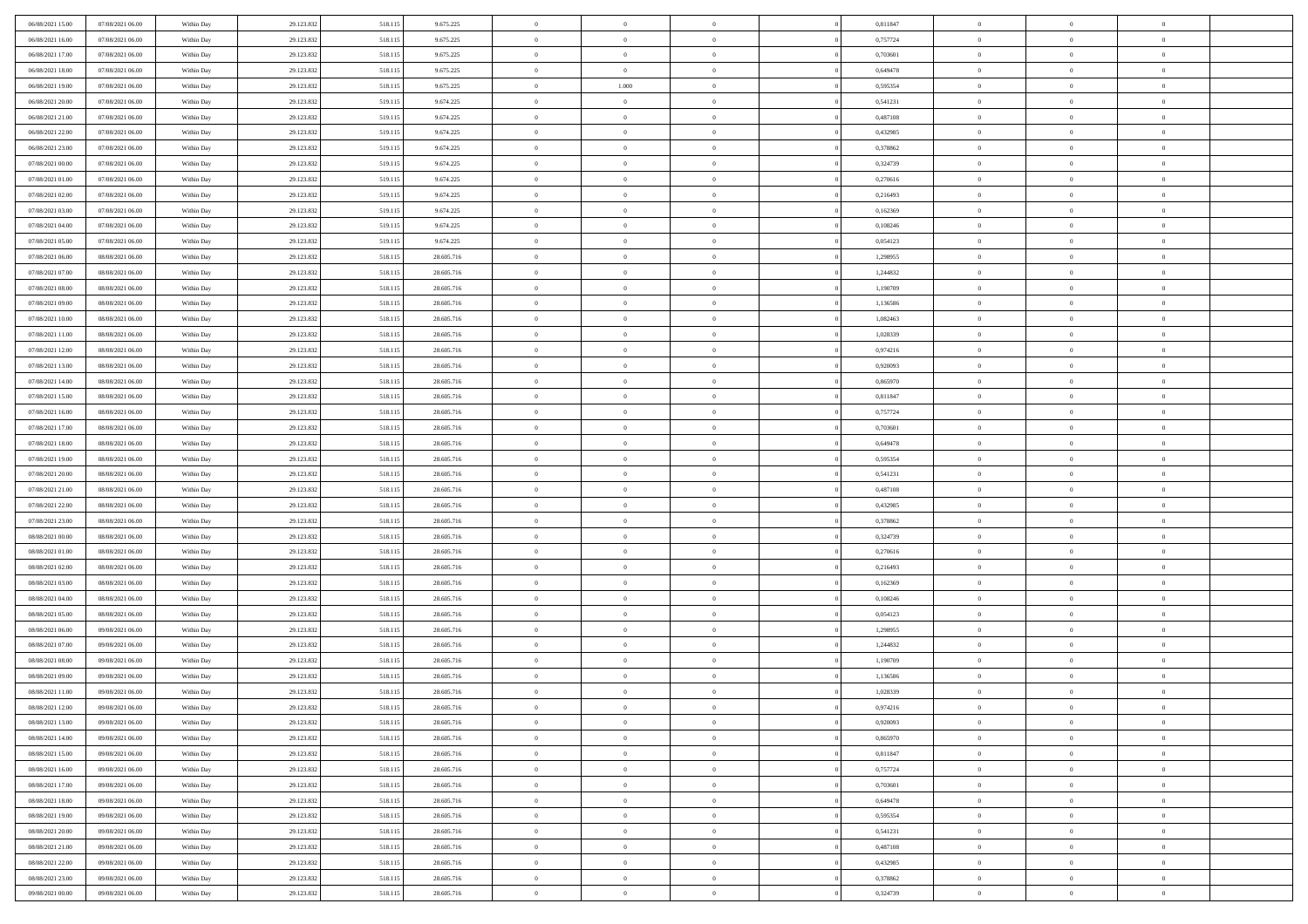| 06/08/2021 15:00                     | 07/08/2021 06:00                     | Within Day               | 29.123.832               | 518.115            | 9.675.225                | $\,$ 0 $\,$          | $\overline{0}$                   | $\overline{0}$                 |          | 0,811847             | $\bf{0}$                    | $\overline{0}$             | $\,0\,$                          |  |
|--------------------------------------|--------------------------------------|--------------------------|--------------------------|--------------------|--------------------------|----------------------|----------------------------------|--------------------------------|----------|----------------------|-----------------------------|----------------------------|----------------------------------|--|
| 06/08/2021 16:00                     | 07/08/2021 06:00                     | Within Day               | 29.123.832               | 518.115            | 9.675.225                | $\theta$             | $\overline{0}$                   | $\mathbf{0}$                   |          | 0,757724             | $\theta$                    | $\overline{0}$             | $\theta$                         |  |
| 06/08/2021 17:00                     | 07/08/2021 06:00                     | Within Day               | 29.123.832               | 518.115            | 9.675.225                | $\theta$             | $\overline{0}$                   | $\overline{0}$                 |          | 0,703601             | $\mathbf{0}$                | $\overline{0}$             | $\overline{0}$                   |  |
| 06/08/2021 18:00                     | 07/08/2021 06:00                     | Within Day               | 29.123.832               | 518.115            | 9.675.225                | $\,$ 0 $\,$          | $\overline{0}$                   | $\overline{0}$                 |          | 0,649478             | $\bf{0}$                    | $\overline{0}$             | $\bf{0}$                         |  |
| 06/08/2021 19:00                     | 07/08/2021 06:00                     | Within Day               | 29.123.832               | 518.115            | 9.675.225                | $\bf{0}$             | 1.000                            | $\mathbf{0}$                   |          | 0,595354             | $\bf{0}$                    | $\theta$                   | $\,0\,$                          |  |
| 06/08/2021 20:00                     | 07/08/2021 06:00                     | Within Day               | 29.123.832               | 519.115            | 9.674.225                | $\theta$             | $\overline{0}$                   | $\mathbf{0}$                   |          | 0,541231             | $\mathbf{0}$                | $\overline{0}$             | $\overline{0}$                   |  |
| 06/08/2021 21:00                     | 07/08/2021 06:00                     | Within Day               | 29.123.832               | 519.115            | 9.674.225                | $\,$ 0 $\,$          | $\overline{0}$                   | $\overline{0}$                 |          | 0,487108             | $\bf{0}$                    | $\overline{0}$             | $\bf{0}$                         |  |
| 06/08/2021 22:00                     | 07/08/2021 06:00                     | Within Day               | 29.123.832               | 519.115            | 9.674.225                | $\,$ 0               | $\overline{0}$                   | $\mathbf{0}$                   |          | 0,432985             | $\,$ 0 $\,$                 | $\overline{0}$             | $\theta$                         |  |
| 06/08/2021 23:00                     | 07/08/2021 06:00                     | Within Day               | 29.123.832               | 519.115            | 9.674.225                | $\theta$             | $\overline{0}$                   | $\mathbf{0}$                   |          | 0,378862             | $\mathbf{0}$                | $\overline{0}$             | $\overline{0}$                   |  |
| 07/08/2021 00:00                     | 07/08/2021 06:00                     | Within Day               | 29.123.832               | 519.115            | 9.674.225                | $\,$ 0 $\,$          | $\overline{0}$                   | $\Omega$                       |          | 0,324739             | $\bf{0}$                    | $\overline{0}$             | $\bf{0}$                         |  |
| 07/08/2021 01:00                     | 07/08/2021 06:00                     | Within Day               | 29.123.832               | 519.115            | 9.674.225                | $\bf{0}$             | $\overline{0}$                   | $\mathbf{0}$                   |          | 0,270616             | $\bf{0}$                    | $\mathbf{0}$               | $\theta$                         |  |
| 07/08/2021 02:00                     | 07/08/2021 06:00                     | Within Day               | 29.123.832               | 519.115            | 9.674.225                | $\theta$             | $\overline{0}$                   | $\overline{0}$                 |          | 0,216493             | $\mathbf{0}$                | $\overline{0}$             | $\overline{0}$                   |  |
| 07/08/2021 03:00                     | 07/08/2021 06:00                     | Within Day               | 29.123.832               | 519.115            | 9.674.225                | $\,$ 0 $\,$          | $\overline{0}$                   | $\overline{0}$                 |          | 0,162369             | $\bf{0}$                    | $\overline{0}$             | $\bf{0}$                         |  |
| 07/08/2021 04:00                     | 07/08/2021 06:00                     | Within Day               | 29.123.832               | 519.115            | 9.674.225                | $\bf{0}$             | $\overline{0}$                   | $\mathbf{0}$                   |          | 0,108246             | $\bf{0}$                    | $\theta$                   | $\,0\,$                          |  |
| 07/08/2021 05:00                     | 07/08/2021 06:00                     | Within Day               | 29.123.832               | 519.115            | 9.674.225                | $\theta$             | $\overline{0}$                   | $\mathbf{0}$                   |          | 0,054123             | $\mathbf{0}$                | $\overline{0}$             | $\overline{0}$                   |  |
| 07/08/2021 06:00                     | 08/08/2021 06:00                     | Within Day               | 29.123.832               | 518.115            | 28.605.716               | $\,$ 0 $\,$          | $\overline{0}$                   | $\Omega$                       |          | 1,298955             | $\bf{0}$                    | $\overline{0}$             | $\bf{0}$                         |  |
| 07/08/2021 07:00                     | 08/08/2021 06:00                     |                          |                          |                    |                          | $\,$ 0               | $\overline{0}$                   | $\mathbf{0}$                   |          | 1,244832             | $\bf{0}$                    | $\overline{0}$             | $\theta$                         |  |
| 07/08/2021 08:00                     | 08/08/2021 06:00                     | Within Day<br>Within Day | 29.123.832<br>29.123.832 | 518.115<br>518.115 | 28.605.716<br>28.605.716 | $\theta$             | $\overline{0}$                   | $\mathbf{0}$                   |          | 1,190709             | $\mathbf{0}$                | $\overline{0}$             | $\overline{0}$                   |  |
| 07/08/2021 09:00                     | 08/08/2021 06:00                     |                          |                          |                    | 28.605.716               | $\,$ 0 $\,$          | $\overline{0}$                   | $\Omega$                       |          | 1,136586             | $\bf{0}$                    | $\overline{0}$             | $\,0\,$                          |  |
|                                      |                                      | Within Day               | 29.123.832               | 518.115            |                          | $\bf{0}$             |                                  | $\mathbf{0}$                   |          |                      | $\bf{0}$                    | $\mathbf{0}$               | $\theta$                         |  |
| 07/08/2021 10:00<br>07/08/2021 11:00 | 08/08/2021 06:00<br>08/08/2021 06:00 | Within Day<br>Within Day | 29.123.832<br>29.123.832 | 518.115<br>518.115 | 28.605.716<br>28.605.716 | $\theta$             | $\overline{0}$<br>$\overline{0}$ |                                |          | 1,082463<br>1,028339 | $\mathbf{0}$                | $\overline{0}$             | $\overline{0}$                   |  |
|                                      |                                      |                          |                          |                    |                          | $\,$ 0 $\,$          |                                  | $\mathbf{0}$                   |          |                      | $\bf{0}$                    |                            | $\bf{0}$                         |  |
| 07/08/2021 12:00                     | 08/08/2021 06:00                     | Within Day               | 29.123.832               | 518.115            | 28.605.716               |                      | $\overline{0}$                   | $\overline{0}$                 |          | 0,974216             |                             | $\overline{0}$             |                                  |  |
| 07/08/2021 13:00                     | 08/08/2021 06:00<br>08/08/2021 06:00 | Within Day               | 29.123.832               | 518.115            | 28.605.716               | $\,$ 0               | $\overline{0}$                   | $\mathbf{0}$                   |          | 0,920093             | $\bf{0}$                    | $\overline{0}$             | $\,0\,$                          |  |
| 07/08/2021 14:00                     |                                      | Within Day               | 29.123.832               | 518.115            | 28.605.716               | $\theta$             | $\overline{0}$                   | $\mathbf{0}$                   |          | 0,865970             | $\mathbf{0}$                | $\overline{0}$             | $\overline{0}$                   |  |
| 07/08/2021 15:00                     | 08/08/2021 06:00                     | Within Day               | 29.123.832               | 518.115            | 28.605.716               | $\,$ 0 $\,$          | $\overline{0}$                   | $\overline{0}$                 |          | 0,811847             | $\bf{0}$                    | $\overline{0}$             | $\bf{0}$                         |  |
| 07/08/2021 16:00                     | 08/08/2021 06:00                     | Within Day               | 29.123.832               | 518.115            | 28.605.716               | $\,$ 0               | $\overline{0}$                   | $\mathbf{0}$                   |          | 0,757724             | $\mathbf{0}$                | $\overline{0}$             | $\theta$                         |  |
| 07/08/2021 17:00                     | 08/08/2021 06:00                     | Within Day               | 29.123.832               | 518.115            | 28.605.716               | $\theta$             | $\overline{0}$                   | $\mathbf{0}$                   |          | 0,703601             | $\mathbf{0}$                | $\overline{0}$             | $\overline{0}$                   |  |
| 07/08/2021 18:00                     | 08/08/2021 06:00                     | Within Day               | 29.123.832               | 518.115            | 28.605.716               | $\,$ 0 $\,$          | $\overline{0}$                   | $\Omega$                       |          | 0,649478             | $\bf{0}$                    | $\overline{0}$             | $\bf{0}$                         |  |
| 07/08/2021 19:00                     | 08/08/2021 06:00                     | Within Day               | 29.123.832               | 518.115            | 28.605.716               | $\bf{0}$             | $\overline{0}$                   | $\mathbf{0}$                   |          | 0,595354             | $\bf{0}$                    | $\mathbf{0}$               | $\overline{0}$                   |  |
| 07/08/2021 20:00                     | 08/08/2021 06:00                     | Within Day               | 29.123.832               | 518.115            | 28.605.716               | $\theta$             | $\overline{0}$                   | $\overline{0}$                 |          | 0,541231             | $\mathbf{0}$                | $\overline{0}$             | $\overline{0}$                   |  |
| 07/08/2021 21:00                     | 08/08/2021 06:00                     | Within Day               | 29.123.832               | 518.115            | 28.605.716               | $\,$ 0 $\,$          | $\overline{0}$                   | $\overline{0}$                 |          | 0,487108             | $\,$ 0                      | $\overline{0}$             | $\,$ 0 $\,$                      |  |
| 07/08/2021 22:00                     | 08/08/2021 06:00                     | Within Day               | 29.123.832               | 518.115            | 28.605.716               | $\bf{0}$             | $\overline{0}$                   | $\mathbf{0}$                   |          | 0,432985             | $\bf{0}$                    | $\mathbf{0}$               | $\overline{0}$                   |  |
| 07/08/2021 23:00                     | 08/08/2021 06:00                     | Within Day               | 29.123.832               | 518.115            | 28.605.716               | $\theta$             | $\overline{0}$                   | $\mathbf{0}$                   |          | 0,378862             | $\mathbf{0}$                | $\overline{0}$             | $\overline{0}$                   |  |
| 08/08/2021 00:00                     | 08/08/2021 06:00                     | Within Day               | 29.123.832               | 518.115            | 28.605.716               | $\theta$             | $\overline{0}$                   | $\overline{0}$                 |          | 0,324739             | $\,$ 0                      | $\overline{0}$             | $\theta$                         |  |
| 08/08/2021 01:00                     | 08/08/2021 06:00                     | Within Day               | 29.123.832               | 518.115            | 28.605.716               | $\bf{0}$             | $\overline{0}$                   | $\mathbf{0}$                   |          | 0,270616             | $\mathbf{0}$                | $\overline{0}$             | $\overline{0}$                   |  |
| 08/08/2021 02:00                     | 08/08/2021 06:00                     | Within Day               | 29.123.832               | 518.115            | 28.605.716               | $\theta$             | $\overline{0}$                   | $\mathbf{0}$                   |          | 0,216493             | $\mathbf{0}$                | $\overline{0}$             | $\overline{0}$                   |  |
| 08/08/2021 03:00                     | 08/08/2021 06:00                     | Within Day               | 29.123.832               | 518.115            | 28.605.716               | $\theta$             | $\overline{0}$                   | $\overline{0}$                 |          | 0,162369             | $\,$ 0                      | $\overline{0}$             | $\theta$                         |  |
| 08/08/2021 04:00<br>08/08/2021 05:00 | 08/08/2021 06:00<br>08/08/2021 06:00 | Within Day               | 29.123.832               | 518.115            | 28.605.716               | $\bf{0}$<br>$\theta$ | $\overline{0}$                   | $\mathbf{0}$                   |          | 0,108246             | $\bf{0}$<br>$\mathbf{0}$    | $\mathbf{0}$               | $\overline{0}$<br>$\overline{0}$ |  |
|                                      |                                      | Within Day               | 29.123.832               | 518.115            | 28.605.716               |                      | $\overline{0}$                   | $\overline{0}$                 |          | 0,054123             |                             | $\overline{0}$             |                                  |  |
| 08/08/2021 06:00                     | 09/08/2021 06:00                     | Within Day               | 29.123.832               | 518.115            | 28.605.716               | $\,$ 0 $\,$          | $\overline{0}$                   | $\overline{0}$                 |          | 1,298955             | $\,$ 0                      | $\overline{0}$<br>$\bf{0}$ | $\,$ 0 $\,$                      |  |
| 08/08/2021 07:00<br>08/08/2021 08:00 | 09/08/2021 06:00<br>09/08/2021 06:00 | Within Day<br>Within Day | 29.123.832<br>29.123.832 | 518.115<br>518.115 | 28.605.716<br>28.605.716 | $\,$ 0<br>$\theta$   | $\,$ 0 $\,$<br>$\overline{0}$    | $\overline{0}$<br>$\mathbf{0}$ |          | 1,244832<br>1,190709 | $\,$ 0 $\,$<br>$\mathbf{0}$ | $\overline{0}$             | $\overline{0}$<br>$\overline{0}$ |  |
| 08/08/2021 09:00                     |                                      |                          | 29.123.832               | 518.115            |                          | $\theta$             | $\overline{0}$                   | $\overline{0}$                 |          | 1,136586             | $\,$ 0                      | $\overline{0}$             | $\theta$                         |  |
| 08/08/2021 11:00                     | 09/08/2021 06:00<br>09/08/2021 06:00 | Within Day<br>Within Day | 29.123.832               | 518.115            | 28.605.716<br>28.605.716 | $\bf{0}$             | $\,$ 0 $\,$                      | $\mathbf{0}$                   |          | 1,028339             | $\,$ 0 $\,$                 | $\overline{0}$             | $\bf{0}$                         |  |
| 08/08/2021 12:00                     | 09/08/2021 06:00                     | Within Day               | 29.123.832               | 518.115            | 28.605.716               | $\overline{0}$       | $\theta$                         |                                |          | 0,974216             | $\overline{0}$              | $\theta$                   | $\theta$                         |  |
| 08/08/2021 13:00                     | 09/08/2021 06:00                     |                          | 29.123.832               | 518.115            | 28.605.716               | $\,$ 0 $\,$          | $\overline{0}$                   | $\overline{0}$                 |          | 0,920093             | $\,$ 0 $\,$                 | $\bf{0}$                   | $\theta$                         |  |
| 08/08/2021 14:00                     |                                      | Within Day               | 29.123.832               | 518.115            |                          | $\overline{0}$       |                                  | $\overline{0}$                 |          |                      |                             | $\overline{0}$             |                                  |  |
|                                      | 09/08/2021 06:00<br>09/08/2021 06:00 | Within Day               |                          |                    | 28.605.716               |                      | $\,$ 0 $\,$                      |                                |          | 0,865970             | $\,$ 0 $\,$                 |                            | $\overline{0}$                   |  |
| 08/08/2021 15:00                     |                                      | Within Day               | 29.123.832               | 518.115            | 28.605.716               | $\mathbf{0}$         | $\overline{0}$                   | $\overline{0}$                 |          | 0,811847             | $\,$ 0 $\,$                 | $\bf{0}$                   | $\mathbf{0}$                     |  |
| 08/08/2021 16:00                     | 09/08/2021 06:00                     | Within Day               | 29.123.832               | 518.115            | 28.605.716               | $\,$ 0 $\,$          | $\overline{0}$                   | $\overline{0}$                 | $\theta$ | 0,757724             | $\,$ 0 $\,$                 | $\bf{0}$                   | $\,$ 0 $\,$                      |  |
| 08/08/2021 17:00                     | 09/08/2021 06:00                     | Within Day               | 29.123.832               | 518.115            | 28.605.716               | $\,$ 0 $\,$          | $\,$ 0 $\,$                      | $\overline{0}$                 |          | 0,703601             | $\,$ 0 $\,$                 | $\overline{0}$             | $\overline{0}$                   |  |
| 08/08/2021 18:00                     | 09/08/2021 06:00                     | Within Day               | 29.123.832               | 518.115            | 28.605.716               | $\mathbf{0}$         | $\overline{0}$                   | $\overline{0}$                 |          | 0,649478             | $\mathbf{0}$                | $\overline{0}$             | $\overline{0}$                   |  |
| 08/08/2021 19:00                     | 09/08/2021 06:00                     | Within Day               | 29.123.832               | 518.115            | 28.605.716               | $\,$ 0 $\,$          | $\overline{0}$                   | $\overline{0}$                 |          | 0,595354             | $\,$ 0 $\,$                 | $\overline{0}$             | $\,$ 0 $\,$                      |  |
| 08/08/2021 20:00                     | 09/08/2021 06:00                     | Within Day               | 29.123.832               | 518.115            | 28.605.716               | $\bf{0}$             | $\overline{0}$                   | $\overline{0}$                 |          | 0,541231             | $\,$ 0 $\,$                 | $\overline{0}$             | $\overline{0}$                   |  |
| 08/08/2021 21:00                     | 09/08/2021 06:00                     | Within Day               | 29.123.832               | 518.115            | 28.605.716               | $\overline{0}$       | $\overline{0}$                   | $\overline{0}$                 |          | 0,487108             | $\mathbf{0}$                | $\bf{0}$                   | $\overline{0}$                   |  |
| 08/08/2021 22:00                     | 09/08/2021 06:00                     | Within Day               | 29.123.832               | 518.115            | 28.605.716               | $\,$ 0 $\,$          | $\overline{0}$                   | $\overline{0}$                 |          | 0,432985             | $\,$ 0 $\,$                 | $\overline{0}$             | $\,$ 0 $\,$                      |  |
| 08/08/2021 23:00                     | 09/08/2021 06:00                     | Within Day               | 29.123.832               | 518.115            | 28.605.716               | $\,$ 0 $\,$          | $\,$ 0 $\,$                      | $\overline{0}$                 |          | 0,378862             | $\bf{0}$                    | $\overline{0}$             | $\overline{0}$                   |  |
| 09/08/2021 00:00                     | 09/08/2021 06:00                     | Within Day               | 29.123.832               | 518.115            | 28.605.716               | $\overline{0}$       | $\overline{0}$                   | $\overline{0}$                 |          | 0,324739             | $\mathbf{0}$                | $\overline{0}$             | $\overline{0}$                   |  |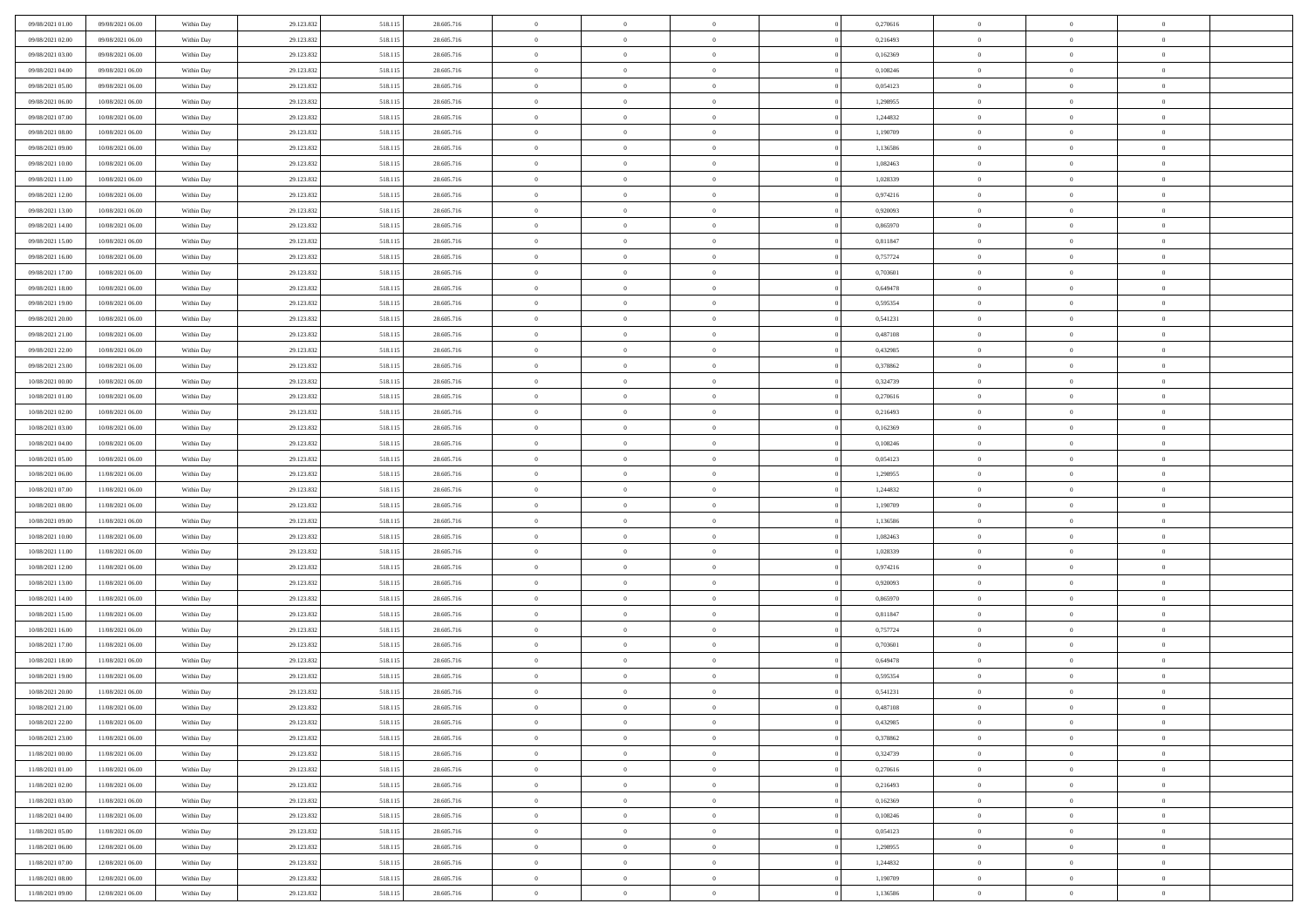| 09/08/2021 01:00 | 09/08/2021 06:00 | Within Day | 29.123.832 | 518.115 | 28.605.716 | $\,$ 0                   | $\overline{0}$ | $\theta$       |          | 0,270616 | $\bf{0}$                 | $\overline{0}$ | $\,0\,$        |  |
|------------------|------------------|------------|------------|---------|------------|--------------------------|----------------|----------------|----------|----------|--------------------------|----------------|----------------|--|
| 09/08/2021 02:00 | 09/08/2021 06:00 | Within Day | 29.123.832 | 518.115 | 28.605.716 | $\overline{0}$           | $\overline{0}$ | $\overline{0}$ |          | 0,216493 | $\overline{0}$           | $\overline{0}$ | $\theta$       |  |
| 09/08/2021 03:00 | 09/08/2021 06:00 | Within Dav | 29.123.832 | 518.115 | 28.605.716 | $\mathbf{0}$             | $\overline{0}$ | $\overline{0}$ |          | 0,162369 | $\mathbf{0}$             | $\overline{0}$ | $\overline{0}$ |  |
| 09/08/2021 04:00 | 09/08/2021 06:00 | Within Day | 29.123.832 | 518.115 | 28.605.716 | $\bf{0}$                 | $\overline{0}$ | $\bf{0}$       |          | 0,108246 | $\bf{0}$                 | $\overline{0}$ | $\bf{0}$       |  |
| 09/08/2021 05:00 | 09/08/2021 06:00 | Within Day | 29.123.832 | 518.115 | 28.605.716 | $\bf{0}$                 | $\overline{0}$ | $\overline{0}$ |          | 0,054123 | $\bf{0}$                 | $\bf{0}$       | $\,0\,$        |  |
| 09/08/2021 06:00 | 10/08/2021 06:00 | Within Dav | 29.123.832 | 518.115 | 28.605.716 | $\mathbf{0}$             | $\overline{0}$ | $\overline{0}$ |          | 1,298955 | $\mathbf{0}$             | $\overline{0}$ | $\overline{0}$ |  |
| 09/08/2021 07:00 | 10/08/2021 06:00 | Within Day | 29.123.832 | 518.115 | 28.605.716 | $\bf{0}$                 | $\bf{0}$       | $\overline{0}$ |          | 1,244832 | $\bf{0}$                 | $\overline{0}$ | $\,0\,$        |  |
| 09/08/2021 08:00 | 10/08/2021 06:00 | Within Day | 29.123.832 | 518.115 | 28.605.716 | $\overline{0}$           | $\overline{0}$ | $\overline{0}$ |          | 1,190709 | $\,$ 0 $\,$              | $\overline{0}$ | $\theta$       |  |
| 09/08/2021 09:00 | 10/08/2021 06:00 | Within Day | 29.123.832 | 518.115 | 28.605.716 | $\mathbf{0}$             | $\overline{0}$ | $\overline{0}$ |          | 1,136586 | $\mathbf{0}$             | $\overline{0}$ | $\overline{0}$ |  |
| 09/08/2021 10:00 | 10/08/2021 06:00 |            |            |         | 28.605.716 | $\bf{0}$                 | $\bf{0}$       | $\overline{0}$ |          | 1,082463 | $\bf{0}$                 | $\overline{0}$ | $\,0\,$        |  |
|                  |                  | Within Day | 29.123.832 | 518.115 |            |                          | $\overline{0}$ |                |          |          |                          | $\overline{0}$ | $\theta$       |  |
| 09/08/2021 11:00 | 10/08/2021 06:00 | Within Day | 29.123.832 | 518.115 | 28.605.716 | $\bf{0}$<br>$\mathbf{0}$ |                | $\overline{0}$ |          | 1,028339 | $\bf{0}$<br>$\mathbf{0}$ |                | $\overline{0}$ |  |
| 09/08/2021 12:00 | 10/08/2021 06:00 | Within Dav | 29.123.832 | 518.115 | 28.605.716 |                          | $\overline{0}$ | $\overline{0}$ |          | 0,974216 |                          | $\overline{0}$ |                |  |
| 09/08/2021 13:00 | 10/08/2021 06:00 | Within Day | 29.123.832 | 518.115 | 28.605.716 | $\bf{0}$                 | $\overline{0}$ | $\bf{0}$       |          | 0,920093 | $\bf{0}$                 | $\overline{0}$ | $\bf{0}$       |  |
| 09/08/2021 14:00 | 10/08/2021 06:00 | Within Day | 29.123.832 | 518.115 | 28.605.716 | $\bf{0}$                 | $\overline{0}$ | $\overline{0}$ |          | 0,865970 | $\bf{0}$                 | $\mathbf{0}$   | $\,0\,$        |  |
| 09/08/2021 15:00 | 10/08/2021 06:00 | Within Dav | 29.123.832 | 518.115 | 28.605.716 | $\overline{0}$           | $\overline{0}$ | $\overline{0}$ |          | 0,811847 | $\mathbf{0}$             | $\overline{0}$ | $\overline{0}$ |  |
| 09/08/2021 16:00 | 10/08/2021 06:00 | Within Day | 29.123.832 | 518.115 | 28.605.716 | $\bf{0}$                 | $\bf{0}$       | $\overline{0}$ |          | 0,757724 | $\bf{0}$                 | $\overline{0}$ | $\bf{0}$       |  |
| 09/08/2021 17:00 | 10/08/2021 06:00 | Within Day | 29.123.832 | 518.115 | 28.605.716 | $\overline{0}$           | $\overline{0}$ | $\overline{0}$ |          | 0.703601 | $\hspace{0.1cm}0$        | $\overline{0}$ | $\theta$       |  |
| 09/08/2021 18:00 | 10/08/2021 06:00 | Within Day | 29.123.832 | 518.115 | 28.605.716 | $\mathbf{0}$             | $\overline{0}$ | $\overline{0}$ |          | 0,649478 | $\mathbf{0}$             | $\overline{0}$ | $\overline{0}$ |  |
| 09/08/2021 19:00 | 10/08/2021 06:00 | Within Day | 29.123.832 | 518.115 | 28.605.716 | $\bf{0}$                 | $\bf{0}$       | $\overline{0}$ |          | 0,595354 | $\bf{0}$                 | $\overline{0}$ | $\,0\,$        |  |
| 09/08/2021 20:00 | 10/08/2021 06:00 | Within Day | 29.123.832 | 518.115 | 28.605.716 | $\bf{0}$                 | $\overline{0}$ | $\overline{0}$ |          | 0,541231 | $\bf{0}$                 | $\overline{0}$ | $\overline{0}$ |  |
| 09/08/2021 21:00 | 10/08/2021 06:00 | Within Dav | 29.123.832 | 518.115 | 28.605.716 | $\mathbf{0}$             | $\overline{0}$ | $\overline{0}$ |          | 0,487108 | $\mathbf{0}$             | $\overline{0}$ | $\overline{0}$ |  |
| 09/08/2021 22:00 | 10/08/2021 06:00 | Within Day | 29.123.832 | 518.115 | 28.605.716 | $\bf{0}$                 | $\overline{0}$ | $\bf{0}$       |          | 0,432985 | $\bf{0}$                 | $\overline{0}$ | $\bf{0}$       |  |
| 09/08/2021 23:00 | 10/08/2021 06:00 | Within Day | 29.123.832 | 518.115 | 28.605.716 | $\bf{0}$                 | $\bf{0}$       | $\overline{0}$ |          | 0,378862 | $\bf{0}$                 | $\bf{0}$       | $\,0\,$        |  |
| 10/08/2021 00:00 | 10/08/2021 06:00 | Within Dav | 29.123.832 | 518.115 | 28.605.716 | $\mathbf{0}$             | $\overline{0}$ | $\overline{0}$ |          | 0,324739 | $\mathbf{0}$             | $\overline{0}$ | $\overline{0}$ |  |
| 10/08/2021 01:00 | 10/08/2021 06:00 | Within Day | 29.123.832 | 518.115 | 28.605.716 | $\bf{0}$                 | $\bf{0}$       | $\overline{0}$ |          | 0,270616 | $\bf{0}$                 | $\overline{0}$ | $\,0\,$        |  |
| 10/08/2021 02:00 | 10/08/2021 06:00 | Within Day | 29.123.832 | 518.115 | 28.605.716 | $\overline{0}$           | $\overline{0}$ | $\overline{0}$ |          | 0,216493 | $\bf{0}$                 | $\mathbf{0}$   | $\overline{0}$ |  |
| 10/08/2021 03:00 | 10/08/2021 06:00 | Within Day | 29.123.832 | 518.115 | 28.605.716 | $\mathbf{0}$             | $\overline{0}$ | $\overline{0}$ |          | 0,162369 | $\mathbf{0}$             | $\overline{0}$ | $\overline{0}$ |  |
| 10/08/2021 04:00 | 10/08/2021 06:00 | Within Day | 29.123.832 | 518.115 | 28.605.716 | $\bf{0}$                 | $\bf{0}$       | $\overline{0}$ |          | 0,108246 | $\bf{0}$                 | $\overline{0}$ | $\,0\,$        |  |
| 10/08/2021 05:00 | 10/08/2021 06:00 | Within Day | 29.123.832 | 518.115 | 28.605.716 | $\bf{0}$                 | $\overline{0}$ | $\overline{0}$ |          | 0,054123 | $\bf{0}$                 | $\bf{0}$       | $\overline{0}$ |  |
| 10/08/2021 06:00 | 11/08/2021 06:00 | Within Dav | 29.123.832 | 518.115 | 28.605.716 | $\mathbf{0}$             | $\overline{0}$ | $\overline{0}$ |          | 1,298955 | $\mathbf{0}$             | $\overline{0}$ | $\overline{0}$ |  |
| 10/08/2021 07:00 | 11/08/2021 06:00 | Within Day | 29.123.832 | 518.115 | 28.605.716 | $\bf{0}$                 | $\overline{0}$ | $\theta$       |          | 1,244832 | $\,$ 0                   | $\overline{0}$ | $\theta$       |  |
| 10/08/2021 08:00 | 11/08/2021 06:00 | Within Day | 29.123.832 | 518.115 | 28.605.716 | $\bf{0}$                 | $\bf{0}$       | $\overline{0}$ |          | 1,190709 | $\bf{0}$                 | $\overline{0}$ | $\overline{0}$ |  |
| 10/08/2021 09:00 | 11/08/2021 06:00 | Within Dav | 29.123.832 | 518.115 | 28.605.716 | $\mathbf{0}$             | $\overline{0}$ | $\overline{0}$ |          | 1,136586 | $\mathbf{0}$             | $\overline{0}$ | $\overline{0}$ |  |
| 10/08/2021 10:00 | 11/08/2021 06:00 | Within Day | 29.123.832 | 518.115 | 28.605.716 | $\bf{0}$                 | $\overline{0}$ | $\theta$       |          | 1,082463 | $\,$ 0                   | $\overline{0}$ | $\theta$       |  |
| 10/08/2021 11:00 | 11/08/2021 06:00 | Within Day | 29.123.832 | 518.115 | 28.605.716 | $\bf{0}$                 | $\overline{0}$ | $\overline{0}$ |          | 1,028339 | $\bf{0}$                 | $\overline{0}$ | $\overline{0}$ |  |
| 10/08/2021 12:00 | 11/08/2021 06:00 | Within Day | 29.123.832 | 518.115 | 28.605.716 | $\mathbf{0}$             | $\overline{0}$ | $\overline{0}$ |          | 0,974216 | $\mathbf{0}$             | $\overline{0}$ | $\overline{0}$ |  |
| 10/08/2021 13:00 | 11/08/2021 06:00 | Within Day | 29.123.832 | 518.115 | 28.605.716 | $\bf{0}$                 | $\overline{0}$ | $\theta$       |          | 0,920093 | $\,$ 0                   | $\overline{0}$ | $\theta$       |  |
| 10/08/2021 14:00 | 11/08/2021 06:00 | Within Day | 29.123.832 | 518.115 | 28.605.716 | $\bf{0}$                 | $\overline{0}$ | $\overline{0}$ |          | 0,865970 | $\bf{0}$                 | $\overline{0}$ | $\overline{0}$ |  |
| 10/08/2021 15:00 | 11/08/2021 06:00 | Within Dav | 29.123.832 | 518.115 | 28.605.716 | $\mathbf{0}$             | $\overline{0}$ | $\overline{0}$ |          | 0,811847 | $\mathbf{0}$             | $\overline{0}$ | $\overline{0}$ |  |
| 10/08/2021 16:00 | 11/08/2021 06:00 | Within Day | 29.123.832 | 518.115 | 28.605.716 | $\bf{0}$                 | $\overline{0}$ | $\theta$       |          | 0,757724 | $\,$ 0                   | $\overline{0}$ | $\theta$       |  |
| 10/08/2021 17:00 | 11/08/2021 06:00 | Within Day | 29.123.832 | 518.115 | 28.605.716 | $\bf{0}$                 | $\overline{0}$ | $\overline{0}$ |          | 0,703601 | $\bf{0}$                 | $\overline{0}$ | $\overline{0}$ |  |
| 10/08/2021 18:00 | 11/08/2021 06:00 | Within Dav | 29.123.832 | 518.115 | 28.605.716 | $\mathbf{0}$             | $\overline{0}$ | $\overline{0}$ |          | 0,649478 | $\mathbf{0}$             | $\overline{0}$ | $\overline{0}$ |  |
| 10/08/2021 19:00 | 11/08/2021 06:00 | Within Day | 29.123.832 | 518.115 | 28.605.716 | $\bf{0}$                 | $\overline{0}$ | $\theta$       |          | 0,595354 | $\,$ 0                   | $\overline{0}$ | $\theta$       |  |
| 10/08/2021 20:00 | 11/08/2021 06:00 | Within Day | 29.123.832 | 518.115 | 28.605.716 | $\bf{0}$                 | $\overline{0}$ | $\overline{0}$ |          | 0,541231 | $\,$ 0 $\,$              | $\overline{0}$ | $\overline{0}$ |  |
| 10/08/2021 21:00 | 11/08/2021 06:00 | Within Day | 29.123.832 | 518.115 | 28.605.716 | $\bf{0}$                 | $\overline{0}$ |                |          | 0,487108 | $\overline{0}$           | $\theta$       | $\theta$       |  |
| 10/08/2021 22:00 | 11/08/2021 06:00 | Within Day | 29.123.832 | 518.115 | 28.605.716 | $\,0\,$                  | $\overline{0}$ | $\theta$       |          | 0,432985 | $\,$ 0 $\,$              | $\bf{0}$       | $\theta$       |  |
| 10/08/2021 23:00 | 11/08/2021 06:00 | Within Day | 29.123.832 | 518.115 | 28.605.716 | $\overline{0}$           | $\overline{0}$ | $\overline{0}$ |          | 0,378862 | $\overline{0}$           | $\overline{0}$ | $\overline{0}$ |  |
| 11/08/2021 00:00 | 11/08/2021 06:00 | Within Day | 29.123.832 | 518.115 | 28.605.716 | $\bf{0}$                 | $\overline{0}$ | $\overline{0}$ |          | 0,324739 | $\overline{0}$           | $\bf{0}$       | $\mathbf{0}$   |  |
| 11/08/2021 01:00 | 11/08/2021 06:00 | Within Day | 29.123.832 | 518.115 | 28.605.716 | $\bf{0}$                 | $\overline{0}$ | $\overline{0}$ | $\theta$ | 0,270616 | $\,$ 0 $\,$              | $\bf{0}$       | $\,$ 0 $\,$    |  |
| 11/08/2021 02:00 | 11/08/2021 06:00 | Within Day | 29.123.832 | 518.115 | 28.605.716 | $\,$ 0 $\,$              | $\overline{0}$ | $\overline{0}$ |          | 0,216493 | $\,$ 0 $\,$              | $\overline{0}$ | $\overline{0}$ |  |
| 11/08/2021 03:00 | 11/08/2021 06:00 | Within Day | 29.123.832 | 518.115 | 28.605.716 | $\bf{0}$                 | $\overline{0}$ | $\overline{0}$ |          | 0,162369 | $\mathbf{0}$             | $\overline{0}$ | $\overline{0}$ |  |
| 11/08/2021 04:00 | 11/08/2021 06:00 | Within Day | 29.123.832 | 518.115 | 28.605.716 | $\,0\,$                  | $\overline{0}$ | $\overline{0}$ | $\theta$ | 0,108246 | $\,$ 0 $\,$              | $\overline{0}$ | $\,$ 0 $\,$    |  |
| 11/08/2021 05:00 | 11/08/2021 06:00 |            | 29.123.832 |         | 28.605.716 | $\bf{0}$                 | $\overline{0}$ | $\overline{0}$ |          | 0,054123 | $\overline{0}$           | $\overline{0}$ | $\overline{0}$ |  |
| 11/08/2021 06:00 | 12/08/2021 06:00 | Within Day | 29.123.832 | 518.115 | 28.605.716 | $\bf{0}$                 | $\overline{0}$ | $\overline{0}$ |          | 1,298955 | $\mathbf{0}$             | $\bf{0}$       | $\overline{0}$ |  |
|                  |                  | Within Day |            | 518.115 |            |                          |                |                |          |          |                          |                |                |  |
| 11/08/2021 07:00 | 12/08/2021 06:00 | Within Day | 29.123.832 | 518.115 | 28.605.716 | $\,0\,$                  | $\overline{0}$ | $\overline{0}$ |          | 1,244832 | $\,$ 0 $\,$              | $\mathbf{0}$   | $\,$ 0 $\,$    |  |
| 11/08/2021 08:00 | 12/08/2021 06:00 | Within Day | 29.123.832 | 518.115 | 28.605.716 | $\bf{0}$                 | $\overline{0}$ | $\overline{0}$ |          | 1,190709 | $\bf{0}$                 | $\mathbf{0}$   | $\overline{0}$ |  |
| 11/08/2021 09:00 | 12/08/2021 06:00 | Within Day | 29.123.832 | 518.115 | 28.605.716 | $\bf{0}$                 | $\overline{0}$ | $\overline{0}$ |          | 1,136586 | $\mathbf{0}$             | $\overline{0}$ | $\overline{0}$ |  |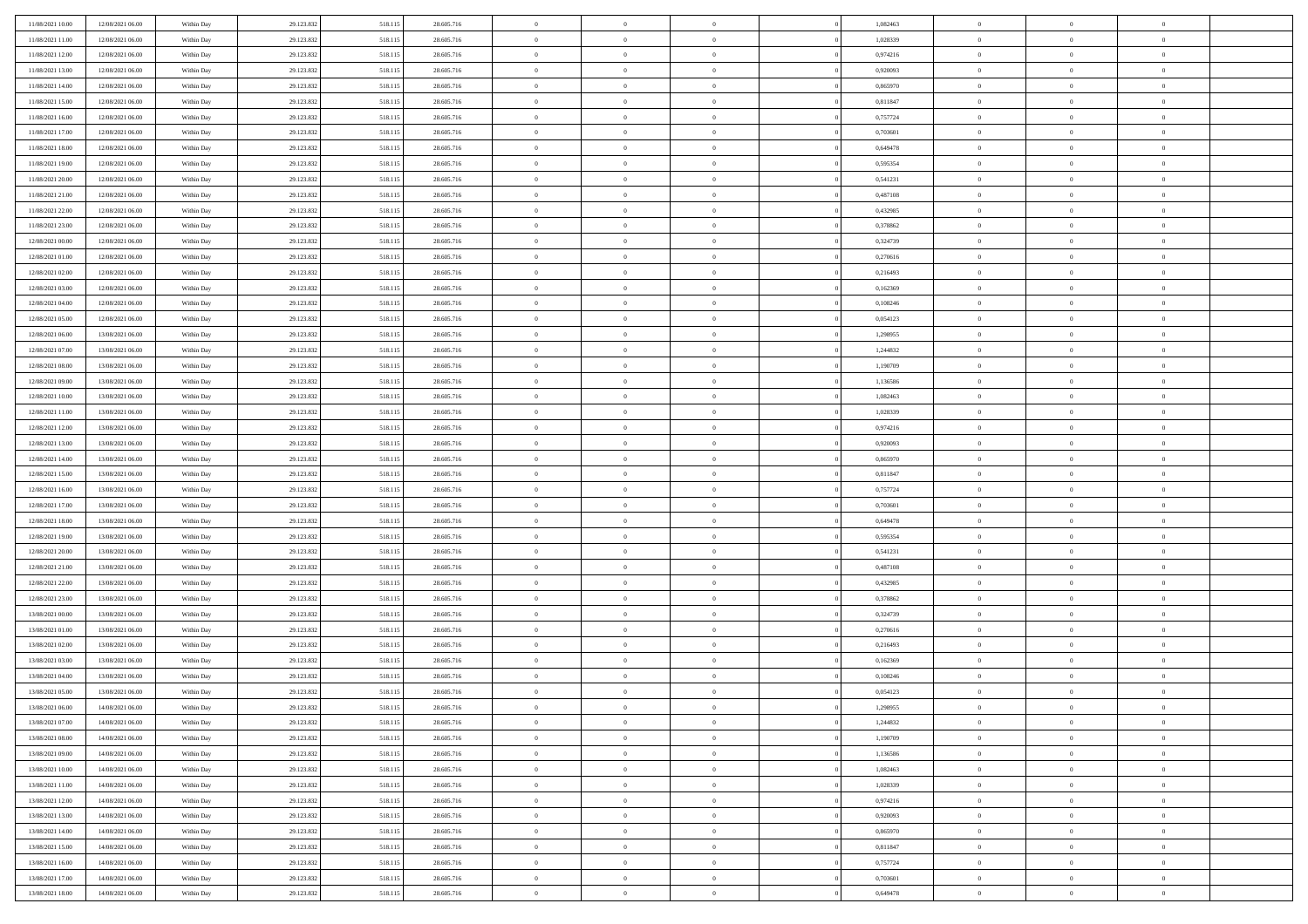| 11/08/2021 10:00                     | 12/08/2021 06:00                     | Within Day               | 29.123.832               | 518.115            | 28.605.716               | $\,$ 0 $\,$             | $\overline{0}$                | $\overline{0}$                   |          | 1,082463             | $\bf{0}$                 | $\overline{0}$                   | $\,0\,$                          |  |
|--------------------------------------|--------------------------------------|--------------------------|--------------------------|--------------------|--------------------------|-------------------------|-------------------------------|----------------------------------|----------|----------------------|--------------------------|----------------------------------|----------------------------------|--|
| 11/08/2021 11:00                     | 12/08/2021 06:00                     | Within Day               | 29.123.832               | 518.115            | 28.605.716               | $\overline{0}$          | $\overline{0}$                | $\mathbf{0}$                     |          | 1,028339             | $\theta$                 | $\overline{0}$                   | $\theta$                         |  |
| 11/08/2021 12:00                     | 12/08/2021 06:00                     | Within Day               | 29.123.832               | 518.115            | 28.605.716               | $\theta$                | $\overline{0}$                | $\overline{0}$                   |          | 0,974216             | $\mathbf{0}$             | $\overline{0}$                   | $\overline{0}$                   |  |
| 11/08/2021 13:00                     | 12/08/2021 06:00                     | Within Day               | 29.123.832               | 518.115            | 28.605.716               | $\,$ 0 $\,$             | $\overline{0}$                | $\overline{0}$                   |          | 0,920093             | $\mathbf{0}$             | $\overline{0}$                   | $\bf{0}$                         |  |
| 11/08/2021 14:00                     | 12/08/2021 06:00                     | Within Day               | 29.123.832               | 518.115            | 28.605.716               | $\,$ 0                  | $\overline{0}$                | $\mathbf{0}$                     |          | 0,865970             | $\bf{0}$                 | $\bf{0}$                         | $\,0\,$                          |  |
| 11/08/2021 15:00                     | 12/08/2021 06:00                     | Within Day               | 29.123.832               | 518.115            | 28.605.716               | $\theta$                | $\overline{0}$                | $\mathbf{0}$                     |          | 0,811847             | $\mathbf{0}$             | $\overline{0}$                   | $\overline{0}$                   |  |
| 11/08/2021 16:00                     | 12/08/2021 06:00                     | Within Day               | 29.123.832               | 518.115            | 28.605.716               | $\,$ 0 $\,$             | $\overline{0}$                | $\overline{0}$                   |          | 0,757724             | $\bf{0}$                 | $\overline{0}$                   | $\bf{0}$                         |  |
| 11/08/2021 17:00                     | 12/08/2021 06:00                     | Within Day               | 29.123.832               | 518.115            | 28.605.716               | $\,$ 0                  | $\overline{0}$                | $\mathbf{0}$                     |          | 0,703601             | $\,$ 0 $\,$              | $\overline{0}$                   | $\overline{0}$                   |  |
| 11/08/2021 18:00                     | 12/08/2021 06:00                     | Within Day               | 29.123.832               | 518.115            | 28.605.716               | $\theta$                | $\overline{0}$                | $\mathbf{0}$                     |          | 0,649478             | $\mathbf{0}$             | $\overline{0}$                   | $\overline{0}$                   |  |
| 11/08/2021 19:00                     | 12/08/2021 06:00                     | Within Day               | 29.123.832               | 518.115            | 28.605.716               | $\,$ 0 $\,$             | $\overline{0}$                | $\Omega$                         |          | 0,595354             | $\bf{0}$                 | $\overline{0}$                   | $\bf{0}$                         |  |
| 11/08/2021 20:00                     | 12/08/2021 06:00                     | Within Day               | 29.123.832               | 518.115            | 28.605.716               | $\bf{0}$                | $\overline{0}$                | $\mathbf{0}$                     |          | 0,541231             | $\bf{0}$                 | $\overline{0}$                   | $\theta$                         |  |
| 11/08/2021 21:00                     | 12/08/2021 06:00                     | Within Day               | 29.123.832               | 518.115            | 28.605.716               | $\theta$                | $\overline{0}$                | $\overline{0}$                   |          | 0,487108             | $\mathbf{0}$             | $\overline{0}$                   | $\overline{0}$                   |  |
| 11/08/2021 22:00                     | 12/08/2021 06:00                     | Within Day               | 29.123.832               | 518.115            | 28.605.716               | $\,$ 0 $\,$             | $\overline{0}$                | $\overline{0}$                   |          | 0,432985             | $\bf{0}$                 | $\overline{0}$                   | $\bf{0}$                         |  |
| 11/08/2021 23:00                     | 12/08/2021 06:00                     | Within Day               | 29.123.832               | 518.115            | 28.605.716               | $\,$ 0                  | $\overline{0}$                | $\mathbf{0}$                     |          | 0,378862             | $\bf{0}$                 | $\mathbf{0}$                     | $\,0\,$                          |  |
| 12/08/2021 00:00                     | 12/08/2021 06:00                     | Within Day               | 29.123.832               | 518.115            | 28.605.716               | $\theta$                | $\overline{0}$                | $\overline{0}$                   |          | 0,324739             | $\mathbf{0}$             | $\overline{0}$                   | $\overline{0}$                   |  |
| 12/08/2021 01:00                     | 12/08/2021 06:00                     | Within Day               | 29.123.832               | 518.115            | 28.605.716               | $\,$ 0 $\,$             | $\overline{0}$                | $\Omega$                         |          | 0,270616             | $\bf{0}$                 | $\overline{0}$                   | $\bf{0}$                         |  |
| 12/08/2021 02:00                     | 12/08/2021 06:00                     | Within Day               | 29.123.832               | 518.115            | 28.605.716               | $\,$ 0 $\,$             | $\overline{0}$                | $\mathbf{0}$                     |          | 0,216493             | $\mathbf{0}$             | $\overline{0}$                   | $\theta$                         |  |
| 12/08/2021 03:00                     | 12/08/2021 06:00                     | Within Day               | 29.123.832               | 518.115            | 28.605.716               | $\theta$                | $\overline{0}$                | $\mathbf{0}$                     |          | 0,162369             | $\mathbf{0}$             | $\overline{0}$                   | $\overline{0}$                   |  |
| 12/08/2021 04:00                     | 12/08/2021 06:00                     | Within Day               | 29.123.832               | 518.115            | 28.605.716               | $\,$ 0 $\,$             | $\overline{0}$                | $\Omega$                         |          | 0,108246             | $\bf{0}$                 | $\overline{0}$                   | $\bf{0}$                         |  |
| 12/08/2021 05:00                     | 12/08/2021 06:00                     | Within Day               | 29.123.832               | 518.115            | 28.605.716               | $\bf{0}$                | $\overline{0}$                | $\mathbf{0}$                     |          | 0,054123             | $\bf{0}$                 | $\overline{0}$                   | $\bf{0}$                         |  |
| 12/08/2021 06:00                     | 13/08/2021 06:00                     | Within Day               | 29.123.832               | 518.115            | 28.605.716               | $\theta$                | $\overline{0}$                | $\overline{0}$                   |          | 1,298955             | $\mathbf{0}$             | $\overline{0}$                   | $\overline{0}$                   |  |
| 12/08/2021 07:00                     | 13/08/2021 06:00                     | Within Day               | 29.123.832               | 518.115            | 28.605.716               | $\,$ 0 $\,$             | $\overline{0}$                | $\overline{0}$                   |          | 1,244832             | $\bf{0}$                 | $\overline{0}$                   | $\bf{0}$                         |  |
| 12/08/2021 08:00                     | 13/08/2021 06:00                     | Within Day               | 29.123.832               | 518.115            | 28.605.716               | $\,$ 0                  | $\overline{0}$                | $\mathbf{0}$                     |          | 1,190709             | $\bf{0}$                 | $\overline{0}$                   | $\bf{0}$                         |  |
| 12/08/2021 09:00                     | 13/08/2021 06:00                     | Within Day               | 29.123.832               | 518.115            | 28.605.716               | $\theta$                | $\overline{0}$                | $\mathbf{0}$                     |          | 1,136586             | $\mathbf{0}$             | $\overline{0}$                   | $\overline{0}$                   |  |
| 12/08/2021 10:00                     | 13/08/2021 06:00                     | Within Day               | 29.123.832               | 518.115            | 28.605.716               | $\,$ 0 $\,$             | $\overline{0}$                | $\overline{0}$                   |          | 1,082463             | $\bf{0}$                 | $\overline{0}$                   | $\bf{0}$                         |  |
| 12/08/2021 11:00                     | 13/08/2021 06:00                     | Within Day               | 29.123.832               | 518.115            | 28.605.716               | $\,$ 0 $\,$             | $\overline{0}$                | $\mathbf{0}$                     |          | 1,028339             | $\mathbf{0}$             | $\overline{0}$                   | $\theta$                         |  |
| 12/08/2021 12:00                     | 13/08/2021 06:00                     | Within Day               | 29.123.832               | 518.115            | 28.605.716               | $\theta$                | $\overline{0}$                | $\mathbf{0}$                     |          | 0,974216             | $\mathbf{0}$             | $\overline{0}$                   | $\overline{0}$                   |  |
| 12/08/2021 13:00                     | 13/08/2021 06:00                     | Within Day               | 29.123.832               | 518.115            | 28.605.716               | $\,$ 0 $\,$             | $\overline{0}$                | $\Omega$                         |          | 0,920093             | $\bf{0}$                 | $\overline{0}$                   | $\bf{0}$                         |  |
| 12/08/2021 14:00                     | 13/08/2021 06:00                     | Within Day               | 29.123.832               | 518.115            | 28.605.716               | $\bf{0}$                | $\overline{0}$                | $\mathbf{0}$                     |          | 0,865970             | $\bf{0}$                 | $\overline{0}$                   | $\overline{0}$                   |  |
| 12/08/2021 15:00                     | 13/08/2021 06:00                     | Within Day               | 29.123.832               | 518.115            | 28.605.716               | $\theta$                | $\overline{0}$                | $\overline{0}$                   |          | 0,811847             | $\mathbf{0}$             | $\overline{0}$                   | $\overline{0}$                   |  |
| 12/08/2021 16:00                     | 13/08/2021 06:00                     | Within Day               | 29.123.832               | 518.115            | 28.605.716               | $\,$ 0 $\,$             | $\overline{0}$                | $\overline{0}$                   |          | 0,757724             | $\,$ 0                   | $\overline{0}$                   | $\,$ 0 $\,$                      |  |
| 12/08/2021 17:00                     | 13/08/2021 06:00                     | Within Day               | 29.123.832               | 518.115            | 28.605.716               | $\,$ 0                  | $\overline{0}$                | $\overline{0}$                   |          | 0,703601             | $\bf{0}$                 | $\overline{0}$                   | $\overline{0}$                   |  |
| 12/08/2021 18:00                     | 13/08/2021 06:00                     | Within Day               | 29.123.832               | 518.115            | 28.605.716               | $\theta$                | $\overline{0}$                | $\overline{0}$                   |          | 0,649478             | $\mathbf{0}$             | $\overline{0}$                   | $\overline{0}$                   |  |
| 12/08/2021 19:00                     | 13/08/2021 06:00                     | Within Day               | 29.123.832               | 518.115            | 28.605.716               | $\theta$                | $\overline{0}$                | $\overline{0}$                   |          | 0,595354             | $\,$ 0                   | $\overline{0}$                   | $\theta$                         |  |
| 12/08/2021 20:00                     | 13/08/2021 06:00                     | Within Day               | 29.123.832               | 518.115            | 28.605.716               | $\bf{0}$                | $\overline{0}$                | $\mathbf{0}$                     |          | 0,541231             | $\mathbf{0}$             | $\overline{0}$                   | $\overline{0}$                   |  |
| 12/08/2021 21:00                     | 13/08/2021 06:00                     | Within Day               | 29.123.832               | 518.115            | 28.605.716               | $\theta$                | $\overline{0}$                | $\mathbf{0}$                     |          | 0,487108             | $\mathbf{0}$             | $\overline{0}$                   | $\overline{0}$                   |  |
| 12/08/2021 22:00                     | 13/08/2021 06:00                     | Within Day               | 29.123.832               | 518.115            | 28.605.716               | $\theta$                | $\overline{0}$                | $\overline{0}$                   |          | 0,432985             | $\,$ 0 $\,$              | $\overline{0}$                   | $\theta$                         |  |
| 12/08/2021 23:00                     | 13/08/2021 06:00                     | Within Day               | 29.123.832               | 518.115            | 28.605.716               | $\bf{0}$<br>$\theta$    | $\overline{0}$                | $\mathbf{0}$                     |          | 0,378862             | $\bf{0}$<br>$\mathbf{0}$ | $\overline{0}$                   | $\overline{0}$<br>$\overline{0}$ |  |
| 13/08/2021 00:00                     | 13/08/2021 06:00                     | Within Day               | 29.123.832               | 518.115            | 28.605.716               |                         | $\overline{0}$                | $\overline{0}$                   |          | 0,324739             |                          | $\overline{0}$                   |                                  |  |
| 13/08/2021 01:00<br>13/08/2021 02:00 | 13/08/2021 06:00<br>13/08/2021 06:00 | Within Day               | 29.123.832<br>29.123.832 | 518.115<br>518.115 | 28.605.716<br>28.605.716 | $\,$ 0 $\,$<br>$\bf{0}$ | $\overline{0}$<br>$\,$ 0 $\,$ | $\overline{0}$<br>$\overline{0}$ |          | 0,270616<br>0,216493 | $\,$ 0<br>$\,$ 0 $\,$    | $\overline{0}$<br>$\overline{0}$ | $\,$ 0 $\,$<br>$\overline{0}$    |  |
| 13/08/2021 03:00                     | 13/08/2021 06:00                     | Within Day<br>Within Day | 29.123.832               | 518.115            | 28.605.716               | $\theta$                | $\overline{0}$                | $\mathbf{0}$                     |          | 0,162369             | $\mathbf{0}$             | $\overline{0}$                   | $\theta$                         |  |
| 13/08/2021 04:00                     | 13/08/2021 06:00                     | Within Day               | 29.123.832               | 518.115            | 28.605.716               | $\theta$                | $\overline{0}$                | $\overline{0}$                   |          | 0,108246             | $\,$ 0                   | $\overline{0}$                   | $\theta$                         |  |
| 13/08/2021 05:00                     | 13/08/2021 06:00                     | Within Day               | 29.123.832               | 518.115            | 28.605.716               | $\bf{0}$                | $\,$ 0 $\,$                   | $\mathbf{0}$                     |          | 0,054123             | $\mathbf{0}$             | $\overline{0}$                   | $\overline{0}$                   |  |
| 13/08/2021 06:00                     | 14/08/2021 06:00                     | Within Day               | 29.123.832               | 518.115            | 28.605.716               | $\overline{0}$          | $\theta$                      |                                  |          | 1,298955             | $\overline{0}$           | $\theta$                         | $\theta$                         |  |
| 13/08/2021 07:00                     | 14/08/2021 06:00                     | Within Day               | 29.123.832               | 518.115            | 28.605.716               | $\,$ 0 $\,$             | $\overline{0}$                | $\overline{0}$                   |          | 1,244832             | $\,$ 0 $\,$              | $\bf{0}$                         | $\theta$                         |  |
| 13/08/2021 08:00                     | 14/08/2021 06:00                     | Within Day               | 29.123.832               | 518.115            | 28.605.716               | $\overline{0}$          | $\,$ 0 $\,$                   | $\overline{0}$                   |          | 1,190709             | $\,$ 0 $\,$              | $\overline{0}$                   | $\overline{0}$                   |  |
| 13/08/2021 09:00                     | 14/08/2021 06:00                     | Within Day               | 29.123.832               | 518.115            | 28.605.716               | $\mathbf{0}$            | $\overline{0}$                | $\overline{0}$                   |          | 1,136586             | $\,$ 0 $\,$              | $\bf{0}$                         | $\mathbf{0}$                     |  |
| 13/08/2021 10:00                     | 14/08/2021 06:00                     | Within Day               | 29.123.832               | 518.115            | 28.605.716               | $\,$ 0 $\,$             | $\overline{0}$                | $\overline{0}$                   | $\theta$ | 1,082463             | $\,$ 0 $\,$              | $\bf{0}$                         | $\,$ 0 $\,$                      |  |
| 13/08/2021 11:00                     | 14/08/2021 06:00                     | Within Day               | 29.123.832               | 518.115            | 28.605.716               | $\,$ 0 $\,$             | $\,$ 0 $\,$                   | $\overline{0}$                   |          | 1,028339             | $\,$ 0 $\,$              | $\overline{0}$                   | $\overline{0}$                   |  |
| 13/08/2021 12:00                     | 14/08/2021 06:00                     | Within Day               | 29.123.832               | 518.115            | 28.605.716               | $\mathbf{0}$            | $\overline{0}$                | $\overline{0}$                   |          | 0,974216             | $\mathbf{0}$             | $\overline{0}$                   | $\overline{0}$                   |  |
| 13/08/2021 13:00                     | 14/08/2021 06:00                     | Within Day               | 29.123.832               | 518.115            | 28.605.716               | $\,$ 0 $\,$             | $\overline{0}$                | $\overline{0}$                   |          | 0,920093             | $\,$ 0 $\,$              | $\mathbf{0}$                     | $\,$ 0 $\,$                      |  |
| 13/08/2021 14:00                     | 14/08/2021 06:00                     | Within Day               | 29.123.832               | 518.115            | 28.605.716               | $\bf{0}$                | $\overline{0}$                | $\overline{0}$                   |          | 0,865970             | $\,$ 0 $\,$              | $\overline{0}$                   | $\overline{0}$                   |  |
| 13/08/2021 15:00                     | 14/08/2021 06:00                     | Within Day               | 29.123.832               | 518.115            | 28.605.716               | $\mathbf{0}$            | $\overline{0}$                | $\overline{0}$                   |          | 0,811847             | $\mathbf{0}$             | $\bf{0}$                         | $\overline{0}$                   |  |
| 13/08/2021 16:00                     | 14/08/2021 06:00                     | Within Day               | 29.123.832               | 518.115            | 28.605.716               | $\,$ 0 $\,$             | $\overline{0}$                | $\overline{0}$                   |          | 0,757724             | $\,$ 0 $\,$              | $\mathbf{0}$                     | $\,$ 0 $\,$                      |  |
| 13/08/2021 17:00                     | 14/08/2021 06:00                     | Within Day               | 29.123.832               | 518.115            | 28.605.716               | $\,$ 0 $\,$             | $\,$ 0 $\,$                   | $\overline{0}$                   |          | 0,703601             | $\,$ 0 $\,$              | $\overline{0}$                   | $\overline{0}$                   |  |
| 13/08/2021 18:00                     | 14/08/2021 06:00                     | Within Day               | 29.123.832               | 518.115            | 28.605.716               | $\theta$                | $\overline{0}$                | $\overline{0}$                   |          | 0,649478             | $\,$ 0 $\,$              | $\overline{0}$                   | $\overline{0}$                   |  |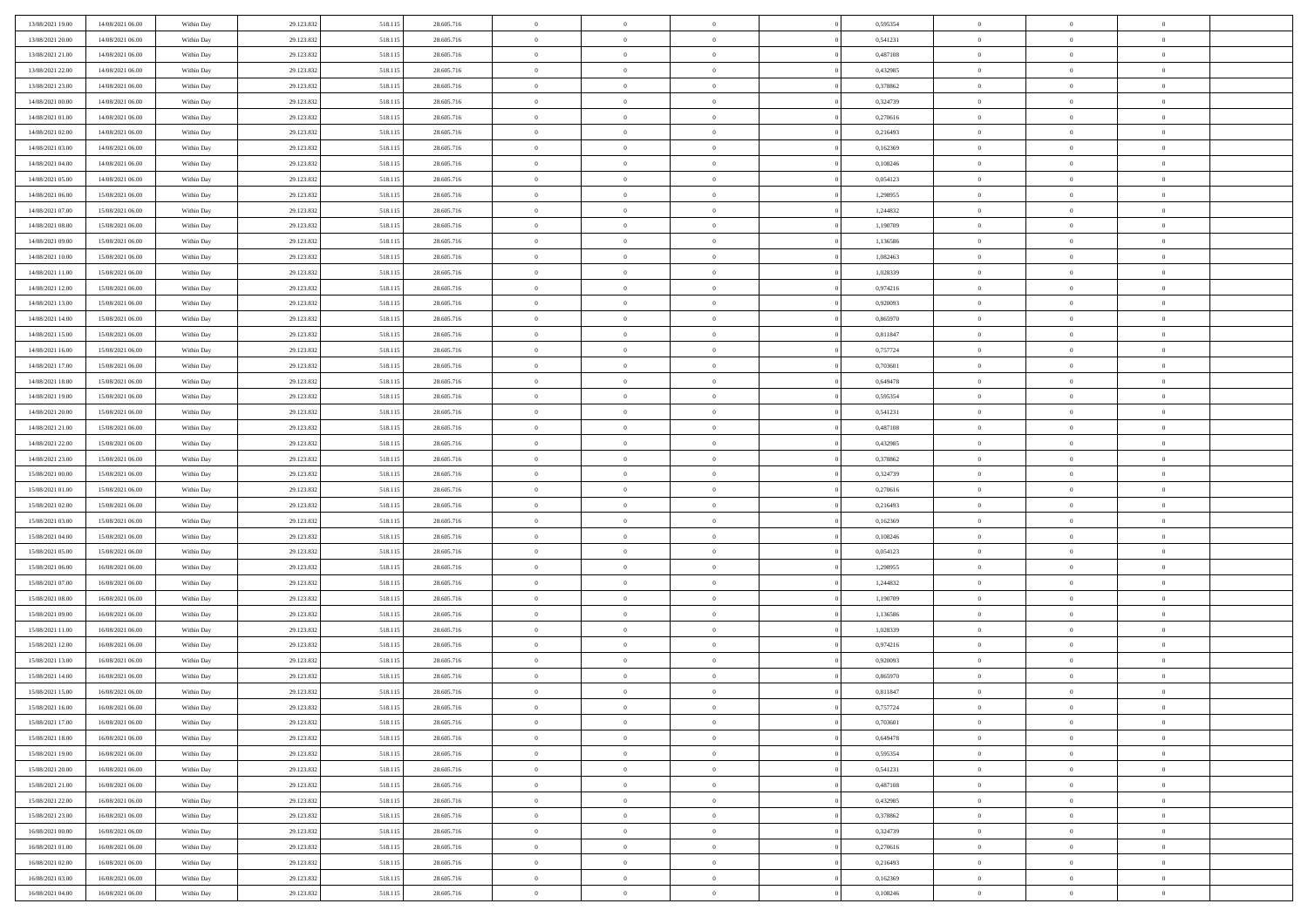| 13/08/2021 19:00 | 14/08/2021 06:00 | Within Day | 29.123.832 | 518.115 | 28.605.716 | $\,$ 0 $\,$    | $\overline{0}$ | $\overline{0}$ |          | 0,595354 | $\bf{0}$       | $\overline{0}$ | $\,0\,$        |  |
|------------------|------------------|------------|------------|---------|------------|----------------|----------------|----------------|----------|----------|----------------|----------------|----------------|--|
| 13/08/2021 20:00 | 14/08/2021 06:00 | Within Day | 29.123.832 | 518.115 | 28.605.716 | $\overline{0}$ | $\overline{0}$ | $\mathbf{0}$   |          | 0,541231 | $\theta$       | $\overline{0}$ | $\theta$       |  |
| 13/08/2021 21:00 | 14/08/2021 06:00 | Within Day | 29.123.832 | 518.115 | 28.605.716 | $\theta$       | $\overline{0}$ | $\overline{0}$ |          | 0,487108 | $\mathbf{0}$   | $\overline{0}$ | $\overline{0}$ |  |
| 13/08/2021 22:00 | 14/08/2021 06:00 | Within Day | 29.123.832 | 518.115 | 28.605.716 | $\,$ 0 $\,$    | $\overline{0}$ | $\overline{0}$ |          | 0,432985 | $\mathbf{0}$   | $\overline{0}$ | $\bf{0}$       |  |
| 13/08/2021 23:00 | 14/08/2021 06:00 | Within Day | 29.123.832 | 518.115 | 28.605.716 | $\,$ 0         | $\overline{0}$ | $\mathbf{0}$   |          | 0,378862 | $\bf{0}$       | $\bf{0}$       | $\,0\,$        |  |
| 14/08/2021 00:00 | 14/08/2021 06:00 | Within Dav | 29.123.832 | 518.115 | 28.605.716 | $\theta$       | $\overline{0}$ | $\mathbf{0}$   |          | 0,324739 | $\mathbf{0}$   | $\overline{0}$ | $\overline{0}$ |  |
| 14/08/2021 01:00 | 14/08/2021 06:00 | Within Day | 29.123.832 | 518.115 | 28.605.716 | $\,$ 0 $\,$    | $\overline{0}$ | $\overline{0}$ |          | 0,270616 | $\bf{0}$       | $\overline{0}$ | $\bf{0}$       |  |
| 14/08/2021 02:00 | 14/08/2021 06:00 | Within Day | 29.123.832 | 518.115 | 28.605.716 | $\,$ 0         | $\overline{0}$ | $\mathbf{0}$   |          | 0,216493 | $\,$ 0 $\,$    | $\overline{0}$ | $\overline{0}$ |  |
| 14/08/2021 03:00 | 14/08/2021 06:00 | Within Day | 29.123.832 | 518.115 | 28.605.716 | $\theta$       | $\overline{0}$ | $\mathbf{0}$   |          | 0,162369 | $\mathbf{0}$   | $\overline{0}$ | $\overline{0}$ |  |
| 14/08/2021 04:00 | 14/08/2021 06:00 | Within Day | 29.123.832 | 518.115 | 28.605.716 | $\,$ 0 $\,$    | $\overline{0}$ | $\Omega$       |          | 0,108246 | $\bf{0}$       | $\overline{0}$ | $\bf{0}$       |  |
| 14/08/2021 05:00 | 14/08/2021 06:00 | Within Day | 29.123.832 | 518.115 | 28.605.716 | $\bf{0}$       | $\overline{0}$ | $\mathbf{0}$   |          | 0,054123 | $\bf{0}$       | $\overline{0}$ | $\theta$       |  |
| 14/08/2021 06:00 | 15/08/2021 06:00 | Within Dav | 29.123.832 | 518.115 | 28.605.716 | $\theta$       | $\overline{0}$ | $\overline{0}$ |          | 1,298955 | $\mathbf{0}$   | $\overline{0}$ | $\overline{0}$ |  |
| 14/08/2021 07:00 | 15/08/2021 06:00 | Within Day | 29.123.832 | 518.115 | 28.605.716 | $\,$ 0 $\,$    | $\overline{0}$ | $\overline{0}$ |          | 1,244832 | $\bf{0}$       | $\overline{0}$ | $\bf{0}$       |  |
| 14/08/2021 08:00 | 15/08/2021 06:00 | Within Day | 29.123.832 | 518.115 | 28.605.716 | $\,$ 0         | $\overline{0}$ | $\mathbf{0}$   |          | 1,190709 | $\bf{0}$       | $\mathbf{0}$   | $\,0\,$        |  |
| 14/08/2021 09:00 | 15/08/2021 06:00 | Within Dav | 29.123.832 | 518.115 | 28.605.716 | $\theta$       | $\overline{0}$ | $\overline{0}$ |          | 1,136586 | $\mathbf{0}$   | $\overline{0}$ | $\overline{0}$ |  |
| 14/08/2021 10:00 | 15/08/2021 06:00 | Within Day | 29.123.832 | 518.115 | 28.605.716 | $\,$ 0 $\,$    | $\overline{0}$ | $\Omega$       |          | 1,082463 | $\bf{0}$       | $\overline{0}$ | $\bf{0}$       |  |
| 14/08/2021 11:00 | 15/08/2021 06:00 | Within Day | 29.123.832 | 518.115 | 28.605.716 | $\,$ 0 $\,$    | $\overline{0}$ | $\mathbf{0}$   |          | 1,028339 | $\,$ 0 $\,$    | $\overline{0}$ | $\theta$       |  |
| 14/08/2021 12:00 | 15/08/2021 06:00 | Within Day | 29.123.832 | 518.115 | 28.605.716 | $\theta$       | $\overline{0}$ | $\mathbf{0}$   |          | 0,974216 | $\mathbf{0}$   | $\overline{0}$ | $\overline{0}$ |  |
| 14/08/2021 13:00 | 15/08/2021 06:00 | Within Day | 29.123.832 | 518.115 | 28.605.716 | $\,$ 0 $\,$    | $\overline{0}$ | $\overline{0}$ |          | 0,920093 | $\bf{0}$       | $\overline{0}$ | $\bf{0}$       |  |
| 14/08/2021 14:00 | 15/08/2021 06:00 | Within Day | 29.123.832 | 518.115 | 28.605.716 | $\bf{0}$       | $\overline{0}$ | $\mathbf{0}$   |          | 0,865970 | $\bf{0}$       | $\overline{0}$ | $\bf{0}$       |  |
| 14/08/2021 15:00 | 15/08/2021 06:00 | Within Dav | 29.123.832 | 518.115 | 28.605.716 | $\theta$       | $\overline{0}$ | $\overline{0}$ |          | 0,811847 | $\mathbf{0}$   | $\overline{0}$ | $\overline{0}$ |  |
| 14/08/2021 16:00 | 15/08/2021 06:00 | Within Day | 29.123.832 | 518.115 | 28.605.716 | $\,$ 0 $\,$    | $\overline{0}$ | $\overline{0}$ |          | 0,757724 | $\bf{0}$       | $\overline{0}$ | $\bf{0}$       |  |
| 14/08/2021 17:00 | 15/08/2021 06:00 | Within Day | 29.123.832 | 518.115 | 28.605.716 | $\,$ 0         | $\overline{0}$ | $\mathbf{0}$   |          | 0,703601 | $\,$ 0 $\,$    | $\overline{0}$ | $\,0\,$        |  |
| 14/08/2021 18:00 | 15/08/2021 06:00 | Within Dav | 29.123.832 | 518.115 | 28.605.716 | $\theta$       | $\overline{0}$ | $\mathbf{0}$   |          | 0,649478 | $\mathbf{0}$   | $\overline{0}$ | $\overline{0}$ |  |
| 14/08/2021 19:00 | 15/08/2021 06:00 | Within Day | 29.123.832 | 518.115 | 28.605.716 | $\,$ 0 $\,$    | $\overline{0}$ | $\overline{0}$ |          | 0,595354 | $\bf{0}$       | $\overline{0}$ | $\bf{0}$       |  |
| 14/08/2021 20:00 | 15/08/2021 06:00 | Within Day | 29.123.832 | 518.115 | 28.605.716 | $\,$ 0         | $\overline{0}$ | $\mathbf{0}$   |          | 0,541231 | $\mathbf{0}$   | $\overline{0}$ | $\theta$       |  |
| 14/08/2021 21:00 | 15/08/2021 06:00 | Within Day | 29.123.832 | 518.115 | 28.605.716 | $\theta$       | $\overline{0}$ | $\mathbf{0}$   |          | 0,487108 | $\mathbf{0}$   | $\overline{0}$ | $\overline{0}$ |  |
| 14/08/2021 22:00 | 15/08/2021 06:00 | Within Day | 29.123.832 | 518.115 | 28.605.716 | $\,$ 0 $\,$    | $\overline{0}$ | $\overline{0}$ |          | 0,432985 | $\bf{0}$       | $\overline{0}$ | $\bf{0}$       |  |
| 14/08/2021 23:00 | 15/08/2021 06:00 | Within Day | 29.123.832 | 518.115 | 28.605.716 | $\bf{0}$       | $\overline{0}$ | $\mathbf{0}$   |          | 0,378862 | $\bf{0}$       | $\overline{0}$ | $\overline{0}$ |  |
| 15/08/2021 00:00 | 15/08/2021 06:00 | Within Dav | 29.123.832 | 518.115 | 28.605.716 | $\theta$       | $\overline{0}$ | $\overline{0}$ |          | 0,324739 | $\mathbf{0}$   | $\overline{0}$ | $\overline{0}$ |  |
| 15/08/2021 01:00 | 15/08/2021 06:00 | Within Day | 29.123.832 | 518.115 | 28.605.716 | $\,$ 0 $\,$    | $\overline{0}$ | $\overline{0}$ |          | 0,270616 | $\,$ 0         | $\overline{0}$ | $\,$ 0 $\,$    |  |
| 15/08/2021 02:00 | 15/08/2021 06:00 | Within Day | 29.123.832 | 518.115 | 28.605.716 | $\,$ 0         | $\overline{0}$ | $\overline{0}$ |          | 0,216493 | $\bf{0}$       | $\overline{0}$ | $\overline{0}$ |  |
| 15/08/2021 03:00 | 15/08/2021 06:00 | Within Dav | 29.123.832 | 518.115 | 28.605.716 | $\theta$       | $\overline{0}$ | $\overline{0}$ |          | 0,162369 | $\mathbf{0}$   | $\overline{0}$ | $\overline{0}$ |  |
| 15/08/2021 04:00 | 15/08/2021 06:00 | Within Day | 29.123.832 | 518.115 | 28.605.716 | $\theta$       | $\overline{0}$ | $\overline{0}$ |          | 0,108246 | $\,$ 0         | $\overline{0}$ | $\theta$       |  |
| 15/08/2021 05:00 | 15/08/2021 06:00 | Within Day | 29.123.832 | 518.115 | 28.605.716 | $\bf{0}$       | $\overline{0}$ | $\mathbf{0}$   |          | 0,054123 | $\mathbf{0}$   | $\overline{0}$ | $\overline{0}$ |  |
| 15/08/2021 06:00 | 16/08/2021 06:00 | Within Day | 29.123.832 | 518.115 | 28.605.716 | $\theta$       | $\overline{0}$ | $\mathbf{0}$   |          | 1,298955 | $\mathbf{0}$   | $\overline{0}$ | $\overline{0}$ |  |
| 15/08/2021 07:00 | 16/08/2021 06:00 | Within Day | 29.123.832 | 518.115 | 28.605.716 | $\theta$       | $\overline{0}$ | $\overline{0}$ |          | 1,244832 | $\,$ 0 $\,$    | $\overline{0}$ | $\theta$       |  |
| 15/08/2021 08:00 | 16/08/2021 06:00 | Within Day | 29.123.832 | 518.115 | 28.605.716 | $\bf{0}$       | $\overline{0}$ | $\mathbf{0}$   |          | 1,190709 | $\bf{0}$       | $\overline{0}$ | $\overline{0}$ |  |
| 15/08/2021 09:00 | 16/08/2021 06:00 | Within Day | 29.123.832 | 518.115 | 28.605.716 | $\theta$       | $\overline{0}$ | $\overline{0}$ |          | 1,136586 | $\mathbf{0}$   | $\overline{0}$ | $\overline{0}$ |  |
| 15/08/2021 11:00 | 16/08/2021 06:00 | Within Day | 29.123.832 | 518.115 | 28.605.716 | $\,$ 0 $\,$    | $\overline{0}$ | $\overline{0}$ |          | 1,028339 | $\,$ 0         | $\overline{0}$ | $\,$ 0 $\,$    |  |
| 15/08/2021 12:00 | 16/08/2021 06:00 | Within Day | 29.123.832 | 518.115 | 28.605.716 | $\bf{0}$       | $\,$ 0 $\,$    | $\overline{0}$ |          | 0,974216 | $\,$ 0 $\,$    | $\overline{0}$ | $\overline{0}$ |  |
| 15/08/2021 13:00 | 16/08/2021 06:00 | Within Dav | 29.123.832 | 518.115 | 28.605.716 | $\theta$       | $\overline{0}$ | $\mathbf{0}$   |          | 0,920093 | $\mathbf{0}$   | $\overline{0}$ | $\theta$       |  |
| 15/08/2021 14:00 | 16/08/2021 06:00 | Within Day | 29.123.832 | 518.115 | 28.605.716 | $\theta$       | $\overline{0}$ | $\overline{0}$ |          | 0,865970 | $\,$ 0         | $\overline{0}$ | $\theta$       |  |
| 15/08/2021 15:00 | 16/08/2021 06:00 | Within Day | 29.123.832 | 518.115 | 28.605.716 | $\,$ 0         | $\,$ 0 $\,$    | $\mathbf{0}$   |          | 0,811847 | $\,$ 0 $\,$    | $\overline{0}$ | $\overline{0}$ |  |
| 15/08/2021 16:00 | 16/08/2021 06:00 | Within Day | 29.123.832 | 518.115 | 28.605.716 | $\overline{0}$ | $\theta$       |                |          | 0,757724 | $\overline{0}$ | $\theta$       | $\theta$       |  |
| 15/08/2021 17:00 | 16/08/2021 06:00 | Within Day | 29.123.832 | 518.115 | 28.605.716 | $\,$ 0 $\,$    | $\overline{0}$ | $\overline{0}$ |          | 0,703601 | $\,$ 0 $\,$    | $\bf{0}$       | $\theta$       |  |
| 15/08/2021 18:00 | 16/08/2021 06:00 | Within Day | 29.123.832 | 518.115 | 28.605.716 | $\bf{0}$       | $\,$ 0 $\,$    | $\overline{0}$ |          | 0,649478 | $\,$ 0 $\,$    | $\overline{0}$ | $\overline{0}$ |  |
| 15/08/2021 19:00 | 16/08/2021 06:00 | Within Day | 29.123.832 | 518.115 | 28.605.716 | $\overline{0}$ | $\overline{0}$ | $\overline{0}$ |          | 0,595354 | $\,$ 0 $\,$    | $\bf{0}$       | $\mathbf{0}$   |  |
| 15/08/2021 20:00 | 16/08/2021 06:00 | Within Day | 29.123.832 | 518.115 | 28.605.716 | $\,$ 0 $\,$    | $\overline{0}$ | $\overline{0}$ | $\theta$ | 0,541231 | $\,$ 0 $\,$    | $\bf{0}$       | $\,$ 0 $\,$    |  |
| 15/08/2021 21:00 | 16/08/2021 06:00 | Within Day | 29.123.832 | 518.115 | 28.605.716 | $\,$ 0 $\,$    | $\,$ 0 $\,$    | $\overline{0}$ |          | 0,487108 | $\,$ 0 $\,$    | $\overline{0}$ | $\overline{0}$ |  |
| 15/08/2021 22:00 | 16/08/2021 06:00 | Within Day | 29.123.832 | 518.115 | 28.605.716 | $\overline{0}$ | $\overline{0}$ | $\overline{0}$ |          | 0,432985 | $\mathbf{0}$   | $\overline{0}$ | $\overline{0}$ |  |
| 15/08/2021 23:00 | 16/08/2021 06:00 | Within Day | 29.123.832 | 518.115 | 28.605.716 | $\,$ 0 $\,$    | $\overline{0}$ | $\overline{0}$ |          | 0,378862 | $\,$ 0 $\,$    | $\overline{0}$ | $\,$ 0 $\,$    |  |
| 16/08/2021 00:00 | 16/08/2021 06:00 | Within Day | 29.123.832 | 518.115 | 28.605.716 | $\bf{0}$       | $\overline{0}$ | $\overline{0}$ |          | 0,324739 | $\,$ 0 $\,$    | $\overline{0}$ | $\overline{0}$ |  |
| 16/08/2021 01:00 | 16/08/2021 06:00 | Within Day | 29.123.832 | 518.115 | 28.605.716 | $\overline{0}$ | $\overline{0}$ | $\overline{0}$ |          | 0,270616 | $\mathbf{0}$   | $\bf{0}$       | $\mathbf{0}$   |  |
| 16/08/2021 02:00 | 16/08/2021 06:00 | Within Day | 29.123.832 | 518.115 | 28.605.716 | $\,$ 0 $\,$    | $\overline{0}$ | $\overline{0}$ |          | 0,216493 | $\,$ 0 $\,$    | $\mathbf{0}$   | $\,$ 0 $\,$    |  |
| 16/08/2021 03:00 | 16/08/2021 06:00 | Within Day | 29.123.832 | 518.115 | 28.605.716 | $\,$ 0 $\,$    | $\,$ 0 $\,$    | $\overline{0}$ |          | 0,162369 | $\,$ 0 $\,$    | $\overline{0}$ | $\overline{0}$ |  |
| 16/08/2021 04:00 | 16/08/2021 06:00 | Within Day | 29.123.832 | 518.115 | 28.605.716 | $\theta$       | $\overline{0}$ | $\overline{0}$ |          | 0,108246 | $\,$ 0 $\,$    | $\overline{0}$ | $\overline{0}$ |  |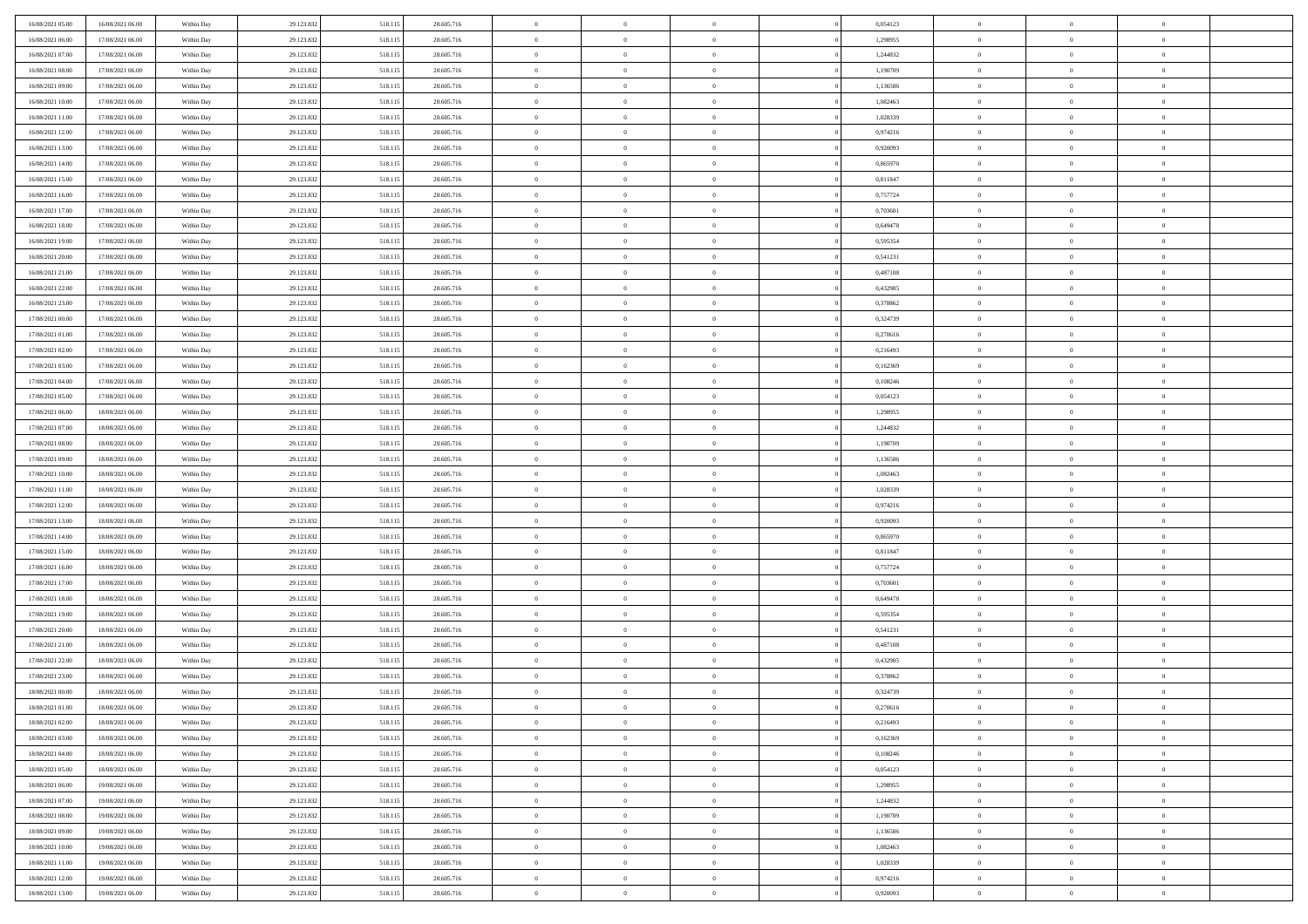| 16/08/2021 05:00 | 16/08/2021 06:00 | Within Day | 29.123.832 | 518.115 | 28.605.716 | $\,$ 0 $\,$    | $\overline{0}$ | $\overline{0}$ |          | 0,054123 | $\bf{0}$       | $\overline{0}$ | $\,0\,$        |  |
|------------------|------------------|------------|------------|---------|------------|----------------|----------------|----------------|----------|----------|----------------|----------------|----------------|--|
| 16/08/2021 06:00 | 17/08/2021 06:00 | Within Day | 29.123.832 | 518.115 | 28.605.716 | $\overline{0}$ | $\overline{0}$ | $\mathbf{0}$   |          | 1,298955 | $\theta$       | $\overline{0}$ | $\theta$       |  |
| 16/08/2021 07:00 | 17/08/2021 06:00 | Within Dav | 29.123.832 | 518.115 | 28.605.716 | $\theta$       | $\overline{0}$ | $\overline{0}$ |          | 1,244832 | $\mathbf{0}$   | $\overline{0}$ | $\overline{0}$ |  |
| 16/08/2021 08:00 | 17/08/2021 06:00 | Within Day | 29.123.832 | 518.115 | 28.605.716 | $\,$ 0 $\,$    | $\overline{0}$ | $\overline{0}$ |          | 1,190709 | $\bf{0}$       | $\overline{0}$ | $\bf{0}$       |  |
| 16/08/2021 09:00 | 17/08/2021 06:00 | Within Day | 29.123.832 | 518.115 | 28.605.716 | $\,$ 0         | $\overline{0}$ | $\mathbf{0}$   |          | 1,136586 | $\bf{0}$       | $\bf{0}$       | $\,0\,$        |  |
| 16/08/2021 10:00 | 17/08/2021 06:00 | Within Dav | 29.123.832 | 518.115 | 28.605.716 | $\theta$       | $\overline{0}$ | $\mathbf{0}$   |          | 1,082463 | $\mathbf{0}$   | $\overline{0}$ | $\overline{0}$ |  |
| 16/08/2021 11:00 | 17/08/2021 06:00 | Within Day | 29.123.832 | 518.115 | 28.605.716 | $\,$ 0 $\,$    | $\overline{0}$ | $\overline{0}$ |          | 1,028339 | $\bf{0}$       | $\overline{0}$ | $\bf{0}$       |  |
|                  |                  |            |            |         |            |                |                |                |          |          |                | $\overline{0}$ | $\overline{0}$ |  |
| 16/08/2021 12:00 | 17/08/2021 06:00 | Within Day | 29.123.832 | 518.115 | 28.605.716 | $\,$ 0         | $\overline{0}$ | $\mathbf{0}$   |          | 0,974216 | $\,$ 0 $\,$    |                |                |  |
| 16/08/2021 13:00 | 17/08/2021 06:00 | Within Day | 29.123.832 | 518.115 | 28.605.716 | $\theta$       | $\overline{0}$ | $\mathbf{0}$   |          | 0,920093 | $\mathbf{0}$   | $\overline{0}$ | $\overline{0}$ |  |
| 16/08/2021 14:00 | 17/08/2021 06:00 | Within Day | 29.123.832 | 518.115 | 28.605.716 | $\,$ 0 $\,$    | $\overline{0}$ | $\Omega$       |          | 0,865970 | $\bf{0}$       | $\overline{0}$ | $\bf{0}$       |  |
| 16/08/2021 15:00 | 17/08/2021 06:00 | Within Day | 29.123.832 | 518.115 | 28.605.716 | $\bf{0}$       | $\overline{0}$ | $\mathbf{0}$   |          | 0,811847 | $\bf{0}$       | $\overline{0}$ | $\theta$       |  |
| 16/08/2021 16:00 | 17/08/2021 06:00 | Within Dav | 29.123.832 | 518.115 | 28.605.716 | $\theta$       | $\overline{0}$ | $\overline{0}$ |          | 0,757724 | $\mathbf{0}$   | $\overline{0}$ | $\overline{0}$ |  |
| 16/08/2021 17:00 | 17/08/2021 06:00 | Within Day | 29.123.832 | 518.115 | 28.605.716 | $\,$ 0 $\,$    | $\overline{0}$ | $\overline{0}$ |          | 0,703601 | $\bf{0}$       | $\overline{0}$ | $\bf{0}$       |  |
| 16/08/2021 18:00 | 17/08/2021 06:00 | Within Day | 29.123.832 | 518.115 | 28.605.716 | $\bf{0}$       | $\overline{0}$ | $\mathbf{0}$   |          | 0,649478 | $\bf{0}$       | $\mathbf{0}$   | $\,0\,$        |  |
| 16/08/2021 19:00 | 17/08/2021 06:00 | Within Dav | 29.123.832 | 518.115 | 28.605.716 | $\theta$       | $\overline{0}$ | $\overline{0}$ |          | 0,595354 | $\mathbf{0}$   | $\overline{0}$ | $\overline{0}$ |  |
| 16/08/2021 20:00 | 17/08/2021 06:00 | Within Day | 29.123.832 | 518.115 | 28.605.716 | $\,$ 0 $\,$    | $\overline{0}$ | $\Omega$       |          | 0,541231 | $\bf{0}$       | $\overline{0}$ | $\bf{0}$       |  |
| 16/08/2021 21:00 | 17/08/2021 06:00 | Within Day | 29.123.832 | 518.115 | 28.605.716 | $\,$ 0 $\,$    | $\overline{0}$ | $\mathbf{0}$   |          | 0,487108 | $\,$ 0 $\,$    | $\overline{0}$ | $\theta$       |  |
| 16/08/2021 22:00 | 17/08/2021 06:00 | Within Day | 29.123.832 | 518.115 | 28.605.716 | $\theta$       | $\overline{0}$ | $\mathbf{0}$   |          | 0,432985 | $\mathbf{0}$   | $\overline{0}$ | $\overline{0}$ |  |
| 16/08/2021 23:00 | 17/08/2021 06:00 | Within Day | 29.123.832 | 518.115 | 28.605.716 | $\,$ 0 $\,$    | $\overline{0}$ | $\overline{0}$ |          | 0,378862 | $\bf{0}$       | $\overline{0}$ | $\bf{0}$       |  |
| 17/08/2021 00:00 | 17/08/2021 06:00 | Within Day | 29.123.832 | 518.115 | 28.605.716 | $\bf{0}$       | $\overline{0}$ | $\mathbf{0}$   |          | 0,324739 | $\bf{0}$       | $\overline{0}$ | $\bf{0}$       |  |
| 17/08/2021 01:00 | 17/08/2021 06:00 | Within Dav | 29.123.832 | 518.115 | 28.605.716 | $\theta$       | $\overline{0}$ | $\overline{0}$ |          | 0,270616 | $\mathbf{0}$   | $\overline{0}$ | $\overline{0}$ |  |
| 17/08/2021 02:00 | 17/08/2021 06:00 | Within Day | 29.123.832 | 518.115 | 28.605.716 | $\,$ 0 $\,$    | $\overline{0}$ | $\overline{0}$ |          | 0,216493 | $\bf{0}$       | $\overline{0}$ | $\bf{0}$       |  |
| 17/08/2021 03:00 | 17/08/2021 06:00 | Within Day | 29.123.832 | 518.115 | 28.605.716 | $\,$ 0         | $\overline{0}$ | $\mathbf{0}$   |          | 0,162369 | $\,$ 0 $\,$    | $\overline{0}$ | $\,0\,$        |  |
| 17/08/2021 04:00 | 17/08/2021 06:00 | Within Dav | 29.123.832 | 518.115 | 28.605.716 | $\theta$       | $\overline{0}$ | $\mathbf{0}$   |          | 0,108246 | $\mathbf{0}$   | $\overline{0}$ | $\overline{0}$ |  |
| 17/08/2021 05:00 | 17/08/2021 06:00 | Within Day | 29.123.832 | 518.115 | 28.605.716 | $\,$ 0 $\,$    | $\overline{0}$ | $\overline{0}$ |          | 0,054123 | $\bf{0}$       | $\overline{0}$ | $\bf{0}$       |  |
| 17/08/2021 06:00 | 18/08/2021 06:00 | Within Day | 29.123.832 | 518.115 | 28.605.716 | $\,$ 0         | $\overline{0}$ | $\mathbf{0}$   |          | 1,298955 | $\mathbf{0}$   | $\overline{0}$ | $\theta$       |  |
| 17/08/2021 07:00 | 18/08/2021 06:00 | Within Day | 29.123.832 | 518.115 | 28.605.716 | $\theta$       | $\overline{0}$ | $\mathbf{0}$   |          | 1,244832 | $\mathbf{0}$   | $\overline{0}$ | $\overline{0}$ |  |
| 17/08/2021 08:00 | 18/08/2021 06:00 | Within Day | 29.123.832 | 518.115 | 28.605.716 | $\,$ 0 $\,$    | $\overline{0}$ | $\overline{0}$ |          | 1,190709 | $\bf{0}$       | $\overline{0}$ | $\bf{0}$       |  |
|                  |                  |            |            |         |            |                |                |                |          |          |                | $\mathbf{0}$   | $\overline{0}$ |  |
| 17/08/2021 09:00 | 18/08/2021 06:00 | Within Day | 29.123.832 | 518.115 | 28.605.716 | $\bf{0}$       | $\overline{0}$ | $\mathbf{0}$   |          | 1,136586 | $\bf{0}$       |                |                |  |
| 17/08/2021 10:00 | 18/08/2021 06:00 | Within Dav | 29.123.832 | 518.115 | 28.605.716 | $\theta$       | $\overline{0}$ | $\overline{0}$ |          | 1,082463 | $\mathbf{0}$   | $\overline{0}$ | $\overline{0}$ |  |
| 17/08/2021 11:00 | 18/08/2021 06:00 | Within Day | 29.123.832 | 518.115 | 28.605.716 | $\,$ 0 $\,$    | $\overline{0}$ | $\overline{0}$ |          | 1,028339 | $\,$ 0         | $\overline{0}$ | $\,$ 0 $\,$    |  |
| 17/08/2021 12:00 | 18/08/2021 06:00 | Within Day | 29.123.832 | 518.115 | 28.605.716 | $\,$ 0         | $\overline{0}$ | $\mathbf{0}$   |          | 0,974216 | $\bf{0}$       | $\overline{0}$ | $\bf{0}$       |  |
| 17/08/2021 13:00 | 18/08/2021 06:00 | Within Dav | 29.123.832 | 518.115 | 28.605.716 | $\theta$       | $\overline{0}$ | $\overline{0}$ |          | 0,920093 | $\mathbf{0}$   | $\overline{0}$ | $\overline{0}$ |  |
| 17/08/2021 14:00 | 18/08/2021 06:00 | Within Day | 29.123.832 | 518.115 | 28.605.716 | $\theta$       | $\overline{0}$ | $\overline{0}$ |          | 0,865970 | $\,$ 0         | $\overline{0}$ | $\theta$       |  |
| 17/08/2021 15:00 | 18/08/2021 06:00 | Within Day | 29.123.832 | 518.115 | 28.605.716 | $\bf{0}$       | $\overline{0}$ | $\mathbf{0}$   |          | 0,811847 | $\mathbf{0}$   | $\overline{0}$ | $\overline{0}$ |  |
| 17/08/2021 16:00 | 18/08/2021 06:00 | Within Day | 29.123.832 | 518.115 | 28.605.716 | $\theta$       | $\overline{0}$ | $\mathbf{0}$   |          | 0,757724 | $\mathbf{0}$   | $\overline{0}$ | $\overline{0}$ |  |
| 17/08/2021 17:00 | 18/08/2021 06:00 | Within Day | 29.123.832 | 518.115 | 28.605.716 | $\theta$       | $\overline{0}$ | $\overline{0}$ |          | 0,703601 | $\,$ 0 $\,$    | $\overline{0}$ | $\theta$       |  |
| 17/08/2021 18:00 | 18/08/2021 06:00 | Within Day | 29.123.832 | 518.115 | 28.605.716 | $\bf{0}$       | $\overline{0}$ | $\mathbf{0}$   |          | 0,649478 | $\bf{0}$       | $\mathbf{0}$   | $\bf{0}$       |  |
| 17/08/2021 19:00 | 18/08/2021 06:00 | Within Day | 29.123.832 | 518.115 | 28.605.716 | $\theta$       | $\overline{0}$ | $\overline{0}$ |          | 0,595354 | $\mathbf{0}$   | $\overline{0}$ | $\overline{0}$ |  |
| 17/08/2021 20:00 | 18/08/2021 06:00 | Within Day | 29.123.832 | 518.115 | 28.605.716 | $\,$ 0 $\,$    | $\overline{0}$ | $\overline{0}$ |          | 0,541231 | $\,$ 0         | $\overline{0}$ | $\,$ 0 $\,$    |  |
| 17/08/2021 21:00 | 18/08/2021 06:00 | Within Day | 29.123.832 | 518.115 | 28.605.716 | $\bf{0}$       | $\,$ 0 $\,$    | $\overline{0}$ |          | 0,487108 | $\,$ 0 $\,$    | $\overline{0}$ | $\bf{0}$       |  |
| 17/08/2021 22:00 | 18/08/2021 06:00 | Within Dav | 29.123.832 | 518.115 | 28.605.716 | $\theta$       | $\overline{0}$ | $\mathbf{0}$   |          | 0,432985 | $\mathbf{0}$   | $\overline{0}$ | $\theta$       |  |
| 17/08/2021 23:00 | 18/08/2021 06:00 | Within Day | 29.123.832 | 518.115 | 28.605.716 | $\theta$       | $\overline{0}$ | $\overline{0}$ |          | 0,378862 | $\,$ 0         | $\overline{0}$ | $\theta$       |  |
| 18/08/2021 00:00 | 18/08/2021 06:00 | Within Day | 29.123.832 | 518.115 | 28.605.716 | $\bf{0}$       | $\,$ 0 $\,$    | $\mathbf{0}$   |          | 0,324739 | $\,$ 0 $\,$    | $\overline{0}$ | $\bf{0}$       |  |
| 18/08/2021 01:00 | 18/08/2021 06:00 | Within Day | 29.123.832 | 518.115 | 28.605.716 | $\overline{0}$ | $\theta$       |                |          | 0,270616 | $\overline{0}$ | $\theta$       | $\theta$       |  |
| 18/08/2021 02:00 | 18/08/2021 06:00 | Within Day | 29.123.832 | 518.115 | 28.605.716 | $\,$ 0 $\,$    | $\overline{0}$ | $\overline{0}$ |          | 0,216493 | $\,$ 0 $\,$    | $\bf{0}$       | $\theta$       |  |
| 18/08/2021 03:00 | 18/08/2021 06:00 | Within Day | 29.123.832 | 518.115 | 28.605.716 | $\overline{0}$ | $\,$ 0 $\,$    | $\overline{0}$ |          | 0,162369 | $\,$ 0 $\,$    | $\overline{0}$ | $\overline{0}$ |  |
| 18/08/2021 04:00 | 18/08/2021 06:00 | Within Day | 29.123.832 | 518.115 | 28.605.716 | $\mathbf{0}$   | $\overline{0}$ | $\overline{0}$ |          | 0,108246 | $\,$ 0 $\,$    | $\bf{0}$       | $\mathbf{0}$   |  |
| 18/08/2021 05:00 | 18/08/2021 06:00 | Within Day | 29.123.832 | 518.115 | 28.605.716 | $\,$ 0 $\,$    | $\overline{0}$ | $\overline{0}$ | $\theta$ | 0,054123 | $\,$ 0 $\,$    | $\bf{0}$       | $\,$ 0 $\,$    |  |
| 18/08/2021 06:00 | 19/08/2021 06:00 | Within Day | 29.123.832 | 518.115 | 28.605.716 | $\,$ 0 $\,$    | $\,$ 0 $\,$    | $\overline{0}$ |          | 1,298955 | $\,$ 0 $\,$    | $\overline{0}$ | $\overline{0}$ |  |
| 18/08/2021 07:00 | 19/08/2021 06:00 | Within Day | 29.123.832 | 518.115 | 28.605.716 | $\mathbf{0}$   | $\overline{0}$ | $\overline{0}$ |          | 1,244832 | $\mathbf{0}$   | $\overline{0}$ | $\overline{0}$ |  |
| 18/08/2021 08:00 | 19/08/2021 06:00 | Within Day | 29.123.832 | 518.115 | 28.605.716 | $\,$ 0 $\,$    | $\overline{0}$ | $\overline{0}$ |          | 1,190709 | $\,$ 0 $\,$    | $\overline{0}$ | $\,$ 0 $\,$    |  |
| 18/08/2021 09:00 | 19/08/2021 06:00 | Within Day | 29.123.832 | 518.115 | 28.605.716 | $\overline{0}$ | $\overline{0}$ | $\overline{0}$ |          | 1,136586 | $\,$ 0 $\,$    | $\overline{0}$ | $\overline{0}$ |  |
| 18/08/2021 10:00 | 19/08/2021 06:00 | Within Day | 29.123.832 | 518.115 | 28.605.716 | $\mathbf{0}$   | $\overline{0}$ | $\overline{0}$ |          | 1,082463 | $\mathbf{0}$   | $\bf{0}$       | $\overline{0}$ |  |
|                  |                  |            |            |         |            |                |                |                |          |          |                |                |                |  |
| 18/08/2021 11:00 | 19/08/2021 06:00 | Within Day | 29.123.832 | 518.115 | 28.605.716 | $\,$ 0 $\,$    | $\overline{0}$ | $\overline{0}$ |          | 1,028339 | $\,$ 0 $\,$    | $\overline{0}$ | $\,$ 0 $\,$    |  |
| 18/08/2021 12:00 | 19/08/2021 06:00 | Within Day | 29.123.832 | 518.115 | 28.605.716 | $\,$ 0 $\,$    | $\,$ 0 $\,$    | $\overline{0}$ |          | 0,974216 | $\,$ 0 $\,$    | $\overline{0}$ | $\overline{0}$ |  |
| 18/08/2021 13:00 | 19/08/2021 06:00 | Within Day | 29.123.832 | 518.115 | 28.605.716 | $\theta$       | $\overline{0}$ | $\overline{0}$ |          | 0,920093 | $\mathbf{0}$   | $\overline{0}$ | $\overline{0}$ |  |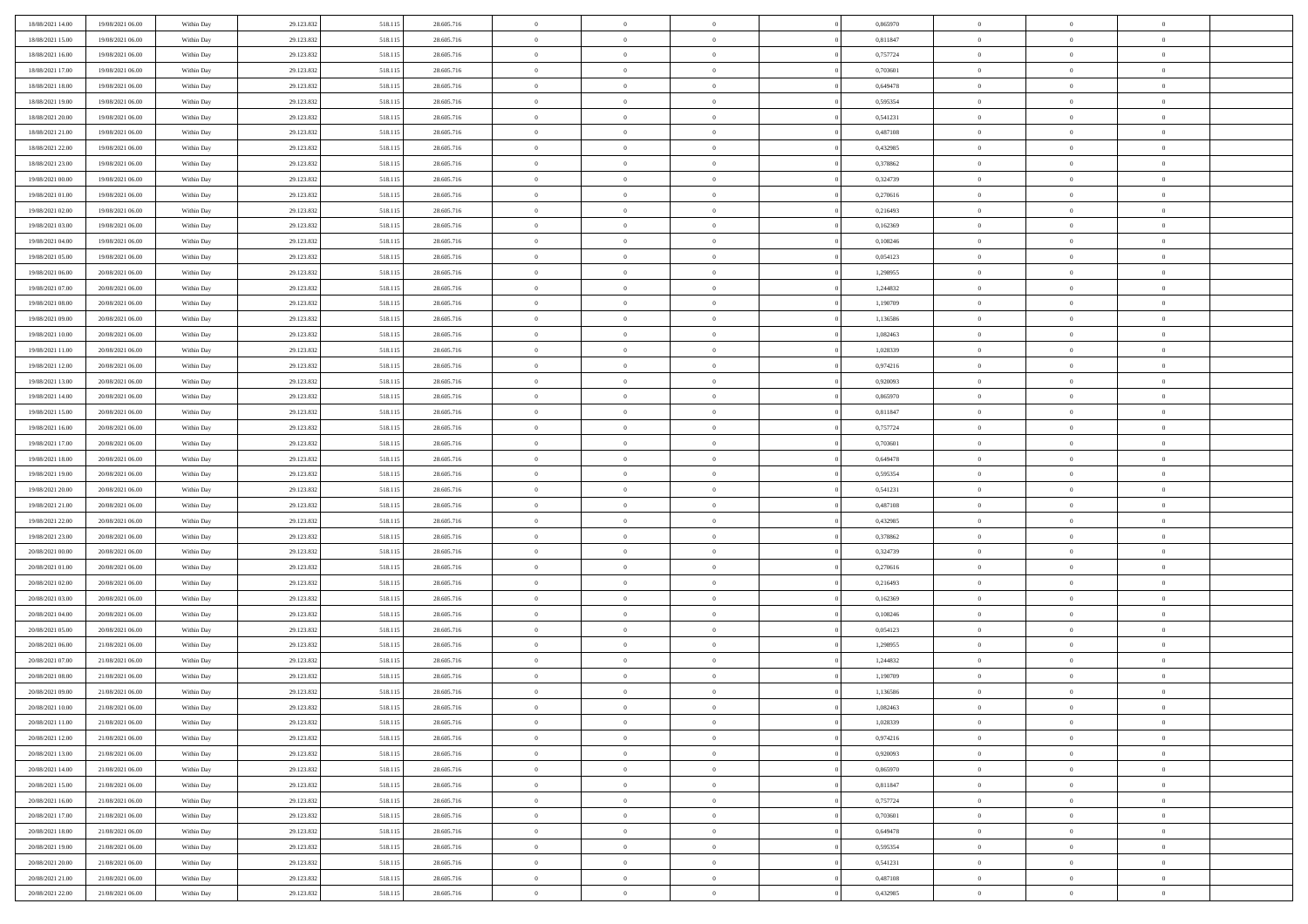| 18/08/2021 14:00                     | 19/08/2021 06:00                     | Within Day               | 29.123.832               | 518.115            | 28.605.716               | $\,$ 0                   | $\overline{0}$             | $\theta$                         |          | 0,865970             | $\bf{0}$                 | $\overline{0}$                   | $\,0\,$                    |  |
|--------------------------------------|--------------------------------------|--------------------------|--------------------------|--------------------|--------------------------|--------------------------|----------------------------|----------------------------------|----------|----------------------|--------------------------|----------------------------------|----------------------------|--|
| 18/08/2021 15:00                     | 19/08/2021 06:00                     | Within Day               | 29.123.832               | 518.115            | 28.605.716               | $\overline{0}$           | $\overline{0}$             | $\overline{0}$                   |          | 0,811847             | $\overline{0}$           | $\overline{0}$                   | $\theta$                   |  |
| 18/08/2021 16:00                     | 19/08/2021 06:00                     | Within Dav               | 29.123.832               | 518.115            | 28.605.716               | $\mathbf{0}$             | $\overline{0}$             | $\overline{0}$                   |          | 0,757724             | $\mathbf{0}$             | $\overline{0}$                   | $\overline{0}$             |  |
| 18/08/2021 17:00                     | 19/08/2021 06:00                     | Within Day               | 29.123.832               | 518.115            | 28.605.716               | $\bf{0}$                 | $\overline{0}$             | $\bf{0}$                         |          | 0,703601             | $\bf{0}$                 | $\overline{0}$                   | $\bf{0}$                   |  |
| 18/08/2021 18:00                     | 19/08/2021 06:00                     | Within Day               | 29.123.832               | 518.115            | 28.605.716               | $\bf{0}$                 | $\overline{0}$             | $\overline{0}$                   |          | 0,649478             | $\bf{0}$                 | $\bf{0}$                         | $\,0\,$                    |  |
| 18/08/2021 19:00                     | 19/08/2021 06:00                     | Within Dav               | 29.123.832               | 518.115            | 28.605.716               | $\overline{0}$           | $\overline{0}$             | $\overline{0}$                   |          | 0,595354             | $\mathbf{0}$             | $\overline{0}$                   | $\overline{0}$             |  |
| 18/08/2021 20:00                     | 19/08/2021 06:00                     | Within Day               | 29.123.832               | 518.115            | 28.605.716               | $\bf{0}$                 | $\overline{0}$             | $\overline{0}$                   |          | 0,541231             | $\bf{0}$                 | $\overline{0}$                   | $\,0\,$                    |  |
| 18/08/2021 21:00                     | 19/08/2021 06:00                     | Within Day               | 29.123.832               | 518.115            | 28.605.716               | $\overline{0}$           | $\overline{0}$             | $\overline{0}$                   |          | 0,487108             | $\,$ 0 $\,$              | $\overline{0}$                   | $\theta$                   |  |
| 18/08/2021 22:00                     | 19/08/2021 06:00                     | Within Day               | 29.123.832               | 518.115            | 28.605.716               | $\mathbf{0}$             | $\overline{0}$             | $\overline{0}$                   |          | 0,432985             | $\mathbf{0}$             | $\overline{0}$                   | $\overline{0}$             |  |
| 18/08/2021 23:00                     | 19/08/2021 06:00                     | Within Day               | 29.123.832               | 518.115            | 28.605.716               | $\bf{0}$                 | $\overline{0}$             | $\overline{0}$                   |          | 0,378862             | $\bf{0}$                 | $\overline{0}$                   | $\,0\,$                    |  |
| 19/08/2021 00:00                     | 19/08/2021 06:00                     | Within Day               | 29.123.832               | 518.115            | 28.605.716               | $\bf{0}$                 | $\overline{0}$             | $\overline{0}$                   |          | 0,324739             | $\bf{0}$                 | $\overline{0}$                   | $\theta$                   |  |
| 19/08/2021 01:00                     | 19/08/2021 06:00                     | Within Dav               | 29.123.832               | 518.115            | 28.605.716               | $\mathbf{0}$             | $\overline{0}$             | $\overline{0}$                   |          | 0,270616             | $\mathbf{0}$             | $\overline{0}$                   | $\overline{0}$             |  |
| 19/08/2021 02:00                     | 19/08/2021 06:00                     | Within Day               | 29.123.832               | 518.115            | 28.605.716               | $\bf{0}$                 | $\overline{0}$             | $\bf{0}$                         |          | 0,216493             | $\bf{0}$                 | $\overline{0}$                   | $\bf{0}$                   |  |
| 19/08/2021 03:00                     | 19/08/2021 06:00                     | Within Day               | 29.123.832               | 518.115            | 28.605.716               | $\bf{0}$                 | $\overline{0}$             | $\overline{0}$                   |          | 0,162369             | $\bf{0}$                 | $\mathbf{0}$                     | $\,0\,$                    |  |
| 19/08/2021 04:00                     | 19/08/2021 06:00                     | Within Dav               | 29.123.832               | 518.115            | 28.605.716               | $\overline{0}$           | $\overline{0}$             | $\overline{0}$                   |          | 0,108246             | $\mathbf{0}$             | $\overline{0}$                   | $\overline{0}$             |  |
| 19/08/2021 05:00                     | 19/08/2021 06:00                     | Within Day               | 29.123.832               | 518.115            | 28.605.716               | $\bf{0}$                 | $\bf{0}$                   | $\overline{0}$                   |          | 0,054123             | $\bf{0}$                 | $\overline{0}$                   | $\bf{0}$                   |  |
| 19/08/2021 06:00                     | 20/08/2021 06:00                     | Within Day               | 29.123.832               | 518.115            | 28.605.716               | $\bf{0}$                 | $\overline{0}$             | $\overline{0}$                   |          | 1,298955             | $\,$ 0 $\,$              | $\overline{0}$                   | $\theta$                   |  |
| 19/08/2021 07:00                     | 20/08/2021 06:00                     | Within Day               | 29.123.832               | 518.115            | 28.605.716               | $\mathbf{0}$             | $\overline{0}$             | $\overline{0}$                   |          | 1,244832             | $\mathbf{0}$             | $\overline{0}$                   | $\overline{0}$             |  |
| 19/08/2021 08:00                     | 20/08/2021 06:00                     | Within Day               | 29.123.832               | 518.115            | 28.605.716               | $\bf{0}$                 | $\bf{0}$                   | $\overline{0}$                   |          | 1,190709             | $\bf{0}$                 | $\overline{0}$                   | $\,0\,$                    |  |
| 19/08/2021 09:00                     | 20/08/2021 06:00                     | Within Day               | 29.123.832               | 518.115            | 28.605.716               | $\bf{0}$                 | $\overline{0}$             | $\overline{0}$                   |          | 1,136586             | $\bf{0}$                 | $\overline{0}$                   | $\overline{0}$             |  |
| 19/08/2021 10:00                     | 20/08/2021 06:00                     | Within Dav               | 29.123.832               | 518.115            | 28.605.716               | $\mathbf{0}$             | $\overline{0}$             | $\overline{0}$                   |          | 1,082463             | $\mathbf{0}$             | $\overline{0}$                   | $\overline{0}$             |  |
| 19/08/2021 11:00                     | 20/08/2021 06:00                     | Within Day               | 29.123.832               | 518.115            | 28.605.716               | $\bf{0}$                 | $\overline{0}$             | $\overline{0}$                   |          | 1,028339             | $\bf{0}$                 | $\overline{0}$                   | $\bf{0}$                   |  |
| 19/08/2021 12:00                     | 20/08/2021 06:00                     | Within Day               | 29.123.832               | 518.115            | 28.605.716               | $\bf{0}$                 | $\bf{0}$                   | $\overline{0}$                   |          | 0,974216             | $\bf{0}$                 | $\overline{0}$                   | $\,0\,$                    |  |
| 19/08/2021 13:00                     | 20/08/2021 06:00                     | Within Dav               | 29.123.832               | 518.115            | 28.605.716               | $\mathbf{0}$             | $\overline{0}$             | $\overline{0}$                   |          | 0,920093             | $\mathbf{0}$             | $\overline{0}$                   | $\overline{0}$             |  |
| 19/08/2021 14:00                     | 20/08/2021 06:00                     | Within Day               | 29.123.832               | 518.115            | 28.605.716               | $\bf{0}$                 | $\bf{0}$                   | $\overline{0}$                   |          | 0,865970             | $\bf{0}$                 | $\overline{0}$                   | $\,0\,$                    |  |
| 19/08/2021 15:00                     | 20/08/2021 06:00                     |                          | 29.123.832               | 518.115            | 28.605.716               | $\bf{0}$                 | $\overline{0}$             | $\overline{0}$                   |          | 0,811847             | $\bf{0}$                 | $\mathbf{0}$                     | $\overline{0}$             |  |
| 19/08/2021 16:00                     | 20/08/2021 06:00                     | Within Day<br>Within Dav | 29.123.832               | 518.115            | 28.605.716               | $\mathbf{0}$             | $\overline{0}$             | $\overline{0}$                   |          | 0,757724             | $\mathbf{0}$             | $\overline{0}$                   | $\overline{0}$             |  |
|                                      | 20/08/2021 06:00                     |                          |                          |                    |                          | $\bf{0}$                 |                            | $\overline{0}$                   |          | 0,703601             | $\bf{0}$                 | $\overline{0}$                   | $\,0\,$                    |  |
| 19/08/2021 17:00                     |                                      | Within Day               | 29.123.832               | 518.115            | 28.605.716               |                          | $\bf{0}$                   |                                  |          |                      |                          |                                  |                            |  |
| 19/08/2021 18:00                     | 20/08/2021 06:00                     | Within Day               | 29.123.832               | 518.115            | 28.605.716               | $\bf{0}$<br>$\mathbf{0}$ | $\overline{0}$             | $\overline{0}$                   |          | 0,649478             | $\bf{0}$<br>$\mathbf{0}$ | $\overline{0}$                   | $\bf{0}$<br>$\overline{0}$ |  |
| 19/08/2021 19:00                     | 20/08/2021 06:00                     | Within Dav               | 29.123.832               | 518.115            | 28.605.716               |                          | $\overline{0}$             | $\overline{0}$                   |          | 0,595354             |                          | $\overline{0}$<br>$\overline{0}$ | $\theta$                   |  |
| 19/08/2021 20:00                     | 20/08/2021 06:00                     | Within Day               | 29.123.832               | 518.115            | 28.605.716               | $\bf{0}$<br>$\bf{0}$     | $\overline{0}$             | $\theta$                         |          | 0,541231             | $\,$ 0                   | $\overline{0}$                   |                            |  |
| 19/08/2021 21:00<br>19/08/2021 22:00 | 20/08/2021 06:00<br>20/08/2021 06:00 | Within Day<br>Within Dav | 29.123.832<br>29.123.832 | 518.115<br>518.115 | 28.605.716<br>28.605.716 | $\overline{0}$           | $\bf{0}$<br>$\overline{0}$ | $\overline{0}$<br>$\overline{0}$ |          | 0,487108<br>0,432985 | $\bf{0}$<br>$\mathbf{0}$ | $\overline{0}$                   | $\bf{0}$<br>$\overline{0}$ |  |
|                                      |                                      |                          |                          |                    |                          | $\bf{0}$                 | $\overline{0}$             | $\theta$                         |          |                      | $\,$ 0                   | $\overline{0}$                   | $\theta$                   |  |
| 19/08/2021 23:00<br>20/08/2021 00:00 | 20/08/2021 06:00<br>20/08/2021 06:00 | Within Day               | 29.123.832<br>29.123.832 | 518.115            | 28.605.716<br>28.605.716 | $\bf{0}$                 | $\overline{0}$             | $\overline{0}$                   |          | 0,378862<br>0,324739 | $\bf{0}$                 | $\overline{0}$                   | $\overline{0}$             |  |
| 20/08/2021 01:00                     | 20/08/2021 06:00                     | Within Day<br>Within Day | 29.123.832               | 518.115<br>518.115 | 28.605.716               | $\mathbf{0}$             | $\overline{0}$             | $\overline{0}$                   |          | 0,270616             | $\mathbf{0}$             | $\overline{0}$                   | $\overline{0}$             |  |
| 20/08/2021 02:00                     | 20/08/2021 06:00                     | Within Day               | 29.123.832               | 518.115            | 28.605.716               | $\bf{0}$                 | $\overline{0}$             | $\theta$                         |          | 0,216493             | $\,$ 0                   | $\overline{0}$                   | $\theta$                   |  |
| 20/08/2021 03:00                     | 20/08/2021 06:00                     | Within Day               | 29.123.832               | 518.115            | 28.605.716               | $\bf{0}$                 | $\overline{0}$             | $\overline{0}$                   |          | 0,162369             | $\bf{0}$                 | $\overline{0}$                   | $\bf{0}$                   |  |
| 20/08/2021 04:00                     | 20/08/2021 06:00                     | Within Dav               | 29.123.832               | 518.115            | 28.605.716               | $\mathbf{0}$             | $\overline{0}$             | $\overline{0}$                   |          | 0,108246             | $\mathbf{0}$             | $\overline{0}$                   | $\overline{0}$             |  |
| 20/08/2021 05:00                     | 20/08/2021 06:00                     | Within Day               | 29.123.832               | 518.115            | 28.605.716               | $\bf{0}$                 | $\overline{0}$             | $\theta$                         |          | 0,054123             | $\,$ 0                   | $\overline{0}$                   | $\theta$                   |  |
| 20/08/2021 06:00                     | 21/08/2021 06:00                     | Within Day               | 29.123.832               | 518.115            | 28.605.716               | $\bf{0}$                 | $\overline{0}$             | $\overline{0}$                   |          | 1,298955             | $\bf{0}$                 | $\overline{0}$                   | $\overline{0}$             |  |
| 20/08/2021 07:00                     | 21/08/2021 06:00                     | Within Dav               | 29.123.832               | 518.115            | 28.605.716               | $\mathbf{0}$             | $\overline{0}$             | $\overline{0}$                   |          | 1,244832             | $\mathbf{0}$             | $\overline{0}$                   | $\overline{0}$             |  |
| 20/08/2021 08:00                     | 21/08/2021 06:00                     | Within Day               | 29.123.832               | 518.115            | 28.605.716               | $\bf{0}$                 | $\overline{0}$             | $\theta$                         |          | 1,190709             | $\,$ 0                   | $\overline{0}$                   | $\theta$                   |  |
| 20/08/2021 09:00                     | 21/08/2021 06:00                     | Within Day               | 29.123.832               | 518.115            | 28.605.716               | $\bf{0}$                 | $\overline{0}$             | $\overline{0}$                   |          | 1,136586             | $\,$ 0 $\,$              | $\overline{0}$                   | $\overline{0}$             |  |
| 20/08/2021 10:00                     | 21/08/2021 06:00                     | Within Day               | 29.123.832               | 518.115            | 28.605.716               | $\bf{0}$                 | $\overline{0}$             |                                  |          | 1,082463             | $\overline{0}$           | $\theta$                         | $\theta$                   |  |
| 20/08/2021 11:00                     | 21/08/2021 06:00                     | Within Day               | 29.123.832               | 518.115            | 28.605.716               | $\,0\,$                  | $\overline{0}$             | $\theta$                         |          | 1,028339             | $\,$ 0 $\,$              | $\bf{0}$                         | $\theta$                   |  |
| 20/08/2021 12:00                     | 21/08/2021 06:00                     | Within Day               | 29.123.832               | 518.115            | 28.605.716               | $\overline{0}$           | $\overline{0}$             | $\overline{0}$                   |          | 0,974216             | $\overline{0}$           | $\overline{0}$                   | $\overline{0}$             |  |
| 20/08/2021 13:00                     | 21/08/2021 06:00                     | Within Day               | 29.123.832               | 518.115            | 28.605.716               | $\bf{0}$                 | $\overline{0}$             | $\overline{0}$                   |          | 0,920093             | $\overline{0}$           | $\bf{0}$                         | $\mathbf{0}$               |  |
| 20/08/2021 14:00                     | 21/08/2021 06:00                     | Within Day               | 29.123.832               | 518.115            | 28.605.716               | $\bf{0}$                 | $\overline{0}$             | $\overline{0}$                   | $\theta$ | 0,865970             | $\,$ 0 $\,$              | $\bf{0}$                         | $\,$ 0 $\,$                |  |
| 20/08/2021 15:00                     | 21/08/2021 06:00                     | Within Day               | 29.123.832               | 518.115            | 28.605.716               | $\,$ 0 $\,$              | $\overline{0}$             | $\overline{0}$                   |          | 0,811847             | $\,$ 0 $\,$              | $\overline{0}$                   | $\overline{0}$             |  |
| 20/08/2021 16:00                     | 21/08/2021 06:00                     | Within Day               | 29.123.832               | 518.115            | 28.605.716               | $\bf{0}$                 | $\overline{0}$             | $\overline{0}$                   |          | 0,757724             | $\mathbf{0}$             | $\overline{0}$                   | $\overline{0}$             |  |
| 20/08/2021 17:00                     | 21/08/2021 06:00                     | Within Day               | 29.123.832               | 518.115            | 28.605.716               | $\,0\,$                  | $\overline{0}$             | $\overline{0}$                   | $\theta$ | 0,703601             | $\,$ 0 $\,$              | $\overline{0}$                   | $\,$ 0 $\,$                |  |
| 20/08/2021 18:00                     | 21/08/2021 06:00                     | Within Day               | 29.123.832               | 518.115            | 28.605.716               | $\bf{0}$                 | $\overline{0}$             | $\overline{0}$                   |          | 0,649478             | $\overline{0}$           | $\overline{0}$                   | $\overline{0}$             |  |
| 20/08/2021 19:00                     | 21/08/2021 06:00                     | Within Day               | 29.123.832               | 518.115            | 28.605.716               | $\bf{0}$                 | $\overline{0}$             | $\overline{0}$                   |          | 0,595354             | $\mathbf{0}$             | $\overline{0}$                   | $\overline{0}$             |  |
| 20/08/2021 20:00                     | 21/08/2021 06:00                     | Within Day               | 29.123.832               | 518.115            | 28.605.716               | $\,0\,$                  | $\overline{0}$             | $\overline{0}$                   |          | 0,541231             | $\,$ 0 $\,$              | $\overline{0}$                   | $\,$ 0 $\,$                |  |
| 20/08/2021 21:00                     | 21/08/2021 06:00                     | Within Day               | 29.123.832               | 518.115            | 28.605.716               | $\bf{0}$                 | $\overline{0}$             | $\overline{0}$                   |          | 0,487108             | $\mathbf 0$              | $\mathbf{0}$                     | $\overline{0}$             |  |
| 20/08/2021 22:00                     | 21/08/2021 06:00                     | Within Day               | 29.123.832               | 518.115            | 28.605.716               | $\bf{0}$                 | $\overline{0}$             | $\overline{0}$                   |          | 0,432985             | $\mathbf{0}$             | $\overline{0}$                   | $\overline{0}$             |  |
|                                      |                                      |                          |                          |                    |                          |                          |                            |                                  |          |                      |                          |                                  |                            |  |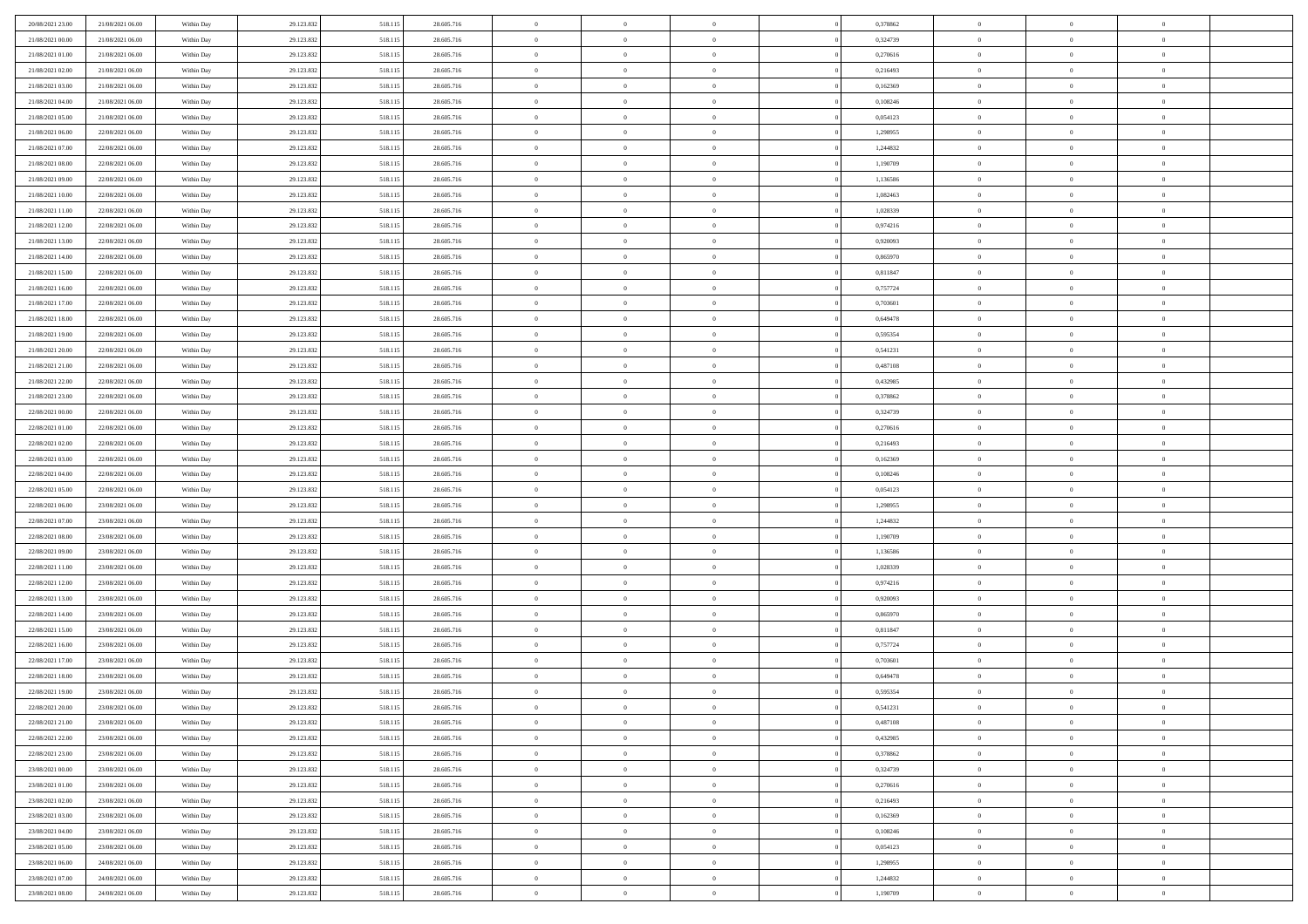| 20/08/2021 23:00 | 21/08/2021 06:00 | Within Day | 29.123.832 | 518.115 | 28.605.716 | $\,$ 0 $\,$    | $\overline{0}$ | $\overline{0}$ |          | 0,378862 | $\bf{0}$       | $\overline{0}$ | $\,0\,$        |  |
|------------------|------------------|------------|------------|---------|------------|----------------|----------------|----------------|----------|----------|----------------|----------------|----------------|--|
| 21/08/2021 00:00 | 21/08/2021 06:00 | Within Day | 29.123.832 | 518.115 | 28.605.716 | $\overline{0}$ | $\overline{0}$ | $\mathbf{0}$   |          | 0,324739 | $\theta$       | $\overline{0}$ | $\theta$       |  |
| 21/08/2021 01:00 | 21/08/2021 06:00 | Within Dav | 29.123.832 | 518.115 | 28.605.716 | $\theta$       | $\overline{0}$ | $\overline{0}$ |          | 0,270616 | $\mathbf{0}$   | $\overline{0}$ | $\overline{0}$ |  |
| 21/08/2021 02:00 | 21/08/2021 06:00 | Within Day | 29.123.832 | 518.115 | 28.605.716 | $\,$ 0 $\,$    | $\overline{0}$ | $\overline{0}$ |          | 0,216493 | $\mathbf{0}$   | $\overline{0}$ | $\bf{0}$       |  |
| 21/08/2021 03:00 | 21/08/2021 06:00 | Within Day | 29.123.832 | 518.115 | 28.605.716 | $\,$ 0         | $\overline{0}$ | $\mathbf{0}$   |          | 0,162369 | $\bf{0}$       | $\bf{0}$       | $\,0\,$        |  |
| 21/08/2021 04:00 | 21/08/2021 06:00 | Within Day | 29.123.832 | 518.115 | 28.605.716 | $\theta$       | $\overline{0}$ | $\mathbf{0}$   |          | 0,108246 | $\mathbf{0}$   | $\overline{0}$ | $\overline{0}$ |  |
| 21/08/2021 05:00 | 21/08/2021 06:00 | Within Day | 29.123.832 | 518.115 | 28.605.716 | $\,$ 0 $\,$    | $\overline{0}$ | $\overline{0}$ |          | 0,054123 | $\bf{0}$       | $\overline{0}$ | $\bf{0}$       |  |
| 21/08/2021 06:00 | 22/08/2021 06:00 | Within Day | 29.123.832 | 518.115 | 28.605.716 | $\,$ 0         | $\overline{0}$ | $\mathbf{0}$   |          | 1,298955 | $\,$ 0 $\,$    | $\overline{0}$ | $\theta$       |  |
| 21/08/2021 07:00 | 22/08/2021 06:00 | Within Day | 29.123.832 | 518.115 | 28.605.716 | $\theta$       | $\overline{0}$ | $\mathbf{0}$   |          | 1,244832 | $\mathbf{0}$   | $\overline{0}$ | $\overline{0}$ |  |
| 21/08/2021 08:00 | 22/08/2021 06:00 | Within Day | 29.123.832 | 518.115 | 28.605.716 | $\,$ 0 $\,$    | $\overline{0}$ | $\Omega$       |          | 1,190709 | $\bf{0}$       | $\overline{0}$ | $\bf{0}$       |  |
| 21/08/2021 09:00 | 22/08/2021 06:00 | Within Day | 29.123.832 | 518.115 | 28.605.716 | $\bf{0}$       | $\overline{0}$ | $\mathbf{0}$   |          | 1,136586 | $\bf{0}$       | $\mathbf{0}$   | $\theta$       |  |
| 21/08/2021 10:00 | 22/08/2021 06:00 | Within Day | 29.123.832 | 518.115 | 28.605.716 | $\theta$       | $\overline{0}$ | $\overline{0}$ |          | 1,082463 | $\mathbf{0}$   | $\overline{0}$ | $\overline{0}$ |  |
| 21/08/2021 11:00 | 22/08/2021 06:00 | Within Day | 29.123.832 | 518.115 | 28.605.716 | $\,$ 0 $\,$    | $\overline{0}$ | $\overline{0}$ |          | 1,028339 | $\bf{0}$       | $\overline{0}$ | $\bf{0}$       |  |
| 21/08/2021 12:00 | 22/08/2021 06:00 | Within Day | 29.123.832 | 518.115 | 28.605.716 | $\,$ 0         | $\overline{0}$ | $\mathbf{0}$   |          | 0,974216 | $\bf{0}$       | $\mathbf{0}$   | $\,0\,$        |  |
| 21/08/2021 13:00 | 22/08/2021 06:00 | Within Day | 29.123.832 | 518.115 | 28.605.716 | $\theta$       | $\overline{0}$ | $\overline{0}$ |          | 0,920093 | $\mathbf{0}$   | $\overline{0}$ | $\overline{0}$ |  |
| 21/08/2021 14:00 | 22/08/2021 06:00 | Within Day | 29.123.832 | 518.115 | 28.605.716 | $\,$ 0 $\,$    | $\overline{0}$ | $\Omega$       |          | 0,865970 | $\bf{0}$       | $\overline{0}$ | $\bf{0}$       |  |
| 21/08/2021 15:00 | 22/08/2021 06:00 | Within Day | 29.123.832 | 518.115 | 28.605.716 | $\,$ 0 $\,$    | $\overline{0}$ | $\mathbf{0}$   |          | 0,811847 | $\mathbf{0}$   | $\overline{0}$ | $\theta$       |  |
| 21/08/2021 16:00 | 22/08/2021 06:00 | Within Day | 29.123.832 | 518.115 | 28.605.716 | $\theta$       | $\overline{0}$ | $\mathbf{0}$   |          | 0,757724 | $\mathbf{0}$   | $\overline{0}$ | $\overline{0}$ |  |
| 21/08/2021 17:00 | 22/08/2021 06:00 | Within Day | 29.123.832 | 518.115 | 28.605.716 | $\,$ 0 $\,$    | $\overline{0}$ | $\Omega$       |          | 0,703601 | $\bf{0}$       | $\overline{0}$ | $\bf{0}$       |  |
| 21/08/2021 18:00 | 22/08/2021 06:00 | Within Day | 29.123.832 | 518.115 | 28.605.716 | $\bf{0}$       | $\overline{0}$ | $\mathbf{0}$   |          | 0,649478 | $\bf{0}$       | $\overline{0}$ | $\bf{0}$       |  |
| 21/08/2021 19:00 | 22/08/2021 06:00 | Within Day | 29.123.832 | 518.115 | 28.605.716 | $\theta$       | $\overline{0}$ | $\overline{0}$ |          | 0,595354 | $\mathbf{0}$   | $\overline{0}$ | $\overline{0}$ |  |
| 21/08/2021 20:00 | 22/08/2021 06:00 | Within Day | 29.123.832 | 518.115 | 28.605.716 | $\,$ 0 $\,$    | $\overline{0}$ | $\overline{0}$ |          | 0,541231 | $\bf{0}$       | $\overline{0}$ | $\bf{0}$       |  |
| 21/08/2021 21:00 | 22/08/2021 06:00 | Within Day | 29.123.832 | 518.115 | 28.605.716 | $\,$ 0         | $\overline{0}$ | $\mathbf{0}$   |          | 0,487108 | $\bf{0}$       | $\overline{0}$ | $\,0\,$        |  |
| 21/08/2021 22:00 | 22/08/2021 06:00 | Within Day | 29.123.832 | 518.115 | 28.605.716 | $\theta$       | $\overline{0}$ | $\mathbf{0}$   |          | 0,432985 | $\mathbf{0}$   | $\overline{0}$ | $\overline{0}$ |  |
| 21/08/2021 23:00 | 22/08/2021 06:00 | Within Day | 29.123.832 | 518.115 | 28.605.716 | $\,$ 0 $\,$    | $\overline{0}$ | $\overline{0}$ |          | 0,378862 | $\bf{0}$       | $\overline{0}$ | $\bf{0}$       |  |
| 22/08/2021 00:00 | 22/08/2021 06:00 | Within Day | 29.123.832 | 518.115 | 28.605.716 | $\,$ 0 $\,$    | $\overline{0}$ | $\mathbf{0}$   |          | 0,324739 | $\mathbf{0}$   | $\overline{0}$ | $\theta$       |  |
| 22/08/2021 01:00 | 22/08/2021 06:00 | Within Day | 29.123.832 | 518.115 | 28.605.716 | $\theta$       | $\overline{0}$ | $\overline{0}$ |          | 0,270616 | $\mathbf{0}$   | $\overline{0}$ | $\overline{0}$ |  |
| 22/08/2021 02:00 | 22/08/2021 06:00 | Within Day | 29.123.832 | 518.115 | 28.605.716 | $\,$ 0 $\,$    | $\overline{0}$ | $\Omega$       |          | 0,216493 | $\bf{0}$       | $\overline{0}$ | $\bf{0}$       |  |
| 22/08/2021 03:00 | 22/08/2021 06:00 | Within Day | 29.123.832 | 518.115 | 28.605.716 | $\bf{0}$       | $\overline{0}$ | $\mathbf{0}$   |          | 0,162369 | $\bf{0}$       | $\overline{0}$ | $\overline{0}$ |  |
| 22/08/2021 04:00 | 22/08/2021 06:00 | Within Day | 29.123.832 | 518.115 | 28.605.716 | $\theta$       | $\overline{0}$ | $\overline{0}$ |          | 0,108246 | $\mathbf{0}$   | $\overline{0}$ | $\overline{0}$ |  |
| 22/08/2021 05:00 | 22/08/2021 06:00 | Within Day | 29.123.832 | 518.115 | 28.605.716 | $\,$ 0 $\,$    | $\overline{0}$ | $\overline{0}$ |          | 0,054123 | $\,$ 0         | $\overline{0}$ | $\,$ 0 $\,$    |  |
| 22/08/2021 06:00 | 23/08/2021 06:00 | Within Day | 29.123.832 | 518.115 | 28.605.716 | $\,$ 0         | $\overline{0}$ | $\overline{0}$ |          | 1,298955 | $\bf{0}$       | $\overline{0}$ | $\overline{0}$ |  |
| 22/08/2021 07:00 | 23/08/2021 06:00 | Within Day | 29.123.832 | 518.115 | 28.605.716 | $\theta$       | $\overline{0}$ | $\overline{0}$ |          | 1,244832 | $\mathbf{0}$   | $\overline{0}$ | $\overline{0}$ |  |
| 22/08/2021 08:00 | 23/08/2021 06:00 | Within Day | 29.123.832 | 518.115 | 28.605.716 | $\theta$       | $\overline{0}$ | $\overline{0}$ |          | 1,190709 | $\,$ 0         | $\overline{0}$ | $\theta$       |  |
| 22/08/2021 09:00 | 23/08/2021 06:00 | Within Day | 29.123.832 | 518.115 | 28.605.716 | $\bf{0}$       | $\overline{0}$ | $\mathbf{0}$   |          | 1,136586 | $\mathbf{0}$   | $\overline{0}$ | $\overline{0}$ |  |
| 22/08/2021 11:00 | 23/08/2021 06:00 | Within Day | 29.123.832 | 518.115 | 28.605.716 | $\theta$       | $\overline{0}$ | $\mathbf{0}$   |          | 1,028339 | $\mathbf{0}$   | $\overline{0}$ | $\overline{0}$ |  |
| 22/08/2021 12:00 | 23/08/2021 06:00 | Within Day | 29.123.832 | 518.115 | 28.605.716 | $\theta$       | $\overline{0}$ | $\overline{0}$ |          | 0,974216 | $\,$ 0 $\,$    | $\overline{0}$ | $\theta$       |  |
| 22/08/2021 13:00 | 23/08/2021 06:00 | Within Day | 29.123.832 | 518.115 | 28.605.716 | $\bf{0}$       | $\overline{0}$ | $\mathbf{0}$   |          | 0,920093 | $\bf{0}$       | $\overline{0}$ | $\overline{0}$ |  |
| 22/08/2021 14:00 | 23/08/2021 06:00 | Within Day | 29.123.832 | 518.115 | 28.605.716 | $\theta$       | $\overline{0}$ | $\overline{0}$ |          | 0,865970 | $\mathbf{0}$   | $\overline{0}$ | $\overline{0}$ |  |
| 22/08/2021 15:00 | 23/08/2021 06:00 | Within Day | 29.123.832 | 518.115 | 28.605.716 | $\,$ 0 $\,$    | $\overline{0}$ | $\overline{0}$ |          | 0,811847 | $\,$ 0         | $\overline{0}$ | $\,$ 0 $\,$    |  |
| 22/08/2021 16:00 | 23/08/2021 06:00 | Within Day | 29.123.832 | 518.115 | 28.605.716 | $\,$ 0 $\,$    | $\,$ 0 $\,$    | $\overline{0}$ |          | 0,757724 | $\,$ 0 $\,$    | $\overline{0}$ | $\overline{0}$ |  |
| 22/08/2021 17:00 | 23/08/2021 06:00 | Within Day | 29.123.832 | 518.115 | 28.605.716 | $\theta$       | $\overline{0}$ | $\mathbf{0}$   |          | 0,703601 | $\mathbf{0}$   | $\overline{0}$ | $\theta$       |  |
| 22/08/2021 18:00 | 23/08/2021 06:00 | Within Day | 29.123.832 | 518.115 | 28.605.716 | $\theta$       | $\overline{0}$ | $\overline{0}$ |          | 0,649478 | $\,$ 0         | $\overline{0}$ | $\theta$       |  |
| 22/08/2021 19:00 | 23/08/2021 06:00 | Within Day | 29.123.832 | 518.115 | 28.605.716 | $\,$ 0 $\,$    | $\,$ 0 $\,$    | $\mathbf{0}$   |          | 0,595354 | $\,$ 0 $\,$    | $\overline{0}$ | $\overline{0}$ |  |
| 22/08/2021 20:00 | 23/08/2021 06:00 | Within Day | 29.123.832 | 518.115 | 28.605.716 | $\overline{0}$ | $\theta$       |                |          | 0,541231 | $\overline{0}$ | $\theta$       | $\theta$       |  |
| 22/08/2021 21:00 | 23/08/2021 06:00 | Within Day | 29.123.832 | 518.115 | 28.605.716 | $\,$ 0 $\,$    | $\overline{0}$ | $\overline{0}$ |          | 0,487108 | $\,$ 0 $\,$    | $\bf{0}$       | $\theta$       |  |
| 22/08/2021 22:00 | 23/08/2021 06:00 | Within Day | 29.123.832 | 518.115 | 28.605.716 | $\bf{0}$       | $\,$ 0 $\,$    | $\overline{0}$ |          | 0,432985 | $\,$ 0 $\,$    | $\overline{0}$ | $\overline{0}$ |  |
| 22/08/2021 23:00 | 23/08/2021 06:00 | Within Day | 29.123.832 | 518.115 | 28.605.716 | $\mathbf{0}$   | $\overline{0}$ | $\overline{0}$ |          | 0,378862 | $\,$ 0 $\,$    | $\bf{0}$       | $\mathbf{0}$   |  |
| 23/08/2021 00:00 | 23/08/2021 06:00 | Within Day | 29.123.832 | 518.115 | 28.605.716 | $\,0\,$        | $\overline{0}$ | $\overline{0}$ | $\theta$ | 0,324739 | $\,$ 0 $\,$    | $\bf{0}$       | $\,$ 0 $\,$    |  |
| 23/08/2021 01:00 | 23/08/2021 06:00 | Within Day | 29.123.832 | 518.115 | 28.605.716 | $\,$ 0 $\,$    | $\,$ 0 $\,$    | $\overline{0}$ |          | 0,270616 | $\,$ 0 $\,$    | $\overline{0}$ | $\overline{0}$ |  |
| 23/08/2021 02:00 | 23/08/2021 06:00 | Within Day | 29.123.832 | 518.115 | 28.605.716 | $\mathbf{0}$   | $\overline{0}$ | $\overline{0}$ |          | 0,216493 | $\mathbf{0}$   | $\overline{0}$ | $\overline{0}$ |  |
| 23/08/2021 03:00 | 23/08/2021 06:00 | Within Day | 29.123.832 | 518.115 | 28.605.716 | $\,$ 0 $\,$    | $\overline{0}$ | $\overline{0}$ |          | 0,162369 | $\,$ 0 $\,$    | $\mathbf{0}$   | $\,$ 0 $\,$    |  |
| 23/08/2021 04:00 | 23/08/2021 06:00 | Within Day | 29.123.832 | 518.115 | 28.605.716 | $\bf{0}$       | $\overline{0}$ | $\overline{0}$ |          | 0,108246 | $\,$ 0 $\,$    | $\overline{0}$ | $\overline{0}$ |  |
| 23/08/2021 05:00 | 23/08/2021 06:00 | Within Day | 29.123.832 | 518.115 | 28.605.716 | $\mathbf{0}$   | $\overline{0}$ | $\overline{0}$ |          | 0,054123 | $\mathbf{0}$   | $\bf{0}$       | $\overline{0}$ |  |
| 23/08/2021 06:00 | 24/08/2021 06:00 | Within Day | 29.123.832 | 518.115 | 28.605.716 | $\,0\,$        | $\overline{0}$ | $\overline{0}$ |          | 1,298955 | $\,$ 0 $\,$    | $\mathbf{0}$   | $\,$ 0 $\,$    |  |
| 23/08/2021 07:00 | 24/08/2021 06:00 | Within Day | 29.123.832 | 518.115 | 28.605.716 | $\,$ 0 $\,$    | $\,$ 0 $\,$    | $\overline{0}$ |          | 1,244832 | $\bf{0}$       | $\overline{0}$ | $\overline{0}$ |  |
| 23/08/2021 08:00 | 24/08/2021 06:00 | Within Day | 29.123.832 | 518.115 | 28.605.716 | $\mathbf{0}$   | $\overline{0}$ | $\overline{0}$ |          | 1,190709 | $\mathbf{0}$   | $\overline{0}$ | $\overline{0}$ |  |
|                  |                  |            |            |         |            |                |                |                |          |          |                |                |                |  |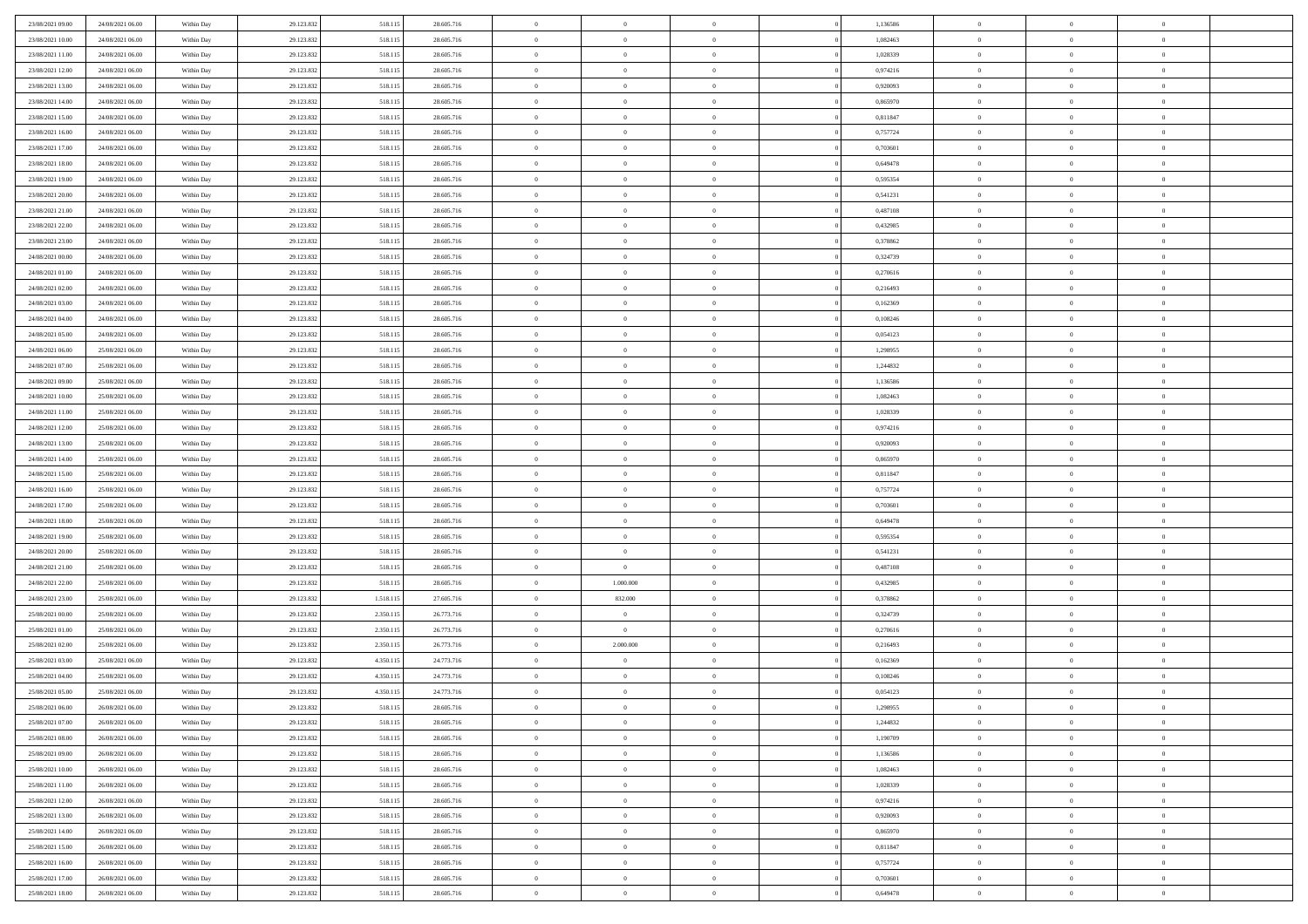| 23/08/2021 09:00 | 24/08/2021 06:00 | Within Day | 29.123.832 | 518.115   | 28.605.716 | $\,$ 0 $\,$    | $\overline{0}$ | $\overline{0}$ |          | 1,136586 | $\bf{0}$       | $\overline{0}$ | $\,0\,$        |  |
|------------------|------------------|------------|------------|-----------|------------|----------------|----------------|----------------|----------|----------|----------------|----------------|----------------|--|
| 23/08/2021 10:00 | 24/08/2021 06:00 | Within Day | 29.123.832 | 518.115   | 28.605.716 | $\overline{0}$ | $\overline{0}$ | $\mathbf{0}$   |          | 1.082463 | $\theta$       | $\overline{0}$ | $\theta$       |  |
| 23/08/2021 11:00 | 24/08/2021 06:00 | Within Day | 29.123.832 | 518.115   | 28.605.716 | $\theta$       | $\overline{0}$ | $\overline{0}$ |          | 1,028339 | $\mathbf{0}$   | $\overline{0}$ | $\overline{0}$ |  |
| 23/08/2021 12:00 | 24/08/2021 06:00 | Within Day | 29.123.832 | 518.115   | 28.605.716 | $\,$ 0 $\,$    | $\overline{0}$ | $\overline{0}$ |          | 0,974216 | $\bf{0}$       | $\overline{0}$ | $\bf{0}$       |  |
| 23/08/2021 13:00 | 24/08/2021 06:00 | Within Day | 29.123.832 | 518.115   | 28.605.716 | $\,$ 0         | $\overline{0}$ | $\mathbf{0}$   |          | 0,920093 | $\bf{0}$       | $\bf{0}$       | $\,0\,$        |  |
| 23/08/2021 14:00 | 24/08/2021 06:00 | Within Day | 29.123.832 | 518.115   | 28.605.716 | $\theta$       | $\overline{0}$ | $\mathbf{0}$   |          | 0,865970 | $\mathbf{0}$   | $\overline{0}$ | $\overline{0}$ |  |
| 23/08/2021 15:00 | 24/08/2021 06:00 | Within Day | 29.123.832 | 518.115   | 28.605.716 | $\,$ 0 $\,$    | $\overline{0}$ | $\overline{0}$ |          | 0,811847 | $\bf{0}$       | $\overline{0}$ | $\bf{0}$       |  |
| 23/08/2021 16:00 | 24/08/2021 06:00 | Within Day | 29.123.832 | 518.115   | 28.605.716 | $\,$ 0         | $\overline{0}$ | $\mathbf{0}$   |          | 0,757724 | $\,$ 0 $\,$    | $\overline{0}$ | $\theta$       |  |
| 23/08/2021 17:00 | 24/08/2021 06:00 | Within Day | 29.123.832 | 518.115   | 28.605.716 | $\theta$       | $\overline{0}$ | $\mathbf{0}$   |          | 0,703601 | $\mathbf{0}$   | $\overline{0}$ | $\overline{0}$ |  |
| 23/08/2021 18:00 | 24/08/2021 06:00 | Within Day | 29.123.832 | 518.115   | 28.605.716 | $\,$ 0 $\,$    | $\overline{0}$ | $\Omega$       |          | 0,649478 | $\bf{0}$       | $\overline{0}$ | $\bf{0}$       |  |
| 23/08/2021 19:00 | 24/08/2021 06:00 | Within Day | 29.123.832 | 518.115   | 28.605.716 | $\bf{0}$       | $\overline{0}$ | $\mathbf{0}$   |          | 0,595354 | $\bf{0}$       | $\mathbf{0}$   | $\theta$       |  |
| 23/08/2021 20:00 | 24/08/2021 06:00 | Within Day | 29.123.832 | 518.115   | 28.605.716 | $\theta$       | $\overline{0}$ | $\overline{0}$ |          | 0,541231 | $\mathbf{0}$   | $\overline{0}$ | $\overline{0}$ |  |
| 23/08/2021 21:00 | 24/08/2021 06:00 | Within Day | 29.123.832 | 518.115   | 28.605.716 | $\,$ 0 $\,$    | $\overline{0}$ | $\overline{0}$ |          | 0,487108 | $\bf{0}$       | $\overline{0}$ | $\bf{0}$       |  |
| 23/08/2021 22:00 | 24/08/2021 06:00 | Within Day | 29.123.832 | 518.115   | 28.605.716 | $\,$ 0         | $\overline{0}$ | $\mathbf{0}$   |          | 0,432985 | $\bf{0}$       | $\theta$       | $\,0\,$        |  |
| 23/08/2021 23:00 | 24/08/2021 06:00 | Within Day | 29.123.832 | 518.115   | 28.605.716 | $\theta$       | $\overline{0}$ | $\mathbf{0}$   |          | 0,378862 | $\mathbf{0}$   | $\overline{0}$ | $\overline{0}$ |  |
| 24/08/2021 00:00 | 24/08/2021 06:00 | Within Day | 29.123.832 | 518.115   | 28.605.716 | $\,$ 0 $\,$    | $\overline{0}$ | $\Omega$       |          | 0,324739 | $\bf{0}$       | $\overline{0}$ | $\bf{0}$       |  |
| 24/08/2021 01:00 | 24/08/2021 06:00 | Within Day | 29.123.832 | 518.115   | 28.605.716 | $\,$ 0 $\,$    | $\overline{0}$ | $\mathbf{0}$   |          | 0,270616 | $\bf{0}$       | $\overline{0}$ | $\theta$       |  |
| 24/08/2021 02:00 | 24/08/2021 06:00 | Within Day | 29.123.832 | 518.115   | 28.605.716 | $\theta$       | $\overline{0}$ | $\mathbf{0}$   |          | 0,216493 | $\mathbf{0}$   | $\overline{0}$ | $\overline{0}$ |  |
| 24/08/2021 03:00 | 24/08/2021 06:00 | Within Day | 29.123.832 | 518.115   | 28.605.716 | $\,$ 0 $\,$    | $\overline{0}$ | $\Omega$       |          | 0,162369 | $\bf{0}$       | $\overline{0}$ | $\,0\,$        |  |
| 24/08/2021 04:00 | 24/08/2021 06:00 | Within Day | 29.123.832 | 518.115   | 28.605.716 | $\bf{0}$       | $\overline{0}$ | $\mathbf{0}$   |          | 0,108246 | $\bf{0}$       | $\mathbf{0}$   | $\theta$       |  |
| 24/08/2021 05:00 | 24/08/2021 06:00 | Within Day | 29.123.832 | 518.115   | 28.605.716 | $\theta$       | $\overline{0}$ | $\mathbf{0}$   |          | 0,054123 | $\mathbf{0}$   | $\overline{0}$ | $\overline{0}$ |  |
| 24/08/2021 06:00 | 25/08/2021 06:00 | Within Day | 29.123.832 | 518.115   | 28.605.716 | $\,$ 0 $\,$    | $\overline{0}$ | $\overline{0}$ |          | 1,298955 | $\bf{0}$       | $\overline{0}$ | $\bf{0}$       |  |
| 24/08/2021 07:00 | 25/08/2021 06:00 | Within Day | 29.123.832 | 518.115   | 28.605.716 | $\,$ 0         | $\overline{0}$ | $\mathbf{0}$   |          | 1,244832 | $\,$ 0 $\,$    | $\overline{0}$ | $\,0\,$        |  |
| 24/08/2021 09:00 | 25/08/2021 06:00 | Within Day | 29.123.832 | 518.115   | 28.605.716 | $\theta$       | $\overline{0}$ | $\mathbf{0}$   |          | 1,136586 | $\mathbf{0}$   | $\overline{0}$ | $\overline{0}$ |  |
| 24/08/2021 10:00 | 25/08/2021 06:00 | Within Day | 29.123.832 | 518.115   | 28.605.716 | $\,$ 0 $\,$    | $\overline{0}$ | $\overline{0}$ |          | 1,082463 | $\bf{0}$       | $\overline{0}$ | $\bf{0}$       |  |
| 24/08/2021 11:00 | 25/08/2021 06:00 | Within Day | 29.123.832 | 518.115   | 28.605.716 | $\,$ 0         | $\overline{0}$ | $\mathbf{0}$   |          | 1,028339 | $\mathbf{0}$   | $\overline{0}$ | $\theta$       |  |
| 24/08/2021 12:00 | 25/08/2021 06:00 | Within Day | 29.123.832 | 518.115   | 28.605.716 | $\theta$       | $\overline{0}$ | $\overline{0}$ |          | 0,974216 | $\mathbf{0}$   | $\overline{0}$ | $\overline{0}$ |  |
| 24/08/2021 13:00 | 25/08/2021 06:00 | Within Day | 29.123.832 | 518.115   | 28.605.716 | $\,$ 0 $\,$    | $\overline{0}$ | $\overline{0}$ |          | 0,920093 | $\bf{0}$       | $\overline{0}$ | $\bf{0}$       |  |
| 24/08/2021 14:00 | 25/08/2021 06:00 | Within Day | 29.123.832 | 518.115   | 28.605.716 | $\bf{0}$       | $\overline{0}$ | $\mathbf{0}$   |          | 0,865970 | $\bf{0}$       | $\mathbf{0}$   | $\overline{0}$ |  |
| 24/08/2021 15:00 | 25/08/2021 06:00 | Within Day | 29.123.832 | 518.115   | 28.605.716 | $\theta$       | $\overline{0}$ | $\overline{0}$ |          | 0,811847 | $\mathbf{0}$   | $\overline{0}$ | $\overline{0}$ |  |
| 24/08/2021 16:00 | 25/08/2021 06:00 | Within Day | 29.123.832 | 518.115   | 28.605.716 | $\,$ 0 $\,$    | $\overline{0}$ | $\overline{0}$ |          | 0,757724 | $\,$ 0         | $\overline{0}$ | $\,$ 0 $\,$    |  |
| 24/08/2021 17:00 | 25/08/2021 06:00 | Within Day | 29.123.832 | 518.115   | 28.605.716 | $\,$ 0         | $\overline{0}$ | $\mathbf{0}$   |          | 0,703601 | $\bf{0}$       | $\overline{0}$ | $\overline{0}$ |  |
| 24/08/2021 18:00 | 25/08/2021 06:00 | Within Day | 29.123.832 | 518.115   | 28.605.716 | $\theta$       | $\overline{0}$ | $\mathbf{0}$   |          | 0,649478 | $\mathbf{0}$   | $\overline{0}$ | $\overline{0}$ |  |
| 24/08/2021 19:00 | 25/08/2021 06:00 | Within Day | 29.123.832 | 518.115   | 28.605.716 | $\theta$       | $\overline{0}$ | $\overline{0}$ |          | 0,595354 | $\,$ 0         | $\overline{0}$ | $\theta$       |  |
| 24/08/2021 20:00 | 25/08/2021 06:00 | Within Day | 29.123.832 | 518.115   | 28.605.716 | $\bf{0}$       | $\overline{0}$ | $\mathbf{0}$   |          | 0,541231 | $\mathbf{0}$   | $\overline{0}$ | $\overline{0}$ |  |
| 24/08/2021 21:00 | 25/08/2021 06:00 | Within Day | 29.123.832 | 518.115   | 28.605.716 | $\theta$       | $\overline{0}$ | $\overline{0}$ |          | 0,487108 | $\mathbf{0}$   | $\overline{0}$ | $\overline{0}$ |  |
| 24/08/2021 22:00 | 25/08/2021 06:00 | Within Day | 29.123.832 | 518.115   | 28.605.716 | $\theta$       | 1.000.000      | $\overline{0}$ |          | 0,432985 | $\,$ 0         | $\overline{0}$ | $\theta$       |  |
| 24/08/2021 23:00 | 25/08/2021 06:00 | Within Day | 29.123.832 | 1.518.115 | 27.605.716 | $\bf{0}$       | 832.000        | $\mathbf{0}$   |          | 0,378862 | $\bf{0}$       | $\mathbf{0}$   | $\overline{0}$ |  |
| 25/08/2021 00:00 | 25/08/2021 06:00 | Within Day | 29.123.832 | 2.350.115 | 26.773.716 | $\theta$       | $\overline{0}$ | $\overline{0}$ |          | 0,324739 | $\mathbf{0}$   | $\overline{0}$ | $\overline{0}$ |  |
| 25/08/2021 01:00 | 25/08/2021 06:00 | Within Day | 29.123.832 | 2.350.115 | 26.773.716 | $\,$ 0 $\,$    | $\overline{0}$ | $\overline{0}$ |          | 0,270616 | $\,$ 0         | $\overline{0}$ | $\,$ 0 $\,$    |  |
| 25/08/2021 02:00 | 25/08/2021 06:00 | Within Day | 29.123.832 | 2.350.115 | 26.773.716 | $\,$ 0 $\,$    | 2.000.000      | $\overline{0}$ |          | 0,216493 | $\,$ 0 $\,$    | $\overline{0}$ | $\bf{0}$       |  |
| 25/08/2021 03:00 | 25/08/2021 06:00 | Within Day | 29.123.832 | 4.350.115 | 24.773.716 | $\theta$       | $\overline{0}$ | $\mathbf{0}$   |          | 0,162369 | $\mathbf{0}$   | $\overline{0}$ | $\theta$       |  |
| 25/08/2021 04:00 | 25/08/2021 06:00 | Within Day | 29.123.832 | 4.350.115 | 24.773.716 | $\theta$       | $\overline{0}$ | $\overline{0}$ |          | 0,108246 | $\,$ 0         | $\overline{0}$ | $\theta$       |  |
| 25/08/2021 05:00 | 25/08/2021 06:00 | Within Day | 29.123.832 | 4.350.115 | 24.773.716 | $\,$ 0         | $\,$ 0 $\,$    | $\mathbf{0}$   |          | 0,054123 | $\mathbf{0}$   | $\overline{0}$ | $\bf{0}$       |  |
| 25/08/2021 06:00 | 26/08/2021 06:00 | Within Day | 29.123.832 | 518.115   | 28.605.716 | $\overline{0}$ | $\theta$       |                |          | 1,298955 | $\overline{0}$ | $\theta$       | $\theta$       |  |
| 25/08/2021 07:00 | 26/08/2021 06:00 | Within Day | 29.123.832 | 518.115   | 28.605.716 | $\,$ 0 $\,$    | $\overline{0}$ | $\overline{0}$ |          | 1,244832 | $\,$ 0 $\,$    | $\bf{0}$       | $\theta$       |  |
| 25/08/2021 08:00 | 26/08/2021 06:00 | Within Day | 29.123.832 | 518.115   | 28.605.716 | $\bf{0}$       | $\,$ 0 $\,$    | $\overline{0}$ |          | 1,190709 | $\,$ 0 $\,$    | $\overline{0}$ | $\overline{0}$ |  |
| 25/08/2021 09:00 | 26/08/2021 06:00 | Within Day | 29.123.832 | 518.115   | 28.605.716 | $\mathbf{0}$   | $\overline{0}$ | $\overline{0}$ |          | 1,136586 | $\,$ 0 $\,$    | $\bf{0}$       | $\mathbf{0}$   |  |
| 25/08/2021 10:00 | 26/08/2021 06:00 | Within Day | 29.123.832 | 518.115   | 28.605.716 | $\,$ 0 $\,$    | $\overline{0}$ | $\overline{0}$ | $\theta$ | 1,082463 | $\,$ 0 $\,$    | $\bf{0}$       | $\,$ 0 $\,$    |  |
| 25/08/2021 11:00 | 26/08/2021 06:00 | Within Day | 29.123.832 | 518.115   | 28.605.716 | $\,$ 0 $\,$    | $\,$ 0 $\,$    | $\overline{0}$ |          | 1,028339 | $\,$ 0 $\,$    | $\overline{0}$ | $\overline{0}$ |  |
| 25/08/2021 12:00 | 26/08/2021 06:00 | Within Day | 29.123.832 | 518.115   | 28.605.716 | $\overline{0}$ | $\overline{0}$ | $\overline{0}$ |          | 0,974216 | $\mathbf{0}$   | $\overline{0}$ | $\mathbf{0}$   |  |
| 25/08/2021 13:00 | 26/08/2021 06:00 | Within Day | 29.123.832 | 518.115   | 28.605.716 | $\,$ 0 $\,$    | $\overline{0}$ | $\overline{0}$ |          | 0,920093 | $\,$ 0 $\,$    | $\overline{0}$ | $\,$ 0 $\,$    |  |
| 25/08/2021 14:00 | 26/08/2021 06:00 | Within Day | 29.123.832 | 518.115   | 28.605.716 | $\bf{0}$       | $\overline{0}$ | $\overline{0}$ |          | 0,865970 | $\,$ 0 $\,$    | $\overline{0}$ | $\overline{0}$ |  |
| 25/08/2021 15:00 | 26/08/2021 06:00 | Within Day | 29.123.832 | 518.115   | 28.605.716 | $\overline{0}$ | $\overline{0}$ | $\overline{0}$ |          | 0,811847 | $\mathbf{0}$   | $\bf{0}$       | $\mathbf{0}$   |  |
| 25/08/2021 16:00 | 26/08/2021 06:00 | Within Day | 29.123.832 | 518.115   | 28.605.716 | $\,$ 0 $\,$    | $\overline{0}$ | $\overline{0}$ |          | 0,757724 | $\,$ 0 $\,$    | $\overline{0}$ | $\,$ 0 $\,$    |  |
| 25/08/2021 17:00 | 26/08/2021 06:00 | Within Day | 29.123.832 | 518.115   | 28.605.716 | $\,$ 0 $\,$    | $\,$ 0 $\,$    | $\overline{0}$ |          | 0,703601 | $\,$ 0 $\,$    | $\overline{0}$ | $\overline{0}$ |  |
| 25/08/2021 18:00 | 26/08/2021 06:00 | Within Day | 29.123.832 | 518.115   | 28.605.716 | $\theta$       | $\overline{0}$ | $\overline{0}$ |          | 0,649478 | $\,$ 0 $\,$    | $\overline{0}$ | $\overline{0}$ |  |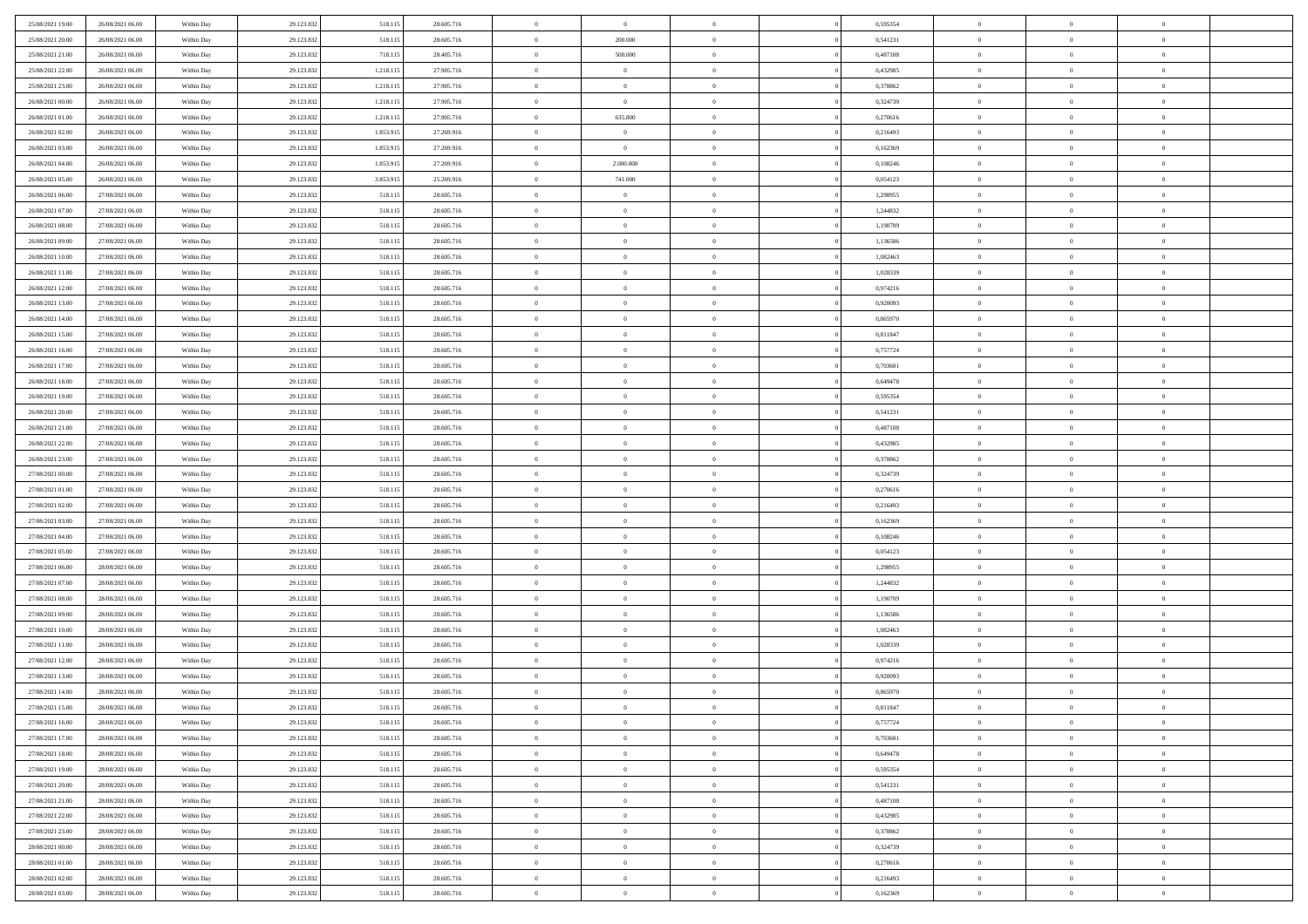| 25/08/2021 19:00                     | 26/08/2021 06:00                     | Within Day               | 29.123.832               | 518.115            | 28.605.716               | $\bf{0}$                 | $\bf{0}$                         | $\theta$                         |          | 0,595354             | $\bf{0}$                 | $\overline{0}$                   | $\,0\,$                          |  |
|--------------------------------------|--------------------------------------|--------------------------|--------------------------|--------------------|--------------------------|--------------------------|----------------------------------|----------------------------------|----------|----------------------|--------------------------|----------------------------------|----------------------------------|--|
| 25/08/2021 20:00                     | 26/08/2021 06:00                     | Within Day               | 29.123.832               | 518.115            | 28.605.716               | $\overline{0}$           | 200,000                          | $\overline{0}$                   |          | 0,541231             | $\theta$                 | $\overline{0}$                   | $\theta$                         |  |
| 25/08/2021 21:00                     | 26/08/2021 06:00                     | Within Dav               | 29.123.832               | 718.115            | 28.405.716               | $\overline{0}$           | 500.000                          | $\overline{0}$                   |          | 0,487108             | $\mathbf{0}$             | $\overline{0}$                   | $\overline{0}$                   |  |
| 25/08/2021 22.00                     | 26/08/2021 06:00                     | Within Day               | 29.123.832               | 1.218.115          | 27.905.716               | $\bf{0}$                 | $\overline{0}$                   | $\bf{0}$                         |          | 0,432985             | $\bf{0}$                 | $\overline{0}$                   | $\bf{0}$                         |  |
| 25/08/2021 23:00                     | 26/08/2021 06:00                     | Within Day               | 29.123.832               | 1.218.115          | 27.905.716               | $\bf{0}$                 | $\overline{0}$                   | $\overline{0}$                   |          | 0,378862             | $\bf{0}$                 | $\bf{0}$                         | $\,0\,$                          |  |
| 26/08/2021 00:00                     | 26/08/2021 06:00                     | Within Dav               | 29.123.832               | 1.218.115          | 27.905.716               | $\overline{0}$           | $\overline{0}$                   | $\overline{0}$                   |          | 0,324739             | $\mathbf{0}$             | $\overline{0}$                   | $\overline{0}$                   |  |
| 26/08/2021 01:00                     | 26/08/2021 06:00                     | Within Day               | 29.123.832               | 1.218.115          | 27.905.716               | $\bf{0}$                 | 635.800                          | $\overline{0}$                   |          | 0,270616             | $\bf{0}$                 | $\overline{0}$                   | $\,0\,$                          |  |
| 26/08/2021 02:00                     | 26/08/2021 06:00                     | Within Day               | 29.123.832               | 1.853.915          | 27.269.916               | $\overline{0}$           | $\overline{0}$                   | $\overline{0}$                   |          | 0,216493             | $\,$ 0 $\,$              | $\overline{0}$                   | $\theta$                         |  |
| 26/08/2021 03:00                     | 26/08/2021 06:00                     | Within Dav               | 29.123.832               | 1.853.915          | 27.269.916               | $\mathbf{0}$             | $\overline{0}$                   | $\overline{0}$                   |          | 0,162369             | $\mathbf{0}$             | $\overline{0}$                   | $\overline{0}$                   |  |
| 26/08/2021 04:00                     | 26/08/2021 06:00                     | Within Day               | 29.123.832               | 1.853.915          | 27.269.916               | $\bf{0}$                 | 2.000.000                        | $\overline{0}$                   |          | 0,108246             | $\bf{0}$                 | $\overline{0}$                   | $\,0\,$                          |  |
| 26/08/2021 05:00                     | 26/08/2021 06:00                     | Within Day               | 29.123.832               | 3.853.915          | 25.269.916               | $\bf{0}$                 | 741.000                          | $\overline{0}$                   |          | 0,054123             | $\bf{0}$                 | $\overline{0}$                   | $\theta$                         |  |
| 26/08/2021 06:00                     | 27/08/2021 06:00                     | Within Dav               | 29.123.832               | 518.115            | 28.605.716               | $\mathbf{0}$             | $\overline{0}$                   | $\overline{0}$                   |          | 1,298955             | $\mathbf{0}$             | $\overline{0}$                   | $\overline{0}$                   |  |
| 26/08/2021 07:00                     | 27/08/2021 06:00                     | Within Day               | 29.123.832               | 518.115            | 28.605.716               | $\bf{0}$                 | $\overline{0}$                   | $\bf{0}$                         |          | 1,244832             | $\bf{0}$                 | $\overline{0}$                   | $\bf{0}$                         |  |
| 26/08/2021 08:00                     | 27/08/2021 06:00                     | Within Day               | 29.123.832               | 518.115            | 28.605.716               | $\bf{0}$                 | $\bf{0}$                         | $\overline{0}$                   |          | 1,190709             | $\bf{0}$                 | $\overline{0}$                   | $\,0\,$                          |  |
| 26/08/2021 09:00                     | 27/08/2021 06:00                     | Within Dav               | 29.123.832               | 518.115            | 28.605.716               | $\overline{0}$           | $\overline{0}$                   | $\overline{0}$                   |          | 1,136586             | $\mathbf{0}$             | $\overline{0}$                   | $\overline{0}$                   |  |
| 26/08/2021 10:00                     | 27/08/2021 06:00                     | Within Day               | 29.123.832               | 518.115            | 28.605.716               | $\bf{0}$                 | $\bf{0}$                         | $\overline{0}$                   |          | 1,082463             | $\bf{0}$                 | $\overline{0}$                   | $\bf{0}$                         |  |
| 26/08/2021 11:00                     | 27/08/2021 06:00                     | Within Day               | 29.123.832               | 518.115            | 28.605.716               | $\bf{0}$                 | $\overline{0}$                   | $\overline{0}$                   |          | 1,028339             | $\bf{0}$                 | $\overline{0}$                   | $\theta$                         |  |
| 26/08/2021 12:00                     | 27/08/2021 06:00                     | Within Day               | 29.123.832               | 518.115            | 28.605.716               | $\mathbf{0}$             | $\overline{0}$                   | $\overline{0}$                   |          | 0,974216             | $\mathbf{0}$             | $\overline{0}$                   | $\overline{0}$                   |  |
| 26/08/2021 13:00                     | 27/08/2021 06:00                     | Within Day               | 29.123.832               | 518.115            | 28.605.716               | $\bf{0}$                 | $\bf{0}$                         | $\overline{0}$                   |          | 0,920093             | $\bf{0}$                 | $\overline{0}$                   | $\,0\,$                          |  |
| 26/08/2021 14:00                     | 27/08/2021 06:00                     | Within Day               | 29.123.832               | 518.115            | 28.605.716               | $\bf{0}$                 | $\overline{0}$                   | $\overline{0}$                   |          | 0,865970             | $\bf{0}$                 | $\overline{0}$                   | $\overline{0}$                   |  |
| 26/08/2021 15:00                     | 27/08/2021 06:00                     | Within Dav               | 29.123.832               | 518.115            | 28.605.716               | $\mathbf{0}$             | $\overline{0}$                   | $\overline{0}$                   |          | 0,811847             | $\mathbf{0}$             | $\overline{0}$                   | $\overline{0}$                   |  |
| 26/08/2021 16:00                     | 27/08/2021 06:00                     | Within Day               | 29.123.832               | 518.115            | 28.605.716               | $\bf{0}$                 | $\overline{0}$                   | $\overline{0}$                   |          | 0,757724             | $\bf{0}$                 | $\overline{0}$                   | $\bf{0}$                         |  |
| 26/08/2021 17:00                     | 27/08/2021 06:00                     | Within Day               | 29.123.832               | 518.115            | 28.605.716               | $\bf{0}$                 | $\bf{0}$                         | $\overline{0}$                   |          | 0,703601             | $\bf{0}$                 | $\overline{0}$                   | $\,0\,$                          |  |
| 26/08/2021 18:00                     | 27/08/2021 06:00                     | Within Dav               | 29.123.832               | 518.115            | 28.605.716               | $\mathbf{0}$             | $\overline{0}$                   | $\overline{0}$                   |          | 0,649478             | $\mathbf{0}$             | $\overline{0}$                   | $\overline{0}$                   |  |
| 26/08/2021 19:00                     | 27/08/2021 06:00                     | Within Day               | 29.123.832               | 518.115            | 28.605.716               | $\bf{0}$                 | $\bf{0}$                         | $\overline{0}$                   |          | 0,595354             | $\bf{0}$                 | $\overline{0}$                   | $\bf{0}$                         |  |
| 26/08/2021 20:00                     | 27/08/2021 06:00                     | Within Day               | 29.123.832               | 518.115            | 28.605.716               | $\bf{0}$                 | $\overline{0}$                   | $\overline{0}$                   |          | 0,541231             | $\bf{0}$                 | $\mathbf{0}$                     | $\overline{0}$                   |  |
| 26/08/2021 21:00                     | 27/08/2021 06:00                     | Within Dav               | 29.123.832               | 518.115            | 28.605.716               | $\mathbf{0}$             | $\overline{0}$                   | $\overline{0}$                   |          | 0,487108             | $\mathbf{0}$             | $\overline{0}$                   | $\overline{0}$                   |  |
| 26/08/2021 22:00                     | 27/08/2021 06:00                     | Within Day               | 29.123.832               | 518.115            | 28.605.716               | $\bf{0}$                 | $\bf{0}$                         | $\overline{0}$                   |          | 0,432985             | $\bf{0}$                 | $\overline{0}$                   | $\,0\,$                          |  |
| 26/08/2021 23:00                     | 27/08/2021 06:00                     | Within Day               | 29.123.832               | 518.115            | 28.605.716               | $\bf{0}$                 | $\bf{0}$                         | $\overline{0}$                   |          | 0,378862             | $\bf{0}$                 | $\overline{0}$                   | $\overline{0}$                   |  |
| 27/08/2021 00:00                     | 27/08/2021 06:00                     | Within Dav               | 29.123.832               | 518.115            | 28.605.716               | $\mathbf{0}$             | $\overline{0}$                   | $\overline{0}$                   |          | 0,324739             | $\mathbf{0}$             | $\overline{0}$                   | $\overline{0}$                   |  |
| 27/08/2021 01:00                     | 27/08/2021 06:00                     | Within Day               | 29.123.832               | 518.115            | 28.605.716               | $\bf{0}$                 | $\overline{0}$                   | $\theta$                         |          | 0,270616             | $\,$ 0                   | $\overline{0}$                   | $\theta$                         |  |
| 27/08/2021 02:00                     | 27/08/2021 06:00                     | Within Day               | 29.123.832               | 518.115            | 28.605.716               | $\bf{0}$                 | $\overline{0}$                   | $\overline{0}$                   |          | 0,216493             | $\bf{0}$                 | $\overline{0}$                   | $\overline{0}$                   |  |
| 27/08/2021 03:00                     | 27/08/2021 06:00                     | Within Dav               | 29.123.832               | 518.115            | 28.605.716               | $\overline{0}$           | $\overline{0}$                   | $\overline{0}$                   |          | 0,162369             | $\mathbf{0}$             | $\overline{0}$                   | $\overline{0}$                   |  |
| 27/08/2021 04:00                     | 27/08/2021 06:00                     | Within Day               | 29.123.832               | 518.115            | 28.605.716               | $\bf{0}$                 | $\overline{0}$                   | $\theta$                         |          | 0,108246             | $\,$ 0                   | $\overline{0}$                   | $\theta$                         |  |
| 27/08/2021 05:00                     | 27/08/2021 06:00                     | Within Day               | 29.123.832               | 518.115            | 28.605.716               | $\overline{0}$           | $\overline{0}$                   | $\overline{0}$                   |          | 0,054123             | $\bf{0}$                 | $\overline{0}$                   | $\overline{0}$                   |  |
| 27/08/2021 06:00                     | 28/08/2021 06:00                     | Within Day               | 29.123.832               | 518.115            | 28.605.716               | $\mathbf{0}$             | $\overline{0}$                   | $\overline{0}$                   |          | 1,298955             | $\mathbf{0}$             | $\overline{0}$                   | $\overline{0}$                   |  |
| 27/08/2021 07:00                     | 28/08/2021 06:00                     | Within Day               | 29.123.832               | 518.115            | 28.605.716               | $\bf{0}$                 | $\overline{0}$                   | $\theta$                         |          | 1,244832             | $\,$ 0                   | $\overline{0}$                   | $\theta$                         |  |
| 27/08/2021 08:00<br>27/08/2021 09:00 | 28/08/2021 06:00                     | Within Day               | 29.123.832               | 518.115            | 28.605.716               | $\bf{0}$<br>$\mathbf{0}$ | $\overline{0}$                   | $\overline{0}$                   |          | 1,190709             | $\bf{0}$<br>$\mathbf{0}$ | $\overline{0}$                   | $\overline{0}$<br>$\overline{0}$ |  |
|                                      | 28/08/2021 06:00                     | Within Dav               | 29.123.832               | 518.115            | 28.605.716               |                          | $\overline{0}$                   | $\overline{0}$                   |          | 1,136586             |                          | $\overline{0}$<br>$\overline{0}$ | $\theta$                         |  |
| 27/08/2021 10:00                     | 28/08/2021 06:00                     | Within Day               | 29.123.832               | 518.115            | 28.605.716               | $\,0\,$                  | $\overline{0}$<br>$\overline{0}$ | $\theta$                         |          | 1,082463             | $\,$ 0                   | $\overline{0}$                   |                                  |  |
| 27/08/2021 11:00<br>27/08/2021 12:00 | 28/08/2021 06:00<br>28/08/2021 06:00 | Within Day<br>Within Dav | 29.123.832<br>29.123.832 | 518.115<br>518.115 | 28.605.716<br>28.605.716 | $\bf{0}$<br>$\mathbf{0}$ | $\overline{0}$                   | $\overline{0}$<br>$\overline{0}$ |          | 1,028339<br>0,974216 | $\bf{0}$<br>$\mathbf{0}$ | $\overline{0}$                   | $\overline{0}$<br>$\overline{0}$ |  |
| 27/08/2021 13:00                     | 28/08/2021 06:00                     | Within Day               | 29.123.832               | 518.115            | 28.605.716               | $\bf{0}$                 | $\overline{0}$                   | $\theta$                         |          | 0,920093             | $\,$ 0                   | $\overline{0}$                   | $\theta$                         |  |
| 27/08/2021 14:00                     | 28/08/2021 06:00                     | Within Day               | 29.123.832               | 518.115            | 28.605.716               | $\bf{0}$                 | $\overline{0}$                   | $\overline{0}$                   |          | 0,865970             | $\,$ 0 $\,$              | $\overline{0}$                   | $\bf{0}$                         |  |
| 27/08/2021 15:00                     | 28/08/2021 06:00                     | Within Day               | 29.123.832               | 518.115            | 28.605.716               | $\bf{0}$                 | $\overline{0}$                   |                                  |          | 0,811847             | $\overline{0}$           | $\theta$                         | $\theta$                         |  |
| 27/08/2021 16:00                     | 28/08/2021 06:00                     | Within Day               | 29.123.832               | 518.115            | 28.605.716               | $\,0\,$                  | $\overline{0}$                   | $\theta$                         |          | 0,757724             | $\,$ 0 $\,$              | $\bf{0}$                         | $\theta$                         |  |
| 27/08/2021 17:00                     | 28/08/2021 06:00                     | Within Day               | 29.123.832               | 518.115            | 28.605.716               | $\overline{0}$           | $\overline{0}$                   | $\overline{0}$                   |          | 0,703601             | $\overline{0}$           | $\overline{0}$                   | $\overline{0}$                   |  |
| 27/08/2021 18:00                     | 28/08/2021 06:00                     | Within Day               | 29.123.832               | 518.115            | 28.605.716               | $\bf{0}$                 | $\overline{0}$                   | $\overline{0}$                   |          | 0,649478             | $\overline{0}$           | $\bf{0}$                         | $\mathbf{0}$                     |  |
| 27/08/2021 19:00                     | 28/08/2021 06:00                     | Within Day               | 29.123.832               | 518.115            | 28.605.716               | $\bf{0}$                 | $\overline{0}$                   | $\overline{0}$                   | $\theta$ | 0,595354             | $\,$ 0 $\,$              | $\bf{0}$                         | $\,$ 0 $\,$                      |  |
| 27/08/2021 20:00                     | 28/08/2021 06:00                     | Within Day               | 29.123.832               | 518.115            | 28.605.716               | $\,$ 0 $\,$              | $\overline{0}$                   | $\overline{0}$                   |          | 0,541231             | $\,$ 0 $\,$              | $\overline{0}$                   | $\overline{0}$                   |  |
| 27/08/2021 21:00                     | 28/08/2021 06:00                     | Within Day               | 29.123.832               | 518.115            | 28.605.716               | $\bf{0}$                 | $\overline{0}$                   | $\overline{0}$                   |          | 0,487108             | $\mathbf{0}$             | $\overline{0}$                   | $\overline{0}$                   |  |
| 27/08/2021 22:00                     | 28/08/2021 06:00                     | Within Day               | 29.123.832               | 518.115            | 28.605.716               | $\,0\,$                  | $\overline{0}$                   | $\overline{0}$                   | $\theta$ | 0,432985             | $\,$ 0 $\,$              | $\overline{0}$                   | $\,$ 0 $\,$                      |  |
| 27/08/2021 23:00                     | 28/08/2021 06:00                     | Within Day               | 29.123.832               | 518.115            | 28.605.716               | $\bf{0}$                 | $\overline{0}$                   | $\overline{0}$                   |          | 0,378862             | $\overline{0}$           | $\overline{0}$                   | $\overline{0}$                   |  |
| 28/08/2021 00:00                     | 28/08/2021 06:00                     | Within Day               | 29.123.832               | 518.115            | 28.605.716               | $\bf{0}$                 | $\overline{0}$                   | $\overline{0}$                   |          | 0,324739             | $\mathbf{0}$             | $\overline{0}$                   | $\mathbf{0}$                     |  |
| 28/08/2021 01:00                     | 28/08/2021 06:00                     | Within Day               | 29.123.832               | 518.115            | 28.605.716               | $\,0\,$                  | $\overline{0}$                   | $\overline{0}$                   |          | 0,270616             | $\,$ 0 $\,$              | $\mathbf{0}$                     | $\,$ 0 $\,$                      |  |
| 28/08/2021 02:00                     | 28/08/2021 06:00                     | Within Day               | 29.123.832               | 518.115            | 28.605.716               | $\bf{0}$                 | $\bf{0}$                         | $\overline{0}$                   |          | 0,216493             | $\bf{0}$                 | $\mathbf{0}$                     | $\overline{0}$                   |  |
| 28/08/2021 03:00                     | 28/08/2021 06:00                     | Within Day               | 29.123.832               | 518.115            | 28.605.716               | $\bf{0}$                 | $\overline{0}$                   | $\overline{0}$                   |          | 0,162369             | $\mathbf{0}$             | $\overline{0}$                   | $\overline{0}$                   |  |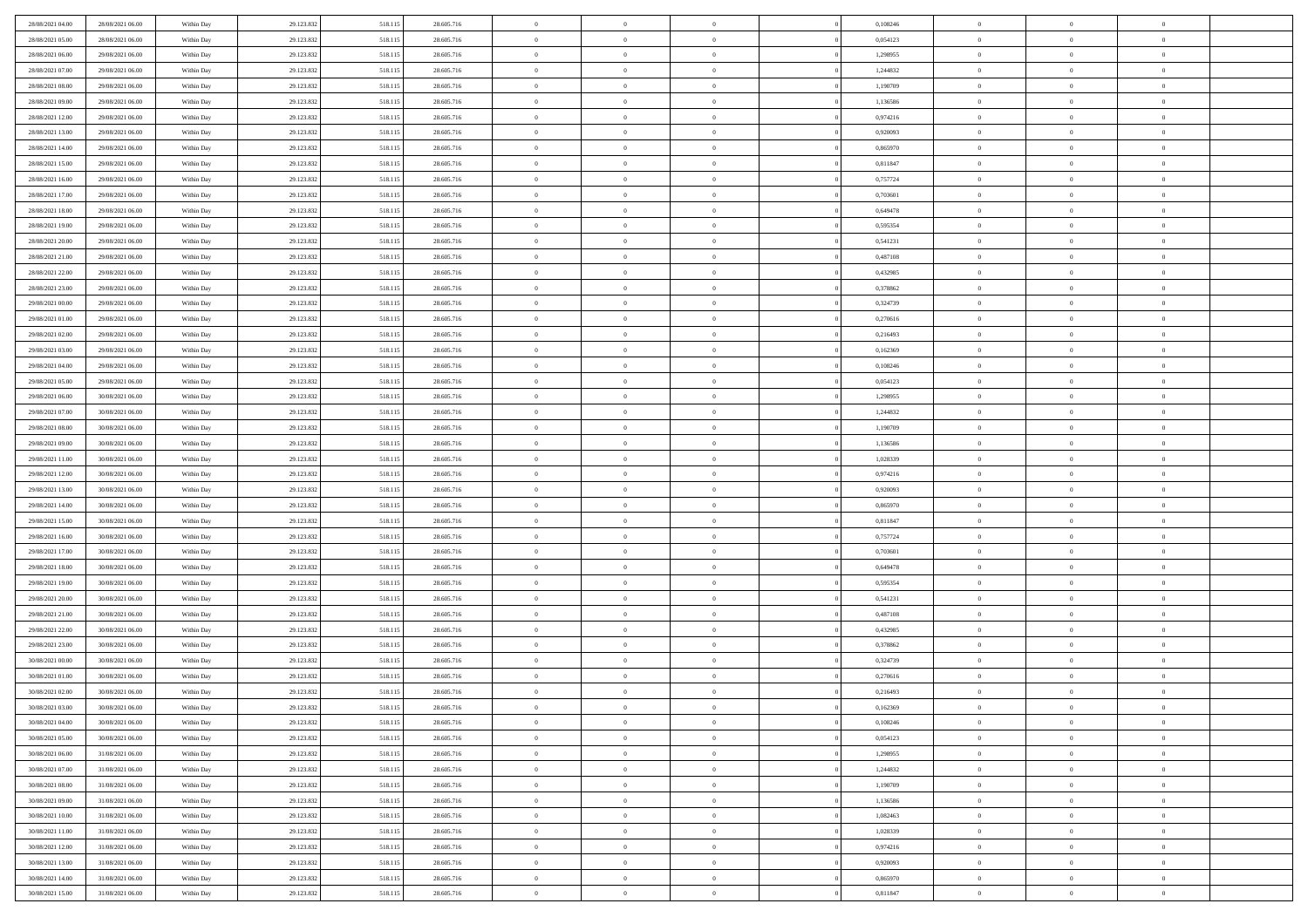| 28/08/2021 04:00                     | 28/08/2021 06:00                     | Within Day               | 29.123.832               | 518.115            | 28.605.716               | $\,$ 0                   | $\bf{0}$                         | $\theta$                   |          | 0,108246             | $\bf{0}$                 | $\overline{0}$                   | $\,0\,$                          |  |
|--------------------------------------|--------------------------------------|--------------------------|--------------------------|--------------------|--------------------------|--------------------------|----------------------------------|----------------------------|----------|----------------------|--------------------------|----------------------------------|----------------------------------|--|
| 28/08/2021 05:00                     | 28/08/2021 06:00                     | Within Day               | 29.123.832               | 518.115            | 28.605.716               | $\overline{0}$           | $\overline{0}$                   | $\overline{0}$             |          | 0.054123             | $\overline{0}$           | $\overline{0}$                   | $\theta$                         |  |
| 28/08/2021 06:00                     | 29/08/2021 06:00                     | Within Dav               | 29.123.832               | 518.115            | 28.605.716               | $\mathbf{0}$             | $\overline{0}$                   | $\overline{0}$             |          | 1,298955             | $\mathbf{0}$             | $\overline{0}$                   | $\overline{0}$                   |  |
| 28/08/2021 07:00                     | 29/08/2021 06:00                     | Within Day               | 29.123.832               | 518.115            | 28.605.716               | $\bf{0}$                 | $\overline{0}$                   | $\bf{0}$                   |          | 1,244832             | $\bf{0}$                 | $\overline{0}$                   | $\bf{0}$                         |  |
| 28/08/2021 08:00                     | 29/08/2021 06:00                     | Within Day               | 29.123.832               | 518.115            | 28.605.716               | $\bf{0}$                 | $\bf{0}$                         | $\overline{0}$             |          | 1,190709             | $\bf{0}$                 | $\bf{0}$                         | $\,0\,$                          |  |
| 28/08/2021 09:00                     | 29/08/2021 06:00                     | Within Dav               | 29.123.832               | 518.115            | 28.605.716               | $\mathbf{0}$             | $\overline{0}$                   | $\overline{0}$             |          | 1,136586             | $\mathbf{0}$             | $\overline{0}$                   | $\overline{0}$                   |  |
| 28/08/2021 12:00                     | 29/08/2021 06:00                     | Within Day               | 29.123.832               | 518.115            | 28.605.716               | $\bf{0}$                 | $\bf{0}$                         | $\overline{0}$             |          | 0,974216             | $\bf{0}$                 | $\overline{0}$                   | $\,0\,$                          |  |
| 28/08/2021 13:00                     | 29/08/2021 06:00                     | Within Day               | 29.123.832               | 518.115            | 28.605.716               | $\overline{0}$           | $\overline{0}$                   | $\overline{0}$             |          | 0,920093             | $\,$ 0 $\,$              | $\overline{0}$                   | $\theta$                         |  |
| 28/08/2021 14:00                     | 29/08/2021 06:00                     | Within Dav               | 29.123.832               | 518.115            | 28.605.716               | $\mathbf{0}$             | $\overline{0}$                   | $\overline{0}$             |          | 0,865970             | $\mathbf{0}$             | $\overline{0}$                   | $\overline{0}$                   |  |
| 28/08/2021 15:00                     | 29/08/2021 06:00                     | Within Day               | 29.123.832               | 518.115            | 28.605.716               | $\bf{0}$                 | $\bf{0}$                         | $\overline{0}$             |          | 0,811847             | $\bf{0}$                 | $\overline{0}$                   | $\,0\,$                          |  |
| 28/08/2021 16:00                     | 29/08/2021 06:00                     | Within Day               | 29.123.832               | 518.115            | 28.605.716               | $\bf{0}$                 | $\overline{0}$                   | $\overline{0}$             |          | 0,757724             | $\bf{0}$                 | $\overline{0}$                   | $\theta$                         |  |
| 28/08/2021 17:00                     | 29/08/2021 06:00                     | Within Dav               | 29.123.832               | 518.115            | 28.605.716               | $\mathbf{0}$             | $\overline{0}$                   | $\overline{0}$             |          | 0,703601             | $\mathbf{0}$             | $\overline{0}$                   | $\overline{0}$                   |  |
| 28/08/2021 18:00                     | 29/08/2021 06:00                     | Within Day               | 29.123.832               | 518.115            | 28.605.716               | $\bf{0}$                 | $\overline{0}$                   | $\bf{0}$                   |          | 0,649478             | $\bf{0}$                 | $\overline{0}$                   | $\overline{0}$                   |  |
| 28/08/2021 19:00                     | 29/08/2021 06:00                     | Within Day               | 29.123.832               | 518.115            | 28.605.716               | $\bf{0}$                 | $\bf{0}$                         | $\overline{0}$             |          | 0,595354             | $\bf{0}$                 | $\overline{0}$                   | $\,0\,$                          |  |
| 28/08/2021 20:00                     | 29/08/2021 06:00                     | Within Dav               | 29.123.832               | 518.115            | 28.605.716               | $\overline{0}$           | $\overline{0}$                   | $\overline{0}$             |          | 0,541231             | $\mathbf{0}$             | $\overline{0}$                   | $\overline{0}$                   |  |
| 28/08/2021 21:00                     | 29/08/2021 06:00                     | Within Day               | 29.123.832               | 518.115            | 28.605.716               | $\bf{0}$                 | $\overline{0}$                   | $\overline{0}$             |          | 0,487108             | $\bf{0}$                 | $\overline{0}$                   | $\bf{0}$                         |  |
| 28/08/2021 22:00                     | 29/08/2021 06:00                     |                          | 29.123.832               | 518.115            | 28.605.716               | $\overline{0}$           | $\overline{0}$                   | $\overline{0}$             |          | 0,432985             | $\bf{0}$                 | $\overline{0}$                   | $\theta$                         |  |
| 28/08/2021 23:00                     | 29/08/2021 06:00                     | Within Day<br>Within Day | 29.123.832               | 518.115            | 28.605.716               | $\mathbf{0}$             | $\overline{0}$                   | $\overline{0}$             |          | 0,378862             | $\mathbf{0}$             | $\overline{0}$                   | $\overline{0}$                   |  |
| 29/08/2021 00:00                     | 29/08/2021 06:00                     |                          |                          |                    | 28.605.716               | $\bf{0}$                 | $\overline{0}$                   | $\overline{0}$             |          | 0,324739             | $\bf{0}$                 | $\overline{0}$                   | $\,0\,$                          |  |
|                                      |                                      | Within Day               | 29.123.832               | 518.115            |                          | $\bf{0}$                 |                                  | $\overline{0}$             |          |                      |                          | $\overline{0}$                   |                                  |  |
| 29/08/2021 01:00<br>29/08/2021 02:00 | 29/08/2021 06:00<br>29/08/2021 06:00 | Within Day<br>Within Dav | 29.123.832<br>29.123.832 | 518.115<br>518.115 | 28.605.716<br>28.605.716 | $\mathbf{0}$             | $\overline{0}$<br>$\overline{0}$ |                            |          | 0,270616<br>0,216493 | $\bf{0}$<br>$\mathbf{0}$ | $\overline{0}$                   | $\overline{0}$<br>$\overline{0}$ |  |
|                                      |                                      |                          |                          |                    |                          |                          |                                  | $\overline{0}$             |          |                      |                          |                                  |                                  |  |
| 29/08/2021 03:00                     | 29/08/2021 06:00                     | Within Day               | 29.123.832               | 518.115            | 28.605.716               | $\bf{0}$                 | $\overline{0}$                   | $\overline{0}$             |          | 0,162369             | $\bf{0}$                 | $\overline{0}$                   | $\bf{0}$                         |  |
| 29/08/2021 04:00<br>29/08/2021 05:00 | 29/08/2021 06:00<br>29/08/2021 06:00 | Within Day               | 29.123.832               | 518.115            | 28.605.716               | $\bf{0}$                 | $\overline{0}$                   | $\overline{0}$             |          | 0,108246             | $\bf{0}$                 | $\overline{0}$                   | $\,0\,$                          |  |
|                                      |                                      | Within Dav               | 29.123.832               | 518.115            | 28.605.716               | $\mathbf{0}$             | $\overline{0}$                   | $\overline{0}$             |          | 0,054123             | $\mathbf{0}$             | $\overline{0}$                   | $\overline{0}$                   |  |
| 29/08/2021 06:00                     | 30/08/2021 06:00                     | Within Day               | 29.123.832               | 518.115            | 28.605.716               | $\bf{0}$                 | $\overline{0}$                   | $\overline{0}$             |          | 1,298955             | $\bf{0}$                 | $\overline{0}$                   | $\bf{0}$                         |  |
| 29/08/2021 07:00                     | 30/08/2021 06:00                     | Within Day               | 29.123.832               | 518.115            | 28.605.716               | $\bf{0}$                 | $\overline{0}$                   | $\overline{0}$             |          | 1,244832             | $\bf{0}$                 | $\mathbf{0}$                     | $\overline{0}$                   |  |
| 29/08/2021 08:00                     | 30/08/2021 06:00                     | Within Dav               | 29.123.832               | 518.115            | 28.605.716               | $\mathbf{0}$             | $\overline{0}$                   | $\overline{0}$             |          | 1,190709             | $\mathbf{0}$             | $\overline{0}$                   | $\overline{0}$                   |  |
| 29/08/2021 09:00                     | 30/08/2021 06:00                     | Within Day               | 29.123.832               | 518.115            | 28.605.716               | $\bf{0}$                 | $\overline{0}$                   | $\overline{0}$             |          | 1,136586             | $\bf{0}$                 | $\overline{0}$                   | $\,0\,$                          |  |
| 29/08/2021 11:00                     | 30/08/2021 06:00                     | Within Day               | 29.123.832               | 518.115            | 28.605.716               | $\bf{0}$                 | $\overline{0}$                   | $\overline{0}$             |          | 1,028339             | $\bf{0}$                 | $\overline{0}$                   | $\overline{0}$                   |  |
| 29/08/2021 12:00                     | 30/08/2021 06:00                     | Within Dav               | 29.123.832               | 518.115            | 28.605.716               | $\mathbf{0}$             | $\overline{0}$                   | $\overline{0}$             |          | 0,974216             | $\mathbf{0}$             | $\overline{0}$                   | $\overline{0}$                   |  |
| 29/08/2021 13:00                     | 30/08/2021 06:00                     | Within Day               | 29.123.832               | 518.115            | 28.605.716               | $\bf{0}$                 | $\overline{0}$                   | $\theta$                   |          | 0,920093             | $\,$ 0                   | $\overline{0}$                   | $\theta$                         |  |
| 29/08/2021 14:00                     | 30/08/2021 06:00                     | Within Day               | 29.123.832               | 518.115            | 28.605.716               | $\bf{0}$                 | $\overline{0}$                   | $\overline{0}$             |          | 0,865970             | $\bf{0}$                 | $\overline{0}$                   | $\overline{0}$                   |  |
| 29/08/2021 15:00                     | 30/08/2021 06:00                     | Within Dav               | 29.123.832               | 518.115            | 28.605.716               | $\mathbf{0}$             | $\overline{0}$                   | $\overline{0}$             |          | 0,811847             | $\mathbf{0}$             | $\overline{0}$                   | $\overline{0}$                   |  |
| 29/08/2021 16:00                     | 30/08/2021 06:00                     | Within Day               | 29.123.832               | 518.115            | 28.605.716               | $\bf{0}$                 | $\overline{0}$                   | $\theta$                   |          | 0,757724             | $\,$ 0                   | $\overline{0}$                   | $\theta$                         |  |
| 29/08/2021 17:00                     | 30/08/2021 06:00                     | Within Day               | 29.123.832               | 518.115            | 28.605.716               | $\bf{0}$<br>$\mathbf{0}$ | $\overline{0}$                   | $\overline{0}$             |          | 0,703601             | $\bf{0}$<br>$\mathbf{0}$ | $\overline{0}$                   | $\overline{0}$<br>$\overline{0}$ |  |
| 29/08/2021 18:00                     | 30/08/2021 06:00                     | Within Day               | 29.123.832               | 518.115            | 28.605.716               | $\bf{0}$                 | $\overline{0}$                   | $\overline{0}$             |          | 0,649478             |                          | $\overline{0}$<br>$\overline{0}$ | $\theta$                         |  |
| 29/08/2021 19:00                     | 30/08/2021 06:00                     | Within Day               | 29.123.832               | 518.115            | 28.605.716               | $\bf{0}$                 | $\overline{0}$                   | $\theta$<br>$\overline{0}$ |          | 0,595354             | $\,$ 0                   | $\overline{0}$                   |                                  |  |
| 29/08/2021 20:00<br>29/08/2021 21:00 | 30/08/2021 06:00<br>30/08/2021 06:00 | Within Day<br>Within Dav | 29.123.832<br>29.123.832 | 518.115<br>518.115 | 28.605.716<br>28.605.716 | $\mathbf{0}$             | $\overline{0}$<br>$\overline{0}$ | $\overline{0}$             |          | 0,541231<br>0,487108 | $\bf{0}$<br>$\mathbf{0}$ | $\overline{0}$                   | $\bf{0}$<br>$\overline{0}$       |  |
|                                      |                                      |                          |                          |                    |                          |                          |                                  |                            |          |                      |                          | $\overline{0}$                   | $\theta$                         |  |
| 29/08/2021 22:00                     | 30/08/2021 06:00                     | Within Day               | 29.123.832               | 518.115            | 28.605.716               | $\,0\,$<br>$\bf{0}$      | $\overline{0}$<br>$\overline{0}$ | $\theta$<br>$\overline{0}$ |          | 0,432985<br>0,378862 | $\,$ 0                   | $\overline{0}$                   | $\bf{0}$                         |  |
| 29/08/2021 23:00<br>30/08/2021 00:00 | 30/08/2021 06:00<br>30/08/2021 06:00 | Within Day<br>Within Dav | 29.123.832<br>29.123.832 | 518.115<br>518.115 | 28.605.716<br>28.605.716 | $\mathbf{0}$             | $\overline{0}$                   | $\overline{0}$             |          | 0,324739             | $\bf{0}$<br>$\mathbf{0}$ | $\overline{0}$                   | $\overline{0}$                   |  |
| 30/08/2021 01:00                     | 30/08/2021 06:00                     | Within Day               | 29.123.832               | 518.115            | 28.605.716               | $\bf{0}$                 | $\overline{0}$                   | $\theta$                   |          | 0,270616             | $\,$ 0                   | $\overline{0}$                   | $\theta$                         |  |
| 30/08/2021 02:00                     | 30/08/2021 06:00                     | Within Day               | 29.123.832               | 518.115            | 28.605.716               | $\bf{0}$                 | $\overline{0}$                   | $\overline{0}$             |          | 0,216493             | $\bf{0}$                 | $\overline{0}$                   | $\bf{0}$                         |  |
| 30/08/2021 03:00                     | 30/08/2021 06:00                     | Within Day               | 29.123.832               | 518.115            | 28.605.716               | $\bf{0}$                 | $\overline{0}$                   |                            |          | 0,162369             | $\overline{0}$           | $\theta$                         | $\theta$                         |  |
| 30/08/2021 04:00                     | 30/08/2021 06:00                     |                          | 29.123.832               | 518.115            | 28.605.716               | $\,0\,$                  | $\overline{0}$                   | $\theta$                   |          | 0,108246             | $\,$ 0 $\,$              | $\bf{0}$                         | $\theta$                         |  |
| 30/08/2021 05:00                     | 30/08/2021 06:00                     | Within Day               | 29.123.832               | 518.115            | 28.605.716               | $\overline{0}$           | $\overline{0}$                   | $\overline{0}$             |          | 0,054123             | $\overline{0}$           | $\overline{0}$                   | $\overline{0}$                   |  |
| 30/08/2021 06:00                     | 31/08/2021 06:00                     | Within Day<br>Within Day | 29.123.832               | 518.115            | 28.605.716               | $\bf{0}$                 | $\overline{0}$                   | $\overline{0}$             |          | 1,298955             | $\overline{0}$           | $\bf{0}$                         | $\mathbf{0}$                     |  |
|                                      |                                      |                          |                          |                    |                          |                          |                                  |                            |          |                      |                          |                                  |                                  |  |
| 30/08/2021 07:00                     | 31/08/2021 06:00                     | Within Day               | 29.123.832               | 518.115            | 28.605.716               | $\bf{0}$                 | $\overline{0}$                   | $\overline{0}$             | $\theta$ | 1,244832             | $\,$ 0 $\,$              | $\bf{0}$<br>$\overline{0}$       | $\,$ 0 $\,$                      |  |
| 30/08/2021 08:00<br>30/08/2021 09:00 | 31/08/2021 06:00                     | Within Day               | 29.123.832               | 518.115            | 28.605.716               | $\bf{0}$                 | $\overline{0}$                   | $\overline{0}$             |          | 1,190709             | $\,$ 0 $\,$              |                                  | $\overline{0}$                   |  |
|                                      | 31/08/2021 06:00                     | Within Day               | 29.123.832               | 518.115            | 28.605.716               | $\bf{0}$                 | $\overline{0}$                   | $\overline{0}$             |          | 1,136586             | $\mathbf{0}$             | $\overline{0}$                   | $\overline{0}$                   |  |
| 30/08/2021 10:00                     | 31/08/2021 06:00                     | Within Day               | 29.123.832               | 518.115            | 28.605.716               | $\,0\,$                  | $\overline{0}$                   | $\overline{0}$             | $\theta$ | 1,082463             | $\,$ 0 $\,$              | $\overline{0}$                   | $\,$ 0 $\,$                      |  |
| 30/08/2021 11:00                     | 31/08/2021 06:00                     | Within Day               | 29.123.832               | 518.115            | 28.605.716               | $\bf{0}$                 | $\overline{0}$                   | $\overline{0}$             |          | 1,028339             | $\overline{0}$           | $\overline{0}$                   | $\overline{0}$                   |  |
| 30/08/2021 12:00                     | 31/08/2021 06:00                     | Within Day               | 29.123.832               | 518.115            | 28.605.716               | $\bf{0}$                 | $\overline{0}$                   | $\overline{0}$             |          | 0,974216             | $\mathbf{0}$             | $\overline{0}$                   | $\overline{0}$                   |  |
| 30/08/2021 13:00                     | 31/08/2021 06:00                     | Within Day               | 29.123.832               | 518.115            | 28.605.716               | $\,0\,$                  | $\overline{0}$                   | $\overline{0}$             |          | 0,920093             | $\,$ 0 $\,$              | $\mathbf{0}$                     | $\,$ 0 $\,$                      |  |
| 30/08/2021 14:00                     | 31/08/2021 06:00                     | Within Day               | 29.123.832               | 518.115            | 28.605.716               | $\bf{0}$                 | $\overline{0}$                   | $\overline{0}$             |          | 0,865970             | $\mathbf{0}$             | $\mathbf{0}$                     | $\overline{0}$                   |  |
| 30/08/2021 15:00                     | 31/08/2021 06:00                     | Within Day               | 29.123.832               | 518.115            | 28.605.716               | $\bf{0}$                 | $\overline{0}$                   | $\overline{0}$             |          | 0,811847             | $\mathbf{0}$             | $\overline{0}$                   | $\overline{0}$                   |  |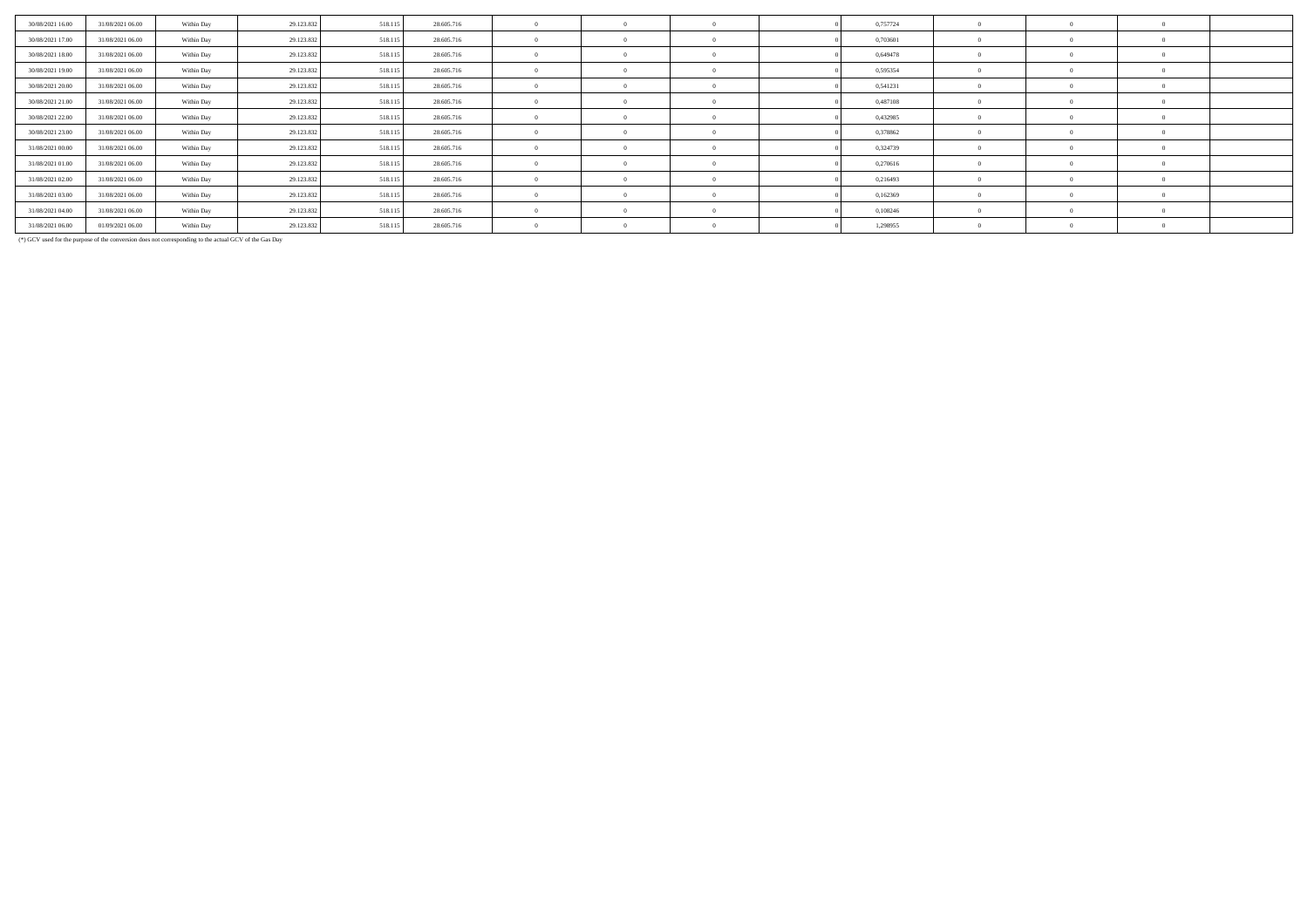| 30/08/2021 16:00 | 31/08/2021 06:00 | Within Day | 29.123.832 | 518,115 | 28.605.716 |            |  | 0,757724 |  |  |
|------------------|------------------|------------|------------|---------|------------|------------|--|----------|--|--|
| 30/08/2021 17:00 | 31/08/2021 06:00 | Within Day | 29.123.832 | 518.11  | 28.605.716 | $^{\circ}$ |  | 0,703601 |  |  |
| 30/08/2021 18:00 | 31/08/2021 06:00 | Within Day | 29.123.832 | 518.11  | 28.605.716 | - 0        |  | 0,649478 |  |  |
| 30/08/2021 19:00 | 31/08/2021 06:00 | Within Day | 29.123.832 | 518.11  | 28.605.716 |            |  | 0,595354 |  |  |
| 30/08/2021 20:00 | 31/08/2021 06:00 | Within Day | 29.123.832 | 518.115 | 28.605.716 |            |  | 0,541231 |  |  |
| 30/08/2021 21:00 | 31/08/2021 06:00 | Within Day | 29.123.832 | 518.11  | 28.605.716 | $^{\circ}$ |  | 0,487108 |  |  |
| 30/08/2021 22:00 | 31/08/2021 06:00 | Within Day | 29.123.832 | 518.11  | 28.605.716 | $^{\circ}$ |  | 0,432985 |  |  |
| 30/08/2021 23:00 | 31/08/2021 06:00 | Within Day | 29.123.832 | 518.11  | 28.605.716 |            |  | 0,378862 |  |  |
| 31/08/2021 00:00 | 31/08/2021 06:00 | Within Day | 29.123.832 | 518.11  | 28.605.716 | $^{\circ}$ |  | 0,324739 |  |  |
| 31/08/2021 01:00 | 31/08/2021 06:00 | Within Day | 29.123.832 | 518.11  | 28.605.716 | $\Omega$   |  | 0,270616 |  |  |
| 31/08/2021 02:00 | 31/08/2021 06:00 | Within Day | 29.123.832 | 518.11  | 28.605.716 | $\theta$   |  | 0,216493 |  |  |
| 31/08/2021 03:00 | 31/08/2021 06:00 | Within Day | 29.123.832 | 518.11  | 28.605.716 | $^{\circ}$ |  | 0,162369 |  |  |
| 31/08/2021 04:00 | 31/08/2021 06:00 | Within Day | 29.123.832 | 518.11  | 28.605.716 | $\Omega$   |  | 0,108246 |  |  |
| 31/08/2021 06:00 | 01/09/2021 06:00 | Within Day | 29.123.832 | 518.115 | 28.605.716 |            |  | 1,298955 |  |  |

(\*) GCV used for the purpose of the conversion does not corresponding to the actual GCV of the Gas Day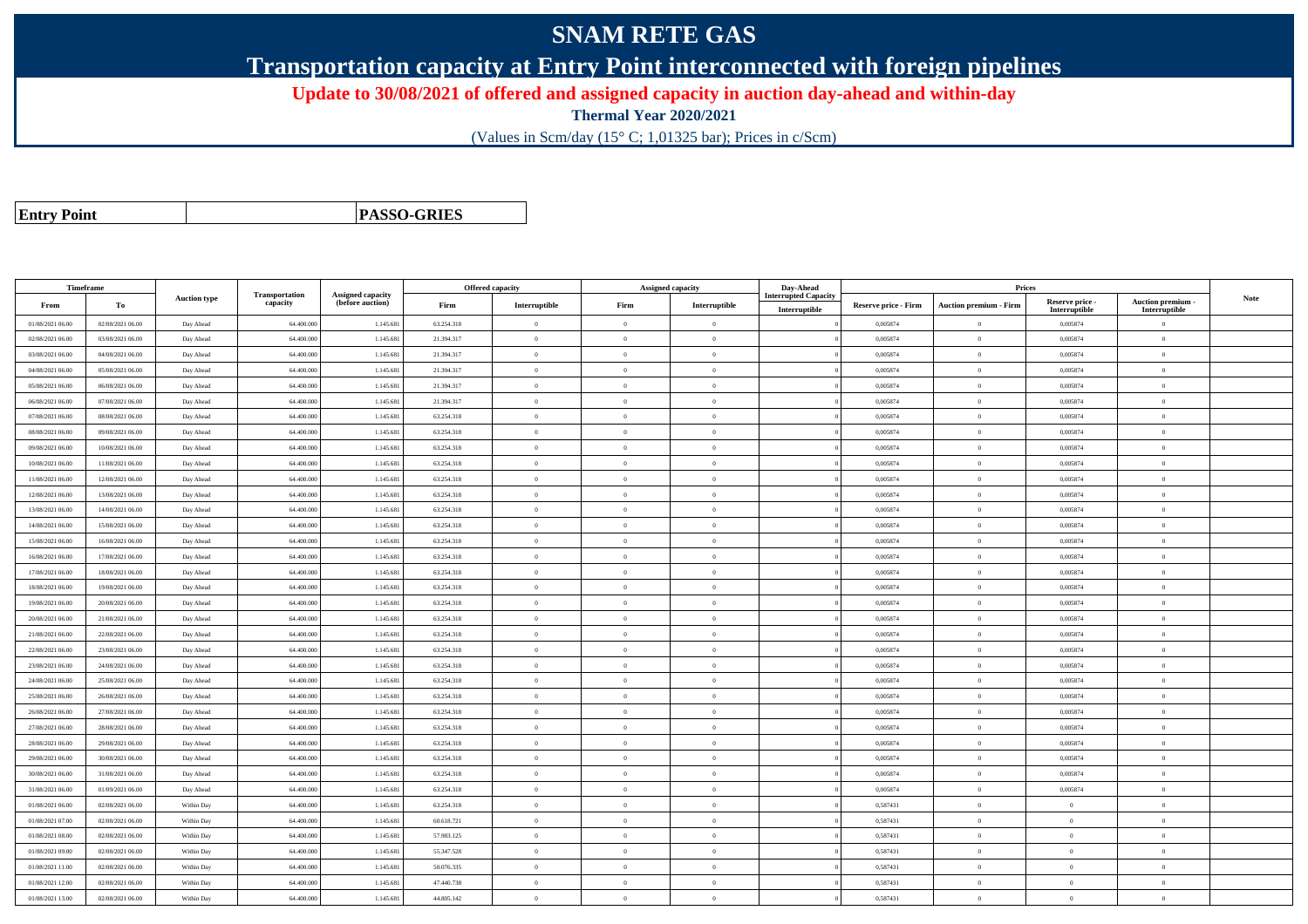## **SNAM RETE GAS**

**Transportation capacity at Entry Point interconnected with foreign pipelines**

**Update to 30/08/2021 of offered and assigned capacity in auction day-ahead and within-day**

**Thermal Year 2020/2021**

(Values in Scm/day (15° C; 1,01325 bar); Prices in c/Scm)

**Entry Point**

**PASSO-GRIES**

| Timeframe        |                  |                     |                            |                                              |            | <b>Offered capacity</b> | <b>Assigned capacity</b> |                | Day-Ahead                                    |                             | Prices                        |                                  |                                    |      |
|------------------|------------------|---------------------|----------------------------|----------------------------------------------|------------|-------------------------|--------------------------|----------------|----------------------------------------------|-----------------------------|-------------------------------|----------------------------------|------------------------------------|------|
| From             | To               | <b>Auction type</b> | Transportation<br>capacity | <b>Assigned capacity</b><br>(before auction) | Firm       | Interruptible           | Firm                     | Interruptible  | <b>Interrupted Capacity</b><br>Interruptible | <b>Reserve price - Firm</b> | <b>Auction premium - Firm</b> | Reserve price -<br>Interruptible | Auction premium -<br>Interruptible | Note |
| 01/08/2021 06:00 | 02/08/2021 06:00 | Day Ahead           | 64.400.000                 | 1.145.681                                    | 63.254.318 | $\overline{0}$          | $\overline{0}$           | $\theta$       |                                              | 0,005874                    | $\theta$                      | 0,005874                         | $\overline{0}$                     |      |
| 02/08/2021 06:00 | 03/08/2021 06:00 | Day Ahead           | 64.400.00                  | 1.145.681                                    | 21.394.317 | $\theta$                | $\overline{0}$           | $\Omega$       |                                              | 0,005874                    | $\theta$                      | 0,005874                         | $\Omega$                           |      |
| 03/08/2021 06:00 | 04/08/2021 06:00 | Day Ahead           | 64,400,000                 | 1.145.681                                    | 21.394.317 | $\overline{0}$          | $\overline{0}$           | $\theta$       |                                              | 0.005874                    | $\overline{0}$                | 0.005874                         | $\overline{0}$                     |      |
| 04/08/2021 06:00 | 05/08/2021 06:00 | Day Ahead           | 64.400.000                 | 1.145.681                                    | 21.394.317 | $\overline{0}$          | $\overline{0}$           | $\theta$       |                                              | 0.005874                    | $\theta$                      | 0,005874                         | $\Omega$                           |      |
| 05/08/2021 06:00 | 06/08/2021 06:00 | Day Ahead           | 64.400.00                  | 1.145.681                                    | 21.394.317 | $\theta$                | $\overline{0}$           | $\theta$       |                                              | 0,005874                    | $\theta$                      | 0,005874                         | $\Omega$                           |      |
| 06/08/2021 06:00 | 07/08/2021 06:00 | Day Ahead           | 64.400.000                 | 1.145.681                                    | 21.394.317 | $\theta$                | $\overline{0}$           | $\theta$       |                                              | 0,005874                    | $\theta$                      | 0,005874                         | $\overline{0}$                     |      |
| 07/08/2021 06:00 | 08/08/2021 06:00 | Day Ahead           | 64,400,000                 | 1.145.681                                    | 63.254.318 | $\theta$                | $\theta$                 | $\theta$       |                                              | 0.005874                    | $\Omega$                      | 0.005874                         | $\Omega$                           |      |
| 08/08/2021 06:00 | 09/08/2021 06:00 | Day Ahead           | 64.400.00                  | 1.145.681                                    | 63.254.318 | $\theta$                | $\overline{0}$           | $\theta$       |                                              | 0,005874                    | $\overline{0}$                | 0,005874                         | $\Omega$                           |      |
| 09/08/2021 06:00 | 10/08/2021 06:00 | Day Ahead           | 64.400.000                 | 1.145.681                                    | 63.254.318 | $\theta$                | $\overline{0}$           | $\theta$       |                                              | 0,005874                    | $\overline{0}$                | 0,005874                         | $\overline{0}$                     |      |
| 10/08/2021 06:00 | 11/08/2021 06:00 | Day Ahead           | 64,400,000                 | 1.145.681                                    | 63.254.318 | $\theta$                | $\overline{0}$           | $\theta$       |                                              | 0.005874                    | $\theta$                      | 0.005874                         | $\Omega$                           |      |
| 11/08/2021 06:00 | 12/08/2021 06:00 | Day Ahead           | 64.400.00                  | 1.145.681                                    | 63.254.318 | $\theta$                | $\overline{0}$           | $\theta$       |                                              | 0,005874                    | $\theta$                      | 0,005874                         | $\Omega$                           |      |
| 12/08/2021 06:00 | 13/08/2021 06:00 | Day Ahead           | 64.400.000                 | 1.145.681                                    | 63.254.318 | $\theta$                | $\overline{0}$           | $\theta$       |                                              | 0,005874                    | $\overline{0}$                | 0,005874                         | $\overline{0}$                     |      |
| 13/08/2021 06:00 | 14/08/2021 06:00 | Day Ahead           | 64,400,000                 | 1.145.681                                    | 63.254.318 | $\theta$                | $\theta$                 | $\theta$       |                                              | 0.005874                    | $\theta$                      | 0.005874                         | $\Omega$                           |      |
| 14/08/2021 06:00 | 15/08/2021 06:00 | Day Ahead           | 64.400.000                 | 1.145.681                                    | 63.254.318 | $\theta$                | $\overline{0}$           | $\Omega$       |                                              | 0,005874                    | $\theta$                      | 0,005874                         | $\Omega$                           |      |
| 15/08/2021 06:00 | 16/08/2021 06:00 | Day Ahead           | 64.400.000                 | 1.145.681                                    | 63.254.318 | $\theta$                | $\overline{0}$           | $\theta$       |                                              | 0,005874                    | $\overline{0}$                | 0,005874                         | $\overline{0}$                     |      |
| 16/08/2021 06:00 | 17/08/2021 06:00 | Day Ahead           | 64.400.000                 | 1.145.681                                    | 63.254.318 | $\theta$                | $\overline{0}$           | $\theta$       |                                              | 0,005874                    | $\theta$                      | 0,005874                         | $\overline{0}$                     |      |
| 17/08/2021 06:00 | 18/08/2021 06:00 | Day Ahead           | 64.400.000                 | 1.145.681                                    | 63.254.318 | $\theta$                | $\bf{0}$                 | $\overline{0}$ |                                              | 0.005874                    | $\theta$                      | 0,005874                         | $\Omega$                           |      |
| 18/08/2021 06:00 | 19/08/2021 06:00 | Day Ahead           | 64.400.000                 | 1.145.681                                    | 63.254.318 | $\overline{0}$          | $\overline{0}$           | $\theta$       |                                              | 0,005874                    | $\overline{0}$                | 0,005874                         | $\overline{0}$                     |      |
| 19/08/2021 06:00 | 20/08/2021 06:00 | Day Ahead           | 64.400.000                 | 1.145.681                                    | 63.254.318 | $\theta$                | $\overline{0}$           | $\Omega$       |                                              | 0,005874                    | $\theta$                      | 0,005874                         | $\Omega$                           |      |
| 20/08/2021 06:00 | 21/08/2021 06:00 | Day Ahead           | 64,400,000                 | 1.145.681                                    | 63.254.318 | $\theta$                | $\overline{0}$           | $\mathbf{0}$   |                                              | 0.005874                    | $\overline{0}$                | 0.005874                         | $\overline{0}$                     |      |
| 21/08/2021 06:00 | 22/08/2021 06:00 | Day Ahead           | 64.400.000                 | 1.145.681                                    | 63.254.318 | $\overline{0}$          | $\overline{0}$           | $\theta$       |                                              | 0,005874                    | $\overline{0}$                | 0,005874                         | $\overline{0}$                     |      |
| 22/08/2021 06:00 | 23/08/2021 06:00 | Day Ahead           | 64.400.00                  | 1.145.681                                    | 63.254.318 | $\theta$                | $\overline{0}$           | $\theta$       |                                              | 0,005874                    | $\theta$                      | 0,005874                         | $\Omega$                           |      |
| 23/08/2021 06:00 | 24/08/2021 06:00 | Day Ahead           | 64,400,000                 | 1.145.681                                    | 63.254.318 | $\theta$                | $\overline{0}$           | $\theta$       |                                              | 0.005874                    | $\theta$                      | 0,005874                         | $\Omega$                           |      |
| 24/08/2021 06:00 | 25/08/2021 06:00 | Day Ahead           | 64.400.000                 | 1.145.681                                    | 63.254.318 | $\theta$                | $\overline{0}$           | $\Omega$       |                                              | 0,005874                    | $\Omega$                      | 0,005874                         | $\Omega$                           |      |
| 25/08/2021 06:00 | 26/08/2021 06:00 | Day Ahead           | 64.400.00                  | 1.145.681                                    | 63.254.318 | $\theta$                | $\overline{0}$           | $\theta$       |                                              | 0,005874                    | $\overline{0}$                | 0,005874                         | $\overline{0}$                     |      |
| 26/08/2021 06:00 | 27/08/2021 06:00 | Day Ahead           | 64,400,000                 | 1.145.681                                    | 63.254.318 | $\theta$                | $\overline{0}$           | $\theta$       |                                              | 0.005874                    | $\overline{0}$                | 0.005874                         | $\theta$                           |      |
| 27/08/2021 06:00 | 28/08/2021 06:00 | Day Ahead           | 64.400.000                 | 1.145.681                                    | 63.254.318 | $\overline{0}$          | $\bf{0}$                 | $\theta$       |                                              | 0,005874                    | $\overline{0}$                | 0,005874                         | $\overline{0}$                     |      |
| 28/08/2021 06:00 | 29/08/2021 06:00 | Day Ahead           | 64.400.00                  | 1.145.681                                    | 63.254.318 | $\theta$                | $\overline{0}$           | $\theta$       |                                              | 0,005874                    | $\theta$                      | 0,005874                         | $\Omega$                           |      |
| 29/08/2021 06:00 | 30/08/2021 06:00 | Day Ahead           | 64.400.000                 | 1.145.681                                    | 63.254.318 | $\theta$                | $\overline{0}$           | $\theta$       |                                              | 0,005874                    | $\overline{0}$                | 0,005874                         | $\overline{0}$                     |      |
| 30/08/2021 06:00 | 31/08/2021 06:00 | Day Ahead           | 64,400,000                 | 1.145.681                                    | 63.254.318 | $\theta$                | $\Omega$                 | $\Omega$       |                                              | 0.005874                    | $\Omega$                      | 0,005874                         | $\Omega$                           |      |
| 31/08/2021 06:00 | 01/09/2021 06:00 | Day Ahead           | 64.400.000                 | 1.145.681                                    | 63.254.318 | $\theta$                | $\overline{0}$           | $\theta$       |                                              | 0,005874                    | $\overline{0}$                | 0,005874                         | $\Omega$                           |      |
| 01/08/2021 06:00 | 02/08/2021 06:00 | Within Day          | 64.400.000                 | 1.145.681                                    | 63.254.318 | $\overline{0}$          | $\overline{0}$           | $\theta$       |                                              | 0,587431                    | $\overline{0}$                | $\bf{0}$                         | $\overline{0}$                     |      |
| 01/08/2021 07:00 | 02/08/2021 06:00 | Within Day          | 64,400,000                 | 1.145.681                                    | 60.618.721 | $\theta$                | $\overline{0}$           | $\theta$       |                                              | 0.587431                    | $\overline{0}$                | $\bf{0}$                         | $\overline{0}$                     |      |
| 01/08/2021 08:00 | 02/08/2021 06:00 | Within Day          | 64.400.000                 | 1.145.681                                    | 57.983.125 | $\mathbf{a}$            | $\overline{0}$           | $\Omega$       |                                              | 0,587431                    | $\theta$                      | $\Omega$                         | $\Omega$                           |      |
| 01/08/2021 09:00 | 02/08/2021 06:00 | Within Day          | 64.400.000                 | 1.145.681                                    | 55.347.528 | $\overline{0}$          | $\overline{0}$           | $\theta$       |                                              | 0,587431                    | $\overline{0}$                | $\bf{0}$                         | $\overline{0}$                     |      |
| 01/08/2021 11:00 | 02/08/2021 06:00 | Within Day          | 64,400,000                 | 1.145.681                                    | 50.076.335 | $\theta$                | $\Omega$                 | $\Omega$       |                                              | 0,587431                    | $\theta$                      | $\theta$                         | $\Omega$                           |      |
| 01/08/2021 12:00 | 02/08/2021 06:00 | Within Day          | 64,400,000                 | 1.145.681                                    | 47.440.738 | $\theta$                | $\theta$                 | $\theta$       |                                              | 0.587431                    | $\theta$                      | $\theta$                         | $\theta$                           |      |
| 01/08/2021 13:00 | 02/08/2021 06:00 | Within Day          | 64.400.000                 | 1.145.681                                    | 44.805.142 | $\theta$                | $\overline{0}$           | $\theta$       |                                              | 0,587431                    | $\theta$                      | $\bf{0}$                         | $\overline{0}$                     |      |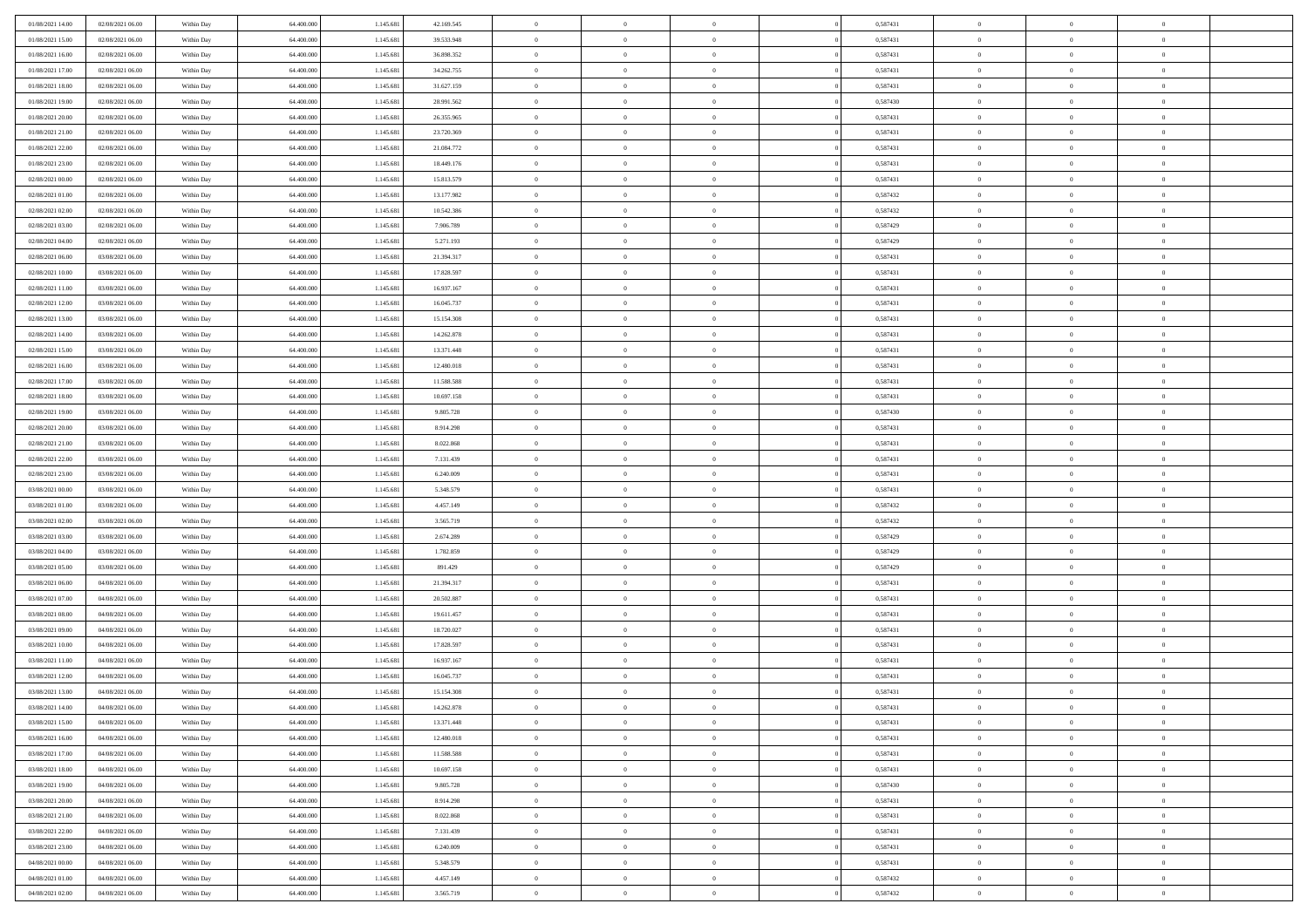| 01/08/2021 14:00 | 02/08/2021 06:00 | Within Day | 64,400,000 | 1.145.681 | 42.169.545 | $\overline{0}$ | $\overline{0}$ | $\Omega$       | 0,587431 | $\bf{0}$       | $\mathbf{0}$   | $\bf{0}$       |  |
|------------------|------------------|------------|------------|-----------|------------|----------------|----------------|----------------|----------|----------------|----------------|----------------|--|
| 01/08/2021 15:00 | 02/08/2021 06:00 | Within Day | 64.400.000 | 1.145.681 | 39.533.948 | $\mathbf{0}$   | $\overline{0}$ | $\overline{0}$ | 0,587431 | $\overline{0}$ | $\overline{0}$ | $\theta$       |  |
| 01/08/2021 16:00 | 02/08/2021 06:00 | Within Day | 64.400.000 | 1.145.681 | 36.898.352 | $\,$ 0         | $\overline{0}$ | $\bf{0}$       | 0,587431 | $\,$ 0         | $\overline{0}$ | $\,$ 0 $\,$    |  |
| 01/08/2021 17:00 | 02/08/2021 06:00 | Within Day | 64,400,000 | 1.145.681 | 34.262.755 | $\bf{0}$       | $\overline{0}$ | $\Omega$       | 0.587431 | $\bf{0}$       | $\mathbf{0}$   | $\theta$       |  |
| 01/08/2021 18:00 | 02/08/2021 06:00 | Within Day | 64.400.000 | 1.145.681 | 31.627.159 | $\bf{0}$       | $\overline{0}$ | $\overline{0}$ | 0,587431 | $\mathbf{0}$   | $\overline{0}$ | $\overline{0}$ |  |
| 01/08/2021 19:00 | 02/08/2021 06:00 | Within Day | 64.400.000 | 1.145.681 | 28.991.562 | $\bf{0}$       | $\overline{0}$ | $\bf{0}$       | 0,587430 | $\,$ 0         | $\overline{0}$ | $\,$ 0 $\,$    |  |
| 01/08/2021 20:00 | 02/08/2021 06:00 | Within Day | 64,400,000 | 1.145.681 | 26.355.965 | $\bf{0}$       | $\overline{0}$ | $\Omega$       | 0.587431 | $\theta$       | $\mathbf{0}$   | $\theta$       |  |
| 01/08/2021 21:00 | 02/08/2021 06:00 | Within Day | 64.400.000 | 1.145.681 | 23.720.369 | $\overline{0}$ | $\overline{0}$ | $\overline{0}$ | 0,587431 | $\mathbf{0}$   | $\overline{0}$ | $\overline{0}$ |  |
| 01/08/2021 22.00 | 02/08/2021 06:00 | Within Day | 64.400.000 | 1.145.681 | 21.084.772 | $\bf{0}$       | $\overline{0}$ | $\bf{0}$       | 0,587431 | $\,$ 0         | $\overline{0}$ | $\,$ 0 $\,$    |  |
| 01/08/2021 23.00 | 02/08/2021 06:00 | Within Day | 64,400,000 | 1.145.681 | 18.449.176 | $\bf{0}$       | $\overline{0}$ | $\Omega$       | 0.587431 | $\bf{0}$       | $\mathbf{0}$   | $\theta$       |  |
| 02/08/2021 00:00 | 02/08/2021 06:00 | Within Day | 64.400.000 | 1.145.681 | 15.813.579 | $\overline{0}$ | $\overline{0}$ | $\overline{0}$ | 0,587431 | $\overline{0}$ | $\overline{0}$ | $\overline{0}$ |  |
| 02/08/2021 01:00 | 02/08/2021 06:00 | Within Day | 64.400.000 | 1.145.681 | 13.177.982 | $\bf{0}$       | $\overline{0}$ | $\bf{0}$       | 0,587432 | $\,$ 0         | $\overline{0}$ | $\,$ 0 $\,$    |  |
| 02/08/2021 02:00 | 02/08/2021 06:00 | Within Day | 64.400.000 | 1.145.681 | 10.542.386 | $\bf{0}$       | $\overline{0}$ | $\Omega$       | 0,587432 | $\overline{0}$ | $\mathbf{0}$   | $\theta$       |  |
| 02/08/2021 03:00 | 02/08/2021 06:00 | Within Dav | 64.400.000 | 1.145.681 | 7.906.789  | $\overline{0}$ | $\overline{0}$ | $\overline{0}$ | 0,587429 | $\mathbf{0}$   | $\overline{0}$ | $\overline{0}$ |  |
| 02/08/2021 04:00 | 02/08/2021 06:00 | Within Day | 64.400.000 | 1.145.681 | 5.271.193  | $\bf{0}$       | $\overline{0}$ | $\bf{0}$       | 0,587429 | $\,$ 0         | $\overline{0}$ | $\,$ 0 $\,$    |  |
| 02/08/2021 06:00 | 03/08/2021 06:00 | Within Day | 64,400,000 | 1.145.681 | 21.394.317 | $\bf{0}$       | $\overline{0}$ | $\overline{0}$ | 0.587431 | $\bf{0}$       | $\mathbf{0}$   | $\bf{0}$       |  |
| 02/08/2021 10:00 | 03/08/2021 06:00 | Within Day | 64.400.000 | 1.145.681 | 17.828.597 | $\overline{0}$ | $\overline{0}$ | $\overline{0}$ | 0,587431 | $\mathbf{0}$   | $\overline{0}$ | $\overline{0}$ |  |
| 02/08/2021 11:00 | 03/08/2021 06:00 | Within Day | 64.400.000 | 1.145.681 | 16.937.167 | $\bf{0}$       | $\overline{0}$ | $\bf{0}$       | 0,587431 | $\,$ 0         | $\overline{0}$ | $\,$ 0 $\,$    |  |
| 02/08/2021 12:00 | 03/08/2021 06:00 | Within Day | 64,400,000 | 1.145.681 | 16.045.737 | $\bf{0}$       | $\overline{0}$ | $\Omega$       | 0.587431 | $\theta$       | $\mathbf{0}$   | $\theta$       |  |
| 02/08/2021 13:00 | 03/08/2021 06:00 | Within Day | 64.400.000 | 1.145.681 | 15.154.308 | $\overline{0}$ | $\overline{0}$ | $\overline{0}$ | 0,587431 | $\mathbf{0}$   | $\overline{0}$ | $\overline{0}$ |  |
| 02/08/2021 14:00 | 03/08/2021 06:00 | Within Day | 64.400.000 | 1.145.681 | 14.262.878 | $\bf{0}$       | $\overline{0}$ | $\bf{0}$       | 0,587431 | $\,$ 0         | $\overline{0}$ | $\,$ 0 $\,$    |  |
| 02/08/2021 15:00 | 03/08/2021 06:00 | Within Day | 64,400,000 | 1.145.681 | 13.371.448 | $\bf{0}$       | $\overline{0}$ | $\Omega$       | 0.587431 | $\bf{0}$       | $\theta$       | $\theta$       |  |
| 02/08/2021 16:00 | 03/08/2021 06:00 | Within Dav | 64.400.000 | 1.145.681 | 12.480.018 | $\overline{0}$ | $\overline{0}$ | $\overline{0}$ | 0,587431 | $\mathbf{0}$   | $\overline{0}$ | $\overline{0}$ |  |
| 02/08/2021 17:00 | 03/08/2021 06:00 | Within Day | 64.400.000 | 1.145.681 | 11.588.588 | $\bf{0}$       | $\overline{0}$ | $\bf{0}$       | 0,587431 | $\,$ 0         | $\overline{0}$ | $\,$ 0 $\,$    |  |
| 02/08/2021 18:00 | 03/08/2021 06:00 | Within Day | 64,400,000 | 1.145.681 | 10.697.158 | $\bf{0}$       | $\overline{0}$ | $\overline{0}$ | 0,587431 | $\bf{0}$       | $\overline{0}$ | $\bf{0}$       |  |
| 02/08/2021 19:00 | 03/08/2021 06:00 | Within Day | 64.400.000 | 1.145.681 | 9.805.728  | $\overline{0}$ | $\overline{0}$ | $\overline{0}$ | 0,587430 | $\mathbf{0}$   | $\overline{0}$ | $\overline{0}$ |  |
| 02/08/2021 20:00 | 03/08/2021 06:00 | Within Day | 64.400.000 | 1.145.681 | 8.914.298  | $\bf{0}$       | $\overline{0}$ | $\bf{0}$       | 0,587431 | $\,$ 0         | $\overline{0}$ | $\,$ 0 $\,$    |  |
| 02/08/2021 21:00 | 03/08/2021 06:00 | Within Day | 64,400,000 | 1.145.681 | 8.022.868  | $\bf{0}$       | $\overline{0}$ | $\Omega$       | 0.587431 | $\bf{0}$       | $\mathbf{0}$   | $\theta$       |  |
| 02/08/2021 22:00 | 03/08/2021 06:00 | Within Day | 64.400.000 | 1.145.681 | 7.131.439  | $\overline{0}$ | $\overline{0}$ | $\overline{0}$ | 0,587431 | $\mathbf{0}$   | $\overline{0}$ | $\overline{0}$ |  |
| 02/08/2021 23:00 | 03/08/2021 06:00 | Within Day | 64.400.000 | 1.145.681 | 6.240.009  | $\bf{0}$       | $\overline{0}$ | $\bf{0}$       | 0,587431 | $\,$ 0         | $\overline{0}$ | $\,$ 0 $\,$    |  |
| 03/08/2021 00:00 | 03/08/2021 06:00 | Within Day | 64.400.000 | 1.145.681 | 5.348.579  | $\,$ 0         | $\bf{0}$       | $\overline{0}$ | 0,587431 | $\bf{0}$       | $\overline{0}$ | $\,0\,$        |  |
| 03/08/2021 01:00 | 03/08/2021 06:00 | Within Dav | 64.400.000 | 1.145.681 | 4.457.149  | $\overline{0}$ | $\overline{0}$ | $\overline{0}$ | 0,587432 | $\mathbf{0}$   | $\overline{0}$ | $\overline{0}$ |  |
| 03/08/2021 02:00 | 03/08/2021 06:00 | Within Day | 64.400.000 | 1.145.681 | 3.565.719  | $\bf{0}$       | $\overline{0}$ | $\bf{0}$       | 0,587432 | $\,$ 0         | $\overline{0}$ | $\,$ 0 $\,$    |  |
| 03/08/2021 03:00 | 03/08/2021 06:00 | Within Day | 64.400.000 | 1.145.681 | 2.674.289  | $\bf{0}$       | $\bf{0}$       | $\bf{0}$       | 0,587429 | $\bf{0}$       | $\overline{0}$ | $\,0\,$        |  |
| 03/08/2021 04:00 | 03/08/2021 06:00 | Within Day | 64.400.000 | 1.145.681 | 1.782.859  | $\overline{0}$ | $\overline{0}$ | $\overline{0}$ | 0,587429 | $\overline{0}$ | $\overline{0}$ | $\overline{0}$ |  |
| 03/08/2021 05:00 | 03/08/2021 06:00 | Within Day | 64.400.000 | 1.145.681 | 891.429    | $\bf{0}$       | $\overline{0}$ | $\bf{0}$       | 0,587429 | $\,$ 0         | $\overline{0}$ | $\,$ 0 $\,$    |  |
| 03/08/2021 06:00 | 04/08/2021 06:00 | Within Day | 64.400.000 | 1.145.681 | 21.394.317 | $\,$ 0         | $\bf{0}$       | $\overline{0}$ | 0,587431 | $\bf{0}$       | $\overline{0}$ | $\,0\,$        |  |
| 03/08/2021 07:00 | 04/08/2021 06:00 | Within Day | 64.400.000 | 1.145.681 | 20.502.887 | $\overline{0}$ | $\overline{0}$ | $\overline{0}$ | 0,587431 | $\mathbf{0}$   | $\overline{0}$ | $\overline{0}$ |  |
| 03/08/2021 08:00 | 04/08/2021 06:00 | Within Day | 64.400.000 | 1.145.681 | 19.611.457 | $\bf{0}$       | $\overline{0}$ | $\bf{0}$       | 0,587431 | $\,$ 0         | $\overline{0}$ | $\,$ 0 $\,$    |  |
| 03/08/2021 09:00 | 04/08/2021 06:00 | Within Day | 64.400.000 | 1.145.681 | 18.720.027 | $\bf{0}$       | $\bf{0}$       | $\overline{0}$ | 0,587431 | $\bf{0}$       | $\overline{0}$ | $\,0\,$        |  |
| 03/08/2021 10:00 | 04/08/2021 06:00 | Within Day | 64.400.000 | 1.145.681 | 17.828.597 | $\overline{0}$ | $\overline{0}$ | $\overline{0}$ | 0,587431 | $\overline{0}$ | $\overline{0}$ | $\overline{0}$ |  |
| 03/08/2021 11:00 | 04/08/2021 06:00 | Within Day | 64.400.000 | 1.145.681 | 16.937.167 | $\bf{0}$       | $\overline{0}$ | $\bf{0}$       | 0,587431 | $\,$ 0         | $\overline{0}$ | $\,$ 0 $\,$    |  |
| 03/08/2021 12:00 | 04/08/2021 06:00 | Within Day | 64.400.000 | 1.145.681 | 16.045.737 | $\bf{0}$       | $\bf{0}$       | $\bf{0}$       | 0,587431 | $\bf{0}$       | $\overline{0}$ | $\,0\,$        |  |
| 03/08/2021 13:00 | 04/08/2021 06:00 | Within Day | 64.400.000 | 1.145.681 | 15.154.308 | $\mathbf{0}$   | $\overline{0}$ | $\overline{0}$ | 0,587431 | $\overline{0}$ | $\overline{0}$ | $\overline{0}$ |  |
| 03/08/2021 14:00 | 04/08/2021 06:00 | Within Day | 64.400.000 | 1.145.681 | 14.262.878 | $\bf{0}$       | $\overline{0}$ | $\theta$       | 0,587431 | $\overline{0}$ | $\theta$       | $\theta$       |  |
| 03/08/2021 15:00 | 04/08/2021 06:00 | Within Day | 64.400.000 | 1.145.681 | 13.371.448 | $\bf{0}$       | $\bf{0}$       | $\bf{0}$       | 0,587431 | $\bf{0}$       | $\overline{0}$ | $\,0\,$        |  |
| 03/08/2021 16:00 | 04/08/2021 06:00 | Within Day | 64.400.000 | 1.145.681 | 12.480.018 | $\overline{0}$ | $\overline{0}$ | $\overline{0}$ | 0,587431 | $\overline{0}$ | $\bf{0}$       | $\overline{0}$ |  |
| 03/08/2021 17:00 | 04/08/2021 06:00 | Within Day | 64.400.000 | 1.145.681 | 11.588.588 | $\,$ 0 $\,$    | $\overline{0}$ | $\overline{0}$ | 0,587431 | $\,$ 0 $\,$    | $\,$ 0 $\,$    | $\,$ 0 $\,$    |  |
| 03/08/2021 18:00 | 04/08/2021 06:00 | Within Day | 64.400.000 | 1.145.681 | 10.697.158 | $\bf{0}$       | $\bf{0}$       | $\overline{0}$ | 0,587431 | $\bf{0}$       | $\overline{0}$ | $\bf{0}$       |  |
| 03/08/2021 19:00 | 04/08/2021 06:00 | Within Day | 64.400.000 | 1.145.681 | 9.805.728  | $\bf{0}$       | $\overline{0}$ | $\overline{0}$ | 0,587430 | $\overline{0}$ | $\overline{0}$ | $\overline{0}$ |  |
| 03/08/2021 20:00 | 04/08/2021 06:00 | Within Day | 64.400.000 | 1.145.681 | 8.914.298  | $\,$ 0 $\,$    | $\overline{0}$ | $\overline{0}$ | 0,587431 | $\,$ 0 $\,$    | $\overline{0}$ | $\,$ 0 $\,$    |  |
| 03/08/2021 21:00 | 04/08/2021 06:00 | Within Day | 64.400.000 | 1.145.681 | 8.022.868  | $\overline{0}$ | $\overline{0}$ | $\overline{0}$ | 0,587431 | $\bf{0}$       | $\overline{0}$ | $\overline{0}$ |  |
| 03/08/2021 22:00 | 04/08/2021 06:00 | Within Day | 64.400.000 | 1.145.681 | 7.131.439  | $\overline{0}$ | $\overline{0}$ | $\overline{0}$ | 0,587431 | $\overline{0}$ | $\bf{0}$       | $\overline{0}$ |  |
| 03/08/2021 23:00 | 04/08/2021 06:00 | Within Day | 64.400.000 | 1.145.681 | 6.240.009  | $\,$ 0 $\,$    | $\overline{0}$ | $\overline{0}$ | 0,587431 | $\,$ 0 $\,$    | $\,$ 0 $\,$    | $\,$ 0 $\,$    |  |
| 04/08/2021 00:00 | 04/08/2021 06:00 | Within Day | 64.400.000 | 1.145.681 | 5.348.579  | $\bf{0}$       | $\overline{0}$ | $\overline{0}$ | 0,587431 | $\bf{0}$       | $\overline{0}$ | $\bf{0}$       |  |
| 04/08/2021 01:00 | 04/08/2021 06:00 | Within Day | 64.400.000 | 1.145.681 | 4.457.149  | $\bf{0}$       | $\overline{0}$ | $\overline{0}$ | 0,587432 | $\mathbf{0}$   | $\bf{0}$       | $\overline{0}$ |  |
| 04/08/2021 02:00 | 04/08/2021 06:00 | Within Day | 64.400.000 | 1.145.681 | 3.565.719  | $\,0\,$        | $\overline{0}$ | $\overline{0}$ | 0,587432 | $\,$ 0         | $\overline{0}$ | $\,$ 0 $\,$    |  |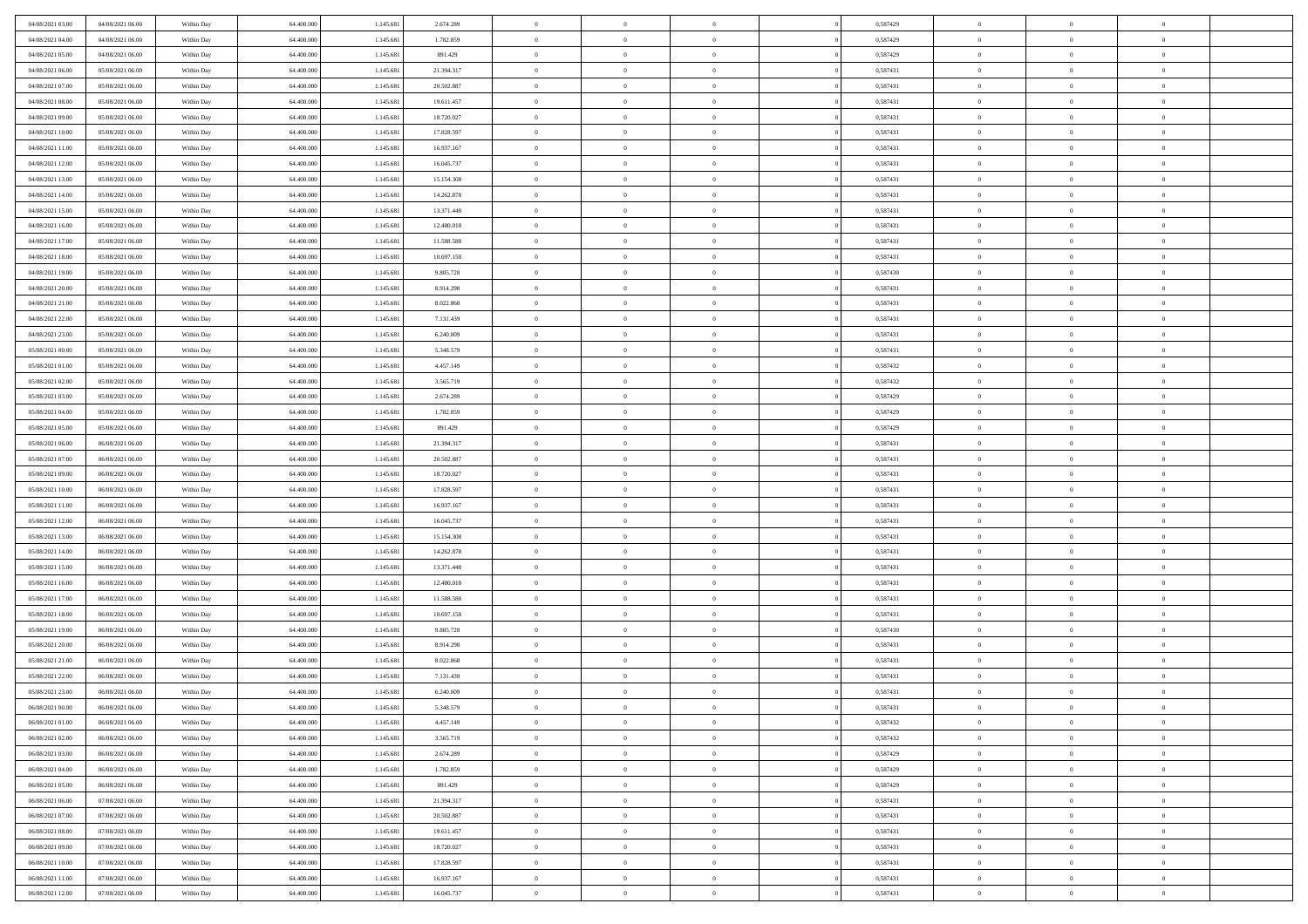| 04/08/2021 03:00                     | 04/08/2021 06:00                     | Within Day               | 64.400.000               | 1.145.68              | 2.674.289              | $\bf{0}$                         | $\bf{0}$                         | $\Omega$                         | 0,587429             | $\bf{0}$               | $\overline{0}$                   | $\bf{0}$                 |  |
|--------------------------------------|--------------------------------------|--------------------------|--------------------------|-----------------------|------------------------|----------------------------------|----------------------------------|----------------------------------|----------------------|------------------------|----------------------------------|--------------------------|--|
| 04/08/2021 04:00                     | 04/08/2021 06:00                     | Within Day               | 64,400,000               | 1.145.68              | 1.782.859              | $\overline{0}$                   | $\overline{0}$                   | $\Omega$                         | 0,587429             | $\overline{0}$         | $\theta$                         | $\overline{0}$           |  |
| 04/08/2021 05:00                     | 04/08/2021 06:00                     | Within Day               | 64.400.000               | 1.145.681             | 891.429                | $\overline{0}$                   | $\overline{0}$                   | $\overline{0}$                   | 0,587429             | $\mathbf{0}$           | $\overline{0}$                   | $\theta$                 |  |
| 04/08/2021 06:00                     | 05/08/2021 06:00                     | Within Day               | 64.400.000               | 1.145.681             | 21.394.317             | $\bf{0}$                         | $\overline{0}$                   | $\overline{0}$                   | 0,587431             | $\mathbf{0}$           | $\overline{0}$                   | $\bf{0}$                 |  |
| 04/08/2021 07:00                     | 05/08/2021 06:00                     | Within Day               | 64,400,000               | 1.145.681             | 20.502.887             | $\bf{0}$                         | $\overline{0}$                   | $\overline{0}$                   | 0,587431             | $\bf{0}$               | $\theta$                         | $\bf{0}$                 |  |
| 04/08/2021 08:00                     | 05/08/2021 06:00                     | Within Day               | 64.400.000               | 1.145.681             | 19.611.457             | $\overline{0}$                   | $\overline{0}$                   | $\overline{0}$                   | 0,587431             | $\mathbf{0}$           | $\overline{0}$                   | $\theta$                 |  |
| 04/08/2021 09:00                     | 05/08/2021 06:00                     | Within Day               | 64.400.000               | 1.145.681             | 18.720.027             | $\bf{0}$                         | $\overline{0}$                   | $\overline{0}$                   | 0,587431             | $\bf{0}$               | $\overline{0}$                   | $\bf{0}$                 |  |
| 04/08/2021 10:00                     | 05/08/2021 06:00                     | Within Day               | 64,400,000               | 1.145.681             | 17.828.597             | $\overline{0}$                   | $\overline{0}$                   | $\overline{0}$                   | 0,587431             | $\mathbf{0}$           | $\theta$                         | $\theta$                 |  |
| 04/08/2021 11:00                     | 05/08/2021 06:00                     | Within Day               | 64.400.000               | 1.145.681             | 16.937.167             | $\overline{0}$                   | $\overline{0}$                   | $\overline{0}$                   | 0,587431             | $\mathbf{0}$           | $\overline{0}$                   | $\theta$                 |  |
| 04/08/2021 12:00                     | 05/08/2021 06:00                     | Within Day               | 64.400.000               | 1.145.681             | 16.045.737             | $\bf{0}$                         | $\overline{0}$                   | $\Omega$                         | 0,587431             | $\bf{0}$               | $\overline{0}$                   | $\bf{0}$                 |  |
| 04/08/2021 13:00                     | 05/08/2021 06:00                     | Within Day               | 64,400,000               | 1.145.681             | 15.154.308             | $\overline{0}$                   | $\overline{0}$                   | $\overline{0}$                   | 0,587431             | $\mathbf{0}$           | $\theta$                         | $\theta$                 |  |
| 04/08/2021 14:00                     | 05/08/2021 06:00                     | Within Day               | 64.400.000               | 1.145.681             | 14.262.878             | $\overline{0}$                   | $\overline{0}$                   | $\overline{0}$                   | 0,587431             | $\mathbf{0}$           | $\overline{0}$                   | $\theta$                 |  |
| 04/08/2021 15:00                     | 05/08/2021 06:00                     | Within Day               | 64.400.000               | 1.145.68              | 13.371.448             | $\bf{0}$                         | $\overline{0}$                   | $\overline{0}$                   | 0,587431             | $\bf{0}$               | $\overline{0}$                   | $\bf{0}$                 |  |
| 04/08/2021 16:00                     | 05/08/2021 06:00                     | Within Day               | 64.400.000               | 1.145.681             | 12.480.018             | $\bf{0}$                         | $\overline{0}$                   | $\overline{0}$                   | 0,587431             | $\bf{0}$               | $\theta$                         | $\bf{0}$                 |  |
| 04/08/2021 17:00                     | 05/08/2021 06:00                     | Within Day               | 64.400.000               | 1.145.681             | 11.588.588             | $\overline{0}$                   | $\overline{0}$                   | $\overline{0}$                   | 0,587431             | $\overline{0}$         | $\overline{0}$                   | $\theta$                 |  |
| 04/08/2021 18:00                     | 05/08/2021 06:00                     | Within Day               | 64.400.000               | 1.145.681             | 10.697.158             | $\bf{0}$                         | $\overline{0}$                   | $\Omega$                         | 0,587431             | $\bf{0}$               | $\theta$                         | $\bf{0}$                 |  |
| 04/08/2021 19:00                     | 05/08/2021 06:00                     | Within Day               | 64,400,000               | 1.145.681             | 9.805.728              | $\mathbf{0}$                     | $\overline{0}$                   | $\overline{0}$                   | 0.587430             | $\mathbf{0}$           | $\theta$                         | $\theta$                 |  |
| 04/08/2021 20:00                     | 05/08/2021 06:00                     | Within Day               | 64.400.000               | 1.145.681             | 8.914.298              | $\overline{0}$                   | $\overline{0}$                   | $\overline{0}$                   | 0,587431             | $\mathbf{0}$           | $\overline{0}$                   | $\theta$                 |  |
| 04/08/2021 21:00                     | 05/08/2021 06:00                     | Within Day               | 64.400.000               | 1.145.68              | 8.022.868              | $\bf{0}$                         | $\overline{0}$                   | $\Omega$                         | 0,587431             | $\bf{0}$               | $\overline{0}$                   | $\bf{0}$                 |  |
| 04/08/2021 22:00                     | 05/08/2021 06:00                     | Within Day               | 64,400,000               | 1.145.681             | 7.131.439              | $\overline{0}$                   | $\overline{0}$                   | $\overline{0}$                   | 0,587431             | $\mathbf{0}$           | $\theta$                         | $\overline{0}$           |  |
| 04/08/2021 23:00                     | 05/08/2021 06:00                     | Within Day               | 64.400.000               | 1.145.681             | 6.240.009              | $\overline{0}$                   | $\overline{0}$                   | $\overline{0}$                   | 0,587431             | $\mathbf{0}$           | $\overline{0}$                   | $\theta$                 |  |
| 05/08/2021 00:00                     | 05/08/2021 06:00                     | Within Day               | 64.400.000               | 1.145.681             | 5.348.579              | $\bf{0}$                         | $\overline{0}$                   | $\overline{0}$                   | 0,587431             | $\mathbf{0}$           | $\overline{0}$                   | $\bf{0}$                 |  |
| 05/08/2021 01:00                     | 05/08/2021 06:00                     | Within Day               | 64,400,000               | 1.145.681             | 4.457.149              | $\bf{0}$                         | $\overline{0}$                   | $\overline{0}$                   | 0,587432             | $\bf{0}$               | $\theta$                         | $\bf{0}$                 |  |
| 05/08/2021 02:00                     | 05/08/2021 06:00                     | Within Day               | 64.400.000               | 1.145.681             | 3.565.719              | $\overline{0}$                   | $\overline{0}$                   | $\overline{0}$                   | 0,587432             | $\overline{0}$         | $\overline{0}$                   | $\theta$                 |  |
| 05/08/2021 03:00                     | 05/08/2021 06:00                     | Within Day               | 64.400.000               | 1.145.681             | 2.674.289              | $\bf{0}$                         | $\overline{0}$                   | $\overline{0}$                   | 0,587429             | $\bf{0}$               | $\overline{0}$                   | $\bf{0}$                 |  |
| 05/08/2021 04:00                     | 05/08/2021 06:00                     | Within Day               | 64,400,000               | 1.145.68              | 1.782.859              | $\theta$                         | $\overline{0}$                   | $\overline{0}$                   | 0,587429             | $\mathbf{0}$           | $\theta$                         | $\theta$                 |  |
| 05/08/2021 05:00                     | 05/08/2021 06:00                     | Within Day               | 64.400.000               | 1.145.681             | 891.429                | $\overline{0}$                   | $\overline{0}$                   | $\overline{0}$                   | 0,587429             | $\mathbf{0}$           | $\overline{0}$                   | $\theta$                 |  |
| 05/08/2021 06:00                     | 06/08/2021 06:00                     | Within Day               | 64.400.000               | 1.145.681             | 21.394.317             | $\bf{0}$                         | $\overline{0}$                   | $\Omega$                         | 0,587431             | $\bf{0}$               | $\overline{0}$                   | $\bf{0}$                 |  |
| 05/08/2021 07:00                     | 06/08/2021 06:00                     | Within Day               | 64,400,000               | 1.145.681             | 20.502.887             | $\bf{0}$                         | $\overline{0}$                   | $\overline{0}$                   | 0,587431             | $\mathbf{0}$           | $\theta$                         | $\overline{0}$           |  |
| 05/08/2021 09:00                     | 06/08/2021 06:00                     | Within Day               | 64.400.000               | 1.145.681             | 18.720.027             | $\overline{0}$                   | $\overline{0}$                   | $\overline{0}$                   | 0,587431             | $\mathbf{0}$           | $\overline{0}$                   | $\theta$                 |  |
| 05/08/2021 10:00                     | 06/08/2021 06:00                     | Within Day               | 64.400.000               | 1.145.681             | 17.828.597             | $\,$ 0                           | $\overline{0}$                   | $\overline{0}$                   | 0,587431             | $\,$ 0                 | $\overline{0}$                   | $\,0\,$                  |  |
| 05/08/2021 11:00                     | 06/08/2021 06:00                     | Within Day               | 64,400,000               | 1.145.68              | 16.937.167             | $\bf{0}$                         | $\overline{0}$                   | $\overline{0}$                   | 0,587431             | $\bf{0}$               | $\theta$                         | $\bf{0}$                 |  |
| 05/08/2021 12:00                     | 06/08/2021 06:00                     | Within Day               | 64.400.000               | 1.145.681             | 16.045.737             | $\overline{0}$                   | $\overline{0}$                   | $\overline{0}$                   | 0,587431             | $\overline{0}$         | $\overline{0}$                   | $\theta$                 |  |
| 05/08/2021 13:00                     | 06/08/2021 06:00                     | Within Day               | 64.400.000               | 1.145.681             | 15.154.308             | $\,$ 0                           | $\overline{0}$                   | $\theta$                         | 0,587431             | $\,$ 0                 | $\overline{0}$                   | $\mathbf{0}$             |  |
| 05/08/2021 14:00                     | 06/08/2021 06:00                     | Within Day               | 64,400,000               | 1.145.681             | 14.262.878             | $\bf{0}$                         | $\overline{0}$                   | $\overline{0}$                   | 0,587431             | $\mathbf{0}$           | $\overline{0}$                   | $\overline{0}$           |  |
| 05/08/2021 15:00                     | 06/08/2021 06:00                     | Within Day               | 64.400.000               | 1.145.681             | 13.371.448             | $\overline{0}$                   | $\overline{0}$                   | $\overline{0}$                   | 0,587431             | $\mathbf{0}$           | $\overline{0}$                   | $\theta$                 |  |
| 05/08/2021 16:00                     | 06/08/2021 06:00                     | Within Day               | 64.400.000               | 1.145.681             | 12.480.018             | $\overline{0}$                   | $\overline{0}$                   | $\overline{0}$                   | 0,587431             | $\,$ 0 $\,$            | $\overline{0}$                   | $\mathbf{0}$             |  |
| 05/08/2021 17:00                     | 06/08/2021 06:00                     | Within Day               | 64,400,000               | 1.145.681             | 11.588.588             | $\bf{0}$                         | $\overline{0}$                   | $\overline{0}$                   | 0,587431             | $\mathbf{0}$           | $\theta$                         | $\overline{0}$           |  |
| 05/08/2021 18:00                     | 06/08/2021 06:00                     | Within Day               | 64.400.000               | 1.145.681             | 10.697.158             | $\overline{0}$                   | $\overline{0}$                   | $\overline{0}$                   | 0,587431             | $\mathbf{0}$           | $\overline{0}$                   | $\theta$                 |  |
| 05/08/2021 19:00                     | 06/08/2021 06:00                     | Within Day               | 64.400.000               | 1.145.681             | 9.805.728              | $\,$ 0                           | $\overline{0}$                   | $\overline{0}$                   | 0,587430             | $\,$ 0                 | $\overline{0}$                   | $\,0\,$                  |  |
| 05/08/2021 20:00                     | 06/08/2021 06:00                     | Within Day               | 64,400,000               | 1.145.681             | 8.914.298              | $\bf{0}$                         | $\overline{0}$                   | $\overline{0}$                   | 0,587431             | $\,$ 0 $\,$            | $\overline{0}$                   | $\overline{0}$           |  |
| 05/08/2021 21:00                     | 06/08/2021 06:00                     | Within Day               | 64.400.000               | 1.145.681             | 8.022.868              | $\overline{0}$<br>$\overline{0}$ | $\overline{0}$<br>$\overline{0}$ | $\overline{0}$                   | 0,587431             | $\overline{0}$         | $\overline{0}$                   | $\theta$<br>$\mathbf{0}$ |  |
| 05/08/2021 22:00<br>05/08/2021 23.00 | 06/08/2021 06:00<br>06/08/2021 06:00 | Within Day               | 64.400.000<br>64,400,000 | 1.145.681<br>1.145.68 | 7.131.439<br>6.240.009 | $\bf{0}$                         | $\overline{0}$                   | $\overline{0}$<br>$\overline{0}$ | 0,587431<br>0,587431 | $\,$ 0<br>$\mathbf{0}$ | $\overline{0}$<br>$\overline{0}$ | $\overline{0}$           |  |
| 06/08/2021 00:00                     | 06/08/2021 06:00                     | Within Day<br>Within Day | 64.400.000               | 1.145.681             | 5.348.579              | $\overline{0}$                   | $\theta$                         |                                  | 0,587431             | $\overline{0}$         | $\Omega$                         | $\overline{0}$           |  |
| 06/08/2021 01:00                     | 06/08/2021 06:00                     | Within Day               | 64.400.000               | 1.145.681             | 4.457.149              | $\,$ 0 $\,$                      | $\overline{0}$                   | $\overline{0}$                   | 0,587432             | $\,$ 0 $\,$            | $\bf{0}$                         | $\,0\,$                  |  |
| 06/08/2021 02:00                     | 06/08/2021 06:00                     | Within Day               | 64.400.000               | 1.145.681             | 3.565.719              | $\mathbf{0}$                     | $\overline{0}$                   | $\overline{0}$                   | 0,587432             | $\,$ 0 $\,$            | $\overline{0}$                   | $\overline{0}$           |  |
| 06/08/2021 03:00                     | 06/08/2021 06:00                     | Within Day               | 64.400.000               | 1.145.681             | 2.674.289              | $\mathbf{0}$                     | $\overline{0}$                   | $\overline{0}$                   | 0,587429             | $\mathbf{0}$           | $\bf{0}$                         | $\overline{0}$           |  |
| 06/08/2021 04:00                     | 06/08/2021 06:00                     | Within Day               | 64.400.000               | 1.145.681             | 1.782.859              | $\,$ 0 $\,$                      | $\overline{0}$                   | $\overline{0}$                   | 0,587429             | $\,$ 0 $\,$            | $\bf{0}$                         | $\theta$                 |  |
| 06/08/2021 05:00                     | 06/08/2021 06:00                     | Within Day               | 64.400.000               | 1.145.681             | 891.429                | $\,$ 0 $\,$                      | $\,$ 0 $\,$                      | $\overline{0}$                   | 0,587429             | $\,$ 0 $\,$            | $\overline{0}$                   | $\overline{0}$           |  |
| 06/08/2021 06:00                     | 07/08/2021 06:00                     | Within Day               | 64.400.000               | 1.145.681             | 21.394.317             | $\mathbf{0}$                     | $\overline{0}$                   | $\overline{0}$                   | 0,587431             | $\mathbf{0}$           | $\bf{0}$                         | $\overline{0}$           |  |
| 06/08/2021 07:00                     | 07/08/2021 06:00                     | Within Day               | 64.400.000               | 1.145.681             | 20.502.887             | $\,$ 0 $\,$                      | $\overline{0}$                   | $\overline{0}$                   | 0,587431             | $\,$ 0 $\,$            | $\overline{0}$                   | $\theta$                 |  |
| 06/08/2021 08:00                     | 07/08/2021 06:00                     | Within Day               | 64,400,000               | 1.145.681             | 19.611.457             | $\mathbf{0}$                     | $\overline{0}$                   | $\overline{0}$                   | 0,587431             | $\,$ 0 $\,$            | $\overline{0}$                   | $\overline{0}$           |  |
| 06/08/2021 09:00                     | 07/08/2021 06:00                     | Within Day               | 64.400.000               | 1.145.681             | 18.720.027             | $\mathbf{0}$                     | $\overline{0}$                   | $\overline{0}$                   | 0,587431             | $\mathbf{0}$           | $\bf{0}$                         | $\overline{0}$           |  |
| 06/08/2021 10:00                     | 07/08/2021 06:00                     | Within Day               | 64.400.000               | 1.145.681             | 17.828.597             | $\,$ 0 $\,$                      | $\overline{0}$                   | $\overline{0}$                   | 0,587431             | $\,$ 0 $\,$            | $\mathbf{0}$                     | $\theta$                 |  |
| 06/08/2021 11:00                     | 07/08/2021 06:00                     | Within Day               | 64,400,000               | 1.145.681             | 16.937.167             | $\mathbf{0}$                     | $\overline{0}$                   | $\overline{0}$                   | 0,587431             | $\,$ 0 $\,$            | $\overline{0}$                   | $\overline{0}$           |  |
| 06/08/2021 12:00                     | 07/08/2021 06:00                     | Within Day               | 64.400.000               | 1.145.681             | 16.045.737             | $\overline{0}$                   | $\overline{0}$                   | $\overline{0}$                   | 0,587431             | $\mathbf{0}$           | $\mathbf{0}$                     | $\overline{0}$           |  |
|                                      |                                      |                          |                          |                       |                        |                                  |                                  |                                  |                      |                        |                                  |                          |  |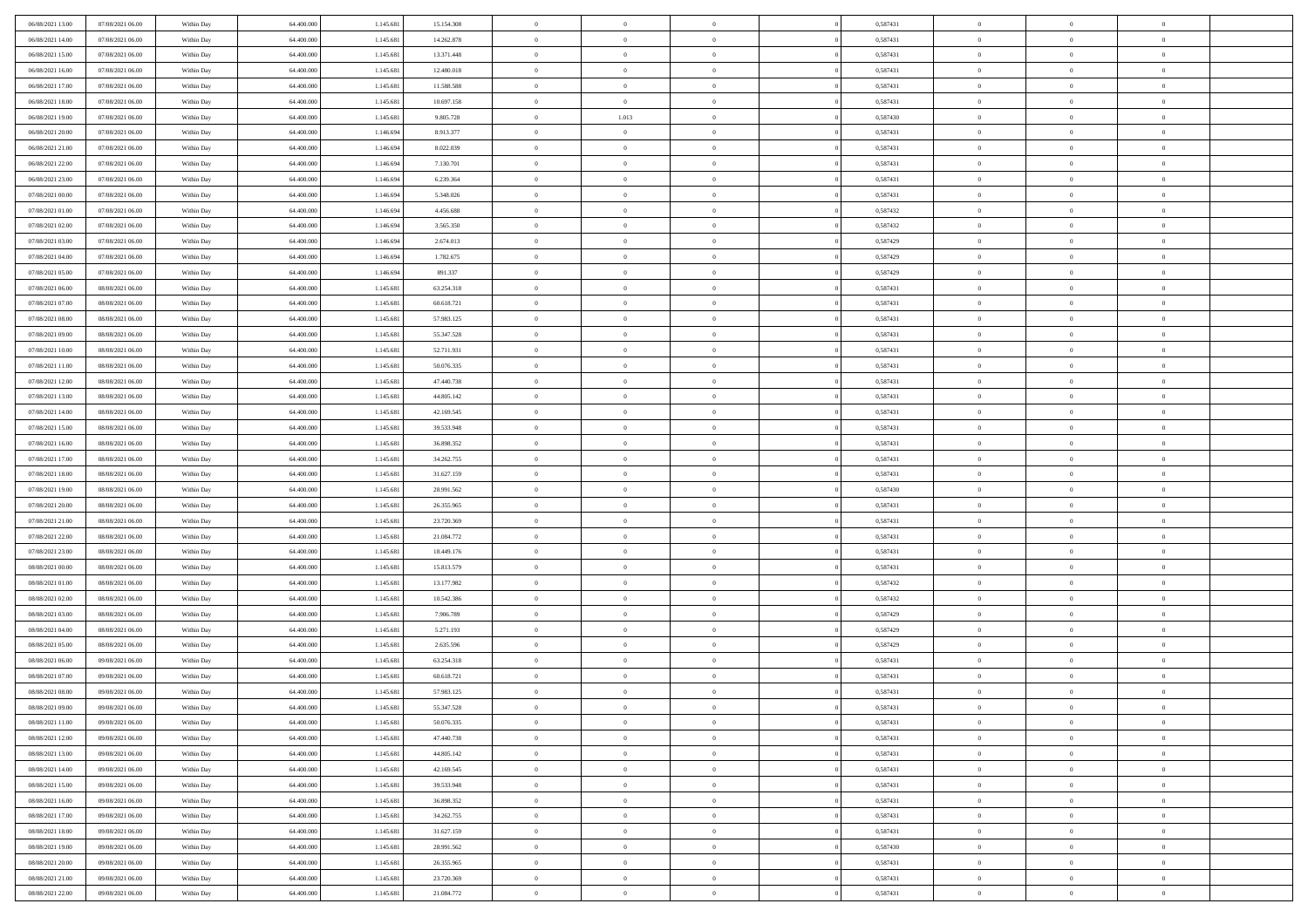| 06/08/2021 13:00 | 07/08/2021 06:00 | Within Day | 64.400.000 | 1.145.681 | 15.154.308 | $\,$ 0         | $\bf{0}$       | $\theta$       |                | 0,587431 | $\bf{0}$       | $\overline{0}$ | $\theta$       |  |
|------------------|------------------|------------|------------|-----------|------------|----------------|----------------|----------------|----------------|----------|----------------|----------------|----------------|--|
| 06/08/2021 14:00 | 07/08/2021 06:00 | Within Day | 64,400,000 | 1.145.681 | 14.262.878 | $\overline{0}$ | $\overline{0}$ | $\overline{0}$ |                | 0,587431 | $\theta$       | $\theta$       | $\overline{0}$ |  |
| 06/08/2021 15:00 | 07/08/2021 06:00 | Within Day | 64.400.000 | 1.145.681 | 13.371.448 | $\mathbf{0}$   | $\overline{0}$ | $\overline{0}$ |                | 0,587431 | $\theta$       | $\overline{0}$ | $\theta$       |  |
| 06/08/2021 16:00 | 07/08/2021 06:00 | Within Day | 64.400.000 | 1.145.681 | 12.480.018 | $\bf{0}$       | $\overline{0}$ | $\bf{0}$       |                | 0,587431 | $\bf{0}$       | $\overline{0}$ | $\bf{0}$       |  |
| 06/08/2021 17:00 | 07/08/2021 06:00 | Within Day | 64,400,000 | 1.145.681 | 11.588.588 | $\bf{0}$       | $\bf{0}$       | $\bf{0}$       |                | 0,587431 | $\bf{0}$       | $\Omega$       | $\bf{0}$       |  |
| 06/08/2021 18:00 | 07/08/2021 06:00 | Within Day | 64.400.000 | 1.145.681 | 10.697.158 | $\mathbf{0}$   | $\overline{0}$ | $\overline{0}$ |                | 0,587431 | $\theta$       | $\overline{0}$ | $\theta$       |  |
| 06/08/2021 19:00 | 07/08/2021 06:00 | Within Day | 64.400.000 | 1.145.681 | 9.805.728  | $\bf{0}$       | 1.013          | $\overline{0}$ |                | 0,587430 | $\bf{0}$       | $\overline{0}$ | $\theta$       |  |
|                  |                  |            | 64,400,000 |           |            | $\overline{0}$ | $\overline{0}$ | $\overline{0}$ |                | 0,587431 | $\,$ 0 $\,$    | $\theta$       | $\overline{0}$ |  |
| 06/08/2021 20:00 | 07/08/2021 06:00 | Within Day |            | 1.146.694 | 8.913.377  | $\mathbf{0}$   |                |                |                |          | $\theta$       |                |                |  |
| 06/08/2021 21:00 | 07/08/2021 06:00 | Within Day | 64.400.000 | 1.146.694 | 8.022.039  |                | $\overline{0}$ | $\overline{0}$ |                | 0,587431 |                | $\overline{0}$ | $\theta$       |  |
| 06/08/2021 22:00 | 07/08/2021 06:00 | Within Day | 64.400.000 | 1.146.694 | 7.130.701  | $\bf{0}$       | $\bf{0}$       | $\overline{0}$ |                | 0,587431 | $\bf{0}$       | $\overline{0}$ | $\theta$       |  |
| 06/08/2021 23:00 | 07/08/2021 06:00 | Within Day | 64,400,000 | 1.146.694 | 6.239.364  | $\bf{0}$       | $\overline{0}$ | $\overline{0}$ |                | 0,587431 | $\bf{0}$       | $\theta$       | $\overline{0}$ |  |
| 07/08/2021 00:00 | 07/08/2021 06:00 | Within Day | 64.400.000 | 1.146.694 | 5.348.026  | $\mathbf{0}$   | $\overline{0}$ | $\overline{0}$ |                | 0,587431 | $\theta$       | $\overline{0}$ | $\theta$       |  |
| 07/08/2021 01:00 | 07/08/2021 06:00 | Within Day | 64.400.000 | 1.146.694 | 4.456.688  | $\bf{0}$       | $\overline{0}$ | $\bf{0}$       |                | 0,587432 | $\bf{0}$       | $\overline{0}$ | $\bf{0}$       |  |
| 07/08/2021 02:00 | 07/08/2021 06:00 | Within Day | 64.400.000 | 1.146.694 | 3.565.350  | $\bf{0}$       | $\overline{0}$ | $\overline{0}$ |                | 0,587432 | $\bf{0}$       | $\Omega$       | $\bf{0}$       |  |
| 07/08/2021 03:00 | 07/08/2021 06:00 | Within Day | 64.400.000 | 1.146.694 | 2.674.013  | $\mathbf{0}$   | $\overline{0}$ | $\overline{0}$ |                | 0,587429 | $\theta$       | $\overline{0}$ | $\theta$       |  |
| 07/08/2021 04:00 | 07/08/2021 06:00 | Within Day | 64.400.000 | 1.146.694 | 1.782.675  | $\bf{0}$       | $\overline{0}$ | $\overline{0}$ |                | 0,587429 | $\bf{0}$       | $\overline{0}$ | $\theta$       |  |
| 07/08/2021 05:00 | 07/08/2021 06:00 | Within Day | 64,400,000 | 1.146.694 | 891.337    | $\bf{0}$       | $\overline{0}$ | $\overline{0}$ |                | 0,587429 | $\,$ 0 $\,$    | $\overline{0}$ | $\overline{0}$ |  |
| 07/08/2021 06:00 | 08/08/2021 06:00 | Within Day | 64.400.000 | 1.145.681 | 63.254.318 | $\mathbf{0}$   | $\overline{0}$ | $\overline{0}$ |                | 0,587431 | $\theta$       | $\overline{0}$ | $\theta$       |  |
| 07/08/2021 07:00 | 08/08/2021 06:00 | Within Day | 64.400.000 | 1.145.681 | 60.618.721 | $\bf{0}$       | $\overline{0}$ | $\overline{0}$ |                | 0,587431 | $\bf{0}$       | $\overline{0}$ | $\theta$       |  |
| 07/08/2021 08:00 | 08/08/2021 06:00 | Within Day | 64.400.000 | 1.145.681 | 57.983.125 | $\bf{0}$       | $\overline{0}$ | $\overline{0}$ |                | 0,587431 | $\bf{0}$       | $\theta$       | $\overline{0}$ |  |
| 07/08/2021 09:00 | 08/08/2021 06:00 | Within Day | 64.400.000 | 1.145.681 | 55.347.528 | $\mathbf{0}$   | $\overline{0}$ | $\overline{0}$ |                | 0,587431 | $\theta$       | $\overline{0}$ | $\theta$       |  |
| 07/08/2021 10:00 | 08/08/2021 06:00 | Within Day | 64.400.000 | 1.145.681 | 52.711.931 | $\bf{0}$       | $\overline{0}$ | $\bf{0}$       |                | 0,587431 | $\bf{0}$       | $\overline{0}$ | $\bf{0}$       |  |
| 07/08/2021 11:00 | 08/08/2021 06:00 | Within Day | 64,400,000 | 1.145.681 | 50.076.335 | $\bf{0}$       | $\bf{0}$       | $\overline{0}$ |                | 0,587431 | $\bf{0}$       | $\overline{0}$ | $\bf{0}$       |  |
| 07/08/2021 12:00 | 08/08/2021 06:00 | Within Day | 64.400.000 | 1.145.681 | 47.440.738 | $\mathbf{0}$   | $\overline{0}$ | $\overline{0}$ |                | 0,587431 | $\theta$       | $\overline{0}$ | $\theta$       |  |
| 07/08/2021 13:00 | 08/08/2021 06:00 | Within Day | 64.400.000 | 1.145.681 | 44.805.142 | $\bf{0}$       | $\bf{0}$       | $\overline{0}$ |                | 0,587431 | $\bf{0}$       | $\overline{0}$ | $\theta$       |  |
| 07/08/2021 14:00 | 08/08/2021 06:00 | Within Day | 64,400,000 | 1.145.681 | 42.169.545 | $\bf{0}$       | $\overline{0}$ | $\overline{0}$ |                | 0,587431 | $\,$ 0 $\,$    | $\theta$       | $\overline{0}$ |  |
| 07/08/2021 15:00 | 08/08/2021 06:00 | Within Day | 64.400.000 | 1.145.681 | 39.533.948 | $\mathbf{0}$   | $\overline{0}$ | $\overline{0}$ |                | 0,587431 | $\theta$       | $\overline{0}$ | $\theta$       |  |
| 07/08/2021 16:00 | 08/08/2021 06:00 | Within Day | 64.400.000 | 1.145.681 | 36.898.352 | $\bf{0}$       | $\bf{0}$       | $\overline{0}$ |                | 0,587431 | $\bf{0}$       | $\overline{0}$ | $\theta$       |  |
| 07/08/2021 17:00 | 08/08/2021 06:00 | Within Day | 64,400,000 | 1.145.681 | 34.262.755 | $\bf{0}$       | $\overline{0}$ | $\overline{0}$ |                | 0,587431 | $\bf{0}$       | $\theta$       | $\bf{0}$       |  |
| 07/08/2021 18:00 | 08/08/2021 06:00 | Within Day | 64.400.000 | 1.145.681 | 31.627.159 | $\mathbf{0}$   | $\overline{0}$ | $\overline{0}$ |                | 0,587431 | $\theta$       | $\overline{0}$ | $\theta$       |  |
| 07/08/2021 19:00 | 08/08/2021 06:00 | Within Day | 64.400.000 | 1.145.681 | 28.991.562 | $\bf{0}$       | $\overline{0}$ | $\overline{0}$ |                | 0,587430 | $\,0\,$        | $\overline{0}$ | $\theta$       |  |
| 07/08/2021 20:00 | 08/08/2021 06:00 | Within Day | 64.400.000 | 1.145.681 | 26.355.965 | $\bf{0}$       | $\overline{0}$ | $\overline{0}$ |                | 0,587431 | $\bf{0}$       | $\overline{0}$ | $\bf{0}$       |  |
| 07/08/2021 21:00 | 08/08/2021 06:00 | Within Day | 64.400.000 | 1.145.681 | 23.720.369 | $\mathbf{0}$   | $\overline{0}$ | $\overline{0}$ |                | 0,587431 | $\theta$       | $\overline{0}$ | $\theta$       |  |
| 07/08/2021 22:00 | 08/08/2021 06:00 | Within Day | 64.400.000 | 1.145.681 | 21.084.772 | $\bf{0}$       | $\overline{0}$ | $\theta$       |                | 0,587431 | $\,0\,$        | $\overline{0}$ | $\theta$       |  |
| 07/08/2021 23:00 | 08/08/2021 06:00 | Within Day | 64,400,000 | 1.145.681 | 18.449.176 | $\bf{0}$       | $\overline{0}$ | $\overline{0}$ |                | 0,587431 | $\bf{0}$       | $\overline{0}$ | $\bf{0}$       |  |
| 08/08/2021 00:00 | 08/08/2021 06:00 | Within Day | 64.400.000 | 1.145.681 | 15.813.579 | $\mathbf{0}$   | $\overline{0}$ | $\overline{0}$ |                | 0,587431 | $\theta$       | $\overline{0}$ | $\theta$       |  |
| 08/08/2021 01:00 | 08/08/2021 06:00 | Within Day | 64.400.000 | 1.145.681 | 13.177.982 | $\bf{0}$       | $\overline{0}$ | $\theta$       |                | 0,587432 | $\,0\,$        | $\overline{0}$ | $\theta$       |  |
| 08/08/2021 02:00 | 08/08/2021 06:00 | Within Day | 64.400.000 | 1.145.681 | 10.542.386 | $\bf{0}$       | $\overline{0}$ | $\overline{0}$ |                | 0,587432 | $\bf{0}$       | $\theta$       | $\bf{0}$       |  |
| 08/08/2021 03:00 | 08/08/2021 06:00 | Within Day | 64.400.000 | 1.145.681 | 7.906.789  | $\mathbf{0}$   | $\overline{0}$ | $\overline{0}$ |                | 0,587429 | $\theta$       | $\overline{0}$ | $\theta$       |  |
| 08/08/2021 04:00 | 08/08/2021 06:00 | Within Day | 64.400.000 | 1.145.681 | 5.271.193  | $\bf{0}$       | $\overline{0}$ | $\theta$       |                | 0,587429 | $\,0\,$        | $\overline{0}$ | $\theta$       |  |
| 08/08/2021 05:00 | 08/08/2021 06:00 | Within Day | 64,400,000 | 1.145.681 | 2.635.596  | $\bf{0}$       | $\bf{0}$       | $\overline{0}$ |                | 0,587429 | $\bf{0}$       | $\overline{0}$ | $\bf{0}$       |  |
| 08/08/2021 06:00 | 09/08/2021 06:00 | Within Day | 64.400.000 | 1.145.681 | 63.254.318 | $\mathbf{0}$   | $\overline{0}$ | $\overline{0}$ |                | 0,587431 | $\theta$       | $\overline{0}$ | $\theta$       |  |
| 08/08/2021 07:00 | 09/08/2021 06:00 | Within Day | 64.400.000 | 1.145.681 | 60.618.721 | $\bf{0}$       | $\overline{0}$ | $\theta$       |                | 0,587431 | $\,0\,$        | $\overline{0}$ | $\theta$       |  |
| 08/08/2021 08:00 | 09/08/2021 06:00 | Within Day | 64,400,000 | 1.145.681 | 57.983.125 | $\bf{0}$       | $\overline{0}$ | $\overline{0}$ |                | 0,587431 | $\,$ 0 $\,$    | $\overline{0}$ | $\bf{0}$       |  |
| 08/08/2021 09:00 | 09/08/2021 06:00 | Within Day | 64.400.000 | 1.145.681 | 55.347.528 | $\bf{0}$       | $\overline{0}$ |                |                | 0,587431 | $\bf{0}$       | $\Omega$       | $\Omega$       |  |
| 08/08/2021 11:00 | 09/08/2021 06:00 | Within Day | 64.400.000 | 1.145.681 | 50.076.335 | $\,0\,$        | $\overline{0}$ | $\theta$       |                | 0,587431 | $\,$ 0 $\,$    | $\overline{0}$ | $\theta$       |  |
| 08/08/2021 12:00 | 09/08/2021 06:00 | Within Day | 64,400,000 | 1.145.681 | 47.440.738 | $\bf{0}$       | $\overline{0}$ | $\overline{0}$ |                | 0,587431 | $\overline{0}$ | $\overline{0}$ | $\overline{0}$ |  |
| 08/08/2021 13:00 | 09/08/2021 06:00 | Within Day | 64.400.000 | 1.145.681 | 44.805.142 | $\overline{0}$ | $\overline{0}$ | $\overline{0}$ |                | 0,587431 | $\mathbf{0}$   | $\overline{0}$ | $\overline{0}$ |  |
| 08/08/2021 14:00 | 09/08/2021 06:00 | Within Day | 64.400.000 | 1.145.681 | 42.169.545 | $\,$ 0 $\,$    | $\overline{0}$ | $\overline{0}$ | $\overline{0}$ | 0,587431 | $\,$ 0 $\,$    | $\overline{0}$ | $\,$ 0         |  |
| 08/08/2021 15:00 | 09/08/2021 06:00 | Within Day | 64,400,000 | 1.145.681 | 39.533.948 | $\mathbf{0}$   | $\overline{0}$ | $\overline{0}$ |                | 0,587431 | $\,$ 0 $\,$    | $\overline{0}$ | $\overline{0}$ |  |
| 08/08/2021 16:00 | 09/08/2021 06:00 | Within Day | 64.400.000 | 1.145.681 | 36.898.352 | $\overline{0}$ | $\overline{0}$ | $\overline{0}$ |                | 0,587431 | $\overline{0}$ | $\overline{0}$ | $\overline{0}$ |  |
|                  |                  |            |            |           |            |                |                |                |                |          |                |                |                |  |
| 08/08/2021 17:00 | 09/08/2021 06:00 | Within Day | 64.400.000 | 1.145.681 | 34.262.755 | $\,$ 0 $\,$    | $\overline{0}$ | $\overline{0}$ | $\theta$       | 0,587431 | $\,$ 0 $\,$    | $\overline{0}$ | $\theta$       |  |
| 08/08/2021 18:00 | 09/08/2021 06:00 | Within Day | 64.400.000 | 1.145.681 | 31.627.159 | $\bf{0}$       | $\overline{0}$ | $\overline{0}$ |                | 0,587431 | $\overline{0}$ | $\overline{0}$ | $\overline{0}$ |  |
| 08/08/2021 19:00 | 09/08/2021 06:00 | Within Day | 64.400.000 | 1.145.681 | 28.991.562 | $\overline{0}$ | $\overline{0}$ | $\overline{0}$ |                | 0,587430 | $\mathbf{0}$   | $\overline{0}$ | $\overline{0}$ |  |
| 08/08/2021 20:00 | 09/08/2021 06:00 | Within Day | 64.400.000 | 1.145.681 | 26.355.965 | $\,0\,$        | $\overline{0}$ | $\overline{0}$ |                | 0,587431 | $\,$ 0 $\,$    | $\overline{0}$ | $\,$ 0 $\,$    |  |
| 08/08/2021 21:00 | 09/08/2021 06:00 | Within Day | 64,400,000 | 1.145.681 | 23.720.369 | $\bf{0}$       | $\bf{0}$       | $\overline{0}$ |                | 0,587431 | $\bf{0}$       | $\overline{0}$ | $\overline{0}$ |  |
| 08/08/2021 22:00 | 09/08/2021 06:00 | Within Day | 64.400.000 | 1.145.681 | 21.084.772 | $\mathbf{0}$   | $\overline{0}$ | $\overline{0}$ |                | 0,587431 | $\mathbf{0}$   | $\overline{0}$ | $\overline{0}$ |  |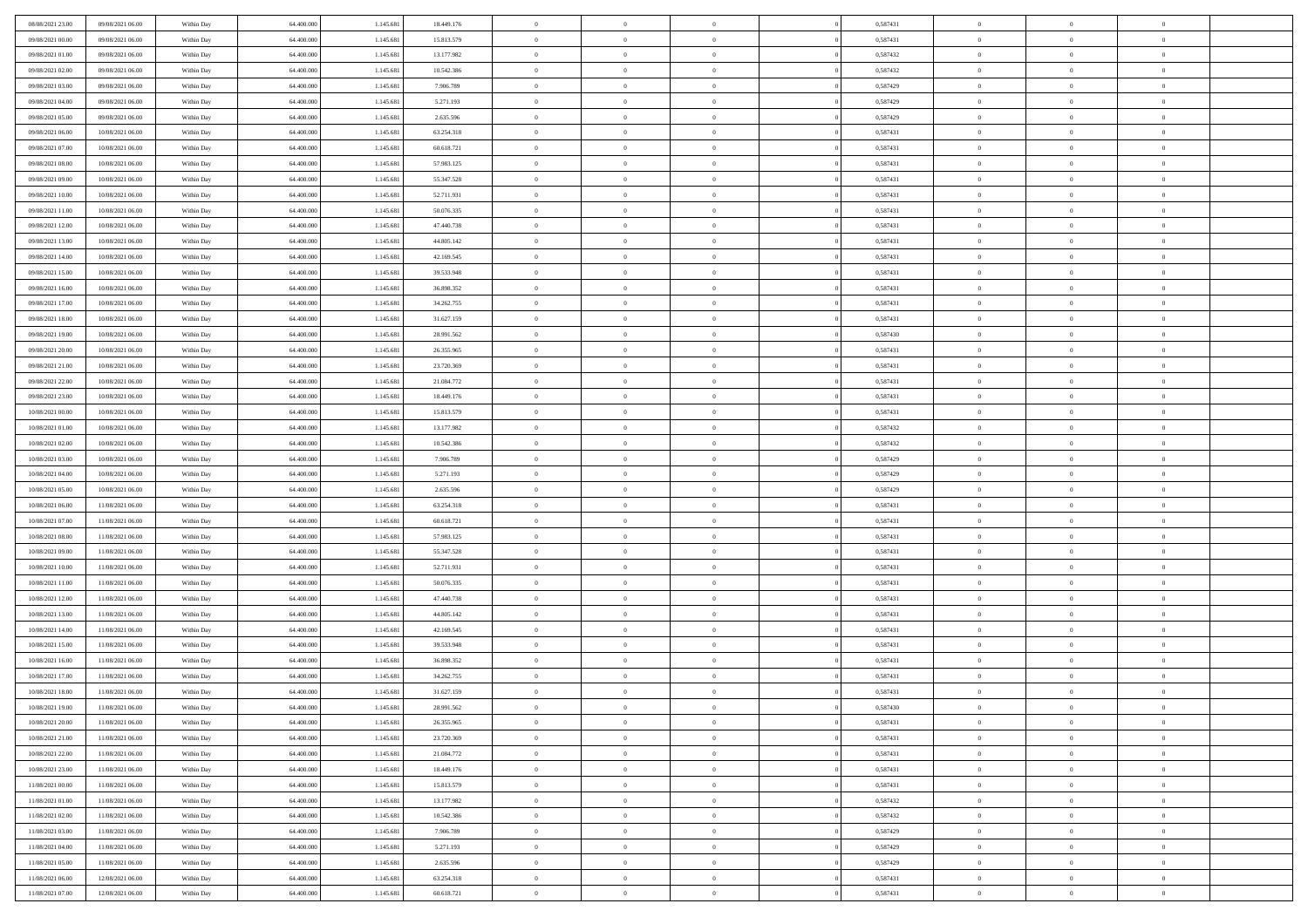| 08/08/2021 23:00 | 09/08/2021 06:00 | Within Day               | 64.400.000 | 1.145.681 | 18.449.176 | $\,$ 0         | $\bf{0}$                         | $\theta$       |          | 0,587431 | $\bf{0}$       | $\overline{0}$             | $\,0\,$        |  |
|------------------|------------------|--------------------------|------------|-----------|------------|----------------|----------------------------------|----------------|----------|----------|----------------|----------------------------|----------------|--|
| 09/08/2021 00:00 | 09/08/2021 06:00 | Within Day               | 64,400,000 | 1.145.681 | 15.813.579 | $\overline{0}$ | $\overline{0}$                   | $\overline{0}$ |          | 0,587431 | $\overline{0}$ | $\overline{0}$             | $\theta$       |  |
| 09/08/2021 01:00 | 09/08/2021 06:00 | Within Dav               | 64.400.000 | 1.145.681 | 13.177.982 | $\mathbf{0}$   | $\overline{0}$                   | $\overline{0}$ |          | 0,587432 | $\mathbf{0}$   | $\overline{0}$             | $\overline{0}$ |  |
| 09/08/2021 02:00 | 09/08/2021 06:00 | Within Day               | 64.400.000 | 1.145.681 | 10.542.386 | $\bf{0}$       | $\overline{0}$                   | $\bf{0}$       |          | 0,587432 | $\bf{0}$       | $\overline{0}$             | $\bf{0}$       |  |
| 09/08/2021 03:00 | 09/08/2021 06:00 | Within Day               | 64,400,000 | 1.145.681 | 7.906.789  | $\bf{0}$       | $\bf{0}$                         | $\overline{0}$ |          | 0,587429 | $\bf{0}$       | $\bf{0}$                   | $\,0\,$        |  |
| 09/08/2021 04:00 | 09/08/2021 06:00 | Within Dav               | 64.400.000 | 1.145.681 | 5.271.193  | $\mathbf{0}$   | $\overline{0}$                   | $\overline{0}$ |          | 0,587429 | $\mathbf{0}$   | $\overline{0}$             | $\overline{0}$ |  |
| 09/08/2021 05:00 | 09/08/2021 06:00 | Within Day               | 64.400.000 | 1.145.681 | 2.635.596  | $\bf{0}$       | $\bf{0}$                         | $\overline{0}$ |          | 0,587429 | $\bf{0}$       | $\overline{0}$             | $\,0\,$        |  |
| 09/08/2021 06:00 | 10/08/2021 06:00 | Within Day               | 64.400.000 | 1.145.681 | 63.254.318 | $\overline{0}$ | $\overline{0}$                   | $\overline{0}$ |          | 0,587431 | $\,$ 0 $\,$    | $\overline{0}$             | $\theta$       |  |
| 09/08/2021 07:00 | 10/08/2021 06:00 | Within Day               | 64.400.000 | 1.145.681 | 60.618.721 | $\mathbf{0}$   | $\overline{0}$                   | $\overline{0}$ |          | 0,587431 | $\mathbf{0}$   | $\overline{0}$             | $\overline{0}$ |  |
| 09/08/2021 08:00 | 10/08/2021 06:00 | Within Day               | 64.400.000 | 1.145.681 | 57.983.125 | $\bf{0}$       | $\bf{0}$                         | $\overline{0}$ |          | 0,587431 | $\bf{0}$       | $\overline{0}$             | $\,0\,$        |  |
| 09/08/2021 09:00 | 10/08/2021 06:00 |                          | 64,400,000 | 1.145.681 | 55.347.528 | $\overline{0}$ | $\overline{0}$                   | $\overline{0}$ |          | 0,587431 | $\bf{0}$       | $\overline{0}$             | $\theta$       |  |
| 09/08/2021 10:00 | 10/08/2021 06:00 | Within Day<br>Within Dav | 64.400.000 | 1.145.681 | 52.711.931 | $\mathbf{0}$   | $\overline{0}$                   | $\overline{0}$ |          | 0,587431 | $\mathbf{0}$   | $\overline{0}$             | $\overline{0}$ |  |
|                  |                  |                          |            |           |            | $\bf{0}$       |                                  |                |          |          | $\bf{0}$       |                            |                |  |
| 09/08/2021 11:00 | 10/08/2021 06:00 | Within Day               | 64.400.000 | 1.145.681 | 50.076.335 |                | $\overline{0}$<br>$\overline{0}$ | $\bf{0}$       |          | 0,587431 |                | $\overline{0}$<br>$\theta$ | $\bf{0}$       |  |
| 09/08/2021 12:00 | 10/08/2021 06:00 | Within Day               | 64.400.000 | 1.145.681 | 47.440.738 | $\bf{0}$       |                                  | $\overline{0}$ |          | 0,587431 | $\bf{0}$       |                            | $\,0\,$        |  |
| 09/08/2021 13:00 | 10/08/2021 06:00 | Within Dav               | 64.400.000 | 1.145.681 | 44.805.142 | $\overline{0}$ | $\overline{0}$                   | $\overline{0}$ |          | 0,587431 | $\mathbf{0}$   | $\overline{0}$             | $\overline{0}$ |  |
| 09/08/2021 14:00 | 10/08/2021 06:00 | Within Day               | 64.400.000 | 1.145.681 | 42.169.545 | $\bf{0}$       | $\bf{0}$                         | $\overline{0}$ |          | 0,587431 | $\bf{0}$       | $\overline{0}$             | $\,0\,$        |  |
| 09/08/2021 15:00 | 10/08/2021 06:00 | Within Day               | 64,400,000 | 1.145.681 | 39.533.948 | $\overline{0}$ | $\overline{0}$                   | $\overline{0}$ |          | 0,587431 | $\bf{0}$       | $\overline{0}$             | $\theta$       |  |
| 09/08/2021 16:00 | 10/08/2021 06:00 | Within Day               | 64.400.000 | 1.145.681 | 36.898.352 | $\mathbf{0}$   | $\overline{0}$                   | $\overline{0}$ |          | 0,587431 | $\mathbf{0}$   | $\overline{0}$             | $\overline{0}$ |  |
| 09/08/2021 17:00 | 10/08/2021 06:00 | Within Day               | 64.400.000 | 1.145.681 | 34.262.755 | $\bf{0}$       | $\bf{0}$                         | $\overline{0}$ |          | 0,587431 | $\bf{0}$       | $\overline{0}$             | $\,0\,$        |  |
| 09/08/2021 18:00 | 10/08/2021 06:00 | Within Day               | 64.400.000 | 1.145.681 | 31.627.159 | $\overline{0}$ | $\overline{0}$                   | $\overline{0}$ |          | 0,587431 | $\bf{0}$       | $\overline{0}$             | $\overline{0}$ |  |
| 09/08/2021 19:00 | 10/08/2021 06:00 | Within Dav               | 64.400.000 | 1.145.681 | 28.991.562 | $\mathbf{0}$   | $\overline{0}$                   | $\overline{0}$ |          | 0,587430 | $\mathbf{0}$   | $\overline{0}$             | $\overline{0}$ |  |
| 09/08/2021 20:00 | 10/08/2021 06:00 | Within Day               | 64.400.000 | 1.145.681 | 26.355.965 | $\bf{0}$       | $\overline{0}$                   | $\bf{0}$       |          | 0,587431 | $\bf{0}$       | $\overline{0}$             | $\bf{0}$       |  |
| 09/08/2021 21:00 | 10/08/2021 06:00 | Within Day               | 64,400,000 | 1.145.681 | 23.720.369 | $\bf{0}$       | $\bf{0}$                         | $\overline{0}$ |          | 0,587431 | $\bf{0}$       | $\overline{0}$             | $\,0\,$        |  |
| 09/08/2021 22:00 | 10/08/2021 06:00 | Within Dav               | 64.400.000 | 1.145.681 | 21.084.772 | $\mathbf{0}$   | $\overline{0}$                   | $\overline{0}$ |          | 0,587431 | $\mathbf{0}$   | $\overline{0}$             | $\overline{0}$ |  |
| 09/08/2021 23:00 | 10/08/2021 06:00 | Within Day               | 64.400.000 | 1.145.681 | 18.449.176 | $\bf{0}$       | $\bf{0}$                         | $\overline{0}$ |          | 0,587431 | $\bf{0}$       | $\overline{0}$             | $\,0\,$        |  |
| 10/08/2021 00:00 | 10/08/2021 06:00 | Within Day               | 64.400.000 | 1.145.681 | 15.813.579 | $\overline{0}$ | $\overline{0}$                   | $\overline{0}$ |          | 0,587431 | $\bf{0}$       | $\overline{0}$             | $\overline{0}$ |  |
| 10/08/2021 01:00 | 10/08/2021 06:00 | Within Dav               | 64.400.000 | 1.145.681 | 13.177.982 | $\mathbf{0}$   | $\overline{0}$                   | $\overline{0}$ |          | 0,587432 | $\mathbf{0}$   | $\overline{0}$             | $\overline{0}$ |  |
| 10/08/2021 02:00 | 10/08/2021 06:00 | Within Day               | 64.400.000 | 1.145.681 | 10.542.386 | $\bf{0}$       | $\bf{0}$                         | $\overline{0}$ |          | 0,587432 | $\bf{0}$       | $\overline{0}$             | $\,0\,$        |  |
| 10/08/2021 03:00 | 10/08/2021 06:00 | Within Day               | 64,400,000 | 1.145.681 | 7.906.789  | $\bf{0}$       | $\bf{0}$                         | $\overline{0}$ |          | 0,587429 | $\bf{0}$       | $\overline{0}$             | $\bf{0}$       |  |
| 10/08/2021 04:00 | 10/08/2021 06:00 | Within Dav               | 64.400.000 | 1.145.681 | 5.271.193  | $\mathbf{0}$   | $\overline{0}$                   | $\overline{0}$ |          | 0,587429 | $\mathbf{0}$   | $\overline{0}$             | $\overline{0}$ |  |
| 10/08/2021 05:00 | 10/08/2021 06:00 | Within Day               | 64.400.000 | 1.145.681 | 2.635.596  | $\bf{0}$       | $\overline{0}$                   | $\theta$       |          | 0,587429 | $\,$ 0         | $\overline{0}$             | $\theta$       |  |
| 10/08/2021 06:00 | 11/08/2021 06:00 | Within Day               | 64.400.000 | 1.145.681 | 63.254.318 | $\bf{0}$       | $\bf{0}$                         | $\overline{0}$ |          | 0,587431 | $\bf{0}$       | $\mathbf{0}$               | $\bf{0}$       |  |
| 10/08/2021 07:00 | 11/08/2021 06:00 | Within Dav               | 64.400.000 | 1.145.681 | 60.618.721 | $\mathbf{0}$   | $\overline{0}$                   | $\overline{0}$ |          | 0,587431 | $\mathbf{0}$   | $\overline{0}$             | $\overline{0}$ |  |
| 10/08/2021 08:00 | 11/08/2021 06:00 | Within Day               | 64.400.000 | 1.145.681 | 57.983.125 | $\bf{0}$       | $\overline{0}$                   | $\theta$       |          | 0,587431 | $\,$ 0         | $\overline{0}$             | $\theta$       |  |
| 10/08/2021 09:00 | 11/08/2021 06:00 | Within Day               | 64,400,000 | 1.145.681 | 55.347.528 | $\overline{0}$ | $\overline{0}$                   | $\overline{0}$ |          | 0,587431 | $\bf{0}$       | $\overline{0}$             | $\overline{0}$ |  |
| 10/08/2021 10:00 | 11/08/2021 06:00 | Within Day               | 64.400.000 | 1.145.681 | 52.711.931 | $\mathbf{0}$   | $\overline{0}$                   | $\overline{0}$ |          | 0,587431 | $\mathbf{0}$   | $\overline{0}$             | $\overline{0}$ |  |
| 10/08/2021 11:00 | 11/08/2021 06:00 | Within Day               | 64.400.000 | 1.145.681 | 50.076.335 | $\bf{0}$       | $\overline{0}$                   | $\theta$       |          | 0,587431 | $\,$ 0         | $\overline{0}$             | $\theta$       |  |
| 10/08/2021 12:00 | 11/08/2021 06:00 | Within Day               | 64.400.000 | 1.145.681 | 47.440.738 | $\bf{0}$       | $\overline{0}$                   | $\overline{0}$ |          | 0,587431 | $\bf{0}$       | $\mathbf{0}$               | $\bf{0}$       |  |
| 10/08/2021 13:00 | 11/08/2021 06:00 | Within Dav               | 64.400.000 | 1.145.681 | 44.805.142 | $\mathbf{0}$   | $\overline{0}$                   | $\overline{0}$ |          | 0,587431 | $\mathbf{0}$   | $\overline{0}$             | $\overline{0}$ |  |
| 10/08/2021 14:00 | 11/08/2021 06:00 | Within Day               | 64.400.000 | 1.145.681 | 42.169.545 | $\bf{0}$       | $\overline{0}$                   | $\theta$       |          | 0,587431 | $\,$ 0         | $\overline{0}$             | $\theta$       |  |
| 10/08/2021 15:00 | 11/08/2021 06:00 | Within Day               | 64,400,000 | 1.145.681 | 39.533.948 | $\bf{0}$       | $\bf{0}$                         | $\overline{0}$ |          | 0,587431 | $\bf{0}$       | $\overline{0}$             | $\overline{0}$ |  |
| 10/08/2021 16:00 | 11/08/2021 06:00 | Within Dav               | 64.400.000 | 1.145.681 | 36.898.352 | $\mathbf{0}$   | $\overline{0}$                   | $\overline{0}$ |          | 0,587431 | $\mathbf{0}$   | $\overline{0}$             | $\overline{0}$ |  |
| 10/08/2021 17:00 | 11/08/2021 06:00 | Within Day               | 64.400.000 | 1.145.681 | 34.262.755 | $\bf{0}$       | $\overline{0}$                   | $\theta$       |          | 0,587431 | $\,$ 0         | $\overline{0}$             | $\theta$       |  |
| 10/08/2021 18:00 | 11/08/2021 06:00 | Within Day               | 64,400,000 | 1.145.681 | 31.627.159 | $\bf{0}$       | $\overline{0}$                   | $\overline{0}$ |          | 0,587431 | $\,$ 0 $\,$    | $\overline{0}$             | $\overline{0}$ |  |
| 10/08/2021 19:00 | 11/08/2021 06:00 | Within Day               | 64.400.000 | 1.145.681 | 28.991.562 | $\bf{0}$       | $\overline{0}$                   |                |          | 0,587430 | $\overline{0}$ | $\theta$                   | $\theta$       |  |
| 10/08/2021 20:00 | 11/08/2021 06:00 | Within Day               | 64.400.000 | 1.145.681 | 26.355.965 | $\,0\,$        | $\overline{0}$                   | $\theta$       |          | 0,587431 | $\,$ 0 $\,$    | $\bf{0}$                   | $\theta$       |  |
| 10/08/2021 21:00 | 11/08/2021 06:00 | Within Day               | 64.400.000 | 1.145.681 | 23.720.369 | $\overline{0}$ | $\overline{0}$                   | $\overline{0}$ |          | 0,587431 | $\overline{0}$ | $\overline{0}$             | $\overline{0}$ |  |
| 10/08/2021 22:00 | 11/08/2021 06:00 | Within Day               | 64.400.000 | 1.145.681 | 21.084.772 | $\bf{0}$       | $\overline{0}$                   | $\overline{0}$ |          | 0,587431 | $\overline{0}$ | $\bf{0}$                   | $\mathbf{0}$   |  |
| 10/08/2021 23:00 | 11/08/2021 06:00 | Within Day               | 64.400.000 | 1.145.681 | 18.449.176 | $\bf{0}$       | $\overline{0}$                   | $\overline{0}$ | $\theta$ | 0,587431 | $\,$ 0 $\,$    | $\bf{0}$                   | $\,$ 0 $\,$    |  |
| 11/08/2021 00:00 | 11/08/2021 06:00 | Within Day               | 64.400.000 | 1.145.681 | 15.813.579 | $\bf{0}$       | $\overline{0}$                   | $\overline{0}$ |          | 0,587431 | $\,$ 0 $\,$    | $\overline{0}$             | $\overline{0}$ |  |
| 11/08/2021 01:00 | 11/08/2021 06:00 | Within Day               | 64.400.000 | 1.145.681 | 13.177.982 | $\bf{0}$       | $\overline{0}$                   | $\overline{0}$ |          | 0,587432 | $\mathbf{0}$   | $\overline{0}$             | $\overline{0}$ |  |
| 11/08/2021 02:00 | 11/08/2021 06:00 | Within Day               | 64.400.000 | 1.145.681 | 10.542.386 | $\,0\,$        | $\overline{0}$                   | $\overline{0}$ | $\theta$ | 0,587432 | $\,$ 0 $\,$    | $\overline{0}$             | $\,$ 0 $\,$    |  |
| 11/08/2021 03:00 | 11/08/2021 06:00 | Within Day               | 64.400.000 | 1.145.681 | 7.906.789  | $\bf{0}$       | $\overline{0}$                   | $\overline{0}$ |          | 0,587429 | $\overline{0}$ | $\overline{0}$             | $\overline{0}$ |  |
| 11/08/2021 04:00 | 11/08/2021 06:00 | Within Day               | 64.400.000 | 1.145.681 | 5.271.193  | $\bf{0}$       | $\overline{0}$                   | $\overline{0}$ |          | 0,587429 | $\mathbf{0}$   | $\bf{0}$                   | $\overline{0}$ |  |
| 11/08/2021 05:00 | 11/08/2021 06:00 | Within Day               | 64.400.000 | 1.145.681 | 2.635.596  | $\,0\,$        | $\overline{0}$                   | $\overline{0}$ |          | 0,587429 | $\,$ 0 $\,$    | $\mathbf{0}$               | $\,$ 0 $\,$    |  |
|                  |                  |                          |            | 1.145.681 |            |                |                                  |                |          | 0,587431 |                | $\mathbf{0}$               |                |  |
| 11/08/2021 06:00 | 12/08/2021 06:00 | Within Day               | 64.400.000 |           | 63.254.318 | $\overline{0}$ | $\overline{0}$                   | $\overline{0}$ |          |          | $\mathbf 0$    |                            | $\overline{0}$ |  |
| 11/08/2021 07:00 | 12/08/2021 06:00 | Within Day               | 64.400.000 | 1.145.681 | 60.618.721 | $\mathbf{0}$   | $\overline{0}$                   | $\overline{0}$ |          | 0,587431 | $\mathbf{0}$   | $\overline{0}$             | $\overline{0}$ |  |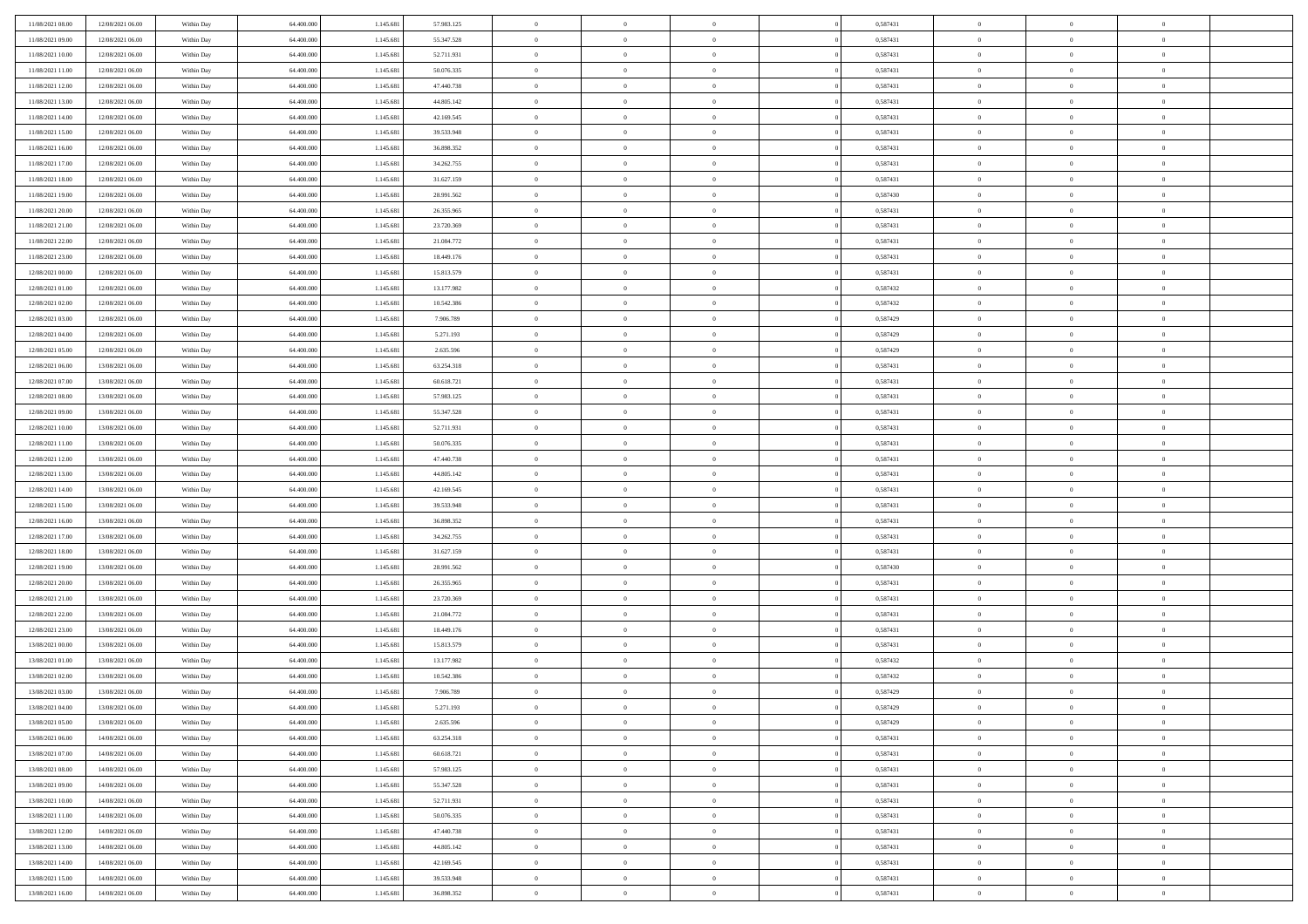| 11/08/2021 08:00 | 12/08/2021 06:00 | Within Day | 64,400,000 | 1.145.681 | 57.983.125 | $\bf{0}$       | $\overline{0}$ | $\overline{0}$ | 0,587431 | $\mathbf{0}$   | $\overline{0}$ | $\bf{0}$       |  |
|------------------|------------------|------------|------------|-----------|------------|----------------|----------------|----------------|----------|----------------|----------------|----------------|--|
| 11/08/2021 09:00 | 12/08/2021 06:00 | Within Day | 64.400.000 | 1.145.681 | 55.347.528 | $\overline{0}$ | $\overline{0}$ | $\overline{0}$ | 0,587431 | $\mathbf{0}$   | $\bf{0}$       | $\theta$       |  |
| 11/08/2021 10:00 | 12/08/2021 06:00 | Within Day | 64.400.000 | 1.145.68  | 52.711.931 | $\overline{0}$ | $\overline{0}$ | $\overline{0}$ | 0,587431 | $\,$ 0 $\,$    | $\overline{0}$ | $\,0\,$        |  |
| 11/08/2021 11:00 | 12/08/2021 06:00 | Within Day | 64,400,000 | 1.145.681 | 50.076.335 | $\overline{0}$ | $\overline{0}$ | $\Omega$       | 0.587431 | $\overline{0}$ | $\theta$       | $\overline{0}$ |  |
| 11/08/2021 12:00 | 12/08/2021 06:00 | Within Day | 64.400.000 | 1.145.681 | 47.440.738 | $\mathbf{0}$   | $\overline{0}$ | $\overline{0}$ | 0,587431 | $\mathbf{0}$   | $\bf{0}$       | $\overline{0}$ |  |
| 11/08/2021 13:00 | 12/08/2021 06:00 | Within Day | 64.400.000 | 1.145.681 | 44.805.142 | $\overline{0}$ | $\overline{0}$ | $\overline{0}$ | 0,587431 | $\,$ 0 $\,$    | $\overline{0}$ | $\,0\,$        |  |
| 11/08/2021 14:00 | 12/08/2021 06:00 | Within Day | 64,400,000 | 1.145.68  | 42.169.545 | $\bf{0}$       | $\overline{0}$ | $\Omega$       | 0,587431 | $\bf{0}$       | $\theta$       | $\overline{0}$ |  |
| 11/08/2021 15:00 | 12/08/2021 06:00 | Within Day | 64.400.000 | 1.145.681 | 39.533.948 | $\overline{0}$ | $\overline{0}$ | $\overline{0}$ | 0,587431 | $\mathbf{0}$   | $\bf{0}$       | $\theta$       |  |
| 11/08/2021 16:00 | 12/08/2021 06:00 | Within Day | 64.400.000 | 1.145.681 | 36.898.352 | $\,$ 0         | $\overline{0}$ | $\overline{0}$ | 0,587431 | $\,$ 0 $\,$    | $\overline{0}$ | $\,$ 0 $\,$    |  |
| 11/08/2021 17:00 | 12/08/2021 06:00 | Within Day | 64,400,000 | 1.145.681 | 34.262.755 | $\overline{0}$ | $\overline{0}$ | $\Omega$       | 0.587431 | $\overline{0}$ | $\theta$       | $\overline{0}$ |  |
| 11/08/2021 18:00 | 12/08/2021 06:00 | Within Day | 64.400.000 | 1.145.681 | 31.627.159 | $\mathbf{0}$   | $\overline{0}$ | $\overline{0}$ | 0,587431 | $\mathbf{0}$   | $\bf{0}$       | $\theta$       |  |
| 11/08/2021 19:00 | 12/08/2021 06:00 | Within Day | 64.400.000 | 1.145.681 | 28.991.562 | $\overline{0}$ | $\overline{0}$ | $\overline{0}$ | 0,587430 | $\,$ 0 $\,$    | $\overline{0}$ | $\,$ 0 $\,$    |  |
| 11/08/2021 20:00 | 12/08/2021 06:00 | Within Day | 64,400,000 | 1.145.681 | 26.355.965 | $\overline{0}$ | $\overline{0}$ | $\Omega$       | 0.587431 | $\overline{0}$ | $\theta$       | $\overline{0}$ |  |
| 11/08/2021 21:00 | 12/08/2021 06:00 | Within Day | 64.400.000 | 1.145.681 | 23.720.369 | $\mathbf{0}$   | $\overline{0}$ | $\overline{0}$ | 0,587431 | $\mathbf{0}$   | $\bf{0}$       | $\theta$       |  |
| 11/08/2021 22:00 | 12/08/2021 06:00 | Within Day | 64.400.000 | 1.145.681 | 21.084.772 | $\,$ 0         | $\,$ 0 $\,$    | $\overline{0}$ | 0,587431 | $\,$ 0 $\,$    | $\overline{0}$ | $\,$ 0 $\,$    |  |
| 11/08/2021 23.00 | 12/08/2021 06:00 | Within Day | 64,400,000 | 1.145.681 | 18.449.176 | $\bf{0}$       | $\overline{0}$ | $\Omega$       | 0,587431 | $\bf{0}$       | $\theta$       | $\bf{0}$       |  |
| 12/08/2021 00:00 | 12/08/2021 06:00 | Within Day | 64.400.000 | 1.145.681 | 15.813.579 | $\mathbf{0}$   | $\overline{0}$ | $\overline{0}$ | 0,587431 | $\mathbf{0}$   | $\bf{0}$       | $\theta$       |  |
| 12/08/2021 01:00 | 12/08/2021 06:00 | Within Day | 64.400.000 | 1.145.681 | 13.177.982 | $\overline{0}$ | $\overline{0}$ | $\overline{0}$ | 0,587432 | $\,$ 0 $\,$    | $\overline{0}$ | $\,$ 0 $\,$    |  |
| 12/08/2021 02:00 | 12/08/2021 06:00 | Within Day | 64,400,000 | 1.145.681 | 10.542.386 | $\overline{0}$ | $\overline{0}$ | $\Omega$       | 0,587432 | $\overline{0}$ | $\theta$       | $\overline{0}$ |  |
| 12/08/2021 03:00 | 12/08/2021 06:00 | Within Day | 64.400.000 | 1.145.681 | 7.906.789  | $\overline{0}$ | $\overline{0}$ | $\overline{0}$ | 0,587429 | $\mathbf{0}$   | $\bf{0}$       | $\theta$       |  |
| 12/08/2021 04:00 | 12/08/2021 06:00 | Within Day | 64.400.000 | 1.145.681 | 5.271.193  | $\,$ 0         | $\overline{0}$ | $\overline{0}$ | 0,587429 | $\,$ 0 $\,$    | $\overline{0}$ | $\,$ 0 $\,$    |  |
| 12/08/2021 05:00 | 12/08/2021 06:00 | Within Day | 64,400,000 | 1.145.681 | 2.635.596  | $\overline{0}$ | $\overline{0}$ | $\Omega$       | 0.587429 | $\overline{0}$ | $\theta$       | $\overline{0}$ |  |
| 12/08/2021 06:00 | 13/08/2021 06:00 | Within Day | 64.400.000 | 1.145.681 | 63.254.318 | $\mathbf{0}$   | $\overline{0}$ | $\overline{0}$ | 0,587431 | $\mathbf{0}$   | $\bf{0}$       | $\theta$       |  |
| 12/08/2021 07:00 | 13/08/2021 06:00 | Within Day | 64.400.000 | 1.145.681 | 60.618.721 | $\overline{0}$ | $\overline{0}$ | $\overline{0}$ | 0,587431 | $\,$ 0 $\,$    | $\overline{0}$ | $\,$ 0 $\,$    |  |
| 12/08/2021 08:00 | 13/08/2021 06:00 | Within Day | 64,400,000 | 1.145.68  | 57.983.125 | $\bf{0}$       | $\overline{0}$ | $\Omega$       | 0,587431 | $\bf{0}$       | $\overline{0}$ | $\bf{0}$       |  |
| 12/08/2021 09:00 | 13/08/2021 06:00 | Within Day | 64.400.000 | 1.145.681 | 55.347.528 | $\overline{0}$ | $\overline{0}$ | $\overline{0}$ | 0,587431 | $\mathbf{0}$   | $\bf{0}$       | $\theta$       |  |
| 12/08/2021 10:00 | 13/08/2021 06:00 | Within Day | 64.400.000 | 1.145.681 | 52.711.931 | $\,$ 0         | $\overline{0}$ | $\overline{0}$ | 0,587431 | $\,$ 0 $\,$    | $\overline{0}$ | $\,$ 0 $\,$    |  |
| 12/08/2021 11:00 | 13/08/2021 06:00 | Within Day | 64,400,000 | 1.145.681 | 50.076.335 | $\overline{0}$ | $\overline{0}$ | $\Omega$       | 0.587431 | $\overline{0}$ | $\theta$       | $\overline{0}$ |  |
| 12/08/2021 12:00 | 13/08/2021 06:00 | Within Day | 64.400.000 | 1.145.681 | 47.440.738 | $\mathbf{0}$   | $\overline{0}$ | $\overline{0}$ | 0,587431 | $\mathbf{0}$   | $\bf{0}$       | $\overline{0}$ |  |
| 12/08/2021 13:00 | 13/08/2021 06:00 | Within Day | 64.400.000 | 1.145.681 | 44.805.142 | $\overline{0}$ | $\overline{0}$ | $\overline{0}$ | 0,587431 | $\,$ 0 $\,$    | $\overline{0}$ | $\,$ 0 $\,$    |  |
| 12/08/2021 14:00 | 13/08/2021 06:00 | Within Day | 64.400.000 | 1.145.68  | 42.169.545 | $\bf{0}$       | $\overline{0}$ | $\Omega$       | 0,587431 | $\bf{0}$       | $\overline{0}$ | $\bf{0}$       |  |
| 12/08/2021 15:00 | 13/08/2021 06:00 | Within Day | 64.400.000 | 1.145.681 | 39.533.948 | $\overline{0}$ | $\overline{0}$ | $\overline{0}$ | 0,587431 | $\mathbf{0}$   | $\bf{0}$       | $\theta$       |  |
| 12/08/2021 16:00 | 13/08/2021 06:00 | Within Day | 64.400.000 | 1.145.681 | 36.898.352 | $\,$ 0         | $\overline{0}$ | $\overline{0}$ | 0,587431 | $\,$ 0 $\,$    | $\overline{0}$ | $\,$ 0 $\,$    |  |
| 12/08/2021 17:00 | 13/08/2021 06:00 | Within Day | 64.400.000 | 1.145.681 | 34.262.755 | $\bf{0}$       | $\overline{0}$ | $\overline{0}$ | 0,587431 | $\mathbf{0}$   | $\overline{0}$ | $\bf{0}$       |  |
| 12/08/2021 18:00 | 13/08/2021 06:00 | Within Day | 64.400.000 | 1.145.681 | 31.627.159 | $\mathbf{0}$   | $\overline{0}$ | $\overline{0}$ | 0,587431 | $\overline{0}$ | $\bf{0}$       | $\theta$       |  |
| 12/08/2021 19:00 | 13/08/2021 06:00 | Within Day | 64.400.000 | 1.145.681 | 28.991.562 | $\overline{0}$ | $\overline{0}$ | $\overline{0}$ | 0,587430 | $\,$ 0 $\,$    | $\overline{0}$ | $\,$ 0 $\,$    |  |
| 12/08/2021 20:00 | 13/08/2021 06:00 | Within Day | 64.400.000 | 1.145.681 | 26.355.965 | $\bf{0}$       | $\overline{0}$ | $\Omega$       | 0,587431 | $\bf{0}$       | $\theta$       | $\bf{0}$       |  |
| 12/08/2021 21:00 | 13/08/2021 06:00 | Within Day | 64.400.000 | 1.145.681 | 23.720.369 | $\mathbf{0}$   | $\overline{0}$ | $\overline{0}$ | 0,587431 | $\mathbf{0}$   | $\bf{0}$       | $\overline{0}$ |  |
| 12/08/2021 22:00 | 13/08/2021 06:00 | Within Day | 64.400.000 | 1.145.681 | 21.084.772 | $\,$ 0         | $\overline{0}$ | $\overline{0}$ | 0,587431 | $\,$ 0 $\,$    | $\overline{0}$ | $\,0\,$        |  |
| 12/08/2021 23:00 | 13/08/2021 06:00 | Within Day | 64.400.000 | 1.145.681 | 18.449.176 | $\bf{0}$       | $\overline{0}$ | $\Omega$       | 0,587431 | $\bf{0}$       | $\overline{0}$ | $\bf{0}$       |  |
| 13/08/2021 00:00 | 13/08/2021 06:00 | Within Day | 64.400.000 | 1.145.681 | 15.813.579 | $\mathbf{0}$   | $\overline{0}$ | $\overline{0}$ | 0,587431 | $\overline{0}$ | $\overline{0}$ | $\theta$       |  |
| 13/08/2021 01:00 | 13/08/2021 06:00 | Within Day | 64.400.000 | 1.145.681 | 13.177.982 | $\,$ 0         | $\overline{0}$ | $\overline{0}$ | 0,587432 | $\,$ 0 $\,$    | $\overline{0}$ | $\,0\,$        |  |
| 13/08/2021 02:00 | 13/08/2021 06:00 | Within Day | 64.400.000 | 1.145.68  | 10.542.386 | $\bf{0}$       | $\overline{0}$ | $\overline{0}$ | 0,587432 | $\bf{0}$       | $\overline{0}$ | $\bf{0}$       |  |
| 13/08/2021 03:00 | 13/08/2021 06:00 | Within Day | 64.400.000 | 1.145.681 | 7.906.789  | $\mathbf{0}$   | $\overline{0}$ | $\overline{0}$ | 0,587429 | $\mathbf{0}$   | $\bf{0}$       | $\theta$       |  |
| 13/08/2021 04:00 | 13/08/2021 06:00 | Within Day | 64.400.000 | 1.145.681 | 5.271.193  | $\theta$       | $\overline{0}$ | $\theta$       | 0,587429 | $\overline{0}$ | $\overline{0}$ | $\overline{0}$ |  |
| 13/08/2021 05:00 | 13/08/2021 06:00 | Within Day | 64.400.000 | 1.145.681 | 2.635.596  | $\bf{0}$       | $\overline{0}$ | $\overline{0}$ | 0,587429 | $\mathbf{0}$   | $\overline{0}$ | $\bf{0}$       |  |
| 13/08/2021 06:00 | 14/08/2021 06:00 | Within Day | 64.400.000 | 1.145.681 | 63.254.318 | $\overline{0}$ | $\overline{0}$ | $\overline{0}$ | 0,587431 | $\,$ 0 $\,$    | $\overline{0}$ | $\overline{0}$ |  |
| 13/08/2021 07:00 | 14/08/2021 06:00 | Within Day | 64.400.000 | 1.145.681 | 60.618.721 | $\,$ 0 $\,$    | $\overline{0}$ | $\overline{0}$ | 0,587431 | $\,$ 0 $\,$    | $\,$ 0 $\,$    | $\theta$       |  |
| 13/08/2021 08:00 | 14/08/2021 06:00 | Within Day | 64.400.000 | 1.145.681 | 57.983.125 | $\bf{0}$       | $\overline{0}$ | $\overline{0}$ | 0,587431 | $\mathbf{0}$   | $\overline{0}$ | $\overline{0}$ |  |
| 13/08/2021 09:00 | 14/08/2021 06:00 | Within Day | 64.400.000 | 1.145.681 | 55.347.528 | $\mathbf{0}$   | $\overline{0}$ | $\overline{0}$ | 0,587431 | $\,$ 0 $\,$    | $\bf{0}$       | $\overline{0}$ |  |
| 13/08/2021 10:00 | 14/08/2021 06:00 | Within Day | 64.400.000 | 1.145.681 | 52.711.931 | $\,$ 0 $\,$    | $\overline{0}$ | $\overline{0}$ | 0,587431 | $\,$ 0 $\,$    | $\overline{0}$ | $\theta$       |  |
| 13/08/2021 11:00 | 14/08/2021 06:00 | Within Day | 64.400.000 | 1.145.681 | 50.076.335 | $\mathbf{0}$   | $\overline{0}$ | $\overline{0}$ | 0,587431 | $\mathbf{0}$   | $\overline{0}$ | $\overline{0}$ |  |
| 13/08/2021 12:00 | 14/08/2021 06:00 | Within Day | 64.400.000 | 1.145.681 | 47.440.738 | $\,$ 0 $\,$    | $\overline{0}$ | $\overline{0}$ | 0,587431 | $\,$ 0 $\,$    | $\bf{0}$       | $\overline{0}$ |  |
| 13/08/2021 13:00 | 14/08/2021 06:00 | Within Day | 64.400.000 | 1.145.681 | 44.805.142 | $\,$ 0         | $\overline{0}$ | $\overline{0}$ | 0,587431 | $\,$ 0 $\,$    | $\,$ 0         | $\theta$       |  |
| 13/08/2021 14:00 | 14/08/2021 06:00 | Within Day | 64.400.000 | 1.145.681 | 42.169.545 | $\bf{0}$       | $\overline{0}$ | $\overline{0}$ | 0,587431 | $\mathbf{0}$   | $\overline{0}$ | $\overline{0}$ |  |
| 13/08/2021 15:00 | 14/08/2021 06:00 | Within Day | 64.400.000 | 1.145.681 | 39.533.948 | $\mathbf{0}$   | $\overline{0}$ | $\overline{0}$ | 0,587431 | $\mathbf{0}$   | $\bf{0}$       | $\overline{0}$ |  |
| 13/08/2021 16:00 | 14/08/2021 06:00 | Within Day | 64.400.000 | 1.145.681 | 36.898.352 | $\,$ 0         | $\overline{0}$ | $\overline{0}$ | 0,587431 | $\,$ 0 $\,$    | $\overline{0}$ | $\theta$       |  |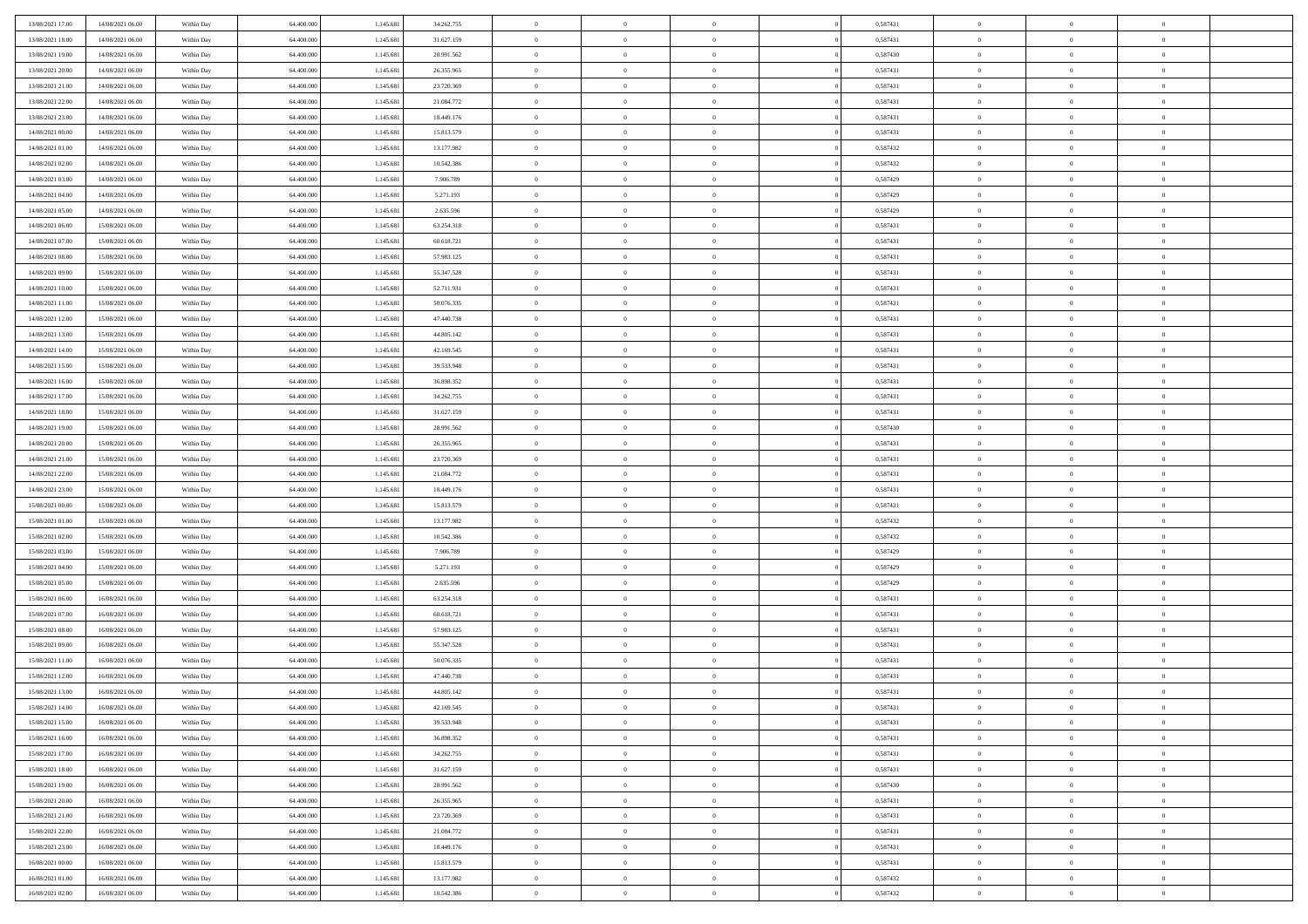| 13/08/2021 17:00 | 14/08/2021 06:00 | Within Day | 64,400,000 | 1.145.681 | 34.262.755 | $\bf{0}$       | $\overline{0}$ | $\overline{0}$ | 0,587431 | $\bf{0}$       | $\overline{0}$ | $\bf{0}$       |  |
|------------------|------------------|------------|------------|-----------|------------|----------------|----------------|----------------|----------|----------------|----------------|----------------|--|
| 13/08/2021 18:00 | 14/08/2021 06:00 | Within Day | 64.400.000 | 1.145.68  | 31.627.159 | $\overline{0}$ | $\overline{0}$ | $\overline{0}$ | 0,587431 | $\mathbf{0}$   | $\bf{0}$       | $\theta$       |  |
| 13/08/2021 19:00 | 14/08/2021 06:00 | Within Day | 64.400.000 | 1.145.68  | 28.991.562 | $\,$ 0         | $\overline{0}$ | $\overline{0}$ | 0,587430 | $\,$ 0 $\,$    | $\overline{0}$ | $\,0\,$        |  |
| 13/08/2021 20:00 | 14/08/2021 06:00 | Within Day | 64,400,000 | 1.145.681 | 26.355.965 | $\overline{0}$ | $\overline{0}$ | $\Omega$       | 0.587431 | $\overline{0}$ | $\theta$       | $\overline{0}$ |  |
| 13/08/2021 21:00 | 14/08/2021 06:00 | Within Day | 64.400.000 | 1.145.681 | 23.720.369 | $\mathbf{0}$   | $\overline{0}$ | $\overline{0}$ | 0,587431 | $\mathbf{0}$   | $\bf{0}$       | $\overline{0}$ |  |
| 13/08/2021 22:00 | 14/08/2021 06:00 | Within Day | 64.400.000 | 1.145.681 | 21.084.772 | $\overline{0}$ | $\overline{0}$ | $\overline{0}$ | 0,587431 | $\,$ 0 $\,$    | $\overline{0}$ | $\,0\,$        |  |
| 13/08/2021 23:00 | 14/08/2021 06:00 | Within Day | 64,400,000 | 1.145.68  | 18.449.176 | $\bf{0}$       | $\overline{0}$ | $\Omega$       | 0,587431 | $\bf{0}$       | $\theta$       | $\overline{0}$ |  |
| 14/08/2021 00:00 | 14/08/2021 06:00 | Within Day | 64.400.000 | 1.145.681 | 15.813.579 | $\overline{0}$ | $\overline{0}$ | $\overline{0}$ | 0,587431 | $\mathbf{0}$   | $\bf{0}$       | $\theta$       |  |
| 14/08/2021 01:00 | 14/08/2021 06:00 | Within Day | 64.400.000 | 1.145.681 | 13.177.982 | $\overline{0}$ | $\overline{0}$ | $\overline{0}$ | 0,587432 | $\,$ 0 $\,$    | $\overline{0}$ | $\,$ 0 $\,$    |  |
| 14/08/2021 02:00 | 14/08/2021 06:00 | Within Day | 64,400,000 | 1.145.681 | 10.542.386 | $\overline{0}$ | $\overline{0}$ | $\Omega$       | 0,587432 | $\overline{0}$ | $\theta$       | $\overline{0}$ |  |
| 14/08/2021 03:00 | 14/08/2021 06:00 | Within Day | 64.400.000 | 1.145.681 | 7.906.789  | $\mathbf{0}$   | $\overline{0}$ | $\overline{0}$ | 0,587429 | $\mathbf{0}$   | $\bf{0}$       | $\theta$       |  |
| 14/08/2021 04:00 | 14/08/2021 06:00 | Within Day | 64.400.000 | 1.145.681 | 5.271.193  | $\overline{0}$ | $\overline{0}$ | $\overline{0}$ | 0,587429 | $\,$ 0 $\,$    | $\overline{0}$ | $\,$ 0 $\,$    |  |
| 14/08/2021 05:00 | 14/08/2021 06:00 | Within Day | 64,400,000 | 1.145.681 | 2.635.596  | $\overline{0}$ | $\overline{0}$ | $\Omega$       | 0.587429 | $\overline{0}$ | $\theta$       | $\overline{0}$ |  |
| 14/08/2021 06:00 | 15/08/2021 06:00 | Within Day | 64.400.000 | 1.145.681 | 63.254.318 | $\mathbf{0}$   | $\overline{0}$ | $\overline{0}$ | 0,587431 | $\mathbf{0}$   | $\bf{0}$       | $\theta$       |  |
| 14/08/2021 07:00 | 15/08/2021 06:00 | Within Day | 64.400.000 | 1.145.681 | 60.618.721 | $\,$ 0         | $\,$ 0 $\,$    | $\overline{0}$ | 0,587431 | $\,$ 0 $\,$    | $\overline{0}$ | $\,$ 0 $\,$    |  |
| 14/08/2021 08:00 | 15/08/2021 06:00 | Within Day | 64,400,000 | 1.145.681 | 57.983.125 | $\bf{0}$       | $\overline{0}$ | $\Omega$       | 0,587431 | $\bf{0}$       | $\theta$       | $\bf{0}$       |  |
| 14/08/2021 09:00 | 15/08/2021 06:00 | Within Day | 64.400.000 | 1.145.681 | 55.347.528 | $\mathbf{0}$   | $\overline{0}$ | $\overline{0}$ | 0,587431 | $\overline{0}$ | $\bf{0}$       | $\theta$       |  |
| 14/08/2021 10:00 | 15/08/2021 06:00 | Within Day | 64.400.000 | 1.145.681 | 52.711.931 | $\overline{0}$ | $\overline{0}$ | $\overline{0}$ | 0,587431 | $\,$ 0 $\,$    | $\overline{0}$ | $\,$ 0 $\,$    |  |
| 14/08/2021 11:00 | 15/08/2021 06:00 | Within Day | 64,400,000 | 1.145.681 | 50.076.335 | $\overline{0}$ | $\overline{0}$ | $\Omega$       | 0.587431 | $\overline{0}$ | $\theta$       | $\overline{0}$ |  |
| 14/08/2021 12:00 | 15/08/2021 06:00 | Within Day | 64.400.000 | 1.145.681 | 47.440.738 | $\overline{0}$ | $\overline{0}$ | $\overline{0}$ | 0,587431 | $\mathbf{0}$   | $\bf{0}$       | $\theta$       |  |
| 14/08/2021 13:00 | 15/08/2021 06:00 | Within Day | 64.400.000 | 1.145.681 | 44.805.142 | $\,$ 0         | $\overline{0}$ | $\overline{0}$ | 0,587431 | $\,$ 0 $\,$    | $\overline{0}$ | $\,$ 0 $\,$    |  |
| 14/08/2021 14:00 | 15/08/2021 06:00 | Within Day | 64,400,000 | 1.145.681 | 42.169.545 | $\overline{0}$ | $\overline{0}$ | $\Omega$       | 0.587431 | $\overline{0}$ | $\theta$       | $\overline{0}$ |  |
| 14/08/2021 15:00 | 15/08/2021 06:00 | Within Day | 64.400.000 | 1.145.681 | 39.533.948 | $\mathbf{0}$   | $\overline{0}$ | $\overline{0}$ | 0,587431 | $\mathbf{0}$   | $\bf{0}$       | $\theta$       |  |
| 14/08/2021 16:00 | 15/08/2021 06:00 | Within Day | 64.400.000 | 1.145.681 | 36.898.352 | $\overline{0}$ | $\overline{0}$ | $\overline{0}$ | 0,587431 | $\,$ 0 $\,$    | $\overline{0}$ | $\,$ 0 $\,$    |  |
| 14/08/2021 17:00 | 15/08/2021 06:00 | Within Day | 64,400,000 | 1.145.68  | 34.262.755 | $\bf{0}$       | $\overline{0}$ | $\Omega$       | 0,587431 | $\bf{0}$       | $\theta$       | $\bf{0}$       |  |
| 14/08/2021 18:00 | 15/08/2021 06:00 | Within Day | 64.400.000 | 1.145.681 | 31.627.159 | $\overline{0}$ | $\overline{0}$ | $\overline{0}$ | 0,587431 | $\overline{0}$ | $\bf{0}$       | $\theta$       |  |
| 14/08/2021 19:00 | 15/08/2021 06:00 | Within Day | 64.400.000 | 1.145.681 | 28.991.562 | $\,$ 0         | $\overline{0}$ | $\overline{0}$ | 0,587430 | $\,$ 0 $\,$    | $\overline{0}$ | $\,$ 0 $\,$    |  |
| 14/08/2021 20:00 | 15/08/2021 06:00 | Within Day | 64,400,000 | 1.145.681 | 26.355.965 | $\overline{0}$ | $\overline{0}$ | $\Omega$       | 0.587431 | $\overline{0}$ | $\theta$       | $\overline{0}$ |  |
| 14/08/2021 21:00 | 15/08/2021 06:00 | Within Day | 64.400.000 | 1.145.681 | 23.720.369 | $\mathbf{0}$   | $\overline{0}$ | $\overline{0}$ | 0,587431 | $\mathbf{0}$   | $\bf{0}$       | $\overline{0}$ |  |
| 14/08/2021 22:00 | 15/08/2021 06:00 | Within Day | 64.400.000 | 1.145.681 | 21.084.772 | $\,$ 0         | $\overline{0}$ | $\overline{0}$ | 0,587431 | $\,$ 0 $\,$    | $\overline{0}$ | $\,$ 0 $\,$    |  |
| 14/08/2021 23:00 | 15/08/2021 06:00 | Within Day | 64.400.000 | 1.145.68  | 18.449.176 | $\bf{0}$       | $\overline{0}$ | $\Omega$       | 0,587431 | $\bf{0}$       | $\overline{0}$ | $\bf{0}$       |  |
| 15/08/2021 00:00 | 15/08/2021 06:00 | Within Day | 64.400.000 | 1.145.681 | 15.813.579 | $\overline{0}$ | $\overline{0}$ | $\overline{0}$ | 0,587431 | $\mathbf{0}$   | $\bf{0}$       | $\theta$       |  |
| 15/08/2021 01:00 | 15/08/2021 06:00 | Within Day | 64.400.000 | 1.145.681 | 13.177.982 | $\,$ 0         | $\overline{0}$ | $\overline{0}$ | 0,587432 | $\,$ 0 $\,$    | $\overline{0}$ | $\,$ 0 $\,$    |  |
| 15/08/2021 02:00 | 15/08/2021 06:00 | Within Day | 64.400.000 | 1.145.681 | 10.542.386 | $\bf{0}$       | $\overline{0}$ | $\overline{0}$ | 0,587432 | $\mathbf{0}$   | $\overline{0}$ | $\bf{0}$       |  |
| 15/08/2021 03:00 | 15/08/2021 06:00 | Within Day | 64.400.000 | 1.145.681 | 7.906.789  | $\mathbf{0}$   | $\overline{0}$ | $\overline{0}$ | 0,587429 | $\overline{0}$ | $\bf{0}$       | $\theta$       |  |
| 15/08/2021 04:00 | 15/08/2021 06:00 | Within Day | 64.400.000 | 1.145.681 | 5.271.193  | $\overline{0}$ | $\overline{0}$ | $\overline{0}$ | 0,587429 | $\,$ 0 $\,$    | $\overline{0}$ | $\,$ 0 $\,$    |  |
| 15/08/2021 05:00 | 15/08/2021 06:00 | Within Day | 64.400.000 | 1.145.68  | 2.635.596  | $\bf{0}$       | $\overline{0}$ | $\Omega$       | 0,587429 | $\bf{0}$       | $\theta$       | $\bf{0}$       |  |
| 15/08/2021 06:00 | 16/08/2021 06:00 | Within Day | 64.400.000 | 1.145.681 | 63.254.318 | $\mathbf{0}$   | $\overline{0}$ | $\overline{0}$ | 0,587431 | $\mathbf{0}$   | $\bf{0}$       | $\overline{0}$ |  |
| 15/08/2021 07:00 | 16/08/2021 06:00 | Within Day | 64.400.000 | 1.145.681 | 60.618.721 | $\,$ 0         | $\overline{0}$ | $\overline{0}$ | 0,587431 | $\,$ 0 $\,$    | $\overline{0}$ | $\,$ 0 $\,$    |  |
| 15/08/2021 08:00 | 16/08/2021 06:00 | Within Day | 64.400.000 | 1.145.681 | 57.983.125 | $\bf{0}$       | $\overline{0}$ | $\Omega$       | 0,587431 | $\bf{0}$       | $\overline{0}$ | $\bf{0}$       |  |
| 15/08/2021 09:00 | 16/08/2021 06:00 | Within Day | 64.400.000 | 1.145.681 | 55.347.528 | $\mathbf{0}$   | $\overline{0}$ | $\overline{0}$ | 0,587431 | $\overline{0}$ | $\overline{0}$ | $\theta$       |  |
| 15/08/2021 11:00 | 16/08/2021 06:00 | Within Day | 64.400.000 | 1.145.681 | 50.076.335 | $\,$ 0         | $\overline{0}$ | $\overline{0}$ | 0,587431 | $\,$ 0 $\,$    | $\overline{0}$ | $\,$ 0 $\,$    |  |
| 15/08/2021 12:00 | 16/08/2021 06:00 | Within Day | 64.400.000 | 1.145.68  | 47.440.738 | $\bf{0}$       | $\overline{0}$ | $\overline{0}$ | 0,587431 | $\bf{0}$       | $\overline{0}$ | $\bf{0}$       |  |
| 15/08/2021 13:00 | 16/08/2021 06:00 | Within Day | 64.400.000 | 1.145.681 | 44.805.142 | $\mathbf{0}$   | $\overline{0}$ | $\overline{0}$ | 0,587431 | $\overline{0}$ | $\bf{0}$       | $\theta$       |  |
| 15/08/2021 14:00 | 16/08/2021 06:00 | Within Day | 64.400.000 | 1.145.681 | 42.169.545 | $\theta$       | $\overline{0}$ | $\theta$       | 0,587431 | $\overline{0}$ | $\overline{0}$ | $\overline{0}$ |  |
| 15/08/2021 15:00 | 16/08/2021 06:00 | Within Day | 64.400.000 | 1.145.681 | 39.533.948 | $\bf{0}$       | $\overline{0}$ | $\overline{0}$ | 0,587431 | $\mathbf{0}$   | $\overline{0}$ | $\bf{0}$       |  |
| 15/08/2021 16:00 | 16/08/2021 06:00 | Within Day | 64.400.000 | 1.145.681 | 36.898.352 | $\overline{0}$ | $\overline{0}$ | $\overline{0}$ | 0,587431 | $\,$ 0 $\,$    | $\overline{0}$ | $\overline{0}$ |  |
| 15/08/2021 17:00 | 16/08/2021 06:00 | Within Day | 64.400.000 | 1.145.681 | 34.262.755 | $\,$ 0 $\,$    | $\overline{0}$ | $\overline{0}$ | 0,587431 | $\,$ 0 $\,$    | $\,$ 0 $\,$    | $\theta$       |  |
| 15/08/2021 18:00 | 16/08/2021 06:00 | Within Day | 64.400.000 | 1.145.681 | 31.627.159 | $\bf{0}$       | $\overline{0}$ | $\overline{0}$ | 0,587431 | $\mathbf{0}$   | $\overline{0}$ | $\overline{0}$ |  |
| 15/08/2021 19:00 | 16/08/2021 06:00 | Within Day | 64.400.000 | 1.145.681 | 28.991.562 | $\mathbf{0}$   | $\overline{0}$ | $\overline{0}$ | 0,587430 | $\,$ 0 $\,$    | $\bf{0}$       | $\overline{0}$ |  |
| 15/08/2021 20:00 | 16/08/2021 06:00 | Within Day | 64.400.000 | 1.145.681 | 26.355.965 | $\,$ 0 $\,$    | $\overline{0}$ | $\overline{0}$ | 0,587431 | $\,$ 0 $\,$    | $\overline{0}$ | $\theta$       |  |
| 15/08/2021 21:00 | 16/08/2021 06:00 | Within Day | 64.400.000 | 1.145.681 | 23.720.369 | $\mathbf{0}$   | $\overline{0}$ | $\overline{0}$ | 0,587431 | $\mathbf{0}$   | $\overline{0}$ | $\overline{0}$ |  |
| 15/08/2021 22:00 | 16/08/2021 06:00 | Within Day | 64.400.000 | 1.145.681 | 21.084.772 | $\,$ 0 $\,$    | $\overline{0}$ | $\overline{0}$ | 0,587431 | $\,$ 0 $\,$    | $\bf{0}$       | $\overline{0}$ |  |
| 15/08/2021 23:00 | 16/08/2021 06:00 | Within Day | 64.400.000 | 1.145.681 | 18.449.176 | $\,$ 0 $\,$    | $\overline{0}$ | $\overline{0}$ | 0,587431 | $\,$ 0 $\,$    | $\,$ 0         | $\theta$       |  |
| 16/08/2021 00:00 | 16/08/2021 06:00 | Within Day | 64.400.000 | 1.145.681 | 15.813.579 | $\bf{0}$       | $\overline{0}$ | $\overline{0}$ | 0,587431 | $\mathbf{0}$   | $\overline{0}$ | $\overline{0}$ |  |
| 16/08/2021 01:00 | 16/08/2021 06:00 | Within Day | 64.400.000 | 1.145.681 | 13.177.982 | $\mathbf{0}$   | $\overline{0}$ | $\overline{0}$ | 0,587432 | $\mathbf{0}$   | $\bf{0}$       | $\overline{0}$ |  |
| 16/08/2021 02:00 | 16/08/2021 06:00 | Within Day | 64.400.000 | 1.145.681 | 10.542.386 | $\,$ 0         | $\overline{0}$ | $\overline{0}$ | 0,587432 | $\,$ 0 $\,$    | $\overline{0}$ | $\theta$       |  |
|                  |                  |            |            |           |            |                |                |                |          |                |                |                |  |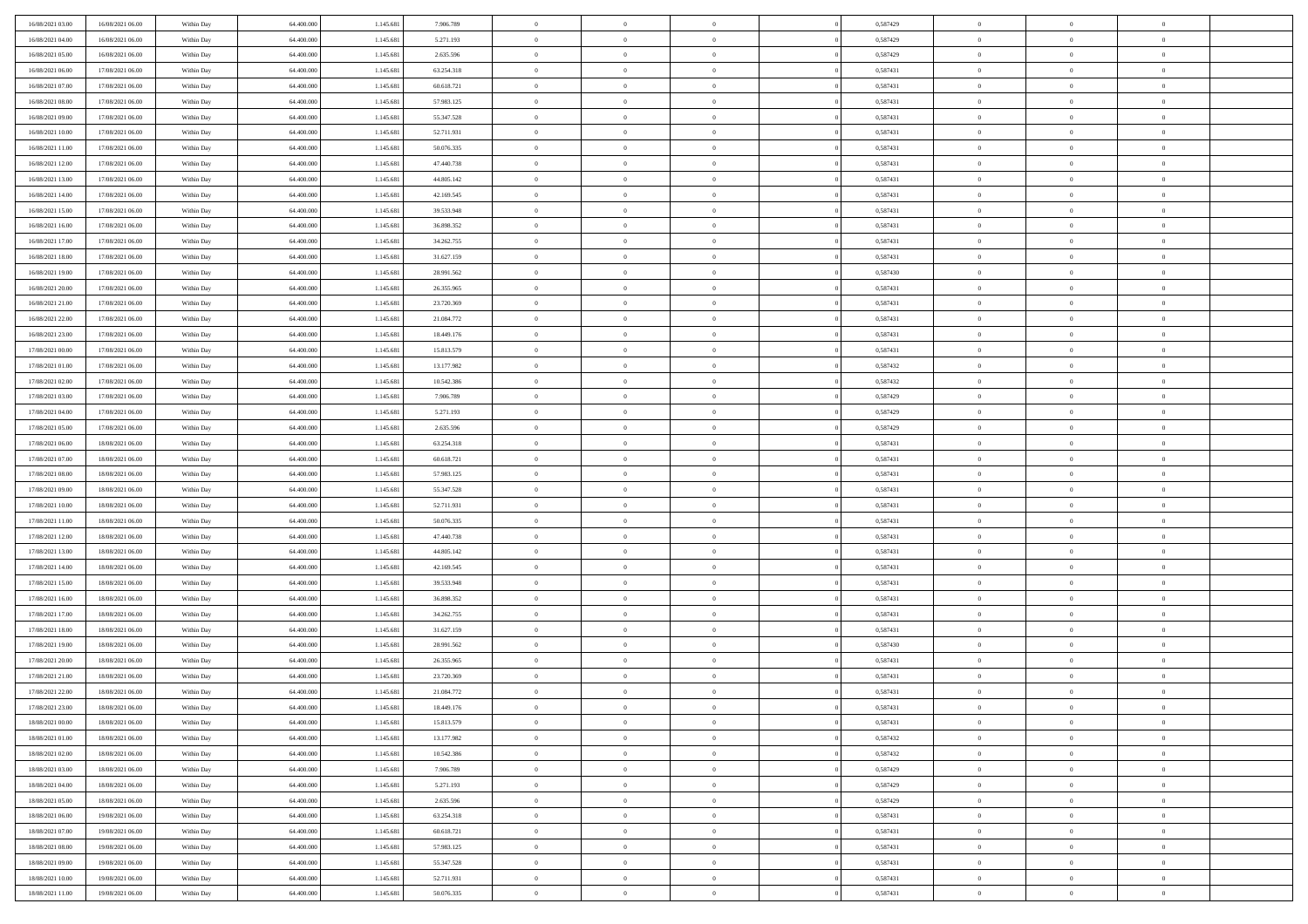| 16/08/2021 03:00 | 16/08/2021 06:00 | Within Day | 64,400,000 | 1.145.681 | 7.906.789  | $\bf{0}$       | $\overline{0}$ | $\overline{0}$ | 0,587429 | $\mathbf{0}$   | $\overline{0}$ | $\bf{0}$       |  |
|------------------|------------------|------------|------------|-----------|------------|----------------|----------------|----------------|----------|----------------|----------------|----------------|--|
| 16/08/2021 04:00 | 16/08/2021 06:00 | Within Day | 64.400.000 | 1.145.681 | 5.271.193  | $\overline{0}$ | $\overline{0}$ | $\Omega$       | 0,587429 | $\mathbf{0}$   | $\bf{0}$       | $\theta$       |  |
| 16/08/2021 05:00 | 16/08/2021 06:00 | Within Day | 64.400.000 | 1.145.68  | 2.635.596  | $\overline{0}$ | $\overline{0}$ | $\overline{0}$ | 0,587429 | $\,$ 0 $\,$    | $\overline{0}$ | $\,$ 0 $\,$    |  |
| 16/08/2021 06:00 | 17/08/2021 06:00 | Within Day | 64,400,000 | 1.145.681 | 63.254.318 | $\overline{0}$ | $\overline{0}$ | $\Omega$       | 0.587431 | $\overline{0}$ | $\theta$       | $\overline{0}$ |  |
| 16/08/2021 07:00 | 17/08/2021 06:00 | Within Day | 64.400.000 | 1.145.681 | 60.618.721 | $\mathbf{0}$   | $\overline{0}$ | $\overline{0}$ | 0,587431 | $\mathbf{0}$   | $\bf{0}$       | $\overline{0}$ |  |
| 16/08/2021 08:00 | 17/08/2021 06:00 | Within Day | 64.400.000 | 1.145.681 | 57.983.125 | $\overline{0}$ | $\overline{0}$ | $\overline{0}$ | 0,587431 | $\,$ 0 $\,$    | $\overline{0}$ | $\,$ 0 $\,$    |  |
| 16/08/2021 09:00 | 17/08/2021 06:00 | Within Day | 64,400,000 | 1.145.68  | 55.347.528 | $\bf{0}$       | $\overline{0}$ | $\Omega$       | 0,587431 | $\bf{0}$       | $\theta$       | $\overline{0}$ |  |
| 16/08/2021 10:00 | 17/08/2021 06:00 | Within Day | 64.400.000 | 1.145.681 | 52.711.931 | $\overline{0}$ | $\overline{0}$ | $\overline{0}$ | 0,587431 | $\mathbf{0}$   | $\bf{0}$       | $\theta$       |  |
| 16/08/2021 11:00 | 17/08/2021 06:00 | Within Day | 64.400.000 | 1.145.681 | 50.076.335 | $\,$ 0         | $\overline{0}$ | $\overline{0}$ | 0,587431 | $\,$ 0 $\,$    | $\overline{0}$ | $\,0\,$        |  |
| 16/08/2021 12:00 | 17/08/2021 06:00 | Within Day | 64,400,000 | 1.145.681 | 47.440.738 | $\overline{0}$ | $\overline{0}$ | $\Omega$       | 0.587431 | $\overline{0}$ | $\theta$       | $\overline{0}$ |  |
| 16/08/2021 13:00 | 17/08/2021 06:00 | Within Day | 64.400.000 | 1.145.681 | 44.805.142 | $\mathbf{0}$   | $\overline{0}$ | $\overline{0}$ | 0,587431 | $\mathbf{0}$   | $\bf{0}$       | $\theta$       |  |
| 16/08/2021 14:00 | 17/08/2021 06:00 | Within Day | 64.400.000 | 1.145.681 | 42.169.545 | $\overline{0}$ | $\overline{0}$ | $\overline{0}$ | 0,587431 | $\,$ 0 $\,$    | $\overline{0}$ | $\,0\,$        |  |
| 16/08/2021 15:00 | 17/08/2021 06:00 | Within Day | 64,400,000 | 1.145.681 | 39.533.948 | $\overline{0}$ | $\overline{0}$ | $\Omega$       | 0.587431 | $\overline{0}$ | $\theta$       | $\overline{0}$ |  |
| 16/08/2021 16:00 | 17/08/2021 06:00 | Within Day | 64.400.000 | 1.145.681 | 36.898.352 | $\mathbf{0}$   | $\overline{0}$ | $\overline{0}$ | 0,587431 | $\mathbf{0}$   | $\bf{0}$       | $\theta$       |  |
| 16/08/2021 17:00 | 17/08/2021 06:00 | Within Day | 64.400.000 | 1.145.681 | 34.262.755 | $\,$ 0         | $\,$ 0 $\,$    | $\overline{0}$ | 0,587431 | $\,$ 0 $\,$    | $\overline{0}$ | $\,0\,$        |  |
| 16/08/2021 18:00 | 17/08/2021 06:00 | Within Day | 64,400,000 | 1.145.681 | 31.627.159 | $\bf{0}$       | $\overline{0}$ | $\Omega$       | 0.587431 | $\bf{0}$       | $\theta$       | $\overline{0}$ |  |
| 16/08/2021 19:00 | 17/08/2021 06:00 | Within Day | 64.400.000 | 1.145.681 | 28.991.562 | $\overline{0}$ | $\overline{0}$ | $\overline{0}$ | 0,587430 | $\mathbf{0}$   | $\bf{0}$       | $\theta$       |  |
| 16/08/2021 20:00 | 17/08/2021 06:00 | Within Day | 64.400.000 | 1.145.681 | 26.355.965 | $\overline{0}$ | $\overline{0}$ | $\overline{0}$ | 0,587431 | $\,$ 0 $\,$    | $\overline{0}$ | $\,0\,$        |  |
| 16/08/2021 21:00 | 17/08/2021 06:00 | Within Day | 64,400,000 | 1.145.681 | 23.720.369 | $\overline{0}$ | $\overline{0}$ | $\Omega$       | 0.587431 | $\overline{0}$ | $\theta$       | $\overline{0}$ |  |
| 16/08/2021 22:00 | 17/08/2021 06:00 | Within Day | 64.400.000 | 1.145.681 | 21.084.772 | $\overline{0}$ | $\overline{0}$ | $\overline{0}$ | 0,587431 | $\mathbf{0}$   | $\bf{0}$       | $\theta$       |  |
| 16/08/2021 23:00 | 17/08/2021 06:00 | Within Day | 64.400.000 | 1.145.681 | 18.449.176 | $\,$ 0         | $\overline{0}$ | $\overline{0}$ | 0,587431 | $\,$ 0 $\,$    | $\overline{0}$ | $\,0\,$        |  |
| 17/08/2021 00:00 | 17/08/2021 06:00 | Within Day | 64,400,000 | 1.145.681 | 15.813.579 | $\overline{0}$ | $\overline{0}$ | $\Omega$       | 0.587431 | $\overline{0}$ | $\theta$       | $\overline{0}$ |  |
| 17/08/2021 01:00 | 17/08/2021 06:00 | Within Day | 64.400.000 | 1.145.681 | 13.177.982 | $\mathbf{0}$   | $\overline{0}$ | $\overline{0}$ | 0,587432 | $\mathbf{0}$   | $\bf{0}$       | $\theta$       |  |
| 17/08/2021 02:00 | 17/08/2021 06:00 | Within Day | 64.400.000 | 1.145.681 | 10.542.386 | $\overline{0}$ | $\overline{0}$ | $\overline{0}$ | 0,587432 | $\,$ 0 $\,$    | $\overline{0}$ | $\,0\,$        |  |
| 17/08/2021 03:00 | 17/08/2021 06:00 | Within Day | 64,400,000 | 1.145.68  | 7.906.789  | $\bf{0}$       | $\overline{0}$ | $\Omega$       | 0,587429 | $\bf{0}$       | $\theta$       | $\bf{0}$       |  |
| 17/08/2021 04:00 | 17/08/2021 06:00 | Within Day | 64.400.000 | 1.145.681 | 5.271.193  | $\overline{0}$ | $\overline{0}$ | $\overline{0}$ | 0,587429 | $\mathbf{0}$   | $\bf{0}$       | $\theta$       |  |
| 17/08/2021 05:00 | 17/08/2021 06:00 | Within Day | 64.400.000 | 1.145.681 | 2.635.596  | $\,$ 0         | $\overline{0}$ | $\overline{0}$ | 0,587429 | $\,$ 0 $\,$    | $\overline{0}$ | $\,0\,$        |  |
| 17/08/2021 06:00 | 18/08/2021 06:00 | Within Day | 64,400,000 | 1.145.681 | 63.254.318 | $\overline{0}$ | $\overline{0}$ | $\Omega$       | 0.587431 | $\overline{0}$ | $\theta$       | $\overline{0}$ |  |
| 17/08/2021 07:00 | 18/08/2021 06:00 | Within Day | 64.400.000 | 1.145.681 | 60.618.721 | $\mathbf{0}$   | $\overline{0}$ | $\overline{0}$ | 0,587431 | $\mathbf{0}$   | $\bf{0}$       | $\overline{0}$ |  |
| 17/08/2021 08:00 | 18/08/2021 06:00 | Within Day | 64.400.000 | 1.145.681 | 57.983.125 | $\,$ 0         | $\overline{0}$ | $\overline{0}$ | 0,587431 | $\,$ 0 $\,$    | $\overline{0}$ | $\,0\,$        |  |
| 17/08/2021 09:00 | 18/08/2021 06:00 | Within Day | 64.400.000 | 1.145.68  | 55.347.528 | $\bf{0}$       | $\overline{0}$ | $\Omega$       | 0,587431 | $\bf{0}$       | $\overline{0}$ | $\bf{0}$       |  |
| 17/08/2021 10:00 | 18/08/2021 06:00 | Within Day | 64.400.000 | 1.145.681 | 52.711.931 | $\overline{0}$ | $\overline{0}$ | $\overline{0}$ | 0,587431 | $\mathbf{0}$   | $\bf{0}$       | $\theta$       |  |
| 17/08/2021 11:00 | 18/08/2021 06:00 | Within Day | 64.400.000 | 1.145.681 | 50.076.335 | $\,$ 0         | $\overline{0}$ | $\overline{0}$ | 0,587431 | $\,$ 0 $\,$    | $\overline{0}$ | $\,0\,$        |  |
| 17/08/2021 12:00 | 18/08/2021 06:00 | Within Day | 64.400.000 | 1.145.681 | 47.440.738 | $\bf{0}$       | $\overline{0}$ | $\overline{0}$ | 0,587431 | $\mathbf{0}$   | $\overline{0}$ | $\bf{0}$       |  |
| 17/08/2021 13:00 | 18/08/2021 06:00 | Within Day | 64.400.000 | 1.145.681 | 44.805.142 | $\overline{0}$ | $\overline{0}$ | $\overline{0}$ | 0,587431 | $\overline{0}$ | $\bf{0}$       | $\theta$       |  |
| 17/08/2021 14:00 | 18/08/2021 06:00 | Within Day | 64.400.000 | 1.145.681 | 42.169.545 | $\overline{0}$ | $\overline{0}$ | $\overline{0}$ | 0,587431 | $\,$ 0 $\,$    | $\overline{0}$ | $\,0\,$        |  |
| 17/08/2021 15:00 | 18/08/2021 06:00 | Within Day | 64.400.000 | 1.145.68  | 39.533.948 | $\bf{0}$       | $\overline{0}$ | $\Omega$       | 0,587431 | $\bf{0}$       | $\theta$       | $\bf{0}$       |  |
| 17/08/2021 16:00 | 18/08/2021 06:00 | Within Day | 64.400.000 | 1.145.681 | 36.898.352 | $\mathbf{0}$   | $\overline{0}$ | $\overline{0}$ | 0,587431 | $\mathbf{0}$   | $\bf{0}$       | $\overline{0}$ |  |
| 17/08/2021 17:00 | 18/08/2021 06:00 | Within Day | 64.400.000 | 1.145.681 | 34.262.755 | $\,$ 0         | $\overline{0}$ | $\overline{0}$ | 0,587431 | $\,$ 0 $\,$    | $\overline{0}$ | $\,0\,$        |  |
| 17/08/2021 18:00 | 18/08/2021 06:00 | Within Day | 64.400.000 | 1.145.681 | 31.627.159 | $\bf{0}$       | $\overline{0}$ | $\Omega$       | 0,587431 | $\bf{0}$       | $\overline{0}$ | $\bf{0}$       |  |
| 17/08/2021 19:00 | 18/08/2021 06:00 | Within Day | 64.400.000 | 1.145.681 | 28.991.562 | $\mathbf{0}$   | $\overline{0}$ | $\overline{0}$ | 0,587430 | $\overline{0}$ | $\overline{0}$ | $\theta$       |  |
| 17/08/2021 20:00 | 18/08/2021 06:00 | Within Day | 64.400.000 | 1.145.681 | 26.355.965 | $\,$ 0         | $\overline{0}$ | $\overline{0}$ | 0,587431 | $\,$ 0 $\,$    | $\overline{0}$ | $\,0\,$        |  |
| 17/08/2021 21:00 | 18/08/2021 06:00 | Within Day | 64.400.000 | 1.145.68  | 23.720.369 | $\bf{0}$       | $\overline{0}$ | $\overline{0}$ | 0,587431 | $\bf{0}$       | $\overline{0}$ | $\bf{0}$       |  |
| 17/08/2021 22:00 | 18/08/2021 06:00 | Within Day | 64.400.000 | 1.145.681 | 21.084.772 | $\mathbf{0}$   | $\overline{0}$ | $\overline{0}$ | 0,587431 | $\overline{0}$ | $\bf{0}$       | $\theta$       |  |
| 17/08/2021 23:00 | 18/08/2021 06:00 | Within Day | 64.400.000 | 1.145.681 | 18.449.176 | $\theta$       | $\overline{0}$ | $\theta$       | 0,587431 | $\overline{0}$ | $\overline{0}$ | $\overline{0}$ |  |
| 18/08/2021 00:00 | 18/08/2021 06:00 | Within Day | 64.400.000 | 1.145.681 | 15.813.579 | $\bf{0}$       | $\overline{0}$ | $\overline{0}$ | 0,587431 | $\mathbf{0}$   | $\overline{0}$ | $\bf{0}$       |  |
| 18/08/2021 01:00 | 18/08/2021 06:00 | Within Day | 64.400.000 | 1.145.681 | 13.177.982 | $\overline{0}$ | $\overline{0}$ | $\overline{0}$ | 0,587432 | $\,$ 0 $\,$    | $\overline{0}$ | $\overline{0}$ |  |
| 18/08/2021 02:00 | 18/08/2021 06:00 | Within Day | 64.400.000 | 1.145.681 | 10.542.386 | $\,$ 0 $\,$    | $\overline{0}$ | $\overline{0}$ | 0,587432 | $\,$ 0 $\,$    | $\,$ 0 $\,$    | $\theta$       |  |
| 18/08/2021 03:00 | 18/08/2021 06:00 | Within Day | 64.400.000 | 1.145.681 | 7.906.789  | $\bf{0}$       | $\overline{0}$ | $\overline{0}$ | 0,587429 | $\mathbf{0}$   | $\overline{0}$ | $\overline{0}$ |  |
| 18/08/2021 04:00 | 18/08/2021 06:00 | Within Day | 64.400.000 | 1.145.681 | 5.271.193  | $\mathbf{0}$   | $\overline{0}$ | $\overline{0}$ | 0,587429 | $\,$ 0 $\,$    | $\bf{0}$       | $\overline{0}$ |  |
| 18/08/2021 05:00 | 18/08/2021 06:00 | Within Day | 64.400.000 | 1.145.681 | 2.635.596  | $\,$ 0 $\,$    | $\overline{0}$ | $\overline{0}$ | 0,587429 | $\,$ 0 $\,$    | $\overline{0}$ | $\theta$       |  |
| 18/08/2021 06:00 | 19/08/2021 06:00 | Within Day | 64.400.000 | 1.145.681 | 63.254.318 | $\mathbf{0}$   | $\overline{0}$ | $\overline{0}$ | 0,587431 | $\mathbf{0}$   | $\overline{0}$ | $\overline{0}$ |  |
| 18/08/2021 07:00 | 19/08/2021 06:00 | Within Day | 64.400.000 | 1.145.681 | 60.618.721 | $\,$ 0 $\,$    | $\overline{0}$ | $\overline{0}$ | 0,587431 | $\,$ 0 $\,$    | $\bf{0}$       | $\overline{0}$ |  |
| 18/08/2021 08:00 | 19/08/2021 06:00 | Within Day | 64.400.000 | 1.145.681 | 57.983.125 | $\,$ 0 $\,$    | $\overline{0}$ | $\overline{0}$ | 0,587431 | $\,$ 0 $\,$    | $\,$ 0         | $\theta$       |  |
| 18/08/2021 09:00 | 19/08/2021 06:00 | Within Day | 64.400.000 | 1.145.681 | 55.347.528 | $\bf{0}$       | $\overline{0}$ | $\overline{0}$ | 0,587431 | $\mathbf{0}$   | $\overline{0}$ | $\overline{0}$ |  |
| 18/08/2021 10:00 | 19/08/2021 06:00 | Within Day | 64.400.000 | 1.145.681 | 52.711.931 | $\mathbf{0}$   | $\overline{0}$ | $\overline{0}$ | 0,587431 | $\mathbf{0}$   | $\bf{0}$       | $\overline{0}$ |  |
| 18/08/2021 11:00 | 19/08/2021 06:00 | Within Day | 64.400.000 | 1.145.681 | 50.076.335 | $\,$ 0         | $\overline{0}$ | $\overline{0}$ | 0,587431 | $\,$ 0 $\,$    | $\overline{0}$ | $\theta$       |  |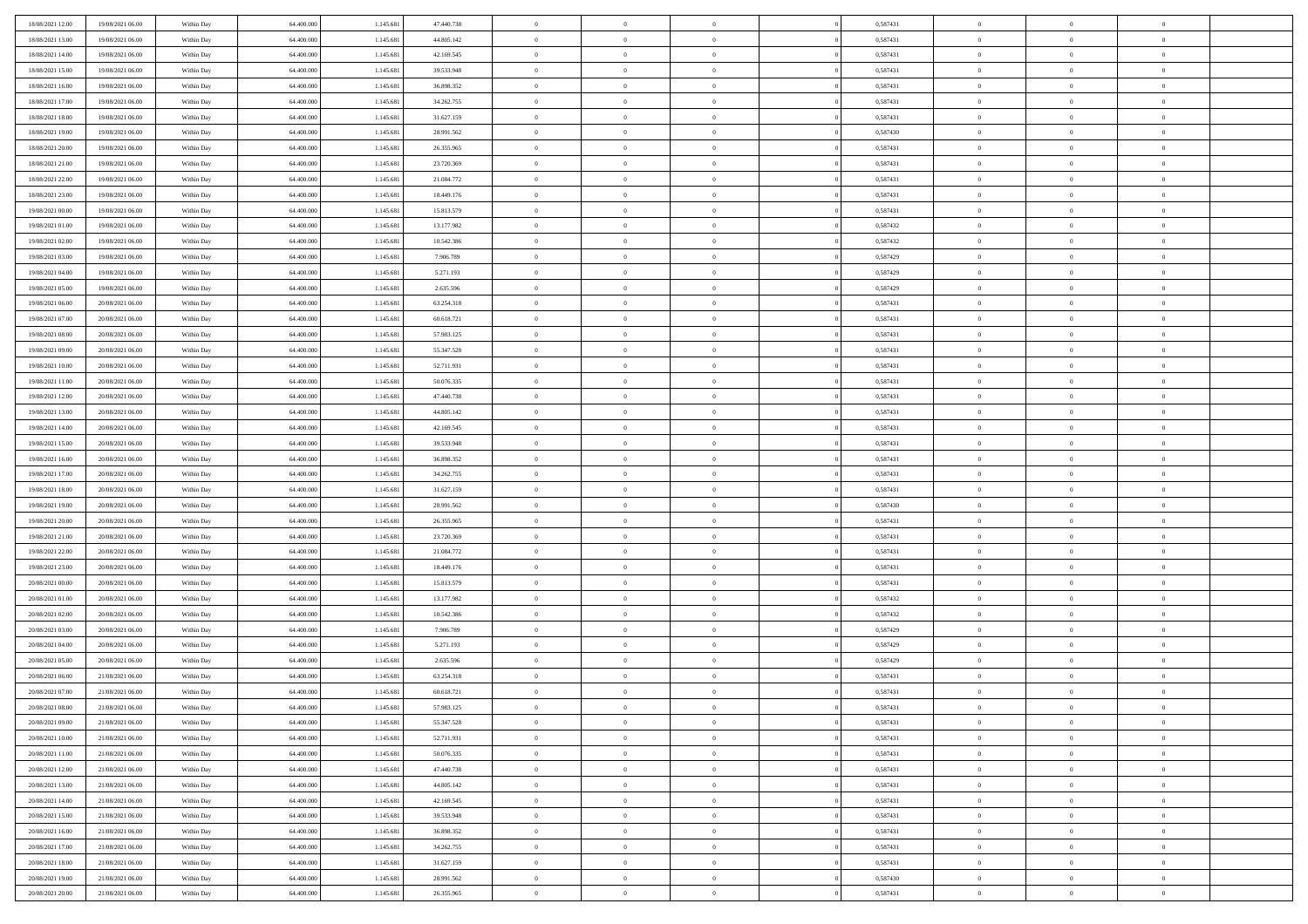| 18/08/2021 12:00 | 19/08/2021 06:00 | Within Day | 64,400,000 | 1.145.681 | 47.440.738 | $\bf{0}$       | $\overline{0}$ | $\theta$       | 0,587431 | $\theta$       | $\overline{0}$ | $\overline{0}$ |  |
|------------------|------------------|------------|------------|-----------|------------|----------------|----------------|----------------|----------|----------------|----------------|----------------|--|
| 18/08/2021 13:00 | 19/08/2021 06:00 | Within Day | 64.400.000 | 1.145.681 | 44.805.142 | $\mathbf{0}$   | $\overline{0}$ | $\overline{0}$ | 0,587431 | $\theta$       | $\bf{0}$       | $\theta$       |  |
| 18/08/2021 14:00 | 19/08/2021 06:00 | Within Day | 64.400.000 | 1.145.681 | 42.169.545 | $\,$ 0         | $\overline{0}$ | $\bf{0}$       | 0,587431 | $\,0\,$        | $\overline{0}$ | $\,$ 0 $\,$    |  |
| 18/08/2021 15:00 | 19/08/2021 06:00 | Within Day | 64,400,000 | 1.145.681 | 39.533.948 | $\bf{0}$       | $\overline{0}$ | $\Omega$       | 0.587431 | $\overline{0}$ | $\theta$       | $\theta$       |  |
| 18/08/2021 16:00 | 19/08/2021 06:00 | Within Day | 64.400.000 | 1.145.681 | 36.898.352 | $\mathbf{0}$   | $\overline{0}$ | $\overline{0}$ | 0,587431 | $\overline{0}$ | $\bf{0}$       | $\overline{0}$ |  |
| 18/08/2021 17:00 | 19/08/2021 06:00 | Within Day | 64.400.000 | 1.145.681 | 34.262.755 | $\bf{0}$       | $\overline{0}$ | $\bf{0}$       | 0,587431 | $\,0\,$        | $\overline{0}$ | $\,$ 0 $\,$    |  |
| 18/08/2021 18:00 | 19/08/2021 06:00 | Within Day | 64,400,000 | 1.145.681 | 31.627.159 | $\bf{0}$       | $\overline{0}$ | $\overline{0}$ | 0,587431 | $\bf{0}$       | $\overline{0}$ | $\theta$       |  |
| 18/08/2021 19:00 | 19/08/2021 06:00 | Within Day | 64.400.000 | 1.145.681 | 28.991.562 | $\overline{0}$ | $\overline{0}$ | $\overline{0}$ | 0,587430 | $\mathbf{0}$   | $\overline{0}$ | $\theta$       |  |
| 18/08/2021 20:00 | 19/08/2021 06:00 | Within Day | 64.400.000 | 1.145.681 | 26.355.965 | $\bf{0}$       | $\overline{0}$ | $\bf{0}$       | 0,587431 | $\,0\,$        | $\overline{0}$ | $\,$ 0 $\,$    |  |
| 18/08/2021 21:00 | 19/08/2021 06:00 | Within Day | 64,400,000 | 1.145.681 | 23.720.369 | $\bf{0}$       | $\overline{0}$ | $\overline{0}$ | 0,587431 | $\theta$       | $\overline{0}$ | $\overline{0}$ |  |
| 18/08/2021 22:00 | 19/08/2021 06:00 | Within Day | 64.400.000 | 1.145.681 | 21.084.772 | $\overline{0}$ | $\overline{0}$ | $\overline{0}$ | 0,587431 | $\mathbf{0}$   | $\overline{0}$ | $\theta$       |  |
| 18/08/2021 23:00 | 19/08/2021 06:00 | Within Day | 64.400.000 | 1.145.681 | 18.449.176 | $\bf{0}$       | $\overline{0}$ | $\bf{0}$       | 0,587431 | $\,0\,$        | $\overline{0}$ | $\,$ 0 $\,$    |  |
| 19/08/2021 00:00 | 19/08/2021 06:00 | Within Day | 64,400,000 | 1.145.681 | 15.813.579 | $\bf{0}$       | $\overline{0}$ | $\Omega$       | 0.587431 | $\theta$       | $\theta$       | $\theta$       |  |
| 19/08/2021 01:00 | 19/08/2021 06:00 | Within Day | 64.400.000 | 1.145.681 | 13.177.982 | $\overline{0}$ | $\overline{0}$ | $\overline{0}$ | 0,587432 | $\mathbf{0}$   | $\overline{0}$ | $\overline{0}$ |  |
| 19/08/2021 02:00 | 19/08/2021 06:00 | Within Day | 64.400.000 | 1.145.681 | 10.542.386 | $\bf{0}$       | $\overline{0}$ | $\bf{0}$       | 0,587432 | $\,0\,$        | $\overline{0}$ | $\,$ 0 $\,$    |  |
| 19/08/2021 03:00 | 19/08/2021 06:00 | Within Day | 64,400,000 | 1.145.681 | 7.906.789  | $\bf{0}$       | $\overline{0}$ | $\overline{0}$ | 0,587429 | $\theta$       | $\overline{0}$ | $\overline{0}$ |  |
| 19/08/2021 04:00 | 19/08/2021 06:00 | Within Day | 64.400.000 | 1.145.681 | 5.271.193  | $\overline{0}$ | $\overline{0}$ | $\overline{0}$ | 0,587429 | $\mathbf{0}$   | $\overline{0}$ | $\theta$       |  |
| 19/08/2021 05:00 | 19/08/2021 06:00 | Within Day | 64.400.000 | 1.145.681 | 2.635.596  | $\bf{0}$       | $\overline{0}$ | $\bf{0}$       | 0,587429 | $\,0\,$        | $\overline{0}$ | $\,$ 0 $\,$    |  |
| 19/08/2021 06:00 | 20/08/2021 06:00 | Within Day | 64,400,000 | 1.145.681 | 63.254.318 | $\bf{0}$       | $\overline{0}$ | $\overline{0}$ | 0,587431 | $\theta$       | $\theta$       | $\overline{0}$ |  |
| 19/08/2021 07:00 | 20/08/2021 06:00 | Within Day | 64.400.000 | 1.145.681 | 60.618.721 | $\overline{0}$ | $\overline{0}$ | $\overline{0}$ | 0,587431 | $\mathbf{0}$   | $\overline{0}$ | $\theta$       |  |
| 19/08/2021 08:00 | 20/08/2021 06:00 | Within Day | 64.400.000 | 1.145.681 | 57.983.125 | $\bf{0}$       | $\overline{0}$ | $\bf{0}$       | 0,587431 | $\,0\,$        | $\overline{0}$ | $\,$ 0 $\,$    |  |
| 19/08/2021 09:00 | 20/08/2021 06:00 | Within Day | 64,400,000 | 1.145.681 | 55.347.528 | $\bf{0}$       | $\overline{0}$ | $\Omega$       | 0.587431 | $\overline{0}$ | $\theta$       | $\theta$       |  |
| 19/08/2021 10:00 | 20/08/2021 06:00 | Within Day | 64.400.000 | 1.145.681 | 52.711.931 | $\overline{0}$ | $\overline{0}$ | $\overline{0}$ | 0,587431 | $\mathbf{0}$   | $\overline{0}$ | $\overline{0}$ |  |
| 19/08/2021 11:00 | 20/08/2021 06:00 | Within Day | 64.400.000 | 1.145.681 | 50.076.335 | $\bf{0}$       | $\overline{0}$ | $\bf{0}$       | 0,587431 | $\,0\,$        | $\overline{0}$ | $\,$ 0 $\,$    |  |
| 19/08/2021 12:00 | 20/08/2021 06:00 | Within Day | 64,400,000 | 1.145.681 | 47.440.738 | $\bf{0}$       | $\overline{0}$ | $\overline{0}$ | 0,587431 | $\bf{0}$       | $\overline{0}$ | $\overline{0}$ |  |
| 19/08/2021 13:00 | 20/08/2021 06:00 | Within Dav | 64.400.000 | 1.145.681 | 44.805.142 | $\overline{0}$ | $\overline{0}$ | $\overline{0}$ | 0,587431 | $\mathbf{0}$   | $\overline{0}$ | $\theta$       |  |
| 19/08/2021 14:00 | 20/08/2021 06:00 | Within Day | 64.400.000 | 1.145.681 | 42.169.545 | $\bf{0}$       | $\overline{0}$ | $\bf{0}$       | 0,587431 | $\,0\,$        | $\overline{0}$ | $\,$ 0 $\,$    |  |
| 19/08/2021 15:00 | 20/08/2021 06:00 | Within Day | 64,400,000 | 1.145.681 | 39.533.948 | $\bf{0}$       | $\overline{0}$ | $\Omega$       | 0.587431 | $\theta$       | $\theta$       | $\overline{0}$ |  |
| 19/08/2021 16:00 | 20/08/2021 06:00 | Within Dav | 64.400.000 | 1.145.681 | 36.898.352 | $\overline{0}$ | $\overline{0}$ | $\overline{0}$ | 0,587431 | $\mathbf{0}$   | $\bf{0}$       | $\overline{0}$ |  |
| 19/08/2021 17:00 | 20/08/2021 06:00 | Within Day | 64.400.000 | 1.145.681 | 34.262.755 | $\bf{0}$       | $\overline{0}$ | $\bf{0}$       | 0,587431 | $\,0\,$        | $\overline{0}$ | $\,$ 0         |  |
| 19/08/2021 18:00 | 20/08/2021 06:00 | Within Day | 64.400.000 | 1.145.681 | 31.627.159 | $\,$ 0         | $\bf{0}$       | $\overline{0}$ | 0,587431 | $\bf{0}$       | $\overline{0}$ | $\theta$       |  |
| 19/08/2021 19:00 | 20/08/2021 06:00 | Within Dav | 64.400.000 | 1.145.681 | 28.991.562 | $\overline{0}$ | $\overline{0}$ | $\overline{0}$ | 0,587430 | $\mathbf{0}$   | $\overline{0}$ | $\overline{0}$ |  |
| 19/08/2021 20:00 | 20/08/2021 06:00 | Within Day | 64.400.000 | 1.145.681 | 26.355.965 | $\bf{0}$       | $\overline{0}$ | $\bf{0}$       | 0,587431 | $\,0\,$        | $\overline{0}$ | $\,$ 0 $\,$    |  |
| 19/08/2021 21:00 | 20/08/2021 06:00 | Within Day | 64.400.000 | 1.145.681 | 23.720.369 | $\bf{0}$       | $\bf{0}$       | $\bf{0}$       | 0,587431 | $\bf{0}$       | $\overline{0}$ | $\bf{0}$       |  |
| 19/08/2021 22:00 | 20/08/2021 06:00 | Within Dav | 64.400.000 | 1.145.681 | 21.084.772 | $\overline{0}$ | $\overline{0}$ | $\overline{0}$ | 0,587431 | $\theta$       | $\overline{0}$ | $\theta$       |  |
| 19/08/2021 23:00 | 20/08/2021 06:00 | Within Day | 64.400.000 | 1.145.681 | 18.449.176 | $\bf{0}$       | $\overline{0}$ | $\bf{0}$       | 0,587431 | $\,0\,$        | $\overline{0}$ | $\bf{0}$       |  |
| 20/08/2021 00:00 | 20/08/2021 06:00 | Within Day | 64.400.000 | 1.145.681 | 15.813.579 | $\bf{0}$       | $\bf{0}$       | $\overline{0}$ | 0,587431 | $\bf{0}$       | $\overline{0}$ | $\theta$       |  |
| 20/08/2021 01:00 | 20/08/2021 06:00 | Within Dav | 64.400.000 | 1.145.681 | 13.177.982 | $\overline{0}$ | $\overline{0}$ | $\overline{0}$ | 0,587432 | $\mathbf{0}$   | $\bf{0}$       | $\overline{0}$ |  |
| 20/08/2021 02:00 | 20/08/2021 06:00 | Within Day | 64.400.000 | 1.145.681 | 10.542.386 | $\bf{0}$       | $\overline{0}$ | $\bf{0}$       | 0,587432 | $\,0\,$        | $\overline{0}$ | $\,$ 0 $\,$    |  |
| 20/08/2021 03:00 | 20/08/2021 06:00 | Within Day | 64.400.000 | 1.145.681 | 7.906.789  | $\bf{0}$       | $\bf{0}$       | $\overline{0}$ | 0,587429 | $\bf{0}$       | $\overline{0}$ | $\theta$       |  |
| 20/08/2021 04:00 | 20/08/2021 06:00 | Within Dav | 64.400.000 | 1.145.681 | 5.271.193  | $\overline{0}$ | $\overline{0}$ | $\overline{0}$ | 0,587429 | $\theta$       | $\overline{0}$ | $\theta$       |  |
| 20/08/2021 05:00 | 20/08/2021 06:00 | Within Day | 64.400.000 | 1.145.681 | 2.635.596  | $\bf{0}$       | $\overline{0}$ | $\bf{0}$       | 0,587429 | $\,0\,$        | $\overline{0}$ | $\theta$       |  |
| 20/08/2021 06:00 | 21/08/2021 06:00 | Within Day | 64.400.000 | 1.145.681 | 63.254.318 | $\bf{0}$       | $\bf{0}$       | $\bf{0}$       | 0,587431 | $\bf{0}$       | $\overline{0}$ | $\bf{0}$       |  |
| 20/08/2021 07:00 | 21/08/2021 06:00 | Within Dav | 64.400.000 | 1.145.681 | 60.618.721 | $\mathbf{0}$   | $\overline{0}$ | $\overline{0}$ | 0,587431 | $\theta$       | $\bf{0}$       | $\theta$       |  |
| 20/08/2021 08:00 | 21/08/2021 06:00 | Within Day | 64.400.000 | 1.145.681 | 57.983.125 | $\bf{0}$       | $\overline{0}$ | $\theta$       | 0,587431 | $\bf{0}$       | $\overline{0}$ | $\theta$       |  |
| 20/08/2021 09:00 | 21/08/2021 06:00 | Within Day | 64.400.000 | 1.145.681 | 55.347.528 | $\bf{0}$       | $\bf{0}$       | $\bf{0}$       | 0,587431 | $\bf{0}$       | $\overline{0}$ | $\bf{0}$       |  |
| 20/08/2021 10:00 | 21/08/2021 06:00 | Within Day | 64.400.000 | 1.145.681 | 52.711.931 | $\overline{0}$ | $\overline{0}$ | $\overline{0}$ | 0,587431 | $\overline{0}$ | $\overline{0}$ | $\overline{0}$ |  |
| 20/08/2021 11:00 | 21/08/2021 06:00 | Within Day | 64.400.000 | 1.145.681 | 50.076.335 | $\,$ 0 $\,$    | $\overline{0}$ | $\overline{0}$ | 0,587431 | $\,$ 0 $\,$    | $\,$ 0 $\,$    | $\,0\,$        |  |
| 20/08/2021 12:00 | 21/08/2021 06:00 | Within Day | 64.400.000 | 1.145.681 | 47.440.738 | $\bf{0}$       | $\bf{0}$       | $\overline{0}$ | 0,587431 | $\mathbf{0}$   | $\overline{0}$ | $\bf{0}$       |  |
| 20/08/2021 13:00 | 21/08/2021 06:00 | Within Day | 64.400.000 | 1.145.681 | 44.805.142 | $\,$ 0 $\,$    | $\overline{0}$ | $\overline{0}$ | 0,587431 | $\mathbf{0}$   | $\overline{0}$ | $\overline{0}$ |  |
| 20/08/2021 14:00 | 21/08/2021 06:00 | Within Day | 64.400.000 | 1.145.681 | 42.169.545 | $\,$ 0 $\,$    | $\overline{0}$ | $\overline{0}$ | 0,587431 | $\,$ 0 $\,$    | $\bf{0}$       | $\,$ 0         |  |
| 20/08/2021 15:00 | 21/08/2021 06:00 | Within Day | 64.400.000 | 1.145.681 | 39.533.948 | $\bf{0}$       | $\overline{0}$ | $\overline{0}$ | 0,587431 | $\overline{0}$ | $\overline{0}$ | $\bf{0}$       |  |
| 20/08/2021 16:00 | 21/08/2021 06:00 | Within Day | 64.400.000 | 1.145.681 | 36.898.352 | $\,$ 0 $\,$    | $\overline{0}$ | $\overline{0}$ | 0,587431 | $\overline{0}$ | $\overline{0}$ | $\overline{0}$ |  |
| 20/08/2021 17:00 | 21/08/2021 06:00 | Within Day | 64.400.000 | 1.145.681 | 34.262.755 | $\,$ 0 $\,$    | $\overline{0}$ | $\overline{0}$ | 0,587431 | $\,$ 0 $\,$    | $\,$ 0 $\,$    | $\,$ 0         |  |
| 20/08/2021 18:00 | 21/08/2021 06:00 | Within Day | 64.400.000 | 1.145.681 | 31.627.159 | $\bf{0}$       | $\bf{0}$       | $\overline{0}$ | 0,587431 | $\mathbf{0}$   | $\overline{0}$ | $\bf{0}$       |  |
| 20/08/2021 19:00 | 21/08/2021 06:00 | Within Day | 64.400.000 | 1.145.681 | 28.991.562 | $\,$ 0 $\,$    | $\overline{0}$ | $\overline{0}$ | 0,587430 | $\overline{0}$ | $\overline{0}$ | $\overline{0}$ |  |
| 20/08/2021 20:00 | 21/08/2021 06:00 | Within Day | 64.400.000 | 1.145.681 | 26.355.965 | $\,0\,$        | $\overline{0}$ | $\overline{0}$ | 0,587431 | $\,0\,$        | $\overline{0}$ | $\,0\,$        |  |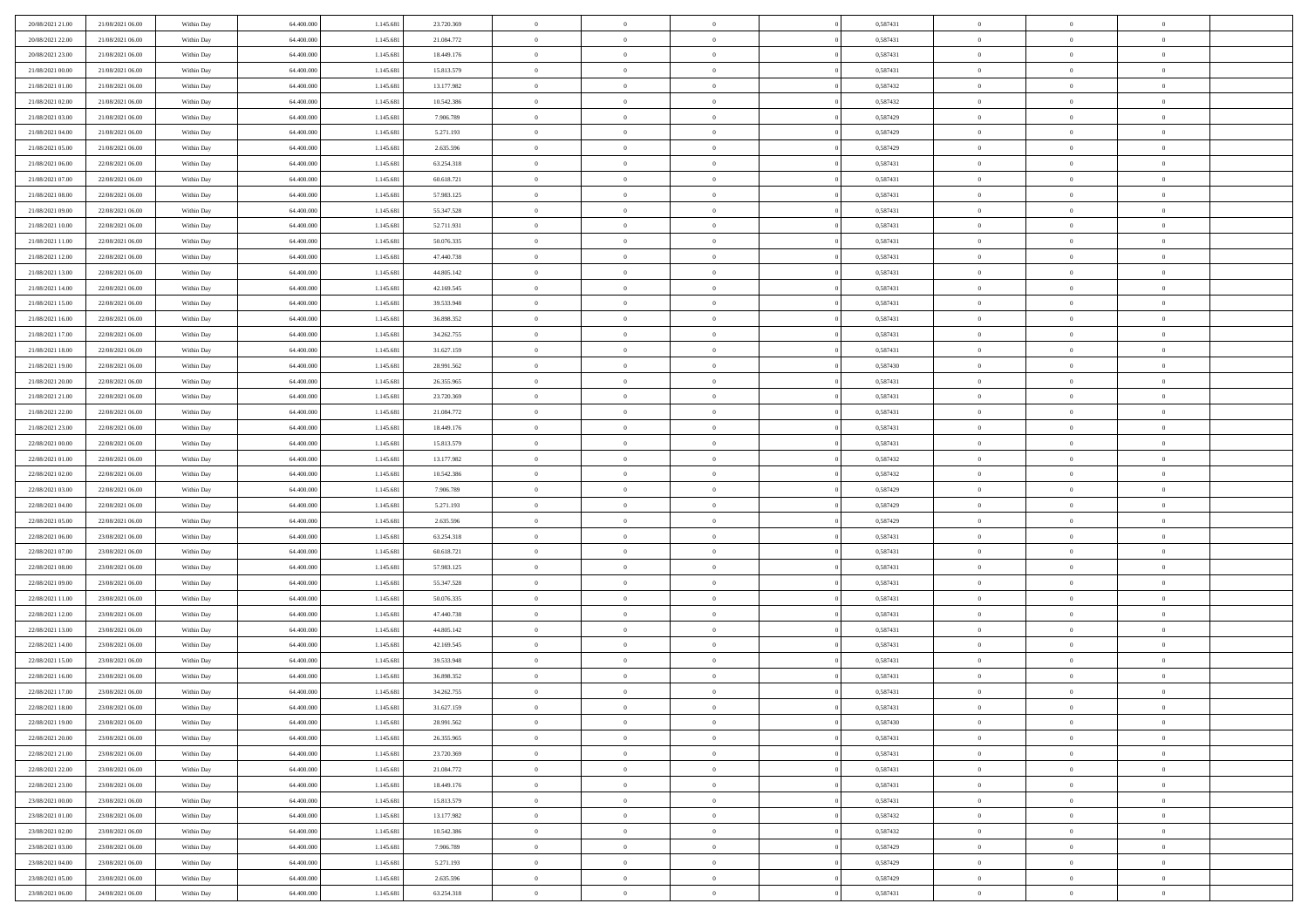| 20/08/2021 21:00                     | 21/08/2021 06:00                     | Within Day               | 64,400,000               | 1.145.681              | 23.720.369               | $\bf{0}$                    | $\overline{0}$                   | $\Omega$                         | 0,587431             | $\bf{0}$                 | $\overline{0}$             | $\bf{0}$                  |  |
|--------------------------------------|--------------------------------------|--------------------------|--------------------------|------------------------|--------------------------|-----------------------------|----------------------------------|----------------------------------|----------------------|--------------------------|----------------------------|---------------------------|--|
| 20/08/2021 22:00                     | 21/08/2021 06:00                     | Within Day               | 64.400.000               | 1.145.681              | 21.084.772               | $\theta$                    | $\overline{0}$                   | $\overline{0}$                   | 0,587431             | $\mathbf{0}$             | $\bf{0}$                   | $\overline{0}$            |  |
| 20/08/2021 23:00                     | 21/08/2021 06:00                     | Within Day               | 64.400.000               | 1.145.681              | 18.449.176               | $\theta$                    | $\overline{0}$                   | $\overline{0}$                   | 0,587431             | $\,$ 0                   | $\overline{0}$             | $\,$ 0 $\,$               |  |
| 21/08/2021 00:00                     | 21/08/2021 06:00                     | Within Day               | 64,400,000               | 1.145.681              | 15.813.579               | $\overline{0}$              | $\overline{0}$                   | $\mathbf{0}$                     | 0.587431             | $\bf{0}$                 | $\mathbf{0}$               | $\theta$                  |  |
| 21/08/2021 01:00                     | 21/08/2021 06:00                     | Within Day               | 64.400.000               | 1.145.681              | 13.177.982               | $\mathbf{0}$                | $\overline{0}$                   | $\overline{0}$                   | 0,587432             | $\mathbf{0}$             | $\bf{0}$                   | $\overline{0}$            |  |
| 21/08/2021 02:00                     | 21/08/2021 06:00                     | Within Day               | 64.400.000               | 1.145.681              | 10.542.386               | $\theta$                    | $\overline{0}$                   | $\bf{0}$                         | 0,587432             | $\,$ 0                   | $\overline{0}$             | $\,$ 0 $\,$               |  |
| 21/08/2021 03:00                     | 21/08/2021 06:00                     | Within Day               | 64,400,000               | 1.145.681              | 7.906.789                | $\,$ 0 $\,$                 | $\overline{0}$                   | $\Omega$                         | 0,587429             | $\bf{0}$                 | $\overline{0}$             | $\theta$                  |  |
| 21/08/2021 04:00                     | 21/08/2021 06:00                     | Within Day               | 64.400.000               | 1.145.681              | 5.271.193                | $\overline{0}$              | $\overline{0}$                   | $\overline{0}$                   | 0,587429             | $\mathbf{0}$             | $\bf{0}$                   | $\overline{0}$            |  |
| 21/08/2021 05:00                     | 21/08/2021 06:00                     | Within Day               | 64.400.000               | 1.145.681              | 2.635.596                | $\theta$                    | $\overline{0}$                   | $\bf{0}$                         | 0,587429             | $\,$ 0                   | $\overline{0}$             | $\,$ 0 $\,$               |  |
| 21/08/2021 06:00                     | 22/08/2021 06:00                     | Within Day               | 64,400,000               | 1.145.681              | 63.254.318               | $\overline{0}$              | $\overline{0}$                   | $\mathbf{0}$                     | 0.587431             | $\bf{0}$                 | $\mathbf{0}$               | $\theta$                  |  |
| 21/08/2021 07:00                     | 22/08/2021 06:00                     | Within Day               | 64.400.000               | 1.145.681              | 60.618.721               | $\mathbf{0}$                | $\overline{0}$                   | $\overline{0}$                   | 0,587431             | $\mathbf{0}$             | $\bf{0}$                   | $\overline{0}$            |  |
| 21/08/2021 08:00                     | 22/08/2021 06:00                     | Within Day               | 64.400.000               | 1.145.681              | 57.983.125               | $\theta$                    | $\overline{0}$                   | $\bf{0}$                         | 0,587431             | $\,$ 0                   | $\overline{0}$             | $\,$ 0 $\,$               |  |
| 21/08/2021 09:00                     | 22/08/2021 06:00                     | Within Day               | 64,400,000               | 1.145.681              | 55.347.528               | $\theta$                    | $\overline{0}$                   | $\mathbf{0}$                     | 0.587431             | $\bf{0}$                 | $\mathbf{0}$               | $\theta$                  |  |
| 21/08/2021 10:00                     | 22/08/2021 06:00                     | Within Day               | 64.400.000               | 1.145.681              | 52.711.931               | $\mathbf{0}$                | $\overline{0}$                   | $\overline{0}$                   | 0,587431             | $\mathbf{0}$             | $\bf{0}$                   | $\overline{0}$            |  |
| 21/08/2021 11:00                     | 22/08/2021 06:00                     | Within Day               | 64.400.000               | 1.145.681              | 50.076.335               | $\theta$                    | $\overline{0}$                   | $\overline{0}$                   | 0,587431             | $\,$ 0                   | $\overline{0}$             | $\,$ 0 $\,$               |  |
| 21/08/2021 12:00                     | 22/08/2021 06:00                     | Within Day               | 64,400,000               | 1.145.681              | 47.440.738               | $\bf{0}$                    | $\overline{0}$                   | $\mathbf{0}$                     | 0.587431             | $\bf{0}$                 | $\mathbf{0}$               | $\bf{0}$                  |  |
| 21/08/2021 13:00                     | 22/08/2021 06:00                     | Within Day               | 64.400.000               | 1.145.681              | 44.805.142               | $\overline{0}$              | $\overline{0}$                   | $\overline{0}$                   | 0,587431             | $\mathbf{0}$             | $\bf{0}$                   | $\overline{0}$            |  |
| 21/08/2021 14:00                     | 22/08/2021 06:00                     | Within Day               | 64.400.000               | 1.145.681              | 42.169.545               | $\theta$                    | $\overline{0}$                   | $\bf{0}$                         | 0,587431             | $\,$ 0                   | $\overline{0}$             | $\,$ 0 $\,$               |  |
| 21/08/2021 15:00                     | 22/08/2021 06:00                     | Within Day               | 64,400,000               | 1.145.681              | 39.533.948               | $\overline{0}$              | $\overline{0}$                   | $\mathbf{0}$                     | 0.587431             | $\bf{0}$                 | $\mathbf{0}$               | $\theta$                  |  |
| 21/08/2021 16:00                     | 22/08/2021 06:00                     | Within Day               | 64.400.000               | 1.145.681              | 36.898.352               | $\overline{0}$              | $\overline{0}$                   | $\overline{0}$                   | 0,587431             | $\mathbf{0}$             | $\bf{0}$                   | $\overline{0}$            |  |
| 21/08/2021 17:00                     | 22/08/2021 06:00                     | Within Day               | 64.400.000               | 1.145.681              | 34.262.755               | $\theta$                    | $\overline{0}$                   | $\bf{0}$                         | 0,587431             | $\,$ 0                   | $\overline{0}$             | $\,$ 0 $\,$               |  |
| 21/08/2021 18:00                     | 22/08/2021 06:00                     | Within Day               | 64,400,000               | 1.145.681              | 31.627.159               | $\overline{0}$              | $\overline{0}$                   | $\mathbf{0}$                     | 0.587431             | $\bf{0}$                 | $\mathbf{0}$               | $\theta$                  |  |
| 21/08/2021 19:00                     | 22/08/2021 06:00                     | Within Day               | 64.400.000               | 1.145.681              | 28.991.562               | $\mathbf{0}$                | $\overline{0}$                   | $\overline{0}$                   | 0,587430             | $\mathbf{0}$             | $\bf{0}$                   | $\overline{0}$            |  |
| 21/08/2021 20:00                     | 22/08/2021 06:00                     | Within Day               | 64.400.000               | 1.145.681              | 26.355.965               | $\theta$                    | $\overline{0}$                   | $\bf{0}$                         | 0,587431             | $\,$ 0                   | $\overline{0}$             | $\,$ 0 $\,$               |  |
| 21/08/2021 21:00                     | 22/08/2021 06:00                     | Within Day               | 64,400,000               | 1.145.681              | 23.720.369               | $\bf{0}$                    | $\overline{0}$                   | $\mathbf{0}$                     | 0,587431             | $\bf{0}$                 | $\bf{0}$                   | $\bf{0}$                  |  |
| 21/08/2021 22:00                     | 22/08/2021 06:00                     | Within Day               | 64.400.000               | 1.145.681              | 21.084.772               | $\overline{0}$              | $\overline{0}$                   | $\overline{0}$                   | 0,587431             | $\mathbf{0}$             | $\bf{0}$                   | $\overline{0}$            |  |
| 21/08/2021 23:00                     | 22/08/2021 06:00                     | Within Day               | 64.400.000               | 1.145.681              | 18.449.176               | $\theta$                    | $\overline{0}$                   | $\overline{0}$                   | 0,587431             | $\,$ 0                   | $\overline{0}$             | $\,$ 0 $\,$               |  |
| 22/08/2021 00:00                     | 22/08/2021 06:00                     | Within Day               | 64,400,000               | 1.145.681              | 15.813.579               | $\overline{0}$              | $\overline{0}$                   | $\mathbf{0}$                     | 0.587431             | $\bf{0}$                 | $\mathbf{0}$               | $\theta$                  |  |
| 22/08/2021 01:00                     | 22/08/2021 06:00                     | Within Day               | 64.400.000               | 1.145.681              | 13.177.982               | $\mathbf{0}$                | $\overline{0}$                   | $\overline{0}$                   | 0,587432             | $\mathbf{0}$             | $\bf{0}$                   | $\overline{0}$            |  |
| 22/08/2021 02:00                     | 22/08/2021 06:00                     | Within Day               | 64.400.000               | 1.145.681              | 10.542.386               | $\theta$                    | $\overline{0}$                   | $\bf{0}$                         | 0,587432             | $\,$ 0                   | $\overline{0}$             | $\,$ 0 $\,$               |  |
| 22/08/2021 03:00                     | 22/08/2021 06:00                     | Within Day               | 64.400.000               | 1.145.681              | 7.906.789                | $\,$ 0 $\,$                 | $\overline{0}$                   | $\overline{0}$                   | 0,587429             | $\bf{0}$                 | $\overline{0}$             | $\,0\,$                   |  |
| 22/08/2021 04:00                     | 22/08/2021 06:00                     | Within Day               | 64.400.000               | 1.145.681              | 5.271.193                | $\overline{0}$              | $\overline{0}$                   | $\overline{0}$                   | 0,587429             | $\mathbf{0}$             | $\bf{0}$                   | $\overline{0}$            |  |
| 22/08/2021 05:00                     | 22/08/2021 06:00                     | Within Day               | 64.400.000               | 1.145.681              | 2.635.596                | $\theta$                    | $\overline{0}$                   | $\overline{0}$                   | 0,587429             | $\,$ 0                   | $\overline{0}$             | $\,$ 0 $\,$               |  |
| 22/08/2021 06:00                     | 23/08/2021 06:00                     | Within Day               | 64.400.000               | 1.145.681              | 63.254.318               | $\,$ 0 $\,$                 | $\overline{0}$                   | $\overline{0}$                   | 0,587431             | $\bf{0}$                 | $\overline{0}$             | $\,0\,$                   |  |
| 22/08/2021 07:00                     | 23/08/2021 06:00                     | Within Dav               | 64.400.000               | 1.145.681              | 60.618.721               | $\theta$                    | $\overline{0}$                   | $\overline{0}$                   | 0,587431             | $\mathbf{0}$             | $\bf{0}$                   | $\overline{0}$            |  |
| 22/08/2021 08:00                     | 23/08/2021 06:00                     | Within Day               | 64.400.000               | 1.145.681              | 57.983.125               | $\theta$                    | $\overline{0}$                   | $\bf{0}$                         | 0,587431             | $\,$ 0                   | $\overline{0}$             | $\,$ 0 $\,$               |  |
| 22/08/2021 09:00<br>22/08/2021 11:00 | 23/08/2021 06:00<br>23/08/2021 06:00 | Within Day<br>Within Dav | 64.400.000<br>64.400.000 | 1.145.681<br>1.145.681 | 55.347.528<br>50.076.335 | $\,$ 0 $\,$<br>$\mathbf{0}$ | $\overline{0}$<br>$\overline{0}$ | $\overline{0}$<br>$\overline{0}$ | 0,587431<br>0,587431 | $\bf{0}$<br>$\mathbf{0}$ | $\overline{0}$<br>$\bf{0}$ | $\,0\,$<br>$\overline{0}$ |  |
| 22/08/2021 12:00                     | 23/08/2021 06:00                     |                          | 64.400.000               | 1.145.681              | 47.440.738               | $\theta$                    | $\overline{0}$                   | $\bf{0}$                         | 0,587431             | $\,$ 0                   | $\overline{0}$             | $\,$ 0 $\,$               |  |
|                                      | 23/08/2021 06:00                     | Within Day               |                          |                        |                          | $\,$ 0 $\,$                 |                                  | $\overline{0}$                   |                      | $\bf{0}$                 | $\overline{0}$             | $\,0\,$                   |  |
| 22/08/2021 13:00<br>22/08/2021 14:00 | 23/08/2021 06:00                     | Within Day<br>Within Dav | 64.400.000<br>64.400.000 | 1.145.681<br>1.145.681 | 44.805.142<br>42.169.545 | $\theta$                    | $\overline{0}$<br>$\overline{0}$ | $\overline{0}$                   | 0,587431<br>0,587431 | $\mathbf{0}$             | $\bf{0}$                   | $\overline{0}$            |  |
| 22/08/2021 15:00                     | 23/08/2021 06:00                     | Within Day               | 64.400.000               | 1.145.681              | 39.533.948               | $\theta$                    | $\overline{0}$                   | $\bf{0}$                         | 0,587431             | $\,$ 0                   | $\overline{0}$             | $\,$ 0 $\,$               |  |
| 22/08/2021 16:00                     | 23/08/2021 06:00                     | Within Day               | 64.400.000               | 1.145.681              | 36.898.352               | $\,$ 0 $\,$                 | $\overline{0}$                   | $\overline{0}$                   | 0,587431             | $\bf{0}$                 | $\overline{0}$             | $\,0\,$                   |  |
| 22/08/2021 17:00                     | 23/08/2021 06:00                     | Within Dav               | 64.400.000               | 1.145.681              | 34.262.755               | $\theta$                    | $\overline{0}$                   | $\overline{0}$                   | 0,587431             | $\mathbf{0}$             | $\bf{0}$                   | $\overline{0}$            |  |
| 22/08/2021 18:00                     | 23/08/2021 06:00                     | Within Day               | 64.400.000               | 1.145.681              | 31.627.159               | $\overline{0}$              | $\overline{0}$                   | $\overline{0}$                   | 0,587431             | $\overline{0}$           | $\overline{0}$             | $\theta$                  |  |
| 22/08/2021 19:00                     | 23/08/2021 06:00                     | Within Day               | 64.400.000               | 1.145.681              | 28.991.562               | $\bf{0}$                    | $\overline{0}$                   | $\overline{0}$                   | 0,587430             | $\mathbf{0}$             | $\overline{0}$             | $\bf{0}$                  |  |
| 22/08/2021 20:00                     | 23/08/2021 06:00                     | Within Day               | 64.400.000               | 1.145.681              | 26.355.965               | $\overline{0}$              | $\overline{0}$                   | $\overline{0}$                   | 0,587431             | $\overline{0}$           | $\overline{0}$             | $\overline{0}$            |  |
| 22/08/2021 21:00                     | 23/08/2021 06:00                     | Within Day               | 64.400.000               | 1.145.681              | 23.720.369               | $\,$ 0                      | $\overline{0}$                   | $\overline{0}$                   | 0,587431             | $\,$ 0 $\,$              | $\,$ 0 $\,$                | $\,$ 0 $\,$               |  |
| 22/08/2021 22:00                     | 23/08/2021 06:00                     | Within Day               | 64.400.000               | 1.145.681              | 21.084.772               | $\bf{0}$                    | $\overline{0}$                   | $\overline{0}$                   | 0,587431             | $\mathbf{0}$             | $\overline{0}$             | $\bf{0}$                  |  |
| 22/08/2021 23:00                     | 23/08/2021 06:00                     | Within Day               | 64.400.000               | 1.145.681              | 18.449.176               | $\,$ 0 $\,$                 | $\overline{0}$                   | $\overline{0}$                   | 0,587431             | $\,$ 0 $\,$              | $\bf{0}$                   | $\overline{0}$            |  |
| 23/08/2021 00:00                     | 23/08/2021 06:00                     | Within Day               | 64.400.000               | 1.145.681              | 15.813.579               | $\,$ 0                      | $\overline{0}$                   | $\overline{0}$                   | 0,587431             | $\,$ 0 $\,$              | $\overline{0}$             | $\,$ 0 $\,$               |  |
| 23/08/2021 01:00                     | 23/08/2021 06:00                     | Within Day               | 64.400.000               | 1.145.681              | 13.177.982               | $\bf{0}$                    | $\overline{0}$                   | $\overline{0}$                   | 0,587432             | $\overline{0}$           | $\overline{0}$             | $\overline{0}$            |  |
| 23/08/2021 02:00                     | 23/08/2021 06:00                     | Within Day               | 64.400.000               | 1.145.681              | 10.542.386               | $\,$ 0 $\,$                 | $\overline{0}$                   | $\overline{0}$                   | 0,587432             | $\,$ 0 $\,$              | $\bf{0}$                   | $\overline{0}$            |  |
| 23/08/2021 03:00                     | 23/08/2021 06:00                     | Within Day               | 64.400.000               | 1.145.681              | 7.906.789                | $\,$ 0                      | $\overline{0}$                   | $\overline{0}$                   | 0,587429             | $\,$ 0 $\,$              | $\,$ 0 $\,$                | $\,$ 0 $\,$               |  |
| 23/08/2021 04:00                     | 23/08/2021 06:00                     | Within Day               | 64.400.000               | 1.145.681              | 5.271.193                | $\bf{0}$                    | $\overline{0}$                   | $\overline{0}$                   | 0,587429             | $\mathbf{0}$             | $\overline{0}$             | $\bf{0}$                  |  |
| 23/08/2021 05:00                     | 23/08/2021 06:00                     | Within Day               | 64.400.000               | 1.145.681              | 2.635.596                | $\mathbf{0}$                | $\overline{0}$                   | $\overline{0}$                   | 0,587429             | $\overline{0}$           | $\bf{0}$                   | $\overline{0}$            |  |
| 23/08/2021 06:00                     | 24/08/2021 06:00                     | Within Day               | 64.400.000               | 1.145.681              | 63.254.318               | $\,$ 0 $\,$                 | $\overline{0}$                   | $\overline{0}$                   | 0,587431             | $\,$ 0 $\,$              | $\overline{0}$             | $\,$ 0 $\,$               |  |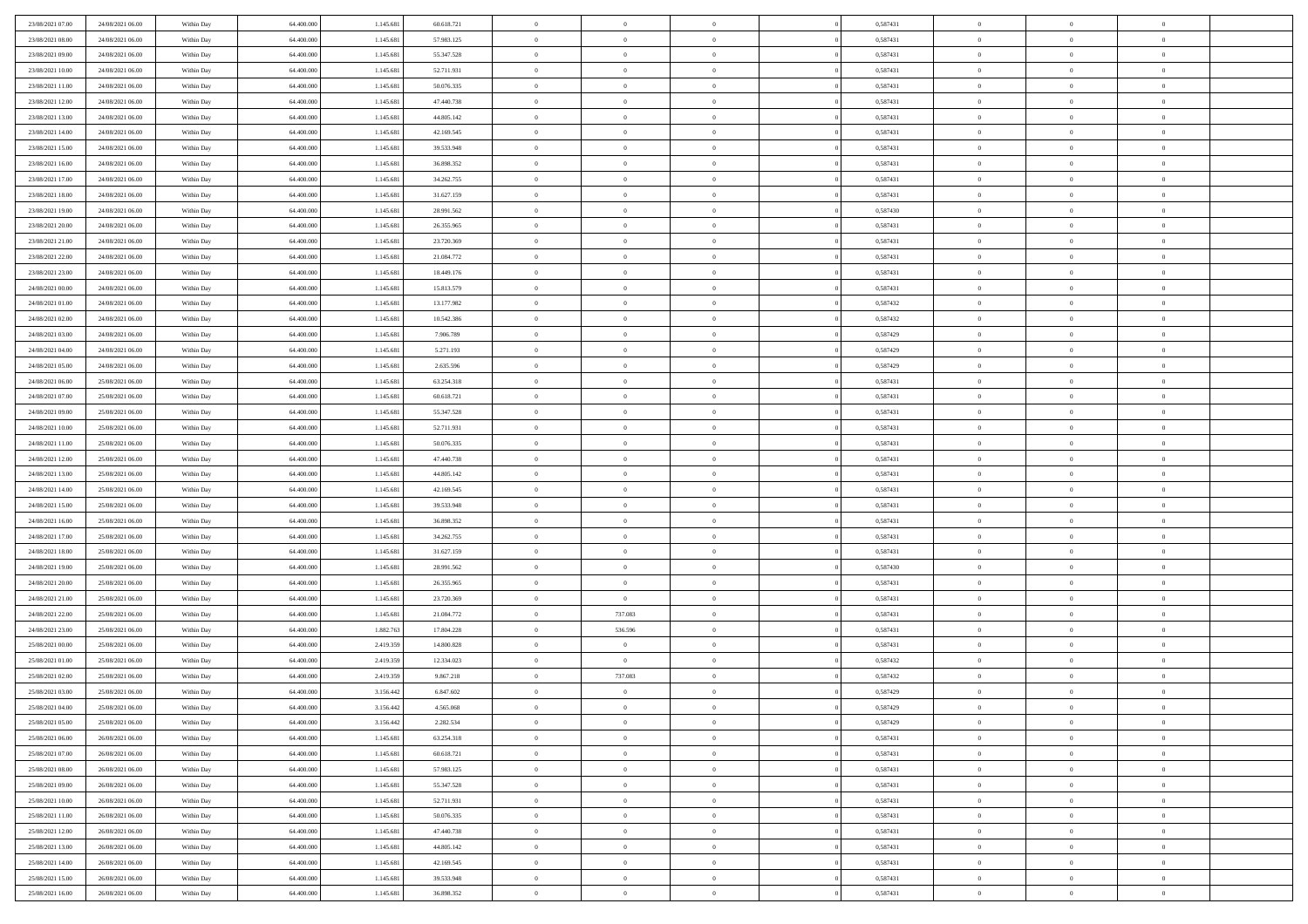| 23/08/2021 07:00 | 24/08/2021 06:00 | Within Day               | 64.400.000 | 1.145.681 | 60.618.721 | $\,$ 0         | $\bf{0}$       | $\theta$       |                | 0,587431 | $\bf{0}$       | $\overline{0}$ | $\theta$       |  |
|------------------|------------------|--------------------------|------------|-----------|------------|----------------|----------------|----------------|----------------|----------|----------------|----------------|----------------|--|
| 23/08/2021 08:00 | 24/08/2021 06:00 | Within Day               | 64,400,000 | 1.145.681 | 57.983.125 | $\overline{0}$ | $\overline{0}$ | $\overline{0}$ |                | 0,587431 | $\theta$       | $\theta$       | $\overline{0}$ |  |
| 23/08/2021 09:00 | 24/08/2021 06:00 | Within Dav               | 64.400.000 | 1.145.681 | 55.347.528 | $\mathbf{0}$   | $\overline{0}$ | $\overline{0}$ |                | 0,587431 | $\theta$       | $\overline{0}$ | $\theta$       |  |
| 23/08/2021 10:00 | 24/08/2021 06:00 | Within Day               | 64.400.000 | 1.145.681 | 52.711.931 | $\bf{0}$       | $\overline{0}$ | $\bf{0}$       |                | 0,587431 | $\bf{0}$       | $\overline{0}$ | $\bf{0}$       |  |
| 23/08/2021 11:00 | 24/08/2021 06:00 |                          | 64,400,000 | 1.145.681 | 50.076.335 | $\bf{0}$       | $\bf{0}$       | $\overline{0}$ |                | 0,587431 | $\bf{0}$       | $\Omega$       | $\bf{0}$       |  |
| 23/08/2021 12:00 | 24/08/2021 06:00 | Within Day<br>Within Dav | 64.400.000 | 1.145.681 | 47.440.738 | $\mathbf{0}$   | $\overline{0}$ |                |                | 0,587431 | $\theta$       |                | $\theta$       |  |
|                  |                  |                          |            |           |            |                |                | $\overline{0}$ |                |          |                | $\overline{0}$ |                |  |
| 23/08/2021 13:00 | 24/08/2021 06:00 | Within Day               | 64.400.000 | 1.145.681 | 44.805.142 | $\bf{0}$       | $\bf{0}$       | $\overline{0}$ |                | 0,587431 | $\bf{0}$       | $\overline{0}$ | $\theta$       |  |
| 23/08/2021 14:00 | 24/08/2021 06:00 | Within Day               | 64,400,000 | 1.145.681 | 42.169.545 | $\overline{0}$ | $\overline{0}$ | $\overline{0}$ |                | 0,587431 | $\,$ 0 $\,$    | $\overline{0}$ | $\overline{0}$ |  |
| 23/08/2021 15:00 | 24/08/2021 06:00 | Within Day               | 64.400.000 | 1.145.681 | 39.533.948 | $\mathbf{0}$   | $\overline{0}$ | $\overline{0}$ |                | 0,587431 | $\theta$       | $\overline{0}$ | $\theta$       |  |
| 23/08/2021 16:00 | 24/08/2021 06:00 | Within Day               | 64.400.000 | 1.145.681 | 36.898.352 | $\bf{0}$       | $\bf{0}$       | $\overline{0}$ |                | 0,587431 | $\bf{0}$       | $\overline{0}$ | $\theta$       |  |
| 23/08/2021 17:00 | 24/08/2021 06:00 | Within Day               | 64,400,000 | 1.145.681 | 34.262.755 | $\bf{0}$       | $\overline{0}$ | $\overline{0}$ |                | 0,587431 | $\bf{0}$       | $\theta$       | $\overline{0}$ |  |
| 23/08/2021 18:00 | 24/08/2021 06:00 | Within Dav               | 64.400.000 | 1.145.681 | 31.627.159 | $\mathbf{0}$   | $\overline{0}$ | $\overline{0}$ |                | 0,587431 | $\theta$       | $\overline{0}$ | $\theta$       |  |
| 23/08/2021 19:00 | 24/08/2021 06:00 | Within Day               | 64.400.000 | 1.145.681 | 28.991.562 | $\bf{0}$       | $\overline{0}$ | $\bf{0}$       |                | 0,587430 | $\bf{0}$       | $\overline{0}$ | $\bf{0}$       |  |
| 23/08/2021 20:00 | 24/08/2021 06:00 | Within Day               | 64.400.000 | 1.145.681 | 26.355.965 | $\bf{0}$       | $\overline{0}$ | $\overline{0}$ |                | 0,587431 | $\bf{0}$       | $\Omega$       | $\bf{0}$       |  |
| 23/08/2021 21:00 | 24/08/2021 06:00 | Within Dav               | 64.400.000 | 1.145.681 | 23.720.369 | $\mathbf{0}$   | $\overline{0}$ | $\overline{0}$ |                | 0,587431 | $\theta$       | $\overline{0}$ | $\theta$       |  |
| 23/08/2021 22:00 | 24/08/2021 06:00 | Within Day               | 64.400.000 | 1.145.681 | 21.084.772 | $\bf{0}$       | $\bf{0}$       | $\overline{0}$ |                | 0,587431 | $\bf{0}$       | $\overline{0}$ | $\theta$       |  |
| 23/08/2021 23:00 | 24/08/2021 06:00 | Within Day               | 64,400,000 | 1.145.681 | 18.449.176 | $\bf{0}$       | $\overline{0}$ | $\overline{0}$ |                | 0,587431 | $\,$ 0 $\,$    | $\overline{0}$ | $\overline{0}$ |  |
| 24/08/2021 00:00 | 24/08/2021 06:00 | Within Day               | 64.400.000 | 1.145.681 | 15.813.579 | $\mathbf{0}$   | $\overline{0}$ | $\overline{0}$ |                | 0,587431 | $\theta$       | $\overline{0}$ | $\theta$       |  |
| 24/08/2021 01:00 | 24/08/2021 06:00 | Within Day               | 64.400.000 | 1.145.681 | 13.177.982 | $\bf{0}$       | $\bf{0}$       | $\overline{0}$ |                | 0,587432 | $\bf{0}$       | $\overline{0}$ | $\theta$       |  |
| 24/08/2021 02:00 | 24/08/2021 06:00 | Within Day               | 64.400.000 | 1.145.681 | 10.542.386 | $\bf{0}$       | $\overline{0}$ | $\overline{0}$ |                | 0,587432 | $\bf{0}$       | $\theta$       | $\bf{0}$       |  |
| 24/08/2021 03:00 | 24/08/2021 06:00 | Within Day               | 64.400.000 | 1.145.681 | 7.906.789  | $\mathbf{0}$   | $\overline{0}$ | $\overline{0}$ |                | 0,587429 | $\theta$       | $\overline{0}$ | $\theta$       |  |
| 24/08/2021 04:00 | 24/08/2021 06:00 | Within Day               | 64.400.000 | 1.145.681 | 5.271.193  | $\bf{0}$       | $\bf{0}$       | $\bf{0}$       |                | 0,587429 | $\bf{0}$       | $\overline{0}$ | $\bf{0}$       |  |
| 24/08/2021 05:00 | 24/08/2021 06:00 | Within Day               | 64,400,000 | 1.145.681 | 2.635.596  | $\bf{0}$       | $\bf{0}$       | $\overline{0}$ |                | 0,587429 | $\bf{0}$       | $\overline{0}$ | $\bf{0}$       |  |
| 24/08/2021 06:00 | 25/08/2021 06:00 | Within Day               | 64.400.000 | 1.145.681 | 63.254.318 | $\mathbf{0}$   | $\overline{0}$ | $\overline{0}$ |                | 0,587431 | $\theta$       | $\overline{0}$ | $\theta$       |  |
| 24/08/2021 07:00 | 25/08/2021 06:00 | Within Day               | 64.400.000 | 1.145.681 | 60.618.721 | $\bf{0}$       | $\bf{0}$       | $\overline{0}$ |                | 0,587431 | $\bf{0}$       | $\overline{0}$ | $\theta$       |  |
| 24/08/2021 09:00 | 25/08/2021 06:00 | Within Day               | 64,400,000 | 1.145.681 | 55.347.528 | $\bf{0}$       | $\overline{0}$ | $\overline{0}$ |                | 0,587431 | $\,$ 0 $\,$    | $\overline{0}$ | $\bf{0}$       |  |
| 24/08/2021 10:00 | 25/08/2021 06:00 | Within Day               | 64.400.000 | 1.145.681 | 52.711.931 | $\mathbf{0}$   | $\overline{0}$ | $\overline{0}$ |                | 0,587431 | $\theta$       | $\overline{0}$ | $\theta$       |  |
| 24/08/2021 11:00 | 25/08/2021 06:00 | Within Day               | 64.400.000 | 1.145.681 | 50.076.335 | $\bf{0}$       | $\bf{0}$       | $\overline{0}$ |                | 0,587431 | $\bf{0}$       | $\overline{0}$ | $\theta$       |  |
| 24/08/2021 12:00 | 25/08/2021 06:00 | Within Day               | 64,400,000 | 1.145.681 | 47.440.738 | $\bf{0}$       | $\bf{0}$       | $\overline{0}$ |                | 0,587431 | $\bf{0}$       | $\theta$       | $\bf{0}$       |  |
| 24/08/2021 13:00 | 25/08/2021 06:00 | Within Day               | 64.400.000 | 1.145.681 | 44.805.142 | $\mathbf{0}$   | $\overline{0}$ | $\overline{0}$ |                | 0,587431 | $\theta$       | $\overline{0}$ | $\theta$       |  |
| 24/08/2021 14:00 | 25/08/2021 06:00 | Within Day               | 64.400.000 | 1.145.681 | 42.169.545 | $\bf{0}$       | $\overline{0}$ | $\overline{0}$ |                | 0,587431 | $\,0\,$        | $\overline{0}$ | $\theta$       |  |
| 24/08/2021 15:00 | 25/08/2021 06:00 |                          | 64.400.000 | 1.145.681 | 39.533.948 | $\bf{0}$       | $\bf{0}$       | $\overline{0}$ |                | 0,587431 | $\bf{0}$       | $\overline{0}$ | $\bf{0}$       |  |
| 24/08/2021 16:00 | 25/08/2021 06:00 | Within Day<br>Within Day | 64.400.000 | 1.145.681 | 36.898.352 | $\mathbf{0}$   | $\overline{0}$ | $\overline{0}$ |                | 0,587431 | $\theta$       | $\overline{0}$ | $\theta$       |  |
|                  |                  |                          |            |           |            | $\bf{0}$       |                |                |                |          |                |                |                |  |
| 24/08/2021 17:00 | 25/08/2021 06:00 | Within Day               | 64.400.000 | 1.145.681 | 34.262.755 |                | $\overline{0}$ | $\theta$       |                | 0,587431 | $\,0\,$        | $\overline{0}$ | $\theta$       |  |
| 24/08/2021 18:00 | 25/08/2021 06:00 | Within Day               | 64,400,000 | 1.145.681 | 31.627.159 | $\bf{0}$       | $\overline{0}$ | $\overline{0}$ |                | 0,587431 | $\bf{0}$       | $\overline{0}$ | $\bf{0}$       |  |
| 24/08/2021 19:00 | 25/08/2021 06:00 | Within Day               | 64.400.000 | 1.145.681 | 28.991.562 | $\mathbf{0}$   | $\overline{0}$ | $\overline{0}$ |                | 0,587430 | $\theta$       | $\overline{0}$ | $\theta$       |  |
| 24/08/2021 20:00 | 25/08/2021 06:00 | Within Day               | 64.400.000 | 1.145.681 | 26.355.965 | $\bf{0}$       | $\overline{0}$ | $\theta$       |                | 0,587431 | $\,0\,$        | $\overline{0}$ | $\theta$       |  |
| 24/08/2021 21:00 | 25/08/2021 06:00 | Within Day               | 64.400.000 | 1.145.681 | 23.720.369 | $\bf{0}$       | $\overline{0}$ | $\overline{0}$ |                | 0,587431 | $\bf{0}$       | $\theta$       | $\bf{0}$       |  |
| 24/08/2021 22:00 | 25/08/2021 06:00 | Within Day               | 64.400.000 | 1.145.681 | 21.084.772 | $\mathbf{0}$   | 737.083        | $\overline{0}$ |                | 0,587431 | $\theta$       | $\overline{0}$ | $\theta$       |  |
| 24/08/2021 23:00 | 25/08/2021 06:00 | Within Day               | 64.400.000 | 1.882.763 | 17.804.228 | $\,0\,$        | 536.596        | $\theta$       |                | 0,587431 | $\,0\,$        | $\overline{0}$ | $\theta$       |  |
| 25/08/2021 00:00 | 25/08/2021 06:00 | Within Day               | 64,400,000 | 2.419.359 | 14.800.828 | $\bf{0}$       | $\bf{0}$       | $\overline{0}$ |                | 0,587431 | $\bf{0}$       | $\overline{0}$ | $\bf{0}$       |  |
| 25/08/2021 01:00 | 25/08/2021 06:00 | Within Day               | 64.400.000 | 2.419.359 | 12.334.023 | $\mathbf{0}$   | $\overline{0}$ | $\overline{0}$ |                | 0,587432 | $\theta$       | $\overline{0}$ | $\theta$       |  |
| 25/08/2021 02:00 | 25/08/2021 06:00 | Within Day               | 64.400.000 | 2.419.359 | 9.867.218  | $\bf{0}$       | 737.083        | $\theta$       |                | 0,587432 | $\,0\,$        | $\overline{0}$ | $\theta$       |  |
| 25/08/2021 03:00 | 25/08/2021 06:00 | Within Day               | 64,400,000 | 3.156.442 | 6.847.602  | $\bf{0}$       | $\bf{0}$       | $\overline{0}$ |                | 0,587429 | $\,$ 0 $\,$    | $\overline{0}$ | $\bf{0}$       |  |
| 25/08/2021 04:00 | 25/08/2021 06:00 | Within Day               | 64.400.000 | 3.156.442 | 4.565.068  | $\bf{0}$       | $\overline{0}$ | $\Omega$       |                | 0,587429 | $\bf{0}$       | $\Omega$       | $\theta$       |  |
| 25/08/2021 05:00 | 25/08/2021 06:00 | Within Day               | 64.400.000 | 3.156.442 | 2.282.534  | $\,0\,$        | $\overline{0}$ | $\theta$       |                | 0,587429 | $\,$ 0 $\,$    | $\overline{0}$ | $\theta$       |  |
| 25/08/2021 06:00 | 26/08/2021 06:00 | Within Day               | 64,400,000 | 1.145.681 | 63.254.318 | $\bf{0}$       | $\overline{0}$ | $\overline{0}$ |                | 0,587431 | $\overline{0}$ | $\overline{0}$ | $\overline{0}$ |  |
| 25/08/2021 07:00 | 26/08/2021 06:00 | Within Day               | 64.400.000 | 1.145.681 | 60.618.721 | $\mathbf{0}$   | $\overline{0}$ | $\overline{0}$ |                | 0,587431 | $\mathbf{0}$   | $\overline{0}$ | $\overline{0}$ |  |
| 25/08/2021 08:00 | 26/08/2021 06:00 | Within Day               | 64.400.000 | 1.145.681 | 57.983.125 | $\,$ 0 $\,$    | $\overline{0}$ | $\bf{0}$       | $\overline{0}$ | 0,587431 | $\,$ 0 $\,$    | $\overline{0}$ | $\,$ 0         |  |
| 25/08/2021 09:00 | 26/08/2021 06:00 | Within Day               | 64,400,000 | 1.145.681 | 55.347.528 | $\mathbf{0}$   | $\overline{0}$ | $\overline{0}$ |                | 0,587431 | $\,$ 0 $\,$    | $\overline{0}$ | $\overline{0}$ |  |
| 25/08/2021 10:00 | 26/08/2021 06:00 | Within Day               | 64.400.000 | 1.145.681 | 52.711.931 | $\mathbf{0}$   | $\overline{0}$ | $\overline{0}$ |                | 0,587431 | $\overline{0}$ | $\overline{0}$ | $\overline{0}$ |  |
| 25/08/2021 11:00 | 26/08/2021 06:00 | Within Day               | 64.400.000 | 1.145.681 | 50.076.335 | $\,$ 0 $\,$    | $\overline{0}$ | $\overline{0}$ | $\theta$       | 0,587431 | $\,$ 0 $\,$    | $\overline{0}$ | $\theta$       |  |
| 25/08/2021 12:00 | 26/08/2021 06:00 | Within Day               | 64,400,000 | 1.145.681 | 47.440.738 | $\overline{0}$ | $\overline{0}$ | $\overline{0}$ |                | 0,587431 | $\overline{0}$ | $\overline{0}$ | $\overline{0}$ |  |
| 25/08/2021 13:00 | 26/08/2021 06:00 | Within Day               | 64.400.000 | 1.145.681 | 44.805.142 | $\mathbf{0}$   | $\overline{0}$ | $\overline{0}$ |                | 0,587431 | $\mathbf{0}$   | $\overline{0}$ | $\overline{0}$ |  |
| 25/08/2021 14:00 | 26/08/2021 06:00 | Within Day               | 64.400.000 | 1.145.681 | 42.169.545 | $\,0\,$        | $\overline{0}$ | $\bf{0}$       |                | 0,587431 | $\,$ 0 $\,$    | $\overline{0}$ | $\,$ 0 $\,$    |  |
| 25/08/2021 15:00 | 26/08/2021 06:00 | Within Day               | 64,400,000 | 1.145.681 | 39.533.948 | $\bf{0}$       | $\bf{0}$       | $\overline{0}$ |                | 0,587431 | $\,$ 0 $\,$    | $\overline{0}$ | $\overline{0}$ |  |
| 25/08/2021 16:00 | 26/08/2021 06:00 | Within Day               | 64.400.000 | 1.145.681 | 36.898.352 | $\mathbf{0}$   | $\overline{0}$ | $\overline{0}$ |                | 0,587431 | $\mathbf{0}$   | $\overline{0}$ | $\overline{0}$ |  |
|                  |                  |                          |            |           |            |                |                |                |                |          |                |                |                |  |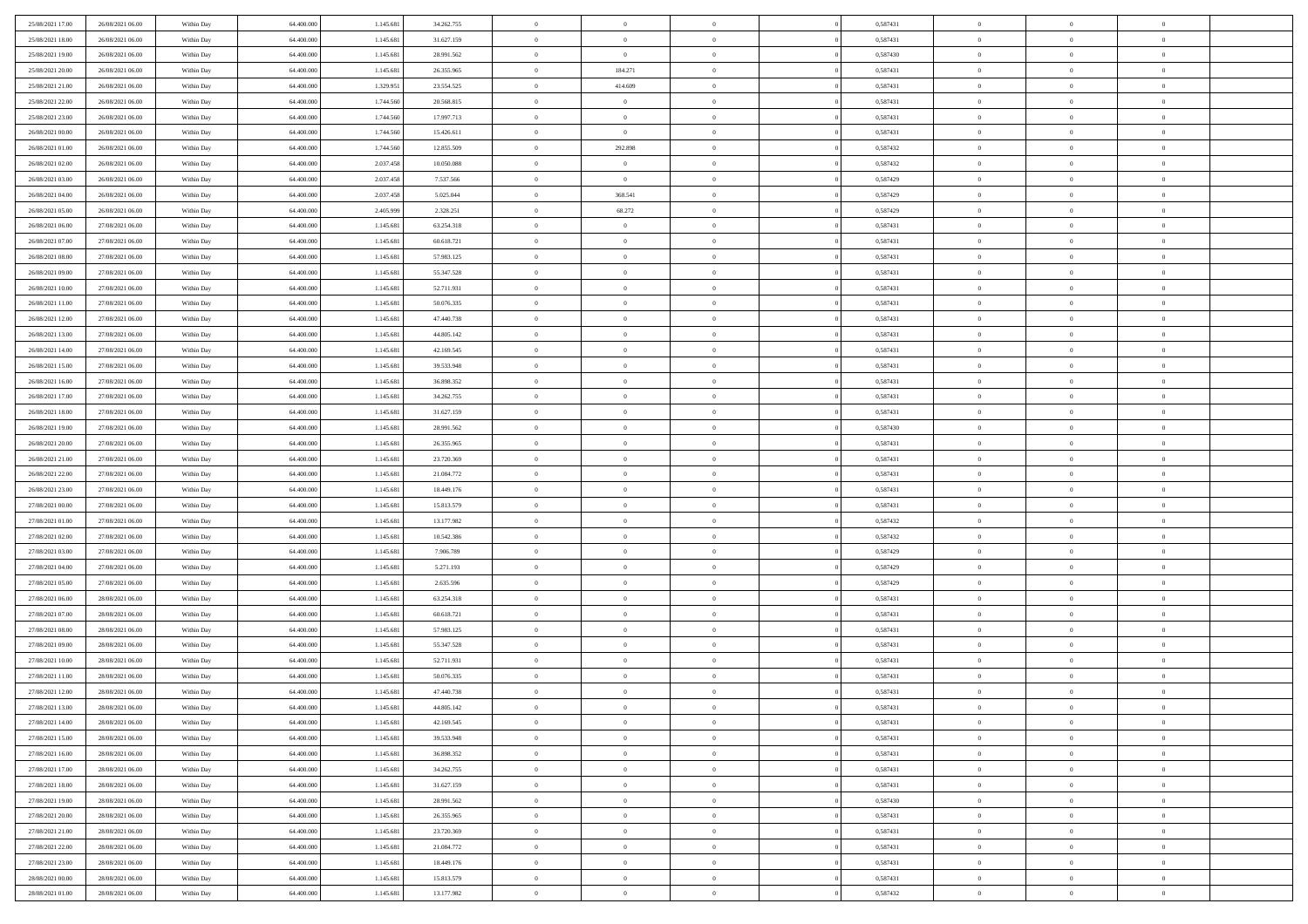| 25/08/2021 17:00 | 26/08/2021 06:00 | Within Day | 64.400.000 | 1.145.681 | 34.262.755 | $\,$ 0         | $\bf{0}$       | $\overline{0}$ |                | 0,587431 | $\bf{0}$       | $\overline{0}$ | $\theta$       |  |
|------------------|------------------|------------|------------|-----------|------------|----------------|----------------|----------------|----------------|----------|----------------|----------------|----------------|--|
| 25/08/2021 18:00 | 26/08/2021 06:00 | Within Day | 64,400,000 | 1.145.681 | 31.627.159 | $\overline{0}$ | $\overline{0}$ | $\overline{0}$ |                | 0,587431 | $\theta$       | $\theta$       | $\overline{0}$ |  |
| 25/08/2021 19:00 | 26/08/2021 06:00 | Within Day | 64.400.000 | 1.145.681 | 28.991.562 | $\mathbf{0}$   | $\overline{0}$ | $\overline{0}$ |                | 0,587430 | $\theta$       | $\overline{0}$ | $\theta$       |  |
| 25/08/2021 20:00 | 26/08/2021 06:00 | Within Day | 64.400.000 | 1.145.681 | 26.355.965 | $\bf{0}$       | 184.271        | $\bf{0}$       |                | 0,587431 | $\bf{0}$       | $\overline{0}$ | $\bf{0}$       |  |
| 25/08/2021 21:00 | 26/08/2021 06:00 | Within Day | 64,400,000 | 1.329.951 | 23.554.525 | $\bf{0}$       | 414.609        | $\bf{0}$       |                | 0,587431 | $\bf{0}$       | $\Omega$       | $\bf{0}$       |  |
| 25/08/2021 22:00 | 26/08/2021 06:00 | Within Day | 64.400.000 | 1.744.560 | 20.568.815 | $\mathbf{0}$   | $\overline{0}$ | $\overline{0}$ |                | 0,587431 | $\theta$       | $\overline{0}$ | $\theta$       |  |
| 25/08/2021 23:00 | 26/08/2021 06:00 | Within Day | 64.400.000 | 1.744.560 | 17.997.713 | $\bf{0}$       | $\bf{0}$       | $\overline{0}$ |                | 0,587431 | $\bf{0}$       | $\overline{0}$ | $\theta$       |  |
|                  |                  |            |            |           |            | $\overline{0}$ | $\overline{0}$ | $\overline{0}$ |                | 0,587431 | $\,0\,$        | $\theta$       | $\overline{0}$ |  |
| 26/08/2021 00:00 | 26/08/2021 06:00 | Within Day | 64.400.000 | 1.744.560 | 15.426.611 | $\mathbf{0}$   |                |                |                |          | $\theta$       |                |                |  |
| 26/08/2021 01:00 | 26/08/2021 06:00 | Within Day | 64.400.000 | 1.744.560 | 12.855.509 |                | 292.898        | $\overline{0}$ |                | 0,587432 |                | $\overline{0}$ | $\theta$       |  |
| 26/08/2021 02:00 | 26/08/2021 06:00 | Within Day | 64.400.000 | 2.037.458 | 10.050.088 | $\bf{0}$       | $\bf{0}$       | $\overline{0}$ |                | 0,587432 | $\bf{0}$       | $\overline{0}$ | $\theta$       |  |
| 26/08/2021 03:00 | 26/08/2021 06:00 | Within Day | 64,400,000 | 2.037.458 | 7.537.566  | $\bf{0}$       | $\overline{0}$ | $\overline{0}$ |                | 0,587429 | $\bf{0}$       | $\theta$       | $\overline{0}$ |  |
| 26/08/2021 04:00 | 26/08/2021 06:00 | Within Day | 64.400.000 | 2.037.458 | 5.025.044  | $\mathbf{0}$   | 368.541        | $\overline{0}$ |                | 0,587429 | $\theta$       | $\overline{0}$ | $\theta$       |  |
| 26/08/2021 05:00 | 26/08/2021 06:00 | Within Day | 64.400.000 | 2.405.999 | 2.328.251  | $\bf{0}$       | 68.272         | $\bf{0}$       |                | 0,587429 | $\bf{0}$       | $\overline{0}$ | $\bf{0}$       |  |
| 26/08/2021 06:00 | 27/08/2021 06:00 | Within Day | 64.400.000 | 1.145.681 | 63.254.318 | $\bf{0}$       | $\bf{0}$       | $\bf{0}$       |                | 0,587431 | $\bf{0}$       | $\Omega$       | $\bf{0}$       |  |
| 26/08/2021 07:00 | 27/08/2021 06:00 | Within Day | 64.400.000 | 1.145.681 | 60.618.721 | $\overline{0}$ | $\overline{0}$ | $\overline{0}$ |                | 0,587431 | $\theta$       | $\overline{0}$ | $\theta$       |  |
| 26/08/2021 08:00 | 27/08/2021 06:00 | Within Day | 64.400.000 | 1.145.681 | 57.983.125 | $\bf{0}$       | $\bf{0}$       | $\overline{0}$ |                | 0,587431 | $\bf{0}$       | $\overline{0}$ | $\theta$       |  |
| 26/08/2021 09:00 | 27/08/2021 06:00 | Within Day | 64,400,000 | 1.145.681 | 55.347.528 | $\bf{0}$       | $\overline{0}$ | $\overline{0}$ |                | 0,587431 | $\,$ 0 $\,$    | $\overline{0}$ | $\overline{0}$ |  |
| 26/08/2021 10:00 | 27/08/2021 06:00 | Within Day | 64.400.000 | 1.145.681 | 52.711.931 | $\mathbf{0}$   | $\overline{0}$ | $\overline{0}$ |                | 0,587431 | $\theta$       | $\overline{0}$ | $\theta$       |  |
| 26/08/2021 11:00 | 27/08/2021 06:00 | Within Day | 64.400.000 | 1.145.681 | 50.076.335 | $\bf{0}$       | $\bf{0}$       | $\overline{0}$ |                | 0,587431 | $\bf{0}$       | $\overline{0}$ | $\theta$       |  |
| 26/08/2021 12:00 | 27/08/2021 06:00 | Within Day | 64.400.000 | 1.145.681 | 47.440.738 | $\bf{0}$       | $\overline{0}$ | $\overline{0}$ |                | 0,587431 | $\bf{0}$       | $\theta$       | $\bf{0}$       |  |
| 26/08/2021 13:00 | 27/08/2021 06:00 | Within Day | 64.400.000 | 1.145.681 | 44.805.142 | $\mathbf{0}$   | $\overline{0}$ | $\overline{0}$ |                | 0,587431 | $\theta$       | $\overline{0}$ | $\theta$       |  |
| 26/08/2021 14:00 | 27/08/2021 06:00 | Within Day | 64.400.000 | 1.145.681 | 42.169.545 | $\bf{0}$       | $\bf{0}$       | $\bf{0}$       |                | 0,587431 | $\bf{0}$       | $\overline{0}$ | $\bf{0}$       |  |
| 26/08/2021 15:00 | 27/08/2021 06:00 | Within Day | 64,400,000 | 1.145.681 | 39.533.948 | $\bf{0}$       | $\bf{0}$       | $\overline{0}$ |                | 0,587431 | $\bf{0}$       | $\overline{0}$ | $\bf{0}$       |  |
| 26/08/2021 16:00 | 27/08/2021 06:00 | Within Day | 64.400.000 | 1.145.681 | 36.898.352 | $\mathbf{0}$   | $\overline{0}$ | $\overline{0}$ |                | 0,587431 | $\theta$       | $\overline{0}$ | $\theta$       |  |
| 26/08/2021 17:00 | 27/08/2021 06:00 | Within Day | 64.400.000 | 1.145.681 | 34.262.755 | $\bf{0}$       | $\bf{0}$       | $\overline{0}$ |                | 0,587431 | $\bf{0}$       | $\overline{0}$ | $\theta$       |  |
| 26/08/2021 18:00 | 27/08/2021 06:00 | Within Day | 64,400,000 | 1.145.681 | 31.627.159 | $\bf{0}$       | $\overline{0}$ | $\overline{0}$ |                | 0,587431 | $\,$ 0 $\,$    | $\theta$       | $\bf{0}$       |  |
| 26/08/2021 19:00 | 27/08/2021 06:00 | Within Day | 64.400.000 | 1.145.681 | 28.991.562 | $\mathbf{0}$   | $\overline{0}$ | $\overline{0}$ |                | 0,587430 | $\theta$       | $\overline{0}$ | $\theta$       |  |
| 26/08/2021 20:00 | 27/08/2021 06:00 | Within Day | 64.400.000 | 1.145.681 | 26.355.965 | $\bf{0}$       | $\bf{0}$       | $\overline{0}$ |                | 0,587431 | $\bf{0}$       | $\overline{0}$ | $\theta$       |  |
| 26/08/2021 21:00 | 27/08/2021 06:00 | Within Day | 64,400,000 | 1.145.681 | 23.720.369 | $\bf{0}$       | $\bf{0}$       | $\overline{0}$ |                | 0,587431 | $\bf{0}$       | $\theta$       | $\bf{0}$       |  |
| 26/08/2021 22:00 | 27/08/2021 06:00 | Within Day | 64.400.000 | 1.145.681 | 21.084.772 | $\mathbf{0}$   | $\overline{0}$ | $\overline{0}$ |                | 0,587431 | $\theta$       | $\overline{0}$ | $\theta$       |  |
| 26/08/2021 23:00 | 27/08/2021 06:00 | Within Day | 64.400.000 | 1.145.681 | 18.449.176 | $\bf{0}$       | $\overline{0}$ | $\overline{0}$ |                | 0,587431 | $\,0\,$        | $\overline{0}$ | $\theta$       |  |
| 27/08/2021 00:00 | 27/08/2021 06:00 | Within Day | 64.400.000 | 1.145.681 | 15.813.579 | $\bf{0}$       | $\bf{0}$       | $\overline{0}$ |                | 0,587431 | $\bf{0}$       | $\overline{0}$ | $\bf{0}$       |  |
| 27/08/2021 01:00 | 27/08/2021 06:00 | Within Day | 64.400.000 | 1.145.681 | 13.177.982 | $\mathbf{0}$   | $\overline{0}$ | $\overline{0}$ |                | 0,587432 | $\theta$       | $\overline{0}$ | $\theta$       |  |
| 27/08/2021 02:00 | 27/08/2021 06:00 | Within Day | 64.400.000 | 1.145.681 | 10.542.386 | $\bf{0}$       | $\overline{0}$ | $\theta$       |                | 0,587432 | $\,0\,$        | $\overline{0}$ | $\theta$       |  |
| 27/08/2021 03:00 | 27/08/2021 06:00 | Within Day | 64,400,000 | 1.145.681 | 7.906.789  | $\bf{0}$       | $\overline{0}$ | $\overline{0}$ |                | 0,587429 | $\bf{0}$       | $\overline{0}$ | $\bf{0}$       |  |
| 27/08/2021 04:00 | 27/08/2021 06:00 | Within Day | 64.400.000 | 1.145.681 | 5.271.193  | $\mathbf{0}$   | $\overline{0}$ | $\overline{0}$ |                | 0,587429 | $\theta$       | $\overline{0}$ | $\theta$       |  |
| 27/08/2021 05:00 | 27/08/2021 06:00 | Within Day | 64.400.000 | 1.145.681 | 2.635.596  | $\bf{0}$       | $\overline{0}$ | $\theta$       |                | 0,587429 | $\,0\,$        | $\overline{0}$ | $\theta$       |  |
| 27/08/2021 06:00 | 28/08/2021 06:00 | Within Day | 64.400.000 | 1.145.681 | 63.254.318 | $\bf{0}$       | $\overline{0}$ | $\overline{0}$ |                | 0,587431 | $\bf{0}$       | $\theta$       | $\bf{0}$       |  |
| 27/08/2021 07:00 | 28/08/2021 06:00 | Within Day | 64.400.000 | 1.145.681 | 60.618.721 | $\mathbf{0}$   | $\overline{0}$ | $\overline{0}$ |                | 0,587431 | $\theta$       | $\overline{0}$ | $\theta$       |  |
| 27/08/2021 08:00 | 28/08/2021 06:00 | Within Day | 64.400.000 | 1.145.681 | 57.983.125 | $\bf{0}$       | $\overline{0}$ | $\theta$       |                | 0,587431 | $\,0\,$        | $\overline{0}$ | $\theta$       |  |
| 27/08/2021 09:00 | 28/08/2021 06:00 | Within Day | 64,400,000 | 1.145.681 | 55.347.528 | $\bf{0}$       | $\bf{0}$       | $\overline{0}$ |                | 0,587431 | $\bf{0}$       | $\overline{0}$ | $\bf{0}$       |  |
| 27/08/2021 10:00 | 28/08/2021 06:00 | Within Day | 64.400.000 | 1.145.681 | 52.711.931 | $\mathbf{0}$   | $\overline{0}$ | $\overline{0}$ |                | 0,587431 | $\theta$       | $\overline{0}$ | $\theta$       |  |
| 27/08/2021 11:00 | 28/08/2021 06:00 | Within Day | 64.400.000 | 1.145.681 | 50.076.335 | $\bf{0}$       | $\overline{0}$ | $\theta$       |                | 0,587431 | $\,0\,$        | $\overline{0}$ | $\theta$       |  |
| 27/08/2021 12:00 | 28/08/2021 06:00 | Within Day | 64,400,000 | 1.145.681 | 47.440.738 | $\bf{0}$       | $\overline{0}$ | $\overline{0}$ |                | 0,587431 | $\,$ 0 $\,$    | $\overline{0}$ | $\bf{0}$       |  |
| 27/08/2021 13:00 | 28/08/2021 06:00 | Within Day | 64.400.000 | 1.145.681 | 44.805.142 | $\bf{0}$       | $\overline{0}$ |                |                | 0,587431 | $\bf{0}$       | $\Omega$       | $\theta$       |  |
| 27/08/2021 14:00 | 28/08/2021 06:00 | Within Day | 64.400.000 | 1.145.681 | 42.169.545 | $\,0\,$        | $\overline{0}$ | $\theta$       |                | 0,587431 | $\,$ 0 $\,$    | $\overline{0}$ | $\theta$       |  |
| 27/08/2021 15:00 | 28/08/2021 06:00 | Within Day | 64,400,000 | 1.145.681 | 39.533.948 | $\overline{0}$ | $\overline{0}$ | $\overline{0}$ |                | 0,587431 | $\overline{0}$ | $\overline{0}$ | $\overline{0}$ |  |
| 27/08/2021 16:00 | 28/08/2021 06:00 | Within Day | 64.400.000 | 1.145.681 | 36.898.352 | $\mathbf{0}$   | $\overline{0}$ | $\overline{0}$ |                | 0,587431 | $\mathbf{0}$   | $\overline{0}$ | $\overline{0}$ |  |
| 27/08/2021 17:00 | 28/08/2021 06:00 | Within Day | 64.400.000 | 1.145.681 | 34.262.755 | $\,$ 0 $\,$    | $\overline{0}$ | $\overline{0}$ | $\overline{0}$ | 0,587431 | $\,$ 0 $\,$    | $\overline{0}$ | $\,$ 0         |  |
| 27/08/2021 18:00 | 28/08/2021 06:00 | Within Day | 64,400,000 | 1.145.681 | 31.627.159 | $\,$ 0 $\,$    | $\overline{0}$ | $\overline{0}$ |                | 0,587431 | $\,$ 0 $\,$    | $\overline{0}$ | $\overline{0}$ |  |
| 27/08/2021 19:00 | 28/08/2021 06:00 | Within Day | 64.400.000 | 1.145.681 | 28.991.562 | $\mathbf{0}$   | $\overline{0}$ | $\overline{0}$ |                | 0,587430 | $\overline{0}$ | $\overline{0}$ | $\overline{0}$ |  |
|                  |                  |            |            |           |            |                |                |                |                |          |                |                |                |  |
| 27/08/2021 20:00 | 28/08/2021 06:00 | Within Day | 64.400.000 | 1.145.681 | 26.355.965 | $\,$ 0 $\,$    | $\overline{0}$ | $\overline{0}$ | $\theta$       | 0,587431 | $\,$ 0 $\,$    | $\overline{0}$ | $\theta$       |  |
| 27/08/2021 21:00 | 28/08/2021 06:00 | Within Day | 64,400,000 | 1.145.681 | 23.720.369 | $\bf{0}$       | $\overline{0}$ | $\overline{0}$ |                | 0,587431 | $\overline{0}$ | $\overline{0}$ | $\overline{0}$ |  |
| 27/08/2021 22:00 | 28/08/2021 06:00 | Within Day | 64.400.000 | 1.145.681 | 21.084.772 | $\mathbf{0}$   | $\overline{0}$ | $\overline{0}$ |                | 0,587431 | $\mathbf{0}$   | $\overline{0}$ | $\overline{0}$ |  |
| 27/08/2021 23:00 | 28/08/2021 06:00 | Within Day | 64.400.000 | 1.145.681 | 18.449.176 | $\,0\,$        | $\overline{0}$ | $\overline{0}$ |                | 0,587431 | $\,$ 0 $\,$    | $\overline{0}$ | $\,$ 0 $\,$    |  |
| 28/08/2021 00:00 | 28/08/2021 06:00 | Within Day | 64,400,000 | 1.145.681 | 15.813.579 | $\bf{0}$       | $\bf{0}$       | $\overline{0}$ |                | 0,587431 | $\,$ 0 $\,$    | $\overline{0}$ | $\overline{0}$ |  |
| 28/08/2021 01:00 | 28/08/2021 06:00 | Within Day | 64.400.000 | 1.145.681 | 13.177.982 | $\mathbf{0}$   | $\overline{0}$ | $\overline{0}$ |                | 0,587432 | $\mathbf{0}$   | $\overline{0}$ | $\overline{0}$ |  |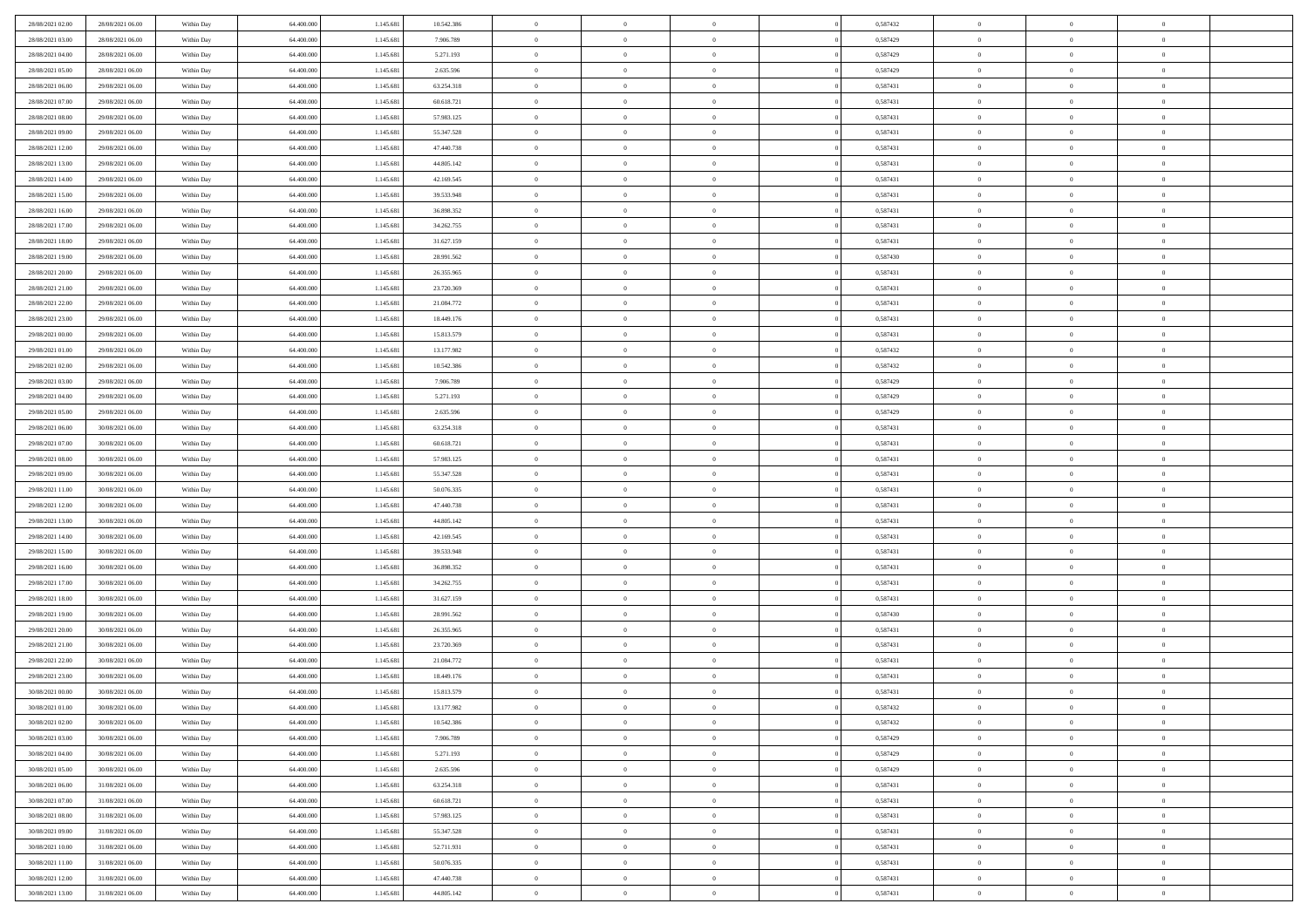| 28/08/2021 02:00 | 28/08/2021 06:00 | Within Day | 64.400.000 | 1.145.681 | 10.542.386 | $\overline{0}$ | $\overline{0}$ | $\Omega$       | 0,587432 | $\bf{0}$       | $\mathbf{0}$   | $\bf{0}$       |  |
|------------------|------------------|------------|------------|-----------|------------|----------------|----------------|----------------|----------|----------------|----------------|----------------|--|
| 28/08/2021 03:00 | 28/08/2021 06:00 | Within Day | 64.400.000 | 1.145.681 | 7.906.789  | $\mathbf{0}$   | $\overline{0}$ | $\overline{0}$ | 0,587429 | $\overline{0}$ | $\overline{0}$ | $\overline{0}$ |  |
| 28/08/2021 04:00 | 28/08/2021 06:00 | Within Day | 64.400.000 | 1.145.681 | 5.271.193  | $\,$ 0         | $\overline{0}$ | $\bf{0}$       | 0,587429 | $\,$ 0         | $\overline{0}$ | $\,$ 0 $\,$    |  |
| 28/08/2021 05:00 | 28/08/2021 06:00 | Within Day | 64,400,000 | 1.145.681 | 2.635.596  | $\bf{0}$       | $\overline{0}$ | $\Omega$       | 0.587429 | $\bf{0}$       | $\mathbf{0}$   | $\theta$       |  |
| 28/08/2021 06:00 | 29/08/2021 06:00 | Within Day | 64.400.000 | 1.145.681 | 63.254.318 | $\bf{0}$       | $\overline{0}$ | $\overline{0}$ | 0,587431 | $\mathbf{0}$   | $\overline{0}$ | $\overline{0}$ |  |
| 28/08/2021 07:00 | 29/08/2021 06:00 | Within Day | 64.400.000 | 1.145.681 | 60.618.721 | $\bf{0}$       | $\overline{0}$ | $\bf{0}$       | 0,587431 | $\,$ 0         | $\overline{0}$ | $\,$ 0 $\,$    |  |
| 28/08/2021 08:00 | 29/08/2021 06:00 | Within Day | 64,400,000 | 1.145.681 | 57.983.125 | $\bf{0}$       | $\overline{0}$ | $\Omega$       | 0,587431 | $\theta$       | $\mathbf{0}$   | $\theta$       |  |
| 28/08/2021 09:00 | 29/08/2021 06:00 | Within Day | 64.400.000 | 1.145.681 | 55.347.528 | $\overline{0}$ | $\overline{0}$ | $\overline{0}$ | 0,587431 | $\mathbf{0}$   | $\overline{0}$ | $\overline{0}$ |  |
| 28/08/2021 12:00 | 29/08/2021 06:00 | Within Day | 64.400.000 | 1.145.681 | 47.440.738 | $\bf{0}$       | $\overline{0}$ | $\bf{0}$       | 0,587431 | $\,$ 0         | $\overline{0}$ | $\,$ 0 $\,$    |  |
| 28/08/2021 13:00 | 29/08/2021 06:00 | Within Day | 64,400,000 | 1.145.681 | 44.805.142 | $\bf{0}$       | $\overline{0}$ | $\Omega$       | 0.587431 | $\theta$       | $\mathbf{0}$   | $\theta$       |  |
| 28/08/2021 14:00 | 29/08/2021 06:00 | Within Day | 64.400.000 | 1.145.681 | 42.169.545 | $\overline{0}$ | $\overline{0}$ | $\overline{0}$ | 0,587431 | $\mathbf{0}$   | $\overline{0}$ | $\overline{0}$ |  |
| 28/08/2021 15:00 | 29/08/2021 06:00 | Within Day | 64.400.000 | 1.145.681 | 39.533.948 | $\bf{0}$       | $\overline{0}$ | $\bf{0}$       | 0,587431 | $\,$ 0         | $\overline{0}$ | $\,$ 0 $\,$    |  |
| 28/08/2021 16:00 | 29/08/2021 06:00 | Within Day | 64,400,000 | 1.145.681 | 36.898.352 | $\bf{0}$       | $\overline{0}$ | $\Omega$       | 0.587431 | $\overline{0}$ | $\mathbf{0}$   | $\theta$       |  |
| 28/08/2021 17:00 | 29/08/2021 06:00 | Within Day | 64.400.000 | 1.145.681 | 34.262.755 | $\overline{0}$ | $\overline{0}$ | $\overline{0}$ | 0,587431 | $\mathbf{0}$   | $\overline{0}$ | $\overline{0}$ |  |
| 28/08/2021 18:00 | 29/08/2021 06:00 | Within Day | 64.400.000 | 1.145.681 | 31.627.159 | $\bf{0}$       | $\overline{0}$ | $\bf{0}$       | 0,587431 | $\,$ 0         | $\overline{0}$ | $\,$ 0 $\,$    |  |
| 28/08/2021 19:00 | 29/08/2021 06:00 | Within Day | 64,400,000 | 1.145.681 | 28.991.562 | $\bf{0}$       | $\overline{0}$ | $\overline{0}$ | 0.587430 | $\bf{0}$       | $\mathbf{0}$   | $\bf{0}$       |  |
| 28/08/2021 20:00 | 29/08/2021 06:00 | Within Day | 64.400.000 | 1.145.681 | 26.355.965 | $\overline{0}$ | $\overline{0}$ | $\overline{0}$ | 0,587431 | $\mathbf{0}$   | $\overline{0}$ | $\overline{0}$ |  |
| 28/08/2021 21:00 | 29/08/2021 06:00 | Within Day | 64.400.000 | 1.145.681 | 23.720.369 | $\bf{0}$       | $\overline{0}$ | $\bf{0}$       | 0,587431 | $\,$ 0         | $\overline{0}$ | $\,$ 0 $\,$    |  |
| 28/08/2021 22:00 | 29/08/2021 06:00 | Within Day | 64,400,000 | 1.145.681 | 21.084.772 | $\bf{0}$       | $\overline{0}$ | $\Omega$       | 0.587431 | $\theta$       | $\mathbf{0}$   | $\theta$       |  |
| 28/08/2021 23:00 | 29/08/2021 06:00 | Within Day | 64.400.000 | 1.145.681 | 18.449.176 | $\overline{0}$ | $\overline{0}$ | $\overline{0}$ | 0,587431 | $\mathbf{0}$   | $\overline{0}$ | $\overline{0}$ |  |
| 29/08/2021 00:00 | 29/08/2021 06:00 | Within Day | 64.400.000 | 1.145.681 | 15.813.579 | $\bf{0}$       | $\overline{0}$ | $\bf{0}$       | 0,587431 | $\,$ 0         | $\overline{0}$ | $\,$ 0 $\,$    |  |
| 29/08/2021 01:00 | 29/08/2021 06:00 | Within Day | 64,400,000 | 1.145.681 | 13.177.982 | $\bf{0}$       | $\overline{0}$ | $\Omega$       | 0.587432 | $\bf{0}$       | $\mathbf{0}$   | $\theta$       |  |
| 29/08/2021 02:00 | 29/08/2021 06:00 | Within Day | 64.400.000 | 1.145.681 | 10.542.386 | $\overline{0}$ | $\overline{0}$ | $\overline{0}$ | 0,587432 | $\mathbf{0}$   | $\overline{0}$ | $\overline{0}$ |  |
| 29/08/2021 03:00 | 29/08/2021 06:00 | Within Day | 64.400.000 | 1.145.681 | 7.906.789  | $\bf{0}$       | $\overline{0}$ | $\bf{0}$       | 0,587429 | $\,$ 0         | $\overline{0}$ | $\,$ 0 $\,$    |  |
| 29/08/2021 04:00 | 29/08/2021 06:00 | Within Day | 64,400,000 | 1.145.681 | 5.271.193  | $\bf{0}$       | $\overline{0}$ | $\overline{0}$ | 0,587429 | $\bf{0}$       | $\bf{0}$       | $\bf{0}$       |  |
| 29/08/2021 05:00 | 29/08/2021 06:00 | Within Day | 64.400.000 | 1.145.681 | 2.635.596  | $\overline{0}$ | $\overline{0}$ | $\overline{0}$ | 0,587429 | $\mathbf{0}$   | $\overline{0}$ | $\overline{0}$ |  |
| 29/08/2021 06:00 | 30/08/2021 06:00 | Within Day | 64.400.000 | 1.145.681 | 63.254.318 | $\bf{0}$       | $\overline{0}$ | $\bf{0}$       | 0,587431 | $\,$ 0         | $\overline{0}$ | $\,$ 0 $\,$    |  |
| 29/08/2021 07:00 | 30/08/2021 06:00 | Within Day | 64,400,000 | 1.145.681 | 60.618.721 | $\bf{0}$       | $\overline{0}$ | $\Omega$       | 0.587431 | $\theta$       | $\mathbf{0}$   | $\theta$       |  |
| 29/08/2021 08:00 | 30/08/2021 06:00 | Within Day | 64.400.000 | 1.145.681 | 57.983.125 | $\overline{0}$ | $\overline{0}$ | $\overline{0}$ | 0,587431 | $\mathbf{0}$   | $\overline{0}$ | $\overline{0}$ |  |
| 29/08/2021 09:00 | 30/08/2021 06:00 | Within Day | 64.400.000 | 1.145.681 | 55.347.528 | $\bf{0}$       | $\overline{0}$ | $\bf{0}$       | 0,587431 | $\,$ 0         | $\overline{0}$ | $\,$ 0 $\,$    |  |
| 29/08/2021 11:00 | 30/08/2021 06:00 | Within Day | 64.400.000 | 1.145.681 | 50.076.335 | $\,$ 0         | $\overline{0}$ | $\overline{0}$ | 0,587431 | $\bf{0}$       | $\overline{0}$ | $\,0\,$        |  |
| 29/08/2021 12:00 | 30/08/2021 06:00 | Within Day | 64.400.000 | 1.145.681 | 47.440.738 | $\overline{0}$ | $\overline{0}$ | $\overline{0}$ | 0,587431 | $\mathbf{0}$   | $\overline{0}$ | $\overline{0}$ |  |
| 29/08/2021 13:00 | 30/08/2021 06:00 | Within Day | 64.400.000 | 1.145.681 | 44.805.142 | $\bf{0}$       | $\overline{0}$ | $\bf{0}$       | 0,587431 | $\,$ 0         | $\overline{0}$ | $\,$ 0 $\,$    |  |
| 29/08/2021 14:00 | 30/08/2021 06:00 | Within Day | 64.400.000 | 1.145.681 | 42.169.545 | $\bf{0}$       | $\overline{0}$ | $\bf{0}$       | 0,587431 | $\bf{0}$       | $\overline{0}$ | $\,0\,$        |  |
| 29/08/2021 15:00 | 30/08/2021 06:00 | Within Day | 64.400.000 | 1.145.681 | 39.533.948 | $\overline{0}$ | $\overline{0}$ | $\overline{0}$ | 0,587431 | $\overline{0}$ | $\overline{0}$ | $\overline{0}$ |  |
| 29/08/2021 16:00 | 30/08/2021 06:00 | Within Day | 64.400.000 | 1.145.681 | 36.898.352 | $\bf{0}$       | $\overline{0}$ | $\bf{0}$       | 0,587431 | $\,$ 0         | $\overline{0}$ | $\,$ 0 $\,$    |  |
| 29/08/2021 17:00 | 30/08/2021 06:00 | Within Day | 64.400.000 | 1.145.681 | 34.262.755 | $\bf{0}$       | $\overline{0}$ | $\overline{0}$ | 0,587431 | $\bf{0}$       | $\overline{0}$ | $\,0\,$        |  |
| 29/08/2021 18:00 | 30/08/2021 06:00 | Within Day | 64.400.000 | 1.145.681 | 31.627.159 | $\overline{0}$ | $\overline{0}$ | $\overline{0}$ | 0,587431 | $\mathbf{0}$   | $\overline{0}$ | $\overline{0}$ |  |
| 29/08/2021 19:00 | 30/08/2021 06:00 | Within Day | 64.400.000 | 1.145.681 | 28.991.562 | $\bf{0}$       | $\overline{0}$ | $\bf{0}$       | 0,587430 | $\,$ 0         | $\overline{0}$ | $\,$ 0 $\,$    |  |
| 29/08/2021 20:00 | 30/08/2021 06:00 | Within Day | 64.400.000 | 1.145.681 | 26.355.965 | $\bf{0}$       | $\overline{0}$ | $\overline{0}$ | 0,587431 | $\bf{0}$       | $\overline{0}$ | $\,0\,$        |  |
| 29/08/2021 21:00 | 30/08/2021 06:00 | Within Day | 64.400.000 | 1.145.681 | 23.720.369 | $\overline{0}$ | $\overline{0}$ | $\overline{0}$ | 0,587431 | $\overline{0}$ | $\overline{0}$ | $\overline{0}$ |  |
| 29/08/2021 22:00 | 30/08/2021 06:00 | Within Day | 64.400.000 | 1.145.681 | 21.084.772 | $\bf{0}$       | $\overline{0}$ | $\bf{0}$       | 0,587431 | $\,$ 0         | $\overline{0}$ | $\,$ 0 $\,$    |  |
| 29/08/2021 23:00 | 30/08/2021 06:00 | Within Day | 64.400.000 | 1.145.681 | 18.449.176 | $\bf{0}$       | $\bf{0}$       | $\bf{0}$       | 0,587431 | $\bf{0}$       | $\overline{0}$ | $\,0\,$        |  |
| 30/08/2021 00:00 | 30/08/2021 06:00 | Within Day | 64.400.000 | 1.145.681 | 15.813.579 | $\mathbf{0}$   | $\overline{0}$ | $\overline{0}$ | 0,587431 | $\overline{0}$ | $\overline{0}$ | $\overline{0}$ |  |
| 30/08/2021 01:00 | 30/08/2021 06:00 | Within Day | 64.400.000 | 1.145.681 | 13.177.982 | $\bf{0}$       | $\overline{0}$ | $\theta$       | 0,587432 | $\overline{0}$ | $\overline{0}$ | $\theta$       |  |
| 30/08/2021 02:00 | 30/08/2021 06:00 | Within Day | 64.400.000 | 1.145.681 | 10.542.386 | $\bf{0}$       | $\bf{0}$       | $\bf{0}$       | 0,587432 | $\bf{0}$       | $\overline{0}$ | $\,0\,$        |  |
| 30/08/2021 03:00 | 30/08/2021 06:00 | Within Day | 64.400.000 | 1.145.681 | 7.906.789  | $\overline{0}$ | $\overline{0}$ | $\overline{0}$ | 0,587429 | $\overline{0}$ | $\bf{0}$       | $\overline{0}$ |  |
| 30/08/2021 04:00 | 30/08/2021 06:00 | Within Day | 64.400.000 | 1.145.681 | 5.271.193  | $\,$ 0 $\,$    | $\overline{0}$ | $\overline{0}$ | 0,587429 | $\mathbf{0}$   | $\,$ 0 $\,$    | $\,$ 0 $\,$    |  |
| 30/08/2021 05:00 | 30/08/2021 06:00 | Within Day | 64.400.000 | 1.145.681 | 2.635.596  | $\bf{0}$       | $\bf{0}$       | $\overline{0}$ | 0,587429 | $\bf{0}$       | $\overline{0}$ | $\bf{0}$       |  |
| 30/08/2021 06:00 | 31/08/2021 06:00 | Within Day | 64.400.000 | 1.145.681 | 63.254.318 | $\bf{0}$       | $\overline{0}$ | $\overline{0}$ | 0,587431 | $\overline{0}$ | $\overline{0}$ | $\overline{0}$ |  |
| 30/08/2021 07:00 | 31/08/2021 06:00 | Within Day | 64.400.000 | 1.145.681 | 60.618.721 | $\,$ 0 $\,$    | $\overline{0}$ | $\overline{0}$ | 0,587431 | $\,$ 0 $\,$    | $\overline{0}$ | $\,$ 0 $\,$    |  |
| 30/08/2021 08:00 | 31/08/2021 06:00 | Within Day | 64.400.000 | 1.145.681 | 57.983.125 | $\bf{0}$       | $\overline{0}$ | $\overline{0}$ | 0,587431 | $\bf{0}$       | $\overline{0}$ | $\overline{0}$ |  |
| 30/08/2021 09:00 | 31/08/2021 06:00 | Within Day | 64.400.000 | 1.145.681 | 55.347.528 | $\overline{0}$ | $\overline{0}$ | $\overline{0}$ | 0,587431 | $\overline{0}$ | $\bf{0}$       | $\overline{0}$ |  |
| 30/08/2021 10:00 | 31/08/2021 06:00 | Within Day | 64.400.000 | 1.145.681 | 52.711.931 | $\,$ 0 $\,$    | $\overline{0}$ | $\overline{0}$ | 0,587431 | $\,$ 0 $\,$    | $\,$ 0 $\,$    | $\,$ 0 $\,$    |  |
| 30/08/2021 11:00 | 31/08/2021 06:00 | Within Day | 64.400.000 | 1.145.681 | 50.076.335 | $\bf{0}$       | $\bf{0}$       | $\overline{0}$ | 0,587431 | $\mathbf{0}$   | $\overline{0}$ | $\bf{0}$       |  |
| 30/08/2021 12:00 | 31/08/2021 06:00 | Within Day | 64.400.000 | 1.145.681 | 47.440.738 | $\bf{0}$       | $\overline{0}$ | $\overline{0}$ | 0,587431 | $\mathbf{0}$   | $\bf{0}$       | $\overline{0}$ |  |
| 30/08/2021 13:00 | 31/08/2021 06:00 | Within Day | 64.400.000 | 1.145.681 | 44.805.142 | $\,0\,$        | $\overline{0}$ | $\overline{0}$ | 0,587431 | $\,$ 0         | $\overline{0}$ | $\,$ 0 $\,$    |  |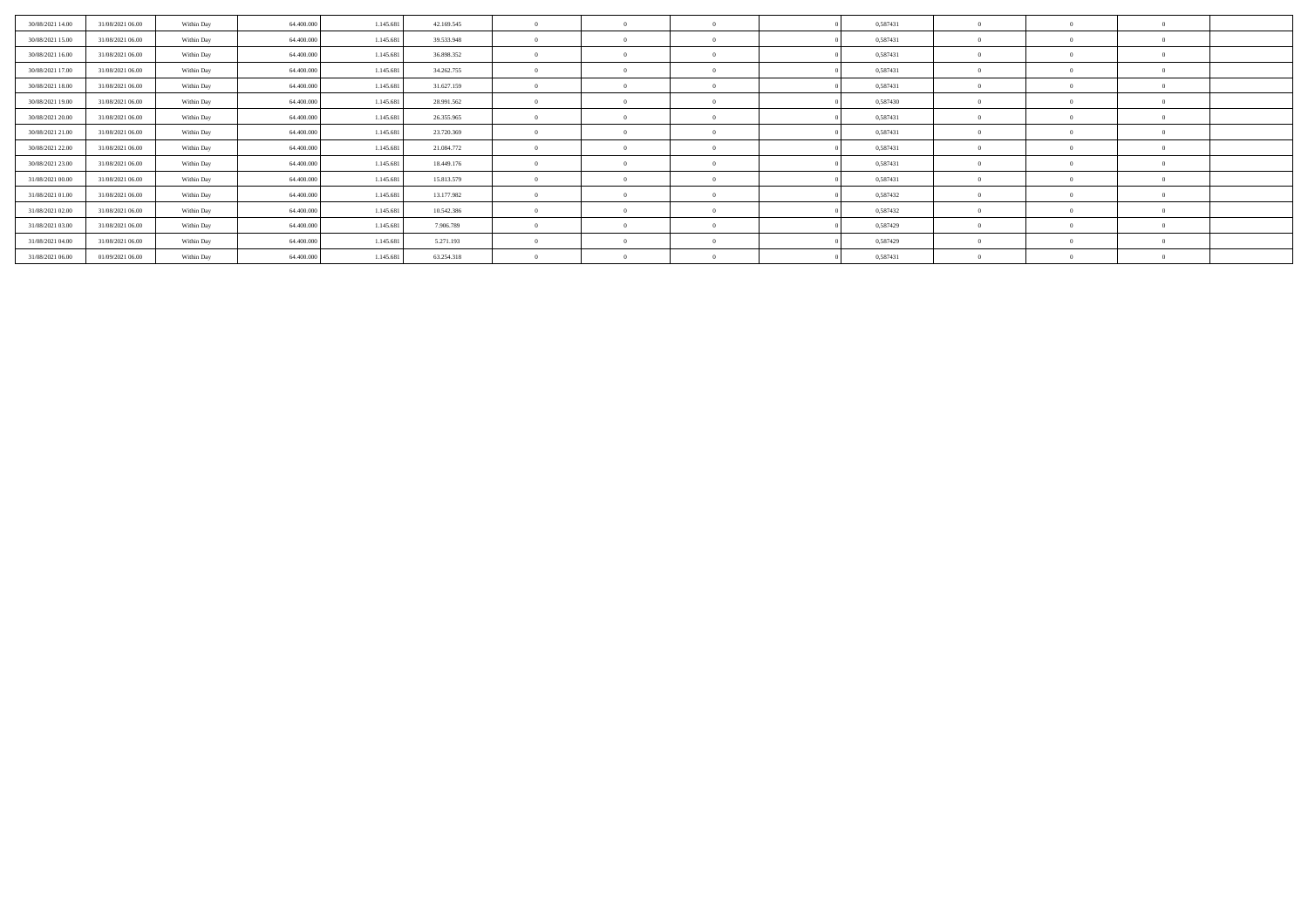| 30/08/2021 14:00 | 31/08/2021 06:00 | Within Day | 64,400,000 | 1.145.681 | 42.169.545 |          |            |  | 0,587431 |          |  |
|------------------|------------------|------------|------------|-----------|------------|----------|------------|--|----------|----------|--|
| 30/08/2021 15:00 | 31/08/2021 06:00 | Within Day | 64,400,000 | 1.145.681 | 39.533.948 |          |            |  | 0,587431 |          |  |
| 30/08/2021 16:00 | 31/08/2021 06:00 | Within Day | 64,400,000 | 1.145.68  | 36,898,352 |          | $\sqrt{2}$ |  | 0,587431 |          |  |
| 30/08/2021 17:00 | 31/08/2021 06:00 | Within Day | 64,400,000 | 1.145.681 | 34.262.755 | $\Omega$ | $\theta$   |  | 0,587431 | $\Omega$ |  |
| 30/08/2021 18:00 | 31/08/2021 06:00 | Within Day | 64,400,000 | 1.145.681 | 31.627.159 |          | $\sqrt{2}$ |  | 0,587431 |          |  |
| 30/08/2021 19:00 | 31/08/2021 06:00 | Within Day | 64,400,000 | 1.145.681 | 28.991.562 |          |            |  | 0,587430 |          |  |
| 30/08/2021 20:00 | 31/08/2021 06:00 | Within Day | 64,400,000 | 1.145.68  | 26.355.965 |          | $\sqrt{2}$ |  | 0,587431 |          |  |
| 30/08/2021 21:00 | 31/08/2021 06:00 | Within Day | 64,400,000 | 1.145.681 | 23.720.369 |          | $\sqrt{2}$ |  | 0,587431 |          |  |
| 30/08/2021 22:00 | 31/08/2021 06:00 | Within Day | 64,400,000 | 1.145.681 | 21.084.772 |          | $^{\circ}$ |  | 0,587431 |          |  |
| 30/08/2021 23:00 | 31/08/2021 06:00 | Within Day | 64,400,000 | 1.145.68  | 18.449.176 |          | $\sqrt{2}$ |  | 0,587431 |          |  |
| 31/08/2021 00:00 | 31/08/2021 06:00 | Within Day | 64,400,000 | 1.145.681 | 15.813.579 |          | $^{\circ}$ |  | 0,587431 |          |  |
| 31/08/2021 01:00 | 31/08/2021 06:00 | Within Day | 64,400,000 | 1.145.681 | 13.177.982 |          | $\sim$     |  | 0,587432 |          |  |
| 31/08/2021 02:00 | 31/08/2021 06:00 | Within Day | 64,400,000 | 1.145.681 | 10.542.386 |          | $\sqrt{2}$ |  | 0,587432 |          |  |
| 31/08/2021 03:00 | 31/08/2021 06:00 | Within Day | 64,400,000 | 1.145.68  | 7.906.789  |          | $\sqrt{2}$ |  | 0,587429 |          |  |
| 31/08/2021 04:00 | 31/08/2021 06:00 | Within Day | 64.400.000 | 1.145.681 | 5.271.193  |          | $\Omega$   |  | 0,587429 |          |  |
| 31/08/2021 06:00 | 01/09/2021 06:00 | Within Day | 64,400,000 | 1.145.681 | 63.254.318 |          |            |  | 0,587431 |          |  |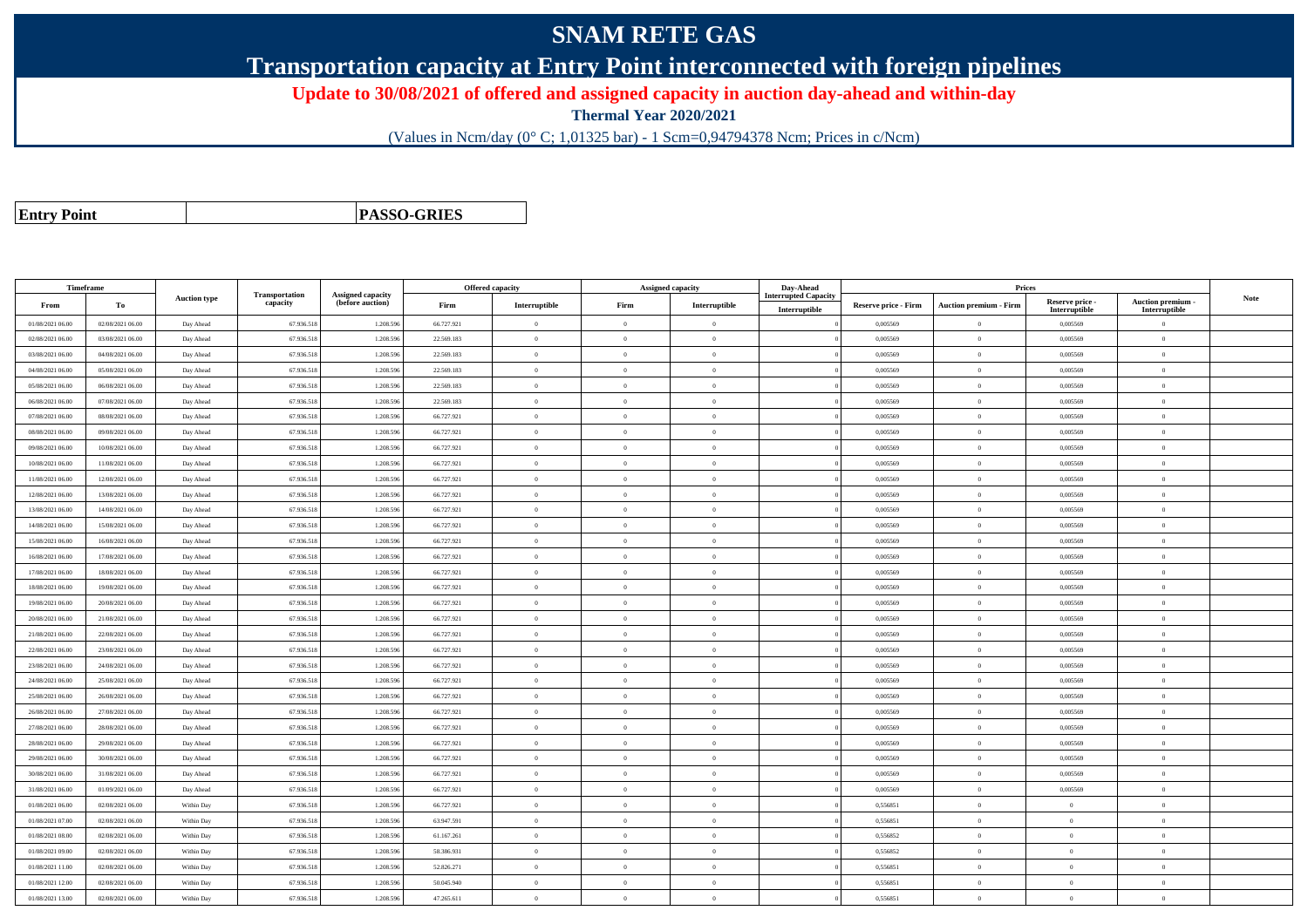## **SNAM RETE GAS**

**Transportation capacity at Entry Point interconnected with foreign pipelines**

**Update to 30/08/2021 of offered and assigned capacity in auction day-ahead and within-day**

**Thermal Year 2020/2021**

(Values in Ncm/day (0° C; 1,01325 bar) - 1 Scm=0,94794378 Ncm; Prices in c/Ncm)

**Entry Point**

**PASSO-GRIES**

| Timeframe        |                  |                     |                            |                                       |            | <b>Offered capacity</b> | Assigned capacity |                | Day-Ahead                                    |                             | Prices                        |                                  |                                    |             |
|------------------|------------------|---------------------|----------------------------|---------------------------------------|------------|-------------------------|-------------------|----------------|----------------------------------------------|-----------------------------|-------------------------------|----------------------------------|------------------------------------|-------------|
| From             | To               | <b>Auction type</b> | Transportation<br>capacity | Assigned capacity<br>(before auction) | Firm       | Interruptible           | Firm              | Interruptible  | <b>Interrupted Capacity</b><br>Interruptible | <b>Reserve price - Firm</b> | <b>Auction premium - Firm</b> | Reserve price -<br>Interruptible | Auction premium -<br>Interruptible | <b>Note</b> |
| 01/08/2021 06:00 | 02/08/2021 06:00 | Day Ahead           | 67.936.518                 | 1.208.59                              | 66.727.921 | $\overline{0}$          | $\overline{0}$    | $\mathbf{0}$   |                                              | 0,005569                    | $\theta$                      | 0,005569                         | $\overline{0}$                     |             |
| 02/08/2021 06:00 | 03/08/2021 06:00 | Day Ahead           | 67.936.518                 | 1.208.596                             | 22.569.183 | $\theta$                | $\theta$          | $\Omega$       |                                              | 0.005569                    | $\theta$                      | 0.005569                         | $\theta$                           |             |
| 03/08/2021 06:00 | 04/08/2021 06:00 | Day Ahead           | 67.936.518                 | 1.208.596                             | 22.569.183 | $\theta$                | $\theta$          | $\Omega$       |                                              | 0,005569                    | $\overline{0}$                | 0,005569                         | $\theta$                           |             |
| 04/08/2021 06:00 | 05/08/2021 06:00 | Day Ahead           | 67.936.518                 | 1.208.59                              | 22.569.183 | $\overline{0}$          | $\overline{0}$    | $\theta$       |                                              | 0,005569                    | $\overline{0}$                | 0,005569                         | $\overline{0}$                     |             |
| 05/08/2021 06:00 | 06/08/2021 06:00 | Day Ahead           | 67.936.518                 | 1.208.59                              | 22.569.183 | $\theta$                | $\overline{0}$    | $\mathbf{0}$   |                                              | 0.005569                    | $\overline{0}$                | 0.005569                         | $\overline{0}$                     |             |
| 06/08/2021 06:00 | 07/08/2021 06:00 | Day Ahead           | 67.936.518                 | 1.208.596                             | 22.569.183 | $\theta$                | $\theta$          | $\overline{0}$ |                                              | 0.005569                    | $\overline{0}$                | 0,005569                         | $\overline{0}$                     |             |
| 07/08/2021 06:00 | 08/08/2021 06:00 | Day Ahead           | 67.936.518                 | 1.208.596                             | 66.727.921 | $\overline{0}$          | $\theta$          | $\mathbf{0}$   |                                              | 0.005569                    | $\theta$                      | 0,005569                         | $\overline{0}$                     |             |
| 08/08/2021 06:00 | 09/08/2021 06:00 | Day Ahead           | 67.936.518                 | 1.208.59                              | 66.727.921 | $\theta$                | $\overline{0}$    | $\Omega$       |                                              | 0,005569                    | $\theta$                      | 0,005569                         | $\Omega$                           |             |
| 09/08/2021 06:00 | 10/08/2021 06:00 | Day Ahead           | 67.936.518                 | 1.208.596                             | 66.727.921 | $\overline{0}$          | $\theta$          | $\mathbf{0}$   |                                              | 0.005569                    | $\overline{0}$                | 0.005569                         | $\overline{0}$                     |             |
| 10/08/2021 06:00 | 11/08/2021 06:00 | Day Ahead           | 67.936.518                 | 1.208.59                              | 66.727.921 | $\theta$                | $\overline{0}$    | $\overline{0}$ |                                              | 0.005569                    | $\theta$                      | 0,005569                         | $\theta$                           |             |
| 11/08/2021 06:00 | 12/08/2021 06:00 | Day Ahead           | 67.936.51                  | 1.208.59                              | 66.727.921 | $\overline{0}$          | $\overline{0}$    | $\mathbf{0}$   |                                              | 0,005569                    | $\overline{0}$                | 0,005569                         | $\overline{0}$                     |             |
| 12/08/2021 06:00 | 13/08/2021 06:00 | Day Ahead           | 67.936.518                 | 1.208.596                             | 66.727.921 | $\theta$                | $\theta$          | $\mathbf{0}$   |                                              | 0.005569                    | $\theta$                      | 0.005569                         | $\theta$                           |             |
| 13/08/2021 06:00 | 14/08/2021 06:00 | Day Ahead           | 67.936.518                 | 1.208.596                             | 66.727.921 | $\theta$                | $\Omega$          | $\mathbf{0}$   |                                              | 0.005569                    | $\theta$                      | 0.005569                         | $\theta$                           |             |
| 14/08/2021 06:00 | 15/08/2021 06:00 | Day Ahead           | 67.936.518                 | 1.208.59                              | 66.727.921 | $\theta$                | $\overline{0}$    | $\theta$       |                                              | 0,005569                    | $\theta$                      | 0,005569                         | $\Omega$                           |             |
| 15/08/2021 06:00 | 16/08/2021 06:00 | Day Ahead           | 67.936.518                 | 1.208.596                             | 66.727.921 | $\theta$                | $\theta$          | $\Omega$       |                                              | 0.005569                    | $\overline{0}$                | 0.005569                         | $\overline{0}$                     |             |
| 16/08/2021 06:00 | 17/08/2021 06:00 | Day Ahead           | 67.936.518                 | 1.208.596                             | 66.727.921 | $\theta$                | $\Omega$          | $\Omega$       |                                              | 0.005569                    | $\overline{0}$                | 0.005569                         | $\overline{0}$                     |             |
| 17/08/2021 06:00 | 18/08/2021 06:00 | Day Ahead           | 67.936.518                 | 1.208.59                              | 66.727.921 | $\theta$                | $\overline{0}$    | $\overline{0}$ |                                              | 0,005569                    | $\theta$                      | 0,005569                         | $\Omega$                           |             |
| 18/08/2021 06:00 | 19/08/2021 06:00 | Day Ahead           | 67.936.518                 | 1.208.596                             | 66.727.921 | $\theta$                | $\overline{0}$    | $\overline{0}$ |                                              | 0,005569                    | $\theta$                      | 0,005569                         | $\overline{0}$                     |             |
| 19/08/2021 06:00 | 20/08/2021 06:00 | Day Ahead           | 67.936.518                 | 1.208.596                             | 66.727.921 | $\theta$                | $\overline{0}$    | $\mathbf{0}$   |                                              | 0.005569                    | $\theta$                      | 0.005569                         | $\theta$                           |             |
| 20/08/2021 06:00 | 21/08/2021 06:00 | Day Ahead           | 67.936.518                 | 1.208.59                              | 66.727.921 | $\theta$                | $\Omega$          | $\Omega$       |                                              | 0,005569                    | $\overline{0}$                | 0,005569                         | $\Omega$                           |             |
| 21/08/2021 06:00 | 22/08/2021 06:00 | Day Ahead           | 67.936.518                 | 1.208.59                              | 66.727.921 | $\theta$                | $\overline{0}$    | $\theta$       |                                              | 0,005569                    | $\overline{0}$                | 0,005569                         | $\overline{0}$                     |             |
| 22/08/2021 06:00 | 23/08/2021 06:00 | Day Ahead           | 67.936.518                 | 1.208.59                              | 66.727.921 | $\theta$                | $\overline{0}$    | $\theta$       |                                              | 0,005569                    | $\theta$                      | 0,005569                         | $\Omega$                           |             |
| 23/08/2021 06:00 | 24/08/2021 06:00 | Day Ahead           | 67.936.518                 | 1.208.59                              | 66.727.921 | $\theta$                | $\Omega$          | $\theta$       |                                              | 0.005569                    | $\theta$                      | 0.005569                         | $\theta$                           |             |
| 24/08/2021 06:00 | 25/08/2021 06:00 | Day Ahead           | 67.936.518                 | 1.208.596                             | 66.727.921 | $\theta$                | $\overline{0}$    | $\theta$       |                                              | 0,005569                    | $\theta$                      | 0,005569                         | $\overline{0}$                     |             |
| 25/08/2021 06:00 | 26/08/2021 06:00 | Day Ahead           | 67.936.518                 | 1.208.59                              | 66.727.921 | $\theta$                | $\theta$          | $\theta$       |                                              | 0,005569                    | $\theta$                      | 0,005569                         | $\Omega$                           |             |
| 26/08/2021 06:00 | 27/08/2021 06:00 | Day Ahead           | 67.936.518                 | 1.208.596                             | 66.727.921 | $\theta$                | $\overline{0}$    | $\mathbf{0}$   |                                              | 0,005569                    | $\bf{0}$                      | 0,005569                         | $\overline{0}$                     |             |
| 27/08/2021 06:00 | 28/08/2021 06:00 | Day Ahead           | 67.936.518                 | 1.208.596                             | 66.727.921 | $\overline{0}$          | $\overline{0}$    | $\Omega$       |                                              | 0,005569                    | $\overline{0}$                | 0,005569                         | $\overline{0}$                     |             |
| 28/08/2021 06:00 | 29/08/2021 06:00 | Day Ahead           | 67.936.51                  | 1.208.59                              | 66.727.921 | $\theta$                | $\overline{0}$    | $\overline{0}$ |                                              | 0,005569                    | $\overline{0}$                | 0,005569                         | $\overline{0}$                     |             |
| 29/08/2021 06:00 | 30/08/2021 06:00 | Day Ahead           | 67.936.518                 | 1.208.596                             | 66.727.921 | $\theta$                | $\theta$          | $\Omega$       |                                              | 0.005569                    | $\theta$                      | 0.005569                         | $\overline{0}$                     |             |
| 30/08/2021 06:00 | 31/08/2021 06:00 | Day Ahead           | 67.936.518                 | 1.208.596                             | 66.727.921 | $\theta$                | $\Omega$          | $\Omega$       |                                              | 0,005569                    | $\Omega$                      | 0,005569                         | $\Omega$                           |             |
| 31/08/2021 06:00 | 01/09/2021 06:00 | Day Ahead           | 67.936.518                 | 1.208.59                              | 66.727.921 | $\theta$                | $\overline{0}$    | $\Omega$       |                                              | 0,005569                    | $\overline{0}$                | 0,005569                         | $\Omega$                           |             |
| 01/08/2021 06:00 | 02/08/2021 06:00 | Within Day          | 67.936.518                 | 1.208.596                             | 66.727.921 | $\theta$                | $\overline{0}$    | $\overline{0}$ |                                              | 0,556851                    | $\overline{0}$                | $\bf{0}$                         | $\overline{0}$                     |             |
| 01/08/2021 07:00 | 02/08/2021 06:00 | Within Day          | 67.936.518                 | 1.208.59                              | 63.947.591 | $\overline{0}$          | $\Omega$          | $\Omega$       |                                              | 0.556851                    | $\overline{0}$                | $\theta$                         | $\overline{0}$                     |             |
| 01/08/2021 08:00 | 02/08/2021 06:00 | Within Day          | 67.936.518                 | 1.208.59                              | 61.167.261 | $\theta$                | $\Omega$          | $\overline{0}$ |                                              | 0,556852                    | $\theta$                      | $\Omega$                         | $\Omega$                           |             |
| 01/08/2021 09:00 | 02/08/2021 06:00 | Within Day          | 67.936.518                 | 1.208.596                             | 58.386.931 | $\theta$                | $\theta$          | $\theta$       |                                              | 0,556852                    | $\theta$                      | $\theta$                         | $\theta$                           |             |
| 01/08/2021 11:00 | 02/08/2021 06:00 | Within Day          | 67.936.518                 | 1.208.596                             | 52.826.271 | $\theta$                | $\theta$          | $\Omega$       |                                              | 0.556851                    | $\theta$                      | $\theta$                         | $\theta$                           |             |
| 01/08/2021 12:00 | 02/08/2021 06:00 | Within Day          | 67.936.518                 | 1.208.59                              | 50.045.940 | $\theta$                | $\theta$          | $\Omega$       |                                              | 0.556851                    | $\theta$                      | $\theta$                         | $\Omega$                           |             |
| 01/08/2021 13:00 | 02/08/2021 06:00 | Within Day          | 67.936.518                 | 1.208.596                             | 47.265.611 | $\theta$                | $\overline{0}$    | $\theta$       |                                              | 0,556851                    | $\theta$                      | $\bf{0}$                         | $\overline{0}$                     |             |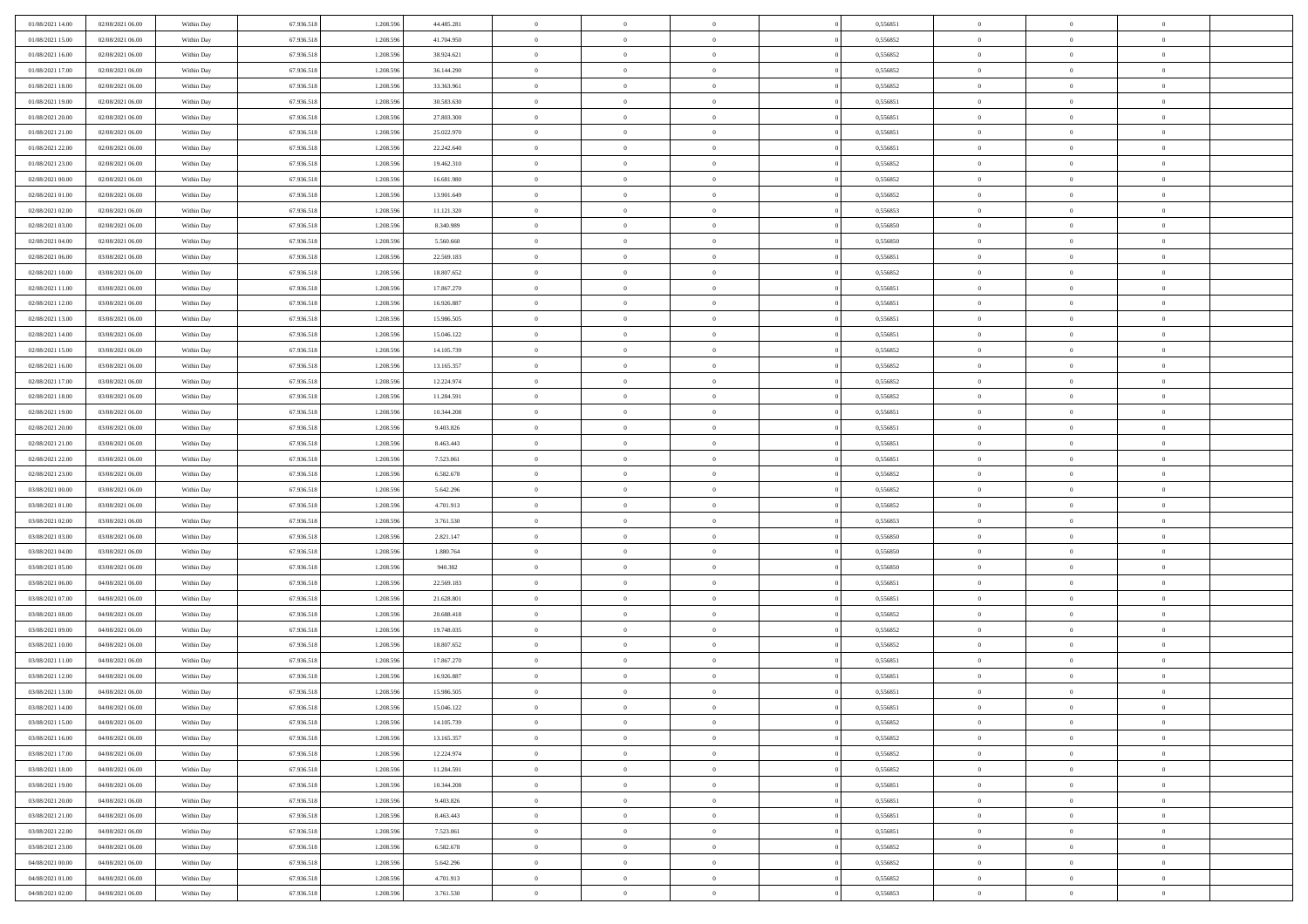| 01/08/2021 14:00 | 02/08/2021 06:00 | Within Day | 67.936.518 | 1.208.596 | 44.485.281 | $\overline{0}$ | $\overline{0}$ | $\Omega$       | 0,556851 | $\bf{0}$       | $\mathbf{0}$   | $\bf{0}$       |  |
|------------------|------------------|------------|------------|-----------|------------|----------------|----------------|----------------|----------|----------------|----------------|----------------|--|
| 01/08/2021 15:00 | 02/08/2021 06:00 | Within Day | 67.936.518 | 1.208.596 | 41.704.950 | $\mathbf{0}$   | $\overline{0}$ | $\overline{0}$ | 0,556852 | $\overline{0}$ | $\overline{0}$ | $\theta$       |  |
| 01/08/2021 16:00 | 02/08/2021 06:00 | Within Day | 67.936.518 | 1.208.596 | 38.924.621 | $\,$ 0         | $\overline{0}$ | $\bf{0}$       | 0,556852 | $\,$ 0         | $\overline{0}$ | $\,$ 0 $\,$    |  |
| 01/08/2021 17:00 | 02/08/2021 06:00 | Within Day | 67.936.518 | 1.208.596 | 36.144.290 | $\bf{0}$       | $\overline{0}$ | $\Omega$       | 0.556852 | $\bf{0}$       | $\mathbf{0}$   | $\theta$       |  |
| 01/08/2021 18:00 | 02/08/2021 06:00 | Within Day | 67.936.518 | 1.208.596 | 33.363.961 | $\bf{0}$       | $\overline{0}$ | $\overline{0}$ | 0,556852 | $\mathbf{0}$   | $\overline{0}$ | $\overline{0}$ |  |
| 01/08/2021 19:00 | 02/08/2021 06:00 | Within Day | 67.936.518 | 1.208.596 | 30.583.630 | $\bf{0}$       | $\overline{0}$ | $\bf{0}$       | 0,556851 | $\,$ 0         | $\overline{0}$ | $\,$ 0 $\,$    |  |
| 01/08/2021 20:00 | 02/08/2021 06:00 | Within Day | 67.936.518 | 1.208.596 | 27.803.300 | $\bf{0}$       | $\overline{0}$ | $\Omega$       | 0.556851 | $\theta$       | $\mathbf{0}$   | $\theta$       |  |
| 01/08/2021 21:00 | 02/08/2021 06:00 | Within Dav | 67.936.518 | 1.208.596 | 25.022.970 | $\overline{0}$ | $\overline{0}$ | $\overline{0}$ | 0,556851 | $\mathbf{0}$   | $\overline{0}$ | $\overline{0}$ |  |
| 01/08/2021 22.00 | 02/08/2021 06:00 | Within Day | 67.936.518 | 1.208.596 | 22.242.640 | $\bf{0}$       | $\overline{0}$ | $\bf{0}$       | 0,556851 | $\,$ 0         | $\overline{0}$ | $\,$ 0 $\,$    |  |
| 01/08/2021 23.00 | 02/08/2021 06:00 | Within Day | 67.936.518 | 1.208.596 | 19.462.310 | $\bf{0}$       | $\overline{0}$ | $\Omega$       | 0.556852 | $\bf{0}$       | $\mathbf{0}$   | $\theta$       |  |
| 02/08/2021 00:00 | 02/08/2021 06:00 | Within Day | 67.936.518 | 1.208.596 | 16.681.980 | $\overline{0}$ | $\overline{0}$ | $\overline{0}$ | 0,556852 | $\overline{0}$ | $\overline{0}$ | $\overline{0}$ |  |
| 02/08/2021 01:00 | 02/08/2021 06:00 | Within Day | 67.936.518 | 1.208.596 | 13.901.649 | $\,$ 0         | $\overline{0}$ | $\bf{0}$       | 0,556852 | $\,$ 0         | $\overline{0}$ | $\,$ 0 $\,$    |  |
| 02/08/2021 02:00 | 02/08/2021 06:00 | Within Day | 67.936.518 | 1.208.596 | 11.121.320 | $\bf{0}$       | $\overline{0}$ | $\Omega$       | 0.556853 | $\overline{0}$ | $\mathbf{0}$   | $\theta$       |  |
| 02/08/2021 03:00 | 02/08/2021 06:00 | Within Dav | 67.936.518 | 1.208.596 | 8.340.989  | $\overline{0}$ | $\overline{0}$ | $\overline{0}$ | 0,556850 | $\mathbf{0}$   | $\overline{0}$ | $\overline{0}$ |  |
| 02/08/2021 04:00 | 02/08/2021 06:00 | Within Day | 67.936.518 | 1.208.596 | 5.560.660  | $\bf{0}$       | $\overline{0}$ | $\bf{0}$       | 0,556850 | $\,$ 0         | $\overline{0}$ | $\,$ 0 $\,$    |  |
| 02/08/2021 06:00 | 03/08/2021 06:00 | Within Day | 67.936.518 | 1.208.596 | 22.569.183 | $\bf{0}$       | $\overline{0}$ | $\overline{0}$ | 0.556851 | $\bf{0}$       | $\mathbf{0}$   | $\bf{0}$       |  |
| 02/08/2021 10:00 | 03/08/2021 06:00 | Within Day | 67.936.518 | 1.208.596 | 18.807.652 | $\overline{0}$ | $\overline{0}$ | $\overline{0}$ | 0,556852 | $\mathbf{0}$   | $\overline{0}$ | $\overline{0}$ |  |
| 02/08/2021 11:00 | 03/08/2021 06:00 | Within Day | 67.936.518 | 1.208.596 | 17.867.270 | $\bf{0}$       | $\overline{0}$ | $\bf{0}$       | 0,556851 | $\,$ 0         | $\overline{0}$ | $\,$ 0 $\,$    |  |
| 02/08/2021 12:00 | 03/08/2021 06:00 | Within Day | 67.936.518 | 1.208.596 | 16.926.887 | $\bf{0}$       | $\overline{0}$ | $\Omega$       | 0.556851 | $\theta$       | $\mathbf{0}$   | $\theta$       |  |
| 02/08/2021 13:00 | 03/08/2021 06:00 | Within Day | 67.936.518 | 1.208.596 | 15.986.505 | $\overline{0}$ | $\overline{0}$ | $\overline{0}$ | 0,556851 | $\overline{0}$ | $\overline{0}$ | $\overline{0}$ |  |
| 02/08/2021 14:00 | 03/08/2021 06:00 | Within Day | 67.936.518 | 1.208.596 | 15.046.122 | $\bf{0}$       | $\overline{0}$ | $\bf{0}$       | 0,556851 | $\,$ 0         | $\overline{0}$ | $\,$ 0 $\,$    |  |
| 02/08/2021 15:00 | 03/08/2021 06:00 | Within Day | 67.936.518 | 1.208.596 | 14.105.739 | $\bf{0}$       | $\overline{0}$ | $\Omega$       | 0.556852 | $\bf{0}$       | $\theta$       | $\theta$       |  |
| 02/08/2021 16:00 | 03/08/2021 06:00 | Within Day | 67.936.518 | 1.208.596 | 13.165.357 | $\overline{0}$ | $\overline{0}$ | $\overline{0}$ | 0,556852 | $\mathbf{0}$   | $\overline{0}$ | $\overline{0}$ |  |
| 02/08/2021 17:00 | 03/08/2021 06:00 | Within Day | 67.936.518 | 1.208.596 | 12.224.974 | $\bf{0}$       | $\overline{0}$ | $\bf{0}$       | 0,556852 | $\,$ 0         | $\overline{0}$ | $\,$ 0 $\,$    |  |
| 02/08/2021 18:00 | 03/08/2021 06:00 | Within Day | 67.936.518 | 1.208.596 | 11.284.591 | $\bf{0}$       | $\overline{0}$ | $\overline{0}$ | 0.556852 | $\bf{0}$       | $\bf{0}$       | $\theta$       |  |
| 02/08/2021 19:00 | 03/08/2021 06:00 | Within Day | 67.936.518 | 1.208.596 | 10.344.208 | $\overline{0}$ | $\overline{0}$ | $\overline{0}$ | 0,556851 | $\overline{0}$ | $\overline{0}$ | $\overline{0}$ |  |
| 02/08/2021 20:00 | 03/08/2021 06:00 | Within Day | 67.936.518 | 1.208.596 | 9.403.826  | $\bf{0}$       | $\overline{0}$ | $\bf{0}$       | 0,556851 | $\,$ 0         | $\overline{0}$ | $\,$ 0 $\,$    |  |
| 02/08/2021 21:00 | 03/08/2021 06:00 | Within Day | 67.936.518 | 1.208.596 | 8.463.443  | $\bf{0}$       | $\overline{0}$ | $\Omega$       | 0.556851 | $\bf{0}$       | $\mathbf{0}$   | $\theta$       |  |
| 02/08/2021 22:00 | 03/08/2021 06:00 | Within Day | 67.936.518 | 1.208.596 | 7.523.061  | $\overline{0}$ | $\overline{0}$ | $\overline{0}$ | 0,556851 | $\mathbf{0}$   | $\overline{0}$ | $\overline{0}$ |  |
| 02/08/2021 23:00 | 03/08/2021 06:00 | Within Day | 67.936.518 | 1.208.596 | 6.582.678  | $\bf{0}$       | $\overline{0}$ | $\bf{0}$       | 0,556852 | $\,$ 0         | $\overline{0}$ | $\,$ 0 $\,$    |  |
| 03/08/2021 00:00 | 03/08/2021 06:00 | Within Day | 67.936.518 | 1.208.596 | 5.642.296  | $\,$ 0         | $\bf{0}$       | $\overline{0}$ | 0,556852 | $\bf{0}$       | $\overline{0}$ | $\,0\,$        |  |
| 03/08/2021 01:00 | 03/08/2021 06:00 | Within Dav | 67.936.518 | 1.208.596 | 4.701.913  | $\overline{0}$ | $\overline{0}$ | $\overline{0}$ | 0,556852 | $\mathbf{0}$   | $\overline{0}$ | $\overline{0}$ |  |
| 03/08/2021 02:00 | 03/08/2021 06:00 | Within Day | 67.936.518 | 1.208.596 | 3.761.530  | $\bf{0}$       | $\overline{0}$ | $\bf{0}$       | 0,556853 | $\,$ 0         | $\overline{0}$ | $\,$ 0 $\,$    |  |
| 03/08/2021 03:00 | 03/08/2021 06:00 | Within Day | 67.936.518 | 1.208.596 | 2.821.147  | $\bf{0}$       | $\bf{0}$       | $\bf{0}$       | 0,556850 | $\bf{0}$       | $\overline{0}$ | $\,0\,$        |  |
| 03/08/2021 04:00 | 03/08/2021 06:00 | Within Day | 67.936.518 | 1.208.596 | 1.880.764  | $\overline{0}$ | $\overline{0}$ | $\overline{0}$ | 0,556850 | $\overline{0}$ | $\overline{0}$ | $\overline{0}$ |  |
| 03/08/2021 05:00 | 03/08/2021 06:00 | Within Day | 67.936.518 | 1.208.596 | 940.382    | $\bf{0}$       | $\overline{0}$ | $\bf{0}$       | 0,556850 | $\,$ 0         | $\overline{0}$ | $\,$ 0 $\,$    |  |
| 03/08/2021 06:00 | 04/08/2021 06:00 | Within Day | 67.936.518 | 1.208.596 | 22.569.183 | $\,$ 0         | $\bf{0}$       | $\overline{0}$ | 0,556851 | $\bf{0}$       | $\overline{0}$ | $\,0\,$        |  |
| 03/08/2021 07:00 | 04/08/2021 06:00 | Within Day | 67.936.518 | 1.208.596 | 21.628.801 | $\overline{0}$ | $\overline{0}$ | $\overline{0}$ | 0,556851 | $\mathbf{0}$   | $\overline{0}$ | $\overline{0}$ |  |
| 03/08/2021 08:00 | 04/08/2021 06:00 | Within Day | 67.936.518 | 1.208.596 | 20.688.418 | $\bf{0}$       | $\overline{0}$ | $\bf{0}$       | 0,556852 | $\,$ 0         | $\overline{0}$ | $\,$ 0 $\,$    |  |
| 03/08/2021 09:00 | 04/08/2021 06:00 | Within Day | 67.936.518 | 1.208.596 | 19.748.035 | $\bf{0}$       | $\bf{0}$       | $\overline{0}$ | 0,556852 | $\bf{0}$       | $\overline{0}$ | $\,0\,$        |  |
| 03/08/2021 10:00 | 04/08/2021 06:00 | Within Day | 67.936.518 | 1.208.596 | 18.807.652 | $\overline{0}$ | $\overline{0}$ | $\overline{0}$ | 0,556852 | $\overline{0}$ | $\overline{0}$ | $\overline{0}$ |  |
| 03/08/2021 11:00 | 04/08/2021 06:00 | Within Day | 67.936.518 | 1.208.596 | 17.867.270 | $\bf{0}$       | $\overline{0}$ | $\bf{0}$       | 0,556851 | $\,$ 0         | $\overline{0}$ | $\,$ 0 $\,$    |  |
| 03/08/2021 12:00 | 04/08/2021 06:00 | Within Day | 67.936.518 | 1.208.596 | 16.926.887 | $\bf{0}$       | $\bf{0}$       | $\bf{0}$       | 0,556851 | $\bf{0}$       | $\overline{0}$ | $\,0\,$        |  |
| 03/08/2021 13:00 | 04/08/2021 06:00 | Within Dav | 67.936.518 | 1.208.596 | 15.986.505 | $\mathbf{0}$   | $\overline{0}$ | $\overline{0}$ | 0,556851 | $\overline{0}$ | $\overline{0}$ | $\overline{0}$ |  |
| 03/08/2021 14:00 | 04/08/2021 06:00 | Within Day | 67.936.518 | 1.208.596 | 15.046.122 | $\bf{0}$       | $\overline{0}$ | $\theta$       | 0,556851 | $\overline{0}$ | $\theta$       | $\theta$       |  |
| 03/08/2021 15:00 | 04/08/2021 06:00 | Within Day | 67.936.518 | 1.208.596 | 14.105.739 | $\bf{0}$       | $\bf{0}$       | $\bf{0}$       | 0,556852 | $\bf{0}$       | $\overline{0}$ | $\,0\,$        |  |
| 03/08/2021 16:00 | 04/08/2021 06:00 | Within Day | 67.936.518 | 1.208.596 | 13.165.357 | $\overline{0}$ | $\overline{0}$ | $\overline{0}$ | 0,556852 | $\overline{0}$ | $\bf{0}$       | $\overline{0}$ |  |
| 03/08/2021 17:00 | 04/08/2021 06:00 | Within Day | 67.936.518 | 1.208.596 | 12.224.974 | $\,$ 0 $\,$    | $\overline{0}$ | $\overline{0}$ | 0,556852 | $\mathbf{0}$   | $\,$ 0 $\,$    | $\,$ 0 $\,$    |  |
| 03/08/2021 18:00 | 04/08/2021 06:00 | Within Day | 67.936.518 | 1.208.596 | 11.284.591 | $\bf{0}$       | $\bf{0}$       | $\overline{0}$ | 0,556852 | $\bf{0}$       | $\overline{0}$ | $\bf{0}$       |  |
| 03/08/2021 19:00 | 04/08/2021 06:00 | Within Day | 67.936.518 | 1.208.596 | 10.344.208 | $\bf{0}$       | $\overline{0}$ | $\overline{0}$ | 0,556851 | $\overline{0}$ | $\overline{0}$ | $\overline{0}$ |  |
| 03/08/2021 20:00 | 04/08/2021 06:00 | Within Day | 67.936.518 | 1.208.596 | 9.403.826  | $\,$ 0 $\,$    | $\overline{0}$ | $\overline{0}$ | 0,556851 | $\,$ 0 $\,$    | $\overline{0}$ | $\,$ 0 $\,$    |  |
| 03/08/2021 21:00 | 04/08/2021 06:00 | Within Day | 67.936.518 | 1.208.596 | 8.463.443  | $\overline{0}$ | $\overline{0}$ | $\overline{0}$ | 0,556851 | $\bf{0}$       | $\overline{0}$ | $\overline{0}$ |  |
| 03/08/2021 22:00 | 04/08/2021 06:00 | Within Day | 67.936.518 | 1.208.596 | 7.523.061  | $\overline{0}$ | $\overline{0}$ | $\overline{0}$ | 0,556851 | $\overline{0}$ | $\bf{0}$       | $\overline{0}$ |  |
| 03/08/2021 23:00 | 04/08/2021 06:00 | Within Day | 67.936.518 | 1.208.596 | 6.582.678  | $\,$ 0 $\,$    | $\overline{0}$ | $\overline{0}$ | 0,556852 | $\,$ 0 $\,$    | $\,$ 0 $\,$    | $\,$ 0 $\,$    |  |
| 04/08/2021 00:00 | 04/08/2021 06:00 | Within Day | 67.936.518 | 1.208.596 | 5.642.296  | $\bf{0}$       | $\bf{0}$       | $\overline{0}$ | 0,556852 | $\bf{0}$       | $\overline{0}$ | $\bf{0}$       |  |
| 04/08/2021 01:00 | 04/08/2021 06:00 | Within Day | 67.936.518 | 1.208.596 | 4.701.913  | $\bf{0}$       | $\overline{0}$ | $\overline{0}$ | 0,556852 | $\mathbf{0}$   | $\bf{0}$       | $\overline{0}$ |  |
| 04/08/2021 02:00 | 04/08/2021 06:00 | Within Day | 67.936.518 | 1.208.596 | 3.761.530  | $\,0\,$        | $\overline{0}$ | $\overline{0}$ | 0,556853 | $\,$ 0         | $\overline{0}$ | $\,$ 0 $\,$    |  |
|                  |                  |            |            |           |            |                |                |                |          |                |                |                |  |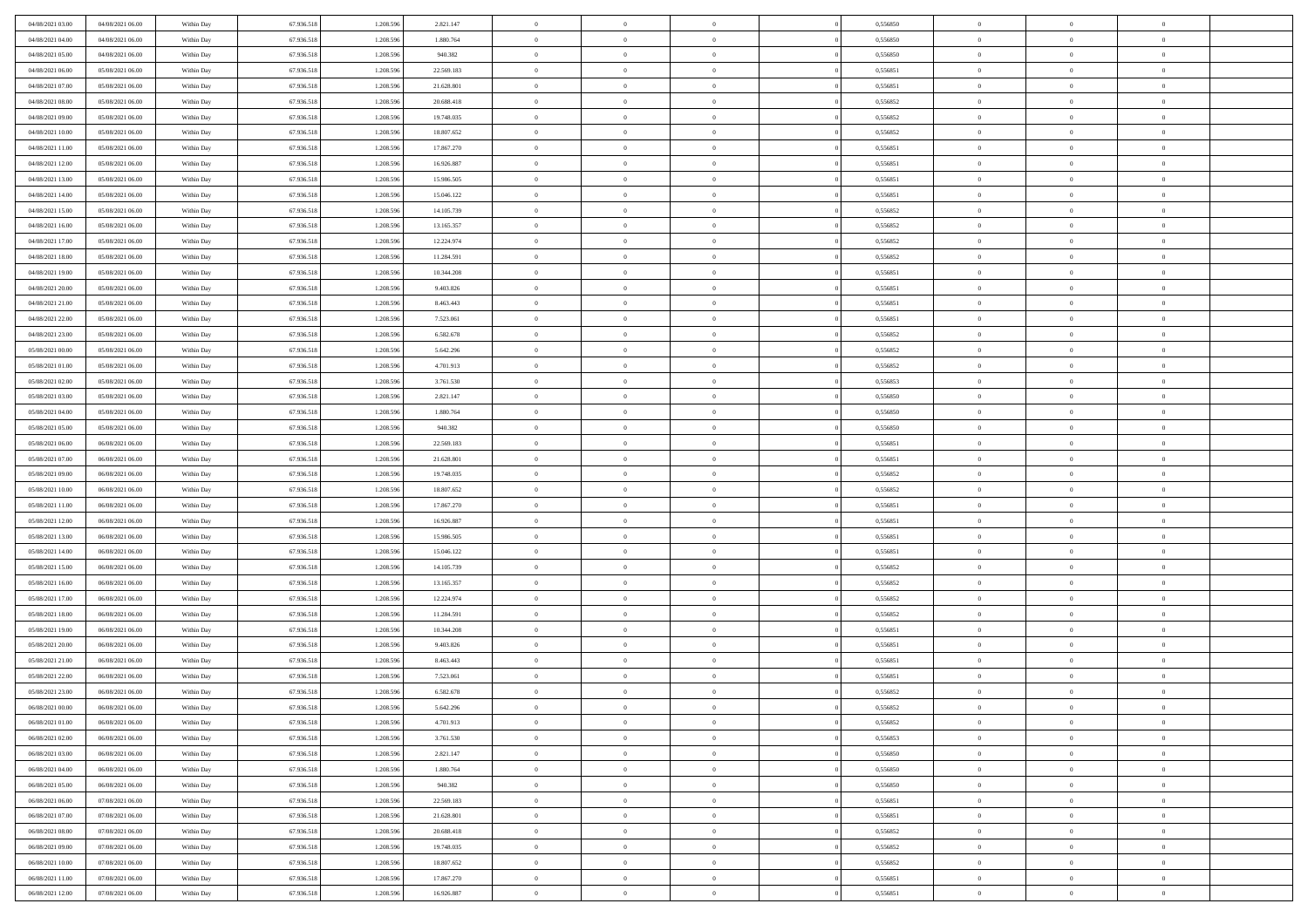| 04/08/2021 03:00                     | 04/08/2021 06:00                     | Within Day               | 67.936.518               | 1.208.596              | 2.821.147                | $\bf{0}$                | $\overline{0}$                   | $\Omega$                         | 0,556850             | $\bf{0}$                 | $\overline{0}$             | $\bf{0}$                  |  |
|--------------------------------------|--------------------------------------|--------------------------|--------------------------|------------------------|--------------------------|-------------------------|----------------------------------|----------------------------------|----------------------|--------------------------|----------------------------|---------------------------|--|
| 04/08/2021 04:00                     | 04/08/2021 06:00                     | Within Day               | 67.936.518               | 1.208.596              | 1.880.764                | $\overline{0}$          | $\overline{0}$                   | $\overline{0}$                   | 0,556850             | $\mathbf{0}$             | $\bf{0}$                   | $\overline{0}$            |  |
| 04/08/2021 05:00                     | 04/08/2021 06:00                     | Within Day               | 67.936.518               | 1.208.596              | 940.382                  | $\bf{0}$                | $\overline{0}$                   | $\overline{0}$                   | 0,556850             | $\,$ 0                   | $\overline{0}$             | $\,$ 0 $\,$               |  |
| 04/08/2021 06:00                     | 05/08/2021 06:00                     | Within Day               | 67.936.518               | 1.208.596              | 22.569.183               | $\mathbf{0}$            | $\overline{0}$                   | $\mathbf{0}$                     | 0.556851             | $\bf{0}$                 | $\mathbf{0}$               | $\theta$                  |  |
| 04/08/2021 07:00                     | 05/08/2021 06:00                     | Within Day               | 67.936.518               | 1.208.596              | 21.628.801               | $\mathbf{0}$            | $\overline{0}$                   | $\overline{0}$                   | 0,556851             | $\mathbf{0}$             | $\bf{0}$                   | $\overline{0}$            |  |
| 04/08/2021 08:00                     | 05/08/2021 06:00                     | Within Day               | 67.936.518               | 1.208.596              | 20.688.418               | $\theta$                | $\overline{0}$                   | $\bf{0}$                         | 0,556852             | $\,$ 0                   | $\overline{0}$             | $\,$ 0 $\,$               |  |
| 04/08/2021 09:00                     | 05/08/2021 06:00                     | Within Day               | 67.936.518               | 1.208.596              | 19.748.035               | $\bf{0}$                | $\overline{0}$                   | $\Omega$                         | 0.556852             | $\bf{0}$                 | $\mathbf{0}$               | $\theta$                  |  |
| 04/08/2021 10:00                     | 05/08/2021 06:00                     | Within Day               | 67.936.518               | 1.208.596              | 18.807.652               | $\overline{0}$          | $\overline{0}$                   | $\overline{0}$                   | 0,556852             | $\mathbf{0}$             | $\bf{0}$                   | $\overline{0}$            |  |
| 04/08/2021 11:00                     | 05/08/2021 06:00                     | Within Day               | 67.936.518               | 1.208.596              | 17.867.270               | $\theta$                | $\overline{0}$                   | $\bf{0}$                         | 0,556851             | $\,$ 0                   | $\overline{0}$             | $\,$ 0 $\,$               |  |
| 04/08/2021 12:00                     | 05/08/2021 06:00                     | Within Day               | 67.936.518               | 1.208.596              | 16.926.887               | $\mathbf{0}$            | $\overline{0}$                   | $\mathbf{0}$                     | 0.556851             | $\bf{0}$                 | $\mathbf{0}$               | $\theta$                  |  |
| 04/08/2021 13:00                     | 05/08/2021 06:00                     | Within Day               | 67.936.518               | 1.208.596              | 15.986.505               | $\overline{0}$          | $\overline{0}$                   | $\overline{0}$                   | 0,556851             | $\mathbf{0}$             | $\bf{0}$                   | $\overline{0}$            |  |
| 04/08/2021 14:00                     | 05/08/2021 06:00                     | Within Day               | 67.936.518               | 1.208.596              | 15.046.122               | $\theta$                | $\overline{0}$                   | $\overline{0}$                   | 0,556851             | $\,$ 0                   | $\overline{0}$             | $\,$ 0 $\,$               |  |
| 04/08/2021 15:00                     | 05/08/2021 06:00                     | Within Day               | 67.936.518               | 1.208.59               | 14.105.739               | $\mathbf{0}$            | $\overline{0}$                   | $\mathbf{0}$                     | 0.556852             | $\bf{0}$                 | $\theta$                   | $\theta$                  |  |
| 04/08/2021 16:00                     | 05/08/2021 06:00                     | Within Day               | 67.936.518               | 1.208.596              | 13.165.357               | $\overline{0}$          | $\overline{0}$                   | $\overline{0}$                   | 0,556852             | $\mathbf{0}$             | $\bf{0}$                   | $\overline{0}$            |  |
| 04/08/2021 17:00                     | 05/08/2021 06:00                     | Within Day               | 67.936.518               | 1.208.596              | 12.224.974               | $\theta$                | $\overline{0}$                   | $\overline{0}$                   | 0,556852             | $\,$ 0                   | $\overline{0}$             | $\,$ 0 $\,$               |  |
| 04/08/2021 18:00                     | 05/08/2021 06:00                     | Within Day               | 67.936.518               | 1.208.596              | 11.284.591               | $\bf{0}$                | $\overline{0}$                   | $\mathbf{0}$                     | 0.556852             | $\bf{0}$                 | $\mathbf{0}$               | $\bf{0}$                  |  |
| 04/08/2021 19:00                     | 05/08/2021 06:00                     | Within Dav               | 67.936.518               | 1.208.596              | 10.344.208               | $\overline{0}$          | $\overline{0}$                   | $\overline{0}$                   | 0,556851             | $\mathbf{0}$             | $\bf{0}$                   | $\overline{0}$            |  |
| 04/08/2021 20:00                     | 05/08/2021 06:00                     | Within Day               | 67.936.518               | 1.208.596              | 9.403.826                | $\theta$                | $\overline{0}$                   | $\bf{0}$                         | 0,556851             | $\,$ 0                   | $\overline{0}$             | $\,$ 0 $\,$               |  |
| 04/08/2021 21:00                     | 05/08/2021 06:00                     | Within Day               | 67.936.518               | 1.208.596              | 8.463.443                | $\mathbf{0}$            | $\overline{0}$                   | $\mathbf{0}$                     | 0.556851             | $\bf{0}$                 | $\mathbf{0}$               | $\theta$                  |  |
| 04/08/2021 22:00                     | 05/08/2021 06:00                     | Within Dav               | 67.936.518               | 1.208.596              | 7.523.061                | $\overline{0}$          | $\overline{0}$                   | $\overline{0}$                   | 0,556851             | $\mathbf{0}$             | $\bf{0}$                   | $\overline{0}$            |  |
| 04/08/2021 23:00                     | 05/08/2021 06:00                     | Within Day               | 67.936.518               | 1.208.596              | 6.582.678                | $\theta$                | $\overline{0}$                   | $\bf{0}$                         | 0,556852             | $\,$ 0                   | $\overline{0}$             | $\,$ 0 $\,$               |  |
| 05/08/2021 00:00                     | 05/08/2021 06:00                     | Within Day               | 67.936.518               | 1.208.596              | 5.642.296                | $\mathbf{0}$            | $\overline{0}$                   | $\mathbf{0}$                     | 0.556852             | $\bf{0}$                 | $\mathbf{0}$               | $\theta$                  |  |
| 05/08/2021 01:00                     | 05/08/2021 06:00                     | Within Dav               | 67.936.518               | 1.208.596              | 4.701.913                | $\overline{0}$          | $\overline{0}$                   | $\overline{0}$                   | 0,556852             | $\mathbf{0}$             | $\bf{0}$                   | $\overline{0}$            |  |
| 05/08/2021 02:00                     | 05/08/2021 06:00                     | Within Day               | 67.936.518               | 1.208.596              | 3.761.530                | $\theta$                | $\overline{0}$                   | $\bf{0}$                         | 0,556853             | $\,$ 0                   | $\overline{0}$             | $\,$ 0 $\,$               |  |
| 05/08/2021 03:00                     | 05/08/2021 06:00                     | Within Day               | 67.936.518               | 1.208.596              | 2.821.147                | $\bf{0}$                | $\overline{0}$                   | $\mathbf{0}$                     | 0.556850             | $\bf{0}$                 | $\overline{0}$             | $\bf{0}$                  |  |
| 05/08/2021 04:00                     | 05/08/2021 06:00                     | Within Dav               | 67.936.518               | 1.208.596              | 1.880.764                | $\overline{0}$          | $\overline{0}$                   | $\overline{0}$                   | 0,556850             | $\mathbf{0}$             | $\bf{0}$                   | $\overline{0}$            |  |
| 05/08/2021 05:00                     | 05/08/2021 06:00                     | Within Day               | 67.936.518               | 1.208.596              | 940.382                  | $\theta$                | $\overline{0}$                   | $\overline{0}$                   | 0,556850             | $\,$ 0                   | $\overline{0}$             | $\,$ 0 $\,$               |  |
| 05/08/2021 06:00                     | 06/08/2021 06:00                     | Within Day               | 67.936.518               | 1.208.596              | 22.569.183               | $\mathbf{0}$            | $\overline{0}$                   | $\mathbf{0}$                     | 0.556851             | $\bf{0}$                 | $\mathbf{0}$               | $\theta$                  |  |
| 05/08/2021 07:00                     | 06/08/2021 06:00                     | Within Dav               | 67.936.518               | 1.208.596              | 21.628.801               | $\mathbf{0}$            | $\overline{0}$                   | $\overline{0}$                   | 0,556851             | $\mathbf{0}$             | $\bf{0}$                   | $\overline{0}$            |  |
| 05/08/2021 09:00                     | 06/08/2021 06:00                     | Within Day               | 67.936.518               | 1.208.596              | 19.748.035               | $\theta$                | $\overline{0}$                   | $\overline{0}$                   | 0,556852             | $\,$ 0                   | $\overline{0}$             | $\,$ 0 $\,$               |  |
| 05/08/2021 10:00                     | 06/08/2021 06:00                     | Within Day               | 67.936.518               | 1.208.596              | 18.807.652               | $\bf{0}$                | $\overline{0}$                   | $\overline{0}$                   | 0,556852             | $\bf{0}$                 | $\overline{0}$             | $\,0\,$                   |  |
| 05/08/2021 11:00                     | 06/08/2021 06:00                     | Within Dav               | 67.936.518               | 1.208.596              | 17.867.270               | $\overline{0}$          | $\overline{0}$                   | $\overline{0}$                   | 0,556851             | $\mathbf{0}$             | $\bf{0}$                   | $\overline{0}$            |  |
| 05/08/2021 12:00                     | 06/08/2021 06:00                     | Within Day               | 67.936.518               | 1.208.596              | 16.926.887               | $\theta$                | $\overline{0}$                   | $\overline{0}$                   | 0,556851             | $\,$ 0                   | $\overline{0}$             | $\,$ 0 $\,$               |  |
| 05/08/2021 13:00<br>05/08/2021 14:00 | 06/08/2021 06:00<br>06/08/2021 06:00 | Within Day<br>Within Dav | 67.936.518<br>67.936.518 | 1.208.596<br>1.208.596 | 15.986.505               | $\,$ 0 $\,$<br>$\theta$ | $\overline{0}$<br>$\overline{0}$ | $\overline{0}$<br>$\overline{0}$ | 0,556851<br>0,556851 | $\bf{0}$<br>$\mathbf{0}$ | $\overline{0}$<br>$\bf{0}$ | $\,0\,$<br>$\overline{0}$ |  |
| 05/08/2021 15:00                     | 06/08/2021 06:00                     | Within Day               | 67.936.518               | 1.208.596              | 15.046.122<br>14.105.739 | $\theta$                | $\overline{0}$                   | $\bf{0}$                         | 0,556852             | $\,$ 0                   | $\overline{0}$             | $\,$ 0 $\,$               |  |
| 05/08/2021 16:00                     | 06/08/2021 06:00                     | Within Day               | 67.936.518               | 1.208.596              | 13.165.357               | $\bf{0}$                | $\overline{0}$                   | $\overline{0}$                   | 0,556852             | $\bf{0}$                 | $\overline{0}$             | $\,0\,$                   |  |
| 05/08/2021 17:00                     | 06/08/2021 06:00                     | Within Dav               | 67.936.518               | 1.208.596              | 12.224.974               | $\overline{0}$          | $\overline{0}$                   | $\overline{0}$                   | 0,556852             | $\mathbf{0}$             | $\bf{0}$                   | $\overline{0}$            |  |
| 05/08/2021 18:00                     | 06/08/2021 06:00                     | Within Day               | 67.936.518               | 1.208.596              | 11.284.591               | $\theta$                | $\overline{0}$                   | $\bf{0}$                         | 0,556852             | $\,$ 0                   | $\overline{0}$             | $\,$ 0 $\,$               |  |
| 05/08/2021 19:00                     | 06/08/2021 06:00                     | Within Day               | 67.936.518               | 1.208.596              | 10.344.208               | $\,$ 0 $\,$             | $\overline{0}$                   | $\overline{0}$                   | 0,556851             | $\bf{0}$                 | $\overline{0}$             | $\,0\,$                   |  |
| 05/08/2021 20:00                     | 06/08/2021 06:00                     | Within Dav               | 67.936.518               | 1.208.596              | 9.403.826                | $\theta$                | $\overline{0}$                   | $\overline{0}$                   | 0,556851             | $\mathbf{0}$             | $\bf{0}$                   | $\overline{0}$            |  |
| 05/08/2021 21:00                     | 06/08/2021 06:00                     | Within Day               | 67.936.518               | 1.208.596              | 8.463.443                | $\theta$                | $\overline{0}$                   | $\bf{0}$                         | 0,556851             | $\,$ 0                   | $\overline{0}$             | $\,$ 0 $\,$               |  |
| 05/08/2021 22:00                     | 06/08/2021 06:00                     | Within Day               | 67.936.518               | 1.208.596              | 7.523.061                | $\,$ 0 $\,$             | $\overline{0}$                   | $\overline{0}$                   | 0,556851             | $\bf{0}$                 | $\overline{0}$             | $\,0\,$                   |  |
| 05/08/2021 23:00                     | 06/08/2021 06:00                     | Within Dav               | 67.936.518               | 1.208.596              | 6.582.678                | $\theta$                | $\overline{0}$                   | $\overline{0}$                   | 0,556852             | $\mathbf{0}$             | $\bf{0}$                   | $\overline{0}$            |  |
| 06/08/2021 00:00                     | 06/08/2021 06:00                     | Within Day               | 67.936.518               | 1.208.596              | 5.642.296                | $\overline{0}$          | $\overline{0}$                   | $\overline{0}$                   | 0,556852             | $\overline{0}$           | $\theta$                   | $\theta$                  |  |
| 06/08/2021 01:00                     | 06/08/2021 06:00                     | Within Day               | 67.936.518               | 1.208.596              | 4.701.913                | $\bf{0}$                | $\overline{0}$                   | $\overline{0}$                   | 0,556852             | $\mathbf{0}$             | $\overline{0}$             | $\bf{0}$                  |  |
| 06/08/2021 02:00                     | 06/08/2021 06:00                     | Within Day               | 67.936.518               | 1.208.596              | 3.761.530                | $\overline{0}$          | $\overline{0}$                   | $\overline{0}$                   | 0,556853             | $\overline{0}$           | $\overline{0}$             | $\overline{0}$            |  |
| 06/08/2021 03:00                     | 06/08/2021 06:00                     | Within Day               | 67.936.518               | 1.208.596              | 2.821.147                | $\,$ 0 $\,$             | $\overline{0}$                   | $\overline{0}$                   | 0,556850             | $\,$ 0 $\,$              | $\,$ 0 $\,$                | $\,$ 0 $\,$               |  |
| 06/08/2021 04:00                     | 06/08/2021 06:00                     | Within Day               | 67.936.518               | 1.208.596              | 1.880.764                | $\bf{0}$                | $\overline{0}$                   | $\overline{0}$                   | 0,556850             | $\mathbf{0}$             | $\overline{0}$             | $\bf{0}$                  |  |
| 06/08/2021 05:00                     | 06/08/2021 06:00                     | Within Day               | 67.936.518               | 1.208.596              | 940.382                  | $\,$ 0 $\,$             | $\overline{0}$                   | $\overline{0}$                   | 0,556850             | $\,$ 0 $\,$              | $\bf{0}$                   | $\overline{0}$            |  |
| 06/08/2021 06:00                     | 07/08/2021 06:00                     | Within Day               | 67.936.518               | 1.208.596              | 22.569.183               | $\,$ 0                  | $\overline{0}$                   | $\overline{0}$                   | 0,556851             | $\,$ 0 $\,$              | $\overline{0}$             | $\,$ 0 $\,$               |  |
| 06/08/2021 07:00                     | 07/08/2021 06:00                     | Within Day               | 67.936.518               | 1.208.596              | 21.628.801               | $\bf{0}$                | $\overline{0}$                   | $\overline{0}$                   | 0,556851             | $\overline{0}$           | $\overline{0}$             | $\overline{0}$            |  |
| 06/08/2021 08:00                     | 07/08/2021 06:00                     | Within Day               | 67.936.518               | 1.208.596              | 20.688.418               | $\,$ 0 $\,$             | $\overline{0}$                   | $\overline{0}$                   | 0,556852             | $\,$ 0 $\,$              | $\bf{0}$                   | $\overline{0}$            |  |
| 06/08/2021 09:00                     | 07/08/2021 06:00                     | Within Day               | 67.936.518               | 1.208.596              | 19.748.035               | $\,$ 0                  | $\overline{0}$                   | $\overline{0}$                   | 0,556852             | $\,$ 0 $\,$              | $\,$ 0 $\,$                | $\,$ 0 $\,$               |  |
| 06/08/2021 10:00                     | 07/08/2021 06:00                     | Within Day               | 67.936.518               | 1.208.596              | 18.807.652               | $\bf{0}$                | $\overline{0}$                   | $\overline{0}$                   | 0,556852             | $\mathbf{0}$             | $\overline{0}$             | $\bf{0}$                  |  |
| 06/08/2021 11:00                     | 07/08/2021 06:00                     | Within Day               | 67.936.518               | 1.208.596              | 17.867.270               | $\mathbf{0}$            | $\overline{0}$                   | $\overline{0}$                   | 0,556851             | $\mathbf{0}$             | $\bf{0}$                   | $\overline{0}$            |  |
| 06/08/2021 12:00                     | 07/08/2021 06:00                     | Within Day               | 67.936.518               | 1.208.596              | 16.926.887               | $\,$ 0 $\,$             | $\overline{0}$                   | $\overline{0}$                   | 0,556851             | $\,$ 0 $\,$              | $\overline{0}$             | $\,$ 0 $\,$               |  |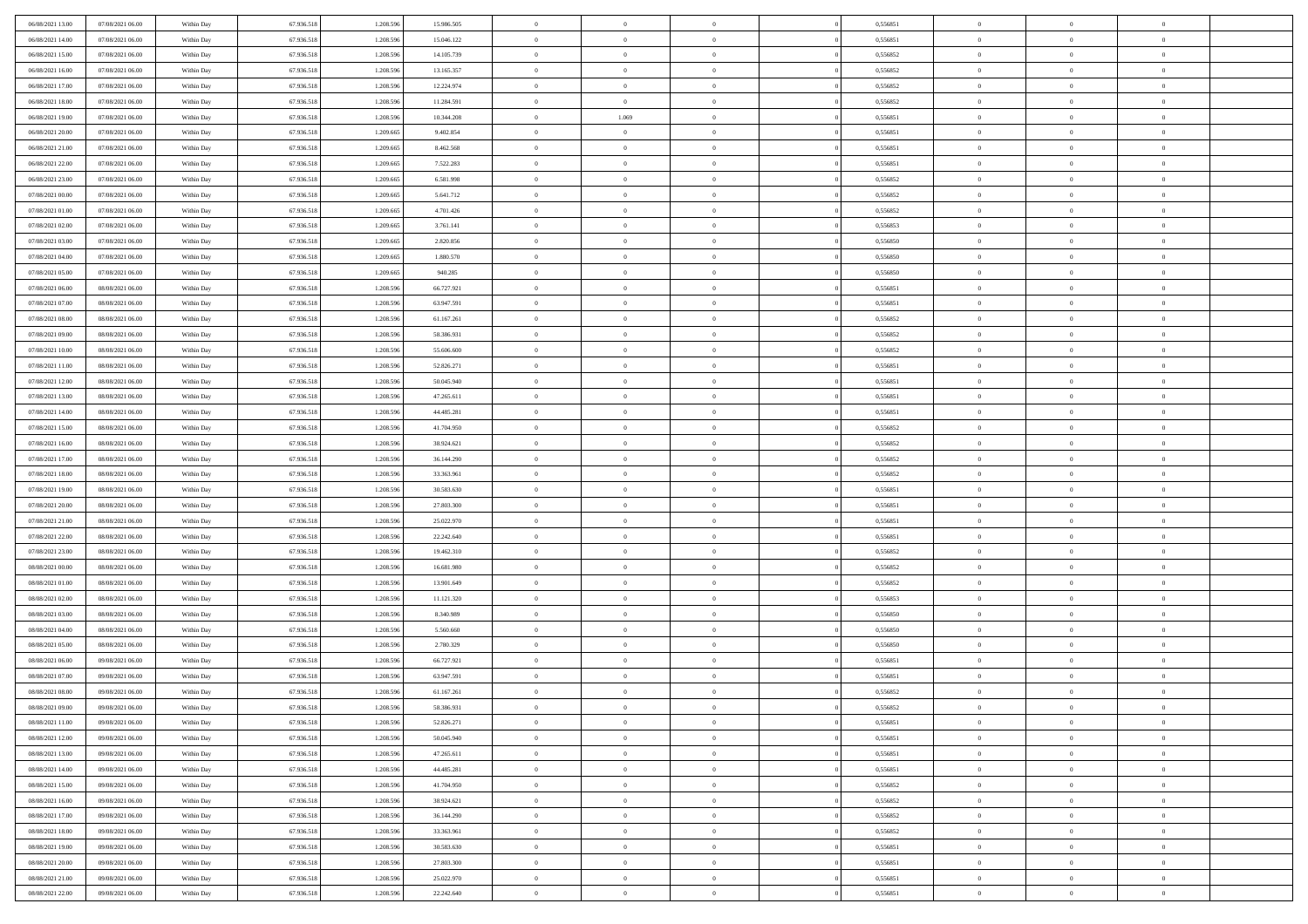| 06/08/2021 13:00 | 07/08/2021 06:00 | Within Day | 67.936.518 | 1.208.596 | 15.986.505 | $\overline{0}$ | $\overline{0}$ | $\Omega$       | 0,556851 | $\bf{0}$       | $\mathbf{0}$   | $\bf{0}$       |  |
|------------------|------------------|------------|------------|-----------|------------|----------------|----------------|----------------|----------|----------------|----------------|----------------|--|
| 06/08/2021 14:00 | 07/08/2021 06:00 | Within Day | 67.936.518 | 1.208.596 | 15.046.122 | $\mathbf{0}$   | $\overline{0}$ | $\overline{0}$ | 0,556851 | $\overline{0}$ | $\overline{0}$ | $\theta$       |  |
| 06/08/2021 15:00 | 07/08/2021 06:00 | Within Day | 67.936.518 | 1.208.596 | 14.105.739 | $\,$ 0         | $\overline{0}$ | $\bf{0}$       | 0,556852 | $\,$ 0         | $\overline{0}$ | $\,$ 0 $\,$    |  |
| 06/08/2021 16:00 | 07/08/2021 06:00 | Within Day | 67.936.518 | 1.208.596 | 13.165.357 | $\bf{0}$       | $\overline{0}$ | $\Omega$       | 0.556852 | $\bf{0}$       | $\mathbf{0}$   | $\theta$       |  |
| 06/08/2021 17:00 | 07/08/2021 06:00 | Within Day | 67.936.518 | 1.208.596 | 12.224.974 | $\bf{0}$       | $\overline{0}$ | $\overline{0}$ | 0,556852 | $\mathbf{0}$   | $\overline{0}$ | $\overline{0}$ |  |
| 06/08/2021 18:00 | 07/08/2021 06:00 | Within Day | 67.936.518 | 1.208.596 | 11.284.591 | $\bf{0}$       | $\overline{0}$ | $\bf{0}$       | 0,556852 | $\,$ 0         | $\overline{0}$ | $\,$ 0 $\,$    |  |
|                  |                  |            |            |           |            |                |                | $\Omega$       | 0.556851 | $\bf{0}$       | $\mathbf{0}$   | $\theta$       |  |
| 06/08/2021 19:00 | 07/08/2021 06:00 | Within Day | 67.936.518 | 1.208.596 | 10.344.208 | $\bf{0}$       | 1.069          |                |          |                |                |                |  |
| 06/08/2021 20:00 | 07/08/2021 06:00 | Within Dav | 67.936.518 | 1.209.665 | 9.402.854  | $\overline{0}$ | $\overline{0}$ | $\overline{0}$ | 0,556851 | $\mathbf{0}$   | $\overline{0}$ | $\overline{0}$ |  |
| 06/08/2021 21:00 | 07/08/2021 06:00 | Within Day | 67.936.518 | 1.209.665 | 8.462.568  | $\bf{0}$       | $\overline{0}$ | $\bf{0}$       | 0,556851 | $\,$ 0         | $\overline{0}$ | $\,$ 0 $\,$    |  |
| 06/08/2021 22:00 | 07/08/2021 06:00 | Within Day | 67.936.518 | 1.209.665 | 7.522.283  | $\bf{0}$       | $\overline{0}$ | $\Omega$       | 0.556851 | $\bf{0}$       | $\mathbf{0}$   | $\theta$       |  |
| 06/08/2021 23:00 | 07/08/2021 06:00 | Within Day | 67.936.518 | 1.209.665 | 6.581.998  | $\overline{0}$ | $\overline{0}$ | $\overline{0}$ | 0,556852 | $\overline{0}$ | $\overline{0}$ | $\overline{0}$ |  |
| 07/08/2021 00:00 | 07/08/2021 06:00 | Within Day | 67.936.518 | 1.209.665 | 5.641.712  | $\bf{0}$       | $\overline{0}$ | $\bf{0}$       | 0,556852 | $\,$ 0         | $\overline{0}$ | $\,$ 0 $\,$    |  |
| 07/08/2021 01:00 | 07/08/2021 06:00 | Within Day | 67.936.518 | 1.209.665 | 4.701.426  | $\bf{0}$       | $\overline{0}$ | $\Omega$       | 0.556852 | $\overline{0}$ | $\mathbf{0}$   | $\theta$       |  |
| 07/08/2021 02:00 | 07/08/2021 06:00 | Within Dav | 67.936.518 | 1.209.665 | 3.761.141  | $\overline{0}$ | $\overline{0}$ | $\overline{0}$ | 0,556853 | $\mathbf{0}$   | $\overline{0}$ | $\overline{0}$ |  |
| 07/08/2021 03:00 | 07/08/2021 06:00 | Within Day | 67.936.518 | 1.209.665 | 2.820.856  | $\bf{0}$       | $\overline{0}$ | $\bf{0}$       | 0,556850 | $\,$ 0         | $\overline{0}$ | $\,$ 0 $\,$    |  |
| 07/08/2021 04:00 | 07/08/2021 06:00 | Within Day | 67.936.518 | 1.209.665 | 1.880.570  | $\bf{0}$       | $\overline{0}$ | $\overline{0}$ | 0.556850 | $\bf{0}$       | $\mathbf{0}$   | $\bf{0}$       |  |
| 07/08/2021 05:00 | 07/08/2021 06:00 | Within Day | 67.936.518 | 1.209.665 | 940.285    | $\overline{0}$ | $\overline{0}$ | $\overline{0}$ | 0,556850 | $\overline{0}$ | $\overline{0}$ | $\overline{0}$ |  |
| 07/08/2021 06:00 | 08/08/2021 06:00 | Within Day | 67.936.518 | 1.208.596 | 66.727.921 | $\bf{0}$       | $\overline{0}$ | $\bf{0}$       | 0,556851 | $\,$ 0         | $\overline{0}$ | $\,$ 0 $\,$    |  |
| 07/08/2021 07:00 | 08/08/2021 06:00 | Within Day | 67.936.518 | 1.208.596 | 63.947.591 | $\bf{0}$       | $\overline{0}$ | $\Omega$       | 0.556851 | $\overline{0}$ | $\mathbf{0}$   | $\theta$       |  |
| 07/08/2021 08:00 | 08/08/2021 06:00 | Within Day | 67.936.518 | 1.208.596 | 61.167.261 | $\overline{0}$ | $\overline{0}$ | $\overline{0}$ | 0,556852 | $\overline{0}$ | $\overline{0}$ | $\overline{0}$ |  |
| 07/08/2021 09:00 | 08/08/2021 06:00 | Within Day | 67.936.518 | 1.208.596 | 58.386.931 | $\bf{0}$       | $\overline{0}$ | $\bf{0}$       | 0,556852 | $\,$ 0         | $\overline{0}$ | $\,$ 0 $\,$    |  |
| 07/08/2021 10:00 | 08/08/2021 06:00 | Within Day | 67.936.518 | 1.208.596 | 55,606,600 | $\bf{0}$       | $\overline{0}$ | $\Omega$       | 0.556852 | $\overline{0}$ | $\theta$       | $\theta$       |  |
| 07/08/2021 11:00 | 08/08/2021 06:00 | Within Day | 67.936.518 | 1.208.596 | 52.826.271 | $\overline{0}$ | $\overline{0}$ | $\overline{0}$ | 0,556851 | $\mathbf{0}$   | $\overline{0}$ | $\overline{0}$ |  |
| 07/08/2021 12:00 | 08/08/2021 06:00 | Within Day | 67.936.518 | 1.208.596 | 50.045.940 | $\bf{0}$       | $\overline{0}$ | $\bf{0}$       | 0,556851 | $\,$ 0         | $\overline{0}$ | $\,$ 0 $\,$    |  |
| 07/08/2021 13:00 | 08/08/2021 06:00 | Within Day | 67.936.518 | 1.208.596 | 47.265.611 | $\bf{0}$       | $\overline{0}$ | $\overline{0}$ | 0.556851 | $\bf{0}$       | $\overline{0}$ | $\theta$       |  |
| 07/08/2021 14:00 | 08/08/2021 06:00 | Within Day | 67.936.518 | 1.208.596 | 44.485.281 | $\overline{0}$ | $\overline{0}$ | $\overline{0}$ | 0,556851 | $\overline{0}$ | $\overline{0}$ | $\overline{0}$ |  |
| 07/08/2021 15:00 | 08/08/2021 06:00 | Within Day | 67.936.518 | 1.208.596 | 41.704.950 | $\bf{0}$       | $\overline{0}$ | $\bf{0}$       | 0,556852 | $\,$ 0         | $\overline{0}$ | $\,$ 0 $\,$    |  |
| 07/08/2021 16:00 | 08/08/2021 06:00 | Within Day | 67.936.518 | 1.208.596 | 38.924.621 | $\bf{0}$       | $\overline{0}$ | $\Omega$       | 0.556852 | $\bf{0}$       | $\mathbf{0}$   | $\theta$       |  |
| 07/08/2021 17:00 |                  |            |            |           |            | $\overline{0}$ |                |                |          | $\mathbf{0}$   |                |                |  |
|                  | 08/08/2021 06:00 | Within Day | 67.936.518 | 1.208.596 | 36.144.290 |                | $\overline{0}$ | $\overline{0}$ | 0,556852 |                | $\overline{0}$ | $\overline{0}$ |  |
| 07/08/2021 18:00 | 08/08/2021 06:00 | Within Day | 67.936.518 | 1.208.596 | 33.363.961 | $\bf{0}$       | $\overline{0}$ | $\bf{0}$       | 0,556852 | $\,$ 0         | $\overline{0}$ | $\,$ 0 $\,$    |  |
| 07/08/2021 19:00 | 08/08/2021 06:00 | Within Day | 67.936.518 | 1.208.596 | 30.583.630 | $\,$ 0         | $\bf{0}$       | $\overline{0}$ | 0,556851 | $\bf{0}$       | $\overline{0}$ | $\,0\,$        |  |
| 07/08/2021 20:00 | 08/08/2021 06:00 | Within Dav | 67.936.518 | 1.208.596 | 27.803.300 | $\overline{0}$ | $\overline{0}$ | $\overline{0}$ | 0,556851 | $\mathbf{0}$   | $\overline{0}$ | $\overline{0}$ |  |
| 07/08/2021 21:00 | 08/08/2021 06:00 | Within Day | 67.936.518 | 1.208.596 | 25.022.970 | $\bf{0}$       | $\overline{0}$ | $\bf{0}$       | 0,556851 | $\,$ 0         | $\overline{0}$ | $\,$ 0 $\,$    |  |
| 07/08/2021 22.00 | 08/08/2021 06:00 | Within Day | 67.936.518 | 1.208.596 | 22.242.640 | $\bf{0}$       | $\bf{0}$       | $\bf{0}$       | 0,556851 | $\bf{0}$       | $\overline{0}$ | $\,0\,$        |  |
| 07/08/2021 23:00 | 08/08/2021 06:00 | Within Day | 67.936.518 | 1.208.596 | 19.462.310 | $\mathbf{0}$   | $\overline{0}$ | $\overline{0}$ | 0,556852 | $\overline{0}$ | $\overline{0}$ | $\overline{0}$ |  |
| 08/08/2021 00:00 | 08/08/2021 06:00 | Within Day | 67.936.518 | 1.208.596 | 16.681.980 | $\bf{0}$       | $\overline{0}$ | $\bf{0}$       | 0,556852 | $\,$ 0         | $\overline{0}$ | $\,$ 0 $\,$    |  |
| 08/08/2021 01:00 | 08/08/2021 06:00 | Within Day | 67.936.518 | 1.208.596 | 13.901.649 | $\,$ 0         | $\bf{0}$       | $\overline{0}$ | 0,556852 | $\bf{0}$       | $\overline{0}$ | $\,0\,$        |  |
| 08/08/2021 02:00 | 08/08/2021 06:00 | Within Day | 67.936.518 | 1.208.596 | 11.121.320 | $\overline{0}$ | $\overline{0}$ | $\overline{0}$ | 0,556853 | $\mathbf{0}$   | $\overline{0}$ | $\overline{0}$ |  |
| 08/08/2021 03:00 | 08/08/2021 06:00 | Within Day | 67.936.518 | 1.208.596 | 8.340.989  | $\bf{0}$       | $\overline{0}$ | $\bf{0}$       | 0,556850 | $\,$ 0         | $\overline{0}$ | $\,$ 0 $\,$    |  |
| 08/08/2021 04:00 | 08/08/2021 06:00 | Within Day | 67.936.518 | 1.208.596 | 5.560.660  | $\bf{0}$       | $\bf{0}$       | $\overline{0}$ | 0,556850 | $\bf{0}$       | $\overline{0}$ | $\,0\,$        |  |
| 08/08/2021 05:00 | 08/08/2021 06:00 | Within Day | 67.936.518 | 1.208.596 | 2.780.329  | $\overline{0}$ | $\overline{0}$ | $\overline{0}$ | 0,556850 | $\overline{0}$ | $\overline{0}$ | $\overline{0}$ |  |
| 08/08/2021 06:00 | 09/08/2021 06:00 | Within Day | 67.936.518 | 1.208.596 | 66.727.921 | $\bf{0}$       | $\overline{0}$ | $\bf{0}$       | 0,556851 | $\,$ 0         | $\overline{0}$ | $\,$ 0 $\,$    |  |
| 08/08/2021 07:00 | 09/08/2021 06:00 | Within Day | 67.936.518 | 1.208.596 | 63.947.591 | $\bf{0}$       | $\bf{0}$       | $\bf{0}$       | 0,556851 | $\bf{0}$       | $\overline{0}$ | $\,0\,$        |  |
| 08/08/2021 08:00 | 09/08/2021 06:00 | Within Day | 67.936.518 | 1.208.596 | 61.167.261 | $\mathbf{0}$   | $\overline{0}$ | $\overline{0}$ | 0,556852 | $\overline{0}$ | $\overline{0}$ | $\overline{0}$ |  |
| 08/08/2021 09:00 | 09/08/2021 06:00 | Within Day | 67.936.518 | 1.208.596 | 58.386.931 | $\bf{0}$       | $\overline{0}$ | $\theta$       | 0,556852 | $\overline{0}$ | $\theta$       | $\theta$       |  |
| 08/08/2021 11:00 | 09/08/2021 06:00 | Within Day | 67.936.518 | 1.208.596 | 52.826.271 | $\bf{0}$       | $\bf{0}$       | $\bf{0}$       | 0,556851 | $\bf{0}$       | $\overline{0}$ | $\,0\,$        |  |
| 08/08/2021 12:00 | 09/08/2021 06:00 | Within Day | 67.936.518 | 1.208.596 | 50.045.940 | $\overline{0}$ | $\overline{0}$ | $\overline{0}$ | 0,556851 | $\overline{0}$ | $\bf{0}$       | $\overline{0}$ |  |
| 08/08/2021 13:00 | 09/08/2021 06:00 | Within Day | 67.936.518 | 1.208.596 | 47.265.611 | $\,$ 0 $\,$    | $\overline{0}$ | $\overline{0}$ | 0,556851 | $\mathbf{0}$   | $\overline{0}$ | $\,$ 0 $\,$    |  |
| 08/08/2021 14:00 | 09/08/2021 06:00 | Within Day | 67.936.518 | 1.208.596 | 44.485.281 | $\bf{0}$       | $\bf{0}$       | $\overline{0}$ | 0,556851 | $\bf{0}$       | $\overline{0}$ | $\bf{0}$       |  |
| 08/08/2021 15:00 | 09/08/2021 06:00 | Within Day | 67.936.518 | 1.208.596 | 41.704.950 | $\bf{0}$       | $\overline{0}$ | $\overline{0}$ | 0,556852 | $\mathbf{0}$   | $\overline{0}$ | $\overline{0}$ |  |
| 08/08/2021 16:00 | 09/08/2021 06:00 | Within Day | 67.936.518 | 1.208.596 | 38.924.621 | $\,$ 0 $\,$    | $\overline{0}$ | $\overline{0}$ | 0,556852 | $\,$ 0 $\,$    | $\overline{0}$ | $\,$ 0 $\,$    |  |
| 08/08/2021 17:00 | 09/08/2021 06:00 | Within Day | 67.936.518 | 1.208.596 | 36.144.290 | $\bf{0}$       | $\overline{0}$ | $\overline{0}$ | 0,556852 | $\bf{0}$       | $\overline{0}$ | $\overline{0}$ |  |
| 08/08/2021 18:00 | 09/08/2021 06:00 | Within Day | 67.936.518 | 1.208.596 | 33.363.961 | $\overline{0}$ | $\overline{0}$ | $\overline{0}$ | 0,556852 | $\overline{0}$ | $\bf{0}$       | $\overline{0}$ |  |
| 08/08/2021 19:00 | 09/08/2021 06:00 | Within Day | 67.936.518 | 1.208.596 | 30.583.630 | $\,$ 0 $\,$    | $\overline{0}$ | $\overline{0}$ | 0,556851 | $\,$ 0 $\,$    | $\overline{0}$ | $\,$ 0 $\,$    |  |
| 08/08/2021 20:00 | 09/08/2021 06:00 | Within Day | 67.936.518 | 1.208.596 | 27.803.300 | $\bf{0}$       | $\bf{0}$       | $\overline{0}$ | 0,556851 | $\mathbf{0}$   | $\overline{0}$ | $\bf{0}$       |  |
| 08/08/2021 21:00 | 09/08/2021 06:00 | Within Day | 67.936.518 | 1.208.596 | 25.022.970 | $\bf{0}$       | $\overline{0}$ | $\overline{0}$ | 0,556851 | $\overline{0}$ | $\bf{0}$       | $\overline{0}$ |  |
|                  |                  |            |            |           |            |                |                |                |          |                |                |                |  |
| 08/08/2021 22:00 | 09/08/2021 06:00 | Within Day | 67.936.518 | 1.208.596 | 22.242.640 | $\,0\,$        | $\overline{0}$ | $\overline{0}$ | 0,556851 | $\,$ 0         | $\overline{0}$ | $\,$ 0 $\,$    |  |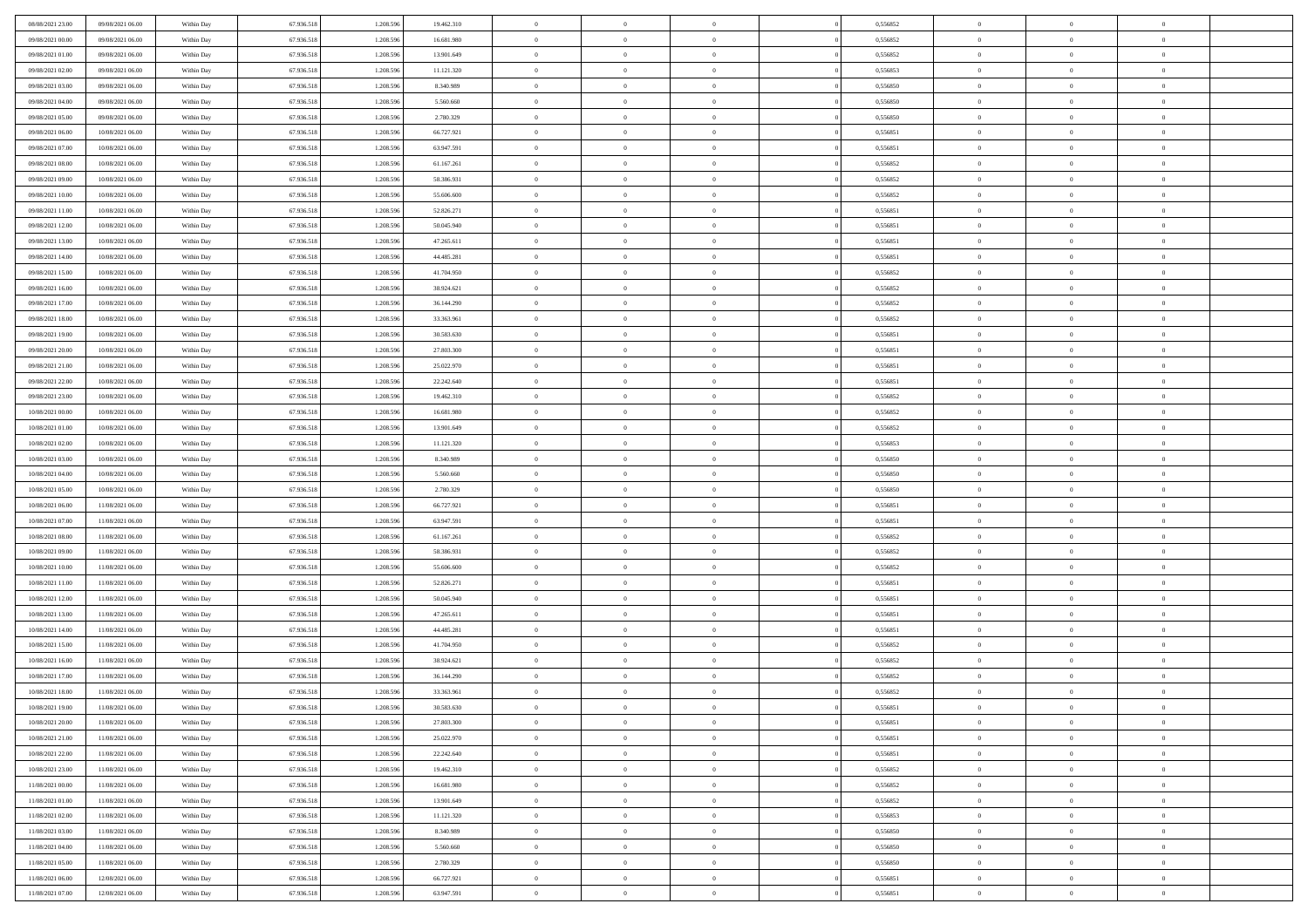| 08/08/2021 23:00                     | 09/08/2021 06:00                     | Within Day               | 67.936.518               | 1.208.596              | 19.462.310               | $\bf{0}$                   | $\overline{0}$                   | $\Omega$                         | 0,556852             | $\bf{0}$                 | $\overline{0}$             | $\bf{0}$                  |  |
|--------------------------------------|--------------------------------------|--------------------------|--------------------------|------------------------|--------------------------|----------------------------|----------------------------------|----------------------------------|----------------------|--------------------------|----------------------------|---------------------------|--|
| 09/08/2021 00:00                     | 09/08/2021 06:00                     | Within Dav               | 67.936.518               | 1.208.596              | 16.681.980               | $\theta$                   | $\overline{0}$                   | $\overline{0}$                   | 0,556852             | $\mathbf{0}$             | $\bf{0}$                   | $\overline{0}$            |  |
| 09/08/2021 01:00                     | 09/08/2021 06:00                     | Within Day               | 67.936.518               | 1.208.596              | 13.901.649               | $\theta$                   | $\overline{0}$                   | $\overline{0}$                   | 0,556852             | $\,$ 0                   | $\overline{0}$             | $\,$ 0 $\,$               |  |
| 09/08/2021 02:00                     | 09/08/2021 06:00                     | Within Day               | 67.936.518               | 1.208.596              | 11.121.320               | $\mathbf{0}$               | $\overline{0}$                   | $\mathbf{0}$                     | 0.556853             | $\bf{0}$                 | $\mathbf{0}$               | $\theta$                  |  |
| 09/08/2021 03:00                     | 09/08/2021 06:00                     | Within Dav               | 67.936.518               | 1.208.596              | 8.340.989                | $\overline{0}$             | $\overline{0}$                   | $\overline{0}$                   | 0,556850             | $\mathbf{0}$             | $\bf{0}$                   | $\overline{0}$            |  |
| 09/08/2021 04:00                     | 09/08/2021 06:00                     | Within Day               | 67.936.518               | 1.208.596              | 5.560.660                | $\theta$                   | $\overline{0}$                   | $\bf{0}$                         | 0,556850             | $\,$ 0                   | $\overline{0}$             | $\,$ 0 $\,$               |  |
| 09/08/2021 05:00                     | 09/08/2021 06:00                     | Within Day               | 67.936.518               | 1.208.596              | 2.780.329                | $\,$ 0 $\,$                | $\overline{0}$                   | $\Omega$                         | 0.556850             | $\bf{0}$                 | $\mathbf{0}$               | $\theta$                  |  |
| 09/08/2021 06:00                     | 10/08/2021 06:00                     | Within Dav               | 67.936.518               | 1.208.596              | 66.727.921               | $\overline{0}$             | $\overline{0}$                   | $\overline{0}$                   | 0,556851             | $\mathbf{0}$             | $\bf{0}$                   | $\overline{0}$            |  |
| 09/08/2021 07:00                     | 10/08/2021 06:00                     | Within Day               | 67.936.518               | 1.208.596              | 63.947.591               | $\theta$                   | $\overline{0}$                   | $\bf{0}$                         | 0,556851             | $\,$ 0                   | $\overline{0}$             | $\,$ 0 $\,$               |  |
| 09/08/2021 08:00                     | 10/08/2021 06:00                     | Within Day               | 67.936.518               | 1.208.596              | 61.167.261               | $\mathbf{0}$               | $\overline{0}$                   | $\mathbf{0}$                     | 0.556852             | $\bf{0}$                 | $\mathbf{0}$               | $\theta$                  |  |
| 09/08/2021 09:00                     | 10/08/2021 06:00                     | Within Dav               | 67.936.518               | 1.208.596              | 58.386.931               | $\overline{0}$             | $\overline{0}$                   | $\overline{0}$                   | 0,556852             | $\mathbf{0}$             | $\bf{0}$                   | $\overline{0}$            |  |
| 09/08/2021 10:00                     | 10/08/2021 06:00                     | Within Day               | 67.936.518               | 1.208.596              | 55.606.600               | $\theta$                   | $\overline{0}$                   | $\overline{0}$                   | 0,556852             | $\,$ 0                   | $\overline{0}$             | $\,$ 0 $\,$               |  |
| 09/08/2021 11:00                     | 10/08/2021 06:00                     | Within Day               | 67.936.518               | 1.208.596              | 52.826.271               | $\theta$                   | $\overline{0}$                   | $\mathbf{0}$                     | 0.556851             | $\bf{0}$                 | $\theta$                   | $\theta$                  |  |
| 09/08/2021 12:00                     | 10/08/2021 06:00                     | Within Day               | 67.936.518               | 1.208.596              | 50.045.940               | $\overline{0}$             | $\overline{0}$                   | $\overline{0}$                   | 0,556851             | $\mathbf{0}$             | $\bf{0}$                   | $\overline{0}$            |  |
| 09/08/2021 13:00                     | 10/08/2021 06:00                     | Within Day               | 67.936.518               | 1.208.596              | 47.265.611               | $\theta$                   | $\overline{0}$                   | $\overline{0}$                   | 0,556851             | $\,$ 0                   | $\overline{0}$             | $\,$ 0 $\,$               |  |
| 09/08/2021 14:00                     | 10/08/2021 06:00                     | Within Day               | 67.936.518               | 1.208.596              | 44.485.281               | $\bf{0}$                   | $\overline{0}$                   | $\mathbf{0}$                     | 0.556851             | $\bf{0}$                 | $\mathbf{0}$               | $\bf{0}$                  |  |
| 09/08/2021 15:00                     | 10/08/2021 06:00                     | Within Day               | 67.936.518               | 1.208.596              | 41.704.950               | $\overline{0}$             | $\overline{0}$                   | $\overline{0}$                   | 0,556852             | $\mathbf{0}$             | $\bf{0}$                   | $\overline{0}$            |  |
| 09/08/2021 16:00                     | 10/08/2021 06:00                     | Within Day               | 67.936.518               | 1.208.596              | 38.924.621               | $\theta$                   | $\overline{0}$                   | $\bf{0}$                         | 0,556852             | $\,$ 0                   | $\overline{0}$             | $\,0\,$                   |  |
| 09/08/2021 17:00                     | 10/08/2021 06:00                     | Within Day               | 67.936.518               | 1.208.596              | 36.144.290               | $\mathbf{0}$               | $\overline{0}$                   | $\mathbf{0}$                     | 0.556852             | $\bf{0}$                 | $\mathbf{0}$               | $\theta$                  |  |
| 09/08/2021 18:00                     | 10/08/2021 06:00                     | Within Day               | 67.936.518               | 1.208.596              | 33.363.961               | $\overline{0}$             | $\overline{0}$                   | $\overline{0}$                   | 0,556852             | $\mathbf{0}$             | $\bf{0}$                   | $\overline{0}$            |  |
| 09/08/2021 19:00                     | 10/08/2021 06:00                     | Within Day               | 67.936.518               | 1.208.596              | 30.583.630               | $\theta$                   | $\overline{0}$                   | $\bf{0}$                         | 0,556851             | $\,$ 0                   | $\overline{0}$             | $\,$ 0 $\,$               |  |
| 09/08/2021 20:00                     | 10/08/2021 06:00                     | Within Day               | 67.936.518               | 1.208.596              | 27,803,300               | $\mathbf{0}$               | $\overline{0}$                   | $\mathbf{0}$                     | 0.556851             | $\bf{0}$                 | $\mathbf{0}$               | $\theta$                  |  |
| 09/08/2021 21:00                     | 10/08/2021 06:00                     | Within Day               | 67.936.518               | 1.208.596              | 25.022.970               | $\overline{0}$             | $\overline{0}$                   | $\overline{0}$                   | 0,556851             | $\mathbf{0}$             | $\bf{0}$                   | $\overline{0}$            |  |
| 09/08/2021 22:00                     | 10/08/2021 06:00                     | Within Day               | 67.936.518               | 1.208.596              | 22.242.640               | $\theta$                   | $\overline{0}$                   | $\bf{0}$                         | 0,556851             | $\,$ 0                   | $\overline{0}$             | $\,$ 0 $\,$               |  |
| 09/08/2021 23:00                     | 10/08/2021 06:00                     | Within Day               | 67.936.518               | 1.208.596              | 19.462.310               | $\bf{0}$                   | $\overline{0}$                   | $\mathbf{0}$                     | 0.556852             | $\bf{0}$                 | $\bf{0}$                   | $\bf{0}$                  |  |
| 10/08/2021 00:00                     | 10/08/2021 06:00                     | Within Day               | 67.936.518               | 1.208.596              | 16.681.980               | $\overline{0}$             | $\overline{0}$                   | $\overline{0}$                   | 0,556852             | $\mathbf{0}$             | $\bf{0}$                   | $\overline{0}$            |  |
| 10/08/2021 01:00                     | 10/08/2021 06:00                     | Within Day               | 67.936.518               | 1.208.596              | 13.901.649               | $\theta$                   | $\overline{0}$                   | $\overline{0}$                   | 0,556852             | $\,$ 0                   | $\overline{0}$             | $\,$ 0 $\,$               |  |
| 10/08/2021 02:00                     | 10/08/2021 06:00                     | Within Day               | 67.936.518               | 1.208.596              | 11.121.320               | $\mathbf{0}$               | $\overline{0}$                   | $\mathbf{0}$                     | 0.556853             | $\bf{0}$                 | $\mathbf{0}$               | $\theta$                  |  |
| 10/08/2021 03:00                     | 10/08/2021 06:00                     | Within Day               | 67.936.518               | 1.208.596              | 8.340.989                | $\mathbf{0}$               | $\overline{0}$                   | $\overline{0}$                   | 0,556850             | $\mathbf{0}$             | $\bf{0}$                   | $\overline{0}$            |  |
| 10/08/2021 04:00                     | 10/08/2021 06:00                     | Within Day               | 67.936.518               | 1.208.596              | 5.560.660                | $\theta$                   | $\overline{0}$                   | $\overline{0}$                   | 0,556850             | $\,$ 0                   | $\overline{0}$             | $\,$ 0 $\,$               |  |
| 10/08/2021 05:00                     | 10/08/2021 06:00                     | Within Day               | 67.936.518               | 1.208.596              | 2.780.329                | $\bf{0}$                   | $\overline{0}$                   | $\overline{0}$                   | 0,556850             | $\bf{0}$                 | $\overline{0}$             | $\,0\,$                   |  |
| 10/08/2021 06:00                     | 11/08/2021 06:00                     | Within Day               | 67.936.518               | 1.208.596              | 66.727.921               | $\overline{0}$             | $\overline{0}$                   | $\overline{0}$                   | 0,556851             | $\mathbf{0}$             | $\bf{0}$                   | $\overline{0}$            |  |
| 10/08/2021 07:00                     | 11/08/2021 06:00                     | Within Day               | 67.936.518               | 1.208.596              | 63.947.591               | $\theta$                   | $\overline{0}$                   | $\overline{0}$                   | 0,556851             | $\,$ 0                   | $\overline{0}$             | $\,$ 0 $\,$               |  |
| 10/08/2021 08:00                     | 11/08/2021 06:00                     | Within Day               | 67.936.518               | 1.208.596              | 61.167.261               | $\,$ 0 $\,$                | $\overline{0}$                   | $\overline{0}$                   | 0,556852             | $\bf{0}$                 | $\overline{0}$             | $\,0\,$                   |  |
| 10/08/2021 09:00                     | 11/08/2021 06:00                     | Within Day               | 67.936.518               | 1.208.596              | 58.386.931               | $\theta$                   | $\overline{0}$                   | $\overline{0}$                   | 0,556852             | $\mathbf{0}$             | $\bf{0}$                   | $\overline{0}$            |  |
| 10/08/2021 10:00                     | 11/08/2021 06:00                     | Within Day               | 67.936.518               | 1.208.596              | 55.606.600               | $\theta$                   | $\overline{0}$                   | $\bf{0}$                         | 0,556852             | $\,$ 0                   | $\overline{0}$             | $\,$ 0 $\,$               |  |
| 10/08/2021 11:00<br>10/08/2021 12:00 | 11/08/2021 06:00<br>11/08/2021 06:00 | Within Day<br>Within Day | 67.936.518<br>67.936.518 | 1.208.596<br>1.208.596 | 52.826.271<br>50.045.940 | $\bf{0}$<br>$\overline{0}$ | $\overline{0}$<br>$\overline{0}$ | $\overline{0}$<br>$\overline{0}$ | 0,556851<br>0,556851 | $\bf{0}$<br>$\mathbf{0}$ | $\overline{0}$<br>$\bf{0}$ | $\,0\,$<br>$\overline{0}$ |  |
| 10/08/2021 13:00                     | 11/08/2021 06:00                     |                          | 67.936.518               | 1.208.596              | 47.265.611               | $\theta$                   | $\overline{0}$                   | $\bf{0}$                         | 0,556851             | $\,$ 0                   | $\overline{0}$             | $\,$ 0 $\,$               |  |
|                                      | 11/08/2021 06:00                     | Within Day               |                          |                        |                          | $\,$ 0 $\,$                |                                  | $\overline{0}$                   |                      | $\bf{0}$                 | $\overline{0}$             | $\,0\,$                   |  |
| 10/08/2021 14:00<br>10/08/2021 15:00 | 11/08/2021 06:00                     | Within Day<br>Within Day | 67.936.518<br>67.936.518 | 1.208.596<br>1.208.596 | 44.485.281<br>41.704.950 | $\theta$                   | $\overline{0}$<br>$\overline{0}$ | $\overline{0}$                   | 0,556851<br>0,556852 | $\mathbf{0}$             | $\bf{0}$                   | $\overline{0}$            |  |
| 10/08/2021 16:00                     | 11/08/2021 06:00                     | Within Day               | 67.936.518               | 1.208.596              | 38.924.621               | $\theta$                   | $\overline{0}$                   | $\bf{0}$                         | 0,556852             | $\,$ 0                   | $\overline{0}$             | $\,$ 0 $\,$               |  |
| 10/08/2021 17:00                     | 11/08/2021 06:00                     | Within Day               | 67.936.518               | 1.208.596              | 36.144.290               | $\,$ 0 $\,$                | $\overline{0}$                   | $\overline{0}$                   | 0,556852             | $\bf{0}$                 | $\overline{0}$             | $\,0\,$                   |  |
| 10/08/2021 18:00                     | 11/08/2021 06:00                     | Within Dav               | 67.936.518               | 1.208.596              | 33.363.961               | $\theta$                   | $\overline{0}$                   | $\overline{0}$                   | 0,556852             | $\mathbf{0}$             | $\bf{0}$                   | $\overline{0}$            |  |
| 10/08/2021 19:00                     | 11/08/2021 06:00                     | Within Day               | 67.936.518               | 1.208.596              | 30.583.630               | $\overline{0}$             | $\overline{0}$                   | $\overline{0}$                   | 0,556851             | $\overline{0}$           | $\theta$                   | $\theta$                  |  |
| 10/08/2021 20:00                     | 11/08/2021 06:00                     | Within Day               | 67.936.518               | 1.208.596              | 27.803.300               | $\bf{0}$                   | $\overline{0}$                   | $\overline{0}$                   | 0,556851             | $\mathbf{0}$             | $\overline{0}$             | $\bf{0}$                  |  |
| 10/08/2021 21:00                     | 11/08/2021 06:00                     | Within Day               | 67.936.518               | 1.208.596              | 25.022.970               | $\overline{0}$             | $\overline{0}$                   | $\overline{0}$                   | 0,556851             | $\overline{0}$           | $\overline{0}$             | $\overline{0}$            |  |
| 10/08/2021 22:00                     | 11/08/2021 06:00                     | Within Day               | 67.936.518               | 1.208.596              | 22.242.640               | $\,$ 0                     | $\overline{0}$                   | $\overline{0}$                   | 0,556851             | $\,$ 0 $\,$              | $\,$ 0 $\,$                | $\,$ 0 $\,$               |  |
| 10/08/2021 23:00                     | 11/08/2021 06:00                     | Within Day               | 67.936.518               | 1.208.596              | 19.462.310               | $\bf{0}$                   | $\overline{0}$                   | $\overline{0}$                   | 0,556852             | $\mathbf{0}$             | $\overline{0}$             | $\bf{0}$                  |  |
| 11/08/2021 00:00                     | 11/08/2021 06:00                     | Within Day               | 67.936.518               | 1.208.596              | 16.681.980               | $\,$ 0 $\,$                | $\overline{0}$                   | $\overline{0}$                   | 0,556852             | $\,$ 0 $\,$              | $\bf{0}$                   | $\overline{0}$            |  |
| 11/08/2021 01:00                     | 11/08/2021 06:00                     | Within Day               | 67.936.518               | 1.208.596              | 13.901.649               | $\,$ 0                     | $\overline{0}$                   | $\overline{0}$                   | 0,556852             | $\,$ 0 $\,$              | $\overline{0}$             | $\,$ 0 $\,$               |  |
| 11/08/2021 02:00                     | 11/08/2021 06:00                     | Within Day               | 67.936.518               | 1.208.596              | 11.121.320               | $\bf{0}$                   | $\overline{0}$                   | $\overline{0}$                   | 0,556853             | $\overline{0}$           | $\overline{0}$             | $\overline{0}$            |  |
| 11/08/2021 03:00                     | 11/08/2021 06:00                     | Within Day               | 67.936.518               | 1.208.596              | 8.340.989                | $\mathbf{0}$               | $\overline{0}$                   | $\overline{0}$                   | 0,556850             | $\,$ 0 $\,$              | $\overline{0}$             | $\overline{0}$            |  |
| 11/08/2021 04:00                     | 11/08/2021 06:00                     | Within Day               | 67.936.518               | 1.208.596              | 5.560.660                | $\,$ 0                     | $\overline{0}$                   | $\overline{0}$                   | 0,556850             | $\,$ 0 $\,$              | $\,$ 0 $\,$                | $\,$ 0 $\,$               |  |
| 11/08/2021 05:00                     | 11/08/2021 06:00                     | Within Day               | 67.936.518               | 1.208.596              | 2.780.329                | $\bf{0}$                   | $\overline{0}$                   | $\overline{0}$                   | 0,556850             | $\mathbf{0}$             | $\overline{0}$             | $\bf{0}$                  |  |
| 11/08/2021 06:00                     | 12/08/2021 06:00                     | Within Day               | 67.936.518               | 1.208.596              | 66.727.921               | $\mathbf{0}$               | $\overline{0}$                   | $\overline{0}$                   | 0,556851             | $\overline{0}$           | $\bf{0}$                   | $\overline{0}$            |  |
| 11/08/2021 07:00                     | 12/08/2021 06:00                     | Within Day               | 67.936.518               | 1.208.596              | 63.947.591               | $\,$ 0 $\,$                | $\overline{0}$                   | $\overline{0}$                   | 0,556851             | $\,$ 0 $\,$              | $\overline{0}$             | $\,$ 0 $\,$               |  |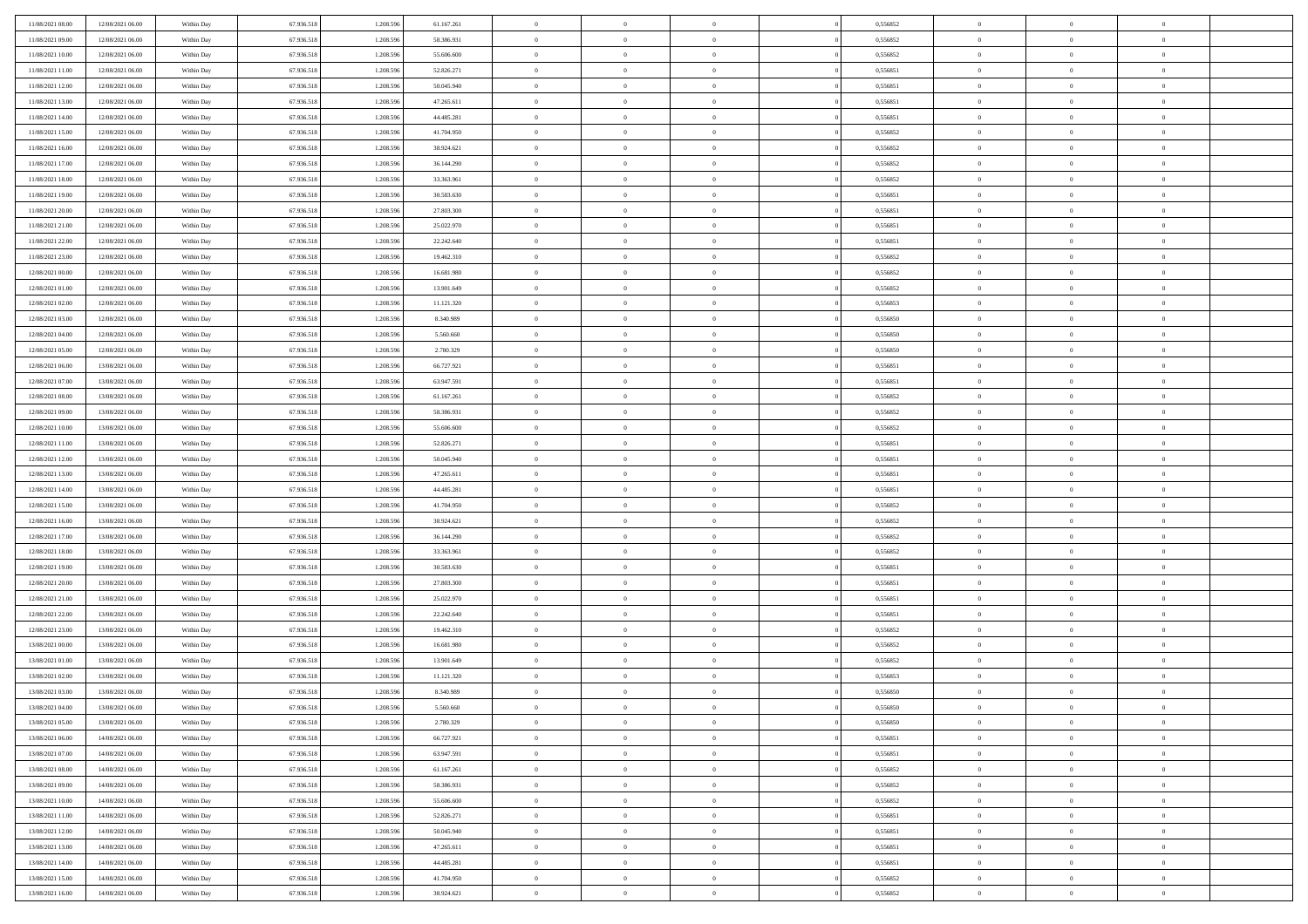| 11/08/2021 08:00 | 12/08/2021 06:00 | Within Day               | 67.936.518 | 1.208.596 | 61.167.261 | $\,$ 0 $\,$    | $\overline{0}$ | $\overline{0}$ |          | 0,556852 | $\bf{0}$       | $\overline{0}$ | $\,0\,$        |  |
|------------------|------------------|--------------------------|------------|-----------|------------|----------------|----------------|----------------|----------|----------|----------------|----------------|----------------|--|
| 11/08/2021 09:00 | 12/08/2021 06:00 | Within Day               | 67.936.518 | 1.208.596 | 58.386.931 | $\theta$       | $\overline{0}$ | $\mathbf{0}$   |          | 0.556852 | $\theta$       | $\overline{0}$ | $\theta$       |  |
| 11/08/2021 10:00 | 12/08/2021 06:00 | Within Day               | 67.936.518 | 1.208.596 | 55.606.600 | $\theta$       | $\overline{0}$ | $\overline{0}$ |          | 0,556852 | $\mathbf{0}$   | $\overline{0}$ | $\overline{0}$ |  |
| 11/08/2021 11:00 | 12/08/2021 06:00 | Within Day               | 67.936.518 | 1.208.596 | 52.826.271 | $\,$ 0 $\,$    | $\overline{0}$ | $\overline{0}$ |          | 0,556851 | $\bf{0}$       | $\overline{0}$ | $\bf{0}$       |  |
| 11/08/2021 12:00 | 12/08/2021 06:00 | Within Day               | 67.936.518 | 1.208.596 | 50.045.940 | $\bf{0}$       | $\overline{0}$ | $\mathbf{0}$   |          | 0,556851 | $\bf{0}$       | $\theta$       | $\,0\,$        |  |
| 11/08/2021 13:00 | 12/08/2021 06:00 | Within Day               | 67.936.518 | 1.208.596 | 47.265.611 | $\theta$       | $\overline{0}$ | $\mathbf{0}$   |          | 0,556851 | $\mathbf{0}$   | $\overline{0}$ | $\overline{0}$ |  |
| 11/08/2021 14:00 | 12/08/2021 06:00 | Within Day               | 67.936.518 | 1.208.596 | 44.485.281 | $\,$ 0 $\,$    | $\overline{0}$ | $\overline{0}$ |          | 0,556851 | $\bf{0}$       | $\overline{0}$ | $\bf{0}$       |  |
|                  |                  |                          |            |           |            |                |                |                |          |          |                | $\overline{0}$ |                |  |
| 11/08/2021 15:00 | 12/08/2021 06:00 | Within Day               | 67.936.518 | 1.208.596 | 41.704.950 | $\,$ 0         | $\overline{0}$ | $\mathbf{0}$   |          | 0,556852 | $\,$ 0 $\,$    |                | $\theta$       |  |
| 11/08/2021 16:00 | 12/08/2021 06:00 | Within Day               | 67.936.518 | 1.208.596 | 38.924.621 | $\theta$       | $\overline{0}$ | $\mathbf{0}$   |          | 0,556852 | $\mathbf{0}$   | $\overline{0}$ | $\overline{0}$ |  |
| 11/08/2021 17:00 | 12/08/2021 06:00 | Within Day               | 67.936.518 | 1.208.596 | 36.144.290 | $\,$ 0 $\,$    | $\overline{0}$ | $\Omega$       |          | 0,556852 | $\bf{0}$       | $\overline{0}$ | $\,0\,$        |  |
| 11/08/2021 18:00 | 12/08/2021 06:00 | Within Day               | 67.936.518 | 1.208.596 | 33.363.961 | $\bf{0}$       | $\overline{0}$ | $\mathbf{0}$   |          | 0,556852 | $\bf{0}$       | $\mathbf{0}$   | $\theta$       |  |
| 11/08/2021 19:00 | 12/08/2021 06:00 | Within Day               | 67.936.518 | 1.208.596 | 30.583.630 | $\theta$       | $\overline{0}$ | $\overline{0}$ |          | 0,556851 | $\mathbf{0}$   | $\overline{0}$ | $\overline{0}$ |  |
| 11/08/2021 20:00 | 12/08/2021 06:00 | Within Day               | 67.936.518 | 1.208.596 | 27.803.300 | $\,$ 0 $\,$    | $\overline{0}$ | $\overline{0}$ |          | 0,556851 | $\bf{0}$       | $\overline{0}$ | $\bf{0}$       |  |
| 11/08/2021 21:00 | 12/08/2021 06:00 | Within Day               | 67.936.518 | 1.208.596 | 25.022.970 | $\bf{0}$       | $\overline{0}$ | $\mathbf{0}$   |          | 0,556851 | $\bf{0}$       | $\theta$       | $\,0\,$        |  |
| 11/08/2021 22:00 | 12/08/2021 06:00 | Within Day               | 67.936.518 | 1.208.596 | 22.242.640 | $\theta$       | $\overline{0}$ | $\mathbf{0}$   |          | 0,556851 | $\mathbf{0}$   | $\overline{0}$ | $\overline{0}$ |  |
| 11/08/2021 23:00 | 12/08/2021 06:00 | Within Day               | 67.936.518 | 1.208.596 | 19.462.310 | $\,$ 0 $\,$    | $\overline{0}$ | $\Omega$       |          | 0,556852 | $\bf{0}$       | $\overline{0}$ | $\bf{0}$       |  |
| 12/08/2021 00:00 | 12/08/2021 06:00 | Within Day               | 67.936.518 | 1.208.596 | 16.681.980 | $\,$ 0         | $\overline{0}$ | $\mathbf{0}$   |          | 0,556852 | $\bf{0}$       | $\overline{0}$ | $\theta$       |  |
| 12/08/2021 01:00 | 12/08/2021 06:00 | Within Day               | 67.936.518 | 1.208.596 | 13.901.649 | $\theta$       | $\overline{0}$ | $\mathbf{0}$   |          | 0,556852 | $\mathbf{0}$   | $\overline{0}$ | $\overline{0}$ |  |
| 12/08/2021 02:00 | 12/08/2021 06:00 | Within Day               | 67.936.518 | 1.208.596 | 11.121.320 | $\,$ 0 $\,$    | $\overline{0}$ | $\overline{0}$ |          | 0,556853 | $\bf{0}$       | $\overline{0}$ | $\,0\,$        |  |
| 12/08/2021 03:00 | 12/08/2021 06:00 | Within Day               | 67.936.518 | 1.208.596 | 8.340.989  | $\bf{0}$       | $\overline{0}$ | $\mathbf{0}$   |          | 0,556850 | $\bf{0}$       | $\mathbf{0}$   | $\theta$       |  |
| 12/08/2021 04:00 | 12/08/2021 06:00 | Within Day               | 67.936.518 | 1.208.596 | 5.560.660  | $\theta$       | $\overline{0}$ | $\mathbf{0}$   |          | 0,556850 | $\mathbf{0}$   | $\overline{0}$ | $\overline{0}$ |  |
| 12/08/2021 05:00 | 12/08/2021 06:00 | Within Day               | 67.936.518 | 1.208.596 | 2.780.329  | $\,$ 0 $\,$    | $\overline{0}$ | $\overline{0}$ |          | 0,556850 | $\bf{0}$       | $\overline{0}$ | $\bf{0}$       |  |
| 12/08/2021 06:00 | 13/08/2021 06:00 | Within Day               | 67.936.518 | 1.208.596 | 66.727.921 | $\,$ 0         | $\overline{0}$ | $\mathbf{0}$   |          | 0,556851 | $\bf{0}$       | $\overline{0}$ | $\,0\,$        |  |
| 12/08/2021 07:00 | 13/08/2021 06:00 | Within Day               | 67.936.518 | 1.208.596 | 63.947.591 | $\theta$       | $\overline{0}$ | $\mathbf{0}$   |          | 0,556851 | $\mathbf{0}$   | $\overline{0}$ | $\overline{0}$ |  |
| 12/08/2021 08:00 | 13/08/2021 06:00 | Within Day               | 67.936.518 | 1.208.596 | 61.167.261 | $\,$ 0 $\,$    | $\overline{0}$ | $\overline{0}$ |          | 0,556852 | $\bf{0}$       | $\overline{0}$ | $\bf{0}$       |  |
| 12/08/2021 09:00 | 13/08/2021 06:00 | Within Day               | 67.936.518 | 1.208.596 | 58.386.931 | $\,$ 0         | $\overline{0}$ | $\mathbf{0}$   |          | 0,556852 | $\bf{0}$       | $\overline{0}$ | $\theta$       |  |
| 12/08/2021 10:00 | 13/08/2021 06:00 | Within Day               | 67.936.518 | 1.208.596 | 55.606.600 | $\theta$       | $\overline{0}$ | $\mathbf{0}$   |          | 0,556852 | $\mathbf{0}$   | $\overline{0}$ | $\overline{0}$ |  |
| 12/08/2021 11:00 | 13/08/2021 06:00 | Within Day               | 67.936.518 | 1.208.596 | 52.826.271 | $\,$ 0 $\,$    | $\overline{0}$ | $\overline{0}$ |          | 0,556851 | $\bf{0}$       | $\overline{0}$ | $\bf{0}$       |  |
| 12/08/2021 12:00 | 13/08/2021 06:00 | Within Day               | 67.936.518 | 1.208.596 | 50.045.940 | $\bf{0}$       | $\overline{0}$ | $\mathbf{0}$   |          | 0,556851 | $\bf{0}$       | $\mathbf{0}$   | $\overline{0}$ |  |
| 12/08/2021 13:00 | 13/08/2021 06:00 | Within Day               | 67.936.518 | 1.208.596 | 47.265.611 | $\theta$       | $\overline{0}$ | $\overline{0}$ |          | 0,556851 | $\mathbf{0}$   | $\overline{0}$ | $\overline{0}$ |  |
| 12/08/2021 14:00 | 13/08/2021 06:00 | Within Day               | 67.936.518 | 1.208.596 | 44.485.281 | $\theta$       | $\overline{0}$ | $\overline{0}$ |          | 0,556851 | $\,$ 0         | $\overline{0}$ | $\,$ 0 $\,$    |  |
| 12/08/2021 15:00 | 13/08/2021 06:00 |                          | 67.936.518 | 1.208.596 | 41.704.950 | $\bf{0}$       | $\overline{0}$ | $\mathbf{0}$   |          | 0,556852 | $\bf{0}$       | $\mathbf{0}$   | $\bf{0}$       |  |
| 12/08/2021 16:00 | 13/08/2021 06:00 | Within Day<br>Within Day | 67.936.518 | 1.208.596 | 38.924.621 | $\theta$       | $\overline{0}$ | $\mathbf{0}$   |          | 0,556852 | $\mathbf{0}$   | $\overline{0}$ | $\overline{0}$ |  |
|                  |                  |                          |            |           |            | $\theta$       | $\overline{0}$ | $\overline{0}$ |          |          | $\,$ 0         | $\overline{0}$ | $\theta$       |  |
| 12/08/2021 17:00 | 13/08/2021 06:00 | Within Day               | 67.936.518 | 1.208.596 | 36.144.290 |                |                |                |          | 0,556852 |                | $\overline{0}$ |                |  |
| 12/08/2021 18:00 | 13/08/2021 06:00 | Within Day               | 67.936.518 | 1.208.596 | 33.363.961 | $\bf{0}$       | $\overline{0}$ | $\mathbf{0}$   |          | 0,556852 | $\mathbf{0}$   |                | $\overline{0}$ |  |
| 12/08/2021 19:00 | 13/08/2021 06:00 | Within Day               | 67.936.518 | 1.208.596 | 30.583.630 | $\theta$       | $\overline{0}$ | $\mathbf{0}$   |          | 0,556851 | $\mathbf{0}$   | $\overline{0}$ | $\overline{0}$ |  |
| 12/08/2021 20:00 | 13/08/2021 06:00 | Within Day               | 67.936.518 | 1.208.596 | 27.803.300 | $\theta$       | $\overline{0}$ | $\overline{0}$ |          | 0,556851 | $\,$ 0         | $\overline{0}$ | $\theta$       |  |
| 12/08/2021 21:00 | 13/08/2021 06:00 | Within Day               | 67.936.518 | 1.208.596 | 25.022.970 | $\bf{0}$       | $\overline{0}$ | $\mathbf{0}$   |          | 0,556851 | $\bf{0}$       | $\mathbf{0}$   | $\bf{0}$       |  |
| 12/08/2021 22:00 | 13/08/2021 06:00 | Within Day               | 67.936.518 | 1.208.596 | 22.242.640 | $\theta$       | $\overline{0}$ | $\overline{0}$ |          | 0,556851 | $\mathbf{0}$   | $\overline{0}$ | $\overline{0}$ |  |
| 12/08/2021 23:00 | 13/08/2021 06:00 | Within Day               | 67.936.518 | 1.208.596 | 19.462.310 | $\,$ 0 $\,$    | $\overline{0}$ | $\overline{0}$ |          | 0,556852 | $\,$ 0         | $\overline{0}$ | $\,$ 0 $\,$    |  |
| 13/08/2021 00:00 | 13/08/2021 06:00 | Within Day               | 67.936.518 | 1.208.596 | 16.681.980 | $\,$ 0         | $\,$ 0 $\,$    | $\overline{0}$ |          | 0,556852 | $\,$ 0 $\,$    | $\overline{0}$ | $\overline{0}$ |  |
| 13/08/2021 01:00 | 13/08/2021 06:00 | Within Day               | 67.936.518 | 1.208.596 | 13.901.649 | $\theta$       | $\overline{0}$ | $\mathbf{0}$   |          | 0,556852 | $\mathbf{0}$   | $\overline{0}$ | $\theta$       |  |
| 13/08/2021 02:00 | 13/08/2021 06:00 | Within Day               | 67.936.518 | 1.208.596 | 11.121.320 | $\theta$       | $\overline{0}$ | $\overline{0}$ |          | 0,556853 | $\,$ 0         | $\overline{0}$ | $\theta$       |  |
| 13/08/2021 03:00 | 13/08/2021 06:00 | Within Day               | 67.936.518 | 1.208.596 | 8.340.989  | $\bf{0}$       | $\,$ 0 $\,$    | $\mathbf{0}$   |          | 0,556850 | $\bf{0}$       | $\overline{0}$ | $\overline{0}$ |  |
| 13/08/2021 04:00 | 13/08/2021 06:00 | Within Day               | 67.936.518 | 1.208.596 | 5.560.660  | $\overline{0}$ | $\theta$       |                |          | 0,556850 | $\overline{0}$ | $\theta$       | $\theta$       |  |
| 13/08/2021 05:00 | 13/08/2021 06:00 | Within Day               | 67.936.518 | 1.208.596 | 2.780.329  | $\,$ 0 $\,$    | $\overline{0}$ | $\overline{0}$ |          | 0,556850 | $\,$ 0 $\,$    | $\bf{0}$       | $\theta$       |  |
| 13/08/2021 06:00 | 14/08/2021 06:00 | Within Day               | 67.936.518 | 1.208.596 | 66.727.921 | $\bf{0}$       | $\,$ 0 $\,$    | $\overline{0}$ |          | 0,556851 | $\,$ 0 $\,$    | $\overline{0}$ | $\overline{0}$ |  |
| 13/08/2021 07:00 | 14/08/2021 06:00 | Within Day               | 67.936.518 | 1.208.596 | 63.947.591 | $\overline{0}$ | $\overline{0}$ | $\overline{0}$ |          | 0,556851 | $\,$ 0 $\,$    | $\bf{0}$       | $\mathbf{0}$   |  |
| 13/08/2021 08:00 | 14/08/2021 06:00 | Within Day               | 67.936.518 | 1.208.596 | 61.167.261 | $\,$ 0 $\,$    | $\overline{0}$ | $\overline{0}$ | $\theta$ | 0,556852 | $\,$ 0 $\,$    | $\bf{0}$       | $\,$ 0 $\,$    |  |
| 13/08/2021 09:00 | 14/08/2021 06:00 | Within Day               | 67.936.518 | 1.208.596 | 58.386.931 | $\,$ 0 $\,$    | $\,$ 0 $\,$    | $\overline{0}$ |          | 0,556852 | $\,$ 0 $\,$    | $\overline{0}$ | $\overline{0}$ |  |
| 13/08/2021 10:00 | 14/08/2021 06:00 | Within Day               | 67.936.518 | 1.208.596 | 55.606.600 | $\overline{0}$ | $\overline{0}$ | $\overline{0}$ |          | 0,556852 | $\mathbf{0}$   | $\overline{0}$ | $\overline{0}$ |  |
| 13/08/2021 11:00 | 14/08/2021 06:00 | Within Day               | 67.936.518 | 1.208.596 | 52.826.271 | $\,$ 0 $\,$    | $\overline{0}$ | $\overline{0}$ |          | 0,556851 | $\,$ 0 $\,$    | $\overline{0}$ | $\,$ 0 $\,$    |  |
| 13/08/2021 12:00 | 14/08/2021 06:00 | Within Day               | 67.936.518 | 1.208.596 | 50.045.940 | $\bf{0}$       | $\overline{0}$ | $\overline{0}$ |          | 0,556851 | $\,$ 0 $\,$    | $\overline{0}$ | $\overline{0}$ |  |
| 13/08/2021 13:00 | 14/08/2021 06:00 | Within Day               | 67.936.518 | 1.208.596 | 47.265.611 | $\mathbf{0}$   | $\overline{0}$ | $\overline{0}$ |          | 0,556851 | $\mathbf{0}$   | $\bf{0}$       | $\overline{0}$ |  |
| 13/08/2021 14:00 | 14/08/2021 06:00 | Within Day               | 67.936.518 | 1.208.596 | 44.485.281 | $\,$ 0 $\,$    | $\overline{0}$ | $\overline{0}$ |          | 0,556851 | $\,$ 0 $\,$    | $\overline{0}$ | $\,$ 0 $\,$    |  |
| 13/08/2021 15:00 | 14/08/2021 06:00 | Within Day               | 67.936.518 | 1.208.596 | 41.704.950 | $\,$ 0 $\,$    | $\,$ 0 $\,$    | $\overline{0}$ |          | 0,556852 | $\bf{0}$       | $\overline{0}$ | $\overline{0}$ |  |
| 13/08/2021 16:00 | 14/08/2021 06:00 | Within Day               | 67.936.518 | 1.208.596 | 38.924.621 | $\theta$       | $\overline{0}$ | $\overline{0}$ |          | 0,556852 | $\mathbf{0}$   | $\overline{0}$ | $\overline{0}$ |  |
|                  |                  |                          |            |           |            |                |                |                |          |          |                |                |                |  |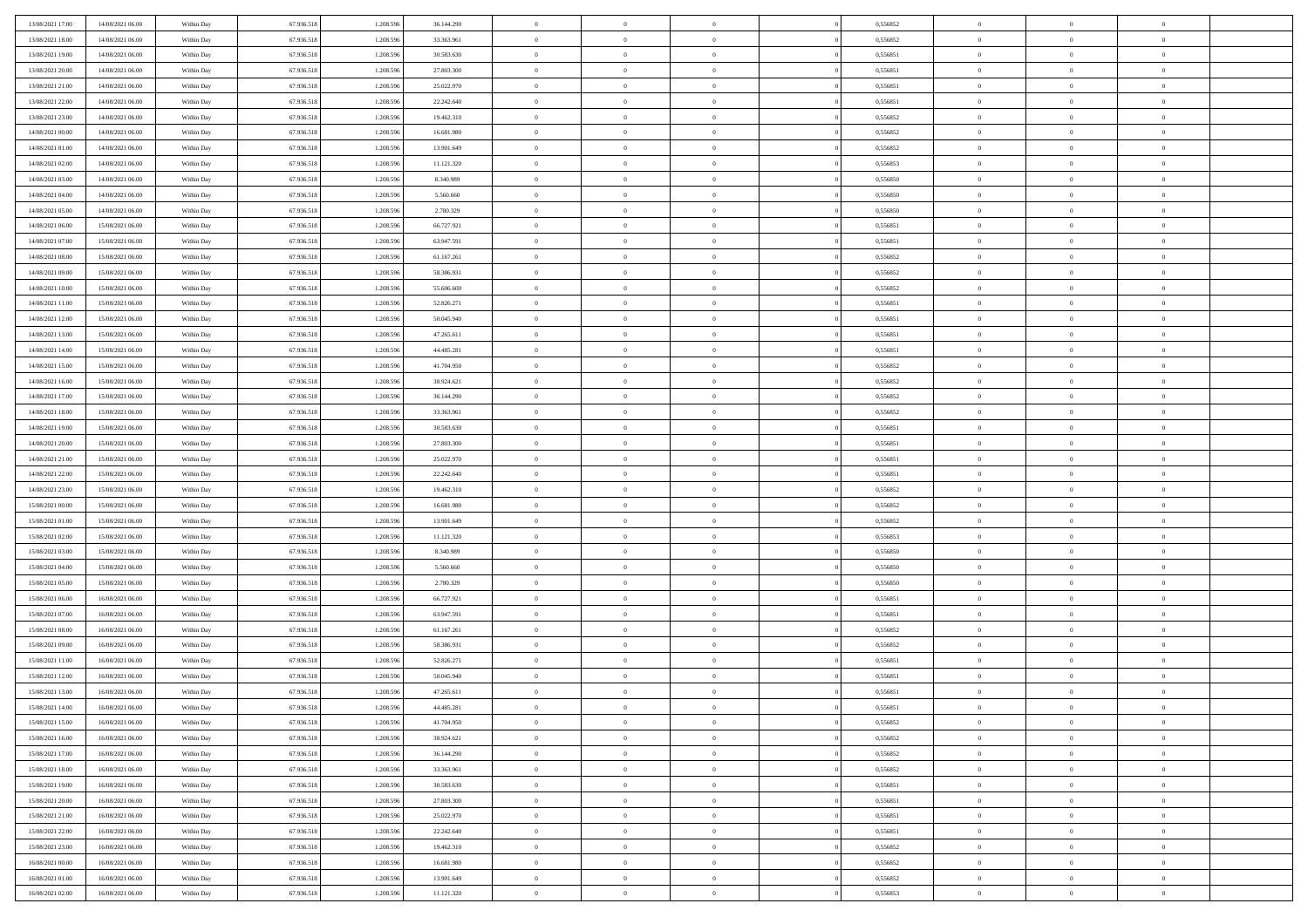| 13/08/2021 17:00 | 14/08/2021 06:00                     | Within Day               | 67.936.518               | 1.208.596              | 36.144.290               | $\bf{0}$       | $\overline{0}$                   | $\Omega$                 | 0,556852             | $\bf{0}$                 | $\overline{0}$ | $\bf{0}$                   |  |
|------------------|--------------------------------------|--------------------------|--------------------------|------------------------|--------------------------|----------------|----------------------------------|--------------------------|----------------------|--------------------------|----------------|----------------------------|--|
| 13/08/2021 18:00 | 14/08/2021 06:00                     | Within Day               | 67.936.518               | 1.208.596              | 33.363.961               | $\overline{0}$ | $\overline{0}$                   | $\overline{0}$           | 0,556852             | $\mathbf{0}$             | $\bf{0}$       | $\overline{0}$             |  |
| 13/08/2021 19:00 | 14/08/2021 06:00                     | Within Day               | 67.936.518               | 1.208.596              | 30.583.630               | $\theta$       | $\overline{0}$                   | $\overline{0}$           | 0,556851             | $\,$ 0                   | $\overline{0}$ | $\,$ 0 $\,$                |  |
| 13/08/2021 20:00 | 14/08/2021 06:00                     | Within Day               | 67.936.518               | 1.208.596              | 27,803,300               | $\mathbf{0}$   | $\overline{0}$                   | $\mathbf{0}$             | 0.556851             | $\bf{0}$                 | $\mathbf{0}$   | $\theta$                   |  |
| 13/08/2021 21:00 | 14/08/2021 06:00                     | Within Day               | 67.936.518               | 1.208.596              | 25.022.970               | $\overline{0}$ | $\overline{0}$                   | $\overline{0}$           | 0,556851             | $\mathbf{0}$             | $\bf{0}$       | $\overline{0}$             |  |
| 13/08/2021 22:00 | 14/08/2021 06:00                     | Within Day               | 67.936.518               | 1.208.596              | 22.242.640               | $\theta$       | $\overline{0}$                   | $\bf{0}$                 | 0,556851             | $\,$ 0                   | $\overline{0}$ | $\,$ 0 $\,$                |  |
| 13/08/2021 23:00 | 14/08/2021 06:00                     | Within Day               | 67.936.518               | 1.208.596              | 19.462.310               | $\,$ 0 $\,$    | $\overline{0}$                   | $\Omega$                 | 0.556852             | $\bf{0}$                 | $\overline{0}$ | $\theta$                   |  |
| 14/08/2021 00:00 | 14/08/2021 06:00                     | Within Day               | 67.936.518               | 1.208.596              | 16.681.980               | $\overline{0}$ | $\overline{0}$                   | $\overline{0}$           | 0,556852             | $\mathbf{0}$             | $\bf{0}$       | $\overline{0}$             |  |
|                  |                                      |                          |                          |                        |                          | $\theta$       |                                  |                          |                      | $\,$ 0                   | $\overline{0}$ | $\,$ 0 $\,$                |  |
| 14/08/2021 01:00 | 14/08/2021 06:00                     | Within Day               | 67.936.518               | 1.208.596<br>1.208.596 | 13.901.649               |                | $\overline{0}$                   | $\bf{0}$<br>$\mathbf{0}$ | 0,556852<br>0.556853 |                          | $\mathbf{0}$   |                            |  |
| 14/08/2021 02:00 | 14/08/2021 06:00                     | Within Day               | 67.936.518               |                        | 11.121.320               | $\mathbf{0}$   | $\overline{0}$<br>$\overline{0}$ |                          |                      | $\bf{0}$<br>$\mathbf{0}$ |                | $\theta$<br>$\overline{0}$ |  |
| 14/08/2021 03:00 | 14/08/2021 06:00                     | Within Day               | 67.936.518               | 1.208.596              | 8.340.989                | $\overline{0}$ |                                  | $\overline{0}$           | 0,556850             |                          | $\bf{0}$       |                            |  |
| 14/08/2021 04:00 | 14/08/2021 06:00                     | Within Day               | 67.936.518               | 1.208.596              | 5.560.660                | $\theta$       | $\overline{0}$                   | $\overline{0}$           | 0,556850             | $\,$ 0                   | $\overline{0}$ | $\,$ 0 $\,$                |  |
| 14/08/2021 05:00 | 14/08/2021 06:00                     | Within Day               | 67.936.518               | 1.208.596              | 2.780.329                | $\theta$       | $\overline{0}$                   | $\mathbf{0}$             | 0.556850             | $\bf{0}$                 | $\mathbf{0}$   | $\theta$                   |  |
| 14/08/2021 06:00 | 15/08/2021 06:00                     | Within Day               | 67.936.518               | 1.208.596              | 66.727.921               | $\overline{0}$ | $\overline{0}$                   | $\overline{0}$           | 0,556851             | $\mathbf{0}$             | $\bf{0}$       | $\overline{0}$             |  |
| 14/08/2021 07:00 | 15/08/2021 06:00                     | Within Day               | 67.936.518               | 1.208.596              | 63.947.591               | $\theta$       | $\overline{0}$                   | $\bf{0}$                 | 0,556851             | $\,$ 0                   | $\overline{0}$ | $\,$ 0 $\,$                |  |
| 14/08/2021 08:00 | 15/08/2021 06:00                     | Within Day               | 67.936.518               | 1.208.596              | 61.167.261               | $\bf{0}$       | $\overline{0}$                   | $\mathbf{0}$             | 0.556852             | $\bf{0}$                 | $\mathbf{0}$   | $\bf{0}$                   |  |
| 14/08/2021 09:00 | 15/08/2021 06:00                     | Within Dav               | 67.936.518               | 1.208.596              | 58.386.931               | $\overline{0}$ | $\overline{0}$                   | $\overline{0}$           | 0,556852             | $\mathbf{0}$             | $\bf{0}$       | $\overline{0}$             |  |
| 14/08/2021 10:00 | 15/08/2021 06:00                     | Within Day               | 67.936.518               | 1.208.596              | 55.606.600               | $\theta$       | $\overline{0}$                   | $\bf{0}$                 | 0,556852             | $\,$ 0                   | $\overline{0}$ | $\,$ 0 $\,$                |  |
| 14/08/2021 11:00 | 15/08/2021 06:00                     | Within Day               | 67.936.518               | 1.208.596              | 52.826.271               | $\overline{0}$ | $\overline{0}$                   | $\mathbf{0}$             | 0.556851             | $\theta$                 | $\mathbf{0}$   | $\theta$                   |  |
| 14/08/2021 12:00 | 15/08/2021 06:00                     | Within Dav               | 67.936.518               | 1.208.596              | 50.045.940               | $\overline{0}$ | $\overline{0}$                   | $\overline{0}$           | 0,556851             | $\mathbf{0}$             | $\bf{0}$       | $\overline{0}$             |  |
| 14/08/2021 13:00 | 15/08/2021 06:00                     | Within Day               | 67.936.518               | 1.208.596              | 47.265.611               | $\theta$       | $\overline{0}$                   | $\bf{0}$                 | 0,556851             | $\,$ 0                   | $\overline{0}$ | $\,$ 0 $\,$                |  |
| 14/08/2021 14:00 | 15/08/2021 06:00                     | Within Day               | 67.936.518               | 1.208.596              | 44.485.281               | $\overline{0}$ | $\overline{0}$                   | $\mathbf{0}$             | 0.556851             | $\bf{0}$                 | $\mathbf{0}$   | $\theta$                   |  |
| 14/08/2021 15:00 | 15/08/2021 06:00                     | Within Dav               | 67.936.518               | 1.208.596              | 41.704.950               | $\mathbf{0}$   | $\overline{0}$                   | $\overline{0}$           | 0,556852             | $\mathbf{0}$             | $\bf{0}$       | $\overline{0}$             |  |
| 14/08/2021 16:00 | 15/08/2021 06:00                     | Within Day               | 67.936.518               | 1.208.596              | 38.924.621               | $\theta$       | $\overline{0}$                   | $\bf{0}$                 | 0,556852             | $\,$ 0                   | $\overline{0}$ | $\,$ 0 $\,$                |  |
| 14/08/2021 17:00 | 15/08/2021 06:00                     | Within Day               | 67.936.518               | 1.208.596              | 36.144.290               | $\bf{0}$       | $\overline{0}$                   | $\mathbf{0}$             | 0,556852             | $\bf{0}$                 | $\overline{0}$ | $\bf{0}$                   |  |
| 14/08/2021 18:00 | 15/08/2021 06:00                     | Within Dav               | 67.936.518               | 1.208.596              | 33.363.961               | $\overline{0}$ | $\overline{0}$                   | $\overline{0}$           | 0,556852             | $\mathbf{0}$             | $\bf{0}$       | $\overline{0}$             |  |
| 14/08/2021 19:00 | 15/08/2021 06:00                     | Within Day               | 67.936.518               | 1.208.596              | 30.583.630               | $\theta$       | $\overline{0}$                   | $\bf{0}$                 | 0,556851             | $\,$ 0                   | $\overline{0}$ | $\,$ 0 $\,$                |  |
| 14/08/2021 20:00 | 15/08/2021 06:00                     | Within Day               | 67.936.518               | 1.208.596              | 27,803,300               | $\overline{0}$ | $\overline{0}$                   | $\mathbf{0}$             | 0.556851             | $\bf{0}$                 | $\mathbf{0}$   | $\theta$                   |  |
| 14/08/2021 21:00 | 15/08/2021 06:00                     | Within Dav               | 67.936.518               | 1.208.596              | 25.022.970               | $\mathbf{0}$   | $\overline{0}$                   | $\overline{0}$           | 0,556851             | $\mathbf{0}$             | $\bf{0}$       | $\overline{0}$             |  |
| 14/08/2021 22:00 | 15/08/2021 06:00                     | Within Day               | 67.936.518               | 1.208.596              | 22.242.640               | $\theta$       | $\overline{0}$                   | $\overline{0}$           | 0,556851             | $\,$ 0                   | $\overline{0}$ | $\,$ 0 $\,$                |  |
| 14/08/2021 23:00 | 15/08/2021 06:00                     | Within Day               | 67.936.518               | 1.208.596              | 19.462.310               | $\,$ 0 $\,$    | $\overline{0}$                   | $\overline{0}$           | 0,556852             | $\bf{0}$                 | $\overline{0}$ | $\,0\,$                    |  |
| 15/08/2021 00:00 | 15/08/2021 06:00                     | Within Dav               | 67.936.518               | 1.208.596              | 16.681.980               | $\overline{0}$ | $\overline{0}$                   | $\overline{0}$           | 0,556852             | $\mathbf{0}$             | $\bf{0}$       | $\overline{0}$             |  |
| 15/08/2021 01:00 | 15/08/2021 06:00                     | Within Day               | 67.936.518               | 1.208.596              | 13.901.649               | $\theta$       | $\overline{0}$                   | $\bf{0}$                 | 0,556852             | $\,$ 0                   | $\overline{0}$ | $\,$ 0 $\,$                |  |
| 15/08/2021 02:00 | 15/08/2021 06:00                     | Within Day               | 67.936.518               | 1.208.596              | 11.121.320               | $\,$ 0 $\,$    | $\overline{0}$                   | $\overline{0}$           | 0,556853             | $\bf{0}$                 | $\overline{0}$ | $\,0\,$                    |  |
| 15/08/2021 03:00 | 15/08/2021 06:00                     | Within Dav               | 67.936.518               | 1.208.596              | 8.340.989                | $\theta$       | $\overline{0}$                   | $\overline{0}$           | 0,556850             | $\mathbf{0}$             | $\bf{0}$       | $\overline{0}$             |  |
| 15/08/2021 04:00 | 15/08/2021 06:00                     | Within Day               | 67.936.518               | 1.208.596              | 5.560.660                | $\theta$       | $\overline{0}$                   | $\bf{0}$                 | 0,556850             | $\,$ 0                   | $\overline{0}$ | $\,$ 0 $\,$                |  |
| 15/08/2021 05:00 | 15/08/2021 06:00                     | Within Day               | 67.936.518               | 1.208.596              | 2.780.329                | $\,$ 0 $\,$    | $\overline{0}$                   | $\overline{0}$           | 0,556850             | $\bf{0}$                 | $\overline{0}$ | $\,0\,$                    |  |
| 15/08/2021 06:00 | 16/08/2021 06:00                     | Within Dav               | 67.936.518               | 1.208.596              | 66.727.921               | $\overline{0}$ | $\overline{0}$                   | $\overline{0}$           | 0,556851             | $\mathbf{0}$             | $\bf{0}$       | $\overline{0}$             |  |
| 15/08/2021 07:00 | 16/08/2021 06:00                     | Within Day               | 67.936.518               | 1.208.596              | 63.947.591               | $\theta$       | $\overline{0}$                   | $\bf{0}$                 | 0,556851             | $\,$ 0                   | $\overline{0}$ | $\,$ 0 $\,$                |  |
| 15/08/2021 08:00 | 16/08/2021 06:00                     | Within Day               | 67.936.518               | 1.208.596              | 61.167.261               | $\,$ 0 $\,$    | $\overline{0}$                   | $\overline{0}$           | 0,556852             | $\bf{0}$                 | $\overline{0}$ | $\,0\,$                    |  |
| 15/08/2021 09:00 | 16/08/2021 06:00                     | Within Dav               | 67.936.518               | 1.208.596              | 58.386.931               | $\theta$       | $\overline{0}$                   | $\overline{0}$           | 0,556852             | $\mathbf{0}$             | $\bf{0}$       | $\overline{0}$             |  |
| 15/08/2021 11:00 | 16/08/2021 06:00                     | Within Day               | 67.936.518               | 1.208.596              | 52.826.271               | $\theta$       | $\overline{0}$                   | $\bf{0}$                 | 0,556851             | $\,$ 0                   | $\overline{0}$ | $\,$ 0 $\,$                |  |
| 15/08/2021 12:00 |                                      |                          |                          |                        |                          | $\,$ 0 $\,$    |                                  | $\overline{0}$           |                      | $\bf{0}$                 | $\overline{0}$ | $\,0\,$                    |  |
| 15/08/2021 13:00 | 16/08/2021 06:00<br>16/08/2021 06:00 | Within Day<br>Within Dav | 67.936.518<br>67.936.518 | 1.208.596<br>1.208.596 | 50.045.940<br>47.265.611 | $\theta$       | $\overline{0}$<br>$\overline{0}$ | $\overline{0}$           | 0,556851<br>0,556851 | $\mathbf{0}$             | $\bf{0}$       | $\overline{0}$             |  |
|                  |                                      |                          |                          |                        |                          | $\overline{0}$ | $\overline{0}$                   |                          |                      | $\overline{0}$           |                | $\theta$                   |  |
| 15/08/2021 14:00 | 16/08/2021 06:00                     | Within Day               | 67.936.518               | 1.208.596              | 44.485.281               |                |                                  | $\overline{0}$           | 0,556851             |                          | $\overline{0}$ |                            |  |
| 15/08/2021 15:00 | 16/08/2021 06:00                     | Within Day               | 67.936.518               | 1.208.596              | 41.704.950               | $\bf{0}$       | $\overline{0}$                   | $\overline{0}$           | 0,556852             | $\mathbf{0}$             | $\overline{0}$ | $\bf{0}$                   |  |
| 15/08/2021 16:00 | 16/08/2021 06:00                     | Within Day               | 67.936.518               | 1.208.596              | 38.924.621               | $\overline{0}$ | $\overline{0}$                   | $\overline{0}$           | 0,556852             | $\overline{0}$           | $\bf{0}$       | $\overline{0}$             |  |
| 15/08/2021 17:00 | 16/08/2021 06:00                     | Within Day               | 67.936.518               | 1.208.596              | 36.144.290               | $\,$ 0         | $\overline{0}$                   | $\overline{0}$           | 0,556852             | $\,$ 0 $\,$              | $\,$ 0 $\,$    | $\,$ 0 $\,$                |  |
| 15/08/2021 18:00 | 16/08/2021 06:00                     | Within Day               | 67.936.518               | 1.208.596              | 33.363.961               | $\bf{0}$       | $\overline{0}$                   | $\overline{0}$           | 0,556852             | $\mathbf{0}$             | $\overline{0}$ | $\bf{0}$                   |  |
| 15/08/2021 19:00 | 16/08/2021 06:00                     | Within Day               | 67.936.518               | 1.208.596              | 30.583.630               | $\,$ 0 $\,$    | $\overline{0}$                   | $\overline{0}$           | 0,556851             | $\,$ 0 $\,$              | $\bf{0}$       | $\overline{0}$             |  |
| 15/08/2021 20:00 | 16/08/2021 06:00                     | Within Day               | 67.936.518               | 1.208.596              | 27.803.300               | $\,$ 0         | $\overline{0}$                   | $\overline{0}$           | 0,556851             | $\,$ 0 $\,$              | $\overline{0}$ | $\,$ 0 $\,$                |  |
| 15/08/2021 21:00 | 16/08/2021 06:00                     | Within Day               | 67.936.518               | 1.208.596              | 25.022.970               | $\bf{0}$       | $\overline{0}$                   | $\overline{0}$           | 0,556851             | $\overline{0}$           | $\overline{0}$ | $\overline{0}$             |  |
| 15/08/2021 22:00 | 16/08/2021 06:00                     | Within Day               | 67.936.518               | 1.208.596              | 22.242.640               | $\,$ 0 $\,$    | $\overline{0}$                   | $\overline{0}$           | 0,556851             | $\,$ 0 $\,$              | $\bf{0}$       | $\overline{0}$             |  |
| 15/08/2021 23:00 | 16/08/2021 06:00                     | Within Day               | 67.936.518               | 1.208.596              | 19.462.310               | $\,$ 0         | $\overline{0}$                   | $\overline{0}$           | 0,556852             | $\,$ 0 $\,$              | $\,$ 0 $\,$    | $\,$ 0 $\,$                |  |
| 16/08/2021 00:00 | 16/08/2021 06:00                     | Within Day               | 67.936.518               | 1.208.596              | 16.681.980               | $\bf{0}$       | $\overline{0}$                   | $\overline{0}$           | 0,556852             | $\mathbf{0}$             | $\overline{0}$ | $\bf{0}$                   |  |
| 16/08/2021 01:00 | 16/08/2021 06:00                     | Within Day               | 67.936.518               | 1.208.596              | 13.901.649               | $\,$ 0 $\,$    | $\overline{0}$                   | $\overline{0}$           | 0,556852             | $\overline{0}$           | $\bf{0}$       | $\overline{0}$             |  |
| 16/08/2021 02:00 | 16/08/2021 06:00                     | Within Day               | 67.936.518               | 1.208.596              | 11.121.320               | $\,$ 0 $\,$    | $\overline{0}$                   | $\overline{0}$           | 0,556853             | $\,$ 0 $\,$              | $\overline{0}$ | $\,$ 0 $\,$                |  |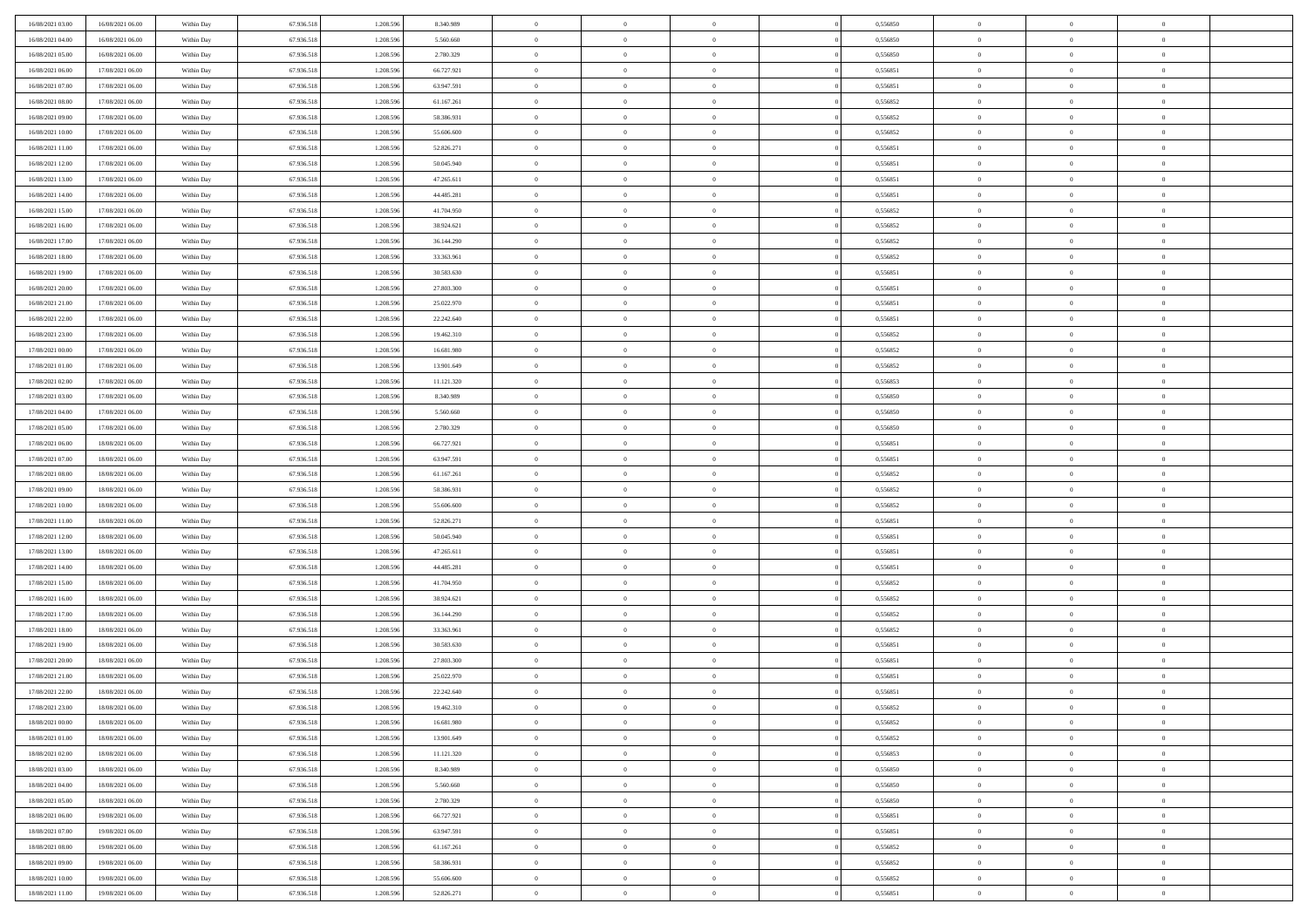| 16/08/2021 03:00                     | 16/08/2021 06:00                     | Within Day | 67.936.518               | 1.208.596              | 8.340.989                | $\bf{0}$                 | $\overline{0}$                   | $\Omega$                         | 0,556850             | $\bf{0}$                       | $\overline{0}$             | $\bf{0}$                   |  |
|--------------------------------------|--------------------------------------|------------|--------------------------|------------------------|--------------------------|--------------------------|----------------------------------|----------------------------------|----------------------|--------------------------------|----------------------------|----------------------------|--|
| 16/08/2021 04:00                     | 16/08/2021 06:00                     | Within Dav | 67.936.518               | 1.208.596              | 5.560.660                | $\overline{0}$           | $\overline{0}$                   | $\overline{0}$                   | 0,556850             | $\mathbf{0}$                   | $\bf{0}$                   | $\overline{0}$             |  |
| 16/08/2021 05:00                     | 16/08/2021 06:00                     | Within Day | 67.936.518               | 1.208.596              | 2.780.329                | $\theta$                 | $\overline{0}$                   | $\overline{0}$                   | 0,556850             | $\,$ 0                         | $\overline{0}$             | $\,$ 0 $\,$                |  |
| 16/08/2021 06:00                     | 17/08/2021 06:00                     | Within Day | 67.936.518               | 1.208.596              | 66.727.921               | $\mathbf{0}$             | $\overline{0}$                   | $\mathbf{0}$                     | 0.556851             | $\bf{0}$                       | $\mathbf{0}$               | $\theta$                   |  |
| 16/08/2021 07:00                     | 17/08/2021 06:00                     | Within Dav | 67.936.518               | 1.208.596              | 63.947.591               | $\mathbf{0}$             | $\overline{0}$                   | $\overline{0}$                   | 0,556851             | $\mathbf{0}$                   | $\bf{0}$                   | $\overline{0}$             |  |
| 16/08/2021 08:00                     | 17/08/2021 06:00                     | Within Day | 67.936.518               | 1.208.596              | 61.167.261               | $\theta$                 | $\overline{0}$                   | $\bf{0}$                         | 0,556852             | $\,$ 0                         | $\overline{0}$             | $\,$ 0 $\,$                |  |
| 16/08/2021 09:00                     | 17/08/2021 06:00                     | Within Day | 67.936.518               | 1.208.596              | 58,386,931               | $\,$ 0 $\,$              | $\overline{0}$                   | $\Omega$                         | 0.556852             | $\bf{0}$                       | $\bf{0}$                   | $\theta$                   |  |
| 16/08/2021 10:00                     | 17/08/2021 06:00                     | Within Dav | 67.936.518               | 1.208.596              | 55.606.600               | $\overline{0}$           | $\overline{0}$                   | $\overline{0}$                   | 0,556852             | $\mathbf{0}$                   | $\bf{0}$                   | $\overline{0}$             |  |
| 16/08/2021 11:00                     | 17/08/2021 06:00                     | Within Day | 67.936.518               | 1.208.596              | 52.826.271               | $\theta$                 | $\overline{0}$                   | $\bf{0}$                         | 0,556851             | $\,$ 0                         | $\overline{0}$             | $\,$ 0 $\,$                |  |
| 16/08/2021 12:00                     | 17/08/2021 06:00                     | Within Day | 67.936.518               | 1.208.596              | 50.045.940               | $\mathbf{0}$             | $\overline{0}$                   | $\mathbf{0}$                     | 0.556851             | $\bf{0}$                       | $\mathbf{0}$               | $\theta$                   |  |
| 16/08/2021 13:00                     | 17/08/2021 06:00                     | Within Day | 67.936.518               | 1.208.596              | 47.265.611               | $\overline{0}$           | $\overline{0}$                   | $\overline{0}$                   | 0,556851             | $\mathbf{0}$                   | $\bf{0}$                   | $\overline{0}$             |  |
| 16/08/2021 14:00                     | 17/08/2021 06:00                     | Within Day | 67.936.518               | 1.208.596              | 44.485.281               | $\theta$                 | $\overline{0}$                   | $\overline{0}$                   | 0,556851             | $\,$ 0                         | $\overline{0}$             | $\,$ 0 $\,$                |  |
| 16/08/2021 15:00                     | 17/08/2021 06:00                     | Within Day | 67.936.518               | 1.208.59               | 41,704,950               | $\theta$                 | $\overline{0}$                   | $\mathbf{0}$                     | 0.556852             | $\bf{0}$                       | $\mathbf{0}$               | $\theta$                   |  |
| 16/08/2021 16:00                     | 17/08/2021 06:00                     | Within Day | 67.936.518               | 1.208.596              | 38.924.621               | $\overline{0}$           | $\overline{0}$                   | $\overline{0}$                   | 0,556852             | $\mathbf{0}$                   | $\bf{0}$                   | $\overline{0}$             |  |
| 16/08/2021 17:00                     | 17/08/2021 06:00                     | Within Day | 67.936.518               | 1.208.596              | 36.144.290               | $\theta$                 | $\overline{0}$                   | $\bf{0}$                         | 0,556852             | $\,$ 0                         | $\overline{0}$             | $\,$ 0 $\,$                |  |
| 16/08/2021 18:00                     | 17/08/2021 06:00                     | Within Day | 67.936.518               | 1.208.596              | 33,363,961               | $\bf{0}$                 | $\overline{0}$                   | $\mathbf{0}$                     | 0.556852             | $\bf{0}$                       | $\mathbf{0}$               | $\bf{0}$                   |  |
| 16/08/2021 19:00                     | 17/08/2021 06:00                     | Within Day | 67.936.518               | 1.208.596              | 30.583.630               | $\overline{0}$           | $\overline{0}$                   | $\overline{0}$                   | 0,556851             | $\mathbf{0}$                   | $\bf{0}$                   | $\overline{0}$             |  |
| 16/08/2021 20:00                     | 17/08/2021 06:00                     | Within Day | 67.936.518               | 1.208.596              | 27.803.300               | $\theta$                 | $\overline{0}$                   | $\bf{0}$                         | 0,556851             | $\,$ 0                         | $\overline{0}$             | $\,$ 0 $\,$                |  |
| 16/08/2021 21:00                     | 17/08/2021 06:00                     | Within Day | 67.936.518               | 1.208.596              | 25.022.970               | $\mathbf{0}$             | $\overline{0}$                   | $\mathbf{0}$                     | 0.556851             | $\bf{0}$                       | $\mathbf{0}$               | $\theta$                   |  |
| 16/08/2021 22:00                     | 17/08/2021 06:00                     | Within Day | 67.936.518               | 1.208.596              | 22.242.640               | $\overline{0}$           | $\overline{0}$                   | $\overline{0}$                   | 0,556851             | $\mathbf{0}$                   | $\bf{0}$                   | $\overline{0}$             |  |
| 16/08/2021 23:00                     | 17/08/2021 06:00                     | Within Day | 67.936.518               | 1.208.596              | 19.462.310               | $\theta$                 | $\overline{0}$                   | $\bf{0}$                         | 0,556852             | $\,$ 0                         | $\overline{0}$             | $\,$ 0 $\,$                |  |
| 17/08/2021 00:00                     | 17/08/2021 06:00                     | Within Day | 67.936.518               | 1.208.596              | 16,681,980               | $\mathbf{0}$             | $\overline{0}$                   | $\mathbf{0}$                     | 0.556852             | $\bf{0}$                       | $\mathbf{0}$               | $\theta$                   |  |
| 17/08/2021 01:00                     | 17/08/2021 06:00                     | Within Day | 67.936.518               | 1.208.596              | 13.901.649               | $\overline{0}$           | $\overline{0}$                   | $\overline{0}$                   | 0,556852             | $\mathbf{0}$                   | $\bf{0}$                   | $\overline{0}$             |  |
| 17/08/2021 02:00                     | 17/08/2021 06:00                     | Within Day | 67.936.518               | 1.208.596              | 11.121.320               | $\theta$                 | $\overline{0}$                   | $\bf{0}$                         | 0,556853             | $\,$ 0                         | $\overline{0}$             | $\,$ 0 $\,$                |  |
| 17/08/2021 03:00                     | 17/08/2021 06:00                     | Within Day | 67.936.518               | 1.208.596              | 8.340.989                | $\bf{0}$                 | $\overline{0}$                   | $\mathbf{0}$                     | 0.556850             | $\bf{0}$                       | $\bf{0}$                   | $\bf{0}$                   |  |
| 17/08/2021 04:00                     | 17/08/2021 06:00                     | Within Day | 67.936.518               | 1.208.596              | 5.560.660                | $\overline{0}$           | $\overline{0}$                   | $\overline{0}$                   | 0,556850             | $\mathbf{0}$                   | $\bf{0}$                   | $\overline{0}$             |  |
| 17/08/2021 05:00                     | 17/08/2021 06:00                     | Within Day | 67.936.518               | 1.208.596              | 2.780.329                | $\theta$                 | $\overline{0}$                   | $\bf{0}$                         | 0,556850             | $\,$ 0                         | $\overline{0}$             | $\,$ 0 $\,$                |  |
| 17/08/2021 06:00                     | 18/08/2021 06:00                     | Within Day | 67.936.518               | 1.208.596              | 66.727.921               | $\mathbf{0}$             | $\overline{0}$                   | $\mathbf{0}$                     | 0.556851             | $\bf{0}$                       | $\mathbf{0}$               | $\theta$                   |  |
| 17/08/2021 07:00                     | 18/08/2021 06:00                     | Within Day | 67.936.518               | 1.208.596              | 63.947.591               | $\overline{0}$           | $\overline{0}$                   | $\overline{0}$                   | 0,556851             | $\mathbf{0}$                   | $\bf{0}$                   | $\overline{0}$             |  |
| 17/08/2021 08:00                     | 18/08/2021 06:00                     | Within Day | 67.936.518               | 1.208.596              | 61.167.261               | $\theta$                 | $\overline{0}$                   | $\overline{0}$                   | 0,556852             | $\,$ 0                         | $\overline{0}$             | $\,$ 0 $\,$                |  |
| 17/08/2021 09:00                     | 18/08/2021 06:00                     | Within Day | 67.936.518               | 1.208.596              | 58.386.931               | $\,$ 0 $\,$              | $\overline{0}$                   | $\overline{0}$                   | 0,556852             | $\bf{0}$                       | $\overline{0}$             | $\,0\,$                    |  |
| 17/08/2021 10:00                     | 18/08/2021 06:00                     | Within Day | 67.936.518               | 1.208.596              | 55.606.600               | $\overline{0}$           | $\overline{0}$                   | $\overline{0}$                   | 0,556852             | $\mathbf{0}$                   | $\bf{0}$                   | $\overline{0}$             |  |
| 17/08/2021 11:00                     | 18/08/2021 06:00                     | Within Day | 67.936.518               | 1.208.596              | 52.826.271               | $\theta$                 | $\overline{0}$                   | $\bf{0}$                         | 0,556851             | $\,$ 0                         | $\overline{0}$             | $\,$ 0 $\,$                |  |
| 17/08/2021 12:00                     | 18/08/2021 06:00                     | Within Day | 67.936.518               | 1.208.596              | 50.045.940               | $\,$ 0 $\,$              | $\overline{0}$                   | $\overline{0}$                   | 0,556851             | $\bf{0}$                       | $\overline{0}$             | $\,0\,$                    |  |
| 17/08/2021 13:00                     | 18/08/2021 06:00                     | Within Day | 67.936.518               | 1.208.596              | 47.265.611               | $\theta$                 | $\overline{0}$                   | $\overline{0}$                   | 0,556851             | $\mathbf{0}$                   | $\bf{0}$                   | $\overline{0}$             |  |
| 17/08/2021 14:00                     | 18/08/2021 06:00                     | Within Day | 67.936.518               | 1.208.596              | 44.485.281               | $\theta$                 | $\overline{0}$                   | $\bf{0}$                         | 0,556851             | $\,$ 0                         | $\overline{0}$             | $\,$ 0 $\,$                |  |
| 17/08/2021 15:00                     | 18/08/2021 06:00                     | Within Day | 67.936.518               | 1.208.596              | 41.704.950               | $\,$ 0 $\,$              | $\overline{0}$                   | $\overline{0}$                   | 0,556852             | $\bf{0}$                       | $\overline{0}$             | $\,0\,$                    |  |
| 17/08/2021 16:00                     | 18/08/2021 06:00                     | Within Dav | 67.936.518               | 1.208.596              | 38.924.621               | $\overline{0}$           | $\overline{0}$                   | $\overline{0}$                   | 0,556852             | $\mathbf{0}$                   | $\bf{0}$                   | $\overline{0}$             |  |
| 17/08/2021 17:00                     | 18/08/2021 06:00                     | Within Day | 67.936.518               | 1.208.596              | 36.144.290               | $\theta$                 | $\overline{0}$                   | $\bf{0}$                         | 0,556852             | $\,$ 0                         | $\overline{0}$             | $\,$ 0 $\,$                |  |
| 17/08/2021 18:00                     | 18/08/2021 06:00                     | Within Day | 67.936.518               | 1.208.596              | 33.363.961               | $\,$ 0 $\,$              | $\overline{0}$                   | $\overline{0}$                   | 0,556852             | $\bf{0}$                       | $\overline{0}$             | $\,0\,$                    |  |
| 17/08/2021 19:00                     | 18/08/2021 06:00                     | Within Dav | 67.936.518               | 1.208.596              | 30.583.630               | $\theta$                 | $\overline{0}$                   | $\overline{0}$                   | 0,556851             | $\mathbf{0}$                   | $\bf{0}$                   | $\overline{0}$             |  |
| 17/08/2021 20:00                     | 18/08/2021 06:00                     | Within Day | 67.936.518               | 1.208.596              | 27.803.300               | $\theta$                 | $\overline{0}$                   | $\bf{0}$                         | 0,556851             | $\,$ 0                         | $\overline{0}$             | $\,$ 0 $\,$                |  |
| 17/08/2021 21:00                     | 18/08/2021 06:00                     | Within Day | 67.936.518               | 1.208.596              | 25.022.970               | $\,$ 0 $\,$              | $\overline{0}$                   | $\overline{0}$                   | 0,556851             | $\bf{0}$                       | $\overline{0}$             | $\,0\,$                    |  |
| 17/08/2021 22:00                     | 18/08/2021 06:00                     | Within Dav | 67.936.518               | 1.208.596              | 22.242.640               | $\theta$                 | $\overline{0}$                   | $\overline{0}$                   | 0,556851             | $\mathbf{0}$                   | $\bf{0}$                   | $\overline{0}$             |  |
| 17/08/2021 23:00                     | 18/08/2021 06:00                     | Within Day | 67.936.518               | 1.208.596              | 19.462.310               | $\overline{0}$           | $\overline{0}$                   | $\overline{0}$                   | 0,556852             | $\overline{0}$                 | $\overline{0}$             | $\theta$                   |  |
| 18/08/2021 00:00                     | 18/08/2021 06:00                     | Within Day | 67.936.518               | 1.208.596              | 16.681.980               | $\bf{0}$                 | $\overline{0}$                   | $\overline{0}$                   | 0,556852             | $\mathbf{0}$                   | $\overline{0}$             | $\bf{0}$                   |  |
| 18/08/2021 01:00                     | 18/08/2021 06:00                     | Within Day | 67.936.518               | 1.208.596              | 13.901.649               | $\overline{0}$           | $\overline{0}$                   | $\overline{0}$                   | 0,556852             | $\overline{0}$                 | $\bf{0}$                   | $\overline{0}$             |  |
| 18/08/2021 02:00                     | 18/08/2021 06:00                     | Within Day | 67.936.518               | 1.208.596              | 11.121.320               | $\,$ 0 $\,$              | $\overline{0}$                   | $\overline{0}$                   | 0,556853             | $\,$ 0 $\,$                    | $\,$ 0 $\,$                | $\,$ 0 $\,$                |  |
| 18/08/2021 03:00                     | 18/08/2021 06:00                     | Within Day | 67.936.518               | 1.208.596              | 8.340.989                | $\bf{0}$                 | $\overline{0}$                   | $\overline{0}$                   | 0,556850             | $\mathbf{0}$                   | $\overline{0}$             | $\bf{0}$                   |  |
| 18/08/2021 04:00                     | 18/08/2021 06:00                     | Within Day | 67.936.518               | 1.208.596              | 5.560.660                | $\,$ 0 $\,$              | $\overline{0}$                   | $\overline{0}$                   | 0,556850             | $\,$ 0 $\,$                    | $\bf{0}$                   | $\overline{0}$             |  |
| 18/08/2021 05:00                     | 18/08/2021 06:00                     | Within Day | 67.936.518               | 1.208.596              | 2.780.329                | $\,$ 0                   | $\overline{0}$                   | $\overline{0}$                   | 0,556850             | $\,$ 0 $\,$                    | $\overline{0}$             | $\,$ 0 $\,$                |  |
| 18/08/2021 06:00                     | 19/08/2021 06:00                     | Within Day | 67.936.518               | 1.208.596              | 66.727.921               | $\bf{0}$                 | $\overline{0}$                   | $\overline{0}$                   | 0,556851             | $\overline{0}$                 | $\overline{0}$             | $\overline{0}$             |  |
| 18/08/2021 07:00                     | 19/08/2021 06:00                     | Within Day | 67.936.518               | 1.208.596              | 63.947.591               | $\,$ 0 $\,$              | $\overline{0}$                   | $\overline{0}$                   | 0,556851             | $\,$ 0 $\,$                    | $\bf{0}$                   | $\overline{0}$             |  |
| 18/08/2021 08:00                     | 19/08/2021 06:00                     | Within Day | 67.936.518               | 1.208.596              | 61.167.261               | $\,$ 0                   | $\overline{0}$                   | $\overline{0}$                   | 0,556852             | $\,$ 0 $\,$                    | $\,$ 0 $\,$                | $\,$ 0 $\,$                |  |
| 18/08/2021 09:00<br>18/08/2021 10:00 | 19/08/2021 06:00<br>19/08/2021 06:00 | Within Day | 67.936.518<br>67.936.518 | 1.208.596<br>1.208.596 | 58.386.931<br>55.606.600 | $\bf{0}$<br>$\mathbf{0}$ | $\overline{0}$<br>$\overline{0}$ | $\overline{0}$<br>$\overline{0}$ | 0,556852<br>0,556852 | $\mathbf{0}$<br>$\overline{0}$ | $\overline{0}$<br>$\bf{0}$ | $\bf{0}$<br>$\overline{0}$ |  |
|                                      |                                      | Within Day |                          |                        |                          |                          |                                  |                                  |                      |                                |                            |                            |  |
| 18/08/2021 11:00                     | 19/08/2021 06:00                     | Within Day | 67.936.518               | 1.208.596              | 52.826.271               | $\,$ 0 $\,$              | $\overline{0}$                   | $\overline{0}$                   | 0,556851             | $\,$ 0 $\,$                    | $\overline{0}$             | $\,$ 0 $\,$                |  |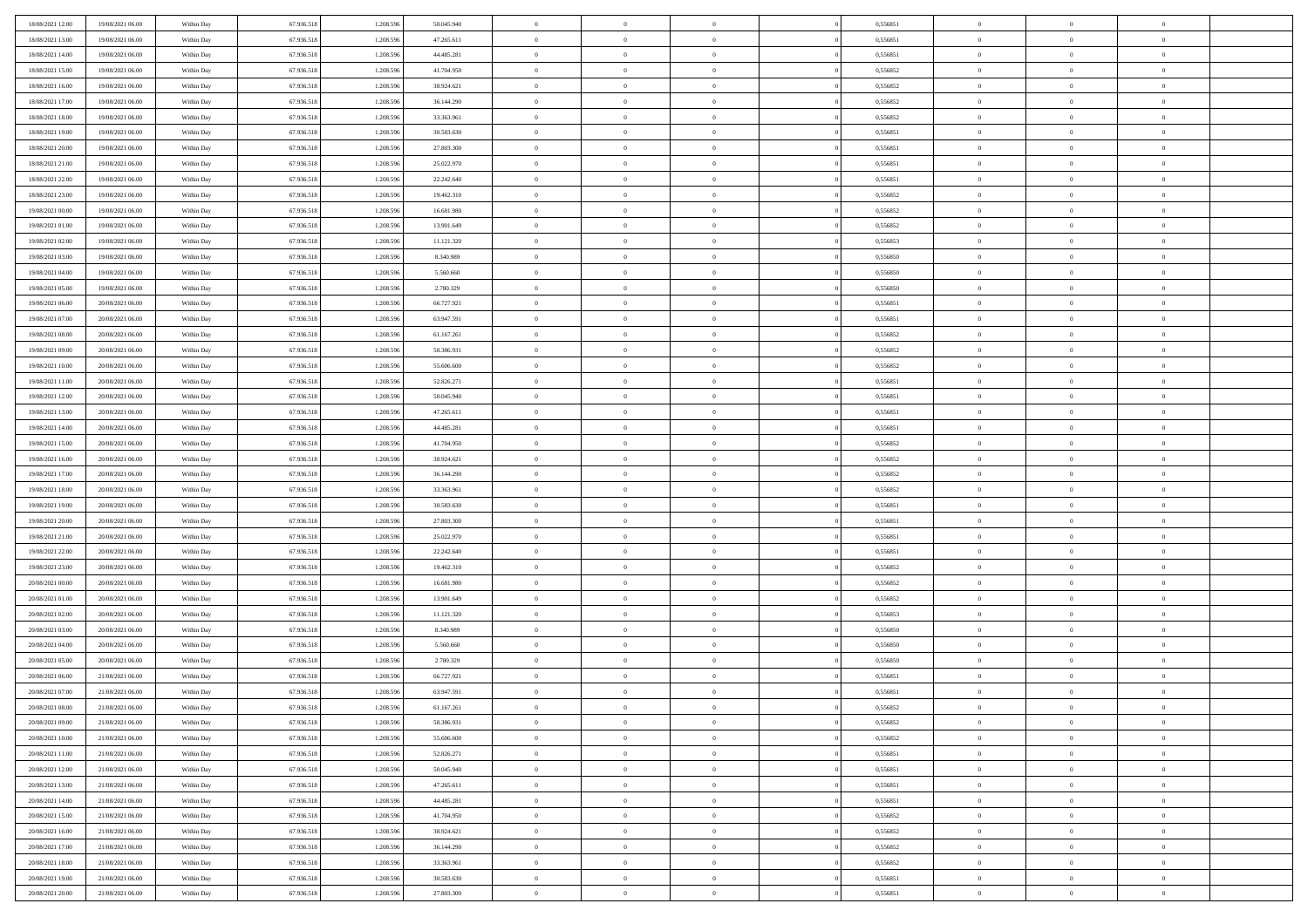| 18/08/2021 12:00 | 19/08/2021 06:00 | Within Day | 67.936.518 | 1.208.596 | 50.045.940 | $\,$ 0         | $\overline{0}$ | $\theta$       |          | 0,556851 | $\bf{0}$       | $\overline{0}$ | $\,0\,$        |  |
|------------------|------------------|------------|------------|-----------|------------|----------------|----------------|----------------|----------|----------|----------------|----------------|----------------|--|
| 18/08/2021 13:00 | 19/08/2021 06:00 | Within Day | 67.936.518 | 1.208.596 | 47.265.611 | $\overline{0}$ | $\overline{0}$ | $\overline{0}$ |          | 0.556851 | $\overline{0}$ | $\overline{0}$ | $\theta$       |  |
| 18/08/2021 14:00 | 19/08/2021 06:00 | Within Dav | 67.936.518 | 1.208.596 | 44.485.281 | $\mathbf{0}$   | $\overline{0}$ | $\overline{0}$ |          | 0,556851 | $\mathbf{0}$   | $\overline{0}$ | $\overline{0}$ |  |
| 18/08/2021 15:00 | 19/08/2021 06:00 | Within Day | 67.936.518 | 1.208.596 | 41.704.950 | $\bf{0}$       | $\overline{0}$ | $\bf{0}$       |          | 0,556852 | $\bf{0}$       | $\overline{0}$ | $\bf{0}$       |  |
| 18/08/2021 16:00 | 19/08/2021 06:00 | Within Day | 67.936.518 | 1.208.596 | 38.924.621 | $\bf{0}$       | $\overline{0}$ | $\overline{0}$ |          | 0,556852 | $\bf{0}$       | $\bf{0}$       | $\,0\,$        |  |
| 18/08/2021 17:00 | 19/08/2021 06:00 | Within Dav | 67.936.518 | 1.208.596 | 36.144.290 | $\mathbf{0}$   | $\overline{0}$ | $\overline{0}$ |          | 0,556852 | $\mathbf{0}$   | $\overline{0}$ | $\overline{0}$ |  |
| 18/08/2021 18:00 | 19/08/2021 06:00 | Within Day | 67.936.518 | 1.208.596 | 33.363.961 | $\bf{0}$       | $\overline{0}$ | $\overline{0}$ |          | 0,556852 | $\bf{0}$       | $\overline{0}$ | $\,0\,$        |  |
|                  |                  |            |            |           |            | $\overline{0}$ | $\overline{0}$ |                |          |          | $\,$ 0 $\,$    | $\overline{0}$ | $\theta$       |  |
| 18/08/2021 19:00 | 19/08/2021 06:00 | Within Day | 67.936.518 | 1.208.596 | 30.583.630 |                |                | $\overline{0}$ |          | 0,556851 |                |                |                |  |
| 18/08/2021 20:00 | 19/08/2021 06:00 | Within Day | 67.936.518 | 1.208.596 | 27.803.300 | $\mathbf{0}$   | $\overline{0}$ | $\overline{0}$ |          | 0,556851 | $\mathbf{0}$   | $\overline{0}$ | $\overline{0}$ |  |
| 18/08/2021 21:00 | 19/08/2021 06:00 | Within Day | 67.936.518 | 1.208.596 | 25.022.970 | $\bf{0}$       | $\overline{0}$ | $\overline{0}$ |          | 0,556851 | $\bf{0}$       | $\overline{0}$ | $\,0\,$        |  |
| 18/08/2021 22:00 | 19/08/2021 06:00 | Within Day | 67.936.518 | 1.208.596 | 22.242.640 | $\overline{0}$ | $\overline{0}$ | $\overline{0}$ |          | 0.556851 | $\bf{0}$       | $\overline{0}$ | $\theta$       |  |
| 18/08/2021 23:00 | 19/08/2021 06:00 | Within Dav | 67.936.518 | 1.208.596 | 19.462.310 | $\mathbf{0}$   | $\overline{0}$ | $\overline{0}$ |          | 0,556852 | $\mathbf{0}$   | $\overline{0}$ | $\overline{0}$ |  |
| 19/08/2021 00:00 | 19/08/2021 06:00 | Within Day | 67.936.518 | 1.208.596 | 16.681.980 | $\bf{0}$       | $\overline{0}$ | $\bf{0}$       |          | 0,556852 | $\bf{0}$       | $\overline{0}$ | $\bf{0}$       |  |
| 19/08/2021 01:00 | 19/08/2021 06:00 | Within Day | 67.936.518 | 1.208.596 | 13.901.649 | $\bf{0}$       | $\overline{0}$ | $\overline{0}$ |          | 0,556852 | $\bf{0}$       | $\mathbf{0}$   | $\,0\,$        |  |
| 19/08/2021 02:00 | 19/08/2021 06:00 | Within Dav | 67.936.518 | 1.208.596 | 11.121.320 | $\mathbf{0}$   | $\overline{0}$ | $\overline{0}$ |          | 0,556853 | $\mathbf{0}$   | $\overline{0}$ | $\overline{0}$ |  |
| 19/08/2021 03:00 | 19/08/2021 06:00 | Within Day | 67.936.518 | 1.208.596 | 8.340.989  | $\bf{0}$       | $\bf{0}$       | $\overline{0}$ |          | 0,556850 | $\bf{0}$       | $\overline{0}$ | $\bf{0}$       |  |
| 19/08/2021 04:00 | 19/08/2021 06:00 | Within Day | 67.936.518 | 1.208.596 | 5.560.660  | $\overline{0}$ | $\overline{0}$ | $\overline{0}$ |          | 0.556850 | $\bf{0}$       | $\overline{0}$ | $\theta$       |  |
| 19/08/2021 05:00 | 19/08/2021 06:00 | Within Day | 67.936.518 | 1.208.596 | 2.780.329  | $\mathbf{0}$   | $\overline{0}$ | $\overline{0}$ |          | 0,556850 | $\mathbf{0}$   | $\overline{0}$ | $\overline{0}$ |  |
| 19/08/2021 06:00 | 20/08/2021 06:00 | Within Day | 67.936.518 | 1.208.596 | 66.727.921 | $\bf{0}$       | $\bf{0}$       | $\overline{0}$ |          | 0,556851 | $\bf{0}$       | $\overline{0}$ | $\,0\,$        |  |
| 19/08/2021 07:00 | 20/08/2021 06:00 | Within Day | 67.936.518 | 1.208.596 | 63.947.591 | $\overline{0}$ | $\overline{0}$ | $\overline{0}$ |          | 0,556851 | $\bf{0}$       | $\overline{0}$ | $\overline{0}$ |  |
| 19/08/2021 08:00 | 20/08/2021 06:00 | Within Dav | 67.936.518 | 1.208.596 | 61.167.261 | $\mathbf{0}$   | $\overline{0}$ | $\overline{0}$ |          | 0,556852 | $\mathbf{0}$   | $\overline{0}$ | $\overline{0}$ |  |
| 19/08/2021 09:00 | 20/08/2021 06:00 | Within Day | 67.936.518 | 1.208.596 | 58.386.931 | $\bf{0}$       | $\overline{0}$ | $\bf{0}$       |          | 0,556852 | $\bf{0}$       | $\overline{0}$ | $\bf{0}$       |  |
| 19/08/2021 10:00 | 20/08/2021 06:00 | Within Day | 67.936.518 | 1.208.596 | 55.606.600 | $\bf{0}$       | $\bf{0}$       | $\overline{0}$ |          | 0,556852 | $\bf{0}$       | $\overline{0}$ | $\,0\,$        |  |
| 19/08/2021 11:00 | 20/08/2021 06:00 | Within Dav | 67.936.518 | 1.208.596 | 52.826.271 | $\mathbf{0}$   | $\overline{0}$ | $\overline{0}$ |          | 0,556851 | $\mathbf{0}$   | $\overline{0}$ | $\theta$       |  |
| 19/08/2021 12:00 | 20/08/2021 06:00 | Within Day | 67.936.518 | 1.208.596 | 50.045.940 | $\bf{0}$       | $\bf{0}$       | $\overline{0}$ |          | 0,556851 | $\bf{0}$       | $\overline{0}$ | $\,0\,$        |  |
| 19/08/2021 13:00 | 20/08/2021 06:00 | Within Day | 67.936.518 | 1.208.596 | 47.265.611 | $\overline{0}$ | $\overline{0}$ | $\overline{0}$ |          | 0,556851 | $\bf{0}$       | $\overline{0}$ | $\overline{0}$ |  |
| 19/08/2021 14:00 | 20/08/2021 06:00 | Within Dav | 67.936.518 | 1.208.596 | 44.485.281 | $\mathbf{0}$   | $\overline{0}$ | $\overline{0}$ |          | 0,556851 | $\mathbf{0}$   | $\overline{0}$ | $\overline{0}$ |  |
|                  | 20/08/2021 06:00 |            |            |           |            | $\bf{0}$       |                | $\overline{0}$ |          |          | $\bf{0}$       | $\overline{0}$ | $\,0\,$        |  |
| 19/08/2021 15:00 |                  | Within Day | 67.936.518 | 1.208.596 | 41.704.950 |                | $\bf{0}$       |                |          | 0,556852 |                |                |                |  |
| 19/08/2021 16:00 | 20/08/2021 06:00 | Within Day | 67.936.518 | 1.208.596 | 38.924.621 | $\bf{0}$       | $\overline{0}$ | $\overline{0}$ |          | 0.556852 | $\bf{0}$       | $\overline{0}$ | $\bf{0}$       |  |
| 19/08/2021 17:00 | 20/08/2021 06:00 | Within Dav | 67.936.518 | 1.208.596 | 36.144.290 | $\mathbf{0}$   | $\overline{0}$ | $\overline{0}$ |          | 0,556852 | $\mathbf{0}$   | $\overline{0}$ | $\overline{0}$ |  |
| 19/08/2021 18:00 | 20/08/2021 06:00 | Within Day | 67.936.518 | 1.208.596 | 33.363.961 | $\bf{0}$       | $\overline{0}$ | $\theta$       |          | 0,556852 | $\,$ 0         | $\overline{0}$ | $\theta$       |  |
| 19/08/2021 19:00 | 20/08/2021 06:00 | Within Day | 67.936.518 | 1.208.596 | 30.583.630 | $\bf{0}$       | $\bf{0}$       | $\overline{0}$ |          | 0,556851 | $\bf{0}$       | $\mathbf{0}$   | $\overline{0}$ |  |
| 19/08/2021 20:00 | 20/08/2021 06:00 | Within Dav | 67.936.518 | 1.208.596 | 27.803.300 | $\mathbf{0}$   | $\overline{0}$ | $\overline{0}$ |          | 0,556851 | $\mathbf{0}$   | $\overline{0}$ | $\overline{0}$ |  |
| 19/08/2021 21:00 | 20/08/2021 06:00 | Within Day | 67.936.518 | 1.208.596 | 25.022.970 | $\bf{0}$       | $\overline{0}$ | $\theta$       |          | 0,556851 | $\,$ 0         | $\overline{0}$ | $\theta$       |  |
| 19/08/2021 22:00 | 20/08/2021 06:00 | Within Day | 67.936.518 | 1.208.596 | 22.242.640 | $\bf{0}$       | $\overline{0}$ | $\overline{0}$ |          | 0,556851 | $\bf{0}$       | $\overline{0}$ | $\overline{0}$ |  |
| 19/08/2021 23:00 | 20/08/2021 06:00 | Within Day | 67.936.518 | 1.208.596 | 19.462.310 | $\mathbf{0}$   | $\overline{0}$ | $\overline{0}$ |          | 0,556852 | $\mathbf{0}$   | $\overline{0}$ | $\overline{0}$ |  |
| 20/08/2021 00:00 | 20/08/2021 06:00 | Within Day | 67.936.518 | 1.208.596 | 16.681.980 | $\bf{0}$       | $\overline{0}$ | $\theta$       |          | 0,556852 | $\,$ 0         | $\overline{0}$ | $\theta$       |  |
| 20/08/2021 01:00 | 20/08/2021 06:00 | Within Day | 67.936.518 | 1.208.596 | 13.901.649 | $\bf{0}$       | $\overline{0}$ | $\overline{0}$ |          | 0,556852 | $\bf{0}$       | $\mathbf{0}$   | $\overline{0}$ |  |
| 20/08/2021 02:00 | 20/08/2021 06:00 | Within Dav | 67.936.518 | 1.208.596 | 11.121.320 | $\mathbf{0}$   | $\overline{0}$ | $\overline{0}$ |          | 0,556853 | $\mathbf{0}$   | $\overline{0}$ | $\overline{0}$ |  |
| 20/08/2021 03:00 | 20/08/2021 06:00 | Within Day | 67.936.518 | 1.208.596 | 8.340.989  | $\,0\,$        | $\overline{0}$ | $\theta$       |          | 0,556850 | $\,$ 0         | $\overline{0}$ | $\theta$       |  |
| 20/08/2021 04:00 | 20/08/2021 06:00 | Within Day | 67.936.518 | 1.208.596 | 5.560.660  | $\bf{0}$       | $\overline{0}$ | $\overline{0}$ |          | 0,556850 | $\bf{0}$       | $\overline{0}$ | $\bf{0}$       |  |
| 20/08/2021 05:00 | 20/08/2021 06:00 | Within Dav | 67.936.518 | 1.208.596 | 2.780.329  | $\mathbf{0}$   | $\overline{0}$ | $\overline{0}$ |          | 0,556850 | $\mathbf{0}$   | $\overline{0}$ | $\overline{0}$ |  |
| 20/08/2021 06:00 | 21/08/2021 06:00 | Within Day | 67.936.518 | 1.208.596 | 66.727.921 | $\bf{0}$       | $\overline{0}$ | $\theta$       |          | 0,556851 | $\,$ 0         | $\overline{0}$ | $\theta$       |  |
| 20/08/2021 07:00 | 21/08/2021 06:00 | Within Day | 67.936.518 | 1.208.596 | 63.947.591 | $\bf{0}$       | $\overline{0}$ | $\overline{0}$ |          | 0,556851 | $\bf{0}$       | $\overline{0}$ | $\bf{0}$       |  |
| 20/08/2021 08:00 | 21/08/2021 06:00 | Within Day | 67.936.518 | 1.208.596 | 61.167.261 | $\bf{0}$       | $\overline{0}$ |                |          | 0,556852 | $\overline{0}$ | $\theta$       | $\theta$       |  |
| 20/08/2021 09:00 | 21/08/2021 06:00 | Within Day | 67.936.518 | 1.208.596 | 58.386.931 | $\,0\,$        | $\overline{0}$ | $\theta$       |          | 0,556852 | $\,$ 0 $\,$    | $\bf{0}$       | $\theta$       |  |
| 20/08/2021 10:00 | 21/08/2021 06:00 | Within Day | 67.936.518 | 1.208.596 | 55.606.600 | $\overline{0}$ | $\overline{0}$ | $\overline{0}$ |          | 0,556852 | $\overline{0}$ | $\overline{0}$ | $\overline{0}$ |  |
| 20/08/2021 11:00 | 21/08/2021 06:00 | Within Day | 67.936.518 | 1.208.596 | 52.826.271 | $\bf{0}$       | $\overline{0}$ | $\overline{0}$ |          | 0,556851 | $\overline{0}$ | $\bf{0}$       | $\mathbf{0}$   |  |
| 20/08/2021 12:00 | 21/08/2021 06:00 | Within Day | 67.936.518 | 1.208.596 | 50.045.940 | $\bf{0}$       | $\overline{0}$ | $\overline{0}$ | $\theta$ | 0,556851 | $\mathbf{0}$   | $\bf{0}$       | $\,$ 0 $\,$    |  |
| 20/08/2021 13:00 | 21/08/2021 06:00 | Within Day | 67.936.518 | 1.208.596 | 47.265.611 | $\,$ 0 $\,$    | $\overline{0}$ | $\overline{0}$ |          | 0,556851 | $\,$ 0 $\,$    | $\overline{0}$ | $\overline{0}$ |  |
| 20/08/2021 14:00 | 21/08/2021 06:00 | Within Day | 67.936.518 | 1.208.596 | 44.485.281 | $\bf{0}$       | $\overline{0}$ | $\overline{0}$ |          | 0,556851 | $\mathbf{0}$   | $\overline{0}$ | $\overline{0}$ |  |
|                  |                  |            |            |           |            |                |                |                |          |          |                |                |                |  |
| 20/08/2021 15:00 | 21/08/2021 06:00 | Within Day | 67.936.518 | 1.208.596 | 41.704.950 | $\,0\,$        | $\overline{0}$ | $\overline{0}$ | $\theta$ | 0,556852 | $\,$ 0 $\,$    | $\overline{0}$ | $\,$ 0 $\,$    |  |
| 20/08/2021 16:00 | 21/08/2021 06:00 | Within Day | 67.936.518 | 1.208.596 | 38.924.621 | $\bf{0}$       | $\overline{0}$ | $\overline{0}$ |          | 0,556852 | $\overline{0}$ | $\overline{0}$ | $\overline{0}$ |  |
| 20/08/2021 17:00 | 21/08/2021 06:00 | Within Day | 67.936.518 | 1.208.596 | 36.144.290 | $\bf{0}$       | $\overline{0}$ | $\overline{0}$ |          | 0,556852 | $\mathbf{0}$   | $\overline{0}$ | $\overline{0}$ |  |
| 20/08/2021 18:00 | 21/08/2021 06:00 | Within Day | 67.936.518 | 1.208.596 | 33.363.961 | $\,0\,$        | $\overline{0}$ | $\overline{0}$ |          | 0,556852 | $\,$ 0 $\,$    | $\mathbf{0}$   | $\,$ 0 $\,$    |  |
| 20/08/2021 19:00 | 21/08/2021 06:00 | Within Day | 67.936.518 | 1.208.596 | 30.583.630 | $\bf{0}$       | $\overline{0}$ | $\overline{0}$ |          | 0,556851 | $\bf{0}$       | $\mathbf{0}$   | $\overline{0}$ |  |
| 20/08/2021 20:00 | 21/08/2021 06:00 | Within Day | 67.936.518 | 1.208.596 | 27.803.300 | $\overline{0}$ | $\overline{0}$ | $\overline{0}$ |          | 0,556851 | $\mathbf{0}$   | $\overline{0}$ | $\overline{0}$ |  |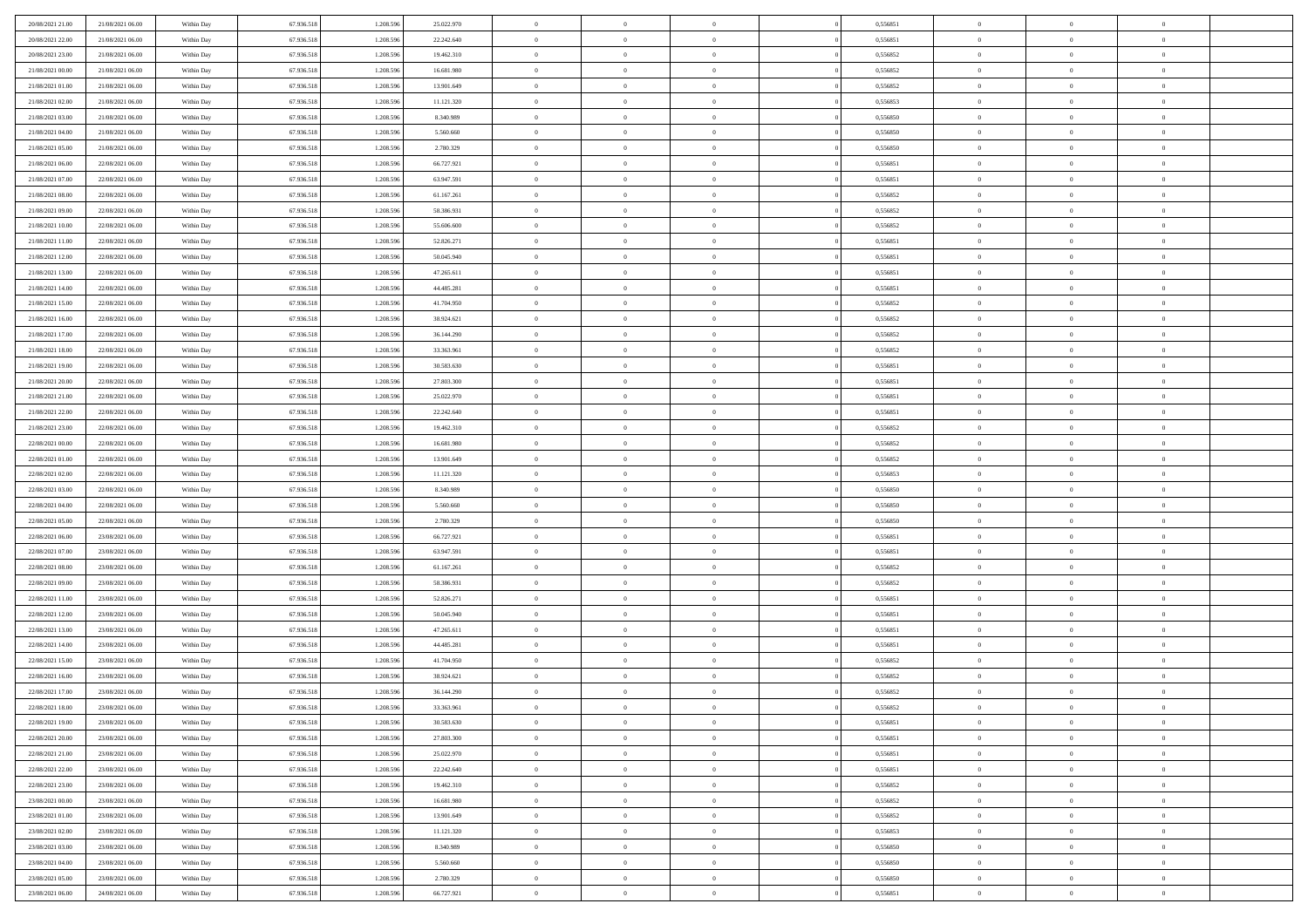| 20/08/2021 21:00 | 21/08/2021 06:00 | Within Day | 67.936.518 | 1.208.59  | 25.022.970 | $\theta$                  | $\overline{0}$ | $\overline{0}$ | 0,556851 | $\bf{0}$       | $\overline{0}$ | $\bf{0}$       |  |
|------------------|------------------|------------|------------|-----------|------------|---------------------------|----------------|----------------|----------|----------------|----------------|----------------|--|
| 20/08/2021 22:00 | 21/08/2021 06:00 | Within Day | 67.936.518 | 1.208.596 | 22.242.640 | $\overline{0}$            | $\overline{0}$ | $\overline{0}$ | 0,556851 | $\theta$       | $\overline{0}$ | $\theta$       |  |
| 20/08/2021 23:00 | 21/08/2021 06:00 | Within Day | 67.936.518 | 1.208.596 | 19.462.310 | $\,0\,$                   | $\overline{0}$ | $\bf{0}$       | 0,556852 | $\,$ 0 $\,$    | $\overline{0}$ | $\,$ 0 $\,$    |  |
| 21/08/2021 00:00 | 21/08/2021 06:00 | Within Day | 67.936.518 | 1.208.596 | 16.681.980 | $\mathbf{0}$              | $\Omega$       | $\overline{0}$ | 0,556852 | $\theta$       | $\mathbf{0}$   | $\theta$       |  |
| 21/08/2021 01:00 | 21/08/2021 06:00 | Within Day | 67.936.518 | 1.208.596 | 13.901.649 | $\overline{0}$            | $\overline{0}$ | $\overline{0}$ | 0,556852 | $\overline{0}$ | $\overline{0}$ | $\overline{0}$ |  |
| 21/08/2021 02:00 | 21/08/2021 06:00 | Within Day | 67.936.518 | 1.208.596 | 11.121.320 | $\,$ 0 $\,$               | $\overline{0}$ | $\bf{0}$       | 0,556853 | $\,$ 0 $\,$    | $\overline{0}$ | $\,$ 0 $\,$    |  |
| 21/08/2021 03:00 | 21/08/2021 06:00 | Within Day | 67.936.518 | 1.208.59  | 8.340.989  | $\bf{0}$                  | $\overline{0}$ | $\overline{0}$ | 0.556850 | $\bf{0}$       | $\overline{0}$ | $\theta$       |  |
| 21/08/2021 04:00 | 21/08/2021 06:00 | Within Day | 67.936.518 | 1.208.596 | 5.560.660  | $\overline{0}$            | $\overline{0}$ | $\overline{0}$ | 0,556850 | $\mathbf{0}$   | $\overline{0}$ | $\overline{0}$ |  |
|                  |                  |            |            |           |            |                           |                |                |          |                |                |                |  |
| 21/08/2021 05:00 | 21/08/2021 06:00 | Within Day | 67.936.518 | 1.208.596 | 2.780.329  | $\,$ 0 $\,$               | $\overline{0}$ | $\bf{0}$       | 0,556850 | $\,$ 0 $\,$    | $\overline{0}$ | $\bf{0}$       |  |
| 21/08/2021 06:00 | 22/08/2021 06:00 | Within Day | 67.936.518 | 1.208.59  | 66.727.921 | $\overline{0}$            | $\mathbf{0}$   | $\overline{0}$ | 0.556851 | $\theta$       | $\mathbf{0}$   | $\theta$       |  |
| 21/08/2021 07:00 | 22/08/2021 06:00 | Within Day | 67.936.518 | 1.208.596 | 63.947.591 | $\overline{0}$            | $\overline{0}$ | $\overline{0}$ | 0,556851 | $\mathbf{0}$   | $\overline{0}$ | $\overline{0}$ |  |
| 21/08/2021 08:00 | 22/08/2021 06:00 | Within Day | 67.936.518 | 1.208.596 | 61.167.261 | $\,$ 0 $\,$               | $\overline{0}$ | $\bf{0}$       | 0,556852 | $\,$ 0 $\,$    | $\overline{0}$ | $\,$ 0 $\,$    |  |
| 21/08/2021 09:00 | 22/08/2021 06:00 | Within Day | 67.936.518 | 1.208.596 | 58.386.931 | $\bf{0}$                  | $\overline{0}$ | $\overline{0}$ | 0,556852 | $\bf{0}$       | $\overline{0}$ | $\theta$       |  |
| 21/08/2021 10:00 | 22/08/2021 06:00 | Within Day | 67.936.518 | 1.208.596 | 55.606.600 | $\overline{0}$            | $\overline{0}$ | $\overline{0}$ | 0,556852 | $\mathbf{0}$   | $\overline{0}$ | $\overline{0}$ |  |
| 21/08/2021 11:00 | 22/08/2021 06:00 | Within Day | 67.936.518 | 1.208.596 | 52.826.271 | $\,$ 0 $\,$               | $\overline{0}$ | $\bf{0}$       | 0,556851 | $\,$ 0 $\,$    | $\overline{0}$ | $\,$ 0 $\,$    |  |
| 21/08/2021 12:00 | 22/08/2021 06:00 | Within Day | 67.936.518 | 1.208.59  | 50.045.940 | $\mathbf{0}$              | $\mathbf{0}$   | $\overline{0}$ | 0.556851 | $\theta$       | $\mathbf{0}$   | $\theta$       |  |
| 21/08/2021 13:00 | 22/08/2021 06:00 | Within Day | 67.936.518 | 1.208.596 | 47.265.611 | $\overline{0}$            | $\overline{0}$ | $\overline{0}$ | 0,556851 | $\mathbf{0}$   | $\overline{0}$ | $\overline{0}$ |  |
| 21/08/2021 14:00 | 22/08/2021 06:00 | Within Day | 67.936.518 | 1.208.596 | 44.485.281 | $\,$ 0 $\,$               | $\overline{0}$ | $\bf{0}$       | 0,556851 | $\,$ 0 $\,$    | $\overline{0}$ | $\,$ 0 $\,$    |  |
| 21/08/2021 15:00 | 22/08/2021 06:00 | Within Day | 67.936.518 | 1.208.596 | 41.704.950 | $\mathbf{0}$              | $\Omega$       | $\overline{0}$ | 0,556852 | $\theta$       | $\mathbf{0}$   | $\theta$       |  |
| 21/08/2021 16:00 | 22/08/2021 06:00 | Within Day | 67.936.518 | 1.208.596 | 38.924.621 | $\overline{0}$            | $\overline{0}$ | $\overline{0}$ | 0,556852 | $\mathbf{0}$   | $\overline{0}$ | $\overline{0}$ |  |
| 21/08/2021 17:00 | 22/08/2021 06:00 | Within Day | 67.936.518 | 1.208.596 | 36.144.290 | $\,$ 0 $\,$               | $\overline{0}$ | $\bf{0}$       | 0,556852 | $\,$ 0 $\,$    | $\overline{0}$ | $\,$ 0 $\,$    |  |
| 21/08/2021 18:00 | 22/08/2021 06:00 | Within Day | 67.936.518 | 1.208.596 | 33,363,961 | $\overline{0}$            | $\overline{0}$ | $\overline{0}$ | 0.556852 | $\bf{0}$       | $\overline{0}$ | $\theta$       |  |
| 21/08/2021 19:00 | 22/08/2021 06:00 | Within Day | 67.936.518 | 1.208.596 | 30.583.630 | $\overline{0}$            | $\overline{0}$ | $\overline{0}$ | 0,556851 | $\mathbf{0}$   | $\overline{0}$ | $\overline{0}$ |  |
| 21/08/2021 20:00 | 22/08/2021 06:00 | Within Day | 67.936.518 | 1.208.596 | 27.803.300 | $\,$ 0 $\,$               | $\overline{0}$ | $\bf{0}$       | 0,556851 | $\,$ 0 $\,$    | $\overline{0}$ | $\bf{0}$       |  |
| 21/08/2021 21:00 | 22/08/2021 06:00 | Within Day | 67.936.518 | 1.208.59  | 25.022.970 | $\mathbf{0}$              | $\mathbf{0}$   | $\overline{0}$ | 0.556851 | $\theta$       | $\mathbf{0}$   | $\theta$       |  |
| 21/08/2021 22:00 | 22/08/2021 06:00 | Within Day | 67.936.518 | 1.208.596 | 22.242.640 | $\overline{0}$            | $\overline{0}$ | $\overline{0}$ | 0,556851 | $\mathbf{0}$   | $\overline{0}$ | $\overline{0}$ |  |
| 21/08/2021 23:00 | 22/08/2021 06:00 | Within Day | 67.936.518 | 1.208.596 | 19.462.310 | $\,$ 0 $\,$               | $\overline{0}$ | $\bf{0}$       | 0,556852 | $\,$ 0 $\,$    | $\overline{0}$ | $\,$ 0 $\,$    |  |
| 22/08/2021 00:00 | 22/08/2021 06:00 | Within Day | 67.936.518 | 1.208.596 | 16.681.980 | $\bf{0}$                  | $\overline{0}$ | $\overline{0}$ | 0,556852 | $\bf{0}$       | $\overline{0}$ | $\bf{0}$       |  |
| 22/08/2021 01:00 | 22/08/2021 06:00 | Within Day | 67.936.518 | 1.208.596 | 13.901.649 | $\overline{0}$            | $\overline{0}$ | $\overline{0}$ | 0,556852 | $\mathbf{0}$   | $\overline{0}$ | $\overline{0}$ |  |
|                  |                  |            |            |           |            | $\,$ 0 $\,$               | $\overline{0}$ |                |          | $\,$ 0 $\,$    | $\overline{0}$ | $\,$ 0 $\,$    |  |
| 22/08/2021 02:00 | 22/08/2021 06:00 | Within Day | 67.936.518 | 1.208.596 | 11.121.320 |                           |                | $\bf{0}$       | 0,556853 |                |                |                |  |
| 22/08/2021 03:00 | 22/08/2021 06:00 | Within Day | 67.936.518 | 1.208.596 | 8.340.989  | $\,0\,$<br>$\overline{0}$ | $\overline{0}$ | $\bf{0}$       | 0,556850 | $\,$ 0 $\,$    | $\overline{0}$ | $\bf{0}$       |  |
| 22/08/2021 04:00 | 22/08/2021 06:00 | Within Day | 67.936.518 | 1.208.596 | 5.560.660  |                           | $\overline{0}$ | $\overline{0}$ | 0,556850 | $\mathbf{0}$   | $\overline{0}$ | $\overline{0}$ |  |
| 22/08/2021 05:00 | 22/08/2021 06:00 | Within Day | 67.936.518 | 1.208.596 | 2.780.329  | $\,$ 0 $\,$               | $\overline{0}$ | $\bf{0}$       | 0,556850 | $\,$ 0 $\,$    | $\overline{0}$ | $\,$ 0 $\,$    |  |
| 22/08/2021 06:00 | 23/08/2021 06:00 | Within Day | 67.936.518 | 1.208.596 | 66.727.921 | $\,0\,$                   | $\overline{0}$ | $\bf{0}$       | 0,556851 | $\bf{0}$       | $\overline{0}$ | $\bf{0}$       |  |
| 22/08/2021 07:00 | 23/08/2021 06:00 | Within Day | 67.936.518 | 1.208.596 | 63.947.591 | $\overline{0}$            | $\overline{0}$ | $\overline{0}$ | 0,556851 | $\theta$       | $\overline{0}$ | $\overline{0}$ |  |
| 22/08/2021 08:00 | 23/08/2021 06:00 | Within Day | 67.936.518 | 1.208.596 | 61.167.261 | $\,$ 0 $\,$               | $\overline{0}$ | $\bf{0}$       | 0,556852 | $\,$ 0 $\,$    | $\overline{0}$ | $\,$ 0 $\,$    |  |
| 22/08/2021 09:00 | 23/08/2021 06:00 | Within Day | 67.936.518 | 1.208.596 | 58.386.931 | $\bf{0}$                  | $\overline{0}$ | $\bf{0}$       | 0,556852 | $\bf{0}$       | $\overline{0}$ | $\bf{0}$       |  |
| 22/08/2021 11:00 | 23/08/2021 06:00 | Within Day | 67.936.518 | 1.208.596 | 52.826.271 | $\overline{0}$            | $\overline{0}$ | $\overline{0}$ | 0,556851 | $\mathbf{0}$   | $\overline{0}$ | $\overline{0}$ |  |
| 22/08/2021 12:00 | 23/08/2021 06:00 | Within Day | 67.936.518 | 1.208.596 | 50.045.940 | $\,$ 0 $\,$               | $\overline{0}$ | $\bf{0}$       | 0,556851 | $\,$ 0 $\,$    | $\overline{0}$ | $\,$ 0 $\,$    |  |
| 22/08/2021 13:00 | 23/08/2021 06:00 | Within Day | 67.936.518 | 1.208.596 | 47.265.611 | $\,0\,$                   | $\overline{0}$ | $\bf{0}$       | 0,556851 | $\bf{0}$       | $\overline{0}$ | $\bf{0}$       |  |
| 22/08/2021 14:00 | 23/08/2021 06:00 | Within Day | 67.936.518 | 1.208.596 | 44.485.281 | $\overline{0}$            | $\overline{0}$ | $\overline{0}$ | 0,556851 | $\mathbf{0}$   | $\overline{0}$ | $\overline{0}$ |  |
| 22/08/2021 15:00 | 23/08/2021 06:00 | Within Day | 67.936.518 | 1.208.596 | 41.704.950 | $\,$ 0 $\,$               | $\overline{0}$ | $\bf{0}$       | 0,556852 | $\,$ 0 $\,$    | $\overline{0}$ | $\,$ 0 $\,$    |  |
| 22/08/2021 16:00 | 23/08/2021 06:00 | Within Day | 67.936.518 | 1.208.59  | 38.924.621 | $\,0\,$                   | $\overline{0}$ | $\bf{0}$       | 0,556852 | $\bf{0}$       | $\overline{0}$ | $\bf{0}$       |  |
| 22/08/2021 17:00 | 23/08/2021 06:00 | Within Day | 67.936.518 | 1.208.596 | 36.144.290 | $\mathbf{0}$              | $\overline{0}$ | $\overline{0}$ | 0,556852 | $\theta$       | $\overline{0}$ | $\overline{0}$ |  |
| 22/08/2021 18:00 | 23/08/2021 06:00 | Within Day | 67.936.518 | 1.208.596 | 33.363.961 | $\mathbf{0}$              | $\overline{0}$ | $\theta$       | 0,556852 | $\overline{0}$ | $\overline{0}$ | $\theta$       |  |
| 22/08/2021 19:00 | 23/08/2021 06:00 | Within Day | 67.936.518 | 1.208.596 | 30.583.630 | $\bf{0}$                  | $\overline{0}$ | $\bf{0}$       | 0,556851 | $\bf{0}$       | $\overline{0}$ | $\bf{0}$       |  |
| 22/08/2021 20:00 | 23/08/2021 06:00 | Within Day | 67.936.518 | 1.208.596 | 27.803.300 | $\overline{0}$            | $\overline{0}$ | $\overline{0}$ | 0,556851 | $\overline{0}$ | $\overline{0}$ | $\overline{0}$ |  |
| 22/08/2021 21:00 | 23/08/2021 06:00 | Within Day | 67.936.518 | 1.208.596 | 25.022.970 | $\,$ 0                    | $\overline{0}$ | $\overline{0}$ | 0,556851 | $\,$ 0 $\,$    | $\overline{0}$ | $\,$ 0 $\,$    |  |
| 22/08/2021 22:00 | 23/08/2021 06:00 | Within Day | 67.936.518 | 1.208.596 | 22.242.640 | $\bf{0}$                  | $\overline{0}$ | $\overline{0}$ | 0,556851 | $\mathbf{0}$   | $\overline{0}$ | $\bf{0}$       |  |
| 22/08/2021 23:00 | 23/08/2021 06:00 | Within Day | 67.936.518 | 1.208.596 | 19.462.310 | $\overline{0}$            | $\overline{0}$ | $\overline{0}$ | 0,556852 | $\mathbf{0}$   | $\overline{0}$ | $\overline{0}$ |  |
| 23/08/2021 00:00 | 23/08/2021 06:00 | Within Day | 67.936.518 | 1.208.596 | 16.681.980 | $\,$ 0                    | $\overline{0}$ | $\overline{0}$ | 0,556852 | $\,$ 0 $\,$    | $\overline{0}$ | $\,$ 0 $\,$    |  |
| 23/08/2021 01:00 | 23/08/2021 06:00 | Within Day | 67.936.518 | 1.208.596 | 13.901.649 | $\overline{0}$            | $\overline{0}$ | $\overline{0}$ | 0,556852 | $\overline{0}$ | $\overline{0}$ | $\bf{0}$       |  |
| 23/08/2021 02:00 | 23/08/2021 06:00 | Within Day | 67.936.518 | 1.208.596 | 11.121.320 | $\mathbf{0}$              | $\overline{0}$ | $\overline{0}$ | 0,556853 | $\overline{0}$ | $\overline{0}$ | $\overline{0}$ |  |
| 23/08/2021 03:00 | 23/08/2021 06:00 | Within Day | 67.936.518 | 1.208.596 | 8.340.989  | $\,$ 0                    | $\overline{0}$ | $\overline{0}$ | 0,556850 | $\,$ 0 $\,$    | $\bf{0}$       | $\,$ 0 $\,$    |  |
| 23/08/2021 04:00 | 23/08/2021 06:00 | Within Day | 67.936.518 | 1.208.596 | 5.560.660  | $\bf{0}$                  | $\overline{0}$ | $\overline{0}$ | 0,556850 | $\mathbf{0}$   | $\overline{0}$ | $\bf{0}$       |  |
| 23/08/2021 05:00 | 23/08/2021 06:00 | Within Day | 67.936.518 | 1.208.596 | 2.780.329  | $\mathbf{0}$              | $\overline{0}$ | $\overline{0}$ | 0,556850 | $\mathbf{0}$   | $\overline{0}$ | $\overline{0}$ |  |
| 23/08/2021 06:00 | 24/08/2021 06:00 | Within Day | 67.936.518 | 1.208.596 | 66.727.921 | $\,$ 0 $\,$               | $\overline{0}$ | $\bf{0}$       | 0,556851 | $\,$ 0 $\,$    | $\overline{0}$ | $\,$ 0 $\,$    |  |
|                  |                  |            |            |           |            |                           |                |                |          |                |                |                |  |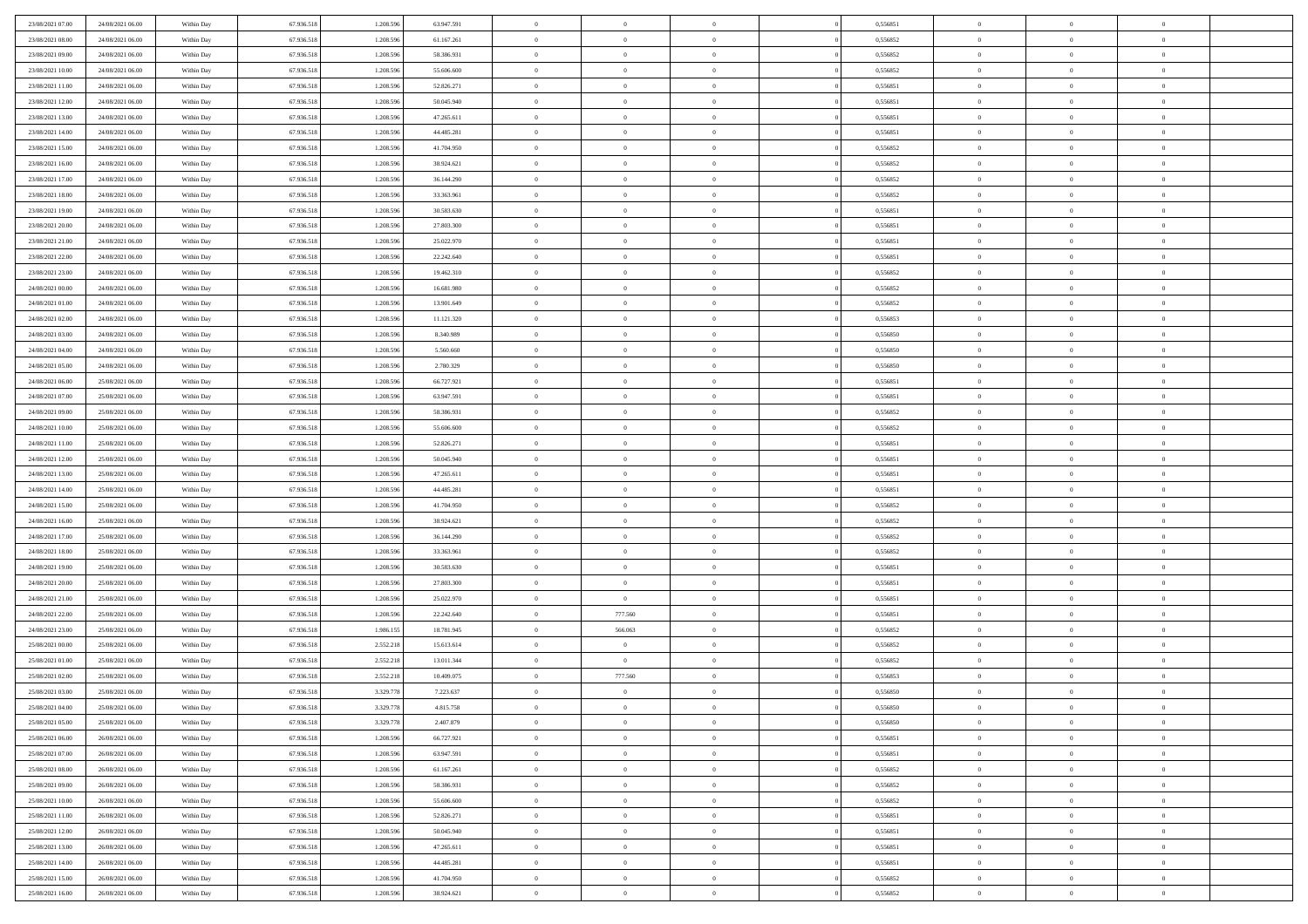| 23/08/2021 07:00 | 24/08/2021 06:00 | Within Day | 67.936.518 | 1.208.596              | 63.947.591 | $\overline{0}$ | $\overline{0}$ | $\Omega$             | 0,556851             | $\bf{0}$       | $\mathbf{0}$   | $\bf{0}$       |  |
|------------------|------------------|------------|------------|------------------------|------------|----------------|----------------|----------------------|----------------------|----------------|----------------|----------------|--|
| 23/08/2021 08:00 | 24/08/2021 06:00 | Within Day | 67.936.518 | 1.208.596              | 61.167.261 | $\mathbf{0}$   | $\overline{0}$ | $\overline{0}$       | 0,556852             | $\overline{0}$ | $\overline{0}$ | $\overline{0}$ |  |
| 23/08/2021 09:00 | 24/08/2021 06:00 | Within Day | 67.936.518 | 1.208.596              | 58.386.931 | $\,$ 0         | $\overline{0}$ | $\bf{0}$             | 0,556852             | $\,$ 0         | $\overline{0}$ | $\,$ 0 $\,$    |  |
| 23/08/2021 10:00 | 24/08/2021 06:00 | Within Day | 67.936.518 | 1.208.596              | 55,606,600 | $\bf{0}$       | $\overline{0}$ | $\Omega$             | 0.556852             | $\bf{0}$       | $\mathbf{0}$   | $\theta$       |  |
| 23/08/2021 11:00 | 24/08/2021 06:00 | Within Day | 67.936.518 | 1.208.596              | 52.826.271 | $\bf{0}$       | $\overline{0}$ | $\overline{0}$       | 0,556851             | $\mathbf{0}$   | $\overline{0}$ | $\overline{0}$ |  |
| 23/08/2021 12:00 | 24/08/2021 06:00 | Within Day | 67.936.518 | 1.208.596              | 50.045.940 | $\bf{0}$       | $\overline{0}$ | $\bf{0}$             | 0,556851             | $\,$ 0         | $\overline{0}$ | $\,$ 0 $\,$    |  |
| 23/08/2021 13:00 | 24/08/2021 06:00 | Within Day | 67.936.518 | 1.208.596              | 47.265.611 | $\bf{0}$       | $\overline{0}$ | $\overline{0}$       | 0.556851             | $\bf{0}$       | $\bf{0}$       | $\theta$       |  |
| 23/08/2021 14:00 | 24/08/2021 06:00 | Within Day | 67.936.518 | 1.208.596              | 44.485.281 | $\overline{0}$ | $\overline{0}$ | $\overline{0}$       | 0,556851             | $\mathbf{0}$   | $\overline{0}$ | $\overline{0}$ |  |
|                  |                  |            |            |                        |            | $\bf{0}$       | $\overline{0}$ |                      |                      | $\,$ 0         | $\overline{0}$ | $\,$ 0 $\,$    |  |
| 23/08/2021 15:00 | 24/08/2021 06:00 | Within Day | 67.936.518 | 1.208.596<br>1.208.596 | 41.704.950 | $\bf{0}$       | $\overline{0}$ | $\bf{0}$<br>$\Omega$ | 0,556852<br>0.556852 | $\theta$       | $\mathbf{0}$   | $\theta$       |  |
| 23/08/2021 16:00 | 24/08/2021 06:00 | Within Day | 67.936.518 |                        | 38.924.621 | $\overline{0}$ |                |                      |                      | $\mathbf{0}$   |                | $\overline{0}$ |  |
| 23/08/2021 17:00 | 24/08/2021 06:00 | Within Day | 67.936.518 | 1.208.596              | 36.144.290 |                | $\overline{0}$ | $\overline{0}$       | 0,556852             |                | $\overline{0}$ |                |  |
| 23/08/2021 18:00 | 24/08/2021 06:00 | Within Day | 67.936.518 | 1.208.596              | 33.363.961 | $\bf{0}$       | $\overline{0}$ | $\bf{0}$             | 0,556852             | $\,$ 0         | $\overline{0}$ | $\,$ 0 $\,$    |  |
| 23/08/2021 19:00 | 24/08/2021 06:00 | Within Day | 67.936.518 | 1.208.596              | 30.583.630 | $\bf{0}$       | $\overline{0}$ | $\Omega$             | 0.556851             | $\bf{0}$       | $\mathbf{0}$   | $\theta$       |  |
| 23/08/2021 20:00 | 24/08/2021 06:00 | Within Day | 67.936.518 | 1.208.596              | 27.803.300 | $\overline{0}$ | $\overline{0}$ | $\overline{0}$       | 0,556851             | $\mathbf{0}$   | $\overline{0}$ | $\overline{0}$ |  |
| 23/08/2021 21:00 | 24/08/2021 06:00 | Within Day | 67.936.518 | 1.208.596              | 25.022.970 | $\bf{0}$       | $\overline{0}$ | $\bf{0}$             | 0,556851             | $\,$ 0         | $\overline{0}$ | $\,$ 0 $\,$    |  |
| 23/08/2021 22.00 | 24/08/2021 06:00 | Within Day | 67.936.518 | 1.208.596              | 22.242.640 | $\bf{0}$       | $\overline{0}$ | $\overline{0}$       | 0.556851             | $\bf{0}$       | $\mathbf{0}$   | $\bf{0}$       |  |
| 23/08/2021 23:00 | 24/08/2021 06:00 | Within Day | 67.936.518 | 1.208.596              | 19.462.310 | $\overline{0}$ | $\overline{0}$ | $\overline{0}$       | 0,556852             | $\mathbf{0}$   | $\overline{0}$ | $\overline{0}$ |  |
| 24/08/2021 00:00 | 24/08/2021 06:00 | Within Day | 67.936.518 | 1.208.596              | 16.681.980 | $\bf{0}$       | $\overline{0}$ | $\bf{0}$             | 0,556852             | $\,$ 0         | $\overline{0}$ | $\,$ 0 $\,$    |  |
| 24/08/2021 01:00 | 24/08/2021 06:00 | Within Day | 67.936.518 | 1.208.596              | 13.901.649 | $\bf{0}$       | $\overline{0}$ | $\Omega$             | 0.556852             | $\theta$       | $\mathbf{0}$   | $\theta$       |  |
| 24/08/2021 02:00 | 24/08/2021 06:00 | Within Day | 67.936.518 | 1.208.596              | 11.121.320 | $\overline{0}$ | $\overline{0}$ | $\overline{0}$       | 0,556853             | $\mathbf{0}$   | $\overline{0}$ | $\overline{0}$ |  |
| 24/08/2021 03:00 | 24/08/2021 06:00 | Within Day | 67.936.518 | 1.208.596              | 8.340.989  | $\bf{0}$       | $\overline{0}$ | $\bf{0}$             | 0,556850             | $\,$ 0         | $\overline{0}$ | $\,$ 0 $\,$    |  |
| 24/08/2021 04:00 | 24/08/2021 06:00 | Within Day | 67.936.518 | 1.208.596              | 5.560.660  | $\bf{0}$       | $\overline{0}$ | $\Omega$             | 0.556850             | $\bf{0}$       | $\mathbf{0}$   | $\theta$       |  |
| 24/08/2021 05:00 | 24/08/2021 06:00 | Within Day | 67.936.518 | 1.208.596              | 2.780.329  | $\overline{0}$ | $\overline{0}$ | $\overline{0}$       | 0,556850             | $\mathbf{0}$   | $\overline{0}$ | $\overline{0}$ |  |
| 24/08/2021 06:00 | 25/08/2021 06:00 | Within Day | 67.936.518 | 1.208.596              | 66.727.921 | $\bf{0}$       | $\overline{0}$ | $\bf{0}$             | 0,556851             | $\,$ 0         | $\overline{0}$ | $\,$ 0 $\,$    |  |
| 24/08/2021 07:00 | 25/08/2021 06:00 | Within Day | 67.936.518 | 1.208.596              | 63.947.591 | $\bf{0}$       | $\overline{0}$ | $\overline{0}$       | 0,556851             | $\bf{0}$       | $\bf{0}$       | $\bf{0}$       |  |
| 24/08/2021 09:00 | 25/08/2021 06:00 | Within Day | 67.936.518 | 1.208.596              | 58.386.931 | $\overline{0}$ | $\overline{0}$ | $\overline{0}$       | 0,556852             | $\mathbf{0}$   | $\overline{0}$ | $\overline{0}$ |  |
| 24/08/2021 10:00 | 25/08/2021 06:00 | Within Day | 67.936.518 | 1.208.596              | 55.606.600 | $\bf{0}$       | $\overline{0}$ | $\bf{0}$             | 0,556852             | $\,$ 0         | $\overline{0}$ | $\,$ 0 $\,$    |  |
| 24/08/2021 11:00 | 25/08/2021 06:00 | Within Day | 67.936.518 | 1.208.596              | 52.826.271 | $\bf{0}$       | $\overline{0}$ | $\Omega$             | 0.556851             | $\theta$       | $\mathbf{0}$   | $\theta$       |  |
| 24/08/2021 12:00 | 25/08/2021 06:00 | Within Day | 67.936.518 | 1.208.596              | 50.045.940 | $\overline{0}$ | $\overline{0}$ | $\overline{0}$       | 0,556851             | $\mathbf{0}$   | $\overline{0}$ | $\overline{0}$ |  |
| 24/08/2021 13:00 | 25/08/2021 06:00 | Within Day | 67.936.518 | 1.208.596              | 47.265.611 | $\bf{0}$       | $\overline{0}$ | $\bf{0}$             | 0,556851             | $\,$ 0         | $\overline{0}$ | $\,$ 0 $\,$    |  |
| 24/08/2021 14:00 | 25/08/2021 06:00 | Within Day | 67.936.518 | 1.208.596              | 44.485.281 | $\bf{0}$       | $\overline{0}$ | $\overline{0}$       | 0,556851             | $\bf{0}$       | $\overline{0}$ | $\,0\,$        |  |
| 24/08/2021 15:00 | 25/08/2021 06:00 | Within Day | 67.936.518 | 1.208.596              | 41.704.950 | $\overline{0}$ | $\overline{0}$ | $\overline{0}$       | 0,556852             | $\mathbf{0}$   | $\overline{0}$ | $\overline{0}$ |  |
| 24/08/2021 16:00 | 25/08/2021 06:00 | Within Day | 67.936.518 | 1.208.596              | 38.924.621 | $\bf{0}$       | $\overline{0}$ | $\bf{0}$             | 0,556852             | $\,$ 0         | $\overline{0}$ | $\,$ 0 $\,$    |  |
| 24/08/2021 17:00 | 25/08/2021 06:00 | Within Day | 67.936.518 | 1.208.596              | 36.144.290 | $\bf{0}$       | $\overline{0}$ | $\bf{0}$             | 0,556852             | $\bf{0}$       | $\overline{0}$ | $\,0\,$        |  |
| 24/08/2021 18:00 | 25/08/2021 06:00 | Within Day | 67.936.518 | 1.208.596              | 33.363.961 | $\overline{0}$ | $\overline{0}$ | $\overline{0}$       | 0,556852             | $\overline{0}$ | $\overline{0}$ | $\overline{0}$ |  |
| 24/08/2021 19:00 | 25/08/2021 06:00 | Within Day | 67.936.518 | 1.208.596              | 30.583.630 | $\bf{0}$       | $\overline{0}$ | $\bf{0}$             | 0,556851             | $\,$ 0         | $\overline{0}$ | $\,$ 0 $\,$    |  |
| 24/08/2021 20:00 | 25/08/2021 06:00 | Within Day | 67.936.518 | 1.208.596              | 27.803.300 | $\bf{0}$       | $\overline{0}$ | $\overline{0}$       | 0,556851             | $\bf{0}$       | $\overline{0}$ | $\,0\,$        |  |
| 24/08/2021 21:00 | 25/08/2021 06:00 | Within Day | 67.936.518 | 1.208.596              | 25.022.970 | $\overline{0}$ | $\overline{0}$ | $\overline{0}$       | 0,556851             | $\mathbf{0}$   | $\overline{0}$ | $\overline{0}$ |  |
| 24/08/2021 22:00 | 25/08/2021 06:00 | Within Day | 67.936.518 | 1.208.596              | 22.242.640 | $\bf{0}$       | 777.560        | $\bf{0}$             | 0,556851             | $\,$ 0         | $\overline{0}$ | $\,$ 0 $\,$    |  |
| 24/08/2021 23.00 | 25/08/2021 06:00 | Within Day | 67.936.518 | 1.986.155              | 18.781.945 | $\bf{0}$       | 566.063        | $\overline{0}$       | 0,556852             | $\bf{0}$       | $\overline{0}$ | $\,0\,$        |  |
| 25/08/2021 00:00 | 25/08/2021 06:00 | Within Day | 67.936.518 | 2.552.218              | 15.613.614 | $\overline{0}$ | $\overline{0}$ | $\overline{0}$       | 0,556852             | $\overline{0}$ | $\overline{0}$ | $\overline{0}$ |  |
| 25/08/2021 01:00 | 25/08/2021 06:00 | Within Day | 67.936.518 | 2.552.218              | 13.011.344 | $\bf{0}$       | $\overline{0}$ | $\bf{0}$             | 0,556852             | $\,$ 0         | $\overline{0}$ | $\,$ 0 $\,$    |  |
| 25/08/2021 02:00 | 25/08/2021 06:00 | Within Day | 67.936.518 | 2.552.218              | 10.409.075 | $\bf{0}$       | 777.560        | $\bf{0}$             | 0,556853             | $\bf{0}$       | $\overline{0}$ | $\,0\,$        |  |
| 25/08/2021 03:00 | 25/08/2021 06:00 | Within Dav | 67.936.518 | 3.329.778              | 7.223.637  | $\mathbf{0}$   | $\overline{0}$ | $\overline{0}$       | 0,556850             | $\mathbf{0}$   | $\overline{0}$ | $\overline{0}$ |  |
| 25/08/2021 04:00 | 25/08/2021 06:00 | Within Day | 67.936.518 | 3.329.778              | 4.815.758  | $\bf{0}$       | $\overline{0}$ | $\theta$             | 0,556850             | $\overline{0}$ | $\overline{0}$ | $\theta$       |  |
| 25/08/2021 05:00 | 25/08/2021 06:00 | Within Day | 67.936.518 | 3.329.778              | 2.407.879  | $\bf{0}$       | $\overline{0}$ | $\bf{0}$             | 0,556850             | $\bf{0}$       | $\overline{0}$ | $\bf{0}$       |  |
| 25/08/2021 06:00 | 26/08/2021 06:00 | Within Day | 67.936.518 | 1.208.596              | 66.727.921 | $\overline{0}$ | $\overline{0}$ | $\overline{0}$       | 0,556851             | $\mathbf{0}$   | $\bf{0}$       | $\overline{0}$ |  |
| 25/08/2021 07:00 | 26/08/2021 06:00 | Within Day | 67.936.518 | 1.208.596              | 63.947.591 | $\,$ 0 $\,$    | $\overline{0}$ | $\overline{0}$       | 0,556851             | $\mathbf{0}$   | $\,$ 0 $\,$    | $\,$ 0 $\,$    |  |
|                  |                  |            |            |                        |            |                |                |                      |                      |                |                |                |  |
| 25/08/2021 08:00 | 26/08/2021 06:00 | Within Day | 67.936.518 | 1.208.596              | 61.167.261 | $\bf{0}$       | $\overline{0}$ | $\overline{0}$       | 0,556852             | $\bf{0}$       | $\overline{0}$ | $\bf{0}$       |  |
| 25/08/2021 09:00 | 26/08/2021 06:00 | Within Day | 67.936.518 | 1.208.596              | 58.386.931 | $\bf{0}$       | $\overline{0}$ | $\overline{0}$       | 0,556852             | $\mathbf{0}$   | $\bf{0}$       | $\overline{0}$ |  |
| 25/08/2021 10:00 | 26/08/2021 06:00 | Within Day | 67.936.518 | 1.208.596              | 55.606.600 | $\,$ 0 $\,$    | $\overline{0}$ | $\overline{0}$       | 0,556852             | $\mathbf{0}$   | $\overline{0}$ | $\,$ 0 $\,$    |  |
| 25/08/2021 11:00 | 26/08/2021 06:00 | Within Day | 67.936.518 | 1.208.596              | 52.826.271 | $\overline{0}$ | $\overline{0}$ | $\overline{0}$       | 0,556851             | $\bf{0}$       | $\overline{0}$ | $\overline{0}$ |  |
| 25/08/2021 12:00 | 26/08/2021 06:00 | Within Day | 67.936.518 | 1.208.596              | 50.045.940 | $\overline{0}$ | $\overline{0}$ | $\overline{0}$       | 0,556851             | $\overline{0}$ | $\bf{0}$       | $\overline{0}$ |  |
| 25/08/2021 13:00 | 26/08/2021 06:00 | Within Day | 67.936.518 | 1.208.596              | 47.265.611 | $\,$ 0 $\,$    | $\overline{0}$ | $\overline{0}$       | 0,556851             | $\mathbf{0}$   | $\,$ 0 $\,$    | $\,$ 0 $\,$    |  |
| 25/08/2021 14:00 | 26/08/2021 06:00 | Within Day | 67.936.518 | 1.208.596              | 44.485.281 | $\bf{0}$       | $\overline{0}$ | $\overline{0}$       | 0,556851             | $\mathbf{0}$   | $\overline{0}$ | $\bf{0}$       |  |
| 25/08/2021 15:00 | 26/08/2021 06:00 | Within Day | 67.936.518 | 1.208.596              | 41.704.950 | $\bf{0}$       | $\overline{0}$ | $\overline{0}$       | 0,556852             | $\mathbf{0}$   | $\bf{0}$       | $\overline{0}$ |  |
| 25/08/2021 16:00 | 26/08/2021 06:00 | Within Day | 67.936.518 | 1.208.596              | 38.924.621 | $\,0\,$        | $\overline{0}$ | $\overline{0}$       | 0,556852             | $\,$ 0         | $\overline{0}$ | $\,$ 0 $\,$    |  |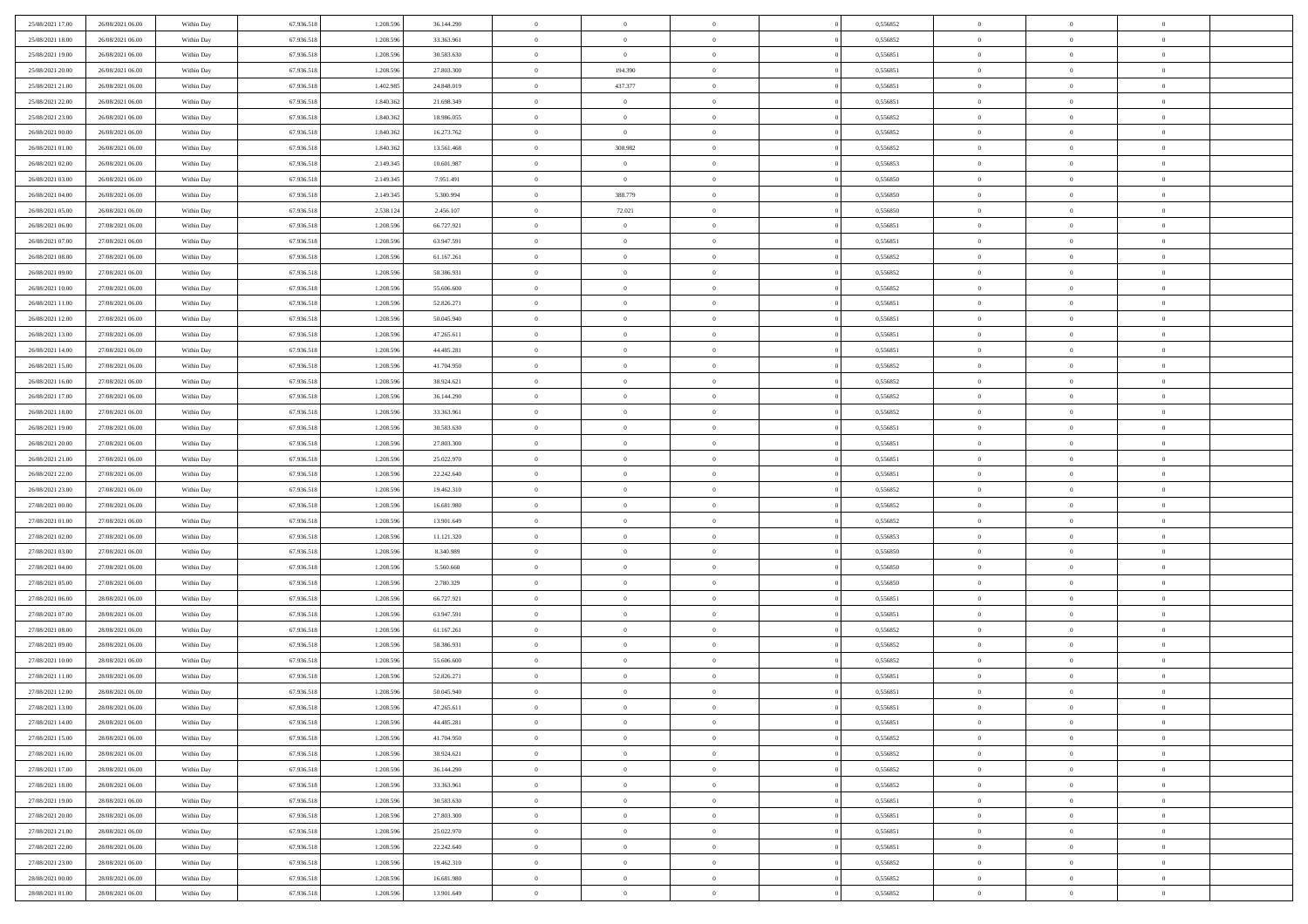| 25/08/2021 17:00                     | 26/08/2021 06:00                     | Within Day               | 67.936.518               | 1.208.596              | 36.144.290               | $\,$ 0         | $\overline{0}$                   | $\theta$       |          | 0,556852             | $\bf{0}$                 | $\overline{0}$ | $\,0\,$                          |  |
|--------------------------------------|--------------------------------------|--------------------------|--------------------------|------------------------|--------------------------|----------------|----------------------------------|----------------|----------|----------------------|--------------------------|----------------|----------------------------------|--|
| 25/08/2021 18:00                     | 26/08/2021 06:00                     | Within Day               | 67.936.518               | 1.208.596              | 33.363.961               | $\overline{0}$ | $\overline{0}$                   | $\overline{0}$ |          | 0.556852             | $\overline{0}$           | $\overline{0}$ | $\theta$                         |  |
| 25/08/2021 19:00                     | 26/08/2021 06:00                     | Within Dav               | 67.936.518               | 1.208.596              | 30.583.630               | $\mathbf{0}$   | $\overline{0}$                   | $\overline{0}$ |          | 0,556851             | $\mathbf{0}$             | $\overline{0}$ | $\overline{0}$                   |  |
| 25/08/2021 20:00                     | 26/08/2021 06:00                     | Within Day               | 67.936.518               | 1.208.596              | 27.803.300               | $\bf{0}$       | 194.390                          | $\bf{0}$       |          | 0,556851             | $\bf{0}$                 | $\overline{0}$ | $\bf{0}$                         |  |
| 25/08/2021 21:00                     | 26/08/2021 06:00                     | Within Day               | 67.936.518               | 1.402.985              | 24.848.019               | $\bf{0}$       | 437.377                          | $\overline{0}$ |          | 0,556851             | $\bf{0}$                 | $\bf{0}$       | $\,0\,$                          |  |
| 25/08/2021 22:00                     | 26/08/2021 06:00                     | Within Dav               | 67.936.518               | 1.840.362              | 21.698.349               | $\mathbf{0}$   | $\overline{0}$                   | $\overline{0}$ |          | 0,556851             | $\mathbf{0}$             | $\overline{0}$ | $\overline{0}$                   |  |
| 25/08/2021 23:00                     | 26/08/2021 06:00                     | Within Day               | 67.936.518               | 1.840.362              | 18.986.055               | $\bf{0}$       | $\overline{0}$                   | $\overline{0}$ |          | 0,556852             | $\bf{0}$                 | $\overline{0}$ | $\,0\,$                          |  |
|                                      |                                      |                          |                          |                        |                          | $\overline{0}$ | $\overline{0}$                   | $\overline{0}$ |          |                      | $\,$ 0 $\,$              | $\overline{0}$ | $\theta$                         |  |
| 26/08/2021 00:00                     | 26/08/2021 06:00                     | Within Day               | 67.936.518               | 1.840.362              | 16.273.762               |                |                                  |                |          | 0,556852             |                          |                |                                  |  |
| 26/08/2021 01:00                     | 26/08/2021 06:00                     | Within Dav               | 67.936.518               | 1.840.362              | 13.561.468               | $\mathbf{0}$   | 308.982                          | $\overline{0}$ |          | 0,556852             | $\mathbf{0}$             | $\overline{0}$ | $\overline{0}$                   |  |
| 26/08/2021 02:00                     | 26/08/2021 06:00                     | Within Day               | 67.936.518               | 2.149.345              | 10.601.987               | $\bf{0}$       | $\bf{0}$                         | $\overline{0}$ |          | 0,556853             | $\bf{0}$                 | $\overline{0}$ | $\,0\,$                          |  |
| 26/08/2021 03:00                     | 26/08/2021 06:00                     | Within Day               | 67.936.518               | 2.149.345              | 7.951.491                | $\bf{0}$       | $\overline{0}$                   | $\overline{0}$ |          | 0.556850             | $\bf{0}$                 | $\overline{0}$ | $\theta$                         |  |
| 26/08/2021 04:00                     | 26/08/2021 06:00                     | Within Dav               | 67.936.518               | 2.149.345              | 5.300.994                | $\mathbf{0}$   | 388.779                          | $\overline{0}$ |          | 0,556850             | $\mathbf{0}$             | $\overline{0}$ | $\overline{0}$                   |  |
| 26/08/2021 05:00                     | 26/08/2021 06:00                     | Within Day               | 67.936.518               | 2.538.124              | 2.456.107                | $\bf{0}$       | 72.021                           | $\bf{0}$       |          | 0,556850             | $\bf{0}$                 | $\overline{0}$ | $\bf{0}$                         |  |
| 26/08/2021 06:00                     | 27/08/2021 06:00                     | Within Day               | 67.936.518               | 1.208.596              | 66.727.921               | $\bf{0}$       | $\bf{0}$                         | $\overline{0}$ |          | 0,556851             | $\bf{0}$                 | $\mathbf{0}$   | $\,0\,$                          |  |
| 26/08/2021 07:00                     | 27/08/2021 06:00                     | Within Dav               | 67.936.518               | 1.208.596              | 63.947.591               | $\overline{0}$ | $\overline{0}$                   | $\overline{0}$ |          | 0,556851             | $\mathbf{0}$             | $\overline{0}$ | $\overline{0}$                   |  |
| 26/08/2021 08:00                     | 27/08/2021 06:00                     | Within Day               | 67.936.518               | 1.208.596              | 61.167.261               | $\bf{0}$       | $\bf{0}$                         | $\overline{0}$ |          | 0,556852             | $\bf{0}$                 | $\overline{0}$ | $\bf{0}$                         |  |
| 26/08/2021 09:00                     | 27/08/2021 06:00                     | Within Day               | 67.936.518               | 1.208.596              | 58.386.931               | $\overline{0}$ | $\overline{0}$                   | $\overline{0}$ |          | 0.556852             | $\bf{0}$                 | $\overline{0}$ | $\theta$                         |  |
| 26/08/2021 10:00                     | 27/08/2021 06:00                     | Within Day               | 67.936.518               | 1.208.596              | 55.606.600               | $\mathbf{0}$   | $\overline{0}$                   | $\overline{0}$ |          | 0,556852             | $\mathbf{0}$             | $\overline{0}$ | $\overline{0}$                   |  |
| 26/08/2021 11:00                     | 27/08/2021 06:00                     | Within Day               | 67.936.518               | 1.208.596              | 52.826.271               | $\bf{0}$       | $\bf{0}$                         | $\overline{0}$ |          | 0,556851             | $\bf{0}$                 | $\overline{0}$ | $\,0\,$                          |  |
| 26/08/2021 12:00                     | 27/08/2021 06:00                     | Within Day               | 67.936.518               | 1.208.596              | 50.045.940               | $\bf{0}$       | $\overline{0}$                   | $\overline{0}$ |          | 0,556851             | $\bf{0}$                 | $\overline{0}$ | $\overline{0}$                   |  |
| 26/08/2021 13:00                     | 27/08/2021 06:00                     | Within Dav               | 67.936.518               | 1.208.596              | 47.265.611               | $\mathbf{0}$   | $\overline{0}$                   | $\overline{0}$ |          | 0,556851             | $\mathbf{0}$             | $\overline{0}$ | $\overline{0}$                   |  |
| 26/08/2021 14:00                     | 27/08/2021 06:00                     | Within Day               | 67.936.518               | 1.208.596              | 44.485.281               | $\bf{0}$       | $\overline{0}$                   | $\overline{0}$ |          | 0,556851             | $\bf{0}$                 | $\overline{0}$ | $\bf{0}$                         |  |
| 26/08/2021 15:00                     | 27/08/2021 06:00                     | Within Day               | 67.936.518               | 1.208.596              | 41.704.950               | $\bf{0}$       | $\bf{0}$                         | $\overline{0}$ |          | 0,556852             | $\bf{0}$                 | $\overline{0}$ | $\,0\,$                          |  |
| 26/08/2021 16:00                     | 27/08/2021 06:00                     | Within Dav               | 67.936.518               | 1.208.596              | 38.924.621               | $\mathbf{0}$   | $\overline{0}$                   | $\overline{0}$ |          | 0,556852             | $\mathbf{0}$             | $\overline{0}$ | $\theta$                         |  |
| 26/08/2021 17:00                     | 27/08/2021 06:00                     | Within Day               | 67.936.518               | 1.208.596              | 36.144.290               | $\bf{0}$       | $\overline{0}$                   | $\overline{0}$ |          | 0,556852             | $\bf{0}$                 | $\overline{0}$ | $\,0\,$                          |  |
| 26/08/2021 18:00                     | 27/08/2021 06:00                     | Within Day               | 67.936.518               | 1.208.596              | 33.363.961               | $\overline{0}$ | $\overline{0}$                   | $\overline{0}$ |          | 0,556852             | $\bf{0}$                 | $\overline{0}$ | $\overline{0}$                   |  |
| 26/08/2021 19:00                     | 27/08/2021 06:00                     | Within Dav               | 67.936.518               | 1.208.596              | 30.583.630               | $\mathbf{0}$   | $\overline{0}$                   | $\overline{0}$ |          | 0,556851             | $\mathbf{0}$             | $\overline{0}$ | $\overline{0}$                   |  |
| 26/08/2021 20:00                     | 27/08/2021 06:00                     | Within Day               | 67.936.518               | 1.208.596              | 27.803.300               | $\bf{0}$       | $\overline{0}$                   | $\overline{0}$ |          | 0,556851             | $\bf{0}$                 | $\overline{0}$ | $\,0\,$                          |  |
|                                      |                                      |                          |                          |                        |                          | $\bf{0}$       |                                  | $\overline{0}$ |          |                      |                          | $\overline{0}$ |                                  |  |
| 26/08/2021 21:00<br>26/08/2021 22:00 | 27/08/2021 06:00<br>27/08/2021 06:00 | Within Day<br>Within Dav | 67.936.518<br>67.936.518 | 1.208.596<br>1.208.596 | 25.022.970<br>22.242.640 | $\mathbf{0}$   | $\overline{0}$<br>$\overline{0}$ | $\overline{0}$ |          | 0,556851<br>0,556851 | $\bf{0}$<br>$\mathbf{0}$ | $\overline{0}$ | $\overline{0}$<br>$\overline{0}$ |  |
|                                      |                                      |                          |                          |                        |                          |                |                                  |                |          |                      |                          |                |                                  |  |
| 26/08/2021 23:00                     | 27/08/2021 06:00                     | Within Day               | 67.936.518               | 1.208.596              | 19.462.310               | $\bf{0}$       | $\overline{0}$                   | $\theta$       |          | 0,556852             | $\,$ 0                   | $\overline{0}$ | $\theta$                         |  |
| 27/08/2021 00:00                     | 27/08/2021 06:00                     | Within Day               | 67.936.518               | 1.208.596              | 16.681.980               | $\bf{0}$       | $\overline{0}$                   | $\overline{0}$ |          | 0,556852             | $\bf{0}$                 | $\overline{0}$ | $\overline{0}$                   |  |
| 27/08/2021 01:00                     | 27/08/2021 06:00                     | Within Dav               | 67.936.518               | 1.208.596              | 13.901.649               | $\mathbf{0}$   | $\overline{0}$                   | $\overline{0}$ |          | 0,556852             | $\mathbf{0}$             | $\overline{0}$ | $\overline{0}$                   |  |
| 27/08/2021 02:00                     | 27/08/2021 06:00                     | Within Day               | 67.936.518               | 1.208.596              | 11.121.320               | $\bf{0}$       | $\overline{0}$                   | $\theta$       |          | 0,556853             | $\,$ 0                   | $\overline{0}$ | $\theta$                         |  |
| 27/08/2021 03:00                     | 27/08/2021 06:00                     | Within Day               | 67.936.518               | 1.208.596              | 8.340.989                | $\bf{0}$       | $\overline{0}$                   | $\overline{0}$ |          | 0.556850             | $\bf{0}$                 | $\overline{0}$ | $\overline{0}$                   |  |
| 27/08/2021 04:00                     | 27/08/2021 06:00                     | Within Day               | 67.936.518               | 1.208.596              | 5.560.660                | $\mathbf{0}$   | $\overline{0}$                   | $\overline{0}$ |          | 0,556850             | $\mathbf{0}$             | $\overline{0}$ | $\overline{0}$                   |  |
| 27/08/2021 05:00                     | 27/08/2021 06:00                     | Within Day               | 67.936.518               | 1.208.596              | 2.780.329                | $\bf{0}$       | $\overline{0}$                   | $\theta$       |          | 0,556850             | $\,$ 0                   | $\overline{0}$ | $\theta$                         |  |
| 27/08/2021 06:00                     | 28/08/2021 06:00                     | Within Day               | 67.936.518               | 1.208.596              | 66.727.921               | $\bf{0}$       | $\overline{0}$                   | $\overline{0}$ |          | 0,556851             | $\bf{0}$                 | $\overline{0}$ | $\overline{0}$                   |  |
| 27/08/2021 07:00                     | 28/08/2021 06:00                     | Within Dav               | 67.936.518               | 1.208.596              | 63.947.591               | $\mathbf{0}$   | $\overline{0}$                   | $\overline{0}$ |          | 0,556851             | $\mathbf{0}$             | $\overline{0}$ | $\overline{0}$                   |  |
| 27/08/2021 08:00                     | 28/08/2021 06:00                     | Within Day               | 67.936.518               | 1.208.596              | 61.167.261               | $\,0\,$        | $\overline{0}$                   | $\theta$       |          | 0,556852             | $\,$ 0                   | $\overline{0}$ | $\theta$                         |  |
| 27/08/2021 09:00                     | 28/08/2021 06:00                     | Within Day               | 67.936.518               | 1.208.596              | 58.386.931               | $\bf{0}$       | $\overline{0}$                   | $\overline{0}$ |          | 0,556852             | $\bf{0}$                 | $\overline{0}$ | $\bf{0}$                         |  |
| 27/08/2021 10:00                     | 28/08/2021 06:00                     | Within Dav               | 67.936.518               | 1.208.596              | 55.606.600               | $\mathbf{0}$   | $\overline{0}$                   | $\overline{0}$ |          | 0,556852             | $\mathbf{0}$             | $\overline{0}$ | $\overline{0}$                   |  |
| 27/08/2021 11:00                     | 28/08/2021 06:00                     | Within Day               | 67.936.518               | 1.208.596              | 52.826.271               | $\bf{0}$       | $\overline{0}$                   | $\theta$       |          | 0,556851             | $\,$ 0                   | $\overline{0}$ | $\theta$                         |  |
| 27/08/2021 12:00                     | 28/08/2021 06:00                     | Within Day               | 67.936.518               | 1.208.596              | 50.045.940               | $\bf{0}$       | $\overline{0}$                   | $\overline{0}$ |          | 0,556851             | $\bf{0}$                 | $\overline{0}$ | $\bf{0}$                         |  |
| 27/08/2021 13:00                     | 28/08/2021 06:00                     | Within Day               | 67.936.518               | 1.208.596              | 47.265.611               | $\bf{0}$       | $\overline{0}$                   |                |          | 0,556851             | $\overline{0}$           | $\theta$       | $\theta$                         |  |
| 27/08/2021 14:00                     | 28/08/2021 06:00                     | Within Day               | 67.936.518               | 1.208.596              | 44.485.281               | $\,0\,$        | $\overline{0}$                   | $\theta$       |          | 0,556851             | $\,$ 0 $\,$              | $\bf{0}$       | $\theta$                         |  |
| 27/08/2021 15:00                     | 28/08/2021 06:00                     | Within Day               | 67.936.518               | 1.208.596              | 41.704.950               | $\overline{0}$ | $\overline{0}$                   | $\overline{0}$ |          | 0,556852             | $\overline{0}$           | $\overline{0}$ | $\overline{0}$                   |  |
| 27/08/2021 16:00                     | 28/08/2021 06:00                     | Within Day               | 67.936.518               | 1.208.596              | 38.924.621               | $\bf{0}$       | $\overline{0}$                   | $\overline{0}$ |          | 0,556852             | $\overline{0}$           | $\bf{0}$       | $\mathbf{0}$                     |  |
| 27/08/2021 17:00                     | 28/08/2021 06:00                     | Within Day               | 67.936.518               | 1.208.596              | 36.144.290               | $\bf{0}$       | $\overline{0}$                   | $\overline{0}$ | $\theta$ | 0,556852             | $\mathbf{0}$             | $\bf{0}$       | $\,$ 0 $\,$                      |  |
| 27/08/2021 18:00                     | 28/08/2021 06:00                     | Within Day               | 67.936.518               | 1.208.596              | 33.363.961               | $\bf{0}$       | $\overline{0}$                   | $\overline{0}$ |          | 0,556852             | $\,$ 0 $\,$              | $\overline{0}$ | $\overline{0}$                   |  |
| 27/08/2021 19:00                     | 28/08/2021 06:00                     | Within Day               | 67.936.518               | 1.208.596              | 30.583.630               | $\bf{0}$       | $\overline{0}$                   | $\overline{0}$ |          | 0,556851             | $\mathbf{0}$             | $\overline{0}$ | $\overline{0}$                   |  |
| 27/08/2021 20:00                     | 28/08/2021 06:00                     | Within Day               | 67.936.518               | 1.208.596              | 27.803.300               | $\,0\,$        | $\overline{0}$                   | $\overline{0}$ | $\theta$ | 0,556851             | $\,$ 0 $\,$              | $\overline{0}$ | $\,$ 0 $\,$                      |  |
| 27/08/2021 21:00                     | 28/08/2021 06:00                     | Within Day               | 67.936.518               | 1.208.596              | 25.022.970               | $\bf{0}$       | $\overline{0}$                   | $\overline{0}$ |          | 0,556851             | $\overline{0}$           | $\overline{0}$ | $\overline{0}$                   |  |
| 27/08/2021 22:00                     | 28/08/2021 06:00                     | Within Day               | 67.936.518               | 1.208.596              | 22.242.640               | $\bf{0}$       | $\overline{0}$                   | $\overline{0}$ |          | 0,556851             | $\mathbf{0}$             | $\overline{0}$ | $\overline{0}$                   |  |
|                                      |                                      |                          |                          |                        |                          |                |                                  |                |          |                      |                          |                |                                  |  |
| 27/08/2021 23:00                     | 28/08/2021 06:00                     | Within Day               | 67.936.518               | 1.208.596              | 19.462.310               | $\,0\,$        | $\overline{0}$                   | $\overline{0}$ |          | 0,556852             | $\,$ 0 $\,$              | $\mathbf{0}$   | $\,$ 0 $\,$                      |  |
| 28/08/2021 00:00                     | 28/08/2021 06:00                     | Within Day               | 67.936.518               | 1.208.596              | 16.681.980               | $\overline{0}$ | $\overline{0}$                   | $\overline{0}$ |          | 0,556852             | $\bf{0}$                 | $\mathbf{0}$   | $\overline{0}$                   |  |
| 28/08/2021 01:00                     | 28/08/2021 06:00                     | Within Day               | 67.936.518               | 1.208.596              | 13.901.649               | $\overline{0}$ | $\overline{0}$                   | $\overline{0}$ |          | 0,556852             | $\mathbf{0}$             | $\overline{0}$ | $\overline{0}$                   |  |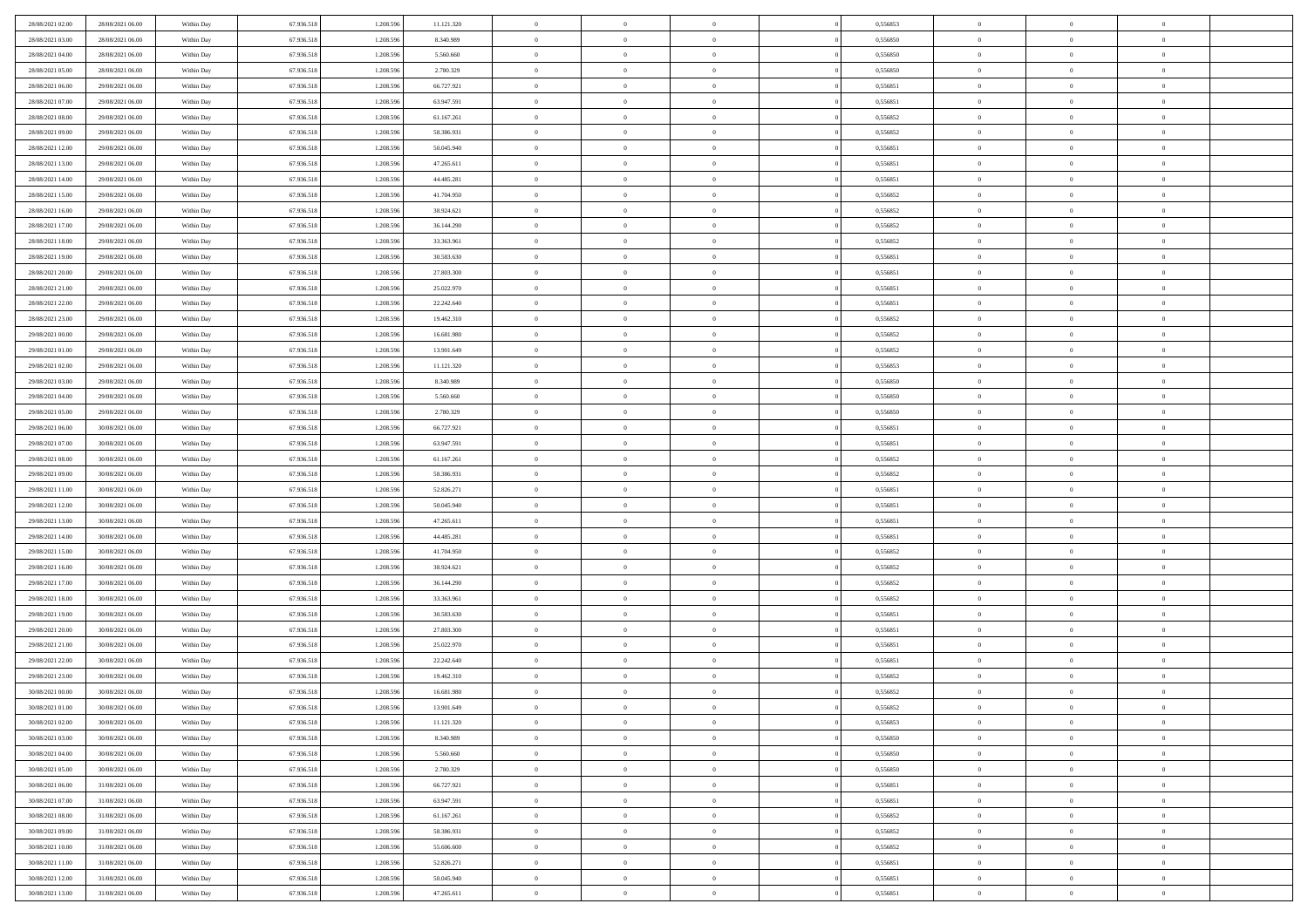| 28/08/2021 02:00                     | 28/08/2021 06:00 | Within Day               | 67.936.518               | 1.208.596              | 11.121.320              | $\overline{0}$       | $\overline{0}$             | $\Omega$                         | 0,556853             | $\bf{0}$                 | $\mathbf{0}$                     | $\bf{0}$       |  |
|--------------------------------------|------------------|--------------------------|--------------------------|------------------------|-------------------------|----------------------|----------------------------|----------------------------------|----------------------|--------------------------|----------------------------------|----------------|--|
| 28/08/2021 03:00                     | 28/08/2021 06:00 | Within Day               | 67.936.518               | 1.208.596              | 8.340.989               | $\mathbf{0}$         | $\overline{0}$             | $\overline{0}$                   | 0,556850             | $\overline{0}$           | $\overline{0}$                   | $\theta$       |  |
| 28/08/2021 04:00                     | 28/08/2021 06:00 | Within Day               | 67.936.518               | 1.208.596              | 5.560.660               | $\,$ 0               | $\overline{0}$             | $\bf{0}$                         | 0,556850             | $\,$ 0                   | $\overline{0}$                   | $\,$ 0 $\,$    |  |
| 28/08/2021 05:00                     | 28/08/2021 06:00 | Within Day               | 67.936.518               | 1.208.596              | 2.780.329               | $\bf{0}$             | $\overline{0}$             | $\Omega$                         | 0.556850             | $\bf{0}$                 | $\mathbf{0}$                     | $\theta$       |  |
| 28/08/2021 06:00                     | 29/08/2021 06:00 | Within Day               | 67.936.518               | 1.208.596              | 66.727.921              | $\bf{0}$             | $\overline{0}$             | $\overline{0}$                   | 0,556851             | $\mathbf{0}$             | $\overline{0}$                   | $\overline{0}$ |  |
| 28/08/2021 07:00                     | 29/08/2021 06:00 | Within Day               | 67.936.518               | 1.208.596              | 63.947.591              | $\bf{0}$             | $\overline{0}$             | $\bf{0}$                         | 0,556851             | $\,$ 0                   | $\overline{0}$                   | $\,$ 0 $\,$    |  |
| 28/08/2021 08:00                     | 29/08/2021 06:00 | Within Day               | 67.936.518               | 1.208.596              | 61.167.261              | $\bf{0}$             | $\overline{0}$             | $\Omega$                         | 0.556852             | $\theta$                 | $\mathbf{0}$                     | $\theta$       |  |
| 28/08/2021 09:00                     | 29/08/2021 06:00 | Within Day               | 67.936.518               | 1.208.596              | 58.386.931              | $\overline{0}$       | $\overline{0}$             | $\overline{0}$                   | 0,556852             | $\mathbf{0}$             | $\overline{0}$                   | $\overline{0}$ |  |
| 28/08/2021 12:00                     | 29/08/2021 06:00 |                          | 67.936.518               | 1.208.596              | 50.045.940              | $\bf{0}$             | $\overline{0}$             |                                  | 0,556851             | $\,$ 0                   | $\overline{0}$                   | $\,$ 0 $\,$    |  |
|                                      |                  | Within Day               |                          | 1.208.596              |                         | $\bf{0}$             | $\overline{0}$             | $\bf{0}$<br>$\Omega$             | 0.556851             | $\bf{0}$                 | $\mathbf{0}$                     | $\theta$       |  |
| 28/08/2021 13:00<br>28/08/2021 14:00 | 29/08/2021 06:00 | Within Day               | 67.936.518               |                        | 47.265.611              | $\overline{0}$       |                            |                                  |                      | $\mathbf{0}$             |                                  | $\overline{0}$ |  |
|                                      | 29/08/2021 06:00 | Within Day               | 67.936.518               | 1.208.596              | 44.485.281              |                      | $\overline{0}$             | $\overline{0}$                   | 0,556851             |                          | $\overline{0}$                   |                |  |
| 28/08/2021 15:00                     | 29/08/2021 06:00 | Within Day               | 67.936.518               | 1.208.596              | 41.704.950              | $\bf{0}$             | $\overline{0}$             | $\bf{0}$                         | 0,556852             | $\,$ 0                   | $\overline{0}$                   | $\,$ 0 $\,$    |  |
| 28/08/2021 16:00                     | 29/08/2021 06:00 | Within Day               | 67.936.518               | 1.208.596              | 38.924.621              | $\bf{0}$             | $\overline{0}$             | $\Omega$                         | 0.556852             | $\overline{0}$           | $\mathbf{0}$                     | $\theta$       |  |
| 28/08/2021 17:00                     | 29/08/2021 06:00 | Within Day               | 67.936.518               | 1.208.596              | 36.144.290              | $\overline{0}$       | $\overline{0}$             | $\overline{0}$                   | 0,556852             | $\mathbf{0}$             | $\overline{0}$                   | $\overline{0}$ |  |
| 28/08/2021 18:00                     | 29/08/2021 06:00 | Within Day               | 67.936.518               | 1.208.596              | 33.363.961              | $\bf{0}$             | $\overline{0}$             | $\bf{0}$                         | 0,556852             | $\,$ 0                   | $\overline{0}$                   | $\,$ 0 $\,$    |  |
| 28/08/2021 19:00                     | 29/08/2021 06:00 | Within Day               | 67.936.518               | 1.208.596              | 30.583.630              | $\bf{0}$             | $\overline{0}$             | $\overline{0}$                   | 0.556851             | $\bf{0}$                 | $\mathbf{0}$                     | $\bf{0}$       |  |
| 28/08/2021 20:00                     | 29/08/2021 06:00 | Within Day               | 67.936.518               | 1.208.596              | 27.803.300              | $\overline{0}$       | $\overline{0}$             | $\overline{0}$                   | 0,556851             | $\mathbf{0}$             | $\overline{0}$                   | $\overline{0}$ |  |
| 28/08/2021 21:00                     | 29/08/2021 06:00 | Within Day               | 67.936.518               | 1.208.596              | 25.022.970              | $\bf{0}$             | $\overline{0}$             | $\bf{0}$                         | 0,556851             | $\,$ 0                   | $\overline{0}$                   | $\,$ 0 $\,$    |  |
| 28/08/2021 22:00                     | 29/08/2021 06:00 | Within Day               | 67.936.518               | 1.208.596              | 22.242.640              | $\bf{0}$             | $\overline{0}$             | $\Omega$                         | 0.556851             | $\theta$                 | $\mathbf{0}$                     | $\theta$       |  |
| 28/08/2021 23:00                     | 29/08/2021 06:00 | Within Day               | 67.936.518               | 1.208.596              | 19.462.310              | $\overline{0}$       | $\overline{0}$             | $\overline{0}$                   | 0,556852             | $\mathbf{0}$             | $\overline{0}$                   | $\overline{0}$ |  |
| 29/08/2021 00:00                     | 29/08/2021 06:00 | Within Day               | 67.936.518               | 1.208.596              | 16.681.980              | $\bf{0}$             | $\overline{0}$             | $\bf{0}$                         | 0,556852             | $\,$ 0                   | $\overline{0}$                   | $\,$ 0 $\,$    |  |
| 29/08/2021 01:00                     | 29/08/2021 06:00 | Within Day               | 67.936.518               | 1.208.596              | 13.901.649              | $\bf{0}$             | $\overline{0}$             | $\Omega$                         | 0.556852             | $\bf{0}$                 | $\mathbf{0}$                     | $\theta$       |  |
| 29/08/2021 02:00                     | 29/08/2021 06:00 | Within Day               | 67.936.518               | 1.208.596              | 11.121.320              | $\overline{0}$       | $\overline{0}$             | $\overline{0}$                   | 0,556853             | $\mathbf{0}$             | $\overline{0}$                   | $\overline{0}$ |  |
| 29/08/2021 03:00                     | 29/08/2021 06:00 | Within Day               | 67.936.518               | 1.208.596              | 8.340.989               | $\bf{0}$             | $\overline{0}$             | $\bf{0}$                         | 0,556850             | $\,$ 0                   | $\overline{0}$                   | $\,$ 0 $\,$    |  |
| 29/08/2021 04:00                     | 29/08/2021 06:00 | Within Day               | 67.936.518               | 1.208.596              | 5.560.660               | $\bf{0}$             | $\overline{0}$             | $\overline{0}$                   | 0.556850             | $\bf{0}$                 | $\overline{0}$                   | $\bf{0}$       |  |
| 29/08/2021 05:00                     | 29/08/2021 06:00 | Within Day               | 67.936.518               | 1.208.596              | 2.780.329               | $\overline{0}$       | $\overline{0}$             | $\overline{0}$                   | 0,556850             | $\mathbf{0}$             | $\overline{0}$                   | $\overline{0}$ |  |
| 29/08/2021 06:00                     | 30/08/2021 06:00 | Within Day               | 67.936.518               | 1.208.596              | 66.727.921              | $\bf{0}$             | $\overline{0}$             | $\bf{0}$                         | 0,556851             | $\,$ 0                   | $\overline{0}$                   | $\,$ 0 $\,$    |  |
| 29/08/2021 07:00                     | 30/08/2021 06:00 | Within Day               | 67.936.518               | 1.208.596              | 63.947.591              | $\bf{0}$             | $\overline{0}$             | $\Omega$                         | 0.556851             | $\bf{0}$                 | $\mathbf{0}$                     | $\theta$       |  |
| 29/08/2021 08:00                     | 30/08/2021 06:00 | Within Day               | 67.936.518               | 1.208.596              | 61.167.261              | $\overline{0}$       | $\overline{0}$             | $\overline{0}$                   | 0,556852             | $\mathbf{0}$             | $\overline{0}$                   | $\overline{0}$ |  |
| 29/08/2021 09:00                     | 30/08/2021 06:00 | Within Day               | 67.936.518               | 1.208.596              | 58.386.931              | $\bf{0}$             | $\overline{0}$             | $\bf{0}$                         | 0,556852             | $\,$ 0                   | $\overline{0}$                   | $\,$ 0 $\,$    |  |
| 29/08/2021 11:00                     | 30/08/2021 06:00 | Within Day               | 67.936.518               | 1.208.596              | 52.826.271              | $\,$ 0               | $\overline{0}$             | $\overline{0}$                   | 0,556851             | $\bf{0}$                 | $\overline{0}$                   | $\,0\,$        |  |
| 29/08/2021 12:00                     | 30/08/2021 06:00 | Within Day               | 67.936.518               | 1.208.596              | 50.045.940              | $\overline{0}$       | $\overline{0}$             | $\overline{0}$                   | 0,556851             | $\mathbf{0}$             | $\overline{0}$                   | $\overline{0}$ |  |
| 29/08/2021 13:00                     | 30/08/2021 06:00 | Within Day               | 67.936.518               | 1.208.596              | 47.265.611              | $\bf{0}$             | $\overline{0}$             | $\bf{0}$                         | 0,556851             | $\,$ 0                   | $\overline{0}$                   | $\,$ 0 $\,$    |  |
| 29/08/2021 14:00                     | 30/08/2021 06:00 | Within Day               | 67.936.518               | 1.208.596              | 44.485.281              | $\bf{0}$             | $\overline{0}$             | $\bf{0}$                         | 0,556851             | $\bf{0}$                 | $\overline{0}$                   | $\,0\,$        |  |
| 29/08/2021 15:00                     | 30/08/2021 06:00 | Within Day               | 67.936.518               | 1.208.596              | 41.704.950              | $\mathbf{0}$         | $\overline{0}$             | $\overline{0}$                   | 0,556852             | $\overline{0}$           | $\overline{0}$                   | $\overline{0}$ |  |
| 29/08/2021 16:00                     | 30/08/2021 06:00 | Within Day               | 67.936.518               | 1.208.596              | 38.924.621              | $\bf{0}$             | $\overline{0}$             | $\bf{0}$                         | 0,556852             | $\,$ 0                   | $\overline{0}$                   | $\,$ 0 $\,$    |  |
| 29/08/2021 17:00                     | 30/08/2021 06:00 | Within Day               | 67.936.518               | 1.208.596              | 36.144.290              | $\bf{0}$             | $\bf{0}$                   | $\overline{0}$                   | 0,556852             | $\bf{0}$                 | $\overline{0}$                   | $\,0\,$        |  |
| 29/08/2021 18:00                     | 30/08/2021 06:00 | Within Day               | 67.936.518               | 1.208.596              | 33.363.961              | $\overline{0}$       | $\overline{0}$             | $\overline{0}$                   | 0,556852             | $\mathbf{0}$             | $\overline{0}$                   | $\overline{0}$ |  |
| 29/08/2021 19:00                     | 30/08/2021 06:00 | Within Day               | 67.936.518               | 1.208.596              | 30.583.630              | $\bf{0}$             | $\overline{0}$             | $\bf{0}$                         | 0,556851             | $\,$ 0                   | $\overline{0}$                   | $\,$ 0 $\,$    |  |
| 29/08/2021 20:00                     | 30/08/2021 06:00 | Within Day               | 67.936.518               | 1.208.596              | 27.803.300              | $\bf{0}$             | $\bf{0}$                   | $\overline{0}$                   | 0,556851             | $\bf{0}$                 | $\overline{0}$                   | $\,0\,$        |  |
| 29/08/2021 21:00                     | 30/08/2021 06:00 | Within Day               | 67.936.518               | 1.208.596              | 25.022.970              | $\overline{0}$       | $\overline{0}$             | $\overline{0}$                   | 0,556851             | $\overline{0}$           | $\overline{0}$                   | $\overline{0}$ |  |
| 29/08/2021 22:00                     | 30/08/2021 06:00 | Within Day               | 67.936.518               | 1.208.596              | 22.242.640              | $\bf{0}$             | $\overline{0}$             | $\bf{0}$                         | 0,556851             | $\,$ 0                   | $\overline{0}$                   | $\,$ 0 $\,$    |  |
| 29/08/2021 23:00                     | 30/08/2021 06:00 | Within Day               | 67.936.518               | 1.208.596              | 19.462.310              | $\bf{0}$             | $\bf{0}$                   | $\bf{0}$                         | 0,556852             | $\bf{0}$                 | $\overline{0}$                   | $\,0\,$        |  |
| 30/08/2021 00:00                     | 30/08/2021 06:00 | Within Dav               | 67.936.518               | 1.208.596              | 16.681.980              | $\mathbf{0}$         | $\overline{0}$             | $\overline{0}$                   | 0,556852             | $\mathbf{0}$             | $\overline{0}$                   | $\overline{0}$ |  |
| 30/08/2021 01:00                     | 30/08/2021 06:00 | Within Day               | 67.936.518               | 1.208.596              | 13.901.649              | $\bf{0}$             | $\overline{0}$             | $\theta$                         | 0,556852             | $\overline{0}$           | $\theta$                         | $\theta$       |  |
| 30/08/2021 02:00                     | 30/08/2021 06:00 | Within Day               | 67.936.518               | 1.208.596              | 11.121.320              | $\bf{0}$             | $\bf{0}$                   | $\bf{0}$                         | 0,556853             | $\bf{0}$                 | $\overline{0}$                   | $\bf{0}$       |  |
| 30/08/2021 03:00                     | 30/08/2021 06:00 | Within Day               | 67.936.518               | 1.208.596              | 8.340.989               | $\overline{0}$       | $\overline{0}$             | $\overline{0}$                   | 0,556850             | $\overline{0}$           | $\bf{0}$                         | $\overline{0}$ |  |
| 30/08/2021 04:00                     | 30/08/2021 06:00 | Within Day               | 67.936.518               | 1.208.596              | 5.560.660               | $\,$ 0 $\,$          | $\overline{0}$             | $\overline{0}$                   | 0,556850             | $\mathbf{0}$             | $\,$ 0 $\,$                      | $\,$ 0 $\,$    |  |
| 30/08/2021 05:00                     | 30/08/2021 06:00 |                          |                          |                        |                         |                      |                            |                                  |                      |                          |                                  | $\bf{0}$       |  |
| 30/08/2021 06:00                     | 31/08/2021 06:00 | Within Day<br>Within Day | 67.936.518<br>67.936.518 | 1.208.596<br>1.208.596 | 2.780.329<br>66.727.921 | $\bf{0}$<br>$\bf{0}$ | $\bf{0}$<br>$\overline{0}$ | $\overline{0}$<br>$\overline{0}$ | 0,556850<br>0,556851 | $\bf{0}$<br>$\mathbf{0}$ | $\overline{0}$<br>$\overline{0}$ | $\overline{0}$ |  |
|                                      |                  |                          |                          |                        |                         | $\,$ 0 $\,$          |                            |                                  |                      | $\,$ 0 $\,$              | $\overline{0}$                   | $\,$ 0 $\,$    |  |
| 30/08/2021 07:00                     | 31/08/2021 06:00 | Within Day               | 67.936.518               | 1.208.596              | 63.947.591              |                      | $\overline{0}$             | $\overline{0}$                   | 0,556851             |                          |                                  |                |  |
| 30/08/2021 08:00                     | 31/08/2021 06:00 | Within Day               | 67.936.518               | 1.208.596              | 61.167.261              | $\overline{0}$       | $\overline{0}$             | $\overline{0}$                   | 0,556852             | $\bf{0}$                 | $\overline{0}$                   | $\overline{0}$ |  |
| 30/08/2021 09:00                     | 31/08/2021 06:00 | Within Day               | 67.936.518               | 1.208.596              | 58.386.931              | $\overline{0}$       | $\overline{0}$             | $\overline{0}$                   | 0,556852             | $\overline{0}$           | $\bf{0}$                         | $\overline{0}$ |  |
| 30/08/2021 10:00                     | 31/08/2021 06:00 | Within Day               | 67.936.518               | 1.208.596              | 55.606.600              | $\,$ 0 $\,$          | $\overline{0}$             | $\overline{0}$                   | 0,556852             | $\,$ 0 $\,$              | $\,$ 0 $\,$                      | $\,$ 0 $\,$    |  |
| 30/08/2021 11:00                     | 31/08/2021 06:00 | Within Day               | 67.936.518               | 1.208.596              | 52.826.271              | $\bf{0}$             | $\bf{0}$                   | $\overline{0}$                   | 0,556851             | $\mathbf{0}$             | $\overline{0}$                   | $\bf{0}$       |  |
| 30/08/2021 12:00                     | 31/08/2021 06:00 | Within Day               | 67.936.518               | 1.208.596              | 50.045.940              | $\bf{0}$             | $\overline{0}$             | $\overline{0}$                   | 0,556851             | $\mathbf{0}$             | $\bf{0}$                         | $\overline{0}$ |  |
| 30/08/2021 13:00                     | 31/08/2021 06:00 | Within Day               | 67.936.518               | 1.208.596              | 47.265.611              | $\,0\,$              | $\overline{0}$             | $\overline{0}$                   | 0,556851             | $\,$ 0                   | $\overline{0}$                   | $\,$ 0 $\,$    |  |